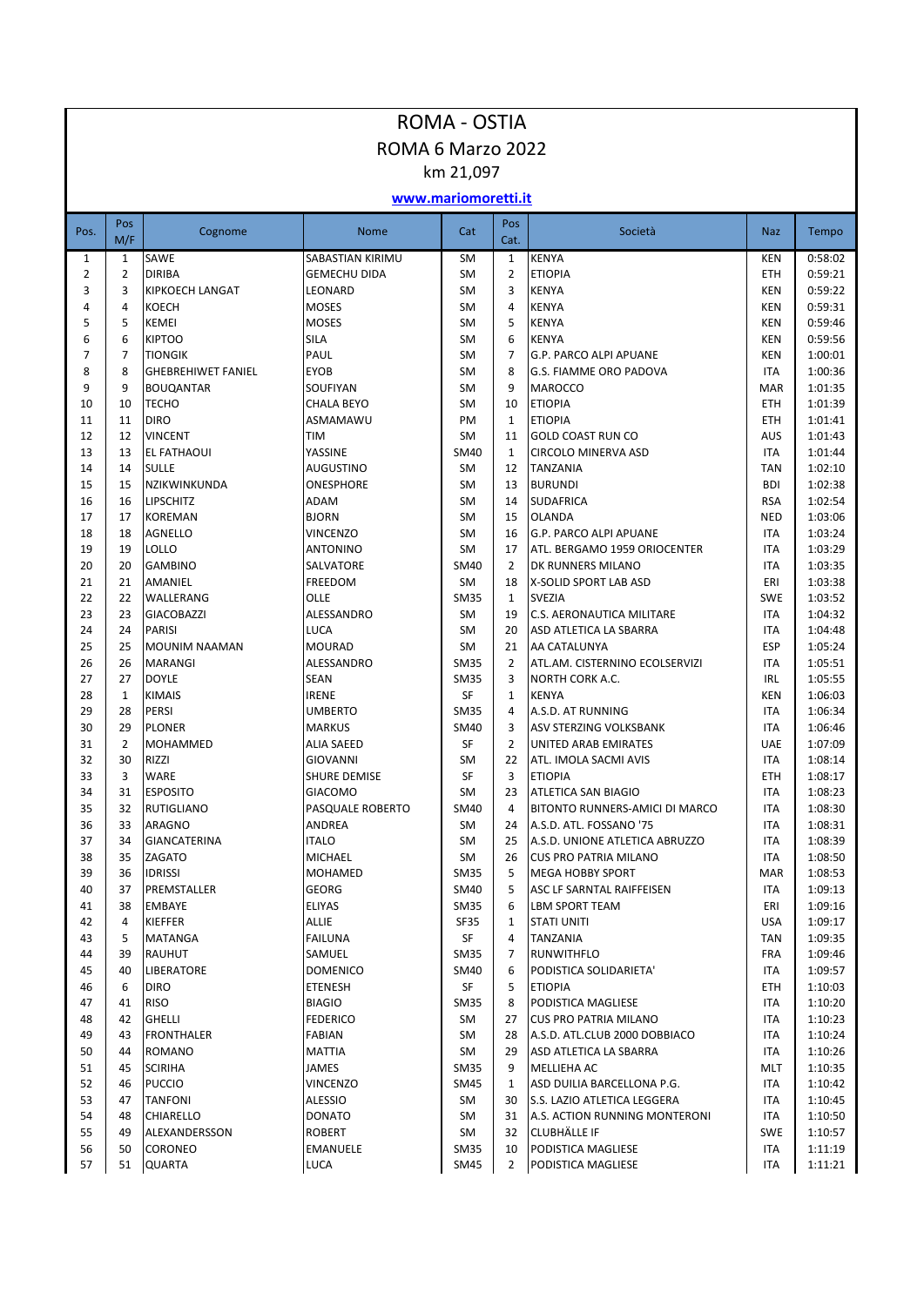| ROMA 6 Marzo 2022<br>km 21,097<br>www.mariomoretti.it<br>Pos<br>Pos<br>Cognome<br>Cat<br>Società<br>Pos.<br><b>Nome</b><br>M/F<br>Cat.<br>SAWE<br>SABASTIAN KIRIMU<br><b>SM</b><br><b>KENYA</b><br>$\mathbf{1}$<br>$1\,$<br>$\mathbf{1}$<br>$\overline{2}$<br>$\overline{2}$<br><b>ETIOPIA</b><br><b>DIRIBA</b><br><b>GEMECHU DIDA</b><br><b>SM</b><br>$\overline{2}$<br>3<br>3<br><b>SM</b><br>KIPKOECH LANGAT<br>LEONARD<br>3<br><b>KENYA</b><br><b>SM</b><br>4<br>4<br><b>KOECH</b><br><b>MOSES</b><br>4<br><b>KENYA</b><br>5<br>5<br><b>MOSES</b><br><b>KEMEI</b><br><b>SM</b><br>5<br><b>KENYA</b><br><b>SILA</b><br>6<br>6<br><b>KIPTOO</b><br><b>SM</b><br>6<br><b>KENYA</b><br>$\overline{7}$<br>PAUL<br>7<br><b>SM</b><br>7<br>G.P. PARCO ALPI APUANE<br><b>TIONGIK</b><br>8<br>8<br><b>EYOB</b><br><b>SM</b><br><b>GHEBREHIWET FANIEL</b><br>8<br>G.S. FIAMME ORO PADOVA<br>9<br>9<br><b>SM</b><br><b>BOUQANTAR</b><br>SOUFIYAN<br>9<br><b>MAROCCO</b><br><b>ETIOPIA</b><br>10<br>10<br><b>TECHO</b><br><b>CHALA BEYO</b><br><b>SM</b><br>10<br>PM<br>11<br>11<br><b>DIRO</b><br>ASMAMAWU<br><b>ETIOPIA</b><br>$\mathbf{1}$<br>SM<br>12<br>12<br><b>VINCENT</b><br><b>TIM</b><br>11<br><b>GOLD COAST RUN CO</b><br>13<br>13<br>YASSINE<br><b>SM40</b><br><b>CIRCOLO MINERVA ASD</b><br><b>EL FATHAOUI</b><br>$\mathbf{1}$ | ROMA - OSTIA                                   |  |  |  |  |  |  |  |  |  |  |
|-------------------------------------------------------------------------------------------------------------------------------------------------------------------------------------------------------------------------------------------------------------------------------------------------------------------------------------------------------------------------------------------------------------------------------------------------------------------------------------------------------------------------------------------------------------------------------------------------------------------------------------------------------------------------------------------------------------------------------------------------------------------------------------------------------------------------------------------------------------------------------------------------------------------------------------------------------------------------------------------------------------------------------------------------------------------------------------------------------------------------------------------------------------------------------------------------------------------------------------------------------------------------------------------------------------------------------------|------------------------------------------------|--|--|--|--|--|--|--|--|--|--|
|                                                                                                                                                                                                                                                                                                                                                                                                                                                                                                                                                                                                                                                                                                                                                                                                                                                                                                                                                                                                                                                                                                                                                                                                                                                                                                                                     |                                                |  |  |  |  |  |  |  |  |  |  |
|                                                                                                                                                                                                                                                                                                                                                                                                                                                                                                                                                                                                                                                                                                                                                                                                                                                                                                                                                                                                                                                                                                                                                                                                                                                                                                                                     |                                                |  |  |  |  |  |  |  |  |  |  |
|                                                                                                                                                                                                                                                                                                                                                                                                                                                                                                                                                                                                                                                                                                                                                                                                                                                                                                                                                                                                                                                                                                                                                                                                                                                                                                                                     |                                                |  |  |  |  |  |  |  |  |  |  |
|                                                                                                                                                                                                                                                                                                                                                                                                                                                                                                                                                                                                                                                                                                                                                                                                                                                                                                                                                                                                                                                                                                                                                                                                                                                                                                                                     |                                                |  |  |  |  |  |  |  |  |  |  |
|                                                                                                                                                                                                                                                                                                                                                                                                                                                                                                                                                                                                                                                                                                                                                                                                                                                                                                                                                                                                                                                                                                                                                                                                                                                                                                                                     | <b>Naz</b><br>Tempo                            |  |  |  |  |  |  |  |  |  |  |
|                                                                                                                                                                                                                                                                                                                                                                                                                                                                                                                                                                                                                                                                                                                                                                                                                                                                                                                                                                                                                                                                                                                                                                                                                                                                                                                                     | 0:58:02<br><b>KEN</b>                          |  |  |  |  |  |  |  |  |  |  |
|                                                                                                                                                                                                                                                                                                                                                                                                                                                                                                                                                                                                                                                                                                                                                                                                                                                                                                                                                                                                                                                                                                                                                                                                                                                                                                                                     | 0:59:21<br><b>ETH</b><br>0:59:22<br><b>KEN</b> |  |  |  |  |  |  |  |  |  |  |
|                                                                                                                                                                                                                                                                                                                                                                                                                                                                                                                                                                                                                                                                                                                                                                                                                                                                                                                                                                                                                                                                                                                                                                                                                                                                                                                                     | 0:59:31<br><b>KEN</b>                          |  |  |  |  |  |  |  |  |  |  |
|                                                                                                                                                                                                                                                                                                                                                                                                                                                                                                                                                                                                                                                                                                                                                                                                                                                                                                                                                                                                                                                                                                                                                                                                                                                                                                                                     | 0:59:46<br>KEN                                 |  |  |  |  |  |  |  |  |  |  |
|                                                                                                                                                                                                                                                                                                                                                                                                                                                                                                                                                                                                                                                                                                                                                                                                                                                                                                                                                                                                                                                                                                                                                                                                                                                                                                                                     | 0:59:56<br><b>KEN</b>                          |  |  |  |  |  |  |  |  |  |  |
|                                                                                                                                                                                                                                                                                                                                                                                                                                                                                                                                                                                                                                                                                                                                                                                                                                                                                                                                                                                                                                                                                                                                                                                                                                                                                                                                     | 1:00:01<br><b>KEN</b>                          |  |  |  |  |  |  |  |  |  |  |
|                                                                                                                                                                                                                                                                                                                                                                                                                                                                                                                                                                                                                                                                                                                                                                                                                                                                                                                                                                                                                                                                                                                                                                                                                                                                                                                                     | 1:00:36<br><b>ITA</b>                          |  |  |  |  |  |  |  |  |  |  |
|                                                                                                                                                                                                                                                                                                                                                                                                                                                                                                                                                                                                                                                                                                                                                                                                                                                                                                                                                                                                                                                                                                                                                                                                                                                                                                                                     | 1:01:35<br><b>MAR</b>                          |  |  |  |  |  |  |  |  |  |  |
|                                                                                                                                                                                                                                                                                                                                                                                                                                                                                                                                                                                                                                                                                                                                                                                                                                                                                                                                                                                                                                                                                                                                                                                                                                                                                                                                     | 1:01:39<br><b>ETH</b>                          |  |  |  |  |  |  |  |  |  |  |
|                                                                                                                                                                                                                                                                                                                                                                                                                                                                                                                                                                                                                                                                                                                                                                                                                                                                                                                                                                                                                                                                                                                                                                                                                                                                                                                                     | 1:01:41<br><b>ETH</b><br><b>AUS</b><br>1:01:43 |  |  |  |  |  |  |  |  |  |  |
|                                                                                                                                                                                                                                                                                                                                                                                                                                                                                                                                                                                                                                                                                                                                                                                                                                                                                                                                                                                                                                                                                                                                                                                                                                                                                                                                     | <b>ITA</b><br>1:01:44                          |  |  |  |  |  |  |  |  |  |  |
| <b>SM</b><br>14<br>14<br><b>SULLE</b><br><b>AUGUSTINO</b><br>TANZANIA<br>12                                                                                                                                                                                                                                                                                                                                                                                                                                                                                                                                                                                                                                                                                                                                                                                                                                                                                                                                                                                                                                                                                                                                                                                                                                                         | 1:02:10<br><b>TAN</b>                          |  |  |  |  |  |  |  |  |  |  |
| 15<br>15<br>NZIKWINKUNDA<br>ONESPHORE<br><b>SM</b><br>13<br><b>BURUNDI</b>                                                                                                                                                                                                                                                                                                                                                                                                                                                                                                                                                                                                                                                                                                                                                                                                                                                                                                                                                                                                                                                                                                                                                                                                                                                          | <b>BDI</b><br>1:02:38                          |  |  |  |  |  |  |  |  |  |  |
| SM<br>16<br>16<br>LIPSCHITZ<br>ADAM<br><b>SUDAFRICA</b><br>14                                                                                                                                                                                                                                                                                                                                                                                                                                                                                                                                                                                                                                                                                                                                                                                                                                                                                                                                                                                                                                                                                                                                                                                                                                                                       | 1:02:54<br><b>RSA</b>                          |  |  |  |  |  |  |  |  |  |  |
| SM<br>17<br>17<br><b>KOREMAN</b><br><b>BJORN</b><br>15<br><b>OLANDA</b>                                                                                                                                                                                                                                                                                                                                                                                                                                                                                                                                                                                                                                                                                                                                                                                                                                                                                                                                                                                                                                                                                                                                                                                                                                                             | 1:03:06<br><b>NED</b>                          |  |  |  |  |  |  |  |  |  |  |
| <b>SM</b><br>18<br><b>VINCENZO</b><br><b>G.P. PARCO ALPI APUANE</b><br>18<br>AGNELLO<br>16                                                                                                                                                                                                                                                                                                                                                                                                                                                                                                                                                                                                                                                                                                                                                                                                                                                                                                                                                                                                                                                                                                                                                                                                                                          | <b>ITA</b><br>1:03:24                          |  |  |  |  |  |  |  |  |  |  |
| <b>SM</b><br>19<br><b>ANTONINO</b><br>19<br>LOLLO<br>17<br>ATL. BERGAMO 1959 ORIOCENTER                                                                                                                                                                                                                                                                                                                                                                                                                                                                                                                                                                                                                                                                                                                                                                                                                                                                                                                                                                                                                                                                                                                                                                                                                                             | <b>ITA</b><br>1:03:29                          |  |  |  |  |  |  |  |  |  |  |
| <b>SM40</b><br>20<br><b>GAMBINO</b><br>SALVATORE<br>$\overline{2}$<br>20<br>DK RUNNERS MILANO                                                                                                                                                                                                                                                                                                                                                                                                                                                                                                                                                                                                                                                                                                                                                                                                                                                                                                                                                                                                                                                                                                                                                                                                                                       | <b>ITA</b><br>1:03:35                          |  |  |  |  |  |  |  |  |  |  |
| 21<br>FREEDOM<br><b>SM</b><br>21<br>AMANIEL<br>18<br>X-SOLID SPORT LAB ASD                                                                                                                                                                                                                                                                                                                                                                                                                                                                                                                                                                                                                                                                                                                                                                                                                                                                                                                                                                                                                                                                                                                                                                                                                                                          | 1:03:38<br>ERI                                 |  |  |  |  |  |  |  |  |  |  |
| 22<br>22<br>OLLE<br><b>SM35</b><br><b>SVEZIA</b><br>WALLERANG<br>$\mathbf{1}$                                                                                                                                                                                                                                                                                                                                                                                                                                                                                                                                                                                                                                                                                                                                                                                                                                                                                                                                                                                                                                                                                                                                                                                                                                                       | 1:03:52<br><b>SWE</b>                          |  |  |  |  |  |  |  |  |  |  |
| 23<br>23<br><b>GIACOBAZZI</b><br>ALESSANDRO<br><b>SM</b><br><b>C.S. AERONAUTICA MILITARE</b><br>19                                                                                                                                                                                                                                                                                                                                                                                                                                                                                                                                                                                                                                                                                                                                                                                                                                                                                                                                                                                                                                                                                                                                                                                                                                  | <b>ITA</b><br>1:04:32                          |  |  |  |  |  |  |  |  |  |  |
| 24<br>24<br>LUCA<br><b>SM</b><br><b>PARISI</b><br>20<br>ASD ATLETICA LA SBARRA                                                                                                                                                                                                                                                                                                                                                                                                                                                                                                                                                                                                                                                                                                                                                                                                                                                                                                                                                                                                                                                                                                                                                                                                                                                      | 1:04:48<br><b>ITA</b>                          |  |  |  |  |  |  |  |  |  |  |
| 25<br><b>MOURAD</b><br><b>SM</b><br>25<br><b>MOUNIM NAAMAN</b><br>21<br>AA CATALUNYA<br>26<br>26<br>ALESSANDRO<br><b>SM35</b><br>$\overline{2}$<br>ATL.AM. CISTERNINO ECOLSERVIZI<br>MARANGI                                                                                                                                                                                                                                                                                                                                                                                                                                                                                                                                                                                                                                                                                                                                                                                                                                                                                                                                                                                                                                                                                                                                        | <b>ESP</b><br>1:05:24<br><b>ITA</b><br>1:05:51 |  |  |  |  |  |  |  |  |  |  |
| 27<br>27<br><b>DOYLE</b><br><b>SEAN</b><br><b>SM35</b><br>3<br><b>NORTH CORK A.C.</b>                                                                                                                                                                                                                                                                                                                                                                                                                                                                                                                                                                                                                                                                                                                                                                                                                                                                                                                                                                                                                                                                                                                                                                                                                                               | <b>IRL</b><br>1:05:55                          |  |  |  |  |  |  |  |  |  |  |
| <b>SF</b><br>28<br>$\mathbf{1}$<br><b>KIMAIS</b><br><b>IRENE</b><br><b>KENYA</b><br>$\mathbf{1}$                                                                                                                                                                                                                                                                                                                                                                                                                                                                                                                                                                                                                                                                                                                                                                                                                                                                                                                                                                                                                                                                                                                                                                                                                                    | 1:06:03<br><b>KEN</b>                          |  |  |  |  |  |  |  |  |  |  |
| 29<br>28<br><b>PERSI</b><br><b>UMBERTO</b><br><b>SM35</b><br>4<br>A.S.D. AT RUNNING                                                                                                                                                                                                                                                                                                                                                                                                                                                                                                                                                                                                                                                                                                                                                                                                                                                                                                                                                                                                                                                                                                                                                                                                                                                 | 1:06:34<br><b>ITA</b>                          |  |  |  |  |  |  |  |  |  |  |
| 30<br>29<br><b>MARKUS</b><br><b>SM40</b><br>3<br>ASV STERZING VOLKSBANK<br><b>PLONER</b>                                                                                                                                                                                                                                                                                                                                                                                                                                                                                                                                                                                                                                                                                                                                                                                                                                                                                                                                                                                                                                                                                                                                                                                                                                            | <b>ITA</b><br>1:06:46                          |  |  |  |  |  |  |  |  |  |  |
| 31<br>$\overline{2}$<br><b>ALIA SAEED</b><br><b>SF</b><br>$\overline{2}$<br>MOHAMMED<br>UNITED ARAB EMIRATES                                                                                                                                                                                                                                                                                                                                                                                                                                                                                                                                                                                                                                                                                                                                                                                                                                                                                                                                                                                                                                                                                                                                                                                                                        | <b>UAE</b><br>1:07:09                          |  |  |  |  |  |  |  |  |  |  |
| 32<br>30<br>RIZZI<br><b>GIOVANNI</b><br><b>SM</b><br>22<br>ATL. IMOLA SACMI AVIS                                                                                                                                                                                                                                                                                                                                                                                                                                                                                                                                                                                                                                                                                                                                                                                                                                                                                                                                                                                                                                                                                                                                                                                                                                                    | 1:08:14<br><b>ITA</b>                          |  |  |  |  |  |  |  |  |  |  |
| 33<br>3<br><b>WARE</b><br>SF<br>3<br><b>ETIOPIA</b><br><b>SHURE DEMISE</b>                                                                                                                                                                                                                                                                                                                                                                                                                                                                                                                                                                                                                                                                                                                                                                                                                                                                                                                                                                                                                                                                                                                                                                                                                                                          | 1:08:17<br><b>ETH</b>                          |  |  |  |  |  |  |  |  |  |  |
| <b>ESPOSITO</b><br>34<br>31<br><b>GIACOMO</b><br><b>SM</b><br>23<br><b>ATLETICA SAN BIAGIO</b>                                                                                                                                                                                                                                                                                                                                                                                                                                                                                                                                                                                                                                                                                                                                                                                                                                                                                                                                                                                                                                                                                                                                                                                                                                      | <b>ITA</b><br>1:08:23                          |  |  |  |  |  |  |  |  |  |  |
| 35<br><b>RUTIGLIANO</b><br>PASQUALE ROBERTO<br>SM40<br>BITONTO RUNNERS-AMICI DI MARCO<br>32<br>4                                                                                                                                                                                                                                                                                                                                                                                                                                                                                                                                                                                                                                                                                                                                                                                                                                                                                                                                                                                                                                                                                                                                                                                                                                    | <b>ITA</b><br>1:08:30                          |  |  |  |  |  |  |  |  |  |  |
| 36<br>33<br>ARAGNO<br>ANDREA<br>SM<br>A.S.D. ATL. FOSSANO '75<br>24                                                                                                                                                                                                                                                                                                                                                                                                                                                                                                                                                                                                                                                                                                                                                                                                                                                                                                                                                                                                                                                                                                                                                                                                                                                                 | ITA<br>1:08:31                                 |  |  |  |  |  |  |  |  |  |  |
| <b>ITALO</b><br>37<br>34<br><b>GIANCATERINA</b><br>SM<br>A.S.D. UNIONE ATLETICA ABRUZZO<br>25                                                                                                                                                                                                                                                                                                                                                                                                                                                                                                                                                                                                                                                                                                                                                                                                                                                                                                                                                                                                                                                                                                                                                                                                                                       | ITA<br>1:08:39                                 |  |  |  |  |  |  |  |  |  |  |
| 38<br>SM<br>35<br>ZAGATO<br>MICHAEL<br>26<br><b>CUS PRO PATRIA MILANO</b><br>36<br>5<br><b>MEGA HOBBY SPORT</b>                                                                                                                                                                                                                                                                                                                                                                                                                                                                                                                                                                                                                                                                                                                                                                                                                                                                                                                                                                                                                                                                                                                                                                                                                     | 1:08:50<br>ITA                                 |  |  |  |  |  |  |  |  |  |  |
| 39<br>MOHAMED<br>SM35<br><b>IDRISSI</b><br>40<br>37<br><b>GEORG</b><br>SM40<br>PREMSTALLER<br>5<br>ASC LF SARNTAL RAIFFEISEN                                                                                                                                                                                                                                                                                                                                                                                                                                                                                                                                                                                                                                                                                                                                                                                                                                                                                                                                                                                                                                                                                                                                                                                                        | 1:08:53<br><b>MAR</b><br>1:09:13<br>ITA        |  |  |  |  |  |  |  |  |  |  |
| 38<br><b>ELIYAS</b><br>SM35<br>41<br>EMBAYE<br><b>LBM SPORT TEAM</b><br>6                                                                                                                                                                                                                                                                                                                                                                                                                                                                                                                                                                                                                                                                                                                                                                                                                                                                                                                                                                                                                                                                                                                                                                                                                                                           | 1:09:16<br>ERI                                 |  |  |  |  |  |  |  |  |  |  |
| 42<br>ALLIE<br>4<br>KIEFFER<br>SF35<br><b>STATI UNITI</b><br>1                                                                                                                                                                                                                                                                                                                                                                                                                                                                                                                                                                                                                                                                                                                                                                                                                                                                                                                                                                                                                                                                                                                                                                                                                                                                      | 1:09:17<br>USA                                 |  |  |  |  |  |  |  |  |  |  |
| 43<br>5<br><b>FAILUNA</b><br>SF<br><b>TANZANIA</b><br>MATANGA<br>4                                                                                                                                                                                                                                                                                                                                                                                                                                                                                                                                                                                                                                                                                                                                                                                                                                                                                                                                                                                                                                                                                                                                                                                                                                                                  | <b>TAN</b><br>1:09:35                          |  |  |  |  |  |  |  |  |  |  |
| 44<br>39<br>SAMUEL<br>RAUHUT<br>SM35<br>7<br><b>RUNWITHFLO</b>                                                                                                                                                                                                                                                                                                                                                                                                                                                                                                                                                                                                                                                                                                                                                                                                                                                                                                                                                                                                                                                                                                                                                                                                                                                                      | 1:09:46<br><b>FRA</b>                          |  |  |  |  |  |  |  |  |  |  |
| 45<br>40<br>LIBERATORE<br><b>DOMENICO</b><br>SM40<br>PODISTICA SOLIDARIETA'<br>6                                                                                                                                                                                                                                                                                                                                                                                                                                                                                                                                                                                                                                                                                                                                                                                                                                                                                                                                                                                                                                                                                                                                                                                                                                                    | 1:09:57<br>ITA                                 |  |  |  |  |  |  |  |  |  |  |
| SF<br>46<br>6<br><b>DIRO</b><br>ETENESH<br>5<br><b>ETIOPIA</b>                                                                                                                                                                                                                                                                                                                                                                                                                                                                                                                                                                                                                                                                                                                                                                                                                                                                                                                                                                                                                                                                                                                                                                                                                                                                      | 1:10:03<br>ETH                                 |  |  |  |  |  |  |  |  |  |  |
| 47<br>SM35<br>41<br><b>RISO</b><br><b>BIAGIO</b><br>8<br>PODISTICA MAGLIESE                                                                                                                                                                                                                                                                                                                                                                                                                                                                                                                                                                                                                                                                                                                                                                                                                                                                                                                                                                                                                                                                                                                                                                                                                                                         | 1:10:20<br>ITA                                 |  |  |  |  |  |  |  |  |  |  |
| <b>FEDERICO</b><br>48<br>42<br><b>GHELLI</b><br>SM<br>27<br><b>CUS PRO PATRIA MILANO</b>                                                                                                                                                                                                                                                                                                                                                                                                                                                                                                                                                                                                                                                                                                                                                                                                                                                                                                                                                                                                                                                                                                                                                                                                                                            | 1:10:23<br>ITA                                 |  |  |  |  |  |  |  |  |  |  |
| 49<br><b>FABIAN</b><br>43<br><b>FRONTHALER</b><br>SM<br>28<br>A.S.D. ATL.CLUB 2000 DOBBIACO                                                                                                                                                                                                                                                                                                                                                                                                                                                                                                                                                                                                                                                                                                                                                                                                                                                                                                                                                                                                                                                                                                                                                                                                                                         | 1:10:24<br>ITA                                 |  |  |  |  |  |  |  |  |  |  |
| 50<br>SM<br>44<br>ROMANO<br>MATTIA<br>29<br>ASD ATLETICA LA SBARRA                                                                                                                                                                                                                                                                                                                                                                                                                                                                                                                                                                                                                                                                                                                                                                                                                                                                                                                                                                                                                                                                                                                                                                                                                                                                  | 1:10:26<br>ITA                                 |  |  |  |  |  |  |  |  |  |  |
| 51<br>45<br>SM35<br><b>SCIRIHA</b><br>JAMES<br>9<br><b>MELLIEHA AC</b>                                                                                                                                                                                                                                                                                                                                                                                                                                                                                                                                                                                                                                                                                                                                                                                                                                                                                                                                                                                                                                                                                                                                                                                                                                                              | 1:10:35<br>MLT                                 |  |  |  |  |  |  |  |  |  |  |
| 52<br>VINCENZO<br>46<br><b>PUCCIO</b><br>SM45<br>ASD DUILIA BARCELLONA P.G.<br>1<br>53<br><b>ALESSIO</b><br>47<br>30                                                                                                                                                                                                                                                                                                                                                                                                                                                                                                                                                                                                                                                                                                                                                                                                                                                                                                                                                                                                                                                                                                                                                                                                                | 1:10:42<br>ITA<br>1:10:45<br>ITA               |  |  |  |  |  |  |  |  |  |  |
| TANFONI<br>SM<br>S.S. LAZIO ATLETICA LEGGERA<br>54<br>48<br>CHIARELLO<br><b>DONATO</b><br>SM<br>31<br>A.S. ACTION RUNNING MONTERONI                                                                                                                                                                                                                                                                                                                                                                                                                                                                                                                                                                                                                                                                                                                                                                                                                                                                                                                                                                                                                                                                                                                                                                                                 | 1:10:50<br>ITA                                 |  |  |  |  |  |  |  |  |  |  |
| 55<br><b>ROBERT</b><br>SM<br><b>CLUBHÄLLE IF</b><br>49<br>ALEXANDERSSON<br>32                                                                                                                                                                                                                                                                                                                                                                                                                                                                                                                                                                                                                                                                                                                                                                                                                                                                                                                                                                                                                                                                                                                                                                                                                                                       | <b>SWE</b><br>1:10:57                          |  |  |  |  |  |  |  |  |  |  |
| 56<br><b>EMANUELE</b><br>SM35<br>50<br><b>CORONEO</b><br>10<br>PODISTICA MAGLIESE                                                                                                                                                                                                                                                                                                                                                                                                                                                                                                                                                                                                                                                                                                                                                                                                                                                                                                                                                                                                                                                                                                                                                                                                                                                   | 1:11:19<br>ITA                                 |  |  |  |  |  |  |  |  |  |  |
| 57<br><b>QUARTA</b><br><b>LUCA</b><br>SM45<br>PODISTICA MAGLIESE<br>51<br>$\overline{2}$                                                                                                                                                                                                                                                                                                                                                                                                                                                                                                                                                                                                                                                                                                                                                                                                                                                                                                                                                                                                                                                                                                                                                                                                                                            | ITA<br>1:11:21                                 |  |  |  |  |  |  |  |  |  |  |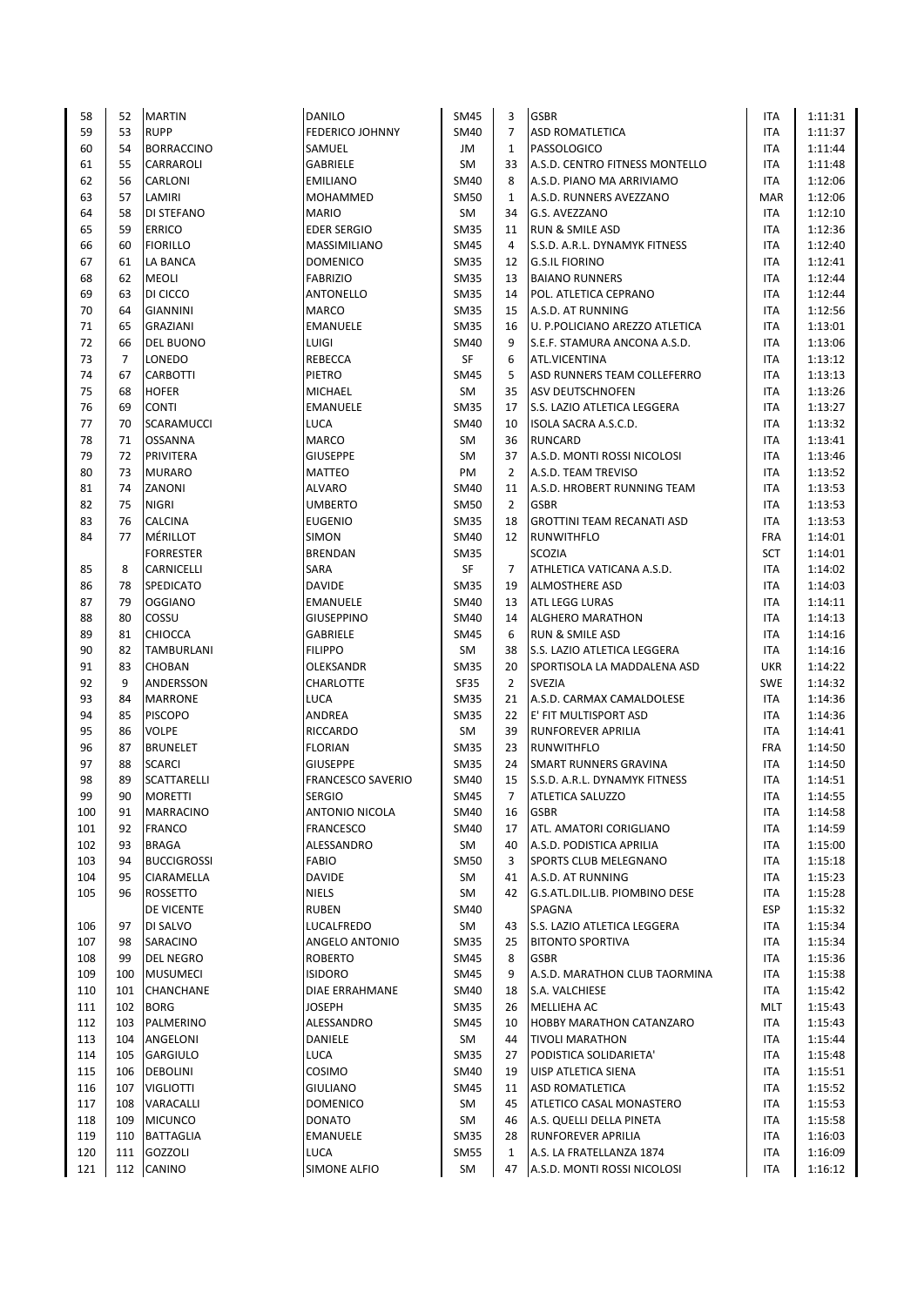| 58  | 52             | <b>MARTIN</b>      | DANILO                   | <b>SM45</b> | 3              | <b>GSBR</b>                       | <b>ITA</b> | 1:11:31 |
|-----|----------------|--------------------|--------------------------|-------------|----------------|-----------------------------------|------------|---------|
| 59  | 53             | <b>RUPP</b>        | <b>FEDERICO JOHNNY</b>   | <b>SM40</b> | $\overline{7}$ | <b>ASD ROMATLETICA</b>            | <b>ITA</b> | 1:11:37 |
| 60  | 54             | <b>BORRACCINO</b>  | SAMUEL                   | JM          | $1\,$          | PASSOLOGICO                       | <b>ITA</b> | 1:11:44 |
| 61  | 55             | <b>CARRAROLI</b>   | <b>GABRIELE</b>          | SM          | 33             | A.S.D. CENTRO FITNESS MONTELLO    | <b>ITA</b> | 1:11:48 |
|     |                |                    |                          |             |                |                                   |            |         |
| 62  | 56             | CARLONI            | <b>EMILIANO</b>          | <b>SM40</b> | 8              | A.S.D. PIANO MA ARRIVIAMO         | <b>ITA</b> | 1:12:06 |
| 63  | 57             | LAMIRI             | MOHAMMED                 | SM50        | $\mathbf{1}$   | A.S.D. RUNNERS AVEZZANO           | <b>MAR</b> | 1:12:06 |
| 64  | 58             | <b>DI STEFANO</b>  | <b>MARIO</b>             | SM          | 34             | G.S. AVEZZANO                     | ITA        | 1:12:10 |
| 65  | 59             | <b>ERRICO</b>      | <b>EDER SERGIO</b>       | <b>SM35</b> | 11             | <b>RUN &amp; SMILE ASD</b>        | ITA        | 1:12:36 |
|     |                |                    |                          |             | 4              |                                   |            |         |
| 66  | 60             | <b>FIORILLO</b>    | MASSIMILIANO             | <b>SM45</b> |                | S.S.D. A.R.L. DYNAMYK FITNESS     | <b>ITA</b> | 1:12:40 |
| 67  | 61             | <b>LA BANCA</b>    | <b>DOMENICO</b>          | <b>SM35</b> | 12             | <b>G.S.IL FIORINO</b>             | <b>ITA</b> | 1:12:41 |
| 68  | 62             | <b>MEOLI</b>       | <b>FABRIZIO</b>          | <b>SM35</b> | 13             | <b>BAIANO RUNNERS</b>             | <b>ITA</b> | 1:12:44 |
| 69  | 63             | DI CICCO           | <b>ANTONELLO</b>         | <b>SM35</b> | 14             | POL. ATLETICA CEPRANO             | ITA        | 1:12:44 |
| 70  | 64             | <b>GIANNINI</b>    | <b>MARCO</b>             | <b>SM35</b> | 15             | A.S.D. AT RUNNING                 | <b>ITA</b> | 1:12:56 |
|     |                |                    |                          |             |                |                                   |            |         |
| 71  | 65             | <b>GRAZIANI</b>    | <b>EMANUELE</b>          | <b>SM35</b> | 16             | U. P.POLICIANO AREZZO ATLETICA    | <b>ITA</b> | 1:13:01 |
| 72  | 66             | <b>DEL BUONO</b>   | LUIGI                    | <b>SM40</b> | 9              | S.E.F. STAMURA ANCONA A.S.D.      | <b>ITA</b> | 1:13:06 |
| 73  | $\overline{7}$ | <b>LONEDO</b>      | REBECCA                  | SF          | 6              | ATL.VICENTINA                     | <b>ITA</b> | 1:13:12 |
| 74  | 67             | <b>CARBOTTI</b>    | PIETRO                   | <b>SM45</b> | 5              | ASD RUNNERS TEAM COLLEFERRO       | <b>ITA</b> | 1:13:13 |
|     |                |                    |                          |             |                |                                   |            |         |
| 75  | 68             | <b>HOFER</b>       | <b>MICHAEL</b>           | <b>SM</b>   | 35             | ASV DEUTSCHNOFEN                  | <b>ITA</b> | 1:13:26 |
| 76  | 69             | <b>CONTI</b>       | <b>EMANUELE</b>          | <b>SM35</b> | 17             | S.S. LAZIO ATLETICA LEGGERA       | <b>ITA</b> | 1:13:27 |
| 77  | 70             | <b>SCARAMUCCI</b>  | LUCA                     | SM40        | 10             | ISOLA SACRA A.S.C.D.              | <b>ITA</b> | 1:13:32 |
| 78  | 71             | <b>OSSANNA</b>     | <b>MARCO</b>             | <b>SM</b>   | 36             | <b>RUNCARD</b>                    | <b>ITA</b> | 1:13:41 |
| 79  | 72             | PRIVITERA          | <b>GIUSEPPE</b>          | <b>SM</b>   | 37             | A.S.D. MONTI ROSSI NICOLOSI       | <b>ITA</b> | 1:13:46 |
|     |                |                    |                          |             |                |                                   |            |         |
| 80  | 73             | <b>MURARO</b>      | <b>MATTEO</b>            | PM          | $\overline{2}$ | A.S.D. TEAM TREVISO               | <b>ITA</b> | 1:13:52 |
| 81  | 74             | ZANONI             | <b>ALVARO</b>            | <b>SM40</b> | 11             | A.S.D. HROBERT RUNNING TEAM       | <b>ITA</b> | 1:13:53 |
| 82  | 75             | <b>NIGRI</b>       | <b>UMBERTO</b>           | <b>SM50</b> | $\overline{2}$ | <b>GSBR</b>                       | <b>ITA</b> | 1:13:53 |
| 83  | 76             | <b>CALCINA</b>     | <b>EUGENIO</b>           | <b>SM35</b> | 18             | <b>GROTTINI TEAM RECANATI ASD</b> | <b>ITA</b> | 1:13:53 |
|     |                |                    |                          |             |                |                                   |            |         |
| 84  | 77             | MÉRILLOT           | <b>SIMON</b>             | SM40        | 12             | <b>RUNWITHFLO</b>                 | <b>FRA</b> | 1:14:01 |
|     |                | <b>FORRESTER</b>   | <b>BRENDAN</b>           | <b>SM35</b> |                | SCOZIA                            | SCT        | 1:14:01 |
| 85  | 8              | <b>CARNICELLI</b>  | SARA                     | SF          | $\overline{7}$ | ATHLETICA VATICANA A.S.D.         | <b>ITA</b> | 1:14:02 |
| 86  | 78             | <b>SPEDICATO</b>   | <b>DAVIDE</b>            | <b>SM35</b> | 19             | <b>ALMOSTHERE ASD</b>             | ITA        | 1:14:03 |
| 87  | 79             | <b>OGGIANO</b>     | <b>EMANUELE</b>          | <b>SM40</b> | 13             | <b>ATL LEGG LURAS</b>             | ITA        | 1:14:11 |
|     |                |                    |                          |             |                |                                   |            |         |
| 88  | 80             | COSSU              | <b>GIUSEPPINO</b>        | <b>SM40</b> | 14             | <b>ALGHERO MARATHON</b>           | <b>ITA</b> | 1:14:13 |
| 89  | 81             | <b>CHIOCCA</b>     | <b>GABRIELE</b>          | <b>SM45</b> | 6              | <b>RUN &amp; SMILE ASD</b>        | <b>ITA</b> | 1:14:16 |
| 90  | 82             | TAMBURLANI         | <b>FILIPPO</b>           | <b>SM</b>   | 38             | S.S. LAZIO ATLETICA LEGGERA       | <b>ITA</b> | 1:14:16 |
| 91  | 83             | <b>CHOBAN</b>      | OLEKSANDR                | <b>SM35</b> | 20             | SPORTISOLA LA MADDALENA ASD       | UKR        | 1:14:22 |
| 92  | 9              | ANDERSSON          | CHARLOTTE                | <b>SF35</b> | $\overline{2}$ | <b>SVEZIA</b>                     | <b>SWE</b> | 1:14:32 |
|     |                |                    |                          |             |                |                                   |            |         |
| 93  | 84             | <b>MARRONE</b>     | LUCA                     | <b>SM35</b> | 21             | A.S.D. CARMAX CAMALDOLESE         | ITA        | 1:14:36 |
| 94  | 85             | <b>PISCOPO</b>     | ANDREA                   | <b>SM35</b> | 22             | E' FIT MULTISPORT ASD             | ITA        | 1:14:36 |
| 95  | 86             | <b>VOLPE</b>       | RICCARDO                 | SM          | 39             | RUNFOREVER APRILIA                | <b>ITA</b> | 1:14:41 |
| 96  | 87             | <b>BRUNELET</b>    | <b>FLORIAN</b>           | <b>SM35</b> | 23             | <b>RUNWITHFLO</b>                 | <b>FRA</b> | 1:14:50 |
| 97  | 88             | <b>SCARCI</b>      | <b>GIUSEPPE</b>          | <b>SM35</b> | 24             | <b>SMART RUNNERS GRAVINA</b>      | <b>ITA</b> | 1:14:50 |
|     |                |                    |                          |             |                |                                   |            |         |
| 98  | 89             | <b>SCATTARELLI</b> | <b>FRANCESCO SAVERIO</b> | SM40        | 15             | S.S.D. A.R.L. DYNAMYK FITNESS     | ITA        | 1:14:51 |
| 99  | 90             | <b>MORETTI</b>     | <b>SERGIO</b>            | <b>SM45</b> | $\overline{7}$ | <b>ATLETICA SALUZZO</b>           | <b>ITA</b> | 1:14:55 |
| 100 | 91             | <b>MARRACINO</b>   | ANTONIO NICOLA           | SM40        | 16             | <b>GSBR</b>                       | ITA        | 1:14:58 |
| 101 | 92             | <b>FRANCO</b>      | FRANCESCO                | SM40        | 17             | ATL. AMATORI CORIGLIANO           | ITA        | 1:14:59 |
| 102 | 93             | <b>BRAGA</b>       | ALESSANDRO               | SM          | 40             | A.S.D. PODISTICA APRILIA          | ITA        | 1:15:00 |
|     |                |                    |                          |             |                |                                   |            |         |
| 103 | 94             | <b>BUCCIGROSSI</b> | <b>FABIO</b>             | <b>SM50</b> | 3              | SPORTS CLUB MELEGNANO             | ITA        | 1:15:18 |
| 104 | 95             | CIARAMELLA         | <b>DAVIDE</b>            | SM          | 41             | A.S.D. AT RUNNING                 | ITA        | 1:15:23 |
| 105 | 96             | <b>ROSSETTO</b>    | <b>NIELS</b>             | SM          | 42             | G.S.ATL.DIL.LIB. PIOMBINO DESE    | ITA        | 1:15:28 |
|     |                | <b>DE VICENTE</b>  | <b>RUBEN</b>             | SM40        |                | SPAGNA                            | <b>ESP</b> | 1:15:32 |
| 106 | 97             | DI SALVO           | LUCALFREDO               | SM          | 43             | S.S. LAZIO ATLETICA LEGGERA       | ITA        | 1:15:34 |
|     |                |                    |                          |             |                |                                   |            |         |
| 107 | 98             | SARACINO           | ANGELO ANTONIO           | <b>SM35</b> | 25             | <b>BITONTO SPORTIVA</b>           | ITA        | 1:15:34 |
| 108 | 99             | <b>DEL NEGRO</b>   | <b>ROBERTO</b>           | <b>SM45</b> | 8              | <b>GSBR</b>                       | ITA        | 1:15:36 |
| 109 | 100            | <b>MUSUMECI</b>    | <b>ISIDORO</b>           | SM45        | 9              | A.S.D. MARATHON CLUB TAORMINA     | ITA        | 1:15:38 |
| 110 | 101            | <b>CHANCHANE</b>   | DIAE ERRAHMANE           | <b>SM40</b> | 18             | S.A. VALCHIESE                    | ITA        | 1:15:42 |
|     |                |                    |                          |             |                |                                   |            |         |
| 111 | 102            | <b>BORG</b>        | <b>JOSEPH</b>            | <b>SM35</b> | 26             | MELLIEHA AC                       | MLT        | 1:15:43 |
| 112 | 103            | PALMERINO          | ALESSANDRO               | SM45        | 10             | HOBBY MARATHON CATANZARO          | ITA        | 1:15:43 |
| 113 | 104            | ANGELONI           | DANIELE                  | SM          | 44             | <b>TIVOLI MARATHON</b>            | ITA        | 1:15:44 |
| 114 | 105            | <b>GARGIULO</b>    | LUCA                     | <b>SM35</b> | 27             | PODISTICA SOLIDARIETA'            | ITA        | 1:15:48 |
| 115 | 106            | <b>DEBOLINI</b>    | <b>COSIMO</b>            | SM40        | 19             | UISP ATLETICA SIENA               | ITA        | 1:15:51 |
|     |                |                    |                          |             |                |                                   |            |         |
| 116 | 107            | <b>VIGLIOTTI</b>   | GIULIANO                 | SM45        | 11             | <b>ASD ROMATLETICA</b>            | ITA        | 1:15:52 |
| 117 | 108            | VARACALLI          | DOMENICO                 | SM          | 45             | ATLETICO CASAL MONASTERO          | ITA        | 1:15:53 |
| 118 | 109            | <b>MICUNCO</b>     | DONATO                   | SM          | 46             | A.S. QUELLI DELLA PINETA          | ITA        | 1:15:58 |
| 119 | 110            | <b>BATTAGLIA</b>   | EMANUELE                 | SM35        | 28             | RUNFOREVER APRILIA                | ITA        | 1:16:03 |
| 120 | 111            | GOZZOLI            | LUCA                     | <b>SM55</b> | $\mathbf{1}$   | A.S. LA FRATELLANZA 1874          | ITA        | 1:16:09 |
|     |                |                    |                          |             |                |                                   |            |         |
| 121 |                | 112 CANINO         | SIMONE ALFIO             | SM          | 47             | A.S.D. MONTI ROSSI NICOLOSI       | ITA        | 1:16:12 |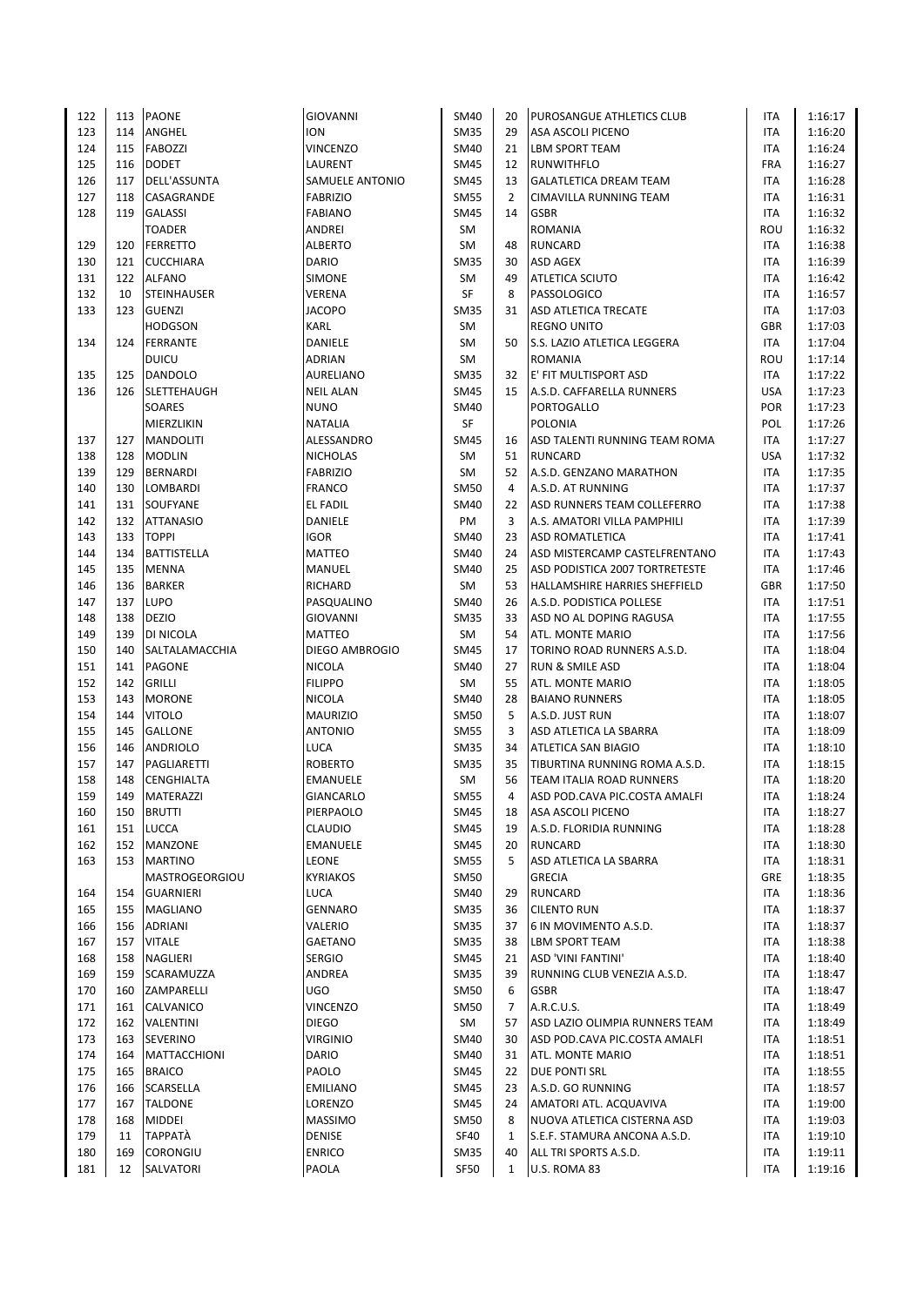| 122 | 113 | <b>PAONE</b>          | <b>GIOVANNI</b>  | <b>SM40</b> | 20             | PUROSANGUE ATHLETICS CLUB       | ITA        | 1:16:17 |
|-----|-----|-----------------------|------------------|-------------|----------------|---------------------------------|------------|---------|
| 123 | 114 | ANGHEL                | <b>ION</b>       | <b>SM35</b> | 29             | ASA ASCOLI PICENO               | ITA        | 1:16:20 |
| 124 | 115 | FABOZZI               | VINCENZO         | SM40        | 21             | <b>LBM SPORT TEAM</b>           | <b>ITA</b> | 1:16:24 |
| 125 | 116 | <b>DODET</b>          | LAURENT          | <b>SM45</b> | 12             | <b>RUNWITHFLO</b>               | <b>FRA</b> | 1:16:27 |
| 126 | 117 | DELL'ASSUNTA          | SAMUELE ANTONIO  | <b>SM45</b> | 13             | <b>GALATLETICA DREAM TEAM</b>   | <b>ITA</b> | 1:16:28 |
| 127 | 118 | CASAGRANDE            | <b>FABRIZIO</b>  | <b>SM55</b> | $\overline{2}$ | <b>CIMAVILLA RUNNING TEAM</b>   | <b>ITA</b> | 1:16:31 |
| 128 | 119 | <b>GALASSI</b>        | <b>FABIANO</b>   | SM45        | 14             | <b>GSBR</b>                     | <b>ITA</b> | 1:16:32 |
|     |     | <b>TOADER</b>         | ANDREI           | <b>SM</b>   |                | ROMANIA                         | ROU        | 1:16:32 |
| 129 | 120 | <b>FERRETTO</b>       | <b>ALBERTO</b>   | SM          | 48             | <b>RUNCARD</b>                  | <b>ITA</b> | 1:16:38 |
| 130 | 121 | <b>CUCCHIARA</b>      | <b>DARIO</b>     | <b>SM35</b> | 30             | <b>ASD AGEX</b>                 | ITA        | 1:16:39 |
| 131 | 122 | <b>ALFANO</b>         | SIMONE           | SM          | 49             | <b>ATLETICA SCIUTO</b>          | ITA        | 1:16:42 |
| 132 | 10  | <b>STEINHAUSER</b>    | VERENA           | SF          | 8              | PASSOLOGICO                     | <b>ITA</b> | 1:16:57 |
| 133 | 123 | <b>GUENZI</b>         | <b>JACOPO</b>    | <b>SM35</b> | 31             | <b>ASD ATLETICA TRECATE</b>     | <b>ITA</b> | 1:17:03 |
|     |     | <b>HODGSON</b>        | <b>KARL</b>      | SM          |                | <b>REGNO UNITO</b>              | <b>GBR</b> | 1:17:03 |
| 134 | 124 | FERRANTE              | DANIELE          | SM          | 50             | S.S. LAZIO ATLETICA LEGGERA     | <b>ITA</b> | 1:17:04 |
|     |     | <b>DUICU</b>          | <b>ADRIAN</b>    | <b>SM</b>   |                | <b>ROMANIA</b>                  | ROU        |         |
|     |     |                       |                  |             |                |                                 |            | 1:17:14 |
| 135 | 125 | DANDOLO               | AURELIANO        | <b>SM35</b> | 32             | E' FIT MULTISPORT ASD           | <b>ITA</b> | 1:17:22 |
| 136 | 126 | <b>SLETTEHAUGH</b>    | <b>NEIL ALAN</b> | SM45        | 15             | A.S.D. CAFFARELLA RUNNERS       | <b>USA</b> | 1:17:23 |
|     |     | SOARES                | <b>NUNO</b>      | SM40        |                | PORTOGALLO                      | <b>POR</b> | 1:17:23 |
|     |     | MIERZLIKIN            | <b>NATALIA</b>   | SF          |                | <b>POLONIA</b>                  | POL        | 1:17:26 |
| 137 | 127 | <b>MANDOLITI</b>      | ALESSANDRO       | SM45        | 16             | ASD TALENTI RUNNING TEAM ROMA   | <b>ITA</b> | 1:17:27 |
| 138 | 128 | <b>MODLIN</b>         | <b>NICHOLAS</b>  | <b>SM</b>   | 51             | <b>RUNCARD</b>                  | <b>USA</b> | 1:17:32 |
| 139 | 129 | <b>BERNARDI</b>       | <b>FABRIZIO</b>  | SM          | 52             | A.S.D. GENZANO MARATHON         | ITA        | 1:17:35 |
| 140 | 130 | LOMBARDI              | <b>FRANCO</b>    | <b>SM50</b> | 4              | A.S.D. AT RUNNING               | <b>ITA</b> | 1:17:37 |
| 141 | 131 | SOUFYANE              | EL FADIL         | SM40        | 22             | ASD RUNNERS TEAM COLLEFERRO     | ITA        | 1:17:38 |
| 142 | 132 | <b>ATTANASIO</b>      | DANIELE          | PM          | 3              | A.S. AMATORI VILLA PAMPHILI     | <b>ITA</b> | 1:17:39 |
| 143 | 133 | <b>TOPPI</b>          | <b>IGOR</b>      | <b>SM40</b> | 23             | <b>ASD ROMATLETICA</b>          | ITA        | 1:17:41 |
| 144 | 134 | <b>BATTISTELLA</b>    | <b>MATTEO</b>    | <b>SM40</b> | 24             | ASD MISTERCAMP CASTELFRENTANO   | <b>ITA</b> | 1:17:43 |
| 145 | 135 | <b>MENNA</b>          | MANUEL           | <b>SM40</b> | 25             | ASD PODISTICA 2007 TORTRETESTE  | ITA        | 1:17:46 |
| 146 | 136 | <b>BARKER</b>         | RICHARD          | <b>SM</b>   | 53             | HALLAMSHIRE HARRIES SHEFFIELD   | GBR        | 1:17:50 |
| 147 | 137 | <b>LUPO</b>           | PASQUALINO       | <b>SM40</b> | 26             | A.S.D. PODISTICA POLLESE        | <b>ITA</b> | 1:17:51 |
| 148 | 138 | <b>DEZIO</b>          | <b>GIOVANNI</b>  | <b>SM35</b> | 33             | ASD NO AL DOPING RAGUSA         | <b>ITA</b> | 1:17:55 |
| 149 | 139 | DI NICOLA             | <b>MATTEO</b>    | <b>SM</b>   | 54             | ATL. MONTE MARIO                | <b>ITA</b> | 1:17:56 |
| 150 | 140 | SALTALAMACCHIA        | DIEGO AMBROGIO   | SM45        | 17             | TORINO ROAD RUNNERS A.S.D.      | ITA        | 1:18:04 |
| 151 | 141 | PAGONE                | <b>NICOLA</b>    | SM40        | 27             | <b>RUN &amp; SMILE ASD</b>      | <b>ITA</b> | 1:18:04 |
| 152 | 142 | <b>GRILLI</b>         | <b>FILIPPO</b>   | SM          | 55             | ATL. MONTE MARIO                | <b>ITA</b> | 1:18:05 |
| 153 | 143 | <b>MORONE</b>         | <b>NICOLA</b>    | SM40        | 28             | <b>BAIANO RUNNERS</b>           | <b>ITA</b> | 1:18:05 |
| 154 | 144 | <b>VITOLO</b>         | <b>MAURIZIO</b>  | SM50        | 5              | A.S.D. JUST RUN                 | ITA        | 1:18:07 |
| 155 | 145 | <b>GALLONE</b>        | <b>ANTONIO</b>   | <b>SM55</b> | 3              | ASD ATLETICA LA SBARRA          | <b>ITA</b> | 1:18:09 |
| 156 | 146 | <b>ANDRIOLO</b>       | <b>LUCA</b>      | <b>SM35</b> | 34             | <b>ATLETICA SAN BIAGIO</b>      | <b>ITA</b> | 1:18:10 |
| 157 | 147 | PAGLIARETTI           | <b>ROBERTO</b>   | <b>SM35</b> | 35             | TIBURTINA RUNNING ROMA A.S.D.   | ITA        | 1:18:15 |
| 158 | 148 | CENGHIALTA            | <b>EMANUELE</b>  | <b>SM</b>   | 56             | <b>TEAM ITALIA ROAD RUNNERS</b> | <b>ITA</b> | 1:18:20 |
| 159 | 149 | MATERAZZI             | <b>GIANCARLO</b> | <b>SM55</b> | 4              | ASD POD.CAVA PIC.COSTA AMALFI   | <b>ITA</b> | 1:18:24 |
| 160 | 150 | <b>BRUTTI</b>         | PIERPAOLO        | SM45        | 18             | <b>ASA ASCOLI PICENO</b>        | ITA        | 1:18:27 |
| 161 | 151 | LUCCA                 | CLAUDIO          | <b>SM45</b> | 19             | A.S.D. FLORIDIA RUNNING         | ITA        | 1:18:28 |
| 162 | 152 | MANZONE               | <b>EMANUELE</b>  | SM45        | 20             | <b>RUNCARD</b>                  | <b>ITA</b> | 1:18:30 |
| 163 | 153 | <b>MARTINO</b>        | LEONE            | <b>SM55</b> | 5              | ASD ATLETICA LA SBARRA          | ITA        | 1:18:31 |
|     |     | <b>MASTROGEORGIOU</b> | <b>KYRIAKOS</b>  | SM50        |                | <b>GRECIA</b>                   | GRE        | 1:18:35 |
| 164 | 154 | <b>GUARNIERI</b>      | LUCA             | <b>SM40</b> | 29             | <b>RUNCARD</b>                  | ITA        | 1:18:36 |
| 165 | 155 | MAGLIANO              | <b>GENNARO</b>   | <b>SM35</b> | 36             | <b>CILENTO RUN</b>              | ITA        | 1:18:37 |
| 166 | 156 | <b>ADRIANI</b>        | VALERIO          | <b>SM35</b> | 37             | 6 IN MOVIMENTO A.S.D.           | <b>ITA</b> |         |
|     |     |                       |                  |             |                | <b>LBM SPORT TEAM</b>           |            | 1:18:37 |
| 167 | 157 | <b>VITALE</b>         | <b>GAETANO</b>   | <b>SM35</b> | 38             |                                 | ITA        | 1:18:38 |
| 168 | 158 | NAGLIERI              | <b>SERGIO</b>    | SM45        | 21             | <b>ASD 'VINI FANTINI'</b>       | ITA        | 1:18:40 |
| 169 | 159 | SCARAMUZZA            | ANDREA           | <b>SM35</b> | 39             | RUNNING CLUB VENEZIA A.S.D.     | ITA        | 1:18:47 |
| 170 | 160 | ZAMPARELLI            | <b>UGO</b>       | <b>SM50</b> | 6              | <b>GSBR</b>                     | ITA        | 1:18:47 |
| 171 | 161 | CALVANICO             | <b>VINCENZO</b>  | <b>SM50</b> | 7              | A.R.C.U.S.                      | ITA        | 1:18:49 |
| 172 | 162 | VALENTINI             | <b>DIEGO</b>     | SM          | 57             | ASD LAZIO OLIMPIA RUNNERS TEAM  | ITA        | 1:18:49 |
| 173 | 163 | SEVERINO              | <b>VIRGINIO</b>  | SM40        | 30             | ASD POD.CAVA PIC.COSTA AMALFI   | <b>ITA</b> | 1:18:51 |
| 174 | 164 | MATTACCHIONI          | DARIO            | <b>SM40</b> | 31             | <b>ATL. MONTE MARIO</b>         | ITA        | 1:18:51 |
| 175 | 165 | <b>BRAICO</b>         | PAOLO            | <b>SM45</b> | 22             | DUE PONTI SRL                   | ITA        | 1:18:55 |
| 176 | 166 | SCARSELLA             | <b>EMILIANO</b>  | SM45        | 23             | A.S.D. GO RUNNING               | ITA        | 1:18:57 |
| 177 | 167 | <b>TALDONE</b>        | LORENZO          | SM45        | 24             | AMATORI ATL. ACQUAVIVA          | <b>ITA</b> | 1:19:00 |
| 178 | 168 | <b>MIDDEI</b>         | <b>MASSIMO</b>   | SM50        | 8              | NUOVA ATLETICA CISTERNA ASD     | ITA        | 1:19:03 |
| 179 | 11  | <b>TAPPATÀ</b>        | DENISE           | <b>SF40</b> | $\mathbf{1}$   | S.E.F. STAMURA ANCONA A.S.D.    | ITA        | 1:19:10 |
| 180 | 169 | CORONGIU              | <b>ENRICO</b>    | <b>SM35</b> | 40             | ALL TRI SPORTS A.S.D.           | ITA        | 1:19:11 |
| 181 | 12  | SALVATORI             | PAOLA            | SF50        | $\mathbf{1}$   | U.S. ROMA 83                    | <b>ITA</b> | 1:19:16 |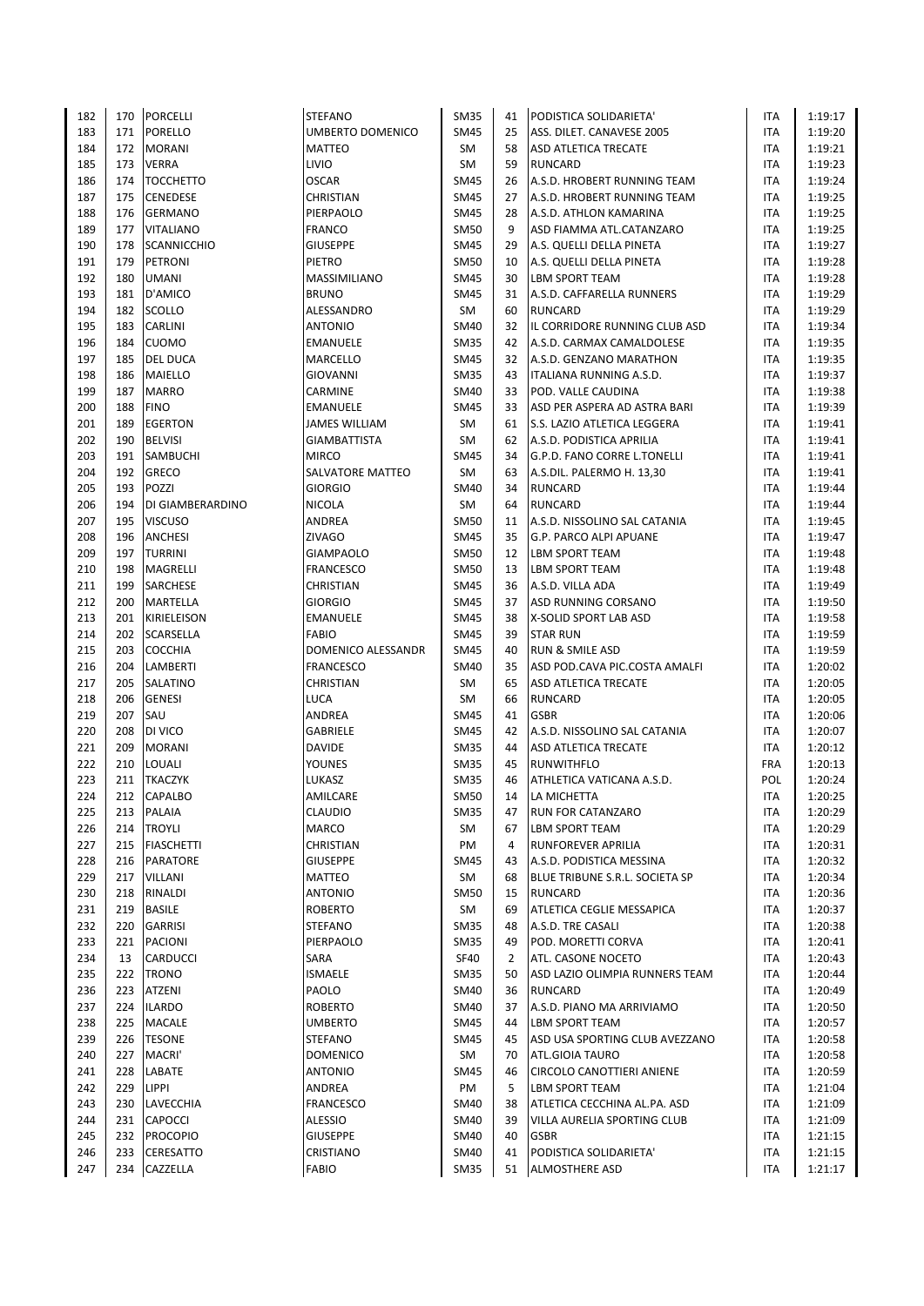| 182 | 170 | <b>PORCELLI</b>    | <b>STEFANO</b>          | <b>SM35</b> | 41 | PODISTICA SOLIDARIETA'           | <b>ITA</b> | 1:19:17 |
|-----|-----|--------------------|-------------------------|-------------|----|----------------------------------|------------|---------|
| 183 | 171 | <b>PORELLO</b>     | <b>UMBERTO DOMENICO</b> | <b>SM45</b> | 25 | ASS. DILET. CANAVESE 2005        | ITA        | 1:19:20 |
| 184 | 172 | <b>MORANI</b>      | <b>MATTEO</b>           | <b>SM</b>   | 58 | <b>ASD ATLETICA TRECATE</b>      | <b>ITA</b> | 1:19:21 |
| 185 | 173 | <b>VERRA</b>       | LIVIO                   | SM          | 59 | <b>RUNCARD</b>                   | ITA        | 1:19:23 |
| 186 | 174 | <b>TOCCHETTO</b>   | <b>OSCAR</b>            | <b>SM45</b> | 26 | A.S.D. HROBERT RUNNING TEAM      | <b>ITA</b> | 1:19:24 |
| 187 | 175 |                    | <b>CHRISTIAN</b>        | <b>SM45</b> | 27 | A.S.D. HROBERT RUNNING TEAM      | <b>ITA</b> | 1:19:25 |
|     |     | <b>CENEDESE</b>    |                         |             |    |                                  |            |         |
| 188 | 176 | <b>GERMANO</b>     | PIERPAOLO               | <b>SM45</b> | 28 | A.S.D. ATHLON KAMARINA           | ITA        | 1:19:25 |
| 189 | 177 | <b>VITALIANO</b>   | <b>FRANCO</b>           | <b>SM50</b> | 9  | ASD FIAMMA ATL.CATANZARO         | <b>ITA</b> | 1:19:25 |
| 190 | 178 | <b>SCANNICCHIO</b> | <b>GIUSEPPE</b>         | <b>SM45</b> | 29 | A.S. QUELLI DELLA PINETA         | <b>ITA</b> | 1:19:27 |
| 191 | 179 | PETRONI            | <b>PIETRO</b>           | <b>SM50</b> | 10 | A.S. QUELLI DELLA PINETA         | ITA        | 1:19:28 |
| 192 | 180 | <b>UMANI</b>       | MASSIMILIANO            | <b>SM45</b> | 30 | <b>LBM SPORT TEAM</b>            | ITA        | 1:19:28 |
| 193 | 181 | D'AMICO            | <b>BRUNO</b>            | SM45        | 31 | A.S.D. CAFFARELLA RUNNERS        | ITA        | 1:19:29 |
|     |     |                    |                         |             |    |                                  |            |         |
| 194 | 182 | <b>SCOLLO</b>      | ALESSANDRO              | SM          | 60 | <b>RUNCARD</b>                   | <b>ITA</b> | 1:19:29 |
| 195 | 183 | CARLINI            | <b>ANTONIO</b>          | <b>SM40</b> | 32 | IL CORRIDORE RUNNING CLUB ASD    | <b>ITA</b> | 1:19:34 |
| 196 | 184 | <b>CUOMO</b>       | EMANUELE                | <b>SM35</b> | 42 | A.S.D. CARMAX CAMALDOLESE        | ITA        | 1:19:35 |
| 197 | 185 | <b>DEL DUCA</b>    | MARCELLO                | <b>SM45</b> | 32 | A.S.D. GENZANO MARATHON          | ITA        | 1:19:35 |
| 198 | 186 | <b>MAIELLO</b>     | <b>GIOVANNI</b>         | <b>SM35</b> | 43 | <b>ITALIANA RUNNING A.S.D.</b>   | <b>ITA</b> | 1:19:37 |
| 199 | 187 | <b>MARRO</b>       | CARMINE                 | <b>SM40</b> | 33 | POD. VALLE CAUDINA               | ITA        | 1:19:38 |
| 200 | 188 | <b>FINO</b>        | <b>EMANUELE</b>         | <b>SM45</b> | 33 | ASD PER ASPERA AD ASTRA BARI     | <b>ITA</b> | 1:19:39 |
|     |     |                    |                         |             |    |                                  |            |         |
| 201 | 189 | <b>EGERTON</b>     | <b>JAMES WILLIAM</b>    | SM          | 61 | S.S. LAZIO ATLETICA LEGGERA      | <b>ITA</b> | 1:19:41 |
| 202 | 190 | <b>BELVISI</b>     | <b>GIAMBATTISTA</b>     | SM          | 62 | A.S.D. PODISTICA APRILIA         | <b>ITA</b> | 1:19:41 |
| 203 | 191 | <b>SAMBUCHI</b>    | <b>MIRCO</b>            | <b>SM45</b> | 34 | G.P.D. FANO CORRE L.TONELLI      | <b>ITA</b> | 1:19:41 |
| 204 | 192 | <b>GRECO</b>       | SALVATORE MATTEO        | SM          | 63 | A.S.DIL. PALERMO H. 13,30        | ITA        | 1:19:41 |
| 205 | 193 | POZZI              | <b>GIORGIO</b>          | <b>SM40</b> | 34 | <b>RUNCARD</b>                   | ITA        | 1:19:44 |
| 206 | 194 | DI GIAMBERARDINO   | <b>NICOLA</b>           | SM          | 64 | <b>RUNCARD</b>                   | <b>ITA</b> | 1:19:44 |
| 207 | 195 | <b>VISCUSO</b>     | ANDREA                  | <b>SM50</b> | 11 | A.S.D. NISSOLINO SAL CATANIA     | ITA        | 1:19:45 |
|     |     |                    |                         |             |    |                                  |            |         |
| 208 | 196 | ANCHESI            | <b>ZIVAGO</b>           | <b>SM45</b> | 35 | G.P. PARCO ALPI APUANE           | ITA        | 1:19:47 |
| 209 | 197 | <b>TURRINI</b>     | <b>GIAMPAOLO</b>        | <b>SM50</b> | 12 | <b>LBM SPORT TEAM</b>            | <b>ITA</b> | 1:19:48 |
| 210 | 198 | MAGRELLI           | <b>FRANCESCO</b>        | <b>SM50</b> | 13 | <b>LBM SPORT TEAM</b>            | <b>ITA</b> | 1:19:48 |
| 211 | 199 | SARCHESE           | CHRISTIAN               | <b>SM45</b> | 36 | A.S.D. VILLA ADA                 | <b>ITA</b> | 1:19:49 |
| 212 | 200 | MARTELLA           | <b>GIORGIO</b>          | SM45        | 37 | ASD RUNNING CORSANO              | ITA        | 1:19:50 |
| 213 | 201 | KIRIELEISON        | <b>EMANUELE</b>         | <b>SM45</b> | 38 | X-SOLID SPORT LAB ASD            | <b>ITA</b> | 1:19:58 |
| 214 | 202 |                    | <b>FABIO</b>            | <b>SM45</b> | 39 | <b>STAR RUN</b>                  | <b>ITA</b> | 1:19:59 |
|     |     | SCARSELLA          |                         |             |    |                                  |            |         |
| 215 | 203 | <b>COCCHIA</b>     | DOMENICO ALESSANDR      | <b>SM45</b> | 40 | <b>RUN &amp; SMILE ASD</b>       | <b>ITA</b> | 1:19:59 |
| 216 | 204 | LAMBERTI           | <b>FRANCESCO</b>        | SM40        | 35 | ASD POD.CAVA PIC.COSTA AMALFI    | <b>ITA</b> | 1:20:02 |
| 217 | 205 | SALATINO           | CHRISTIAN               | SM          | 65 | <b>ASD ATLETICA TRECATE</b>      | <b>ITA</b> | 1:20:05 |
| 218 | 206 | <b>GENESI</b>      | LUCA                    | SM          | 66 | <b>RUNCARD</b>                   | ITA        | 1:20:05 |
| 219 | 207 | SAU                | ANDREA                  | SM45        | 41 | <b>GSBR</b>                      | ITA        | 1:20:06 |
| 220 | 208 | DI VICO            | GABRIELE                | SM45        | 42 | A.S.D. NISSOLINO SAL CATANIA     | ITA        | 1:20:07 |
| 221 | 209 | <b>MORANI</b>      | <b>DAVIDE</b>           | <b>SM35</b> | 44 | ASD ATLETICA TRECATE             | ITA        | 1:20:12 |
|     |     |                    |                         |             |    | <b>RUNWITHFLO</b>                |            |         |
| 222 | 210 | LOUALI             | <b>YOUNES</b>           | <b>SM35</b> | 45 |                                  | <b>FRA</b> | 1:20:13 |
| 223 | 211 | <b>TKACZYK</b>     | LUKASZ                  | <b>SM35</b> | 46 | ATHLETICA VATICANA A.S.D.        | POL        | 1:20:24 |
| 224 |     | 212 CAPALBO        | AMILCARE                | <b>SM50</b> | 14 | <b>LA MICHETTA</b>               | <b>ITA</b> | 1:20:25 |
| 225 | 213 | <b>PALAIA</b>      | CLAUDIO                 | SM35        | 47 | <b>RUN FOR CATANZARO</b>         | ITA        | 1:20:29 |
| 226 | 214 | <b>TROYLI</b>      | MARCO                   | SM          | 67 | <b>LBM SPORT TEAM</b>            | ITA        | 1:20:29 |
| 227 | 215 | <b>FIASCHETTI</b>  | CHRISTIAN               | PM          | 4  | <b>RUNFOREVER APRILIA</b>        | ITA        | 1:20:31 |
| 228 | 216 | PARATORE           | <b>GIUSEPPE</b>         | SM45        | 43 | A.S.D. PODISTICA MESSINA         | ITA        | 1:20:32 |
| 229 | 217 | <b>VILLANI</b>     | MATTEO                  |             | 68 | BLUE TRIBUNE S.R.L. SOCIETA SP   | ITA        | 1:20:34 |
|     |     |                    |                         | SM          |    |                                  |            |         |
| 230 | 218 | RINALDI            | <b>ANTONIO</b>          | SM50        | 15 | <b>RUNCARD</b>                   | ITA        | 1:20:36 |
| 231 | 219 | <b>BASILE</b>      | <b>ROBERTO</b>          | SM          | 69 | <b>ATLETICA CEGLIE MESSAPICA</b> | ITA        | 1:20:37 |
| 232 | 220 | <b>GARRISI</b>     | <b>STEFANO</b>          | <b>SM35</b> | 48 | A.S.D. TRE CASALI                | ITA        | 1:20:38 |
| 233 | 221 | PACIONI            | PIERPAOLO               | <b>SM35</b> | 49 | POD. MORETTI CORVA               | ITA        | 1:20:41 |
| 234 | 13  | CARDUCCI           | SARA                    | <b>SF40</b> | 2  | ATL. CASONE NOCETO               | ITA        | 1:20:43 |
| 235 | 222 | <b>TRONO</b>       | <b>ISMAELE</b>          | <b>SM35</b> | 50 | ASD LAZIO OLIMPIA RUNNERS TEAM   | ITA        | 1:20:44 |
|     | 223 |                    |                         |             |    |                                  |            |         |
| 236 |     | ATZENI             | PAOLO                   | SM40        | 36 | <b>RUNCARD</b>                   | ITA        | 1:20:49 |
| 237 |     | 224  ILARDO        | <b>ROBERTO</b>          | SM40        | 37 | A.S.D. PIANO MA ARRIVIAMO        | ITA        | 1:20:50 |
| 238 | 225 | MACALE             | <b>UMBERTO</b>          | SM45        | 44 | <b>LBM SPORT TEAM</b>            | ITA        | 1:20:57 |
| 239 | 226 | <b>TESONE</b>      | <b>STEFANO</b>          | SM45        | 45 | ASD USA SPORTING CLUB AVEZZANO   | ITA        | 1:20:58 |
| 240 | 227 | MACRI'             | <b>DOMENICO</b>         | SM          | 70 | ATL.GIOIA TAURO                  | ITA        | 1:20:58 |
| 241 | 228 | LABATE             | <b>ANTONIO</b>          | SM45        | 46 | <b>CIRCOLO CANOTTIERI ANIENE</b> | ITA        | 1:20:59 |
| 242 | 229 | <b>LIPPI</b>       | ANDREA                  | PM          | 5  | LBM SPORT TEAM                   | ITA        | 1:21:04 |
|     |     |                    |                         |             |    |                                  |            |         |
| 243 | 230 | LAVECCHIA          | FRANCESCO               | SM40        | 38 | ATLETICA CECCHINA AL.PA. ASD     | ITA        | 1:21:09 |
| 244 | 231 | <b>CAPOCCI</b>     | <b>ALESSIO</b>          | SM40        | 39 | VILLA AURELIA SPORTING CLUB      | ITA        | 1:21:09 |
| 245 | 232 | <b>PROCOPIO</b>    | <b>GIUSEPPE</b>         | SM40        | 40 | <b>GSBR</b>                      | ITA        | 1:21:15 |
| 246 | 233 | <b>CERESATTO</b>   | CRISTIANO               | SM40        | 41 | PODISTICA SOLIDARIETA'           | ITA        | 1:21:15 |
| 247 |     | 234 CAZZELLA       | <b>FABIO</b>            | SM35        | 51 | <b>ALMOSTHERE ASD</b>            | ITA        | 1:21:17 |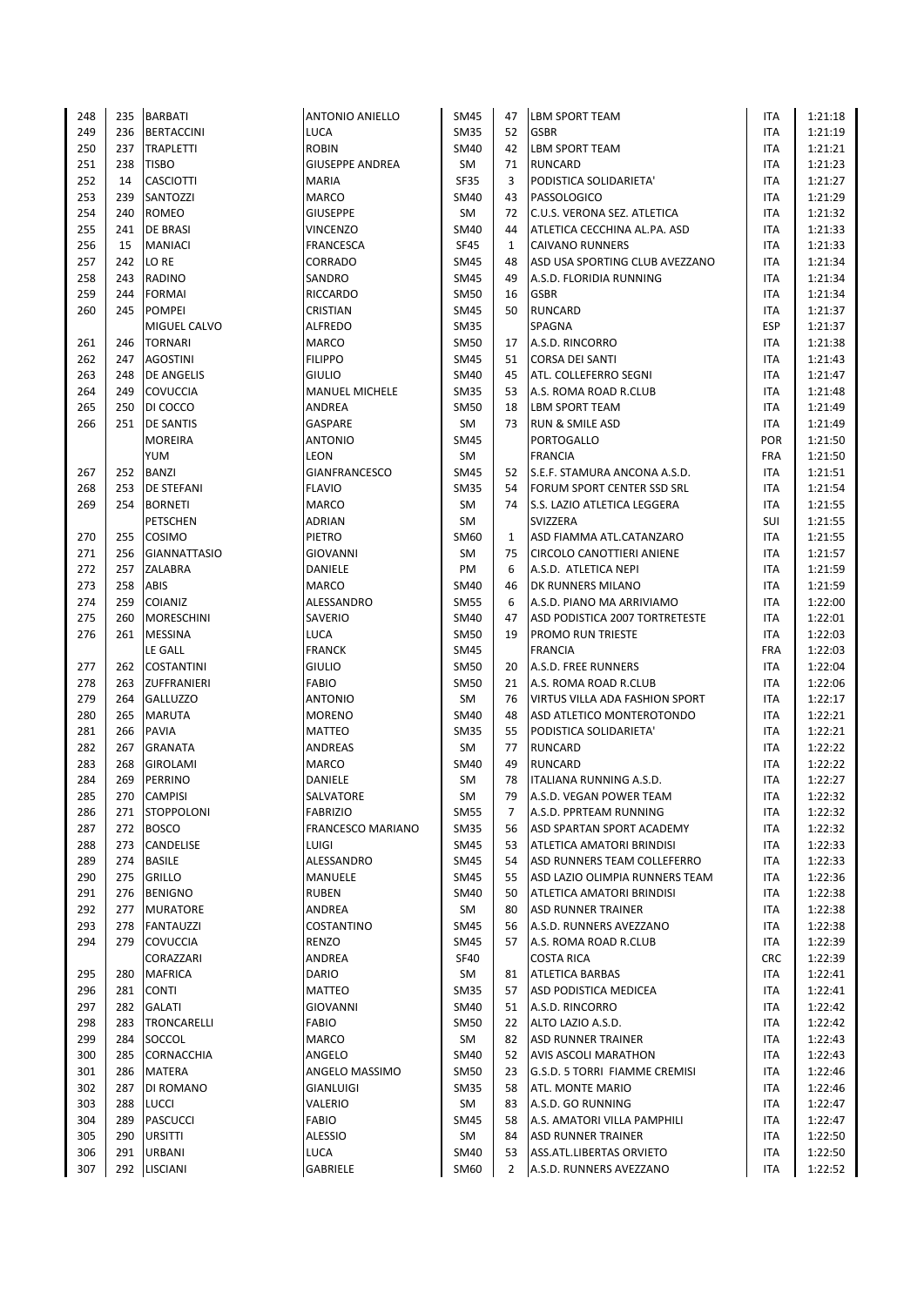| 248 | 235 | <b>BARBATI</b>        | <b>ANTONIO ANIELLO</b> | SM45        | 47           | <b>LBM SPORT TEAM</b>            | <b>ITA</b> | 1:21:18 |
|-----|-----|-----------------------|------------------------|-------------|--------------|----------------------------------|------------|---------|
| 249 |     | 236 BERTACCINI        | <b>LUCA</b>            | <b>SM35</b> | 52           | <b>GSBR</b>                      | <b>ITA</b> | 1:21:19 |
| 250 | 237 | <b>TRAPLETTI</b>      | <b>ROBIN</b>           | SM40        | 42           | <b>LBM SPORT TEAM</b>            | <b>ITA</b> | 1:21:21 |
| 251 | 238 | <b>TISBO</b>          | <b>GIUSEPPE ANDREA</b> | SM          | 71           | <b>RUNCARD</b>                   | ITA        | 1:21:23 |
|     |     |                       |                        |             |              |                                  |            |         |
| 252 | 14  | <b>CASCIOTTI</b>      | <b>MARIA</b>           | <b>SF35</b> | 3            | PODISTICA SOLIDARIETA'           | <b>ITA</b> | 1:21:27 |
| 253 | 239 | SANTOZZI              | <b>MARCO</b>           | SM40        | 43           | PASSOLOGICO                      | ITA        | 1:21:29 |
| 254 | 240 | <b>ROMEO</b>          | <b>GIUSEPPE</b>        | SM          | 72           | C.U.S. VERONA SEZ. ATLETICA      | ITA        | 1:21:32 |
| 255 | 241 | <b>DE BRASI</b>       | <b>VINCENZO</b>        | SM40        | 44           | ATLETICA CECCHINA AL.PA. ASD     | ITA        | 1:21:33 |
| 256 | 15  | <b>MANIACI</b>        | <b>FRANCESCA</b>       | <b>SF45</b> | $\mathbf{1}$ | <b>CAIVANO RUNNERS</b>           | <b>ITA</b> | 1:21:33 |
| 257 | 242 | LO RE                 | CORRADO                | SM45        | 48           | ASD USA SPORTING CLUB AVEZZANO   | <b>ITA</b> | 1:21:34 |
| 258 | 243 | <b>RADINO</b>         | SANDRO                 | <b>SM45</b> | 49           | A.S.D. FLORIDIA RUNNING          | <b>ITA</b> | 1:21:34 |
| 259 | 244 | <b>FORMAI</b>         | <b>RICCARDO</b>        | SM50        | 16           | <b>GSBR</b>                      | ITA        | 1:21:34 |
| 260 | 245 | <b>POMPEI</b>         | <b>CRISTIAN</b>        | <b>SM45</b> | 50           | <b>RUNCARD</b>                   | <b>ITA</b> | 1:21:37 |
|     |     | MIGUEL CALVO          | <b>ALFREDO</b>         | <b>SM35</b> |              | SPAGNA                           | <b>ESP</b> | 1:21:37 |
|     |     |                       | <b>MARCO</b>           |             |              |                                  |            |         |
| 261 | 246 | <b>TORNARI</b>        |                        | <b>SM50</b> | 17           | A.S.D. RINCORRO                  | ITA        | 1:21:38 |
| 262 |     | 247 AGOSTINI          | <b>FILIPPO</b>         | <b>SM45</b> | 51           | <b>CORSA DEI SANTI</b>           | ITA        | 1:21:43 |
| 263 |     | 248   DE ANGELIS      | <b>GIULIO</b>          | SM40        | 45           | ATL. COLLEFERRO SEGNI            | ITA        | 1:21:47 |
| 264 | 249 | <b>COVUCCIA</b>       | <b>MANUEL MICHELE</b>  | <b>SM35</b> | 53           | A.S. ROMA ROAD R.CLUB            | ITA        | 1:21:48 |
| 265 | 250 | DI COCCO              | ANDREA                 | SM50        | 18           | <b>LBM SPORT TEAM</b>            | ITA        | 1:21:49 |
| 266 |     | 251 <b>DE SANTIS</b>  | GASPARE                | SM          | 73           | RUN & SMILE ASD                  | ITA        | 1:21:49 |
|     |     | <b>MOREIRA</b>        | <b>ANTONIO</b>         | SM45        |              | <b>PORTOGALLO</b>                | <b>POR</b> | 1:21:50 |
|     |     | YUM                   | LEON                   | SM          |              | <b>FRANCIA</b>                   | <b>FRA</b> | 1:21:50 |
| 267 | 252 | BANZI                 | GIANFRANCESCO          | SM45        | 52           | S.E.F. STAMURA ANCONA A.S.D.     | ITA        | 1:21:51 |
| 268 |     | 253 <b>DE STEFANI</b> | <b>FLAVIO</b>          | <b>SM35</b> | 54           | FORUM SPORT CENTER SSD SRL       | <b>ITA</b> | 1:21:54 |
| 269 |     | 254 BORNETI           | <b>MARCO</b>           | SM          | 74           | S.S. LAZIO ATLETICA LEGGERA      | <b>ITA</b> | 1:21:55 |
|     |     |                       |                        |             |              | <b>SVIZZERA</b>                  |            |         |
|     |     | <b>PETSCHEN</b>       | <b>ADRIAN</b>          | SM          |              |                                  | SUI        | 1:21:55 |
| 270 | 255 | <b>COSIMO</b>         | PIETRO                 | SM60        | $\mathbf{1}$ | ASD FIAMMA ATL.CATANZARO         | <b>ITA</b> | 1:21:55 |
| 271 |     | 256 GIANNATTASIO      | <b>GIOVANNI</b>        | <b>SM</b>   | 75           | <b>CIRCOLO CANOTTIERI ANIENE</b> | <b>ITA</b> | 1:21:57 |
| 272 |     | 257 ZALABRA           | DANIELE                | PM          | 6            | A.S.D. ATLETICA NEPI             | <b>ITA</b> | 1:21:59 |
| 273 | 258 | <b>ABIS</b>           | <b>MARCO</b>           | SM40        | 46           | DK RUNNERS MILANO                | <b>ITA</b> | 1:21:59 |
| 274 | 259 | <b>COIANIZ</b>        | ALESSANDRO             | <b>SM55</b> | 6            | A.S.D. PIANO MA ARRIVIAMO        | ITA        | 1:22:00 |
| 275 | 260 | <b>MORESCHINI</b>     | SAVERIO                | SM40        | 47           | ASD PODISTICA 2007 TORTRETESTE   | <b>ITA</b> | 1:22:01 |
| 276 |     | 261 MESSINA           | LUCA                   | <b>SM50</b> | 19           | <b>PROMO RUN TRIESTE</b>         | <b>ITA</b> | 1:22:03 |
|     |     | <b>LE GALL</b>        | <b>FRANCK</b>          | SM45        |              | <b>FRANCIA</b>                   | <b>FRA</b> | 1:22:03 |
| 277 | 262 | <b>COSTANTINI</b>     | <b>GIULIO</b>          | <b>SM50</b> | 20           | A.S.D. FREE RUNNERS              | ITA        | 1:22:04 |
| 278 |     | 263 ZUFFRANIERI       | <b>FABIO</b>           | SM50        | 21           | A.S. ROMA ROAD R.CLUB            | <b>ITA</b> | 1:22:06 |
|     |     |                       |                        |             |              |                                  |            |         |
| 279 | 264 | <b>GALLUZZO</b>       | <b>ANTONIO</b>         | SM          | 76           | VIRTUS VILLA ADA FASHION SPORT   | ITA        | 1:22:17 |
| 280 | 265 | MARUTA                | <b>MORENO</b>          | SM40        | 48           | ASD ATLETICO MONTEROTONDO        | ITA        | 1:22:21 |
| 281 | 266 | <b>PAVIA</b>          | <b>MATTEO</b>          | SM35        | 55           | PODISTICA SOLIDARIETA'           | ITA        | 1:22:21 |
| 282 | 267 | <b>GRANATA</b>        | ANDREAS                | SM          | 77           | <b>RUNCARD</b>                   | ITA        | 1:22:22 |
| 283 | 268 | <b>GIROLAMI</b>       | MARCO                  | SM40        | 49           | <b>RUNCARD</b>                   | <b>ITA</b> | 1:22:22 |
| 284 | 269 | PERRINO               | DANIELE                | SM          | 78           | <b>ITALIANA RUNNING A.S.D.</b>   | ITA        | 1:22:27 |
| 285 |     | 270 CAMPISI           | SALVATORE              | <b>SM</b>   | 79           | A.S.D. VEGAN POWER TEAM          | <b>ITA</b> | 1:22:32 |
| 286 |     | 271 STOPPOLONI        | <b>FABRIZIO</b>        | <b>SM55</b> | 7            | A.S.D. PPRTEAM RUNNING           | ITA        | 1:22:32 |
| 287 |     | 272 BOSCO             | FRANCESCO MARIANO      | <b>SM35</b> | 56           | <b>ASD SPARTAN SPORT ACADEMY</b> | ITA        | 1:22:32 |
| 288 |     | 273 CANDELISE         | LUIGI                  | SM45        | 53           | <b>ATLETICA AMATORI BRINDISI</b> | ITA        | 1:22:33 |
| 289 |     | 274 BASILE            | ALESSANDRO             | SM45        | 54           | ASD RUNNERS TEAM COLLEFERRO      | ITA        | 1:22:33 |
| 290 |     | 275 GRILLO            |                        | SM45        | 55           | ASD LAZIO OLIMPIA RUNNERS TEAM   | ITA        | 1:22:36 |
|     |     |                       | MANUELE                |             |              |                                  |            |         |
| 291 |     | 276 BENIGNO           | <b>RUBEN</b>           | SM40        | 50           | <b>ATLETICA AMATORI BRINDISI</b> | ITA        | 1:22:38 |
| 292 |     | 277 MURATORE          | ANDREA                 | SM          | 80           | <b>ASD RUNNER TRAINER</b>        | ITA        | 1:22:38 |
| 293 |     | 278 FANTAUZZI         | COSTANTINO             | SM45        | 56           | A.S.D. RUNNERS AVEZZANO          | ITA        | 1:22:38 |
| 294 |     | 279 COVUCCIA          | <b>RENZO</b>           | SM45        | 57           | A.S. ROMA ROAD R.CLUB            | ITA        | 1:22:39 |
|     |     | CORAZZARI             | ANDREA                 | <b>SF40</b> |              | <b>COSTA RICA</b>                | <b>CRC</b> | 1:22:39 |
| 295 | 280 | <b>MAFRICA</b>        | DARIO                  | SM          | 81           | <b>ATLETICA BARBAS</b>           | ITA        | 1:22:41 |
| 296 | 281 | <b>CONTI</b>          | MATTEO                 | <b>SM35</b> | 57           | ASD PODISTICA MEDICEA            | ITA        | 1:22:41 |
| 297 | 282 | <b>GALATI</b>         | <b>GIOVANNI</b>        | SM40        | 51           | A.S.D. RINCORRO                  | ITA        | 1:22:42 |
| 298 | 283 | <b>TRONCARELLI</b>    | FABIO                  | SM50        | 22           | ALTO LAZIO A.S.D.                | ITA        | 1:22:42 |
| 299 |     | 284 SOCCOL            | MARCO                  | SM          | 82           | <b>ASD RUNNER TRAINER</b>        | ITA        | 1:22:43 |
| 300 |     |                       |                        |             | 52           |                                  | <b>ITA</b> |         |
|     |     | 285 CORNACCHIA        | ANGELO                 | SM40        |              | <b>AVIS ASCOLI MARATHON</b>      |            | 1:22:43 |
| 301 |     | 286 MATERA            | ANGELO MASSIMO         | SM50        | 23           | G.S.D. 5 TORRI FIAMME CREMISI    | ITA        | 1:22:46 |
| 302 | 287 | DI ROMANO             | GIANLUIGI              | <b>SM35</b> | 58           | ATL. MONTE MARIO                 | ITA        | 1:22:46 |
| 303 | 288 | <b>LUCCI</b>          | VALERIO                | SM          | 83           | A.S.D. GO RUNNING                | ITA        | 1:22:47 |
| 304 |     |                       |                        | SM45        | 58           | A.S. AMATORI VILLA PAMPHILI      | ITA        | 1:22:47 |
|     | 289 | PASCUCCI              | FABIO                  |             |              |                                  |            |         |
| 305 | 290 | <b>URSITTI</b>        | <b>ALESSIO</b>         | SM          | 84           | <b>ASD RUNNER TRAINER</b>        | <b>ITA</b> | 1:22:50 |
| 306 | 291 | <b>URBANI</b>         | LUCA                   | SM40        | 53           | ASS.ATL.LIBERTAS ORVIETO         | ITA        | 1:22:50 |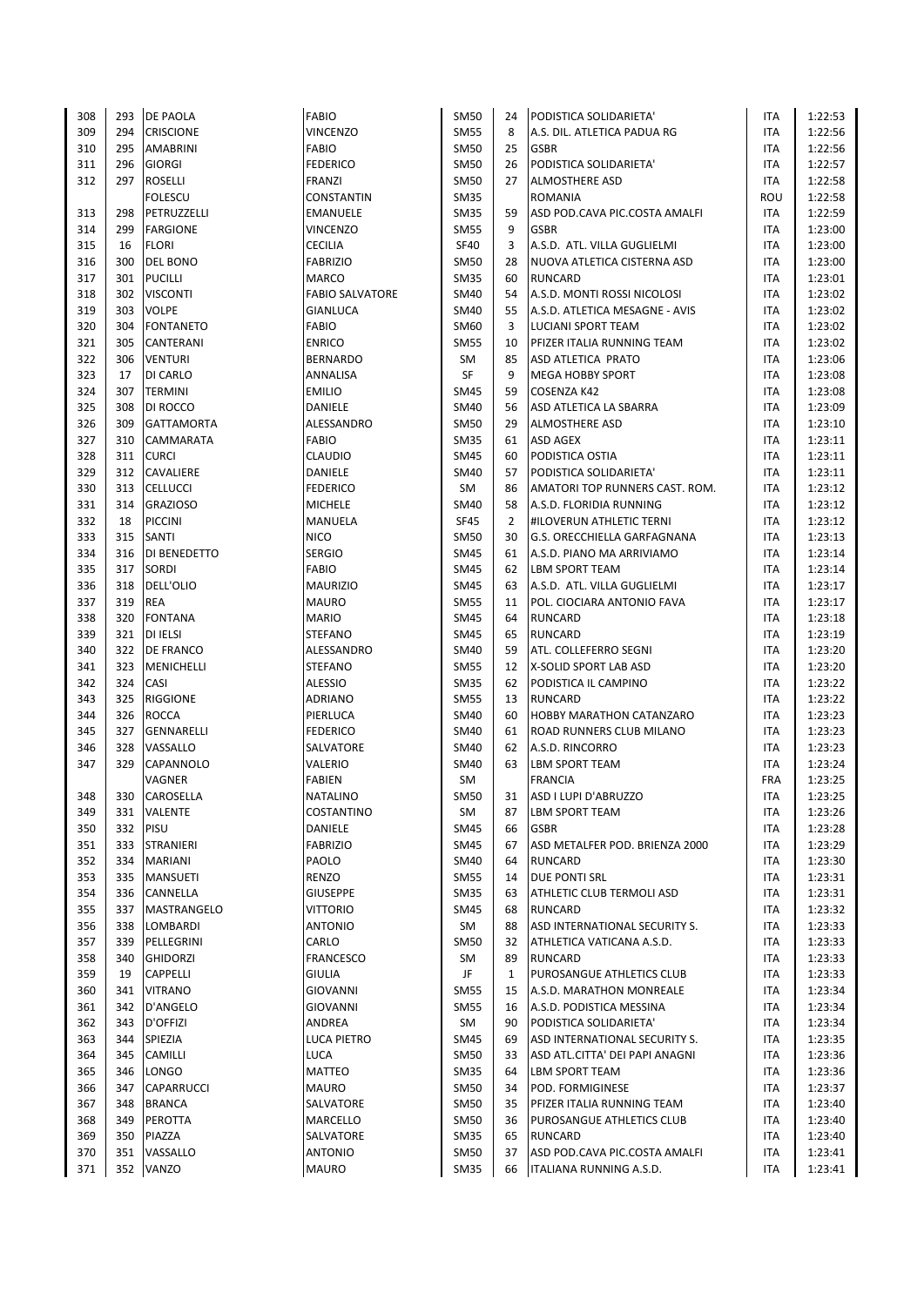| 308 | 293 | <b>DE PAOLA</b>   | <b>FABIO</b>           | <b>SM50</b> | 24             | PODISTICA SOLIDARIETA'           | <b>ITA</b> | 1:22:53 |
|-----|-----|-------------------|------------------------|-------------|----------------|----------------------------------|------------|---------|
| 309 | 294 | <b>CRISCIONE</b>  | <b>VINCENZO</b>        | <b>SM55</b> | 8              | A.S. DIL. ATLETICA PADUA RG      | <b>ITA</b> | 1:22:56 |
| 310 | 295 | <b>AMABRINI</b>   | <b>FABIO</b>           | <b>SM50</b> | 25             | <b>GSBR</b>                      | ITA        | 1:22:56 |
| 311 | 296 | <b>GIORGI</b>     | <b>FEDERICO</b>        | SM50        | 26             | PODISTICA SOLIDARIETA'           | ITA        | 1:22:57 |
| 312 | 297 | <b>ROSELLI</b>    | <b>FRANZI</b>          | <b>SM50</b> | 27             | <b>ALMOSTHERE ASD</b>            | <b>ITA</b> | 1:22:58 |
|     |     | <b>FOLESCU</b>    | CONSTANTIN             | <b>SM35</b> |                | <b>ROMANIA</b>                   | ROU        | 1:22:58 |
| 313 | 298 | PETRUZZELLI       | <b>EMANUELE</b>        | <b>SM35</b> | 59             | ASD POD.CAVA PIC.COSTA AMALFI    | ITA        | 1:22:59 |
| 314 | 299 | <b>FARGIONE</b>   | VINCENZO               | <b>SM55</b> | 9              | <b>GSBR</b>                      | ITA        | 1:23:00 |
| 315 | 16  | <b>FLORI</b>      | <b>CECILIA</b>         | <b>SF40</b> | 3              | A.S.D. ATL. VILLA GUGLIELMI      | <b>ITA</b> | 1:23:00 |
| 316 | 300 | <b>DEL BONO</b>   | <b>FABRIZIO</b>        | <b>SM50</b> | 28             | NUOVA ATLETICA CISTERNA ASD      | <b>ITA</b> | 1:23:00 |
| 317 | 301 | <b>PUCILLI</b>    | <b>MARCO</b>           | <b>SM35</b> | 60             | <b>RUNCARD</b>                   | <b>ITA</b> | 1:23:01 |
| 318 | 302 | <b>VISCONTI</b>   | <b>FABIO SALVATORE</b> | SM40        | 54             | A.S.D. MONTI ROSSI NICOLOSI      | <b>ITA</b> | 1:23:02 |
| 319 | 303 | <b>VOLPE</b>      | <b>GIANLUCA</b>        | SM40        | 55             | A.S.D. ATLETICA MESAGNE - AVIS   | <b>ITA</b> | 1:23:02 |
| 320 | 304 | <b>FONTANETO</b>  | <b>FABIO</b>           | SM60        | 3              | LUCIANI SPORT TEAM               | <b>ITA</b> | 1:23:02 |
|     | 305 |                   |                        |             |                |                                  |            |         |
| 321 |     | <b>CANTERANI</b>  | <b>ENRICO</b>          | <b>SM55</b> | 10             | PFIZER ITALIA RUNNING TEAM       | <b>ITA</b> | 1:23:02 |
| 322 | 306 | <b>VENTURI</b>    | <b>BERNARDO</b>        | SM          | 85             | <b>ASD ATLETICA PRATO</b>        | <b>ITA</b> | 1:23:06 |
| 323 | 17  | DI CARLO          | ANNALISA               | SF          | 9              | <b>MEGA HOBBY SPORT</b>          | <b>ITA</b> | 1:23:08 |
| 324 | 307 | <b>TERMINI</b>    | <b>EMILIO</b>          | <b>SM45</b> | 59             | <b>COSENZA K42</b>               | <b>ITA</b> | 1:23:08 |
| 325 | 308 | DI ROCCO          | DANIELE                | <b>SM40</b> | 56             | ASD ATLETICA LA SBARRA           | <b>ITA</b> | 1:23:09 |
| 326 | 309 | <b>GATTAMORTA</b> | ALESSANDRO             | <b>SM50</b> | 29             | <b>ALMOSTHERE ASD</b>            | <b>ITA</b> | 1:23:10 |
| 327 | 310 | CAMMARATA         | <b>FABIO</b>           | <b>SM35</b> | 61             | <b>ASD AGEX</b>                  | <b>ITA</b> | 1:23:11 |
| 328 | 311 | <b>CURCI</b>      | <b>CLAUDIO</b>         | <b>SM45</b> | 60             | PODISTICA OSTIA                  | <b>ITA</b> | 1:23:11 |
| 329 | 312 | CAVALIERE         | DANIELE                | SM40        | 57             | PODISTICA SOLIDARIETA'           | ITA        | 1:23:11 |
| 330 | 313 | <b>CELLUCCI</b>   | <b>FEDERICO</b>        | SM          | 86             | AMATORI TOP RUNNERS CAST. ROM.   | <b>ITA</b> | 1:23:12 |
| 331 | 314 | <b>GRAZIOSO</b>   | <b>MICHELE</b>         | <b>SM40</b> | 58             | A.S.D. FLORIDIA RUNNING          | <b>ITA</b> | 1:23:12 |
| 332 | 18  | <b>PICCINI</b>    | MANUELA                | <b>SF45</b> | $\overline{2}$ | <b>#ILOVERUN ATHLETIC TERNI</b>  | ITA        | 1:23:12 |
| 333 | 315 | <b>SANTI</b>      | <b>NICO</b>            | SM50        | 30             | G.S. ORECCHIELLA GARFAGNANA      | <b>ITA</b> | 1:23:13 |
| 334 | 316 | DI BENEDETTO      | <b>SERGIO</b>          | <b>SM45</b> | 61             | A.S.D. PIANO MA ARRIVIAMO        | <b>ITA</b> | 1:23:14 |
| 335 | 317 | <b>SORDI</b>      | <b>FABIO</b>           | <b>SM45</b> | 62             | LBM SPORT TEAM                   | ITA        | 1:23:14 |
| 336 | 318 | DELL'OLIO         | <b>MAURIZIO</b>        | SM45        | 63             | A.S.D. ATL. VILLA GUGLIELMI      | ITA        | 1:23:17 |
| 337 | 319 | <b>REA</b>        | <b>MAURO</b>           | <b>SM55</b> | 11             | POL. CIOCIARA ANTONIO FAVA       | ITA        | 1:23:17 |
| 338 | 320 | <b>FONTANA</b>    | <b>MARIO</b>           | <b>SM45</b> | 64             | <b>RUNCARD</b>                   | <b>ITA</b> | 1:23:18 |
| 339 | 321 | <b>DI IELSI</b>   | <b>STEFANO</b>         | <b>SM45</b> | 65             | <b>RUNCARD</b>                   | ITA        | 1:23:19 |
| 340 | 322 | <b>DE FRANCO</b>  | ALESSANDRO             | SM40        | 59             | ATL. COLLEFERRO SEGNI            | ITA        | 1:23:20 |
| 341 | 323 | <b>MENICHELLI</b> | <b>STEFANO</b>         | <b>SM55</b> | 12             | X-SOLID SPORT LAB ASD            | ITA        | 1:23:20 |
| 342 | 324 | CASI              | <b>ALESSIO</b>         | <b>SM35</b> | 62             | PODISTICA IL CAMPINO             | <b>ITA</b> | 1:23:22 |
| 343 | 325 | <b>RIGGIONE</b>   | <b>ADRIANO</b>         | <b>SM55</b> | 13             | <b>RUNCARD</b>                   | <b>ITA</b> | 1:23:22 |
| 344 | 326 | <b>ROCCA</b>      | PIERLUCA               | SM40        | 60             | <b>HOBBY MARATHON CATANZARO</b>  | ITA        | 1:23:23 |
| 345 | 327 | <b>GENNARELLI</b> | <b>FEDERICO</b>        | SM40        | 61             | <b>ROAD RUNNERS CLUB MILANO</b>  | <b>ITA</b> | 1:23:23 |
| 346 | 328 | VASSALLO          | SALVATORE              | <b>SM40</b> | 62             | A.S.D. RINCORRO                  | <b>ITA</b> | 1:23:23 |
| 347 | 329 | CAPANNOLO         | VALERIO                | SM40        | 63             | <b>LBM SPORT TEAM</b>            | <b>ITA</b> | 1:23:24 |
|     |     | VAGNER            | <b>FABIEN</b>          | SM          |                | <b>FRANCIA</b>                   | <b>FRA</b> | 1:23:25 |
| 348 | 330 | <b>CAROSELLA</b>  | <b>NATALINO</b>        | <b>SM50</b> | 31             | ASD I LUPI D'ABRUZZO             | <b>ITA</b> | 1:23:25 |
| 349 | 331 | <b>VALENTE</b>    | COSTANTINO             | SM          | 87             | <b>LBM SPORT TEAM</b>            | ITA        | 1:23:26 |
| 350 | 332 | PISU              | DANIELE                | <b>SM45</b> | 66             | <b>GSBR</b>                      | ITA        | 1:23:28 |
| 351 | 333 | <b>STRANIERI</b>  | <b>FABRIZIO</b>        | SM45        | 67             | ASD METALFER POD. BRIENZA 2000   | ITA        | 1:23:29 |
| 352 | 334 | MARIANI           | PAOLO                  | SM40        | 64             | <b>RUNCARD</b>                   | ITA        | 1:23:30 |
| 353 | 335 | <b>MANSUETI</b>   | RENZO                  | <b>SM55</b> | 14             | <b>DUE PONTI SRL</b>             | ITA        | 1:23:31 |
| 354 | 336 | CANNELLA          | <b>GIUSEPPE</b>        | <b>SM35</b> | 63             | <b>ATHLETIC CLUB TERMOLI ASD</b> | ITA        | 1:23:31 |
| 355 | 337 | MASTRANGELO       | <b>VITTORIO</b>        | SM45        | 68             | <b>RUNCARD</b>                   | ITA        | 1:23:32 |
| 356 |     | 338 LOMBARDI      | ANTONIO                | SM          | 88             | ASD INTERNATIONAL SECURITY S.    | ITA        |         |
|     |     |                   |                        |             |                |                                  |            | 1:23:33 |
| 357 | 339 | PELLEGRINI        | CARLO                  | <b>SM50</b> | 32             | ATHLETICA VATICANA A.S.D.        | ITA        | 1:23:33 |
| 358 | 340 | <b>GHIDORZI</b>   | FRANCESCO              | SM          | 89             | <b>RUNCARD</b>                   | ITA        | 1:23:33 |
| 359 | 19  | CAPPELLI          | GIULIA                 | JF          | 1              | PUROSANGUE ATHLETICS CLUB        | ITA        | 1:23:33 |
| 360 | 341 | <b>VITRANO</b>    | <b>GIOVANNI</b>        | <b>SM55</b> | 15             | A.S.D. MARATHON MONREALE         | ITA        | 1:23:34 |
| 361 | 342 | D'ANGELO          | <b>GIOVANNI</b>        | <b>SM55</b> | 16             | A.S.D. PODISTICA MESSINA         | ITA        | 1:23:34 |
| 362 | 343 | D'OFFIZI          | ANDREA                 | SM          | 90             | PODISTICA SOLIDARIETA'           | ITA        | 1:23:34 |
| 363 | 344 | SPIEZIA           | LUCA PIETRO            | SM45        | 69             | ASD INTERNATIONAL SECURITY S.    | ITA        | 1:23:35 |
| 364 | 345 | <b>CAMILLI</b>    | <b>LUCA</b>            | SM50        | 33             | ASD ATL.CITTA' DEI PAPI ANAGNI   | ITA        | 1:23:36 |
| 365 | 346 | LONGO             | MATTEO                 | <b>SM35</b> | 64             | LBM SPORT TEAM                   | ITA        | 1:23:36 |
| 366 | 347 | <b>CAPARRUCCI</b> | MAURO                  | SM50        | 34             | POD. FORMIGINESE                 | ITA        | 1:23:37 |
| 367 | 348 | <b>BRANCA</b>     | SALVATORE              | SM50        | 35             | PFIZER ITALIA RUNNING TEAM       | ITA        | 1:23:40 |
| 368 | 349 | PEROTTA           | MARCELLO               | SM50        | 36             | <b>PUROSANGUE ATHLETICS CLUB</b> | ITA        | 1:23:40 |
| 369 | 350 | PIAZZA            | SALVATORE              | <b>SM35</b> | 65             | <b>RUNCARD</b>                   | ITA        | 1:23:40 |
| 370 | 351 | VASSALLO          | <b>ANTONIO</b>         | SM50        | 37             | ASD POD.CAVA PIC.COSTA AMALFI    | ITA        | 1:23:41 |
| 371 | 352 | VANZO             | MAURO                  | <b>SM35</b> | 66             | ITALIANA RUNNING A.S.D.          | <b>ITA</b> | 1:23:41 |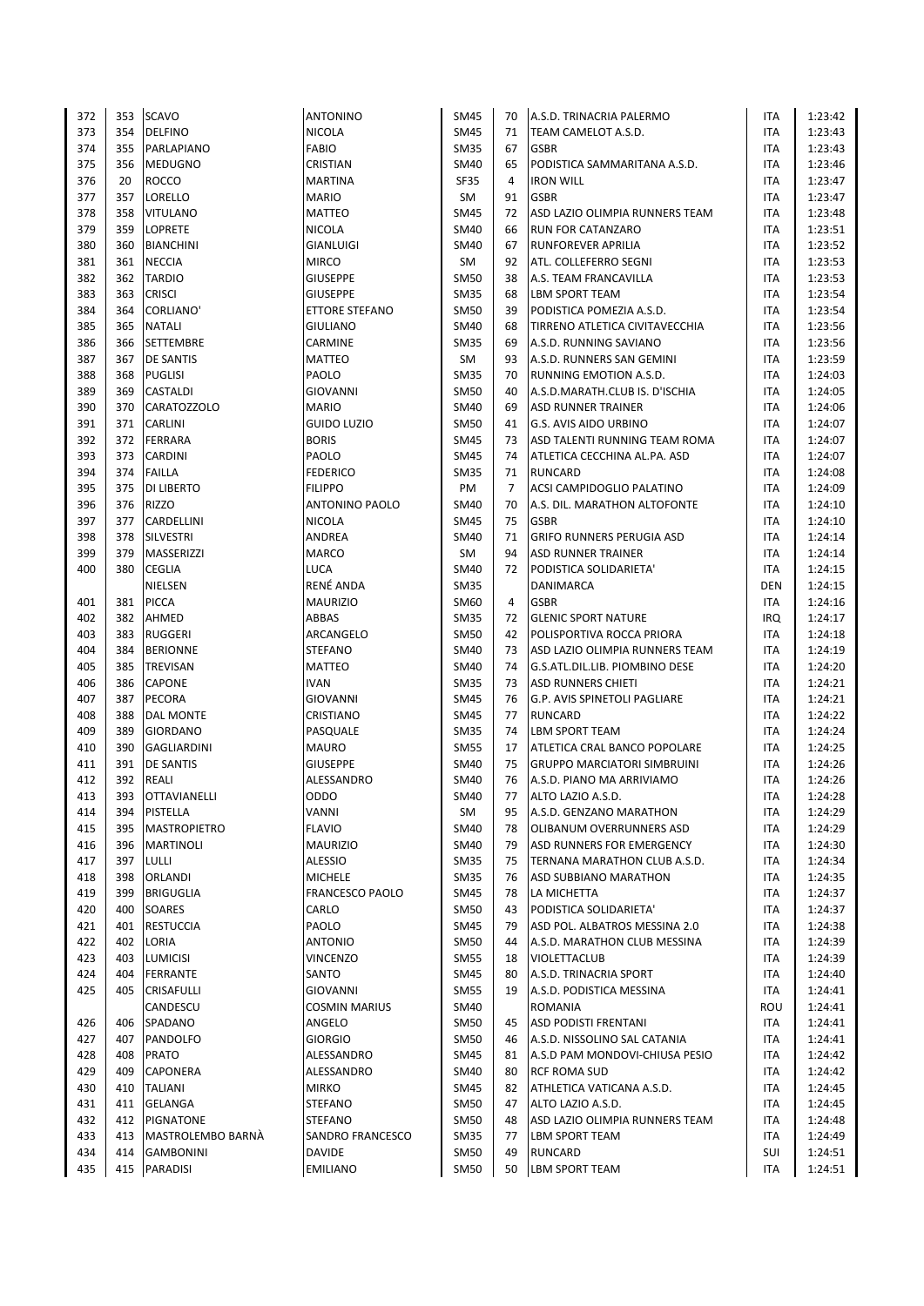| 372 | 353 | <b>SCAVO</b>        | <b>ANTONINO</b>       | SM45        | 70 | A.S.D. TRINACRIA PALERMO            | ITA        | 1:23:42 |
|-----|-----|---------------------|-----------------------|-------------|----|-------------------------------------|------------|---------|
| 373 | 354 | <b>DELFINO</b>      | <b>NICOLA</b>         | <b>SM45</b> | 71 | TEAM CAMELOT A.S.D.                 | <b>ITA</b> | 1:23:43 |
| 374 | 355 | PARLAPIANO          | <b>FABIO</b>          | <b>SM35</b> | 67 | <b>GSBR</b>                         | ITA        | 1:23:43 |
| 375 | 356 | <b>MEDUGNO</b>      | CRISTIAN              | SM40        | 65 | PODISTICA SAMMARITANA A.S.D.        | ITA        | 1:23:46 |
| 376 | 20  | <b>ROCCO</b>        | <b>MARTINA</b>        | <b>SF35</b> | 4  | <b>IRON WILL</b>                    | <b>ITA</b> | 1:23:47 |
|     |     |                     |                       |             |    |                                     |            |         |
| 377 | 357 | LORELLO             | <b>MARIO</b>          | SM          | 91 | <b>GSBR</b>                         | <b>ITA</b> | 1:23:47 |
| 378 | 358 | <b>VITULANO</b>     | <b>MATTEO</b>         | SM45        | 72 | ASD LAZIO OLIMPIA RUNNERS TEAM      | ITA        | 1:23:48 |
| 379 | 359 | <b>LOPRETE</b>      | <b>NICOLA</b>         | <b>SM40</b> | 66 | <b>RUN FOR CATANZARO</b>            | ITA        | 1:23:51 |
| 380 | 360 | <b>BIANCHINI</b>    | GIANLUIGI             | <b>SM40</b> | 67 | RUNFOREVER APRILIA                  | <b>ITA</b> | 1:23:52 |
| 381 | 361 | <b>NECCIA</b>       | <b>MIRCO</b>          | SM          | 92 | ATL. COLLEFERRO SEGNI               | ITA        | 1:23:53 |
| 382 | 362 | <b>TARDIO</b>       | <b>GIUSEPPE</b>       | <b>SM50</b> | 38 | A.S. TEAM FRANCAVILLA               | ITA        | 1:23:53 |
| 383 | 363 | <b>CRISCI</b>       | <b>GIUSEPPE</b>       | <b>SM35</b> | 68 | <b>LBM SPORT TEAM</b>               | <b>ITA</b> | 1:23:54 |
| 384 | 364 | <b>CORLIANO'</b>    | <b>ETTORE STEFANO</b> | SM50        | 39 | PODISTICA POMEZIA A.S.D.            | <b>ITA</b> | 1:23:54 |
| 385 | 365 | <b>NATALI</b>       | <b>GIULIANO</b>       | <b>SM40</b> | 68 | TIRRENO ATLETICA CIVITAVECCHIA      | <b>ITA</b> | 1:23:56 |
| 386 | 366 | <b>SETTEMBRE</b>    | CARMINE               | <b>SM35</b> | 69 | A.S.D. RUNNING SAVIANO              | <b>ITA</b> | 1:23:56 |
| 387 | 367 | <b>DE SANTIS</b>    | MATTEO                | SM          | 93 | A.S.D. RUNNERS SAN GEMINI           | <b>ITA</b> | 1:23:59 |
| 388 | 368 | <b>PUGLISI</b>      | PAOLO                 | <b>SM35</b> | 70 | RUNNING EMOTION A.S.D.              | <b>ITA</b> | 1:24:03 |
|     |     |                     |                       |             |    |                                     |            |         |
| 389 | 369 | <b>CASTALDI</b>     | <b>GIOVANNI</b>       | <b>SM50</b> | 40 | A.S.D.MARATH.CLUB IS. D'ISCHIA      | ITA        | 1:24:05 |
| 390 | 370 | CARATOZZOLO         | <b>MARIO</b>          | SM40        | 69 | <b>ASD RUNNER TRAINER</b>           | ITA        | 1:24:06 |
| 391 | 371 | <b>CARLINI</b>      | <b>GUIDO LUZIO</b>    | <b>SM50</b> | 41 | <b>G.S. AVIS AIDO URBINO</b>        | <b>ITA</b> | 1:24:07 |
| 392 | 372 | <b>FERRARA</b>      | <b>BORIS</b>          | <b>SM45</b> | 73 | ASD TALENTI RUNNING TEAM ROMA       | <b>ITA</b> | 1:24:07 |
| 393 | 373 | <b>CARDINI</b>      | PAOLO                 | <b>SM45</b> | 74 | ATLETICA CECCHINA AL.PA. ASD        | <b>ITA</b> | 1:24:07 |
| 394 |     | 374 FAILLA          | <b>FEDERICO</b>       | <b>SM35</b> | 71 | <b>RUNCARD</b>                      | ITA        | 1:24:08 |
| 395 | 375 | <b>DI LIBERTO</b>   | <b>FILIPPO</b>        | PM          | 7  | <b>ACSI CAMPIDOGLIO PALATINO</b>    | <b>ITA</b> | 1:24:09 |
| 396 | 376 | <b>RIZZO</b>        | <b>ANTONINO PAOLO</b> | <b>SM40</b> | 70 | A.S. DIL. MARATHON ALTOFONTE        | ITA        | 1:24:10 |
| 397 | 377 | CARDELLINI          | <b>NICOLA</b>         | SM45        | 75 | <b>GSBR</b>                         | ITA        | 1:24:10 |
| 398 | 378 | <b>SILVESTRI</b>    | ANDREA                | SM40        | 71 | <b>GRIFO RUNNERS PERUGIA ASD</b>    | ITA        | 1:24:14 |
| 399 | 379 | MASSERIZZI          | <b>MARCO</b>          | SM          | 94 | <b>ASD RUNNER TRAINER</b>           | ITA        | 1:24:14 |
| 400 | 380 | <b>CEGLIA</b>       | <b>LUCA</b>           | SM40        | 72 | PODISTICA SOLIDARIETA'              | ITA        | 1:24:15 |
|     |     | NIELSEN             | RENÉ ANDA             | <b>SM35</b> |    | DANIMARCA                           | <b>DEN</b> | 1:24:15 |
|     |     | <b>PICCA</b>        |                       |             |    |                                     |            |         |
| 401 | 381 |                     | <b>MAURIZIO</b>       | SM60        | 4  | <b>GSBR</b>                         | ITA        | 1:24:16 |
| 402 | 382 | AHMED               | ABBAS                 | <b>SM35</b> | 72 | <b>GLENIC SPORT NATURE</b>          | IRQ        | 1:24:17 |
| 403 | 383 | <b>RUGGERI</b>      | ARCANGELO             | <b>SM50</b> | 42 | POLISPORTIVA ROCCA PRIORA           | <b>ITA</b> | 1:24:18 |
| 404 | 384 | <b>BERIONNE</b>     | <b>STEFANO</b>        | <b>SM40</b> | 73 | ASD LAZIO OLIMPIA RUNNERS TEAM      | ITA        | 1:24:19 |
| 405 | 385 | TREVISAN            | <b>MATTEO</b>         | SM40        | 74 | G.S.ATL.DIL.LIB. PIOMBINO DESE      | ITA        | 1:24:20 |
| 406 | 386 | <b>CAPONE</b>       | <b>IVAN</b>           | <b>SM35</b> | 73 | <b>ASD RUNNERS CHIETI</b>           | <b>ITA</b> | 1:24:21 |
| 407 | 387 | PECORA              | <b>GIOVANNI</b>       | <b>SM45</b> | 76 | G.P. AVIS SPINETOLI PAGLIARE        | ITA        | 1:24:21 |
| 408 | 388 | <b>DAL MONTE</b>    | CRISTIANO             | SM45        | 77 | <b>RUNCARD</b>                      | ITA        | 1:24:22 |
| 409 | 389 | <b>GIORDANO</b>     | PASQUALE              | <b>SM35</b> | 74 | <b>LBM SPORT TEAM</b>               | <b>ITA</b> | 1:24:24 |
| 410 | 390 | <b>GAGLIARDINI</b>  | <b>MAURO</b>          | <b>SM55</b> | 17 | <b>ATLETICA CRAL BANCO POPOLARE</b> | <b>ITA</b> | 1:24:25 |
| 411 | 391 | <b>DE SANTIS</b>    | <b>GIUSEPPE</b>       | <b>SM40</b> | 75 | <b>GRUPPO MARCIATORI SIMBRUINI</b>  | <b>ITA</b> | 1:24:26 |
| 412 | 392 | REALI               | ALESSANDRO            | SM40        | 76 | A.S.D. PIANO MA ARRIVIAMO           | <b>ITA</b> | 1:24:26 |
| 413 | 393 | <b>OTTAVIANELLI</b> | ODDO                  | <b>SM40</b> | 77 | ALTO LAZIO A.S.D.                   | <b>ITA</b> | 1:24:28 |
| 414 | 394 | <b>PISTELLA</b>     | VANNI                 | SM          | 95 | A.S.D. GENZANO MARATHON             | ITA        | 1:24:29 |
| 415 | 395 | <b>MASTROPIETRO</b> | <b>FLAVIO</b>         | SM40        | 78 | OLIBANUM OVERRUNNERS ASD            | ITA        | 1:24:29 |
| 416 | 396 | <b>MARTINOLI</b>    | <b>MAURIZIO</b>       | SM40        | 79 | ASD RUNNERS FOR EMERGENCY           | ITA        | 1:24:30 |
|     |     |                     |                       |             |    |                                     |            |         |
| 417 | 397 | LULLI               | ALESSIO               | <b>SM35</b> | 75 | TERNANA MARATHON CLUB A.S.D.        | ITA        | 1:24:34 |
| 418 | 398 | ORLANDI             | <b>MICHELE</b>        | <b>SM35</b> | 76 | <b>ASD SUBBIANO MARATHON</b>        | ITA        | 1:24:35 |
| 419 | 399 | <b>BRIGUGLIA</b>    | FRANCESCO PAOLO       | <b>SM45</b> | 78 | LA MICHETTA                         | ITA        | 1:24:37 |
| 420 | 400 | SOARES              | CARLO                 | SM50        | 43 | PODISTICA SOLIDARIETA'              | ITA        | 1:24:37 |
| 421 | 401 | <b>RESTUCCIA</b>    | PAOLO                 | SM45        | 79 | ASD POL. ALBATROS MESSINA 2.0       | ITA        | 1:24:38 |
| 422 | 402 | LORIA               | <b>ANTONIO</b>        | <b>SM50</b> | 44 | A.S.D. MARATHON CLUB MESSINA        | ITA        | 1:24:39 |
| 423 | 403 | <b>LUMICISI</b>     | VINCENZO              | SM55        | 18 | <b>VIOLETTACLUB</b>                 | ITA        | 1:24:39 |
| 424 | 404 | <b>FERRANTE</b>     | SANTO                 | SM45        | 80 | A.S.D. TRINACRIA SPORT              | ITA        | 1:24:40 |
| 425 | 405 | <b>CRISAFULLI</b>   | GIOVANNI              | <b>SM55</b> | 19 | A.S.D. PODISTICA MESSINA            | ITA        | 1:24:41 |
|     |     | CANDESCU            | <b>COSMIN MARIUS</b>  | SM40        |    | <b>ROMANIA</b>                      | ROU        | 1:24:41 |
| 426 | 406 | SPADANO             | ANGELO                | SM50        | 45 | <b>ASD PODISTI FRENTANI</b>         | ITA        | 1:24:41 |
| 427 | 407 | PANDOLFO            | <b>GIORGIO</b>        | SM50        | 46 | A.S.D. NISSOLINO SAL CATANIA        | ITA        | 1:24:41 |
| 428 | 408 | <b>PRATO</b>        | ALESSANDRO            | <b>SM45</b> | 81 | A.S.D PAM MONDOVI-CHIUSA PESIO      | ITA        | 1:24:42 |
| 429 | 409 | CAPONERA            | ALESSANDRO            | SM40        | 80 | <b>RCF ROMA SUD</b>                 | ITA        | 1:24:42 |
|     |     |                     |                       |             |    |                                     |            |         |
| 430 | 410 | <b>TALIANI</b>      | <b>MIRKO</b>          | SM45        | 82 | ATHLETICA VATICANA A.S.D.           | ITA        | 1:24:45 |
| 431 | 411 | GELANGA             | <b>STEFANO</b>        | SM50        | 47 | ALTO LAZIO A.S.D.                   | ITA        | 1:24:45 |
| 432 | 412 | PIGNATONE           | <b>STEFANO</b>        | SM50        | 48 | ASD LAZIO OLIMPIA RUNNERS TEAM      | ITA        | 1:24:48 |
| 433 | 413 | MASTROLEMBO BARNA   | SANDRO FRANCESCO      | <b>SM35</b> | 77 | <b>LBM SPORT TEAM</b>               | ITA        | 1:24:49 |
| 434 | 414 | <b>GAMBONINI</b>    | <b>DAVIDE</b>         | SM50        | 49 | <b>RUNCARD</b>                      | SUI        | 1:24:51 |
| 435 | 415 | PARADISI            | <b>EMILIANO</b>       | <b>SM50</b> | 50 | <b>LBM SPORT TEAM</b>               | <b>ITA</b> | 1:24:51 |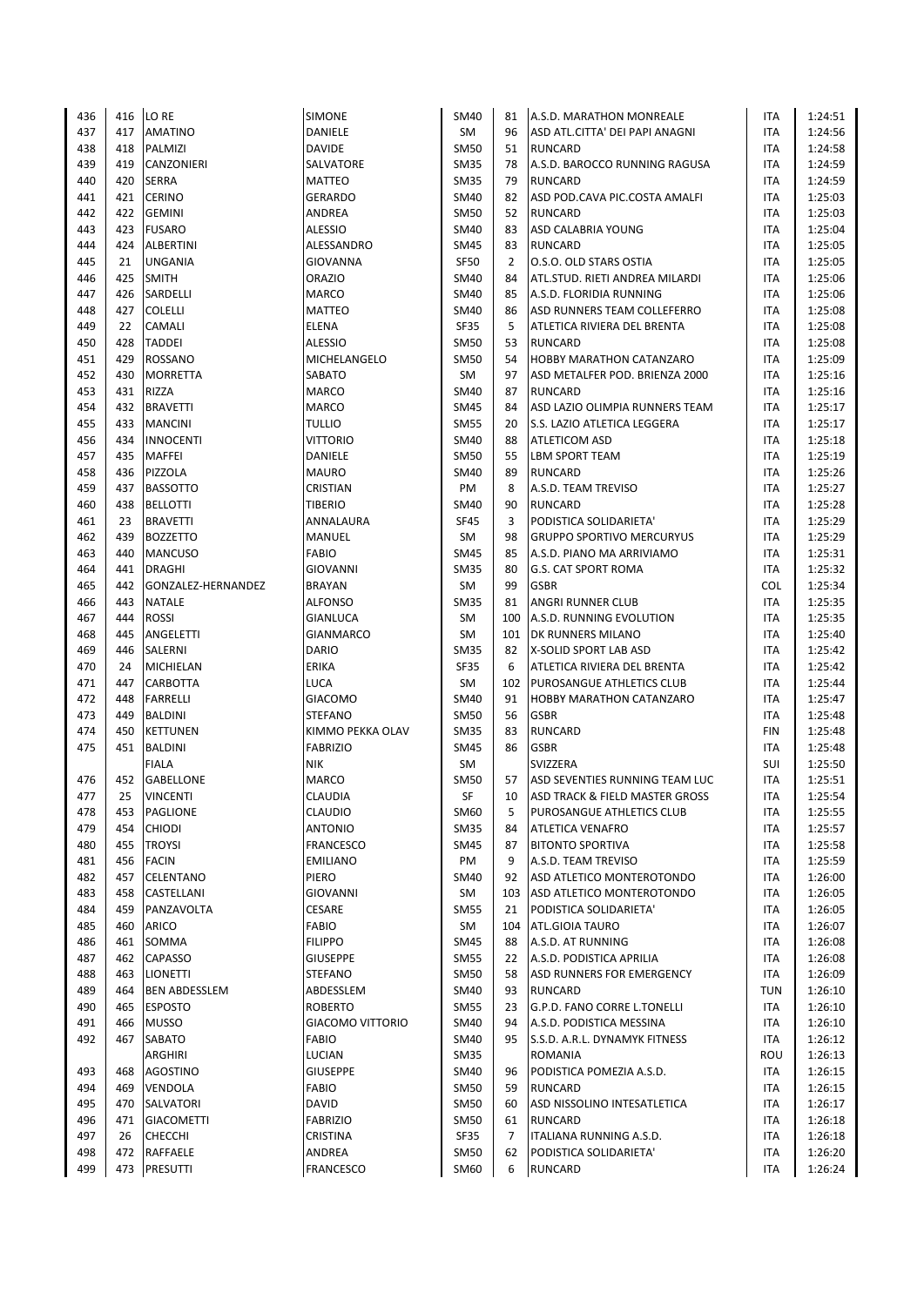| 436 | 416 | LO RE                | SIMONE                  | <b>SM40</b> | 81             | A.S.D. MARATHON MONREALE           | ITA        | 1:24:51 |
|-----|-----|----------------------|-------------------------|-------------|----------------|------------------------------------|------------|---------|
| 437 | 417 | <b>AMATINO</b>       | DANIELE                 | <b>SM</b>   | 96             | ASD ATL.CITTA' DEI PAPI ANAGNI     | <b>ITA</b> | 1:24:56 |
| 438 | 418 | PALMIZI              | <b>DAVIDE</b>           | <b>SM50</b> | 51             | <b>RUNCARD</b>                     | ITA        | 1:24:58 |
| 439 | 419 | CANZONIERI           | SALVATORE               | <b>SM35</b> | 78             | A.S.D. BAROCCO RUNNING RAGUSA      | <b>ITA</b> | 1:24:59 |
| 440 | 420 | <b>SERRA</b>         | <b>MATTEO</b>           | <b>SM35</b> | 79             | <b>RUNCARD</b>                     | <b>ITA</b> | 1:24:59 |
|     |     |                      |                         |             |                |                                    |            |         |
| 441 | 421 | <b>CERINO</b>        | <b>GERARDO</b>          | <b>SM40</b> | 82             | ASD POD.CAVA PIC.COSTA AMALFI      | <b>ITA</b> | 1:25:03 |
| 442 | 422 | <b>GEMINI</b>        | ANDREA                  | <b>SM50</b> | 52             | <b>RUNCARD</b>                     | <b>ITA</b> | 1:25:03 |
| 443 | 423 | <b>FUSARO</b>        | <b>ALESSIO</b>          | <b>SM40</b> | 83             | ASD CALABRIA YOUNG                 | <b>ITA</b> | 1:25:04 |
| 444 | 424 | <b>ALBERTINI</b>     | ALESSANDRO              | <b>SM45</b> | 83             | <b>RUNCARD</b>                     | <b>ITA</b> | 1:25:05 |
| 445 | 21  | <b>UNGANIA</b>       | GIOVANNA                | <b>SF50</b> | $\overline{2}$ | O.S.O. OLD STARS OSTIA             | <b>ITA</b> | 1:25:05 |
| 446 | 425 | <b>SMITH</b>         | <b>ORAZIO</b>           | <b>SM40</b> | 84             | ATL.STUD. RIETI ANDREA MILARDI     | <b>ITA</b> | 1:25:06 |
| 447 | 426 | SARDELLI             | <b>MARCO</b>            | SM40        | 85             | A.S.D. FLORIDIA RUNNING            | <b>ITA</b> | 1:25:06 |
| 448 | 427 | <b>COLELLI</b>       | <b>MATTEO</b>           | SM40        | 86             | <b>ASD RUNNERS TEAM COLLEFERRO</b> | <b>ITA</b> | 1:25:08 |
| 449 | 22  | CAMALI               | ELENA                   | <b>SF35</b> | 5              | ATLETICA RIVIERA DEL BRENTA        | <b>ITA</b> | 1:25:08 |
| 450 | 428 | <b>TADDEI</b>        | <b>ALESSIO</b>          | <b>SM50</b> | 53             | <b>RUNCARD</b>                     | <b>ITA</b> | 1:25:08 |
| 451 | 429 | ROSSANO              | MICHELANGELO            | <b>SM50</b> | 54             | <b>HOBBY MARATHON CATANZARO</b>    | <b>ITA</b> | 1:25:09 |
| 452 | 430 | <b>MORRETTA</b>      | SABATO                  | SM          | 97             | ASD METALFER POD. BRIENZA 2000     | <b>ITA</b> | 1:25:16 |
|     |     |                      |                         |             |                |                                    |            |         |
| 453 | 431 | RIZZA                | <b>MARCO</b>            | <b>SM40</b> | 87             | <b>RUNCARD</b>                     | <b>ITA</b> | 1:25:16 |
| 454 | 432 | <b>BRAVETTI</b>      | <b>MARCO</b>            | SM45        | 84             | ASD LAZIO OLIMPIA RUNNERS TEAM     | ITA        | 1:25:17 |
| 455 | 433 | <b>MANCINI</b>       | <b>TULLIO</b>           | <b>SM55</b> | 20             | S.S. LAZIO ATLETICA LEGGERA        | <b>ITA</b> | 1:25:17 |
| 456 | 434 | <b>INNOCENTI</b>     | <b>VITTORIO</b>         | <b>SM40</b> | 88             | <b>ATLETICOM ASD</b>               | ITA        | 1:25:18 |
| 457 | 435 | MAFFEI               | DANIELE                 | SM50        | 55             | <b>LBM SPORT TEAM</b>              | ITA        | 1:25:19 |
| 458 | 436 | PIZZOLA              | <b>MAURO</b>            | SM40        | 89             | <b>RUNCARD</b>                     | <b>ITA</b> | 1:25:26 |
| 459 | 437 | <b>BASSOTTO</b>      | CRISTIAN                | PM          | 8              | A.S.D. TEAM TREVISO                | ITA        | 1:25:27 |
| 460 | 438 | <b>BELLOTTI</b>      | <b>TIBERIO</b>          | SM40        | 90             | <b>RUNCARD</b>                     | ITA        | 1:25:28 |
| 461 | 23  | <b>BRAVETTI</b>      | ANNALAURA               | <b>SF45</b> | 3              | PODISTICA SOLIDARIETA'             | ITA        | 1:25:29 |
| 462 | 439 | <b>BOZZETTO</b>      | MANUEL                  | SM          | 98             | <b>GRUPPO SPORTIVO MERCURYUS</b>   | ITA        | 1:25:29 |
| 463 | 440 | <b>MANCUSO</b>       | FABIO                   | <b>SM45</b> | 85             | A.S.D. PIANO MA ARRIVIAMO          | <b>ITA</b> | 1:25:31 |
| 464 | 441 | <b>DRAGHI</b>        | <b>GIOVANNI</b>         | <b>SM35</b> | 80             | <b>G.S. CAT SPORT ROMA</b>         | ITA        | 1:25:32 |
|     | 442 |                      |                         |             | 99             |                                    |            |         |
| 465 |     | GONZALEZ-HERNANDEZ   | <b>BRAYAN</b>           | SM          |                | <b>GSBR</b>                        | <b>COL</b> | 1:25:34 |
| 466 | 443 | <b>NATALE</b>        | <b>ALFONSO</b>          | <b>SM35</b> | 81             | ANGRI RUNNER CLUB                  | <b>ITA</b> | 1:25:35 |
| 467 | 444 | <b>ROSSI</b>         | <b>GIANLUCA</b>         | SM          | 100            | A.S.D. RUNNING EVOLUTION           | <b>ITA</b> | 1:25:35 |
| 468 | 445 | ANGELETTI            | <b>GIANMARCO</b>        | <b>SM</b>   | 101            | <b>DK RUNNERS MILANO</b>           | <b>ITA</b> | 1:25:40 |
| 469 | 446 | SALERNI              | <b>DARIO</b>            | <b>SM35</b> | 82             | X-SOLID SPORT LAB ASD              | ITA        | 1:25:42 |
| 470 | 24  | MICHIELAN            | ERIKA                   | <b>SF35</b> | 6              | ATLETICA RIVIERA DEL BRENTA        | <b>ITA</b> | 1:25:42 |
| 471 | 447 | CARBOTTA             | <b>LUCA</b>             | SM          | 102            | <b>PUROSANGUE ATHLETICS CLUB</b>   | ITA        | 1:25:44 |
| 472 | 448 | FARRELLI             | <b>GIACOMO</b>          | SM40        | 91             | <b>HOBBY MARATHON CATANZARO</b>    | ITA        | 1:25:47 |
| 473 | 449 | BALDINI              | <b>STEFANO</b>          | <b>SM50</b> | 56             | <b>GSBR</b>                        | ITA        | 1:25:48 |
| 474 | 450 | <b>KETTUNEN</b>      | KIMMO PEKKA OLAV        | <b>SM35</b> | 83             | <b>RUNCARD</b>                     | <b>FIN</b> | 1:25:48 |
| 475 | 451 | <b>BALDINI</b>       | <b>FABRIZIO</b>         | SM45        | 86             | <b>GSBR</b>                        | <b>ITA</b> | 1:25:48 |
|     |     | <b>FIALA</b>         | <b>NIK</b>              | <b>SM</b>   |                | SVIZZERA                           | SUI        | 1:25:50 |
| 476 | 452 | <b>GABELLONE</b>     | <b>MARCO</b>            | SM50        | 57             | ASD SEVENTIES RUNNING TEAM LUC     | <b>ITA</b> | 1:25:51 |
| 477 | 25  | <b>VINCENTI</b>      | <b>CLAUDIA</b>          | SF          | 10             | ASD TRACK & FIELD MASTER GROSS     | <b>ITA</b> | 1:25:54 |
|     |     |                      |                         |             |                |                                    |            |         |
| 478 | 453 | PAGLIONE             | CLAUDIO                 | SM60        | 5              | PUROSANGUE ATHLETICS CLUB          | ITA        | 1:25:55 |
| 479 | 454 | <b>CHIODI</b>        | <b>ANTONIO</b>          | <b>SM35</b> | 84             | <b>ATLETICA VENAFRO</b>            | ITA        | 1:25:57 |
| 480 | 455 | <b>TROYSI</b>        | FRANCESCO               | SM45        | 87             | <b>BITONTO SPORTIVA</b>            | ITA        | 1:25:58 |
| 481 | 456 | <b>FACIN</b>         | <b>EMILIANO</b>         | PM          | 9              | A.S.D. TEAM TREVISO                | ITA        | 1:25:59 |
| 482 | 457 | CELENTANO            | PIERO                   | SM40        | 92             | ASD ATLETICO MONTEROTONDO          | ITA        | 1:26:00 |
| 483 | 458 | CASTELLANI           | GIOVANNI                | SM          | 103            | ASD ATLETICO MONTEROTONDO          | ITA        | 1:26:05 |
| 484 | 459 | PANZAVOLTA           | CESARE                  | <b>SM55</b> | 21             | PODISTICA SOLIDARIETA'             | ITA        | 1:26:05 |
| 485 | 460 | <b>ARICO</b>         | FABIO                   | SM          | 104            | ATL.GIOIA TAURO                    | ITA        | 1:26:07 |
| 486 | 461 | SOMMA                | <b>FILIPPO</b>          | <b>SM45</b> | 88             | A.S.D. AT RUNNING                  | ITA        | 1:26:08 |
| 487 | 462 | CAPASSO              | <b>GIUSEPPE</b>         | <b>SM55</b> | 22             | A.S.D. PODISTICA APRILIA           | ITA        | 1:26:08 |
| 488 | 463 | LIONETTI             | <b>STEFANO</b>          | SM50        | 58             | <b>ASD RUNNERS FOR EMERGENCY</b>   | ITA        | 1:26:09 |
| 489 | 464 | <b>BEN ABDESSLEM</b> | ABDESSLEM               | SM40        | 93             | <b>RUNCARD</b>                     | <b>TUN</b> | 1:26:10 |
| 490 | 465 | <b>ESPOSTO</b>       | <b>ROBERTO</b>          | <b>SM55</b> | 23             | G.P.D. FANO CORRE L.TONELLI        | ITA        | 1:26:10 |
| 491 | 466 | <b>MUSSO</b>         | <b>GIACOMO VITTORIO</b> | SM40        | 94             | A.S.D. PODISTICA MESSINA           | ITA        | 1:26:10 |
|     |     |                      |                         |             |                |                                    |            |         |
| 492 | 467 | SABATO               | FABIO                   | <b>SM40</b> | 95             | S.S.D. A.R.L. DYNAMYK FITNESS      | <b>ITA</b> | 1:26:12 |
|     |     | ARGHIRI              | LUCIAN                  | <b>SM35</b> |                | <b>ROMANIA</b>                     | ROU        | 1:26:13 |
| 493 | 468 | <b>AGOSTINO</b>      | <b>GIUSEPPE</b>         | <b>SM40</b> | 96             | PODISTICA POMEZIA A.S.D.           | ITA        | 1:26:15 |
| 494 | 469 | VENDOLA              | FABIO                   | SM50        | 59             | <b>RUNCARD</b>                     | ITA        | 1:26:15 |
| 495 | 470 | SALVATORI            | <b>DAVID</b>            | <b>SM50</b> | 60             | ASD NISSOLINO INTESATLETICA        | <b>ITA</b> | 1:26:17 |
| 496 | 471 | <b>GIACOMETTI</b>    | <b>FABRIZIO</b>         | SM50        | 61             | <b>RUNCARD</b>                     | ITA        | 1:26:18 |
| 497 | 26  | <b>CHECCHI</b>       | CRISTINA                | SF35        | $\overline{7}$ | ITALIANA RUNNING A.S.D.            | ITA        | 1:26:18 |
| 498 | 472 | RAFFAELE             | ANDREA                  | SM50        | 62             | PODISTICA SOLIDARIETA'             | ITA        | 1:26:20 |
| 499 | 473 | PRESUTTI             | FRANCESCO               | SM60        | 6              | <b>RUNCARD</b>                     | <b>ITA</b> | 1:26:24 |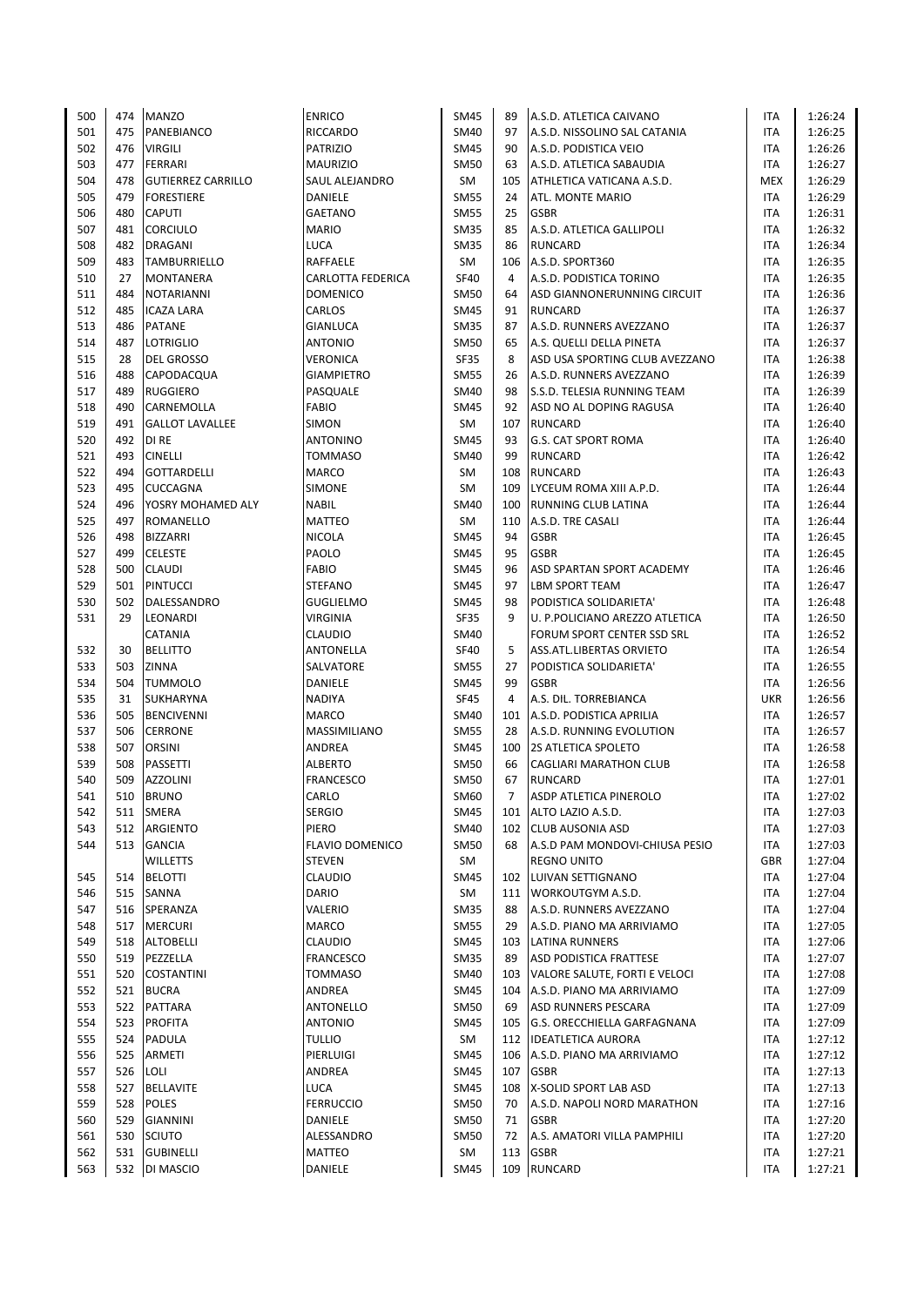| 500        | 474 | <b>MANZO</b>              | <b>ENRICO</b>            | SM45        | 89             | A.S.D. ATLETICA CAIVANO            | ITA        | 1:26:24 |
|------------|-----|---------------------------|--------------------------|-------------|----------------|------------------------------------|------------|---------|
| 501        | 475 | PANEBIANCO                | <b>RICCARDO</b>          | SM40        | 97             | A.S.D. NISSOLINO SAL CATANIA       | <b>ITA</b> | 1:26:25 |
| 502        | 476 | <b>VIRGILI</b>            | <b>PATRIZIO</b>          | <b>SM45</b> | 90             | A.S.D. PODISTICA VEIO              | ITA        | 1:26:26 |
| 503        | 477 | FERRARI                   | <b>MAURIZIO</b>          | <b>SM50</b> | 63             | A.S.D. ATLETICA SABAUDIA           | ITA        | 1:26:27 |
| 504        | 478 | <b>GUTIERREZ CARRILLO</b> | SAUL ALEJANDRO           | SM          | 105            | ATHLETICA VATICANA A.S.D.          | <b>MEX</b> | 1:26:29 |
| 505        | 479 | <b>FORESTIERE</b>         | DANIELE                  | <b>SM55</b> | 24             | ATL. MONTE MARIO                   | ITA        | 1:26:29 |
| 506        | 480 | <b>CAPUTI</b>             | <b>GAETANO</b>           | <b>SM55</b> | 25             | <b>GSBR</b>                        | ITA        | 1:26:31 |
| 507        | 481 | <b>CORCIULO</b>           | <b>MARIO</b>             | <b>SM35</b> | 85             | A.S.D. ATLETICA GALLIPOLI          | <b>ITA</b> | 1:26:32 |
| 508        | 482 | <b>DRAGANI</b>            | <b>LUCA</b>              | <b>SM35</b> | 86             | <b>RUNCARD</b>                     | ITA        | 1:26:34 |
| 509        | 483 | <b>TAMBURRIELLO</b>       | RAFFAELE                 | <b>SM</b>   | 106            | A.S.D. SPORT360                    | ITA        | 1:26:35 |
| 510        | 27  | <b>MONTANERA</b>          | <b>CARLOTTA FEDERICA</b> | <b>SF40</b> | 4              | A.S.D. PODISTICA TORINO            | ITA        | 1:26:35 |
| 511        | 484 | <b>NOTARIANNI</b>         | <b>DOMENICO</b>          | SM50        | 64             | ASD GIANNONERUNNING CIRCUIT        | <b>ITA</b> | 1:26:36 |
| 512        | 485 | <b>ICAZA LARA</b>         | CARLOS                   | SM45        | 91             | <b>RUNCARD</b>                     | <b>ITA</b> | 1:26:37 |
| 513        | 486 | <b>PATANE</b>             | <b>GIANLUCA</b>          | <b>SM35</b> | 87             | A.S.D. RUNNERS AVEZZANO            | <b>ITA</b> | 1:26:37 |
|            | 487 |                           |                          |             | 65             |                                    |            |         |
| 514        |     | <b>LOTRIGLIO</b>          | <b>ANTONIO</b>           | SM50        | 8              | A.S. QUELLI DELLA PINETA           | <b>ITA</b> | 1:26:37 |
| 515        | 28  | <b>DEL GROSSO</b>         | <b>VERONICA</b>          | <b>SF35</b> |                | ASD USA SPORTING CLUB AVEZZANO     | <b>ITA</b> | 1:26:38 |
| 516        | 488 | CAPODACQUA                | <b>GIAMPIETRO</b>        | <b>SM55</b> | 26             | A.S.D. RUNNERS AVEZZANO            | <b>ITA</b> | 1:26:39 |
| 517        | 489 | <b>RUGGIERO</b>           | PASQUALE                 | SM40        | 98             | <b>S.S.D. TELESIA RUNNING TEAM</b> | ITA        | 1:26:39 |
| 518        | 490 | CARNEMOLLA                | FABIO                    | <b>SM45</b> | 92             | ASD NO AL DOPING RAGUSA            | ITA        | 1:26:40 |
| 519        | 491 | <b>GALLOT LAVALLEE</b>    | <b>SIMON</b>             | SM          | 107            | <b>RUNCARD</b>                     | <b>ITA</b> | 1:26:40 |
| 520        | 492 | DI RE                     | <b>ANTONINO</b>          | <b>SM45</b> | 93             | <b>G.S. CAT SPORT ROMA</b>         | <b>ITA</b> | 1:26:40 |
| 521        | 493 | <b>CINELLI</b>            | <b>TOMMASO</b>           | SM40        | 99             | <b>RUNCARD</b>                     | ITA        | 1:26:42 |
| 522        | 494 | <b>GOTTARDELLI</b>        | <b>MARCO</b>             | SM          | 108            | <b>RUNCARD</b>                     | ITA        | 1:26:43 |
| 523        | 495 | <b>CUCCAGNA</b>           | <b>SIMONE</b>            | SM          | 109            | LYCEUM ROMA XIII A.P.D.            | <b>ITA</b> | 1:26:44 |
| 524        | 496 | YOSRY MOHAMED ALY         | <b>NABIL</b>             | SM40        | 100            | RUNNING CLUB LATINA                | <b>ITA</b> | 1:26:44 |
| 525        | 497 | ROMANELLO                 | <b>MATTEO</b>            | <b>SM</b>   | 110            | A.S.D. TRE CASALI                  | ITA        | 1:26:44 |
| 526        | 498 | <b>BIZZARRI</b>           | <b>NICOLA</b>            | SM45        | 94             | <b>GSBR</b>                        | ITA        | 1:26:45 |
| 527        | 499 | <b>CELESTE</b>            | PAOLO                    | <b>SM45</b> | 95             | <b>GSBR</b>                        | <b>ITA</b> | 1:26:45 |
| 528        | 500 | <b>CLAUDI</b>             | FABIO                    | <b>SM45</b> | 96             | ASD SPARTAN SPORT ACADEMY          | <b>ITA</b> | 1:26:46 |
| 529        | 501 | <b>PINTUCCI</b>           | <b>STEFANO</b>           | <b>SM45</b> | 97             | <b>LBM SPORT TEAM</b>              | ITA        | 1:26:47 |
| 530        | 502 | DALESSANDRO               | <b>GUGLIELMO</b>         | <b>SM45</b> | 98             | PODISTICA SOLIDARIETA'             | ITA        | 1:26:48 |
| 531        | 29  | LEONARDI                  | <b>VIRGINIA</b>          | <b>SF35</b> | 9              | U. P.POLICIANO AREZZO ATLETICA     | <b>ITA</b> | 1:26:50 |
|            |     | <b>CATANIA</b>            | <b>CLAUDIO</b>           | SM40        |                | FORUM SPORT CENTER SSD SRL         | ITA        | 1:26:52 |
| 532        | 30  | <b>BELLITTO</b>           | ANTONELLA                | <b>SF40</b> | 5              | ASS.ATL.LIBERTAS ORVIETO           | ITA        | 1:26:54 |
| 533        | 503 | ZINNA                     | SALVATORE                | SM55        | 27             | PODISTICA SOLIDARIETA'             | ITA        | 1:26:55 |
| 534        | 504 | <b>TUMMOLO</b>            | DANIELE                  | SM45        | 99             | <b>GSBR</b>                        | <b>ITA</b> | 1:26:56 |
| 535        | 31  | <b>SUKHARYNA</b>          | <b>NADIYA</b>            | <b>SF45</b> | 4              | A.S. DIL. TORREBIANCA              | UKR        | 1:26:56 |
| 536        | 505 | <b>BENCIVENNI</b>         | <b>MARCO</b>             | SM40        | 101            | A.S.D. PODISTICA APRILIA           | ITA        | 1:26:57 |
| 537        | 506 | <b>CERRONE</b>            | MASSIMILIANO             | <b>SM55</b> | 28             | A.S.D. RUNNING EVOLUTION           | ITA        | 1:26:57 |
| 538        | 507 | ORSINI                    | <b>ANDREA</b>            | SM45        | 100            | <b>2S ATLETICA SPOLETO</b>         | <b>ITA</b> | 1:26:58 |
| 539        | 508 | <b>PASSETTI</b>           | <b>ALBERTO</b>           | <b>SM50</b> | 66             | <b>CAGLIARI MARATHON CLUB</b>      | ITA        | 1:26:58 |
| 540        | 509 | <b>AZZOLINI</b>           | <b>FRANCESCO</b>         | SM50        | 67             | <b>RUNCARD</b>                     | <b>ITA</b> | 1:27:01 |
| 541        | 510 | <b>BRUNO</b>              | CARLO                    | SM60        | $\overline{7}$ | <b>ASDP ATLETICA PINEROLO</b>      | <b>ITA</b> | 1:27:02 |
| 542        | 511 | <b>SMERA</b>              | <b>SERGIO</b>            | SM45        | 101            | ALTO LAZIO A.S.D.                  | ITA        | 1:27:03 |
| 543        | 512 | ARGIENTO                  | PIERO                    | SM40        | 102            | <b>CLUB AUSONIA ASD</b>            | ITA        | 1:27:03 |
| 544        | 513 | <b>GANCIA</b>             | FLAVIO DOMENICO          | SM50        | 68             | A.S.D PAM MONDOVI-CHIUSA PESIO     | ITA        | 1:27:03 |
|            |     | <b>WILLETTS</b>           | <b>STEVEN</b>            | SM          |                | <b>REGNO UNITO</b>                 | <b>GBR</b> | 1:27:04 |
| 545        | 514 | <b>BELOTTI</b>            | <b>CLAUDIO</b>           | <b>SM45</b> | 102            | LUIVAN SETTIGNANO                  | ITA        | 1:27:04 |
|            | 515 | SANNA                     | DARIO                    | SM          | 111            | WORKOUTGYM A.S.D.                  | ITA        | 1:27:04 |
| 546<br>547 | 516 | SPERANZA                  | VALERIO                  | SM35        | 88             | A.S.D. RUNNERS AVEZZANO            | ITA        |         |
|            |     |                           |                          |             |                |                                    |            | 1:27:04 |
| 548        | 517 | <b>MERCURI</b>            | MARCO                    | <b>SM55</b> | 29             | A.S.D. PIANO MA ARRIVIAMO          | ITA        | 1:27:05 |
| 549        | 518 | <b>ALTOBELLI</b>          | <b>CLAUDIO</b>           | SM45        | 103            | LATINA RUNNERS                     | ITA        | 1:27:06 |
| 550        | 519 | PEZZELLA                  | <b>FRANCESCO</b>         | <b>SM35</b> | 89             | <b>ASD PODISTICA FRATTESE</b>      | ITA        | 1:27:07 |
| 551        | 520 | <b>COSTANTINI</b>         | <b>TOMMASO</b>           | SM40        | 103            | VALORE SALUTE, FORTI E VELOCI      | ITA        | 1:27:08 |
| 552        |     | 521 BUCRA                 | ANDREA                   | <b>SM45</b> | 104            | A.S.D. PIANO MA ARRIVIAMO          | ITA        | 1:27:09 |
| 553        |     | 522 PATTARA               | ANTONELLO                | <b>SM50</b> | 69             | <b>ASD RUNNERS PESCARA</b>         | ITA        | 1:27:09 |
| 554        | 523 | <b>PROFITA</b>            | <b>ANTONIO</b>           | SM45        | 105            | G.S. ORECCHIELLA GARFAGNANA        | ITA        | 1:27:09 |
| 555        | 524 | PADULA                    | <b>TULLIO</b>            | SM          | 112            | <b>IDEATLETICA AURORA</b>          | ITA        | 1:27:12 |
| 556        | 525 | ARMETI                    | PIERLUIGI                | <b>SM45</b> | 106            | A.S.D. PIANO MA ARRIVIAMO          | ITA        | 1:27:12 |
| 557        | 526 | <b>LOLI</b>               | ANDREA                   | SM45        | 107            | <b>GSBR</b>                        | ITA        | 1:27:13 |
| 558        | 527 | <b>BELLAVITE</b>          | <b>LUCA</b>              | SM45        | 108            | X-SOLID SPORT LAB ASD              | ITA        | 1:27:13 |
| 559        | 528 | <b>POLES</b>              | <b>FERRUCCIO</b>         | <b>SM50</b> | 70             | A.S.D. NAPOLI NORD MARATHON        | ITA        | 1:27:16 |
| 560        | 529 | <b>GIANNINI</b>           | DANIELE                  | <b>SM50</b> | 71             | <b>GSBR</b>                        | ITA        | 1:27:20 |
| 561        | 530 | <b>SCIUTO</b>             | ALESSANDRO               | <b>SM50</b> | 72             | A.S. AMATORI VILLA PAMPHILI        | ITA        | 1:27:20 |
| 562        | 531 | <b>GUBINELLI</b>          | MATTEO                   | SM          | 113            | <b>GSBR</b>                        | ITA        | 1:27:21 |
| 563        |     | 532 DI MASCIO             | DANIELE                  | <b>SM45</b> | 109            | <b>RUNCARD</b>                     | ITA        | 1:27:21 |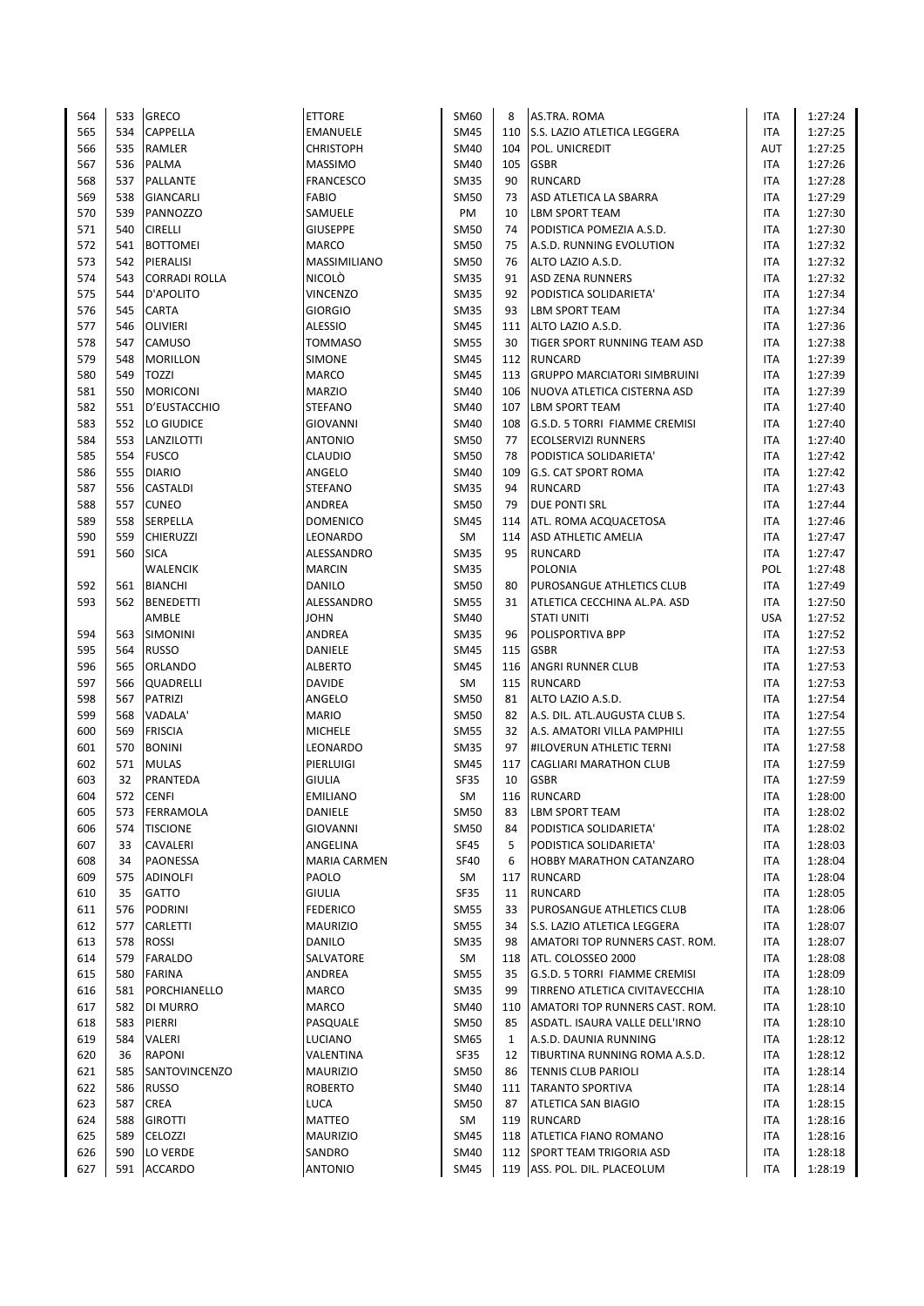| 564 | 533 | <b>GRECO</b>         | <b>ETTORE</b>       | SM60        | 8            | AS.TRA. ROMA                        | ITA        | 1:27:24 |
|-----|-----|----------------------|---------------------|-------------|--------------|-------------------------------------|------------|---------|
| 565 | 534 | CAPPELLA             | EMANUELE            | SM45        | 110          | S.S. LAZIO ATLETICA LEGGERA         | ITA        | 1:27:25 |
| 566 | 535 | <b>RAMLER</b>        | <b>CHRISTOPH</b>    | SM40        | 104          | POL. UNICREDIT                      | AUT        | 1:27:25 |
| 567 | 536 | PALMA                | <b>MASSIMO</b>      | SM40        | 105          | <b>GSBR</b>                         | ITA        | 1:27:26 |
| 568 | 537 | <b>PALLANTE</b>      | <b>FRANCESCO</b>    | <b>SM35</b> | 90           | <b>RUNCARD</b>                      | ITA        | 1:27:28 |
| 569 | 538 | GIANCARLI            | <b>FABIO</b>        | <b>SM50</b> | 73           | ASD ATLETICA LA SBARRA              | ITA        | 1:27:29 |
| 570 | 539 | PANNOZZO             | SAMUELE             | PM          | 10           | <b>LBM SPORT TEAM</b>               | ITA        | 1:27:30 |
| 571 | 540 | <b>CIRELLI</b>       | <b>GIUSEPPE</b>     | <b>SM50</b> | 74           | PODISTICA POMEZIA A.S.D.            | ITA        | 1:27:30 |
| 572 | 541 | <b>BOTTOMEI</b>      | <b>MARCO</b>        | <b>SM50</b> | 75           | A.S.D. RUNNING EVOLUTION            | ITA        | 1:27:32 |
| 573 | 542 | PIERALISI            | MASSIMILIANO        | <b>SM50</b> | 76           | ALTO LAZIO A.S.D.                   | ITA        | 1:27:32 |
| 574 | 543 | <b>CORRADI ROLLA</b> | <b>NICOLO</b>       | <b>SM35</b> | 91           | <b>ASD ZENA RUNNERS</b>             | ITA        | 1:27:32 |
| 575 | 544 | D'APOLITO            | <b>VINCENZO</b>     | <b>SM35</b> | 92           | PODISTICA SOLIDARIETA'              | ITA        | 1:27:34 |
| 576 | 545 | CARTA                | <b>GIORGIO</b>      | <b>SM35</b> | 93           | <b>LBM SPORT TEAM</b>               | <b>ITA</b> | 1:27:34 |
| 577 | 546 | <b>OLIVIERI</b>      | <b>ALESSIO</b>      | <b>SM45</b> | 111          | ALTO LAZIO A.S.D.                   | ITA        | 1:27:36 |
| 578 | 547 | CAMUSO               | <b>TOMMASO</b>      | SM55        | 30           | <b>TIGER SPORT RUNNING TEAM ASD</b> | ITA        | 1:27:38 |
| 579 | 548 | <b>MORILLON</b>      | <b>SIMONE</b>       | <b>SM45</b> |              | 112 RUNCARD                         | <b>ITA</b> | 1:27:39 |
| 580 | 549 | <b>TOZZI</b>         | <b>MARCO</b>        | <b>SM45</b> | 113          | <b>GRUPPO MARCIATORI SIMBRUINI</b>  | <b>ITA</b> | 1:27:39 |
| 581 | 550 | <b>MORICONI</b>      | <b>MARZIO</b>       | <b>SM40</b> | 106          | NUOVA ATLETICA CISTERNA ASD         | ITA        | 1:27:39 |
|     |     |                      |                     |             |              |                                     |            |         |
| 582 | 551 | D'EUSTACCHIO         | <b>STEFANO</b>      | SM40        | 107          | LBM SPORT TEAM                      | ITA        | 1:27:40 |
| 583 | 552 | LO GIUDICE           | <b>GIOVANNI</b>     | SM40        | 108          | G.S.D. 5 TORRI FIAMME CREMISI       | <b>ITA</b> | 1:27:40 |
| 584 | 553 | LANZILOTTI           | <b>ANTONIO</b>      | <b>SM50</b> | 77           | <b>ECOLSERVIZI RUNNERS</b>          | <b>ITA</b> | 1:27:40 |
| 585 | 554 | <b>FUSCO</b>         | <b>CLAUDIO</b>      | <b>SM50</b> | 78           | PODISTICA SOLIDARIETA'              | ITA        | 1:27:42 |
| 586 | 555 | <b>DIARIO</b>        | ANGELO              | SM40        | 109          | <b>G.S. CAT SPORT ROMA</b>          | ITA        | 1:27:42 |
| 587 | 556 | <b>CASTALDI</b>      | <b>STEFANO</b>      | <b>SM35</b> | 94           | <b>RUNCARD</b>                      | <b>ITA</b> | 1:27:43 |
| 588 | 557 | <b>CUNEO</b>         | ANDREA              | <b>SM50</b> | 79           | <b>DUE PONTI SRL</b>                | ITA        | 1:27:44 |
| 589 | 558 | SERPELLA             | <b>DOMENICO</b>     | <b>SM45</b> | 114          | ATL. ROMA ACQUACETOSA               | ITA        | 1:27:46 |
| 590 | 559 | CHIERUZZI            | LEONARDO            | SM          | 114          | <b>ASD ATHLETIC AMELIA</b>          | ITA        | 1:27:47 |
| 591 | 560 | <b>SICA</b>          | ALESSANDRO          | <b>SM35</b> | 95           | <b>RUNCARD</b>                      | <b>ITA</b> | 1:27:47 |
|     |     | WALENCIK             | <b>MARCIN</b>       | <b>SM35</b> |              | <b>POLONIA</b>                      | POL        | 1:27:48 |
| 592 | 561 | <b>BIANCHI</b>       | DANILO              | <b>SM50</b> | 80           | PUROSANGUE ATHLETICS CLUB           | ITA        | 1:27:49 |
| 593 | 562 | <b>BENEDETTI</b>     | ALESSANDRO          | <b>SM55</b> | 31           | ATLETICA CECCHINA AL.PA. ASD        | ITA        | 1:27:50 |
|     |     | AMBLE                | <b>JOHN</b>         | <b>SM40</b> |              | <b>STATI UNITI</b>                  | <b>USA</b> | 1:27:52 |
| 594 | 563 | <b>SIMONINI</b>      | ANDREA              | <b>SM35</b> | 96           | <b>POLISPORTIVA BPP</b>             | ITA        | 1:27:52 |
| 595 | 564 | <b>RUSSO</b>         | DANIELE             | <b>SM45</b> | 115          | <b>GSBR</b>                         | ITA        | 1:27:53 |
| 596 | 565 | <b>ORLANDO</b>       | <b>ALBERTO</b>      | <b>SM45</b> | 116          | <b>ANGRI RUNNER CLUB</b>            | ITA        | 1:27:53 |
| 597 | 566 | QUADRELLI            | <b>DAVIDE</b>       | SM          | 115          | <b>RUNCARD</b>                      | <b>ITA</b> | 1:27:53 |
| 598 | 567 | <b>PATRIZI</b>       | ANGELO              | <b>SM50</b> | 81           | ALTO LAZIO A.S.D.                   | <b>ITA</b> | 1:27:54 |
| 599 | 568 | VADALA'              | <b>MARIO</b>        | <b>SM50</b> | 82           | A.S. DIL. ATL.AUGUSTA CLUB S.       | ITA        | 1:27:54 |
| 600 | 569 | <b>FRISCIA</b>       | <b>MICHELE</b>      | <b>SM55</b> | 32           | A.S. AMATORI VILLA PAMPHILI         | <b>ITA</b> | 1:27:55 |
| 601 | 570 | <b>BONINI</b>        | LEONARDO            | <b>SM35</b> | 97           | <b>#ILOVERUN ATHLETIC TERNI</b>     | <b>ITA</b> | 1:27:58 |
| 602 | 571 | <b>MULAS</b>         | PIERLUIGI           | SM45        | 117          | <b>CAGLIARI MARATHON CLUB</b>       | ITA        | 1:27:59 |
| 603 | 32  | PRANTEDA             | <b>GIULIA</b>       | SF35        | 10           | <b>GSBR</b>                         | <b>ITA</b> | 1:27:59 |
| 604 | 572 | <b>CENFI</b>         | <b>EMILIANO</b>     | <b>SM</b>   | 116          | <b>RUNCARD</b>                      | <b>ITA</b> | 1:28:00 |
| 605 | 573 | FERRAMOLA            | DANIELE             | SM50        | 83           | <b>LBM SPORT TEAM</b>               | ITA        | 1:28:02 |
| 606 | 574 | <b>TISCIONE</b>      | <b>GIOVANNI</b>     | <b>SM50</b> | 84           | PODISTICA SOLIDARIETA'              | ITA        | 1:28:02 |
| 607 | 33  | CAVALERI             | ANGELINA            | SF45        | 5            | PODISTICA SOLIDARIETA'              | ITA        | 1:28:03 |
| 608 | 34  | PAONESSA             | <b>MARIA CARMEN</b> | <b>SF40</b> | 6            | <b>HOBBY MARATHON CATANZARO</b>     | ITA        | 1:28:04 |
| 609 | 575 | ADINOLFI             | PAOLO               | SM          | 117          | <b>RUNCARD</b>                      | ITA        | 1:28:04 |
| 610 | 35  | GATTO                | <b>GIULIA</b>       | <b>SF35</b> | 11           | <b>RUNCARD</b>                      | ITA        | 1:28:05 |
| 611 | 576 | PODRINI              | <b>FEDERICO</b>     | SM55        | 33           | PUROSANGUE ATHLETICS CLUB           | ITA        | 1:28:06 |
| 612 | 577 | <b>CARLETTI</b>      | <b>MAURIZIO</b>     | <b>SM55</b> | 34           | S.S. LAZIO ATLETICA LEGGERA         | ITA        | 1:28:07 |
| 613 | 578 | <b>ROSSI</b>         | DANILO              | <b>SM35</b> | 98           | AMATORI TOP RUNNERS CAST. ROM.      | ITA        | 1:28:07 |
| 614 | 579 | <b>FARALDO</b>       | SALVATORE           | SM          | 118          | ATL. COLOSSEO 2000                  | ITA        | 1:28:08 |
| 615 | 580 | <b>FARINA</b>        | ANDREA              | SM55        | 35           | G.S.D. 5 TORRI FIAMME CREMISI       | ITA        | 1:28:09 |
| 616 | 581 | PORCHIANELLO         | MARCO               | <b>SM35</b> | 99           | TIRRENO ATLETICA CIVITAVECCHIA      | ITA        | 1:28:10 |
| 617 | 582 | <b>DI MURRO</b>      | MARCO               | SM40        | 110          | AMATORI TOP RUNNERS CAST. ROM.      | ITA        | 1:28:10 |
| 618 | 583 | PIERRI               | PASQUALE            | SM50        | 85           | ASDATL. ISAURA VALLE DELL'IRNO      | ITA        | 1:28:10 |
| 619 | 584 | VALERI               | LUCIANO             | SM65        | $\mathbf{1}$ | A.S.D. DAUNIA RUNNING               | ITA        | 1:28:12 |
| 620 | 36  | <b>RAPONI</b>        | VALENTINA           | SF35        | 12           | TIBURTINA RUNNING ROMA A.S.D.       | ITA        | 1:28:12 |
| 621 | 585 | SANTOVINCENZO        | <b>MAURIZIO</b>     | <b>SM50</b> | 86           | <b>TENNIS CLUB PARIOLI</b>          | ITA        | 1:28:14 |
| 622 | 586 | <b>RUSSO</b>         | <b>ROBERTO</b>      | SM40        | 111          | <b>TARANTO SPORTIVA</b>             | ITA        | 1:28:14 |
| 623 | 587 | <b>CREA</b>          | <b>LUCA</b>         | SM50        | 87           | <b>ATLETICA SAN BIAGIO</b>          | ITA        | 1:28:15 |
| 624 | 588 | <b>GIROTTI</b>       | MATTEO              | SM          | 119          | <b>RUNCARD</b>                      | ITA        | 1:28:16 |
| 625 | 589 | CELOZZI              | <b>MAURIZIO</b>     | <b>SM45</b> | 118          | <b>ATLETICA FIANO ROMANO</b>        | ITA        | 1:28:16 |
| 626 | 590 | LO VERDE             | SANDRO              | SM40        | 112          | <b>SPORT TEAM TRIGORIA ASD</b>      | ITA        | 1:28:18 |
| 627 |     | 591 ACCARDO          | <b>ANTONIO</b>      | <b>SM45</b> |              | 119 ASS. POL. DIL. PLACEOLUM        | ITA        | 1:28:19 |
|     |     |                      |                     |             |              |                                     |            |         |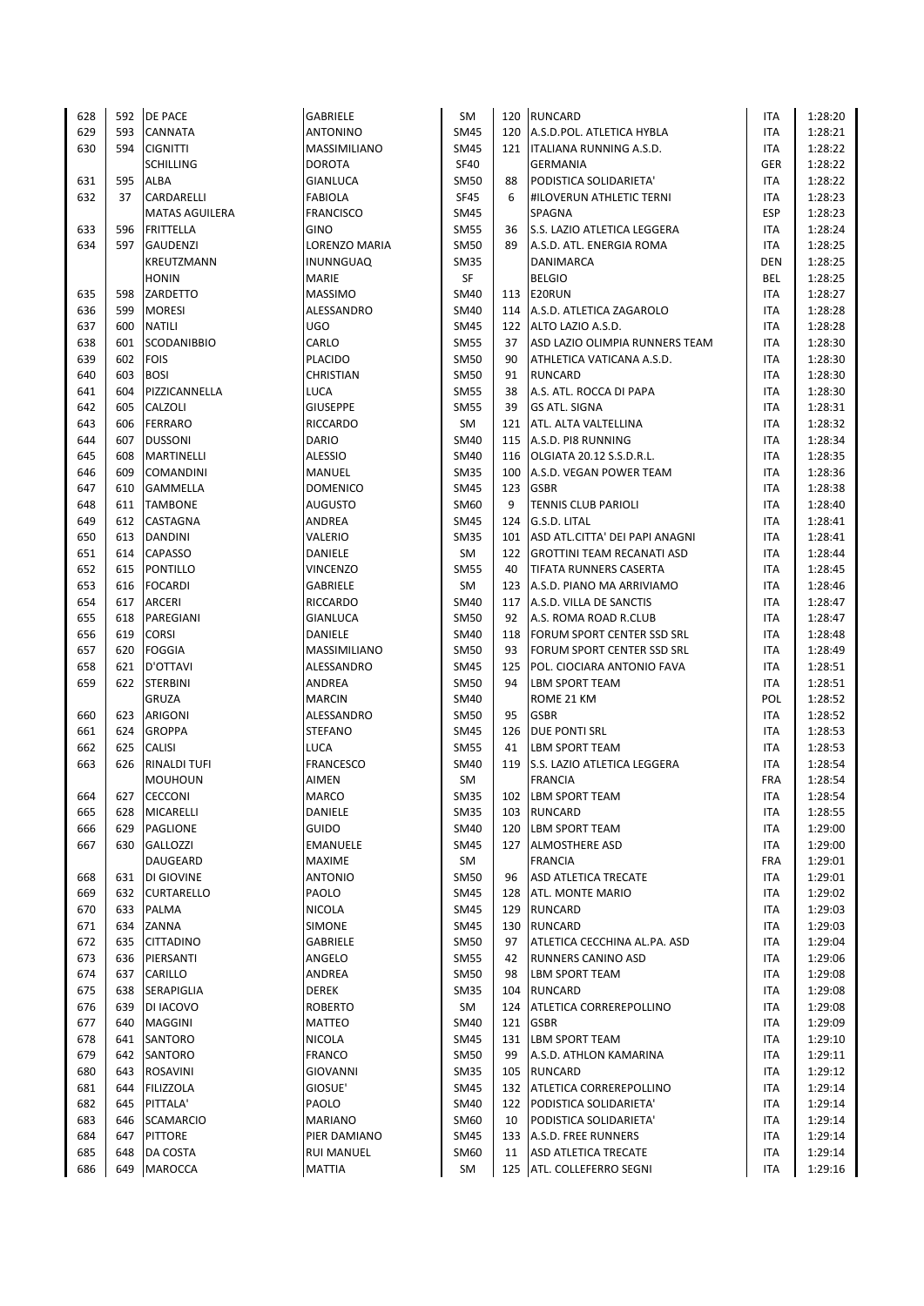| 628 | 592 | <b>DE PACE</b>        | <b>GABRIELE</b>   | SM          |     | 120 RUNCARD                       | ITA        | 1:28:20 |
|-----|-----|-----------------------|-------------------|-------------|-----|-----------------------------------|------------|---------|
| 629 | 593 | <b>CANNATA</b>        | <b>ANTONINO</b>   | <b>SM45</b> | 120 | A.S.D.POL. ATLETICA HYBLA         | <b>ITA</b> | 1:28:21 |
| 630 | 594 | <b>CIGNITTI</b>       | MASSIMILIANO      | <b>SM45</b> | 121 | <b>ITALIANA RUNNING A.S.D.</b>    | <b>ITA</b> | 1:28:22 |
|     |     | <b>SCHILLING</b>      | <b>DOROTA</b>     | <b>SF40</b> |     | <b>GERMANIA</b>                   | <b>GER</b> | 1:28:22 |
| 631 | 595 | <b>ALBA</b>           | <b>GIANLUCA</b>   | <b>SM50</b> | 88  | PODISTICA SOLIDARIETA'            | <b>ITA</b> | 1:28:22 |
| 632 | 37  | CARDARELLI            | <b>FABIOLA</b>    | <b>SF45</b> | 6   | <b>#ILOVERUN ATHLETIC TERNI</b>   | <b>ITA</b> | 1:28:23 |
|     |     | <b>MATAS AGUILERA</b> | <b>FRANCISCO</b>  | SM45        |     | <b>SPAGNA</b>                     | <b>ESP</b> | 1:28:23 |
| 633 | 596 | <b>FRITTELLA</b>      | GINO              | <b>SM55</b> | 36  | S.S. LAZIO ATLETICA LEGGERA       | <b>ITA</b> | 1:28:24 |
| 634 |     | 597 GAUDENZI          | LORENZO MARIA     | SM50        | 89  | A.S.D. ATL. ENERGIA ROMA          | <b>ITA</b> | 1:28:25 |
|     |     | KREUTZMANN            | <b>INUNNGUAQ</b>  | <b>SM35</b> |     | <b>DANIMARCA</b>                  | <b>DEN</b> | 1:28:25 |
|     |     | <b>HONIN</b>          | <b>MARIE</b>      | SF          |     | <b>BELGIO</b>                     | BEL        | 1:28:25 |
| 635 | 598 | ZARDETTO              | <b>MASSIMO</b>    | SM40        | 113 | E20RUN                            | <b>ITA</b> | 1:28:27 |
| 636 | 599 | <b>MORESI</b>         | ALESSANDRO        | SM40        | 114 | A.S.D. ATLETICA ZAGAROLO          | <b>ITA</b> | 1:28:28 |
| 637 | 600 | <b>NATILI</b>         | UGO               | <b>SM45</b> | 122 | ALTO LAZIO A.S.D.                 | <b>ITA</b> | 1:28:28 |
| 638 | 601 | SCODANIBBIO           | CARLO             | <b>SM55</b> | 37  | ASD LAZIO OLIMPIA RUNNERS TEAM    | <b>ITA</b> | 1:28:30 |
| 639 | 602 | <b>FOIS</b>           | <b>PLACIDO</b>    | <b>SM50</b> | 90  | ATHLETICA VATICANA A.S.D.         | <b>ITA</b> | 1:28:30 |
| 640 |     | <b>BOSI</b>           | <b>CHRISTIAN</b>  |             |     | <b>RUNCARD</b>                    | <b>ITA</b> |         |
|     | 603 |                       |                   | <b>SM50</b> | 91  |                                   |            | 1:28:30 |
| 641 | 604 | PIZZICANNELLA         | <b>LUCA</b>       | <b>SM55</b> | 38  | A.S. ATL. ROCCA DI PAPA           | ITA        | 1:28:30 |
| 642 | 605 | CALZOLI               | <b>GIUSEPPE</b>   | SM55        | 39  | <b>GS ATL. SIGNA</b>              | <b>ITA</b> | 1:28:31 |
| 643 | 606 | <b>FERRARO</b>        | <b>RICCARDO</b>   | SM          | 121 | ATL. ALTA VALTELLINA              | <b>ITA</b> | 1:28:32 |
| 644 | 607 | <b>DUSSONI</b>        | <b>DARIO</b>      | SM40        | 115 | A.S.D. PI8 RUNNING                | <b>ITA</b> | 1:28:34 |
| 645 | 608 | <b>MARTINELLI</b>     | <b>ALESSIO</b>    | <b>SM40</b> | 116 | OLGIATA 20.12 S.S.D.R.L.          | <b>ITA</b> | 1:28:35 |
| 646 | 609 | <b>COMANDINI</b>      | MANUEL            | <b>SM35</b> | 100 | A.S.D. VEGAN POWER TEAM           | <b>ITA</b> | 1:28:36 |
| 647 | 610 | <b>GAMMELLA</b>       | <b>DOMENICO</b>   | <b>SM45</b> | 123 | <b>GSBR</b>                       | <b>ITA</b> | 1:28:38 |
| 648 | 611 | <b>TAMBONE</b>        | <b>AUGUSTO</b>    | SM60        | 9   | <b>TENNIS CLUB PARIOLI</b>        | <b>ITA</b> | 1:28:40 |
| 649 | 612 | CASTAGNA              | ANDREA            | <b>SM45</b> | 124 | G.S.D. LITAL                      | ITA        | 1:28:41 |
| 650 | 613 | <b>DANDINI</b>        | VALERIO           | <b>SM35</b> | 101 | ASD ATL.CITTA' DEI PAPI ANAGNI    | <b>ITA</b> | 1:28:41 |
| 651 | 614 | <b>CAPASSO</b>        | <b>DANIELE</b>    | SM          |     | 122 GROTTINI TEAM RECANATI ASD    | <b>ITA</b> | 1:28:44 |
| 652 | 615 | <b>PONTILLO</b>       | <b>VINCENZO</b>   | <b>SM55</b> | 40  | <b>TIFATA RUNNERS CASERTA</b>     | <b>ITA</b> | 1:28:45 |
| 653 | 616 | <b>FOCARDI</b>        | GABRIELE          | SM          | 123 | A.S.D. PIANO MA ARRIVIAMO         | <b>ITA</b> | 1:28:46 |
| 654 | 617 | <b>ARCERI</b>         | <b>RICCARDO</b>   | SM40        | 117 | A.S.D. VILLA DE SANCTIS           | <b>ITA</b> | 1:28:47 |
| 655 | 618 | PAREGIANI             | <b>GIANLUCA</b>   | <b>SM50</b> | 92  | A.S. ROMA ROAD R.CLUB             | <b>ITA</b> | 1:28:47 |
| 656 | 619 | <b>CORSI</b>          | <b>DANIELE</b>    | SM40        |     | 118 FORUM SPORT CENTER SSD SRL    | <b>ITA</b> | 1:28:48 |
| 657 | 620 | <b>FOGGIA</b>         | MASSIMILIANO      | <b>SM50</b> | 93  | <b>FORUM SPORT CENTER SSD SRL</b> | <b>ITA</b> | 1:28:49 |
| 658 | 621 | <b>D'OTTAVI</b>       | ALESSANDRO        | <b>SM45</b> | 125 | POL. CIOCIARA ANTONIO FAVA        | <b>ITA</b> | 1:28:51 |
| 659 | 622 | <b>STERBINI</b>       | ANDREA            | SM50        | 94  | <b>LBM SPORT TEAM</b>             | <b>ITA</b> | 1:28:51 |
|     |     | GRUZA                 | <b>MARCIN</b>     | SM40        |     | ROME 21 KM                        | POL        | 1:28:52 |
|     |     |                       |                   |             |     |                                   |            |         |
| 660 | 623 | ARIGONI               | ALESSANDRO        | <b>SM50</b> | 95  | <b>GSBR</b>                       | ITA        | 1:28:52 |
| 661 | 624 | <b>GROPPA</b>         | <b>STEFANO</b>    | SM45        | 126 | <b>DUE PONTI SRL</b>              | <b>ITA</b> | 1:28:53 |
| 662 | 625 | <b>CALISI</b>         | <b>LUCA</b>       | <b>SM55</b> | 41  | <b>LBM SPORT TEAM</b>             | <b>ITA</b> | 1:28:53 |
| 663 | 626 | <b>RINALDI TUFI</b>   | <b>FRANCESCO</b>  | <b>SM40</b> | 119 | S.S. LAZIO ATLETICA LEGGERA       | <b>ITA</b> | 1:28:54 |
|     |     | <b>MOUHOUN</b>        | AIMEN             | SM          |     | <b>FRANCIA</b>                    | <b>FRA</b> | 1:28:54 |
| 664 | 627 | <b>CECCONI</b>        | <b>MARCO</b>      | <b>SM35</b> |     | 102 LBM SPORT TEAM                | <b>ITA</b> | 1:28:54 |
| 665 | 628 | MICARELLI             | DANIELE           | <b>SM35</b> | 103 | RUNCARD                           | ITA        | 1:28:55 |
| 666 | 629 | PAGLIONE              | <b>GUIDO</b>      | <b>SM40</b> | 120 | <b>LBM SPORT TEAM</b>             | ITA        | 1:29:00 |
| 667 | 630 | <b>GALLOZZI</b>       | <b>EMANUELE</b>   | SM45        | 127 | <b>ALMOSTHERE ASD</b>             | ITA        | 1:29:00 |
|     |     | DAUGEARD              | MAXIME            | SM          |     | <b>FRANCIA</b>                    | <b>FRA</b> | 1:29:01 |
| 668 | 631 | DI GIOVINE            | <b>ANTONIO</b>    | SM50        | 96  | <b>ASD ATLETICA TRECATE</b>       | ITA        | 1:29:01 |
| 669 | 632 | <b>CURTARELLO</b>     | PAOLO             | SM45        | 128 | <b>ATL. MONTE MARIO</b>           | ITA        | 1:29:02 |
| 670 | 633 | PALMA                 | NICOLA            | <b>SM45</b> | 129 | <b>RUNCARD</b>                    | ITA        | 1:29:03 |
| 671 | 634 | ZANNA                 | <b>SIMONE</b>     | <b>SM45</b> | 130 | <b>RUNCARD</b>                    | ITA        | 1:29:03 |
| 672 | 635 | <b>CITTADINO</b>      | GABRIELE          | <b>SM50</b> | 97  | ATLETICA CECCHINA AL.PA. ASD      | ITA        | 1:29:04 |
| 673 | 636 | PIERSANTI             | ANGELO            | <b>SM55</b> | 42  | <b>RUNNERS CANINO ASD</b>         | ITA        | 1:29:06 |
| 674 | 637 | CARILLO               | ANDREA            | <b>SM50</b> | 98  | <b>LBM SPORT TEAM</b>             | ITA        | 1:29:08 |
| 675 | 638 | <b>SERAPIGLIA</b>     | <b>DEREK</b>      | <b>SM35</b> | 104 | <b>RUNCARD</b>                    | ITA        | 1:29:08 |
| 676 | 639 | DI IACOVO             | <b>ROBERTO</b>    | SM          | 124 | ATLETICA CORREREPOLLINO           | ITA        | 1:29:08 |
| 677 | 640 | <b>MAGGINI</b>        | <b>MATTEO</b>     | SM40        | 121 | <b>GSBR</b>                       | ITA        | 1:29:09 |
| 678 | 641 | SANTORO               | NICOLA            | SM45        | 131 | <b>LBM SPORT TEAM</b>             | <b>ITA</b> | 1:29:10 |
| 679 |     | 642 SANTORO           | <b>FRANCO</b>     | <b>SM50</b> | 99  | A.S.D. ATHLON KAMARINA            | <b>ITA</b> | 1:29:11 |
|     |     |                       |                   |             |     |                                   |            |         |
| 680 | 643 | <b>ROSAVINI</b>       | GIOVANNI          | <b>SM35</b> | 105 | <b>RUNCARD</b>                    | ITA        | 1:29:12 |
| 681 | 644 | <b>FILIZZOLA</b>      | GIOSUE'           | <b>SM45</b> | 132 | ATLETICA CORREREPOLLINO           | ITA        | 1:29:14 |
| 682 | 645 | PITTALA'              | PAOLO             | SM40        | 122 | PODISTICA SOLIDARIETA'            | ITA        | 1:29:14 |
| 683 | 646 | <b>SCAMARCIO</b>      | <b>MARIANO</b>    | SM60        | 10  | PODISTICA SOLIDARIETA'            | ITA        | 1:29:14 |
| 684 | 647 | <b>PITTORE</b>        | PIER DAMIANO      | <b>SM45</b> | 133 | A.S.D. FREE RUNNERS               | ITA        | 1:29:14 |
| 685 | 648 | DA COSTA              | <b>RUI MANUEL</b> | SM60        | 11  | ASD ATLETICA TRECATE              | ITA        | 1:29:14 |
| 686 | 649 | <b>MAROCCA</b>        | <b>MATTIA</b>     | SM          | 125 | <b>ATL. COLLEFERRO SEGNI</b>      | ITA        | 1:29:16 |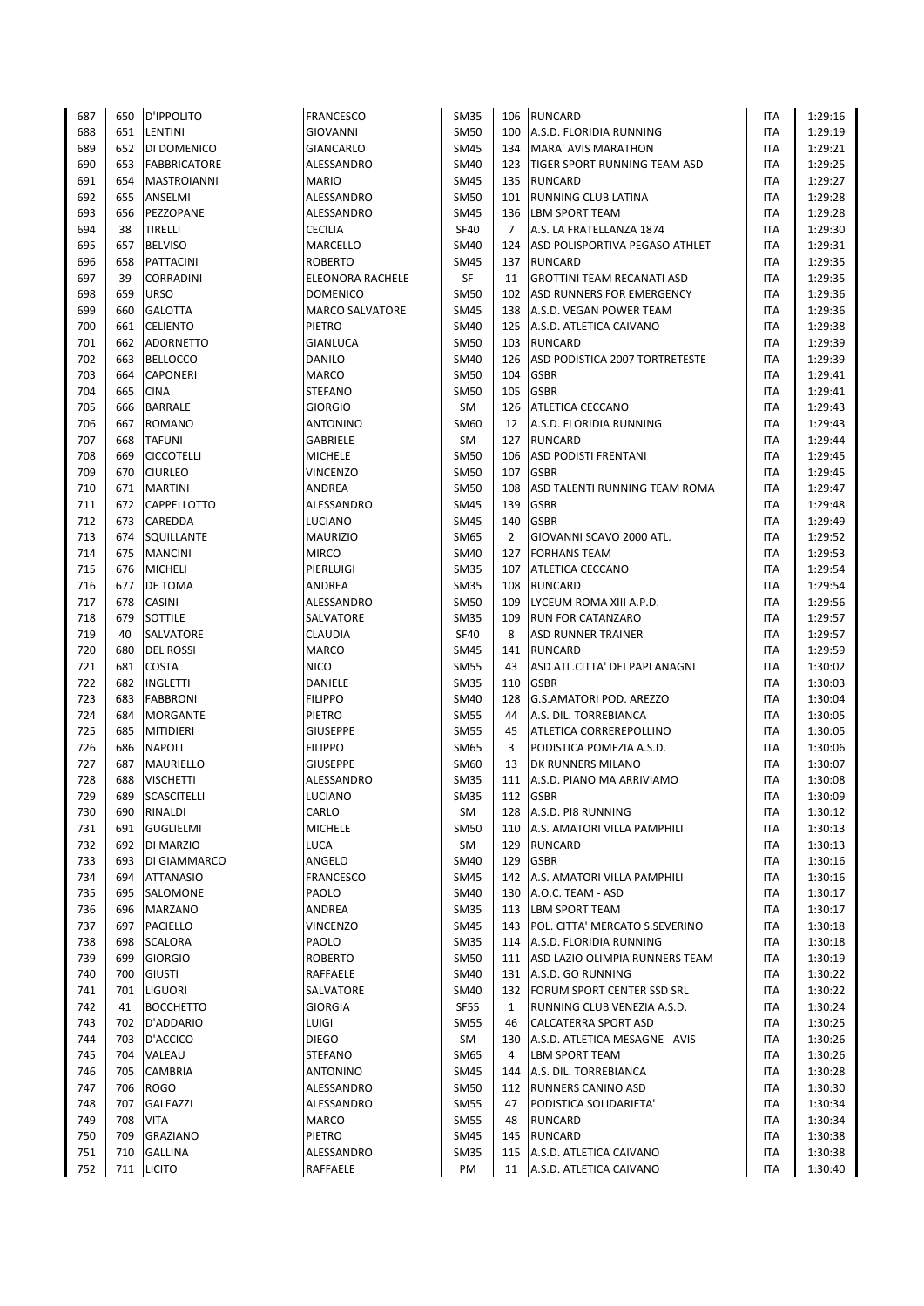| 687 | 650 | <b>D'IPPOLITO</b>   | <b>FRANCESCO</b>       | <b>SM35</b> | 106            | <b>RUNCARD</b>                      | <b>ITA</b> | 1:29:16 |
|-----|-----|---------------------|------------------------|-------------|----------------|-------------------------------------|------------|---------|
| 688 | 651 | LENTINI             | GIOVANNI               | <b>SM50</b> | 100            | A.S.D. FLORIDIA RUNNING             | <b>ITA</b> | 1:29:19 |
|     |     |                     |                        |             |                |                                     |            |         |
| 689 | 652 | DI DOMENICO         | <b>GIANCARLO</b>       | <b>SM45</b> | 134            | MARA' AVIS MARATHON                 | ITA        | 1:29:21 |
| 690 | 653 | <b>FABBRICATORE</b> | ALESSANDRO             | SM40        | 123            | <b>TIGER SPORT RUNNING TEAM ASD</b> | <b>ITA</b> | 1:29:25 |
| 691 | 654 | <b>MASTROIANNI</b>  | <b>MARIO</b>           | <b>SM45</b> | 135            | <b>RUNCARD</b>                      | <b>ITA</b> | 1:29:27 |
| 692 | 655 | ANSELMI             | ALESSANDRO             | <b>SM50</b> | 101            | <b>RUNNING CLUB LATINA</b>          | <b>ITA</b> | 1:29:28 |
| 693 | 656 | PEZZOPANE           | ALESSANDRO             | <b>SM45</b> | 136            | <b>LBM SPORT TEAM</b>               | <b>ITA</b> | 1:29:28 |
| 694 | 38  | <b>TIRELLI</b>      | <b>CECILIA</b>         | <b>SF40</b> | $\overline{7}$ | A.S. LA FRATELLANZA 1874            | <b>ITA</b> | 1:29:30 |
| 695 | 657 | <b>BELVISO</b>      | MARCELLO               | SM40        | 124            | ASD POLISPORTIVA PEGASO ATHLET      | <b>ITA</b> | 1:29:31 |
|     |     |                     |                        |             |                |                                     |            |         |
| 696 | 658 | <b>PATTACINI</b>    | <b>ROBERTO</b>         | SM45        | 137            | <b>RUNCARD</b>                      | <b>ITA</b> | 1:29:35 |
| 697 | 39  | CORRADINI           | ELEONORA RACHELE       | SF          | 11             | <b>GROTTINI TEAM RECANATI ASD</b>   | ITA        | 1:29:35 |
| 698 | 659 | <b>URSO</b>         | <b>DOMENICO</b>        | <b>SM50</b> | 102            | ASD RUNNERS FOR EMERGENCY           | <b>ITA</b> | 1:29:36 |
| 699 | 660 | <b>GALOTTA</b>      | <b>MARCO SALVATORE</b> | <b>SM45</b> |                | 138 A.S.D. VEGAN POWER TEAM         | ITA        | 1:29:36 |
| 700 | 661 | <b>CELIENTO</b>     | PIETRO                 | <b>SM40</b> | 125            | A.S.D. ATLETICA CAIVANO             | ITA        | 1:29:38 |
| 701 | 662 | <b>ADORNETTO</b>    | GIANLUCA               | <b>SM50</b> |                | 103 RUNCARD                         | <b>ITA</b> | 1:29:39 |
| 702 | 663 | <b>BELLOCCO</b>     |                        | SM40        |                | ASD PODISTICA 2007 TORTRETESTE      | <b>ITA</b> |         |
|     |     |                     | DANILO                 |             | 126            |                                     |            | 1:29:39 |
| 703 | 664 | <b>CAPONERI</b>     | <b>MARCO</b>           | <b>SM50</b> | 104            | <b>GSBR</b>                         | <b>ITA</b> | 1:29:41 |
| 704 | 665 | <b>CINA</b>         | <b>STEFANO</b>         | SM50        | 105            | <b>GSBR</b>                         | ITA        | 1:29:41 |
| 705 | 666 | <b>BARRALE</b>      | <b>GIORGIO</b>         | SM          | 126            | <b>ATLETICA CECCANO</b>             | ITA        | 1:29:43 |
| 706 | 667 | <b>ROMANO</b>       | <b>ANTONINO</b>        | SM60        | 12             | A.S.D. FLORIDIA RUNNING             | ITA        | 1:29:43 |
| 707 | 668 | <b>TAFUNI</b>       | GABRIELE               | SM          | 127            | <b>RUNCARD</b>                      | <b>ITA</b> | 1:29:44 |
| 708 | 669 | <b>CICCOTELLI</b>   | <b>MICHELE</b>         | <b>SM50</b> | 106            | <b>ASD PODISTI FRENTANI</b>         | ITA        | 1:29:45 |
| 709 | 670 | <b>CIURLEO</b>      | <b>VINCENZO</b>        | <b>SM50</b> | 107            | <b>GSBR</b>                         | <b>ITA</b> | 1:29:45 |
|     |     |                     |                        |             |                |                                     |            |         |
| 710 | 671 | <b>MARTINI</b>      | ANDREA                 | <b>SM50</b> | 108            | ASD TALENTI RUNNING TEAM ROMA       | <b>ITA</b> | 1:29:47 |
| 711 | 672 | <b>CAPPELLOTTO</b>  | ALESSANDRO             | <b>SM45</b> | 139            | <b>GSBR</b>                         | <b>ITA</b> | 1:29:48 |
| 712 | 673 | CAREDDA             | <b>LUCIANO</b>         | <b>SM45</b> | 140            | <b>GSBR</b>                         | <b>ITA</b> | 1:29:49 |
| 713 | 674 | SQUILLANTE          | <b>MAURIZIO</b>        | SM65        | $\overline{2}$ | GIOVANNI SCAVO 2000 ATL.            | <b>ITA</b> | 1:29:52 |
| 714 | 675 | <b>MANCINI</b>      | <b>MIRCO</b>           | <b>SM40</b> | 127            | <b>FORHANS TEAM</b>                 | <b>ITA</b> | 1:29:53 |
| 715 | 676 | <b>MICHELI</b>      | PIERLUIGI              | <b>SM35</b> | 107            | ATLETICA CECCANO                    | <b>ITA</b> | 1:29:54 |
| 716 | 677 | <b>DE TOMA</b>      | ANDREA                 | <b>SM35</b> | 108            | <b>RUNCARD</b>                      | ITA        | 1:29:54 |
|     |     |                     |                        |             |                |                                     |            |         |
| 717 | 678 | <b>CASINI</b>       | ALESSANDRO             | <b>SM50</b> | 109            | LYCEUM ROMA XIII A.P.D.             | <b>ITA</b> | 1:29:56 |
| 718 | 679 | <b>SOTTILE</b>      | SALVATORE              | <b>SM35</b> | 109            | <b>RUN FOR CATANZARO</b>            | ITA        | 1:29:57 |
| 719 | 40  | SALVATORE           | <b>CLAUDIA</b>         | <b>SF40</b> | 8              | <b>ASD RUNNER TRAINER</b>           | <b>ITA</b> | 1:29:57 |
| 720 | 680 | <b>DEL ROSSI</b>    | <b>MARCO</b>           | <b>SM45</b> | 141            | <b>RUNCARD</b>                      | ITA        | 1:29:59 |
| 721 | 681 | <b>COSTA</b>        | <b>NICO</b>            | <b>SM55</b> | 43             | ASD ATL.CITTA' DEI PAPI ANAGNI      | <b>ITA</b> | 1:30:02 |
| 722 | 682 | INGLETTI            | DANIELE                | <b>SM35</b> | 110            | <b>GSBR</b>                         | ITA        | 1:30:03 |
| 723 | 683 | <b>FABBRONI</b>     | <b>FILIPPO</b>         | SM40        | 128            | G.S.AMATORI POD. AREZZO             | <b>ITA</b> | 1:30:04 |
| 724 |     |                     |                        |             | 44             |                                     |            |         |
|     | 684 | <b>MORGANTE</b>     | PIETRO                 | <b>SM55</b> |                | A.S. DIL. TORREBIANCA               | ITA        | 1:30:05 |
| 725 | 685 | <b>MITIDIERI</b>    | <b>GIUSEPPE</b>        | <b>SM55</b> | 45             | ATLETICA CORREREPOLLINO             | <b>ITA</b> | 1:30:05 |
| 726 | 686 | <b>NAPOLI</b>       | <b>FILIPPO</b>         | <b>SM65</b> | 3              | PODISTICA POMEZIA A.S.D.            | ITA        | 1:30:06 |
| 727 | 687 | <b>MAURIELLO</b>    | <b>GIUSEPPE</b>        | SM60        | 13             | DK RUNNERS MILANO                   | <b>ITA</b> | 1:30:07 |
| 728 | 688 | <b>VISCHETTI</b>    | ALESSANDRO             | <b>SM35</b> | 111            | A.S.D. PIANO MA ARRIVIAMO           | ITA        | 1:30:08 |
| 729 | 689 | <b>SCASCITELLI</b>  | <b>LUCIANO</b>         | <b>SM35</b> |                | 112 GSBR                            | <b>ITA</b> | 1:30:09 |
| 730 | 690 | RINALDI             | CARLO                  | SM          | 128            | A.S.D. PI8 RUNNING                  | ITA        | 1:30:12 |
| 731 | 691 | <b>GUGLIELMI</b>    | <b>MICHELE</b>         | SM50        | 110            | A.S. AMATORI VILLA PAMPHILI         | ITA        | 1:30:13 |
|     |     |                     |                        |             |                |                                     |            |         |
| 732 | 692 | DI MARZIO           | <b>LUCA</b>            | SM          | 129            | <b>RUNCARD</b>                      | ITA        | 1:30:13 |
| 733 | 693 | DI GIAMMARCO        | ANGELO                 | SM40        | 129            | <b>GSBR</b>                         | ITA        | 1:30:16 |
| 734 | 694 | <b>ATTANASIO</b>    | <b>FRANCESCO</b>       | SM45        | 142            | A.S. AMATORI VILLA PAMPHILI         | ITA        | 1:30:16 |
| 735 | 695 | SALOMONE            | PAOLO                  | SM40        | 130            | A.O.C. TEAM - ASD                   | ITA        | 1:30:17 |
| 736 | 696 | <b>MARZANO</b>      | ANDREA                 | <b>SM35</b> |                | 113 LBM SPORT TEAM                  | <b>ITA</b> | 1:30:17 |
| 737 | 697 | <b>PACIELLO</b>     | <b>VINCENZO</b>        | <b>SM45</b> |                | 143 POL. CITTA' MERCATO S.SEVERINO  | ITA        | 1:30:18 |
| 738 | 698 | <b>SCALORA</b>      | PAOLO                  | <b>SM35</b> | 114            | A.S.D. FLORIDIA RUNNING             | ITA        | 1:30:18 |
| 739 | 699 | <b>GIORGIO</b>      | ROBERTO                | <b>SM50</b> |                | 111 ASD LAZIO OLIMPIA RUNNERS TEAM  | ITA        | 1:30:19 |
|     |     |                     |                        |             |                |                                     |            |         |
| 740 | 700 | <b>GIUSTI</b>       | RAFFAELE               | <b>SM40</b> |                | 131   A.S.D. GO RUNNING             | ITA        | 1:30:22 |
| 741 | 701 | <b>LIGUORI</b>      | SALVATORE              | SM40        |                | 132 FORUM SPORT CENTER SSD SRL      | ITA        | 1:30:22 |
| 742 | 41  | <b>BOCCHETTO</b>    | <b>GIORGIA</b>         | <b>SF55</b> | 1              | RUNNING CLUB VENEZIA A.S.D.         | ITA        | 1:30:24 |
| 743 | 702 | D'ADDARIO           | LUIGI                  | <b>SM55</b> | 46             | <b>CALCATERRA SPORT ASD</b>         | ITA        | 1:30:25 |
| 744 | 703 | D'ACCICO            | <b>DIEGO</b>           | SM          | 130            | A.S.D. ATLETICA MESAGNE - AVIS      | ITA        | 1:30:26 |
| 745 | 704 | VALEAU              | <b>STEFANO</b>         | SM65        | 4              | <b>LBM SPORT TEAM</b>               | ITA        | 1:30:26 |
| 746 | 705 | <b>CAMBRIA</b>      | ANTONINO               | <b>SM45</b> | 144            | A.S. DIL. TORREBIANCA               | ITA        | 1:30:28 |
|     |     |                     |                        |             |                |                                     |            |         |
| 747 | 706 | <b>ROGO</b>         | ALESSANDRO             | SM50        | 112            | RUNNERS CANINO ASD                  | ITA        | 1:30:30 |
| 748 | 707 | GALEAZZI            | ALESSANDRO             | <b>SM55</b> | 47             | PODISTICA SOLIDARIETA'              | ITA        | 1:30:34 |
| 749 | 708 | <b>VITA</b>         | <b>MARCO</b>           | SM55        | 48             | <b>RUNCARD</b>                      | ITA        | 1:30:34 |
| 750 | 709 | <b>GRAZIANO</b>     | PIETRO                 | SM45        | 145            | <b>RUNCARD</b>                      | ITA        | 1:30:38 |
| 751 | 710 | <b>GALLINA</b>      | ALESSANDRO             | SM35        | 115            | A.S.D. ATLETICA CAIVANO             | ITA        | 1:30:38 |
| 752 | 711 | <b>LICITO</b>       | RAFFAELE               | PM          | 11             | A.S.D. ATLETICA CAIVANO             | ITA        | 1:30:40 |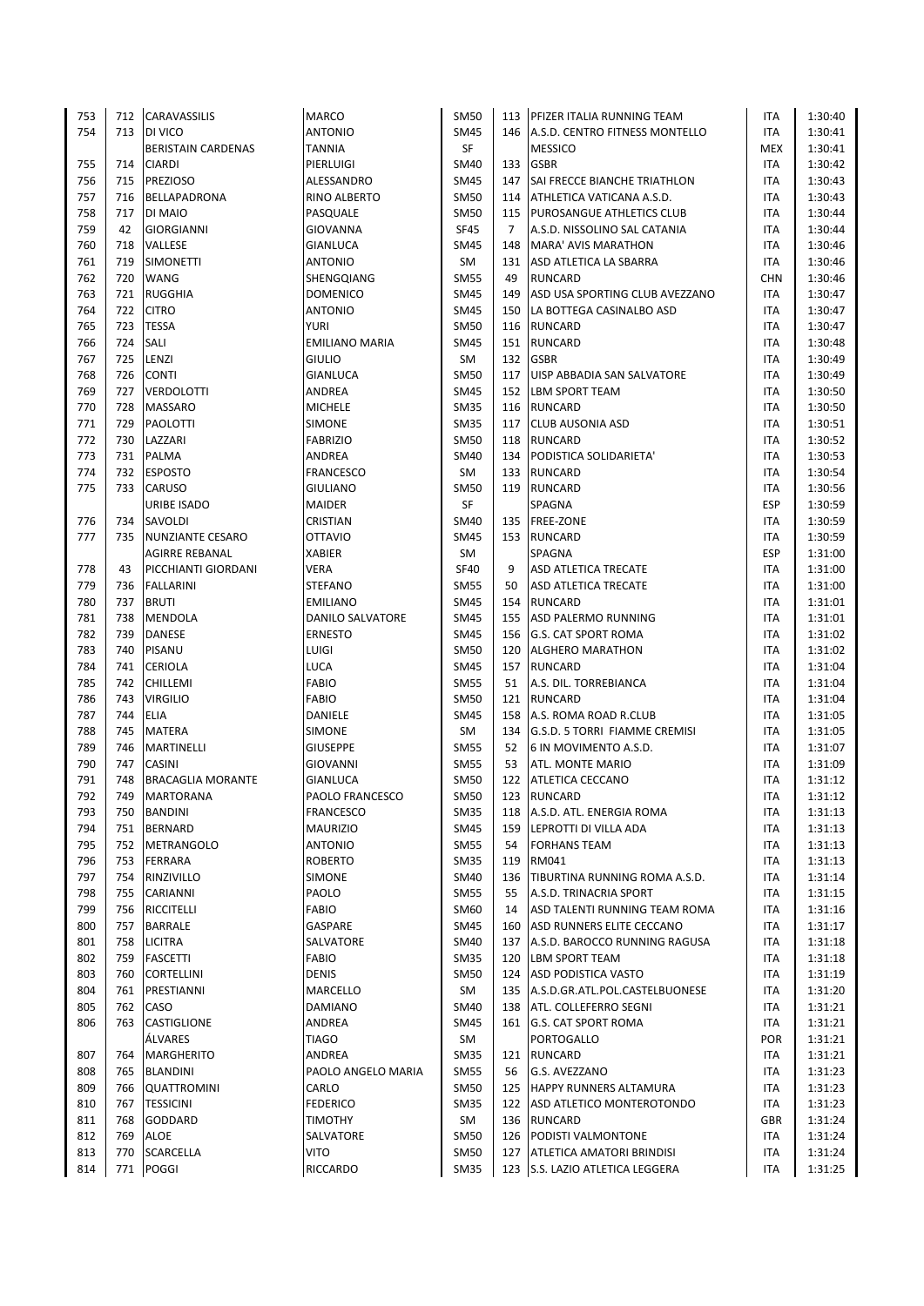| 753 | 712 | <b>CARAVASSILIS</b>       | <b>MARCO</b>          | <b>SM50</b> | 113            | <b>PFIZER ITALIA RUNNING TEAM</b>   | <b>ITA</b> | 1:30:40 |
|-----|-----|---------------------------|-----------------------|-------------|----------------|-------------------------------------|------------|---------|
| 754 | 713 | DI VICO                   | <b>ANTONIO</b>        | <b>SM45</b> |                | 146 A.S.D. CENTRO FITNESS MONTELLO  | <b>ITA</b> | 1:30:41 |
|     |     | <b>BERISTAIN CARDENAS</b> | <b>TANNIA</b>         | SF          |                | <b>MESSICO</b>                      | <b>MEX</b> | 1:30:41 |
| 755 | 714 | <b>CIARDI</b>             | PIERLUIGI             | <b>SM40</b> | 133            | <b>GSBR</b>                         | <b>ITA</b> | 1:30:42 |
| 756 | 715 | <b>PREZIOSO</b>           | ALESSANDRO            | <b>SM45</b> | 147            | <b>SAI FRECCE BIANCHE TRIATHLON</b> | <b>ITA</b> | 1:30:43 |
|     | 716 |                           |                       |             |                |                                     |            |         |
| 757 |     | BELLAPADRONA              | RINO ALBERTO          | <b>SM50</b> | 114            | ATHLETICA VATICANA A.S.D.           | <b>ITA</b> | 1:30:43 |
| 758 | 717 | DI MAIO                   | PASQUALE              | <b>SM50</b> | 115            | <b>PUROSANGUE ATHLETICS CLUB</b>    | <b>ITA</b> | 1:30:44 |
| 759 | 42  | <b>GIORGIANNI</b>         | GIOVANNA              | <b>SF45</b> | $\overline{7}$ | A.S.D. NISSOLINO SAL CATANIA        | <b>ITA</b> | 1:30:44 |
| 760 | 718 | VALLESE                   | <b>GIANLUCA</b>       | SM45        | 148            | MARA' AVIS MARATHON                 | <b>ITA</b> | 1:30:46 |
| 761 | 719 | <b>SIMONETTI</b>          | <b>ANTONIO</b>        | SM          | 131            | ASD ATLETICA LA SBARRA              | <b>ITA</b> | 1:30:46 |
| 762 | 720 | <b>WANG</b>               | SHENGQIANG            | <b>SM55</b> | 49             | <b>RUNCARD</b>                      | <b>CHN</b> | 1:30:46 |
| 763 | 721 | <b>RUGGHIA</b>            | <b>DOMENICO</b>       | <b>SM45</b> | 149            | ASD USA SPORTING CLUB AVEZZANO      | <b>ITA</b> | 1:30:47 |
| 764 | 722 | <b>CITRO</b>              | <b>ANTONIO</b>        | <b>SM45</b> | 150            | LA BOTTEGA CASINALBO ASD            | <b>ITA</b> | 1:30:47 |
| 765 | 723 | <b>TESSA</b>              | <b>YURI</b>           | <b>SM50</b> | 116            | <b>RUNCARD</b>                      | <b>ITA</b> | 1:30:47 |
| 766 | 724 | SALI                      | <b>EMILIANO MARIA</b> | <b>SM45</b> |                | 151 RUNCARD                         | <b>ITA</b> | 1:30:48 |
| 767 | 725 | LENZI                     | <b>GIULIO</b>         | SM          | 132            | <b>GSBR</b>                         | <b>ITA</b> | 1:30:49 |
|     |     |                           |                       |             |                |                                     |            |         |
| 768 | 726 | <b>CONTI</b>              | <b>GIANLUCA</b>       | <b>SM50</b> | 117            | UISP ABBADIA SAN SALVATORE          | ITA        | 1:30:49 |
| 769 | 727 | <b>VERDOLOTTI</b>         | ANDREA                | <b>SM45</b> | 152            | <b>LBM SPORT TEAM</b>               | ITA        | 1:30:50 |
| 770 | 728 | <b>MASSARO</b>            | <b>MICHELE</b>        | <b>SM35</b> | 116            | <b>RUNCARD</b>                      | <b>ITA</b> | 1:30:50 |
| 771 | 729 | PAOLOTTI                  | SIMONE                | <b>SM35</b> | 117            | <b>CLUB AUSONIA ASD</b>             | <b>ITA</b> | 1:30:51 |
| 772 | 730 | LAZZARI                   | <b>FABRIZIO</b>       | <b>SM50</b> |                | 118 RUNCARD                         | <b>ITA</b> | 1:30:52 |
| 773 | 731 | <b>PALMA</b>              | ANDREA                | <b>SM40</b> | 134            | PODISTICA SOLIDARIETA'              | ITA        | 1:30:53 |
| 774 | 732 | <b>ESPOSTO</b>            | <b>FRANCESCO</b>      | SM          |                | 133 RUNCARD                         | ITA        | 1:30:54 |
| 775 | 733 | <b>CARUSO</b>             | <b>GIULIANO</b>       | <b>SM50</b> |                | 119 RUNCARD                         | <b>ITA</b> | 1:30:56 |
|     |     | <b>URIBE ISADO</b>        | MAIDER                | SF          |                | SPAGNA                              | <b>ESP</b> | 1:30:59 |
| 776 | 734 | SAVOLDI                   | CRISTIAN              | SM40        | 135            | <b>FREE-ZONE</b>                    | <b>ITA</b> | 1:30:59 |
| 777 | 735 |                           | <b>OTTAVIO</b>        |             | 153            |                                     | ITA        | 1:30:59 |
|     |     | NUNZIANTE CESARO          |                       | SM45        |                | RUNCARD                             |            |         |
|     |     | <b>AGIRRE REBANAL</b>     | <b>XABIER</b>         | SM          |                | SPAGNA                              | <b>ESP</b> | 1:31:00 |
| 778 | 43  | PICCHIANTI GIORDANI       | VERA                  | <b>SF40</b> | 9              | ASD ATLETICA TRECATE                | ITA        | 1:31:00 |
| 779 | 736 | <b>FALLARINI</b>          | <b>STEFANO</b>        | <b>SM55</b> | 50             | ASD ATLETICA TRECATE                | ITA        | 1:31:00 |
| 780 | 737 | <b>BRUTI</b>              | <b>EMILIANO</b>       | SM45        | 154            | <b>RUNCARD</b>                      | <b>ITA</b> | 1:31:01 |
| 781 | 738 | <b>MENDOLA</b>            | DANILO SALVATORE      | SM45        | 155            | ASD PALERMO RUNNING                 | <b>ITA</b> | 1:31:01 |
| 782 | 739 | <b>DANESE</b>             | <b>ERNESTO</b>        | <b>SM45</b> | 156            | <b>G.S. CAT SPORT ROMA</b>          | <b>ITA</b> | 1:31:02 |
| 783 | 740 | <b>PISANU</b>             | LUIGI                 | <b>SM50</b> | 120            | <b>ALGHERO MARATHON</b>             | <b>ITA</b> | 1:31:02 |
| 784 | 741 | <b>CERIOLA</b>            | LUCA                  | <b>SM45</b> | 157            | <b>RUNCARD</b>                      | <b>ITA</b> | 1:31:04 |
| 785 | 742 | <b>CHILLEMI</b>           | <b>FABIO</b>          | <b>SM55</b> | 51             | A.S. DIL. TORREBIANCA               | ITA        | 1:31:04 |
| 786 | 743 | <b>VIRGILIO</b>           | FABIO                 | <b>SM50</b> | 121            | <b>RUNCARD</b>                      | <b>ITA</b> | 1:31:04 |
| 787 | 744 | <b>ELIA</b>               | DANIELE               | <b>SM45</b> | 158            | A.S. ROMA ROAD R.CLUB               | <b>ITA</b> | 1:31:05 |
| 788 | 745 | <b>MATERA</b>             | SIMONE                | SM          | 134            | G.S.D. 5 TORRI FIAMME CREMISI       | <b>ITA</b> |         |
|     |     |                           |                       |             |                |                                     |            | 1:31:05 |
| 789 | 746 | <b>MARTINELLI</b>         | <b>GIUSEPPE</b>       | <b>SM55</b> | 52             | 6 IN MOVIMENTO A.S.D.               | <b>ITA</b> | 1:31:07 |
| 790 | 747 | CASINI                    | <b>GIOVANNI</b>       | <b>SM55</b> | 53             | <b>ATL. MONTE MARIO</b>             | <b>ITA</b> | 1:31:09 |
| 791 | 748 | <b>BRACAGLIA MORANTE</b>  | <b>GIANLUCA</b>       | <b>SM50</b> | 122            | <b>ATLETICA CECCANO</b>             | <b>ITA</b> | 1:31:12 |
| 792 | 749 | <b>MARTORANA</b>          | PAOLO FRANCESCO       | SM50        |                | 123 RUNCARD                         | <b>ITA</b> | 1:31:12 |
| 793 | 750 | <b>BANDINI</b>            | <b>FRANCESCO</b>      | SM35        | 118            | A.S.D. ATL. ENERGIA ROMA            | ITA        | 1:31:13 |
| 794 | 751 | <b>BERNARD</b>            | <b>MAURIZIO</b>       | <b>SM45</b> | 159            | LEPROTTI DI VILLA ADA               | ITA        | 1:31:13 |
| 795 | 752 | <b>METRANGOLO</b>         | <b>ANTONIO</b>        | <b>SM55</b> | 54             | <b>FORHANS TEAM</b>                 | ITA        | 1:31:13 |
| 796 | 753 | <b>FERRARA</b>            | <b>ROBERTO</b>        | <b>SM35</b> | 119            | RM041                               | ITA        | 1:31:13 |
| 797 | 754 | RINZIVILLO                | SIMONE                | SM40        | 136            | TIBURTINA RUNNING ROMA A.S.D.       | ITA        | 1:31:14 |
| 798 | 755 | CARIANNI                  | PAOLO                 | <b>SM55</b> | 55             | A.S.D. TRINACRIA SPORT              | ITA        | 1:31:15 |
| 799 |     | 756 RICCITELLI            | <b>FABIO</b>          | SM60        | 14             | ASD TALENTI RUNNING TEAM ROMA       | ITA        | 1:31:16 |
| 800 |     | 757 BARRALE               | GASPARE               | <b>SM45</b> | 160            |                                     | ITA        |         |
|     |     |                           |                       |             |                | ASD RUNNERS ELITE CECCANO           |            | 1:31:17 |
| 801 | 758 | <b>LICITRA</b>            | SALVATORE             | SM40        |                | 137 A.S.D. BAROCCO RUNNING RAGUSA   | ITA        | 1:31:18 |
| 802 | 759 | <b>FASCETTI</b>           | FABIO                 | <b>SM35</b> | 120            | <b>LBM SPORT TEAM</b>               | ITA        | 1:31:18 |
| 803 | 760 | <b>CORTELLINI</b>         | <b>DENIS</b>          | SM50        | 124            | <b>ASD PODISTICA VASTO</b>          | ITA        | 1:31:19 |
| 804 | 761 | PRESTIANNI                | MARCELLO              | SM          |                | 135 A.S.D.GR.ATL.POL.CASTELBUONESE  | ITA        | 1:31:20 |
| 805 | 762 | CASO                      | DAMIANO               | SM40        |                | 138   ATL. COLLEFERRO SEGNI         | ITA        | 1:31:21 |
| 806 | 763 | <b>CASTIGLIONE</b>        | ANDREA                | SM45        |                | 161 G.S. CAT SPORT ROMA             | ITA        | 1:31:21 |
|     |     | ÁLVARES                   | <b>TIAGO</b>          | SM          |                | PORTOGALLO                          | POR        | 1:31:21 |
| 807 | 764 | <b>MARGHERITO</b>         | ANDREA                | SM35        |                | 121 RUNCARD                         | ITA        | 1:31:21 |
| 808 |     | 765 BLANDINI              | PAOLO ANGELO MARIA    | <b>SM55</b> | 56             | G.S. AVEZZANO                       | ITA        | 1:31:23 |
| 809 | 766 | <b>QUATTROMINI</b>        | CARLO                 | SM50        | 125            | <b>HAPPY RUNNERS ALTAMURA</b>       | ITA        | 1:31:23 |
| 810 | 767 | <b>TESSICINI</b>          | <b>FEDERICO</b>       | <b>SM35</b> |                | 122 ASD ATLETICO MONTEROTONDO       | <b>ITA</b> | 1:31:23 |
|     |     |                           |                       |             |                |                                     |            |         |
| 811 | 768 | <b>GODDARD</b>            | <b>TIMOTHY</b>        | SM          |                | 136 RUNCARD                         | GBR        | 1:31:24 |
| 812 | 769 | ALOE                      | SALVATORE             | SM50        | 126            | <b>PODISTI VALMONTONE</b>           | ITA        | 1:31:24 |
| 813 | 770 | <b>SCARCELLA</b>          | VITO                  | SM50        | 127            | <b>ATLETICA AMATORI BRINDISI</b>    | ITA        | 1:31:24 |
| 814 | 771 | <b>POGGI</b>              | RICCARDO              | <b>SM35</b> |                | 123 S.S. LAZIO ATLETICA LEGGERA     | <b>ITA</b> | 1:31:25 |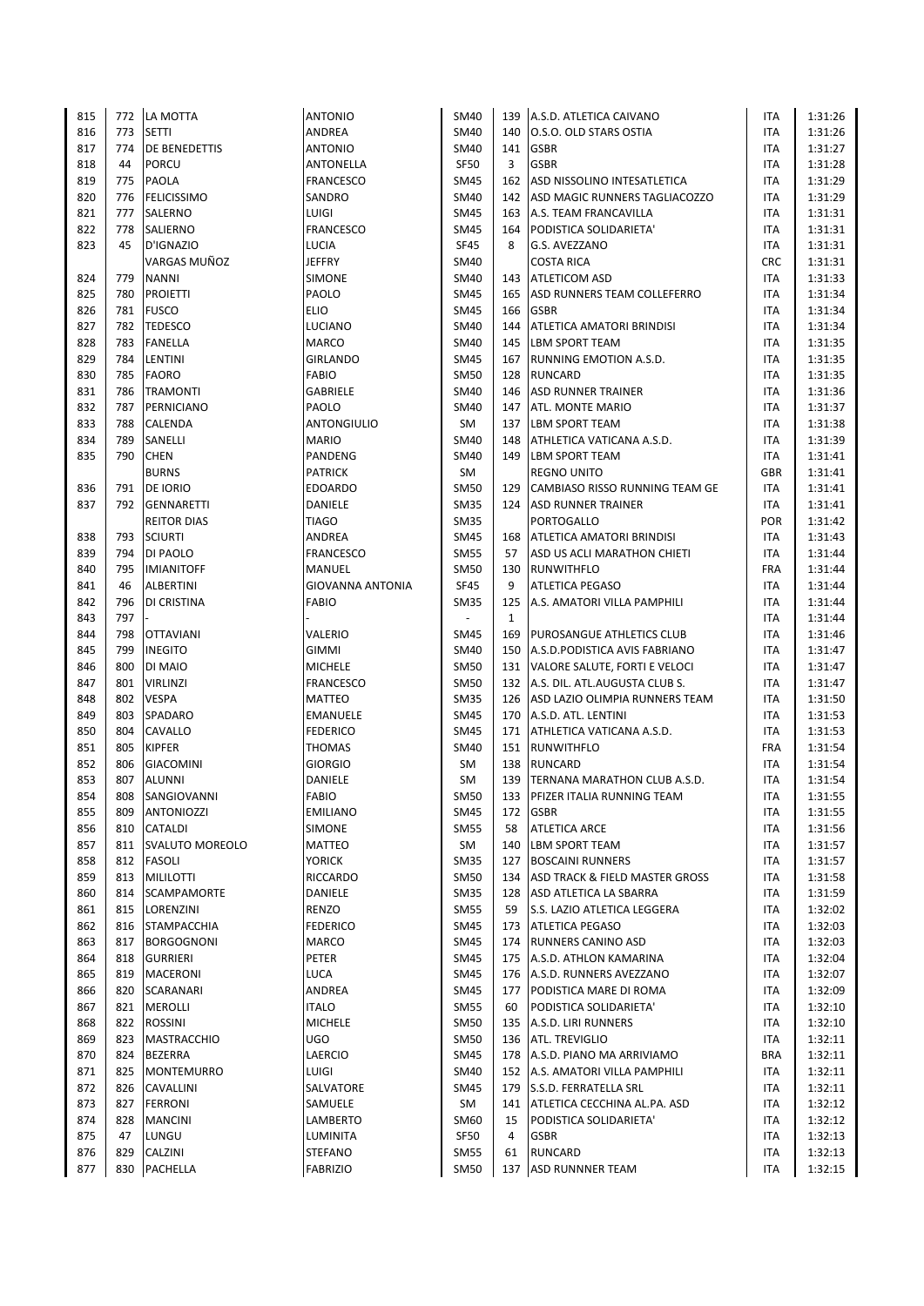| 815 |     | 772 LA MOTTA           | <b>ANTONIO</b>          | SM40                     | 139          | A.S.D. ATLETICA CAIVANO          | ITA        | 1:31:26 |
|-----|-----|------------------------|-------------------------|--------------------------|--------------|----------------------------------|------------|---------|
| 816 | 773 | <b>SETTI</b>           | ANDREA                  | <b>SM40</b>              | 140          | O.S.O. OLD STARS OSTIA           | <b>ITA</b> | 1:31:26 |
| 817 | 774 | <b>DE BENEDETTIS</b>   | <b>ANTONIO</b>          | SM40                     | 141          | <b>GSBR</b>                      | ITA        | 1:31:27 |
| 818 | 44  | <b>PORCU</b>           | ANTONELLA               | <b>SF50</b>              | 3            | <b>GSBR</b>                      | ITA        | 1:31:28 |
| 819 | 775 | PAOLA                  | <b>FRANCESCO</b>        | SM45                     | 162          | ASD NISSOLINO INTESATLETICA      | <b>ITA</b> | 1:31:29 |
| 820 | 776 | <b>FELICISSIMO</b>     | SANDRO                  | SM40                     | 142          | ASD MAGIC RUNNERS TAGLIACOZZO    | <b>ITA</b> | 1:31:29 |
| 821 | 777 | SALERNO                | LUIGI                   | <b>SM45</b>              | 163          | A.S. TEAM FRANCAVILLA            | ITA        | 1:31:31 |
| 822 | 778 | SALIERNO               | <b>FRANCESCO</b>        | <b>SM45</b>              | 164          | PODISTICA SOLIDARIETA'           | ITA        | 1:31:31 |
| 823 | 45  | D'IGNAZIO              | LUCIA                   | <b>SF45</b>              | 8            | G.S. AVEZZANO                    | ITA        | 1:31:31 |
|     |     | VARGAS MUÑOZ           | <b>JEFFRY</b>           | SM40                     |              | <b>COSTA RICA</b>                | <b>CRC</b> | 1:31:31 |
| 824 | 779 | <b>NANNI</b>           | <b>SIMONE</b>           | SM40                     | 143          | <b>ATLETICOM ASD</b>             | ITA        | 1:31:33 |
| 825 | 780 | <b>PROIETTI</b>        | PAOLO                   | SM45                     | 165          | ASD RUNNERS TEAM COLLEFERRO      | <b>ITA</b> | 1:31:34 |
| 826 |     | 781 FUSCO              | <b>ELIO</b>             | SM45                     | 166          | <b>GSBR</b>                      | <b>ITA</b> | 1:31:34 |
| 827 | 782 | <b>TEDESCO</b>         | <b>LUCIANO</b>          | SM40                     | 144          | <b>ATLETICA AMATORI BRINDISI</b> | <b>ITA</b> | 1:31:34 |
| 828 | 783 |                        | <b>MARCO</b>            | SM40                     | 145          | <b>LBM SPORT TEAM</b>            | ITA        |         |
|     |     | <b>FANELLA</b>         |                         |                          |              |                                  |            | 1:31:35 |
| 829 | 784 | <b>LENTINI</b>         | <b>GIRLANDO</b>         | <b>SM45</b>              | 167          | RUNNING EMOTION A.S.D.           | <b>ITA</b> | 1:31:35 |
| 830 | 785 | <b>FAORO</b>           | <b>FABIO</b>            | <b>SM50</b>              | 128          | <b>RUNCARD</b>                   | ITA        | 1:31:35 |
| 831 | 786 | <b>TRAMONTI</b>        | GABRIELE                | SM40                     | 146          | <b>ASD RUNNER TRAINER</b>        | ITA        | 1:31:36 |
| 832 | 787 | PERNICIANO             | PAOLO                   | SM40                     | 147          | <b>ATL. MONTE MARIO</b>          | ITA        | 1:31:37 |
| 833 | 788 | CALENDA                | <b>ANTONGIULIO</b>      | SM                       | 137          | <b>LBM SPORT TEAM</b>            | <b>ITA</b> | 1:31:38 |
| 834 | 789 | SANELLI                | <b>MARIO</b>            | SM40                     | 148          | ATHLETICA VATICANA A.S.D.        | <b>ITA</b> | 1:31:39 |
| 835 | 790 | <b>CHEN</b>            | PANDENG                 | SM40                     | 149          | <b>LBM SPORT TEAM</b>            | ITA        | 1:31:41 |
|     |     | <b>BURNS</b>           | <b>PATRICK</b>          | SM                       |              | <b>REGNO UNITO</b>               | <b>GBR</b> | 1:31:41 |
| 836 | 791 | <b>DE IORIO</b>        | <b>EDOARDO</b>          | <b>SM50</b>              | 129          | CAMBIASO RISSO RUNNING TEAM GE   | <b>ITA</b> | 1:31:41 |
| 837 | 792 | GENNARETTI             | DANIELE                 | <b>SM35</b>              | 124          | <b>ASD RUNNER TRAINER</b>        | <b>ITA</b> | 1:31:41 |
|     |     | <b>REITOR DIAS</b>     | <b>TIAGO</b>            | <b>SM35</b>              |              | PORTOGALLO                       | <b>POR</b> | 1:31:42 |
| 838 | 793 | <b>SCIURTI</b>         | ANDREA                  | <b>SM45</b>              | 168          | <b>ATLETICA AMATORI BRINDISI</b> | ITA        | 1:31:43 |
| 839 | 794 | <b>DI PAOLO</b>        | <b>FRANCESCO</b>        | <b>SM55</b>              | 57           | ASD US ACLI MARATHON CHIETI      | <b>ITA</b> | 1:31:44 |
| 840 | 795 | <b>IMIANITOFF</b>      | MANUEL                  | SM50                     | 130          | <b>RUNWITHFLO</b>                | <b>FRA</b> | 1:31:44 |
| 841 | 46  | <b>ALBERTINI</b>       | <b>GIOVANNA ANTONIA</b> | <b>SF45</b>              | 9            | <b>ATLETICA PEGASO</b>           | ITA        | 1:31:44 |
| 842 | 796 | DI CRISTINA            | <b>FABIO</b>            | SM35                     | 125          | A.S. AMATORI VILLA PAMPHILI      | ITA        | 1:31:44 |
| 843 | 797 |                        |                         | $\overline{\phantom{a}}$ | $\mathbf{1}$ |                                  | ITA        | 1:31:44 |
| 844 | 798 | <b>OTTAVIANI</b>       | VALERIO                 | <b>SM45</b>              | 169          | <b>PUROSANGUE ATHLETICS CLUB</b> | ITA        | 1:31:46 |
| 845 | 799 | <b>INEGITO</b>         | GIMMI                   | SM40                     | 150          | A.S.D. PODISTICA AVIS FABRIANO   | ITA        | 1:31:47 |
| 846 | 800 | DI MAIO                | <b>MICHELE</b>          | <b>SM50</b>              | 131          | VALORE SALUTE, FORTI E VELOCI    | ITA        | 1:31:47 |
| 847 | 801 | <b>VIRLINZI</b>        | <b>FRANCESCO</b>        | <b>SM50</b>              | 132          | A.S. DIL. ATL.AUGUSTA CLUB S.    | <b>ITA</b> | 1:31:47 |
| 848 | 802 | <b>VESPA</b>           | <b>MATTEO</b>           | <b>SM35</b>              | 126          | ASD LAZIO OLIMPIA RUNNERS TEAM   | <b>ITA</b> | 1:31:50 |
| 849 | 803 | SPADARO                | EMANUELE                | <b>SM45</b>              | 170          | A.S.D. ATL. LENTINI              | ITA        | 1:31:53 |
| 850 | 804 | CAVALLO                | <b>FEDERICO</b>         | SM45                     | 171          | ATHLETICA VATICANA A.S.D.        | <b>ITA</b> | 1:31:53 |
| 851 | 805 | <b>KIPFER</b>          | <b>THOMAS</b>           | SM40                     |              | 151 RUNWITHFLO                   | <b>FRA</b> | 1:31:54 |
| 852 | 806 | <b>GIACOMINI</b>       | <b>GIORGIO</b>          | SM                       | 138          | <b>RUNCARD</b>                   | ITA        | 1:31:54 |
| 853 | 807 | <b>ALUNNI</b>          | DANIELE                 | SM                       | 139          | TERNANA MARATHON CLUB A.S.D.     | <b>ITA</b> | 1:31:54 |
| 854 | 808 | SANGIOVANNI            | <b>FABIO</b>            | <b>SM50</b>              |              | 133 PFIZER ITALIA RUNNING TEAM   | <b>ITA</b> | 1:31:55 |
| 855 | 809 | <b>ANTONIOZZI</b>      | <b>EMILIANO</b>         | SM45                     | 172          | <b>GSBR</b>                      | ITA        | 1:31:55 |
| 856 | 810 | CATALDI                | <b>SIMONE</b>           | <b>SM55</b>              | 58           | <b>ATLETICA ARCE</b>             | ITA        | 1:31:56 |
| 857 | 811 | <b>SVALUTO MOREOLO</b> | MATTEO                  | SM                       | 140          | LBM SPORT TEAM                   | ITA        | 1:31:57 |
| 858 |     | 812 FASOLI             | <b>YORICK</b>           | <b>SM35</b>              | 127          | <b>BOSCAINI RUNNERS</b>          | ITA        | 1:31:57 |
| 859 | 813 |                        | RICCARDO                | SM50                     | 134          | ASD TRACK & FIELD MASTER GROSS   | ITA        |         |
|     |     | <b>MILILOTTI</b>       |                         |                          |              |                                  |            | 1:31:58 |
| 860 | 814 | SCAMPAMORTE            | DANIELE                 | <b>SM35</b>              | 128          | <b>ASD ATLETICA LA SBARRA</b>    | ITA        | 1:31:59 |
| 861 | 815 | LORENZINI              | RENZO                   | SM55                     | 59           | S.S. LAZIO ATLETICA LEGGERA      | ITA        | 1:32:02 |
| 862 |     | 816 STAMPACCHIA        | <b>FEDERICO</b>         | SM45                     | 173          | <b>ATLETICA PEGASO</b>           | ITA        | 1:32:03 |
| 863 |     | 817 BORGOGNONI         | MARCO                   | SM45                     | 174          | <b>RUNNERS CANINO ASD</b>        | ITA        | 1:32:03 |
| 864 | 818 | <b>GURRIERI</b>        | PETER                   | SM45                     | 175          | A.S.D. ATHLON KAMARINA           | ITA        | 1:32:04 |
| 865 | 819 | MACERONI               | <b>LUCA</b>             | SM45                     | 176          | A.S.D. RUNNERS AVEZZANO          | ITA        | 1:32:07 |
| 866 |     | 820 SCARANARI          | ANDREA                  | <b>SM45</b>              | 177          | PODISTICA MARE DI ROMA           | ITA        | 1:32:09 |
| 867 | 821 | <b>MEROLLI</b>         | <b>ITALO</b>            | <b>SM55</b>              | 60           | PODISTICA SOLIDARIETA'           | ITA        | 1:32:10 |
| 868 | 822 | <b>ROSSINI</b>         | <b>MICHELE</b>          | SM50                     | 135          | A.S.D. LIRI RUNNERS              | ITA        | 1:32:10 |
| 869 | 823 | MASTRACCHIO            | <b>UGO</b>              | SM50                     | 136          | <b>ATL. TREVIGLIO</b>            | ITA        | 1:32:11 |
| 870 | 824 | <b>BEZERRA</b>         | LAERCIO                 | <b>SM45</b>              | 178          | A.S.D. PIANO MA ARRIVIAMO        | <b>BRA</b> | 1:32:11 |
| 871 | 825 | <b>MONTEMURRO</b>      | LUIGI                   | SM40                     | 152          | A.S. AMATORI VILLA PAMPHILI      | ITA        | 1:32:11 |
| 872 | 826 | <b>CAVALLINI</b>       | SALVATORE               | SM45                     | 179          | <b>S.S.D. FERRATELLA SRL</b>     | ITA        | 1:32:11 |
| 873 | 827 | <b>FERRONI</b>         | SAMUELE                 | SM                       | 141          | ATLETICA CECCHINA AL.PA. ASD     | ITA        | 1:32:12 |
| 874 | 828 | <b>MANCINI</b>         | LAMBERTO                | SM60                     | 15           | PODISTICA SOLIDARIETA'           | ITA        | 1:32:12 |
| 875 | 47  | LUNGU                  | LUMINITA                | <b>SF50</b>              | 4            | <b>GSBR</b>                      | ITA        | 1:32:13 |
| 876 | 829 | CALZINI                | <b>STEFANO</b>          | <b>SM55</b>              | 61           | <b>RUNCARD</b>                   | ITA        | 1:32:13 |
| 877 |     | 830 PACHELLA           | <b>FABRIZIO</b>         | SM50                     | 137          | <b>ASD RUNNNER TEAM</b>          | <b>ITA</b> | 1:32:15 |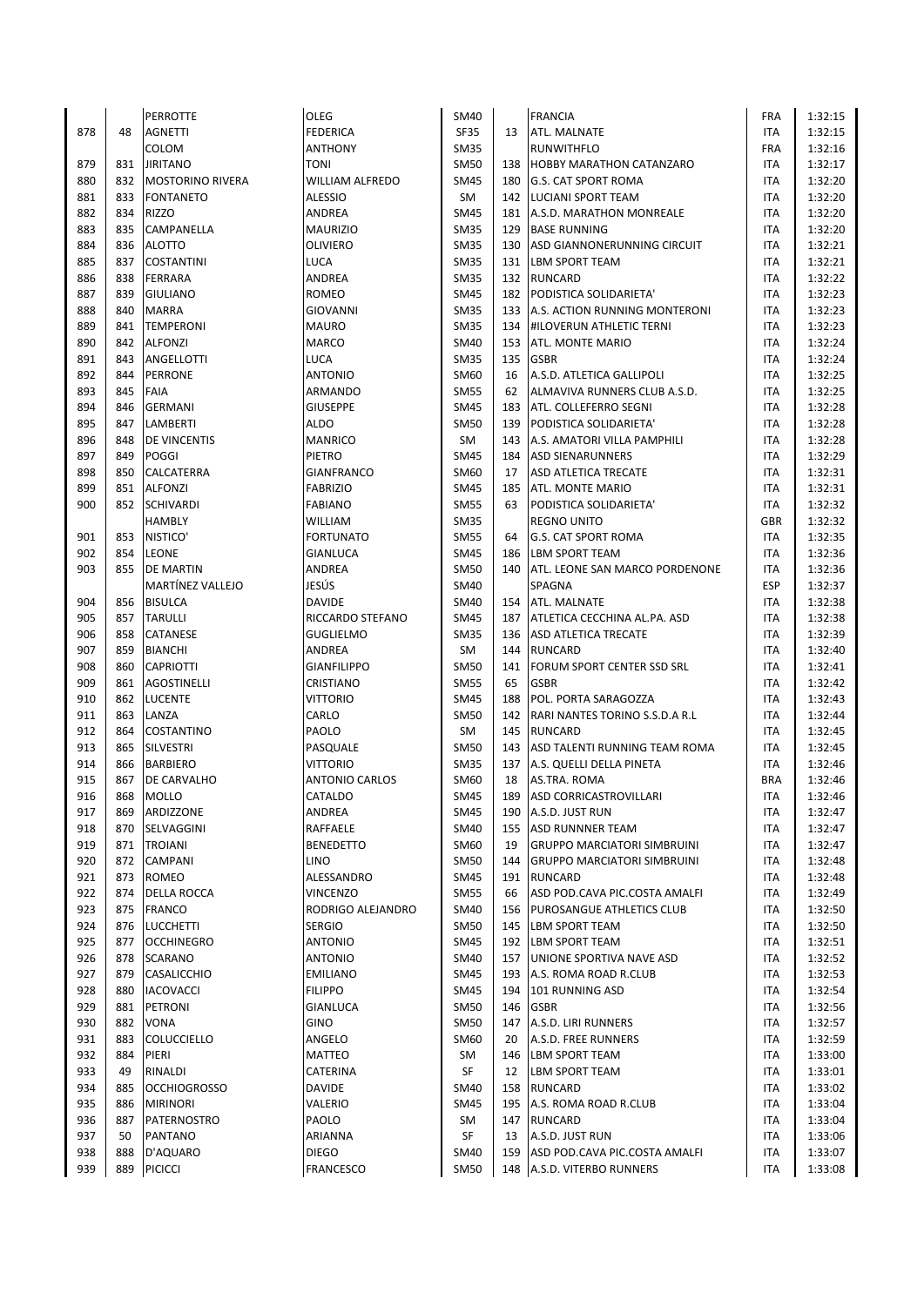|     |     | <b>PERROTTE</b>         | OLEG                   | SM40        |     | <b>FRANCIA</b>                        | <b>FRA</b> | 1:32:15 |
|-----|-----|-------------------------|------------------------|-------------|-----|---------------------------------------|------------|---------|
| 878 | 48  | <b>AGNETTI</b>          | <b>FEDERICA</b>        | <b>SF35</b> | 13  | ATL. MALNATE                          | <b>ITA</b> | 1:32:15 |
|     |     | COLOM                   | <b>ANTHONY</b>         | SM35        |     | <b>RUNWITHFLO</b>                     | <b>FRA</b> | 1:32:16 |
| 879 | 831 | <b>JIRITANO</b>         | <b>TONI</b>            | <b>SM50</b> | 138 | <b>HOBBY MARATHON CATANZARO</b>       | <b>ITA</b> | 1:32:17 |
| 880 | 832 | <b>MOSTORINO RIVERA</b> | <b>WILLIAM ALFREDO</b> | SM45        | 180 | <b>G.S. CAT SPORT ROMA</b>            | <b>ITA</b> | 1:32:20 |
| 881 | 833 | <b>FONTANETO</b>        | <b>ALESSIO</b>         | SM          | 142 | <b>LUCIANI SPORT TEAM</b>             | <b>ITA</b> | 1:32:20 |
| 882 | 834 | <b>RIZZO</b>            | ANDREA                 | <b>SM45</b> | 181 | A.S.D. MARATHON MONREALE              | ITA        | 1:32:20 |
| 883 | 835 | CAMPANELLA              | <b>MAURIZIO</b>        | <b>SM35</b> | 129 | <b>BASE RUNNING</b>                   | <b>ITA</b> | 1:32:20 |
| 884 | 836 | <b>ALOTTO</b>           | <b>OLIVIERO</b>        | <b>SM35</b> | 130 | ASD GIANNONERUNNING CIRCUIT           | <b>ITA</b> | 1:32:21 |
| 885 | 837 | <b>COSTANTINI</b>       | LUCA                   | <b>SM35</b> | 131 | <b>LBM SPORT TEAM</b>                 | ITA        | 1:32:21 |
| 886 | 838 | FERRARA                 | ANDREA                 | SM35        | 132 | <b>RUNCARD</b>                        | <b>ITA</b> | 1:32:22 |
| 887 | 839 | <b>GIULIANO</b>         | ROMEO                  | <b>SM45</b> | 182 | PODISTICA SOLIDARIETA'                | <b>ITA</b> | 1:32:23 |
| 888 | 840 | <b>MARRA</b>            | <b>GIOVANNI</b>        | <b>SM35</b> | 133 | A.S. ACTION RUNNING MONTERONI         | <b>ITA</b> | 1:32:23 |
| 889 | 841 | <b>TEMPERONI</b>        | <b>MAURO</b>           | <b>SM35</b> | 134 | <b>HILOVERUN ATHLETIC TERNI</b>       | <b>ITA</b> | 1:32:23 |
| 890 | 842 | <b>ALFONZI</b>          | <b>MARCO</b>           | SM40        | 153 | <b>ATL. MONTE MARIO</b>               | <b>ITA</b> | 1:32:24 |
| 891 | 843 | ANGELLOTTI              | LUCA                   | <b>SM35</b> | 135 | <b>GSBR</b>                           | <b>ITA</b> | 1:32:24 |
| 892 | 844 | <b>PERRONE</b>          | <b>ANTONIO</b>         | SM60        | 16  | A.S.D. ATLETICA GALLIPOLI             | <b>ITA</b> | 1:32:25 |
| 893 | 845 | <b>FAIA</b>             | ARMANDO                | <b>SM55</b> | 62  | ALMAVIVA RUNNERS CLUB A.S.D.          | <b>ITA</b> | 1:32:25 |
| 894 | 846 | <b>GERMANI</b>          | <b>GIUSEPPE</b>        | SM45        | 183 | <b>ATL. COLLEFERRO SEGNI</b>          | <b>ITA</b> | 1:32:28 |
| 895 | 847 | LAMBERTI                | <b>ALDO</b>            | <b>SM50</b> | 139 | PODISTICA SOLIDARIETA'                | <b>ITA</b> | 1:32:28 |
| 896 | 848 | DE VINCENTIS            | <b>MANRICO</b>         | SM          | 143 | A.S. AMATORI VILLA PAMPHILI           | <b>ITA</b> | 1:32:28 |
| 897 | 849 | POGGI                   | PIETRO                 | <b>SM45</b> | 184 | <b>ASD SIENARUNNERS</b>               | ITA        | 1:32:29 |
| 898 | 850 | CALCATERRA              | <b>GIANFRANCO</b>      | SM60        | 17  | <b>ASD ATLETICA TRECATE</b>           | <b>ITA</b> | 1:32:31 |
| 899 | 851 | <b>ALFONZI</b>          | <b>FABRIZIO</b>        | SM45        | 185 | <b>ATL. MONTE MARIO</b>               | <b>ITA</b> | 1:32:31 |
|     | 852 |                         |                        |             | 63  | PODISTICA SOLIDARIETA'                | <b>ITA</b> | 1:32:32 |
| 900 |     | <b>SCHIVARDI</b>        | <b>FABIANO</b>         | <b>SM55</b> |     |                                       |            |         |
|     |     | <b>HAMBLY</b>           | WILLIAM                | <b>SM35</b> |     | <b>REGNO UNITO</b>                    | <b>GBR</b> | 1:32:32 |
| 901 | 853 | NISTICO'                | <b>FORTUNATO</b>       | <b>SM55</b> | 64  | <b>G.S. CAT SPORT ROMA</b>            | <b>ITA</b> | 1:32:35 |
| 902 | 854 | <b>LEONE</b>            | <b>GIANLUCA</b>        | SM45        | 186 | <b>LBM SPORT TEAM</b>                 | <b>ITA</b> | 1:32:36 |
| 903 | 855 | <b>DE MARTIN</b>        | ANDREA                 | <b>SM50</b> | 140 | <b>ATL. LEONE SAN MARCO PORDENONE</b> | <b>ITA</b> | 1:32:36 |
|     |     | <b>MARTÍNEZ VALLEJO</b> | JESÚS                  | SM40        |     | SPAGNA                                | <b>ESP</b> | 1:32:37 |
| 904 | 856 | <b>BISULCA</b>          | <b>DAVIDE</b>          | SM40        | 154 | ATL. MALNATE                          | <b>ITA</b> | 1:32:38 |
| 905 | 857 | <b>TARULLI</b>          | RICCARDO STEFANO       | SM45        | 187 | ATLETICA CECCHINA AL.PA. ASD          | <b>ITA</b> | 1:32:38 |
| 906 | 858 | <b>CATANESE</b>         | <b>GUGLIELMO</b>       | <b>SM35</b> | 136 | <b>ASD ATLETICA TRECATE</b>           | <b>ITA</b> | 1:32:39 |
| 907 | 859 | <b>BIANCHI</b>          | ANDREA                 | SM          | 144 | <b>RUNCARD</b>                        | <b>ITA</b> | 1:32:40 |
| 908 | 860 | <b>CAPRIOTTI</b>        | <b>GIANFILIPPO</b>     | <b>SM50</b> | 141 | <b>FORUM SPORT CENTER SSD SRL</b>     | <b>ITA</b> | 1:32:41 |
| 909 | 861 | <b>AGOSTINELLI</b>      | CRISTIANO              | <b>SM55</b> | 65  | <b>GSBR</b>                           | <b>ITA</b> | 1:32:42 |
| 910 | 862 | LUCENTE                 | <b>VITTORIO</b>        | SM45        | 188 | POL. PORTA SARAGOZZA                  | <b>ITA</b> | 1:32:43 |
| 911 | 863 | LANZA                   | CARLO                  | SM50        | 142 | RARI NANTES TORINO S.S.D.A R.L        | <b>ITA</b> | 1:32:44 |
| 912 | 864 | <b>COSTANTINO</b>       | PAOLO                  | SM          | 145 | <b>RUNCARD</b>                        | <b>ITA</b> | 1:32:45 |
| 913 | 865 | <b>SILVESTRI</b>        | PASQUALE               | <b>SM50</b> | 143 | ASD TALENTI RUNNING TEAM ROMA         | <b>ITA</b> | 1:32:45 |
| 914 | 866 | <b>BARBIERO</b>         | <b>VITTORIO</b>        | <b>SM35</b> | 137 | A.S. QUELLI DELLA PINETA              | ITA        | 1:32:46 |
| 915 | 867 | DE CARVALHO             | <b>ANTONIO CARLOS</b>  | SM60        | 18  | AS.TRA. ROMA                          | <b>BRA</b> | 1:32:46 |
| 916 | 868 | <b>MOLLO</b>            | CATALDO                | <b>SM45</b> | 189 | <b>ASD CORRICASTROVILLARI</b>         | <b>ITA</b> | 1:32:46 |
| 917 | 869 | ARDIZZONE               | ANDREA                 | <b>SM45</b> | 190 | A.S.D. JUST RUN                       | ITA        | 1:32:47 |
| 918 | 870 | SELVAGGINI              | RAFFAELE               | SM40        | 155 | <b>ASD RUNNNER TEAM</b>               | ITA        | 1:32:47 |
| 919 | 871 | <b>TROIANI</b>          | <b>BENEDETTO</b>       | SM60        | 19  | <b>GRUPPO MARCIATORI SIMBRUINI</b>    | <b>ITA</b> | 1:32:47 |
| 920 | 872 | <b>CAMPANI</b>          | LINO                   | <b>SM50</b> | 144 | <b>GRUPPO MARCIATORI SIMBRUINI</b>    | ITA        | 1:32:48 |
| 921 | 873 | <b>ROMEO</b>            | ALESSANDRO             | SM45        | 191 | <b>RUNCARD</b>                        | ITA        | 1:32:48 |
| 922 | 874 | DELLA ROCCA             | <b>VINCENZO</b>        | <b>SM55</b> | 66  | ASD POD.CAVA PIC.COSTA AMALFI         | ITA        | 1:32:49 |
| 923 | 875 | FRANCO                  | RODRIGO ALEJANDRO      | SM40        | 156 | <b>PUROSANGUE ATHLETICS CLUB</b>      | ITA        | 1:32:50 |
| 924 |     | 876 LUCCHETTI           | <b>SERGIO</b>          | SM50        |     | 145 LBM SPORT TEAM                    | <b>ITA</b> | 1:32:50 |
| 925 | 877 | <b>OCCHINEGRO</b>       | <b>ANTONIO</b>         | SM45        |     | 192 LBM SPORT TEAM                    | ITA        | 1:32:51 |
| 926 | 878 | <b>SCARANO</b>          | <b>ANTONIO</b>         | SM40        | 157 | UNIONE SPORTIVA NAVE ASD              | ITA        | 1:32:52 |
| 927 | 879 | <b>CASALICCHIO</b>      | <b>EMILIANO</b>        | SM45        | 193 | A.S. ROMA ROAD R.CLUB                 | ITA        | 1:32:53 |
| 928 | 880 | <b>IACOVACCI</b>        | <b>FILIPPO</b>         | SM45        | 194 | 101 RUNNING ASD                       | ITA        | 1:32:54 |
| 929 | 881 | <b>PETRONI</b>          | <b>GIANLUCA</b>        | <b>SM50</b> | 146 | <b>GSBR</b>                           | ITA        | 1:32:56 |
| 930 | 882 | VONA                    | <b>GINO</b>            | SM50        | 147 | A.S.D. LIRI RUNNERS                   | <b>ITA</b> | 1:32:57 |
| 931 | 883 | <b>COLUCCIELLO</b>      | ANGELO                 | SM60        | 20  | A.S.D. FREE RUNNERS                   | ITA        | 1:32:59 |
| 932 | 884 | PIERI                   | MATTEO                 | SM          |     | 146 LBM SPORT TEAM                    | ITA        | 1:33:00 |
| 933 | 49  | RINALDI                 | CATERINA               | SF          | 12  | <b>LBM SPORT TEAM</b>                 | ITA        | 1:33:01 |
| 934 | 885 | <b>OCCHIOGROSSO</b>     | <b>DAVIDE</b>          | SM40        | 158 | <b>RUNCARD</b>                        | ITA        | 1:33:02 |
| 935 | 886 | <b>MIRINORI</b>         | VALERIO                | <b>SM45</b> | 195 | A.S. ROMA ROAD R.CLUB                 | ITA        | 1:33:04 |
| 936 | 887 | PATERNOSTRO             | PAOLO                  | SM          | 147 | RUNCARD                               | <b>ITA</b> | 1:33:04 |
| 937 | 50  | PANTANO                 | ARIANNA                | SF          | 13  | A.S.D. JUST RUN                       | ITA        | 1:33:06 |
| 938 | 888 | D'AQUARO                | <b>DIEGO</b>           | SM40        | 159 | ASD POD.CAVA PIC.COSTA AMALFI         | ITA        | 1:33:07 |
| 939 | 889 | PICICCI                 | <b>FRANCESCO</b>       | <b>SM50</b> |     | 148 A.S.D. VITERBO RUNNERS            | <b>ITA</b> | 1:33:08 |
|     |     |                         |                        |             |     |                                       |            |         |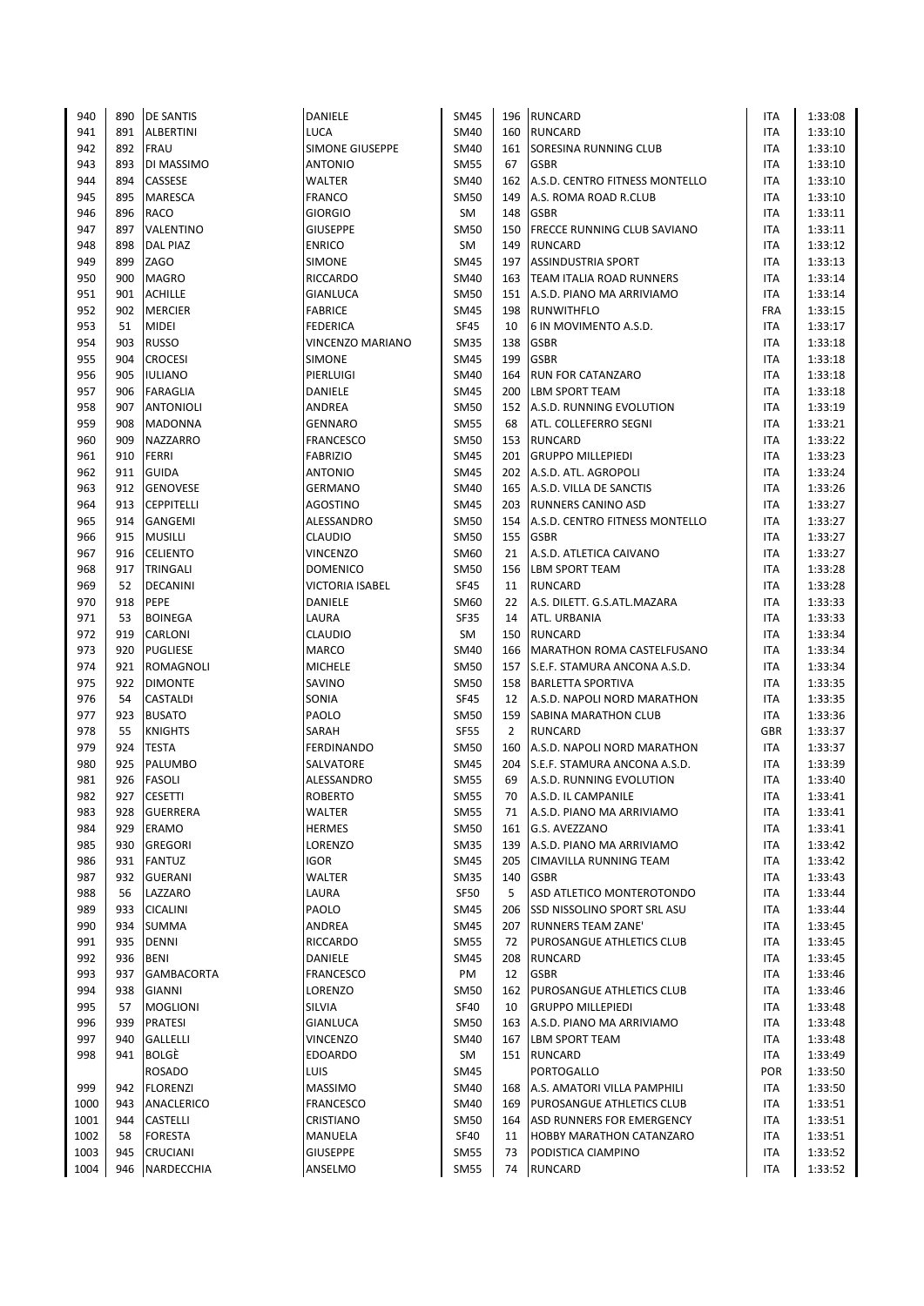| 940  | 890 | <b>DE SANTIS</b>  | DANIELE                | <b>SM45</b> |                | 196 RUNCARD                        | ITA        | 1:33:08 |
|------|-----|-------------------|------------------------|-------------|----------------|------------------------------------|------------|---------|
| 941  | 891 | <b>ALBERTINI</b>  | LUCA                   | SM40        | 160            | <b>RUNCARD</b>                     | <b>ITA</b> | 1:33:10 |
| 942  | 892 | <b>FRAU</b>       | <b>SIMONE GIUSEPPE</b> | <b>SM40</b> | 161            | SORESINA RUNNING CLUB              | ITA        | 1:33:10 |
| 943  | 893 | DI MASSIMO        | <b>ANTONIO</b>         | <b>SM55</b> | 67             | <b>GSBR</b>                        | <b>ITA</b> | 1:33:10 |
| 944  | 894 | CASSESE           | WALTER                 | <b>SM40</b> | 162            | A.S.D. CENTRO FITNESS MONTELLO     | <b>ITA</b> | 1:33:10 |
|      |     |                   |                        |             |                |                                    |            |         |
| 945  | 895 | MARESCA           | <b>FRANCO</b>          | <b>SM50</b> | 149            | A.S. ROMA ROAD R.CLUB              | <b>ITA</b> | 1:33:10 |
| 946  | 896 | <b>RACO</b>       | <b>GIORGIO</b>         | <b>SM</b>   | 148            | <b>GSBR</b>                        | <b>ITA</b> | 1:33:11 |
| 947  | 897 | VALENTINO         | <b>GIUSEPPE</b>        | <b>SM50</b> | 150            | <b>FRECCE RUNNING CLUB SAVIANO</b> | <b>ITA</b> | 1:33:11 |
| 948  | 898 | <b>DAL PIAZ</b>   | <b>ENRICO</b>          | SM          | 149            | <b>RUNCARD</b>                     | <b>ITA</b> | 1:33:12 |
| 949  | 899 | ZAGO              | <b>SIMONE</b>          | <b>SM45</b> | 197            | <b>ASSINDUSTRIA SPORT</b>          | ITA        | 1:33:13 |
| 950  | 900 | <b>MAGRO</b>      | <b>RICCARDO</b>        | <b>SM40</b> | 163            | <b>TEAM ITALIA ROAD RUNNERS</b>    | ITA        | 1:33:14 |
| 951  | 901 | <b>ACHILLE</b>    | <b>GIANLUCA</b>        | <b>SM50</b> |                | 151 A.S.D. PIANO MA ARRIVIAMO      | ITA        | 1:33:14 |
| 952  | 902 | <b>MERCIER</b>    | <b>FABRICE</b>         | <b>SM45</b> | 198            | <b>RUNWITHFLO</b>                  | <b>FRA</b> | 1:33:15 |
| 953  | 51  | <b>MIDEI</b>      | <b>FEDERICA</b>        | <b>SF45</b> | 10             | 6 IN MOVIMENTO A.S.D.              | ITA        | 1:33:17 |
| 954  | 903 | <b>RUSSO</b>      | VINCENZO MARIANO       | <b>SM35</b> | 138            | <b>GSBR</b>                        | ITA        | 1:33:18 |
| 955  | 904 | <b>CROCESI</b>    | <b>SIMONE</b>          | <b>SM45</b> | 199            | <b>GSBR</b>                        | <b>ITA</b> |         |
|      |     |                   |                        |             |                |                                    |            | 1:33:18 |
| 956  | 905 | <b>IULIANO</b>    | PIERLUIGI              | SM40        | 164            | <b>RUN FOR CATANZARO</b>           | ITA        | 1:33:18 |
| 957  | 906 | <b>FARAGLIA</b>   | DANIELE                | <b>SM45</b> | 200            | <b>LBM SPORT TEAM</b>              | ITA        | 1:33:18 |
| 958  | 907 | <b>ANTONIOLI</b>  | ANDREA                 | <b>SM50</b> | 152            | A.S.D. RUNNING EVOLUTION           | <b>ITA</b> | 1:33:19 |
| 959  | 908 | <b>MADONNA</b>    | <b>GENNARO</b>         | <b>SM55</b> | 68             | ATL. COLLEFERRO SEGNI              | ITA        | 1:33:21 |
| 960  | 909 | NAZZARRO          | <b>FRANCESCO</b>       | <b>SM50</b> | 153            | RUNCARD                            | <b>ITA</b> | 1:33:22 |
| 961  | 910 | <b>FERRI</b>      | <b>FABRIZIO</b>        | <b>SM45</b> | 201            | <b>GRUPPO MILLEPIEDI</b>           | ITA        | 1:33:23 |
| 962  | 911 | <b>GUIDA</b>      | <b>ANTONIO</b>         | <b>SM45</b> | 202            | A.S.D. ATL. AGROPOLI               | ITA        | 1:33:24 |
| 963  | 912 | <b>GENOVESE</b>   | <b>GERMANO</b>         | <b>SM40</b> |                | 165 A.S.D. VILLA DE SANCTIS        | <b>ITA</b> | 1:33:26 |
| 964  | 913 | <b>CEPPITELLI</b> | AGOSTINO               | <b>SM45</b> |                | 203 RUNNERS CANINO ASD             | ITA        | 1:33:27 |
| 965  | 914 |                   |                        | <b>SM50</b> | 154            | A.S.D. CENTRO FITNESS MONTELLO     | ITA        | 1:33:27 |
|      |     | GANGEMI           | ALESSANDRO             |             |                |                                    |            |         |
| 966  | 915 | <b>MUSILLI</b>    | <b>CLAUDIO</b>         | <b>SM50</b> | 155            | <b>GSBR</b>                        | ITA        | 1:33:27 |
| 967  | 916 | <b>CELIENTO</b>   | <b>VINCENZO</b>        | SM60        | 21             | A.S.D. ATLETICA CAIVANO            | <b>ITA</b> | 1:33:27 |
| 968  | 917 | TRINGALI          | <b>DOMENICO</b>        | <b>SM50</b> |                | 156 LBM SPORT TEAM                 | ITA        | 1:33:28 |
| 969  | 52  | <b>DECANINI</b>   | <b>VICTORIA ISABEL</b> | <b>SF45</b> | 11             | <b>RUNCARD</b>                     | ITA        | 1:33:28 |
| 970  | 918 | PEPE              | DANIELE                | SM60        | 22             | A.S. DILETT. G.S.ATL.MAZARA        | <b>ITA</b> | 1:33:33 |
| 971  | 53  | <b>BOINEGA</b>    | LAURA                  | <b>SF35</b> | 14             | ATL. URBANIA                       | <b>ITA</b> | 1:33:33 |
| 972  | 919 | CARLONI           | <b>CLAUDIO</b>         | <b>SM</b>   | 150            | <b>RUNCARD</b>                     | <b>ITA</b> | 1:33:34 |
| 973  | 920 | PUGLIESE          | <b>MARCO</b>           | <b>SM40</b> | 166            | MARATHON ROMA CASTELFUSANO         | <b>ITA</b> | 1:33:34 |
| 974  | 921 | <b>ROMAGNOLI</b>  | <b>MICHELE</b>         | <b>SM50</b> | 157            | S.E.F. STAMURA ANCONA A.S.D.       | <b>ITA</b> | 1:33:34 |
| 975  | 922 | <b>DIMONTE</b>    | SAVINO                 | <b>SM50</b> |                | 158 BARLETTA SPORTIVA              | ITA        | 1:33:35 |
| 976  | 54  |                   |                        | <b>SF45</b> | 12             |                                    |            | 1:33:35 |
|      |     | CASTALDI          | SONIA                  |             |                | A.S.D. NAPOLI NORD MARATHON        | ITA        |         |
| 977  | 923 | <b>BUSATO</b>     | PAOLO                  | <b>SM50</b> | 159            | <b>SABINA MARATHON CLUB</b>        | ITA        | 1:33:36 |
| 978  | 55  | <b>KNIGHTS</b>    | SARAH                  | <b>SF55</b> | $\overline{2}$ | <b>RUNCARD</b>                     | <b>GBR</b> | 1:33:37 |
| 979  | 924 | <b>TESTA</b>      | <b>FERDINANDO</b>      | <b>SM50</b> | 160            | A.S.D. NAPOLI NORD MARATHON        | ITA        | 1:33:37 |
| 980  | 925 | PALUMBO           | SALVATORE              | <b>SM45</b> | 204            | S.E.F. STAMURA ANCONA A.S.D.       | ITA        | 1:33:39 |
| 981  | 926 | <b>FASOLI</b>     | ALESSANDRO             | <b>SM55</b> | 69             | A.S.D. RUNNING EVOLUTION           | ITA        | 1:33:40 |
| 982  | 927 | <b>CESETTI</b>    | <b>ROBERTO</b>         | <b>SM55</b> | 70             | A.S.D. IL CAMPANILE                | <b>ITA</b> | 1:33:41 |
| 983  | 928 | <b>GUERRERA</b>   | WALTER                 | <b>SM55</b> | 71             | A.S.D. PIANO MA ARRIVIAMO          | ITA        | 1:33:41 |
| 984  | 929 | <b>ERAMO</b>      | <b>HERMES</b>          | <b>SM50</b> | 161            | G.S. AVEZZANO                      | ITA        | 1:33:41 |
| 985  | 930 | <b>GREGORI</b>    | LORENZO                | <b>SM35</b> | 139            | A.S.D. PIANO MA ARRIVIAMO          | ITA        | 1:33:42 |
| 986  | 931 | <b>FANTUZ</b>     | <b>IGOR</b>            | SM45        | 205            | <b>CIMAVILLA RUNNING TEAM</b>      | ITA        | 1:33:42 |
| 987  | 932 | <b>GUERANI</b>    | WALTER                 | <b>SM35</b> | 140            | <b>GSBR</b>                        | ITA        | 1:33:43 |
|      |     |                   |                        |             |                |                                    |            |         |
| 988  | 56  | LAZZARO           | LAURA                  | SF50        | 5              | ASD ATLETICO MONTEROTONDO          | ITA        | 1:33:44 |
| 989  | 933 | <b>CICALINI</b>   | PAOLO                  | SM45        | 206            | <b>SSD NISSOLINO SPORT SRL ASU</b> | ITA        | 1:33:44 |
| 990  |     | 934 SUMMA         | ANDREA                 | <b>SM45</b> | 207            | <b>RUNNERS TEAM ZANE'</b>          | ITA        | 1:33:45 |
| 991  | 935 | DENNI             | RICCARDO               | <b>SM55</b> | 72             | <b>PUROSANGUE ATHLETICS CLUB</b>   | ITA        | 1:33:45 |
| 992  | 936 | BENI              | DANIELE                | SM45        | 208            | <b>RUNCARD</b>                     | ITA        | 1:33:45 |
| 993  | 937 | GAMBACORTA        | <b>FRANCESCO</b>       | PM          | 12             | <b>GSBR</b>                        | ITA        | 1:33:46 |
| 994  | 938 | <b>GIANNI</b>     | LORENZO                | SM50        | 162            | <b>PUROSANGUE ATHLETICS CLUB</b>   | ITA        | 1:33:46 |
| 995  | 57  | <b>MOGLIONI</b>   | SILVIA                 | <b>SF40</b> | 10             | <b>GRUPPO MILLEPIEDI</b>           | ITA        | 1:33:48 |
| 996  | 939 | <b>PRATESI</b>    | GIANLUCA               | SM50        | 163            | A.S.D. PIANO MA ARRIVIAMO          | ITA        | 1:33:48 |
| 997  | 940 | GALLELLI          | <b>VINCENZO</b>        | SM40        | 167            | <b>LBM SPORT TEAM</b>              | ITA        | 1:33:48 |
|      |     |                   |                        |             |                |                                    |            |         |
| 998  | 941 | <b>BOLGÈ</b>      | <b>EDOARDO</b>         | SM          |                | 151 RUNCARD                        | ITA        | 1:33:49 |
|      |     | ROSADO            | LUIS                   | <b>SM45</b> |                | <b>PORTOGALLO</b>                  | <b>POR</b> | 1:33:50 |
| 999  | 942 | <b>FLORENZI</b>   | <b>MASSIMO</b>         | <b>SM40</b> | 168            | A.S. AMATORI VILLA PAMPHILI        | ITA        | 1:33:50 |
| 1000 | 943 | ANACLERICO        | FRANCESCO              | SM40        | 169            | <b>PUROSANGUE ATHLETICS CLUB</b>   | ITA        | 1:33:51 |
| 1001 | 944 | <b>CASTELLI</b>   | CRISTIANO              | <b>SM50</b> | 164            | <b>ASD RUNNERS FOR EMERGENCY</b>   | ITA        | 1:33:51 |
| 1002 | 58  | FORESTA           | MANUELA                | <b>SF40</b> | 11             | <b>HOBBY MARATHON CATANZARO</b>    | ITA        | 1:33:51 |
| 1003 | 945 | CRUCIANI          | <b>GIUSEPPE</b>        | SM55        | 73             | PODISTICA CIAMPINO                 | ITA        | 1:33:52 |
| 1004 | 946 | NARDECCHIA        | ANSELMO                | <b>SM55</b> | 74             | <b>RUNCARD</b>                     | ITA        | 1:33:52 |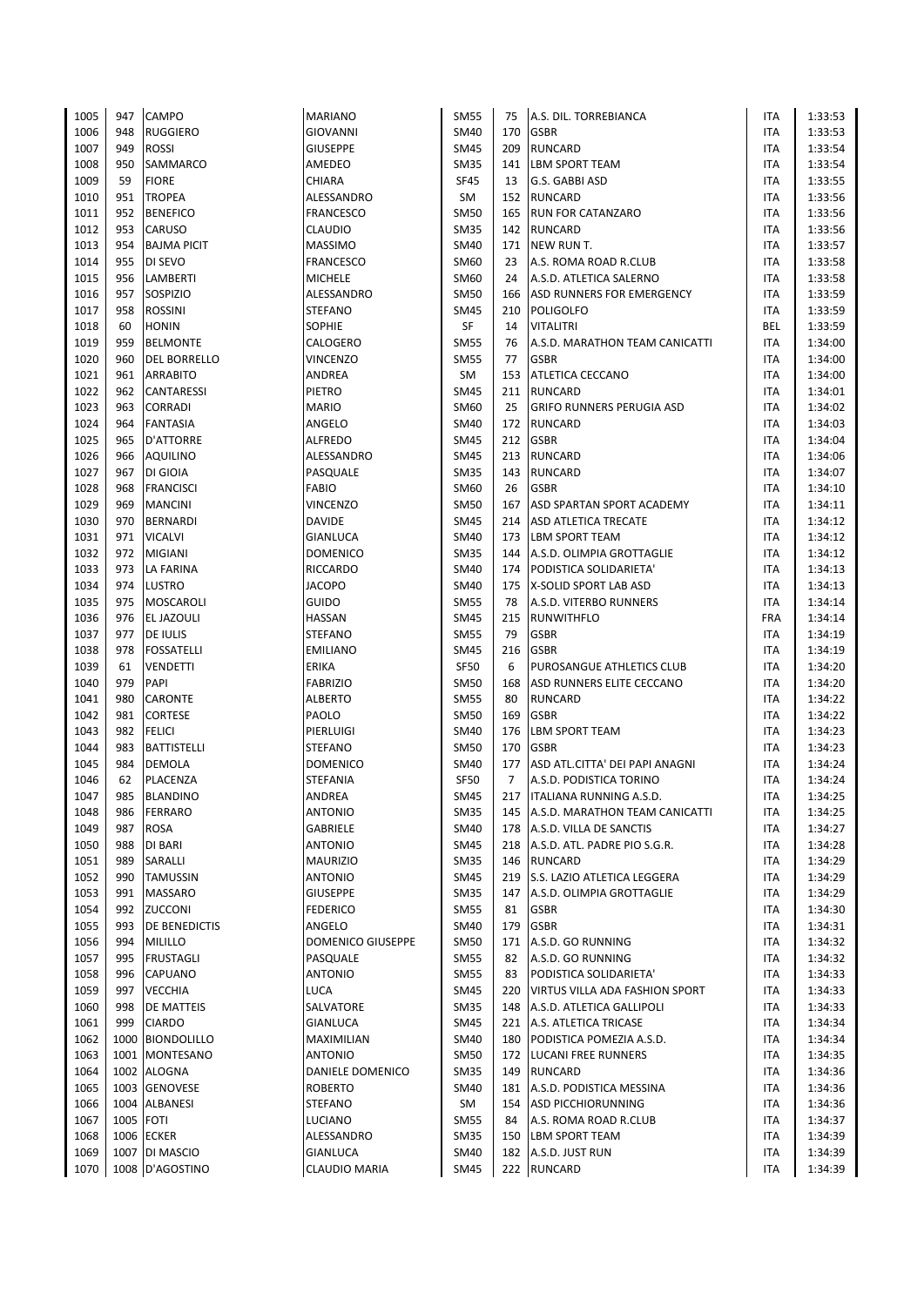| 1005 | 947  | <b>CAMPO</b>        | <b>MARIANO</b>           | <b>SM55</b> | 75             | A.S. DIL. TORREBIANCA              | <b>ITA</b> | 1:33:53 |
|------|------|---------------------|--------------------------|-------------|----------------|------------------------------------|------------|---------|
| 1006 | 948  | <b>RUGGIERO</b>     | <b>GIOVANNI</b>          | SM40        | 170            | <b>GSBR</b>                        | ITA        | 1:33:53 |
| 1007 | 949  | <b>ROSSI</b>        | <b>GIUSEPPE</b>          | <b>SM45</b> | 209            | <b>RUNCARD</b>                     | ITA        | 1:33:54 |
| 1008 | 950  | <b>SAMMARCO</b>     | AMEDEO                   | <b>SM35</b> | 141            | <b>LBM SPORT TEAM</b>              | <b>ITA</b> | 1:33:54 |
| 1009 | 59   | <b>FIORE</b>        | CHIARA                   | <b>SF45</b> | 13             | G.S. GABBI ASD                     | ITA        | 1:33:55 |
| 1010 | 951  | <b>TROPEA</b>       | ALESSANDRO               | SM          |                | 152 RUNCARD                        | ITA        | 1:33:56 |
| 1011 | 952  | <b>BENEFICO</b>     | <b>FRANCESCO</b>         | <b>SM50</b> | 165            | <b>RUN FOR CATANZARO</b>           | ITA        | 1:33:56 |
| 1012 | 953  | CARUSO              | CLAUDIO                  | <b>SM35</b> |                | 142 RUNCARD                        | <b>ITA</b> | 1:33:56 |
| 1013 | 954  | <b>BAJMA PICIT</b>  | <b>MASSIMO</b>           | <b>SM40</b> | 171            | NEW RUN T.                         | <b>ITA</b> | 1:33:57 |
| 1014 | 955  | DI SEVO             | FRANCESCO                | SM60        | 23             | A.S. ROMA ROAD R.CLUB              | <b>ITA</b> | 1:33:58 |
| 1015 | 956  | LAMBERTI            | <b>MICHELE</b>           | SM60        | 24             | A.S.D. ATLETICA SALERNO            | ITA        | 1:33:58 |
| 1016 | 957  | SOSPIZIO            | ALESSANDRO               | <b>SM50</b> | 166            | ASD RUNNERS FOR EMERGENCY          | <b>ITA</b> | 1:33:59 |
| 1017 | 958  | <b>ROSSINI</b>      | <b>STEFANO</b>           | <b>SM45</b> | 210            | POLIGOLFO                          | ITA        | 1:33:59 |
| 1018 | 60   | <b>HONIN</b>        | <b>SOPHIE</b>            | SF          | 14             | <b>VITALITRI</b>                   | BEL        | 1:33:59 |
| 1019 | 959  | <b>BELMONTE</b>     | CALOGERO                 |             | 76             | A.S.D. MARATHON TEAM CANICATTI     | <b>ITA</b> | 1:34:00 |
|      |      |                     |                          | <b>SM55</b> | 77             |                                    |            |         |
| 1020 | 960  | <b>DEL BORRELLO</b> | <b>VINCENZO</b>          | <b>SM55</b> |                | <b>GSBR</b>                        | <b>ITA</b> | 1:34:00 |
| 1021 | 961  | <b>ARRABITO</b>     | ANDREA                   | SM          | 153            | <b>ATLETICA CECCANO</b>            | ITA        | 1:34:00 |
| 1022 | 962  | CANTARESSI          | PIETRO                   | <b>SM45</b> | 211            | <b>RUNCARD</b>                     | ITA        | 1:34:01 |
| 1023 | 963  | <b>CORRADI</b>      | MARIO                    | SM60        | 25             | <b>GRIFO RUNNERS PERUGIA ASD</b>   | ITA        | 1:34:02 |
| 1024 | 964  | <b>FANTASIA</b>     | ANGELO                   | SM40        |                | 172 RUNCARD                        | <b>ITA</b> | 1:34:03 |
| 1025 | 965  | <b>D'ATTORRE</b>    | ALFREDO                  | <b>SM45</b> |                | 212 GSBR                           | ITA        | 1:34:04 |
| 1026 | 966  | AQUILINO            | ALESSANDRO               | <b>SM45</b> |                | 213 RUNCARD                        | ITA        | 1:34:06 |
| 1027 | 967  | DI GIOIA            | PASQUALE                 | <b>SM35</b> |                | 143 RUNCARD                        | <b>ITA</b> | 1:34:07 |
| 1028 | 968  | <b>FRANCISCI</b>    | <b>FABIO</b>             | SM60        | 26             | <b>GSBR</b>                        | <b>ITA</b> | 1:34:10 |
| 1029 | 969  | <b>MANCINI</b>      | <b>VINCENZO</b>          | <b>SM50</b> | 167            | ASD SPARTAN SPORT ACADEMY          | ITA        | 1:34:11 |
| 1030 | 970  | <b>BERNARDI</b>     | <b>DAVIDE</b>            | <b>SM45</b> | 214            | ASD ATLETICA TRECATE               | ITA        | 1:34:12 |
| 1031 | 971  | <b>VICALVI</b>      | GIANLUCA                 | SM40        | 173            | LBM SPORT TEAM                     | ITA        | 1:34:12 |
| 1032 | 972  | <b>MIGIANI</b>      | <b>DOMENICO</b>          | <b>SM35</b> | 144            | A.S.D. OLIMPIA GROTTAGLIE          | <b>ITA</b> | 1:34:12 |
| 1033 | 973  | LA FARINA           | RICCARDO                 | <b>SM40</b> |                | 174   PODISTICA SOLIDARIETA'       | ITA        | 1:34:13 |
| 1034 | 974  | LUSTRO              | <b>JACOPO</b>            | SM40        | 175            | X-SOLID SPORT LAB ASD              | ITA        | 1:34:13 |
| 1035 | 975  | <b>MOSCAROLI</b>    | <b>GUIDO</b>             | <b>SM55</b> | 78             | A.S.D. VITERBO RUNNERS             | <b>ITA</b> | 1:34:14 |
| 1036 | 976  | EL JAZOULI          | HASSAN                   | <b>SM45</b> | 215            | <b>RUNWITHFLO</b>                  | <b>FRA</b> | 1:34:14 |
| 1037 | 977  | DE IULIS            | <b>STEFANO</b>           | <b>SM55</b> | 79             | <b>GSBR</b>                        | ITA        | 1:34:19 |
| 1038 | 978  | <b>FOSSATELLI</b>   | <b>EMILIANO</b>          | <b>SM45</b> | 216            | <b>GSBR</b>                        | ITA        | 1:34:19 |
| 1039 | 61   | VENDETTI            | <b>ERIKA</b>             | <b>SF50</b> | 6              | PUROSANGUE ATHLETICS CLUB          | <b>ITA</b> | 1:34:20 |
| 1040 | 979  | PAPI                | <b>FABRIZIO</b>          | <b>SM50</b> | 168            | ASD RUNNERS ELITE CECCANO          | ITA        | 1:34:20 |
| 1041 | 980  | CARONTE             | <b>ALBERTO</b>           | <b>SM55</b> | 80             | <b>RUNCARD</b>                     | ITA        | 1:34:22 |
| 1042 | 981  | CORTESE             | PAOLO                    | <b>SM50</b> | 169            | <b>GSBR</b>                        | ITA        | 1:34:22 |
| 1043 | 982  | <b>FELICI</b>       | PIERLUIGI                | <b>SM40</b> | 176            | <b>LBM SPORT TEAM</b>              | <b>ITA</b> | 1:34:23 |
| 1044 | 983  | <b>BATTISTELLI</b>  | <b>STEFANO</b>           | <b>SM50</b> | 170            | <b>GSBR</b>                        | ITA        | 1:34:23 |
| 1045 | 984  | DEMOLA              | <b>DOMENICO</b>          | SM40        | 177            | ASD ATL.CITTA' DEI PAPI ANAGNI     | <b>ITA</b> | 1:34:24 |
| 1046 | 62   | PLACENZA            | <b>STEFANIA</b>          | <b>SF50</b> | $\overline{7}$ | A.S.D. PODISTICA TORINO            | ITA        | 1:34:24 |
| 1047 | 985  | <b>BLANDINO</b>     | ANDREA                   | <b>SM45</b> |                | 217   ITALIANA RUNNING A.S.D.      | <b>ITA</b> | 1:34:25 |
| 1048 | 986  | <b>FERRARO</b>      | <b>ANTONIO</b>           | <b>SM35</b> |                | 145 A.S.D. MARATHON TEAM CANICATTI | ITA        | 1:34:25 |
| 1049 | 987  | ROSA                | GABRIELE                 | SM40        | 178            | A.S.D. VILLA DE SANCTIS            | ITA        | 1:34:27 |
| 1050 | 988  | DI BARI             | ANTONIO                  | SM45        |                | 218 A.S.D. ATL. PADRE PIO S.G.R.   | ITA        | 1:34:28 |
| 1051 | 989  | SARALLI             | <b>MAURIZIO</b>          | <b>SM35</b> |                | 146 RUNCARD                        | ITA        | 1:34:29 |
| 1052 | 990  | <b>TAMUSSIN</b>     | <b>ANTONIO</b>           | <b>SM45</b> |                | 219 S.S. LAZIO ATLETICA LEGGERA    | ITA        | 1:34:29 |
| 1053 | 991  | <b>MASSARO</b>      | <b>GIUSEPPE</b>          | SM35        | 147            | A.S.D. OLIMPIA GROTTAGLIE          | ITA        | 1:34:29 |
| 1054 | 992  | ZUCCONI             | <b>FEDERICO</b>          | <b>SM55</b> | 81             | <b>GSBR</b>                        | ITA        |         |
|      | 993  |                     |                          |             |                |                                    |            | 1:34:30 |
| 1055 |      | DE BENEDICTIS       | ANGELO                   | <b>SM40</b> | 179            | <b>GSBR</b>                        | ITA        | 1:34:31 |
| 1056 | 994  | <b>MILILLO</b>      | <b>DOMENICO GIUSEPPE</b> | <b>SM50</b> | 171            | A.S.D. GO RUNNING                  | ITA        | 1:34:32 |
| 1057 | 995  | <b>FRUSTAGLI</b>    | PASQUALE                 | <b>SM55</b> | 82             | A.S.D. GO RUNNING                  | ITA        | 1:34:32 |
| 1058 | 996  | CAPUANO             | <b>ANTONIO</b>           | <b>SM55</b> | 83             | PODISTICA SOLIDARIETA'             | ITA        | 1:34:33 |
| 1059 | 997  | <b>VECCHIA</b>      | LUCA                     | <b>SM45</b> | 220            | VIRTUS VILLA ADA FASHION SPORT     | ITA        | 1:34:33 |
| 1060 | 998  | DE MATTEIS          | SALVATORE                | <b>SM35</b> |                | 148 A.S.D. ATLETICA GALLIPOLI      | ITA        | 1:34:33 |
| 1061 | 999  | <b>CIARDO</b>       | GIANLUCA                 | <b>SM45</b> |                | 221 A.S. ATLETICA TRICASE          | ITA        | 1:34:34 |
| 1062 | 1000 | <b>BIONDOLILLO</b>  | MAXIMILIAN               | SM40        | 180            | PODISTICA POMEZIA A.S.D.           | ITA        | 1:34:34 |
| 1063 |      | 1001 MONTESANO      | <b>ANTONIO</b>           | <b>SM50</b> |                | 172 LUCANI FREE RUNNERS            | ITA        | 1:34:35 |
| 1064 | 1002 | <b>ALOGNA</b>       | DANIELE DOMENICO         | <b>SM35</b> |                | 149 RUNCARD                        | ITA        | 1:34:36 |
| 1065 | 1003 | <b>GENOVESE</b>     | <b>ROBERTO</b>           | SM40        | 181            | A.S.D. PODISTICA MESSINA           | ITA        | 1:34:36 |
| 1066 | 1004 | <b>ALBANESI</b>     | <b>STEFANO</b>           | SM          | 154            | <b>ASD PICCHIORUNNING</b>          | ITA        | 1:34:36 |
| 1067 | 1005 | <b>FOTI</b>         | LUCIANO                  | <b>SM55</b> | 84             | A.S. ROMA ROAD R.CLUB              | ITA        | 1:34:37 |
| 1068 | 1006 | <b>ECKER</b>        | ALESSANDRO               | <b>SM35</b> | 150            | LBM SPORT TEAM                     | ITA        | 1:34:39 |
| 1069 | 1007 | DI MASCIO           | GIANLUCA                 | SM40        | 182            | A.S.D. JUST RUN                    | ITA        | 1:34:39 |
| 1070 |      | 1008 D'AGOSTINO     | <b>CLAUDIO MARIA</b>     | <b>SM45</b> |                | 222 RUNCARD                        | <b>ITA</b> | 1:34:39 |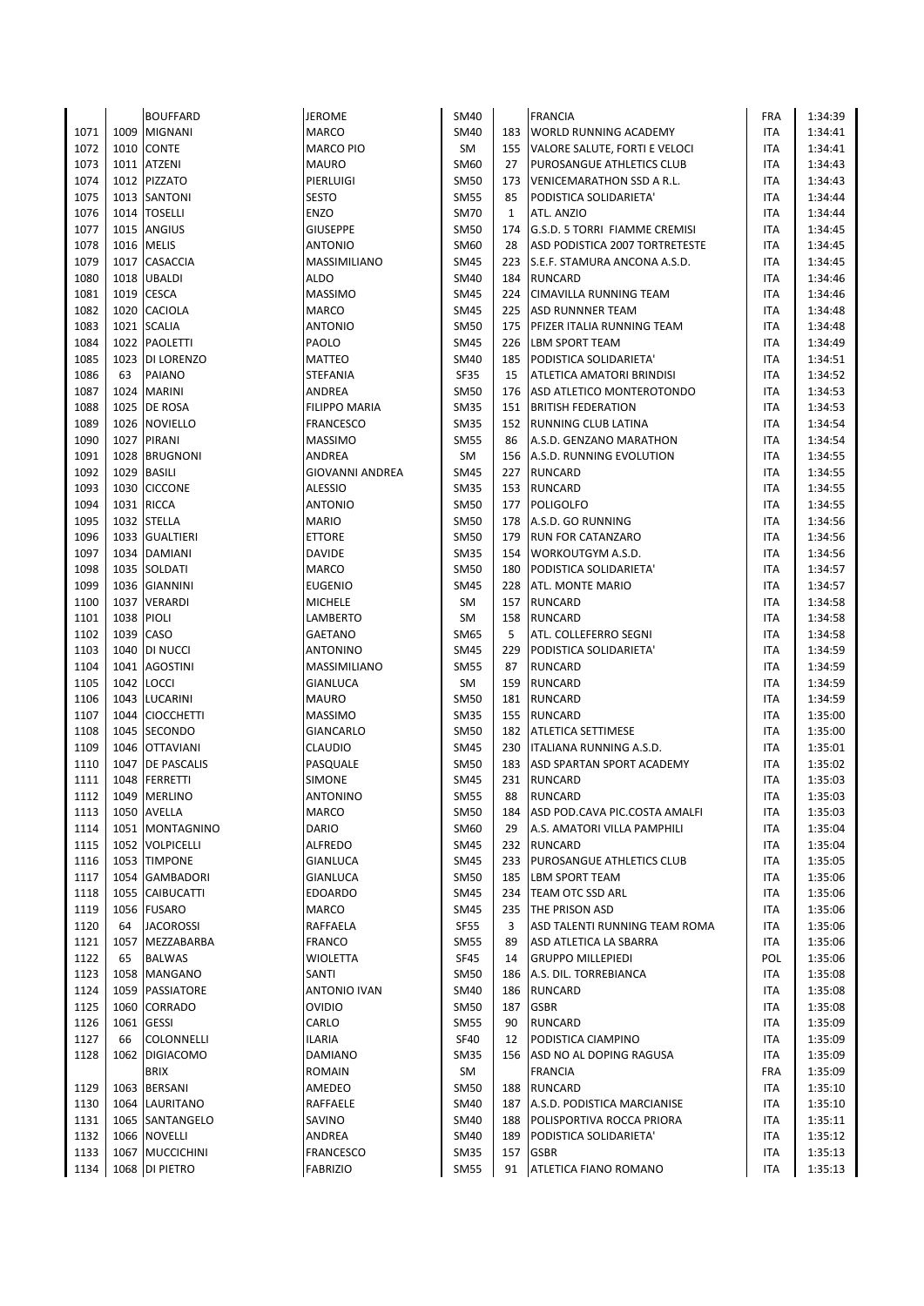|      |      | <b>BOUFFARD</b>    | <b>JEROME</b>          | <b>SM40</b> |              | <b>FRANCIA</b>                   | <b>FRA</b> | 1:34:39 |
|------|------|--------------------|------------------------|-------------|--------------|----------------------------------|------------|---------|
| 1071 | 1009 | <b>MIGNANI</b>     | <b>MARCO</b>           | <b>SM40</b> |              | 183 WORLD RUNNING ACADEMY        | <b>ITA</b> | 1:34:41 |
| 1072 | 1010 | <b>CONTE</b>       | MARCO PIO              | SM          | 155          | VALORE SALUTE, FORTI E VELOCI    | ITA        | 1:34:41 |
| 1073 | 1011 | <b>ATZENI</b>      | <b>MAURO</b>           | SM60        | 27           | PUROSANGUE ATHLETICS CLUB        | ITA        | 1:34:43 |
| 1074 |      | 1012 PIZZATO       | PIERLUIGI              | <b>SM50</b> | 173          | <b>VENICEMARATHON SSD A R.L.</b> | ITA        | 1:34:43 |
|      |      |                    |                        |             |              |                                  |            |         |
| 1075 | 1013 | <b>SANTONI</b>     | <b>SESTO</b>           | <b>SM55</b> | 85           | PODISTICA SOLIDARIETA'           | ITA        | 1:34:44 |
| 1076 | 1014 | <b>TOSELLI</b>     | <b>ENZO</b>            | <b>SM70</b> | $\mathbf{1}$ | ATL. ANZIO                       | ITA        | 1:34:44 |
| 1077 | 1015 | <b>ANGIUS</b>      | <b>GIUSEPPE</b>        | <b>SM50</b> | 174          | G.S.D. 5 TORRI FIAMME CREMISI    | ITA        | 1:34:45 |
| 1078 |      | 1016 MELIS         | <b>ANTONIO</b>         | SM60        | 28           | ASD PODISTICA 2007 TORTRETESTE   | <b>ITA</b> | 1:34:45 |
| 1079 | 1017 | <b>CASACCIA</b>    | <b>MASSIMILIANO</b>    | <b>SM45</b> |              | 223 S.E.F. STAMURA ANCONA A.S.D. | ITA        | 1:34:45 |
| 1080 | 1018 | <b>UBALDI</b>      | ALDO                   | <b>SM40</b> | 184          | <b>RUNCARD</b>                   | ITA        | 1:34:46 |
| 1081 | 1019 | <b>CESCA</b>       | <b>MASSIMO</b>         | <b>SM45</b> | 224          | <b>CIMAVILLA RUNNING TEAM</b>    | <b>ITA</b> | 1:34:46 |
| 1082 | 1020 | <b>CACIOLA</b>     | <b>MARCO</b>           | <b>SM45</b> | 225          | <b>ASD RUNNNER TEAM</b>          | ITA        | 1:34:48 |
| 1083 | 1021 | <b>SCALIA</b>      | <b>ANTONIO</b>         | <b>SM50</b> | 175          | PFIZER ITALIA RUNNING TEAM       | ITA        | 1:34:48 |
| 1084 | 1022 | <b>PAOLETTI</b>    | PAOLO                  | <b>SM45</b> | 226          | <b>LBM SPORT TEAM</b>            | ITA        | 1:34:49 |
| 1085 |      | 1023 DI LORENZO    | <b>MATTEO</b>          | SM40        | 185          | PODISTICA SOLIDARIETA'           | <b>ITA</b> | 1:34:51 |
| 1086 | 63   | PAIANO             | <b>STEFANIA</b>        | <b>SF35</b> | 15           | ATLETICA AMATORI BRINDISI        | ITA        | 1:34:52 |
| 1087 | 1024 | <b>MARINI</b>      | ANDREA                 | <b>SM50</b> | 176          | ASD ATLETICO MONTEROTONDO        | ITA        | 1:34:53 |
| 1088 | 1025 | DE ROSA            | FILIPPO MARIA          | <b>SM35</b> | 151          | <b>BRITISH FEDERATION</b>        | ITA        | 1:34:53 |
|      |      |                    |                        | <b>SM35</b> |              |                                  | <b>ITA</b> |         |
| 1089 |      | 1026 NOVIELLO      | FRANCESCO              |             | 152          | RUNNING CLUB LATINA              |            | 1:34:54 |
| 1090 |      | 1027 PIRANI        | <b>MASSIMO</b>         | <b>SM55</b> | 86           | A.S.D. GENZANO MARATHON          | ITA        | 1:34:54 |
| 1091 | 1028 | <b>BRUGNONI</b>    | ANDREA                 | SM          | 156          | A.S.D. RUNNING EVOLUTION         | ITA        | 1:34:55 |
| 1092 | 1029 | <b>BASILI</b>      | <b>GIOVANNI ANDREA</b> | <b>SM45</b> | 227          | <b>RUNCARD</b>                   | <b>ITA</b> | 1:34:55 |
| 1093 | 1030 | <b>CICCONE</b>     | <b>ALESSIO</b>         | <b>SM35</b> |              | 153 RUNCARD                      | ITA        | 1:34:55 |
| 1094 | 1031 | <b>RICCA</b>       | <b>ANTONIO</b>         | <b>SM50</b> | 177          | <b>POLIGOLFO</b>                 | <b>ITA</b> | 1:34:55 |
| 1095 | 1032 | <b>STELLA</b>      | <b>MARIO</b>           | SM50        | 178          | A.S.D. GO RUNNING                | ITA        | 1:34:56 |
| 1096 | 1033 | <b>GUALTIERI</b>   | <b>ETTORE</b>          | SM50        | 179          | <b>RUN FOR CATANZARO</b>         | ITA        | 1:34:56 |
| 1097 |      | 1034 DAMIANI       | DAVIDE                 | <b>SM35</b> | 154          | WORKOUTGYM A.S.D.                | ITA        | 1:34:56 |
| 1098 |      | 1035 SOLDATI       | <b>MARCO</b>           | <b>SM50</b> | 180          | PODISTICA SOLIDARIETA'           | ITA        | 1:34:57 |
| 1099 | 1036 | <b>GIANNINI</b>    | <b>EUGENIO</b>         | <b>SM45</b> | 228          | ATL. MONTE MARIO                 | ITA        | 1:34:57 |
| 1100 | 1037 | <b>VERARDI</b>     | <b>MICHELE</b>         | SM          |              | 157 RUNCARD                      | ITA        | 1:34:58 |
| 1101 | 1038 | <b>PIOLI</b>       | LAMBERTO               | SM          | 158          | <b>RUNCARD</b>                   | ITA        | 1:34:58 |
| 1102 | 1039 | CASO               | <b>GAETANO</b>         | SM65        | 5            | ATL. COLLEFERRO SEGNI            | ITA        | 1:34:58 |
| 1103 | 1040 | <b>DI NUCCI</b>    | <b>ANTONINO</b>        | <b>SM45</b> | 229          | PODISTICA SOLIDARIETA'           | ITA        | 1:34:59 |
| 1104 | 1041 | <b>AGOSTINI</b>    | MASSIMILIANO           |             | 87           | <b>RUNCARD</b>                   | ITA        |         |
|      |      |                    |                        | <b>SM55</b> |              |                                  |            | 1:34:59 |
| 1105 | 1042 | <b>LOCCI</b>       | GIANLUCA               | SM          | 159          | <b>RUNCARD</b>                   | ITA        | 1:34:59 |
| 1106 | 1043 | LUCARINI           | MAURO                  | <b>SM50</b> | 181          | <b>RUNCARD</b>                   | ITA        | 1:34:59 |
| 1107 | 1044 | <b>CIOCCHETTI</b>  | <b>MASSIMO</b>         | <b>SM35</b> | 155          | <b>RUNCARD</b>                   | ITA        | 1:35:00 |
| 1108 | 1045 | <b>SECONDO</b>     | GIANCARLO              | <b>SM50</b> |              | 182   ATLETICA SETTIMESE         | <b>ITA</b> | 1:35:00 |
| 1109 | 1046 | <b>OTTAVIANI</b>   | <b>CLAUDIO</b>         | <b>SM45</b> |              | 230 ITALIANA RUNNING A.S.D.      | <b>ITA</b> | 1:35:01 |
| 1110 | 1047 | <b>DE PASCALIS</b> | PASQUALE               | <b>SM50</b> | 183          | ASD SPARTAN SPORT ACADEMY        | <b>ITA</b> | 1:35:02 |
| 1111 | 1048 | <b>FERRETTI</b>    | <b>SIMONE</b>          | <b>SM45</b> | 231          | <b>RUNCARD</b>                   | <b>ITA</b> | 1:35:03 |
| 1112 |      | 1049 MERLINO       | <b>ANTONINO</b>        | <b>SM55</b> | 88           | <b>RUNCARD</b>                   | <b>ITA</b> | 1:35:03 |
| 1113 |      | 1050 AVELLA        | <b>MARCO</b>           | <b>SM50</b> | 184          | ASD POD.CAVA PIC.COSTA AMALFI    | ITA        | 1:35:03 |
| 1114 | 1051 | <b>MONTAGNINO</b>  | DARIO                  | SM60        | 29           | A.S. AMATORI VILLA PAMPHILI      | ITA        | 1:35:04 |
| 1115 |      | 1052 VOLPICELLI    | ALFREDO                | <b>SM45</b> | 232          | <b>RUNCARD</b>                   | ITA        | 1:35:04 |
| 1116 |      | 1053 TIMPONE       | GIANLUCA               | <b>SM45</b> |              | 233 PUROSANGUE ATHLETICS CLUB    | ITA        | 1:35:05 |
| 1117 | 1054 | <b>GAMBADORI</b>   | <b>GIANLUCA</b>        | <b>SM50</b> | 185          | <b>LBM SPORT TEAM</b>            | ITA        | 1:35:06 |
| 1118 | 1055 | <b>CAIBUCATTI</b>  | EDOARDO                | <b>SM45</b> | 234          | TEAM OTC SSD ARL                 | ITA        | 1:35:06 |
| 1119 |      | 1056 FUSARO        | MARCO                  | SM45        | 235          | <b>THE PRISON ASD</b>            | ITA        | 1:35:06 |
| 1120 | 64   | <b>JACOROSSI</b>   | RAFFAELA               | SF55        | 3            | ASD TALENTI RUNNING TEAM ROMA    | ITA        | 1:35:06 |
| 1121 | 1057 | MEZZABARBA         | <b>FRANCO</b>          | <b>SM55</b> | 89           | ASD ATLETICA LA SBARRA           | ITA        | 1:35:06 |
| 1122 | 65   | <b>BALWAS</b>      |                        |             | 14           | <b>GRUPPO MILLEPIEDI</b>         | POL        |         |
|      |      |                    | WIOLETTA               | SF45        |              |                                  |            | 1:35:06 |
| 1123 | 1058 | <b>MANGANO</b>     | SANTI                  | <b>SM50</b> | 186          | A.S. DIL. TORREBIANCA            | ITA        | 1:35:08 |
| 1124 | 1059 | PASSIATORE         | <b>ANTONIO IVAN</b>    | SM40        | 186          | RUNCARD                          | ITA        | 1:35:08 |
| 1125 | 1060 | <b>CORRADO</b>     | <b>OVIDIO</b>          | <b>SM50</b> | 187          | <b>GSBR</b>                      | ITA        | 1:35:08 |
| 1126 | 1061 | <b>GESSI</b>       | CARLO                  | <b>SM55</b> | 90           | <b>RUNCARD</b>                   | ITA        | 1:35:09 |
| 1127 | 66   | COLONNELLI         | <b>ILARIA</b>          | SF40        | 12           | PODISTICA CIAMPINO               | ITA        | 1:35:09 |
| 1128 | 1062 | <b>DIGIACOMO</b>   | DAMIANO                | <b>SM35</b> |              | 156 ASD NO AL DOPING RAGUSA      | ITA        | 1:35:09 |
|      |      | <b>BRIX</b>        | <b>ROMAIN</b>          | SM          |              | <b>FRANCIA</b>                   | <b>FRA</b> | 1:35:09 |
| 1129 | 1063 | <b>BERSANI</b>     | AMEDEO                 | <b>SM50</b> | 188          | <b>RUNCARD</b>                   | ITA        | 1:35:10 |
| 1130 | 1064 | LAURITANO          | RAFFAELE               | SM40        | 187          | A.S.D. PODISTICA MARCIANISE      | ITA        | 1:35:10 |
| 1131 |      | 1065 SANTANGELO    | SAVINO                 | SM40        | 188          | POLISPORTIVA ROCCA PRIORA        | ITA        | 1:35:11 |
| 1132 |      | 1066 NOVELLI       | ANDREA                 | SM40        | 189          | PODISTICA SOLIDARIETA'           | ITA        | 1:35:12 |
| 1133 |      | 1067 MUCCICHINI    | FRANCESCO              | <b>SM35</b> | 157          | <b>GSBR</b>                      | ITA        | 1:35:13 |
| 1134 |      | 1068 DI PIETRO     | <b>FABRIZIO</b>        | <b>SM55</b> | 91           | ATLETICA FIANO ROMANO            | <b>ITA</b> | 1:35:13 |
|      |      |                    |                        |             |              |                                  |            |         |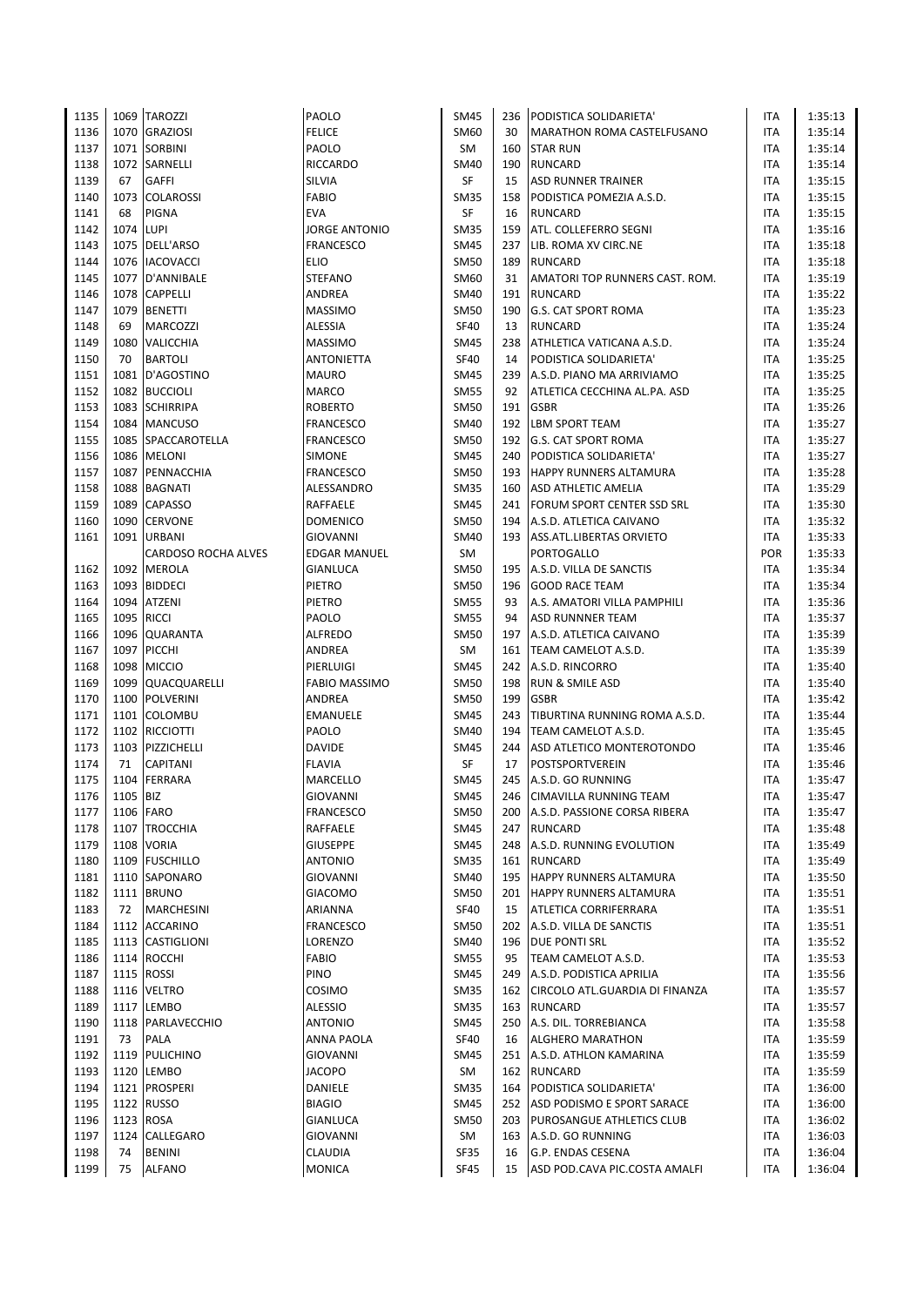| 1135 |          | 1069 TAROZZI        | PAOLO                | <b>SM45</b> | 236 | PODISTICA SOLIDARIETA'             | <b>ITA</b> | 1:35:13 |
|------|----------|---------------------|----------------------|-------------|-----|------------------------------------|------------|---------|
| 1136 | 1070     | <b>GRAZIOSI</b>     | <b>FELICE</b>        | SM60        | 30  | MARATHON ROMA CASTELFUSANO         | <b>ITA</b> | 1:35:14 |
| 1137 | 1071     | <b>SORBINI</b>      | PAOLO                | SM          | 160 | <b>STAR RUN</b>                    | ITA        | 1:35:14 |
| 1138 | 1072     | SARNELLI            | RICCARDO             | SM40        | 190 | RUNCARD                            | ITA        | 1:35:14 |
| 1139 | 67       | <b>GAFFI</b>        | SILVIA               | SF          | 15  | <b>ASD RUNNER TRAINER</b>          | ITA        | 1:35:15 |
| 1140 | 1073     | <b>COLAROSSI</b>    | <b>FABIO</b>         | <b>SM35</b> | 158 | PODISTICA POMEZIA A.S.D.           | ITA        | 1:35:15 |
| 1141 | 68       | PIGNA               | <b>EVA</b>           | SF          | 16  | <b>RUNCARD</b>                     | ITA        | 1:35:15 |
| 1142 | 1074     | <b>LUPI</b>         | <b>JORGE ANTONIO</b> | <b>SM35</b> | 159 | ATL. COLLEFERRO SEGNI              | ITA        | 1:35:16 |
| 1143 |          | 1075 DELL'ARSO      | <b>FRANCESCO</b>     | <b>SM45</b> | 237 | LIB. ROMA XV CIRC.NE               | <b>ITA</b> | 1:35:18 |
| 1144 |          | 1076   IACOVACCI    | <b>ELIO</b>          | <b>SM50</b> |     | 189 RUNCARD                        | <b>ITA</b> | 1:35:18 |
| 1145 |          | 1077 D'ANNIBALE     | <b>STEFANO</b>       | SM60        | 31  | AMATORI TOP RUNNERS CAST. ROM.     | <b>ITA</b> | 1:35:19 |
| 1146 |          | 1078 CAPPELLI       | ANDREA               | <b>SM40</b> | 191 | <b>RUNCARD</b>                     | <b>ITA</b> | 1:35:22 |
| 1147 |          | 1079 BENETTI        | <b>MASSIMO</b>       | <b>SM50</b> | 190 | <b>G.S. CAT SPORT ROMA</b>         | <b>ITA</b> | 1:35:23 |
| 1148 | 69       | <b>MARCOZZI</b>     | <b>ALESSIA</b>       | <b>SF40</b> | 13  | <b>RUNCARD</b>                     | <b>ITA</b> | 1:35:24 |
| 1149 | 1080     | <b>VALICCHIA</b>    | <b>MASSIMO</b>       | <b>SM45</b> | 238 | ATHLETICA VATICANA A.S.D.          | <b>ITA</b> | 1:35:24 |
| 1150 | 70       | <b>BARTOLI</b>      | <b>ANTONIETTA</b>    | <b>SF40</b> | 14  | PODISTICA SOLIDARIETA'             | <b>ITA</b> | 1:35:25 |
| 1151 | 1081     | D'AGOSTINO          | <b>MAURO</b>         | <b>SM45</b> | 239 | A.S.D. PIANO MA ARRIVIAMO          | ITA        | 1:35:25 |
| 1152 | 1082     | <b>BUCCIOLI</b>     | <b>MARCO</b>         | <b>SM55</b> | 92  | ATLETICA CECCHINA AL.PA. ASD       | <b>ITA</b> | 1:35:25 |
| 1153 | 1083     | <b>SCHIRRIPA</b>    | <b>ROBERTO</b>       | <b>SM50</b> | 191 | <b>GSBR</b>                        | ITA        | 1:35:26 |
| 1154 | 1084     | <b>MANCUSO</b>      | FRANCESCO            | SM40        | 192 | <b>LBM SPORT TEAM</b>              | <b>ITA</b> | 1:35:27 |
| 1155 |          | 1085 SPACCAROTELLA  | <b>FRANCESCO</b>     | <b>SM50</b> |     | 192 G.S. CAT SPORT ROMA            | ITA        | 1:35:27 |
| 1156 | 1086     | <b>MELONI</b>       | <b>SIMONE</b>        | <b>SM45</b> | 240 | PODISTICA SOLIDARIETA'             | <b>ITA</b> | 1:35:27 |
| 1157 | 1087     | PENNACCHIA          | <b>FRANCESCO</b>     | SM50        |     | 193 HAPPY RUNNERS ALTAMURA         | ITA        | 1:35:28 |
| 1158 | 1088     | <b>BAGNATI</b>      | ALESSANDRO           | <b>SM35</b> | 160 | <b>ASD ATHLETIC AMELIA</b>         | ITA        | 1:35:29 |
| 1159 | 1089     | <b>CAPASSO</b>      | RAFFAELE             | <b>SM45</b> |     | 241 FORUM SPORT CENTER SSD SRL     | <b>ITA</b> | 1:35:30 |
| 1160 | 1090     | <b>CERVONE</b>      | <b>DOMENICO</b>      | SM50        | 194 | A.S.D. ATLETICA CAIVANO            | ITA        | 1:35:32 |
| 1161 | 1091     | URBANI              | GIOVANNI             | SM40        |     | 193 ASS.ATL.LIBERTAS ORVIETO       | ITA        | 1:35:33 |
|      |          | CARDOSO ROCHA ALVES | <b>EDGAR MANUEL</b>  | SM          |     | PORTOGALLO                         | <b>POR</b> | 1:35:33 |
| 1162 |          | 1092 MEROLA         | <b>GIANLUCA</b>      | <b>SM50</b> | 195 | A.S.D. VILLA DE SANCTIS            | ITA        | 1:35:34 |
| 1163 | 1093     | <b>BIDDECI</b>      | PIETRO               | <b>SM50</b> | 196 | <b>GOOD RACE TEAM</b>              | ITA        | 1:35:34 |
| 1164 | 1094     | <b>ATZENI</b>       | PIETRO               | <b>SM55</b> | 93  | A.S. AMATORI VILLA PAMPHILI        | ITA        | 1:35:36 |
| 1165 | 1095     | <b>RICCI</b>        | PAOLO                | <b>SM55</b> | 94  | <b>ASD RUNNNER TEAM</b>            | <b>ITA</b> | 1:35:37 |
| 1166 | 1096     | <b>QUARANTA</b>     | <b>ALFREDO</b>       | <b>SM50</b> |     | 197 A.S.D. ATLETICA CAIVANO        | ITA        | 1:35:39 |
| 1167 | 1097     | PICCHI              | ANDREA               | SM          | 161 | TEAM CAMELOT A.S.D.                | ITA        | 1:35:39 |
| 1168 | 1098     | <b>MICCIO</b>       | PIERLUIGI            | <b>SM45</b> |     | 242 A.S.D. RINCORRO                | ITA        | 1:35:40 |
| 1169 |          | 1099 QUACQUARELLI   | <b>FABIO MASSIMO</b> | <b>SM50</b> |     | 198 RUN & SMILE ASD                | <b>ITA</b> | 1:35:40 |
| 1170 | 1100     | <b>POLVERINI</b>    | ANDREA               | <b>SM50</b> | 199 | <b>GSBR</b>                        | <b>ITA</b> | 1:35:42 |
| 1171 | 1101     | COLOMBU             | EMANUELE             | <b>SM45</b> | 243 | TIBURTINA RUNNING ROMA A.S.D.      | ITA        | 1:35:44 |
| 1172 | 1102     | <b>RICCIOTTI</b>    | PAOLO                | <b>SM40</b> | 194 | TEAM CAMELOT A.S.D.                | <b>ITA</b> | 1:35:45 |
| 1173 |          | 1103 PIZZICHELLI    | DAVIDE               | <b>SM45</b> | 244 | ASD ATLETICO MONTEROTONDO          | <b>ITA</b> | 1:35:46 |
| 1174 | 71       | <b>CAPITANI</b>     | <b>FLAVIA</b>        | SF          | 17  | <b>POSTSPORTVEREIN</b>             | <b>ITA</b> | 1:35:46 |
| 1175 | 1104     | <b>FERRARA</b>      | MARCELLO             | <b>SM45</b> | 245 | A.S.D. GO RUNNING                  | <b>ITA</b> | 1:35:47 |
| 1176 | 1105 BIZ |                     | <b>GIOVANNI</b>      | <b>SM45</b> |     | 246 CIMAVILLA RUNNING TEAM         | <b>ITA</b> | 1:35:47 |
| 1177 |          | 1106 FARO           | <b>FRANCESCO</b>     | <b>SM50</b> | 200 | A.S.D. PASSIONE CORSA RIBERA       | ITA        | 1:35:47 |
| 1178 | 1107     | <b>TROCCHIA</b>     | RAFFAELE             | <b>SM45</b> | 247 | <b>RUNCARD</b>                     | ITA        | 1:35:48 |
| 1179 | 1108     | <b>VORIA</b>        | <b>GIUSEPPE</b>      | <b>SM45</b> | 248 | A.S.D. RUNNING EVOLUTION           | ITA        | 1:35:49 |
| 1180 | 1109     | <b>FUSCHILLO</b>    | <b>ANTONIO</b>       | <b>SM35</b> |     | 161 RUNCARD                        | ITA        | 1:35:49 |
| 1181 |          | 1110 SAPONARO       | GIOVANNI             | SM40        |     | 195 HAPPY RUNNERS ALTAMURA         | ITA        | 1:35:50 |
| 1182 | 1111     | <b>BRUNO</b>        | <b>GIACOMO</b>       | <b>SM50</b> | 201 | <b>HAPPY RUNNERS ALTAMURA</b>      | ITA        | 1:35:51 |
| 1183 | 72       | <b>MARCHESINI</b>   | ARIANNA              | SF40        | 15  | ATLETICA CORRIFERRARA              | ITA        | 1:35:51 |
| 1184 |          | 1112 ACCARINO       | <b>FRANCESCO</b>     | <b>SM50</b> | 202 | A.S.D. VILLA DE SANCTIS            | ITA        | 1:35:51 |
| 1185 |          | 1113 CASTIGLIONI    | LORENZO              | SM40        |     | 196 <b>DUE PONTI SRL</b>           | ITA        | 1:35:52 |
| 1186 | 1114     | <b>ROCCHI</b>       | FABIO                | <b>SM55</b> | 95  | TEAM CAMELOT A.S.D.                | ITA        | 1:35:53 |
| 1187 | 1115     | <b>ROSSI</b>        | <b>PINO</b>          | SM45        | 249 | A.S.D. PODISTICA APRILIA           | ITA        | 1:35:56 |
| 1188 |          | 1116 VELTRO         | <b>COSIMO</b>        | <b>SM35</b> |     | 162 CIRCOLO ATL.GUARDIA DI FINANZA | ITA        | 1:35:57 |
| 1189 | 1117     | <b>LEMBO</b>        | ALESSIO              | <b>SM35</b> |     | 163 RUNCARD                        | ITA        | 1:35:57 |
| 1190 | 1118     | PARLAVECCHIO        | <b>ANTONIO</b>       | <b>SM45</b> | 250 | A.S. DIL. TORREBIANCA              | ITA        | 1:35:58 |
| 1191 | 73       | PALA                | ANNA PAOLA           | SF40        | 16  | <b>ALGHERO MARATHON</b>            | ITA        | 1:35:59 |
| 1192 |          | 1119 PULICHINO      | GIOVANNI             | <b>SM45</b> |     | 251 A.S.D. ATHLON KAMARINA         | ITA        | 1:35:59 |
| 1193 | 1120     | <b>LEMBO</b>        | <b>JACOPO</b>        | SM          |     | 162 RUNCARD                        | ITA        | 1:35:59 |
| 1194 | 1121     | <b>PROSPERI</b>     | DANIELE              | <b>SM35</b> | 164 | PODISTICA SOLIDARIETA'             | ITA        | 1:36:00 |
| 1195 | 1122     | <b>RUSSO</b>        | <b>BIAGIO</b>        | SM45        | 252 | ASD PODISMO E SPORT SARACE         | ITA        | 1:36:00 |
| 1196 | 1123     | <b>ROSA</b>         | GIANLUCA             | <b>SM50</b> | 203 | <b>PUROSANGUE ATHLETICS CLUB</b>   | ITA        | 1:36:02 |
| 1197 | 1124     | CALLEGARO           | <b>GIOVANNI</b>      | SM          | 163 | A.S.D. GO RUNNING                  | ITA        | 1:36:03 |
| 1198 | 74       | <b>BENINI</b>       | CLAUDIA              | SF35        | 16  | G.P. ENDAS CESENA                  | ITA        | 1:36:04 |
| 1199 | 75       | <b>ALFANO</b>       | <b>MONICA</b>        | <b>SF45</b> | 15  | ASD POD.CAVA PIC.COSTA AMALFI      | <b>ITA</b> | 1:36:04 |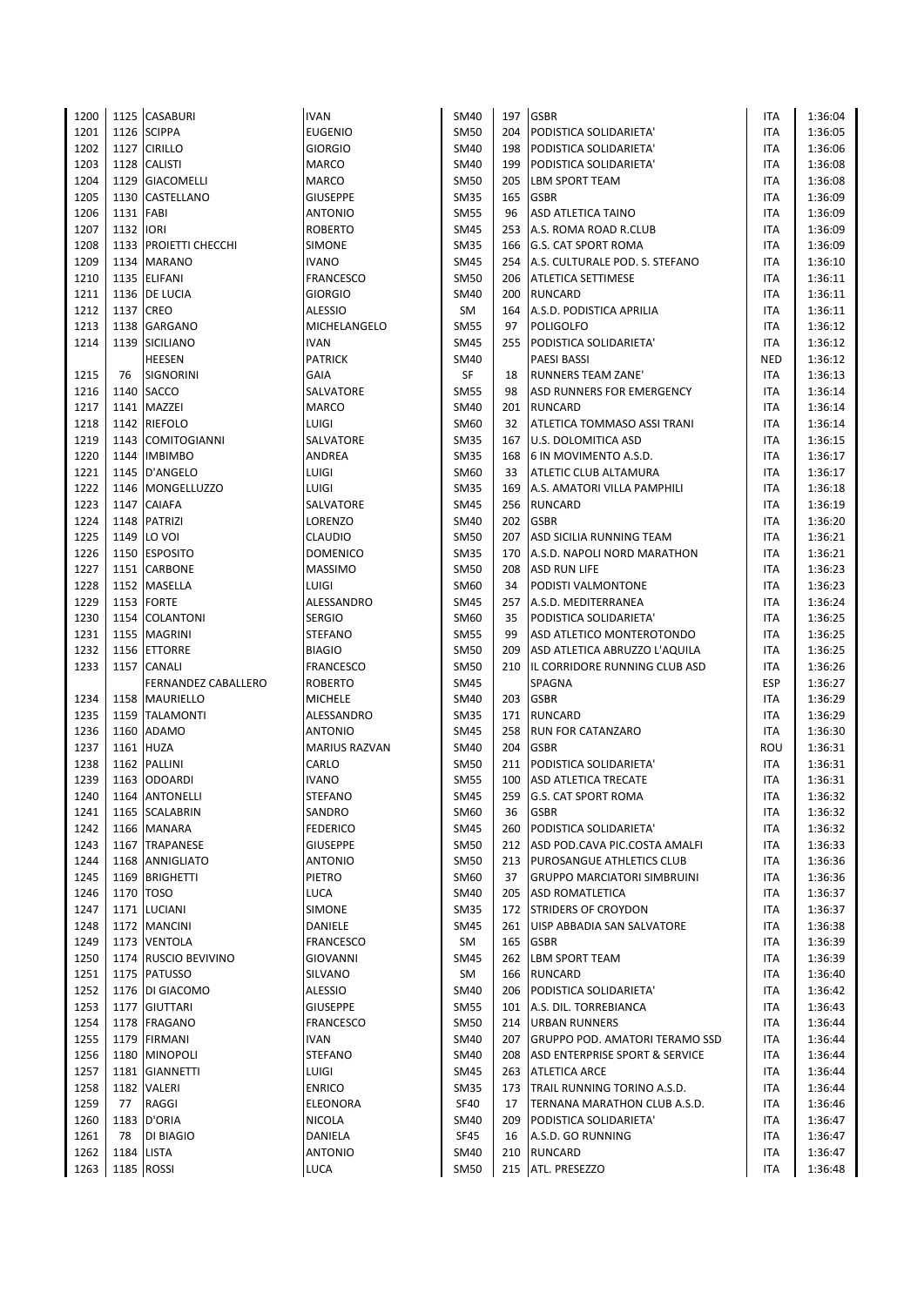| 1200 |           | 1125 CASABURI         | <b>IVAN</b>          | SM40        | 197 | <b>GSBR</b>                           | <b>ITA</b> | 1:36:04 |
|------|-----------|-----------------------|----------------------|-------------|-----|---------------------------------------|------------|---------|
| 1201 |           | 1126 SCIPPA           | <b>EUGENIO</b>       | <b>SM50</b> | 204 | PODISTICA SOLIDARIETA'                | ITA        | 1:36:05 |
| 1202 |           | 1127 CIRILLO          | GIORGIO              | SM40        | 198 | PODISTICA SOLIDARIETA'                | ITA        | 1:36:06 |
| 1203 |           | 1128 CALISTI          | <b>MARCO</b>         | SM40        | 199 | PODISTICA SOLIDARIETA'                | ITA        | 1:36:08 |
| 1204 |           | 1129 GIACOMELLI       | <b>MARCO</b>         | SM50        | 205 | <b>LBM SPORT TEAM</b>                 | ITA        | 1:36:08 |
| 1205 |           | 1130 CASTELLANO       | <b>GIUSEPPE</b>      | <b>SM35</b> | 165 | <b>GSBR</b>                           | ITA        | 1:36:09 |
| 1206 | 1131 FABI |                       | <b>ANTONIO</b>       | <b>SM55</b> | 96  | <b>ASD ATLETICA TAINO</b>             | ITA        | 1:36:09 |
| 1207 | 1132 IORI |                       | ROBERTO              | SM45        | 253 | A.S. ROMA ROAD R.CLUB                 | ITA        | 1:36:09 |
| 1208 |           | 1133 PROIETTI CHECCHI | <b>SIMONE</b>        | <b>SM35</b> | 166 | <b>G.S. CAT SPORT ROMA</b>            | ITA        | 1:36:09 |
| 1209 |           | 1134 MARANO           | <b>IVANO</b>         | <b>SM45</b> | 254 | A.S. CULTURALE POD. S. STEFANO        | ITA        | 1:36:10 |
| 1210 |           | 1135 ELIFANI          | <b>FRANCESCO</b>     | SM50        | 206 | <b>ATLETICA SETTIMESE</b>             | ITA        | 1:36:11 |
| 1211 |           | 1136 DE LUCIA         | <b>GIORGIO</b>       | SM40        | 200 | <b>RUNCARD</b>                        | <b>ITA</b> | 1:36:11 |
| 1212 | 1137 CREO |                       | <b>ALESSIO</b>       | SM          |     | 164 A.S.D. PODISTICA APRILIA          | <b>ITA</b> | 1:36:11 |
| 1213 |           | 1138 GARGANO          | MICHELANGELO         | <b>SM55</b> | 97  | <b>POLIGOLFO</b>                      | ITA        | 1:36:12 |
| 1214 |           | 1139 SICILIANO        | <b>IVAN</b>          | SM45        | 255 | PODISTICA SOLIDARIETA'                | ITA        | 1:36:12 |
|      |           | <b>HEESEN</b>         | <b>PATRICK</b>       | SM40        |     | <b>PAESI BASSI</b>                    | <b>NED</b> | 1:36:12 |
| 1215 | 76        | <b>SIGNORINI</b>      | GAIA                 | SF          | 18  | <b>RUNNERS TEAM ZANE</b>              | ITA        | 1:36:13 |
| 1216 | 1140      | <b>SACCO</b>          | SALVATORE            | <b>SM55</b> | 98  | <b>ASD RUNNERS FOR EMERGENCY</b>      | ITA        | 1:36:14 |
| 1217 |           | 1141 MAZZEI           | <b>MARCO</b>         | SM40        | 201 | <b>RUNCARD</b>                        | <b>ITA</b> | 1:36:14 |
| 1218 |           | 1142 RIEFOLO          | LUIGI                | SM60        | 32  | <b>ATLETICA TOMMASO ASSI TRANI</b>    | <b>ITA</b> | 1:36:14 |
| 1219 |           | 1143 COMITOGIANNI     | SALVATORE            | <b>SM35</b> | 167 | <b>U.S. DOLOMITICA ASD</b>            | ITA        | 1:36:15 |
| 1220 |           | 1144 IMBIMBO          | ANDREA               | <b>SM35</b> | 168 | 6 IN MOVIMENTO A.S.D.                 | ITA        | 1:36:17 |
| 1221 |           | 1145 D'ANGELO         |                      |             | 33  | <b>ATLETIC CLUB ALTAMURA</b>          | ITA        |         |
|      |           |                       | LUIGI                | SM60        |     |                                       |            | 1:36:17 |
| 1222 |           | 1146 MONGELLUZZO      | LUIGI                | <b>SM35</b> | 169 | A.S. AMATORI VILLA PAMPHILI           | <b>ITA</b> | 1:36:18 |
| 1223 |           | 1147 CAIAFA           | SALVATORE            | <b>SM45</b> |     | 256 RUNCARD                           | <b>ITA</b> | 1:36:19 |
| 1224 |           | 1148 PATRIZI          | LORENZO              | SM40        | 202 | <b>GSBR</b>                           | <b>ITA</b> | 1:36:20 |
| 1225 |           | 1149 LO VOI           | <b>CLAUDIO</b>       | SM50        | 207 | ASD SICILIA RUNNING TEAM              | ITA        | 1:36:21 |
| 1226 |           | 1150 ESPOSITO         | <b>DOMENICO</b>      | SM35        | 170 | A.S.D. NAPOLI NORD MARATHON           | ITA        | 1:36:21 |
| 1227 |           | 1151 CARBONE          | <b>MASSIMO</b>       | <b>SM50</b> | 208 | ASD RUN LIFE                          | ITA        | 1:36:23 |
| 1228 |           | 1152 MASELLA          | LUIGI                | SM60        | 34  | PODISTI VALMONTONE                    | ITA        | 1:36:23 |
| 1229 |           | 1153 FORTE            | ALESSANDRO           | SM45        | 257 | A.S.D. MEDITERRANEA                   | ITA        | 1:36:24 |
| 1230 |           | 1154 COLANTONI        | <b>SERGIO</b>        | SM60        | 35  | PODISTICA SOLIDARIETA'                | ITA        | 1:36:25 |
| 1231 |           | 1155 MAGRINI          | <b>STEFANO</b>       | <b>SM55</b> | 99  | ASD ATLETICO MONTEROTONDO             | ITA        | 1:36:25 |
| 1232 | 1156      | <b>ETTORRE</b>        | <b>BIAGIO</b>        | SM50        | 209 | ASD ATLETICA ABRUZZO L'AQUILA         | ITA        | 1:36:25 |
| 1233 |           | 1157 CANALI           | <b>FRANCESCO</b>     | SM50        | 210 | IL CORRIDORE RUNNING CLUB ASD         | ITA        | 1:36:26 |
|      |           | FERNANDEZ CABALLERO   | <b>ROBERTO</b>       | SM45        |     | SPAGNA                                | <b>ESP</b> | 1:36:27 |
| 1234 |           | 1158   MAURIELLO      | <b>MICHELE</b>       | SM40        | 203 | <b>GSBR</b>                           | <b>ITA</b> | 1:36:29 |
| 1235 |           | 1159 TALAMONTI        | ALESSANDRO           | SM35        | 171 | <b>RUNCARD</b>                        | ITA        | 1:36:29 |
| 1236 |           | 1160 ADAMO            | <b>ANTONIO</b>       | SM45        | 258 | <b>RUN FOR CATANZARO</b>              | <b>ITA</b> | 1:36:30 |
| 1237 |           | 1161 HUZA             | <b>MARIUS RAZVAN</b> | SM40        | 204 | <b>GSBR</b>                           | ROU        | 1:36:31 |
| 1238 |           | 1162 PALLINI          | CARLO                | <b>SM50</b> | 211 | PODISTICA SOLIDARIETA'                | ITA        | 1:36:31 |
| 1239 |           | 1163 ODOARDI          | <b>IVANO</b>         | SM55        | 100 | <b>ASD ATLETICA TRECATE</b>           | ITA        | 1:36:31 |
| 1240 |           | 1164 ANTONELLI        | <b>STEFANO</b>       | <b>SM45</b> | 259 | <b>G.S. CAT SPORT ROMA</b>            | <b>ITA</b> | 1:36:32 |
| 1241 |           | 1165 SCALABRIN        | SANDRO               | SM60        | 36  | <b>GSBR</b>                           | ITA        | 1:36:32 |
| 1242 |           | 1166 MANARA           | FEDERICO             | SM45        | 260 | PODISTICA SOLIDARIETA'                | ITA        | 1:36:32 |
| 1243 |           | 1167 TRAPANESE        | <b>GIUSEPPE</b>      | <b>SM50</b> | 212 | ASD POD.CAVA PIC.COSTA AMALFI         | ITA        | 1:36:33 |
| 1244 |           | 1168 ANNIGLIATO       | <b>ANTONIO</b>       | <b>SM50</b> | 213 | <b>PUROSANGUE ATHLETICS CLUB</b>      | ITA        | 1:36:36 |
| 1245 |           | 1169 BRIGHETTI        | PIETRO               | SM60        | 37  | <b>GRUPPO MARCIATORI SIMBRUINI</b>    | ITA        | 1:36:36 |
| 1246 |           | 1170 TOSO             | <b>LUCA</b>          | <b>SM40</b> | 205 | <b>ASD ROMATLETICA</b>                | ITA        | 1:36:37 |
| 1247 |           | 1171 LUCIANI          | SIMONE               | <b>SM35</b> | 172 | <b>STRIDERS OF CROYDON</b>            | ITA        | 1:36:37 |
| 1248 |           | 1172 MANCINI          | DANIELE              | SM45        |     | 261 UISP ABBADIA SAN SALVATORE        | ITA        | 1:36:38 |
| 1249 |           | 1173 VENTOLA          | <b>FRANCESCO</b>     | SM          |     | 165 GSBR                              | ITA        | 1:36:39 |
| 1250 |           | 1174 RUSCIO BEVIVINO  | GIOVANNI             | SM45        |     | 262 LBM SPORT TEAM                    | ITA        | 1:36:39 |
| 1251 |           | 1175 PATUSSO          | SILVANO              | SM          | 166 | RUNCARD                               | <b>ITA</b> | 1:36:40 |
| 1252 |           | 1176   DI GIACOMO     | ALESSIO              | SM40        | 206 | PODISTICA SOLIDARIETA'                | ITA        | 1:36:42 |
| 1253 |           | 1177 GIUTTARI         | <b>GIUSEPPE</b>      | SM55        | 101 | A.S. DIL. TORREBIANCA                 | ITA        | 1:36:43 |
| 1254 |           | 1178 FRAGANO          | FRANCESCO            | SM50        | 214 | <b>URBAN RUNNERS</b>                  | ITA        | 1:36:44 |
| 1255 |           | 1179 FIRMANI          | <b>IVAN</b>          | SM40        | 207 | <b>GRUPPO POD. AMATORI TERAMO SSD</b> | ITA        | 1:36:44 |
| 1256 |           | 1180 MINOPOLI         | <b>STEFANO</b>       | SM40        | 208 | ASD ENTERPRISE SPORT & SERVICE        | ITA        | 1:36:44 |
| 1257 |           | 1181 GIANNETTI        | LUIGI                | SM45        |     | 263 ATLETICA ARCE                     | ITA        | 1:36:44 |
| 1258 |           | 1182 VALERI           | <b>ENRICO</b>        | <b>SM35</b> | 173 | TRAIL RUNNING TORINO A.S.D.           | ITA        | 1:36:44 |
| 1259 | 77        | RAGGI                 | ELEONORA             | SF40        | 17  | TERNANA MARATHON CLUB A.S.D.          | ITA        | 1:36:46 |
| 1260 |           | 1183 D'ORIA           | <b>NICOLA</b>        | SM40        | 209 | PODISTICA SOLIDARIETA'                | ITA        | 1:36:47 |
| 1261 | 78        | DI BIAGIO             | DANIELA              | SF45        | 16  | A.S.D. GO RUNNING                     | ITA        | 1:36:47 |
| 1262 |           | 1184 LISTA            | <b>ANTONIO</b>       | SM40        | 210 | <b>RUNCARD</b>                        | ITA        | 1:36:47 |
| 1263 |           | 1185 ROSSI            | LUCA                 | SM50        |     | 215 ATL. PRESEZZO                     | <b>ITA</b> | 1:36:48 |
|      |           |                       |                      |             |     |                                       |            |         |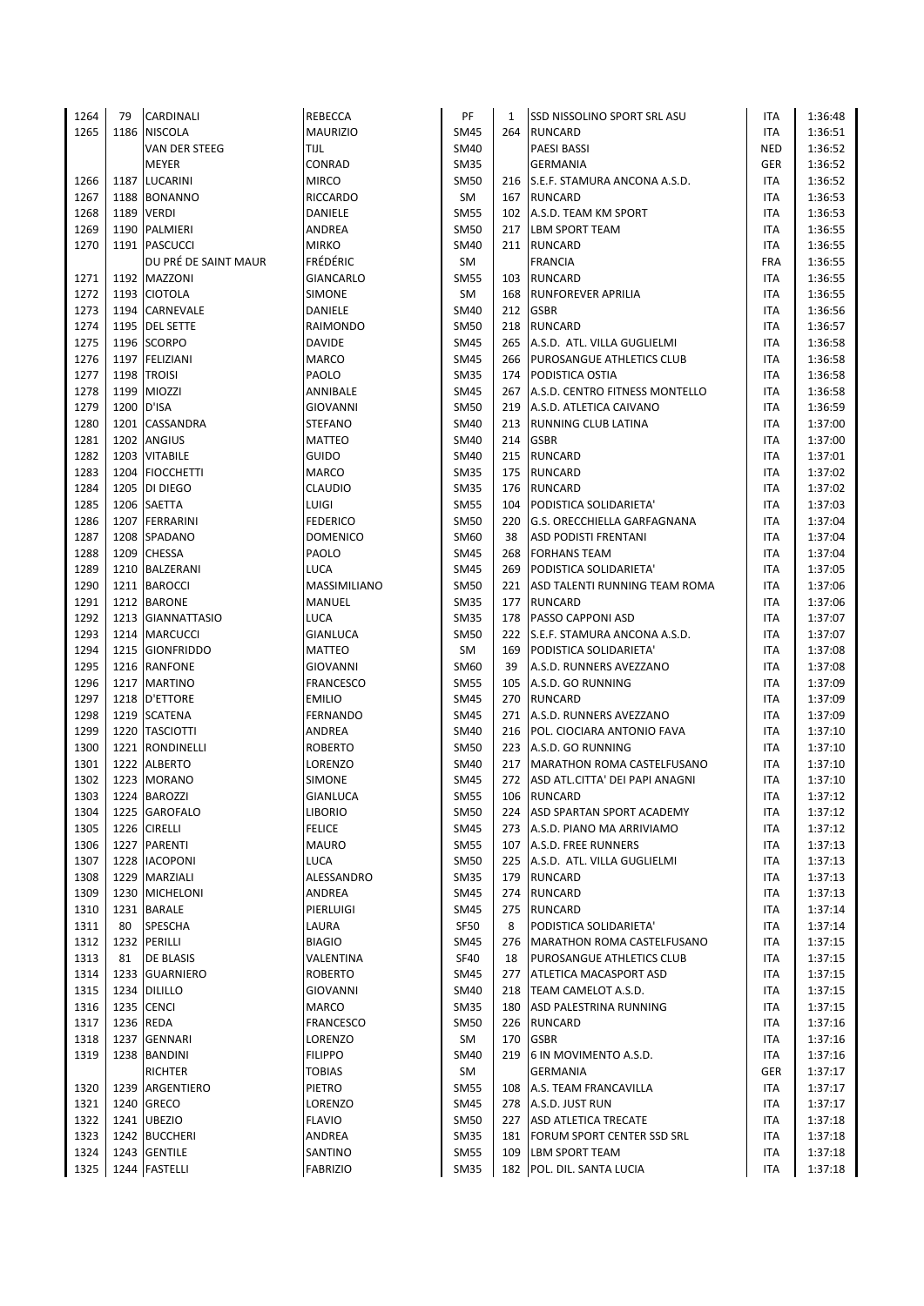| 1264 | 79   | CARDINALI            | <b>REBECCA</b>   | PF          | 1   | <b>SSD NISSOLINO SPORT SRL ASU</b> | ITA        | 1:36:48 |
|------|------|----------------------|------------------|-------------|-----|------------------------------------|------------|---------|
| 1265 | 1186 | <b>NISCOLA</b>       | <b>MAURIZIO</b>  | <b>SM45</b> | 264 | <b>RUNCARD</b>                     | <b>ITA</b> | 1:36:51 |
|      |      | VAN DER STEEG        | TIJL             | SM40        |     | <b>PAESI BASSI</b>                 | <b>NED</b> | 1:36:52 |
|      |      | <b>MEYER</b>         | CONRAD           | <b>SM35</b> |     | <b>GERMANIA</b>                    | GER        | 1:36:52 |
| 1266 |      | 1187 LUCARINI        | <b>MIRCO</b>     | SM50        |     | 216 S.E.F. STAMURA ANCONA A.S.D.   | ITA        | 1:36:52 |
| 1267 | 1188 | <b>BONANNO</b>       | <b>RICCARDO</b>  | SM          | 167 | <b>RUNCARD</b>                     | ITA        | 1:36:53 |
| 1268 | 1189 | <b>VERDI</b>         | DANIELE          | <b>SM55</b> | 102 | A.S.D. TEAM KM SPORT               | ITA        | 1:36:53 |
| 1269 |      | 1190 PALMIERI        | ANDREA           | <b>SM50</b> | 217 | <b>LBM SPORT TEAM</b>              | <b>ITA</b> | 1:36:55 |
| 1270 |      | 1191   PASCUCCI      | <b>MIRKO</b>     | <b>SM40</b> |     | 211 RUNCARD                        | ITA        | 1:36:55 |
|      |      | DU PRÉ DE SAINT MAUR | FRÉDÉRIC         | SM          |     | <b>FRANCIA</b>                     | <b>FRA</b> | 1:36:55 |
| 1271 |      | 1192 MAZZONI         | GIANCARLO        | <b>SM55</b> | 103 | <b>RUNCARD</b>                     | <b>ITA</b> | 1:36:55 |
| 1272 |      | 1193 CIOTOLA         | SIMONE           | SM          | 168 | <b>RUNFOREVER APRILIA</b>          | <b>ITA</b> | 1:36:55 |
| 1273 |      | 1194 CARNEVALE       | DANIELE          | SM40        |     | 212 GSBR                           | <b>ITA</b> | 1:36:56 |
| 1274 | 1195 | <b>DEL SETTE</b>     | RAIMONDO         | <b>SM50</b> |     | 218 RUNCARD                        | ITA        | 1:36:57 |
| 1275 |      | 1196 SCORPO          | DAVIDE           | <b>SM45</b> |     | 265 A.S.D. ATL. VILLA GUGLIELMI    | <b>ITA</b> | 1:36:58 |
| 1276 |      | 1197 FELIZIANI       |                  | <b>SM45</b> |     | 266 PUROSANGUE ATHLETICS CLUB      | <b>ITA</b> |         |
|      | 1198 | <b>TROISI</b>        | MARCO            | <b>SM35</b> |     |                                    |            | 1:36:58 |
| 1277 |      |                      | PAOLO            |             |     | 174 PODISTICA OSTIA                | ITA        | 1:36:58 |
| 1278 | 1199 | <b>MIOZZI</b>        | ANNIBALE         | <b>SM45</b> |     | 267 A.S.D. CENTRO FITNESS MONTELLO | ITA        | 1:36:58 |
| 1279 | 1200 | D'ISA                | GIOVANNI         | <b>SM50</b> |     | 219 A.S.D. ATLETICA CAIVANO        | ITA        | 1:36:59 |
| 1280 |      | 1201 CASSANDRA       | <b>STEFANO</b>   | <b>SM40</b> |     | 213 RUNNING CLUB LATINA            | ITA        | 1:37:00 |
| 1281 | 1202 | <b>ANGIUS</b>        | MATTEO           | <b>SM40</b> | 214 | <b>GSBR</b>                        | ITA        | 1:37:00 |
| 1282 | 1203 | <b>VITABILE</b>      | <b>GUIDO</b>     | <b>SM40</b> | 215 | <b>RUNCARD</b>                     | ITA        | 1:37:01 |
| 1283 |      | 1204 FIOCCHETTI      | MARCO            | <b>SM35</b> |     | 175 RUNCARD                        | <b>ITA</b> | 1:37:02 |
| 1284 |      | 1205 DI DIEGO        | CLAUDIO          | <b>SM35</b> |     | 176 RUNCARD                        | <b>ITA</b> | 1:37:02 |
| 1285 |      | 1206 SAETTA          | LUIGI            | <b>SM55</b> |     | 104 PODISTICA SOLIDARIETA'         | <b>ITA</b> | 1:37:03 |
| 1286 | 1207 | <b>FERRARINI</b>     | <b>FEDERICO</b>  | <b>SM50</b> | 220 | G.S. ORECCHIELLA GARFAGNANA        | <b>ITA</b> | 1:37:04 |
| 1287 |      | 1208 SPADANO         | <b>DOMENICO</b>  | SM60        | 38  | <b>ASD PODISTI FRENTANI</b>        | <b>ITA</b> | 1:37:04 |
| 1288 |      | 1209 CHESSA          | PAOLO            | <b>SM45</b> | 268 | <b>FORHANS TEAM</b>                | <b>ITA</b> | 1:37:04 |
| 1289 | 1210 | <b>BALZERANI</b>     | <b>LUCA</b>      | <b>SM45</b> | 269 | PODISTICA SOLIDARIETA'             | <b>ITA</b> | 1:37:05 |
| 1290 |      | 1211 BAROCCI         | MASSIMILIANO     | <b>SM50</b> | 221 | ASD TALENTI RUNNING TEAM ROMA      | ITA        | 1:37:06 |
| 1291 |      | 1212 BARONE          | MANUEL           | <b>SM35</b> | 177 | <b>RUNCARD</b>                     | <b>ITA</b> | 1:37:06 |
| 1292 |      | 1213 GIANNATTASIO    | LUCA             | <b>SM35</b> | 178 | <b>PASSO CAPPONI ASD</b>           | ITA        | 1:37:07 |
| 1293 | 1214 | <b>MARCUCCI</b>      | <b>GIANLUCA</b>  | <b>SM50</b> |     | 222 S.E.F. STAMURA ANCONA A.S.D.   | <b>ITA</b> | 1:37:07 |
| 1294 | 1215 | <b>GIONFRIDDO</b>    | <b>MATTEO</b>    | SM          | 169 | PODISTICA SOLIDARIETA'             | ITA        | 1:37:08 |
| 1295 |      | 1216 RANFONE         | GIOVANNI         | SM60        | 39  | A.S.D. RUNNERS AVEZZANO            | <b>ITA</b> | 1:37:08 |
| 1296 |      | 1217 MARTINO         | <b>FRANCESCO</b> | <b>SM55</b> | 105 | A.S.D. GO RUNNING                  | <b>ITA</b> | 1:37:09 |
| 1297 |      | 1218 D'ETTORE        | <b>EMILIO</b>    | <b>SM45</b> | 270 | <b>RUNCARD</b>                     | ITA        | 1:37:09 |
| 1298 |      | 1219 SCATENA         | FERNANDO         | <b>SM45</b> | 271 | A.S.D. RUNNERS AVEZZANO            | ITA        | 1:37:09 |
| 1299 |      | 1220 TASCIOTTI       | ANDREA           | SM40        |     | 216 POL. CIOCIARA ANTONIO FAVA     | ITA        | 1:37:10 |
| 1300 |      | 1221 RONDINELLI      | <b>ROBERTO</b>   | <b>SM50</b> |     | 223 A.S.D. GO RUNNING              | <b>ITA</b> | 1:37:10 |
| 1301 | 1222 | <b>ALBERTO</b>       | LORENZO          | SM40        |     | 217 MARATHON ROMA CASTELFUSANO     | ITA        | 1:37:10 |
| 1302 |      | 1223 MORANO          | SIMONE           | SM45        |     | 272 ASD ATL.CITTA' DEI PAPI ANAGNI | ITA        | 1:37:10 |
| 1303 |      | 1224 BAROZZI         | GIANLUCA         | <b>SM55</b> |     | 106 RUNCARD                        | <b>ITA</b> | 1:37:12 |
| 1304 |      | 1225 GAROFALO        | <b>LIBORIO</b>   | <b>SM50</b> |     | 224 ASD SPARTAN SPORT ACADEMY      | ITA        | 1:37:12 |
| 1305 | 1226 | <b>CIRELLI</b>       | <b>FELICE</b>    | <b>SM45</b> |     | 273 A.S.D. PIANO MA ARRIVIAMO      | ITA        | 1:37:12 |
| 1306 |      | 1227 PARENTI         | <b>MAURO</b>     | <b>SM55</b> |     | 107 A.S.D. FREE RUNNERS            | ITA        | 1:37:13 |
| 1307 |      | 1228 IACOPONI        | LUCA             | <b>SM50</b> |     | 225 A.S.D. ATL. VILLA GUGLIELMI    | ITA        | 1:37:13 |
| 1308 | 1229 | MARZIALI             | ALESSANDRO       | <b>SM35</b> |     | 179 RUNCARD                        | ITA        | 1:37:13 |
| 1309 | 1230 | <b>MICHELONI</b>     | ANDREA           | <b>SM45</b> | 274 | <b>RUNCARD</b>                     | ITA        | 1:37:13 |
| 1310 |      | 1231 BARALE          | PIERLUIGI        | <b>SM45</b> |     | 275 RUNCARD                        | ITA        | 1:37:14 |
| 1311 | 80   | SPESCHA              | LAURA            | <b>SF50</b> | 8   | PODISTICA SOLIDARIETA'             | ITA        | 1:37:14 |
| 1312 | 1232 | PERILLI              | <b>BIAGIO</b>    | <b>SM45</b> |     | 276   MARATHON ROMA CASTELFUSANO   | ITA        | 1:37:15 |
| 1313 | 81   | DE BLASIS            | VALENTINA        | <b>SF40</b> | 18  | PUROSANGUE ATHLETICS CLUB          | ITA        | 1:37:15 |
|      |      | 1233 GUARNIERO       |                  | <b>SM45</b> | 277 | <b>ATLETICA MACASPORT ASD</b>      |            |         |
| 1314 |      |                      | <b>ROBERTO</b>   |             |     |                                    | ITA        | 1:37:15 |
| 1315 |      | 1234 DILILLO         | <b>GIOVANNI</b>  | <b>SM40</b> |     | 218 TEAM CAMELOT A.S.D.            | ITA        | 1:37:15 |
| 1316 | 1235 | <b>CENCI</b>         | MARCO            | <b>SM35</b> | 180 | ASD PALESTRINA RUNNING             | ITA        | 1:37:15 |
| 1317 | 1236 | <b>REDA</b>          | FRANCESCO        | SM50        | 226 | <b>RUNCARD</b>                     | ITA        | 1:37:16 |
| 1318 |      | 1237 GENNARI         | LORENZO          | SM          | 170 | <b>GSBR</b>                        | ITA        | 1:37:16 |
| 1319 |      | 1238 BANDINI         | <b>FILIPPO</b>   | SM40        | 219 | 6 IN MOVIMENTO A.S.D.              | ITA        | 1:37:16 |
|      |      | RICHTER              | <b>TOBIAS</b>    | SM          |     | <b>GERMANIA</b>                    | GER        | 1:37:17 |
| 1320 | 1239 | ARGENTIERO           | PIETRO           | <b>SM55</b> | 108 | A.S. TEAM FRANCAVILLA              | ITA        | 1:37:17 |
| 1321 |      | 1240 GRECO           | LORENZO          | <b>SM45</b> |     | 278 A.S.D. JUST RUN                | ITA        | 1:37:17 |
| 1322 |      | 1241 UBEZIO          | <b>FLAVIO</b>    | <b>SM50</b> |     | 227   ASD ATLETICA TRECATE         | ITA        | 1:37:18 |
| 1323 |      | 1242 BUCCHERI        | ANDREA           | SM35        | 181 | <b>FORUM SPORT CENTER SSD SRL</b>  | ITA        | 1:37:18 |
| 1324 |      | 1243 GENTILE         | SANTINO          | SM55        | 109 | LBM SPORT TEAM                     | ITA        | 1:37:18 |
| 1325 |      | 1244 FASTELLI        | <b>FABRIZIO</b>  | <b>SM35</b> |     | 182 POL. DIL. SANTA LUCIA          | <b>ITA</b> | 1:37:18 |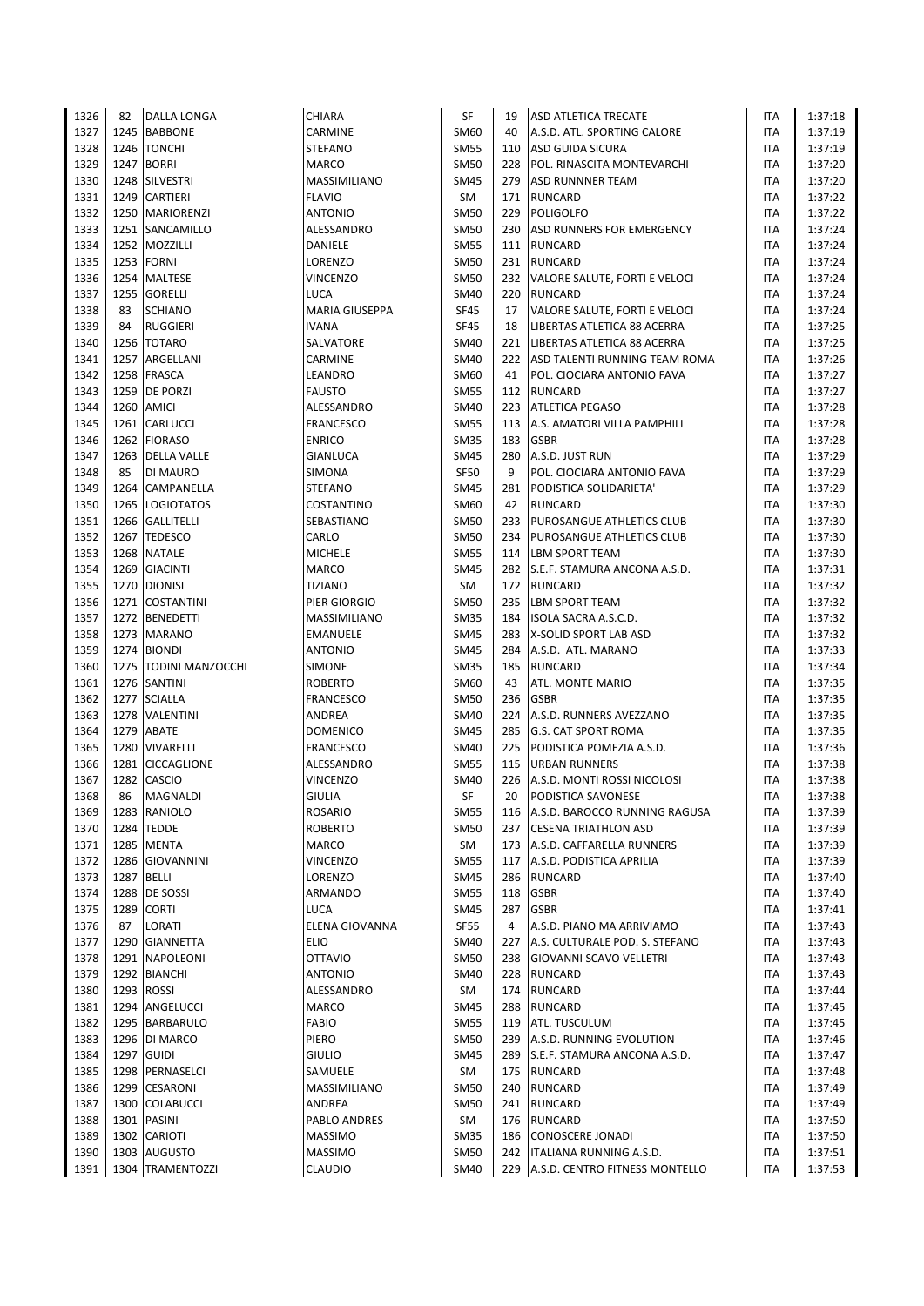| 1326 | 82   | <b>DALLA LONGA</b>             | CHIARA                | SF          | 19  | <b>ASD ATLETICA TRECATE</b>         | ITA        | 1:37:18 |
|------|------|--------------------------------|-----------------------|-------------|-----|-------------------------------------|------------|---------|
| 1327 |      | 1245 BABBONE                   | CARMINE               | SM60        | 40  | A.S.D. ATL. SPORTING CALORE         | ITA        | 1:37:19 |
| 1328 |      | 1246 TONCHI                    | <b>STEFANO</b>        | <b>SM55</b> | 110 | ASD GUIDA SICURA                    | ITA        | 1:37:19 |
| 1329 |      | 1247 BORRI                     | <b>MARCO</b>          | <b>SM50</b> | 228 | POL. RINASCITA MONTEVARCHI          | <b>ITA</b> | 1:37:20 |
| 1330 |      | 1248 SILVESTRI                 | MASSIMILIANO          | <b>SM45</b> | 279 | <b>ASD RUNNNER TEAM</b>             | <b>ITA</b> | 1:37:20 |
| 1331 |      | 1249 CARTIERI                  | <b>FLAVIO</b>         | <b>SM</b>   | 171 | <b>RUNCARD</b>                      | ITA        | 1:37:22 |
| 1332 |      | 1250   MARIORENZI              | <b>ANTONIO</b>        | <b>SM50</b> | 229 | POLIGOLFO                           | ITA        | 1:37:22 |
| 1333 |      | 1251 SANCAMILLO                | ALESSANDRO            | <b>SM50</b> | 230 | <b>ASD RUNNERS FOR EMERGENCY</b>    | <b>ITA</b> | 1:37:24 |
| 1334 |      | 1252 MOZZILLI                  | DANIELE               | <b>SM55</b> |     | 111 RUNCARD                         | <b>ITA</b> | 1:37:24 |
| 1335 | 1253 | <b>FORNI</b>                   | LORENZO               | <b>SM50</b> | 231 | <b>RUNCARD</b>                      | ITA        | 1:37:24 |
| 1336 |      | 1254 MALTESE                   | <b>VINCENZO</b>       | <b>SM50</b> | 232 | VALORE SALUTE, FORTI E VELOCI       | ITA        | 1:37:24 |
| 1337 |      | 1255 GORELLI                   | <b>LUCA</b>           | <b>SM40</b> | 220 | <b>RUNCARD</b>                      | ITA        | 1:37:24 |
| 1338 | 83   | <b>SCHIANO</b>                 | <b>MARIA GIUSEPPA</b> | <b>SF45</b> | 17  | VALORE SALUTE, FORTI E VELOCI       | ITA        | 1:37:24 |
| 1339 | 84   |                                | <b>IVANA</b>          | <b>SF45</b> | 18  |                                     | ITA        | 1:37:25 |
|      |      | <b>RUGGIERI</b><br>1256 TOTARO |                       | <b>SM40</b> |     | LIBERTAS ATLETICA 88 ACERRA         |            |         |
| 1340 |      |                                | SALVATORE             |             | 221 | LIBERTAS ATLETICA 88 ACERRA         | ITA        | 1:37:25 |
| 1341 |      | 1257 ARGELLANI                 | CARMINE               | <b>SM40</b> | 222 | ASD TALENTI RUNNING TEAM ROMA       | ITA        | 1:37:26 |
| 1342 |      | 1258 FRASCA                    | LEANDRO               | SM60        | 41  | POL. CIOCIARA ANTONIO FAVA          | ITA        | 1:37:27 |
| 1343 | 1259 | <b>DE PORZI</b>                | <b>FAUSTO</b>         | <b>SM55</b> |     | 112 RUNCARD                         | ITA        | 1:37:27 |
| 1344 | 1260 | <b>AMICI</b>                   | ALESSANDRO            | SM40        | 223 | <b>ATLETICA PEGASO</b>              | ITA        | 1:37:28 |
| 1345 |      | 1261 CARLUCCI                  | <b>FRANCESCO</b>      | <b>SM55</b> | 113 | A.S. AMATORI VILLA PAMPHILI         | ITA        | 1:37:28 |
| 1346 |      | 1262 FIORASO                   | <b>ENRICO</b>         | <b>SM35</b> | 183 | <b>GSBR</b>                         | ITA        | 1:37:28 |
| 1347 |      | 1263 DELLA VALLE               | <b>GIANLUCA</b>       | SM45        | 280 | A.S.D. JUST RUN                     | ITA        | 1:37:29 |
| 1348 | 85   | DI MAURO                       | SIMONA                | <b>SF50</b> | 9   | POL. CIOCIARA ANTONIO FAVA          | ITA        | 1:37:29 |
| 1349 |      | 1264 CAMPANELLA                | <b>STEFANO</b>        | <b>SM45</b> | 281 | PODISTICA SOLIDARIETA'              | ITA        | 1:37:29 |
| 1350 | 1265 | <b>LOGIOTATOS</b>              | COSTANTINO            | SM60        | 42  | <b>RUNCARD</b>                      | ITA        | 1:37:30 |
| 1351 | 1266 | <b>GALLITELLI</b>              | SEBASTIANO            | SM50        | 233 | <b>PUROSANGUE ATHLETICS CLUB</b>    | ITA        | 1:37:30 |
| 1352 |      | 1267 TEDESCO                   | CARLO                 | <b>SM50</b> | 234 | <b>PUROSANGUE ATHLETICS CLUB</b>    | ITA        | 1:37:30 |
| 1353 |      | 1268 NATALE                    | <b>MICHELE</b>        | <b>SM55</b> | 114 | <b>LBM SPORT TEAM</b>               | <b>ITA</b> | 1:37:30 |
| 1354 | 1269 | <b>GIACINTI</b>                | <b>MARCO</b>          | <b>SM45</b> |     | 282 S.E.F. STAMURA ANCONA A.S.D.    | ITA        | 1:37:31 |
| 1355 |      | 1270 DIONISI                   | <b>TIZIANO</b>        | <b>SM</b>   |     | 172 RUNCARD                         | ITA        | 1:37:32 |
| 1356 |      | 1271 COSTANTINI                | PIER GIORGIO          | <b>SM50</b> | 235 | <b>LBM SPORT TEAM</b>               | ITA        | 1:37:32 |
| 1357 |      | 1272 BENEDETTI                 | MASSIMILIANO          | <b>SM35</b> |     | 184 ISOLA SACRA A.S.C.D.            | <b>ITA</b> | 1:37:32 |
| 1358 |      | 1273 MARANO                    | <b>EMANUELE</b>       | <b>SM45</b> | 283 | X-SOLID SPORT LAB ASD               | ITA        | 1:37:32 |
| 1359 |      | 1274 BIONDI                    | <b>ANTONIO</b>        | <b>SM45</b> | 284 | A.S.D. ATL. MARANO                  | ITA        | 1:37:33 |
| 1360 |      | 1275 TODINI MANZOCCHI          | SIMONE                | <b>SM35</b> | 185 | <b>RUNCARD</b>                      | <b>ITA</b> | 1:37:34 |
| 1361 |      | 1276 SANTINI                   | <b>ROBERTO</b>        | SM60        | 43  | <b>ATL. MONTE MARIO</b>             | ITA        | 1:37:35 |
| 1362 |      | 1277 SCIALLA                   | <b>FRANCESCO</b>      | <b>SM50</b> | 236 | <b>GSBR</b>                         | ITA        | 1:37:35 |
| 1363 |      | 1278 VALENTINI                 | ANDREA                | SM40        | 224 | A.S.D. RUNNERS AVEZZANO             | ITA        | 1:37:35 |
| 1364 |      | 1279 ABATE                     | <b>DOMENICO</b>       | <b>SM45</b> | 285 | <b>G.S. CAT SPORT ROMA</b>          | ITA        | 1:37:35 |
| 1365 | 1280 | <b>VIVARELLI</b>               | <b>FRANCESCO</b>      | <b>SM40</b> | 225 | PODISTICA POMEZIA A.S.D.            | ITA        | 1:37:36 |
| 1366 | 1281 | CICCAGLIONE                    | ALESSANDRO            | <b>SM55</b> | 115 | <b>URBAN RUNNERS</b>                | ITA        | 1:37:38 |
| 1367 | 1282 | <b>CASCIO</b>                  | <b>VINCENZO</b>       | <b>SM40</b> | 226 | A.S.D. MONTI ROSSI NICOLOSI         | ITA        | 1:37:38 |
| 1368 | 86   | <b>MAGNALDI</b>                | <b>GIULIA</b>         | SF          | 20  | PODISTICA SAVONESE                  | <b>ITA</b> | 1:37:38 |
| 1369 |      | 1283 RANIOLO                   | ROSARIO               | <b>SM55</b> |     | 116   A.S.D. BAROCCO RUNNING RAGUSA | ITA        | 1:37:39 |
| 1370 |      | 1284 TEDDE                     | <b>ROBERTO</b>        | <b>SM50</b> | 237 | <b>CESENA TRIATHLON ASD</b>         | ITA        | 1:37:39 |
| 1371 |      | 1285 MENTA                     | MARCO                 | SM          |     | 173 A.S.D. CAFFARELLA RUNNERS       | <b>ITA</b> | 1:37:39 |
| 1372 |      | 1286 GIOVANNINI                | VINCENZO              | <b>SM55</b> | 117 | A.S.D. PODISTICA APRILIA            | ITA        | 1:37:39 |
| 1373 |      | 1287 BELLI                     | LORENZO               | <b>SM45</b> |     | 286 RUNCARD                         | ITA        | 1:37:40 |
|      |      | 1288 DE SOSSI                  |                       |             |     |                                     |            |         |
| 1374 |      | 1289 CORTI                     | ARMANDO               | <b>SM55</b> | 118 | <b>GSBR</b>                         | ITA        | 1:37:40 |
| 1375 |      |                                | <b>LUCA</b>           | SM45        | 287 | <b>GSBR</b>                         | ITA        | 1:37:41 |
| 1376 | 87   | LORATI                         | ELENA GIOVANNA        | <b>SF55</b> | 4   | A.S.D. PIANO MA ARRIVIAMO           | ITA        | 1:37:43 |
| 1377 |      | 1290 GIANNETTA                 | <b>ELIO</b>           | <b>SM40</b> | 227 | A.S. CULTURALE POD. S. STEFANO      | ITA        | 1:37:43 |
| 1378 |      | 1291 NAPOLEONI                 | OTTAVIO               | SM50        | 238 | <b>GIOVANNI SCAVO VELLETRI</b>      | ITA        | 1:37:43 |
| 1379 |      | 1292 BIANCHI                   | <b>ANTONIO</b>        | SM40        | 228 | RUNCARD                             | ITA        | 1:37:43 |
| 1380 |      | 1293 ROSSI                     | ALESSANDRO            | SM          |     | 174 RUNCARD                         | ITA        | 1:37:44 |
| 1381 |      | 1294 ANGELUCCI                 | <b>MARCO</b>          | SM45        | 288 | <b>RUNCARD</b>                      | ITA        | 1:37:45 |
| 1382 |      | 1295 BARBARULO                 | <b>FABIO</b>          | <b>SM55</b> | 119 | <b>ATL. TUSCULUM</b>                | ITA        | 1:37:45 |
| 1383 |      | 1296 DI MARCO                  | PIERO                 | <b>SM50</b> | 239 | A.S.D. RUNNING EVOLUTION            | ITA        | 1:37:46 |
| 1384 |      | 1297 GUIDI                     | <b>GIULIO</b>         | <b>SM45</b> |     | 289 S.E.F. STAMURA ANCONA A.S.D.    | ITA        | 1:37:47 |
| 1385 |      | 1298 PERNASELCI                | SAMUELE               | SM          |     | 175 RUNCARD                         | ITA        | 1:37:48 |
| 1386 |      | 1299 CESARONI                  | MASSIMILIANO          | SM50        | 240 | <b>RUNCARD</b>                      | ITA        | 1:37:49 |
| 1387 |      | 1300 COLABUCCI                 | ANDREA                | <b>SM50</b> | 241 | <b>RUNCARD</b>                      | ITA        | 1:37:49 |
| 1388 |      | 1301 PASINI                    | PABLO ANDRES          | SM          |     | 176 RUNCARD                         | ITA        | 1:37:50 |
| 1389 |      | 1302 CARIOTI                   | <b>MASSIMO</b>        | <b>SM35</b> |     | 186 CONOSCERE JONADI                | ITA        | 1:37:50 |
| 1390 |      | 1303 AUGUSTO                   | <b>MASSIMO</b>        | SM50        | 242 | ITALIANA RUNNING A.S.D.             | ITA        | 1:37:51 |
| 1391 |      | 1304 TRAMENTOZZI               | CLAUDIO               | SM40        |     | 229 A.S.D. CENTRO FITNESS MONTELLO  | ITA        | 1:37:53 |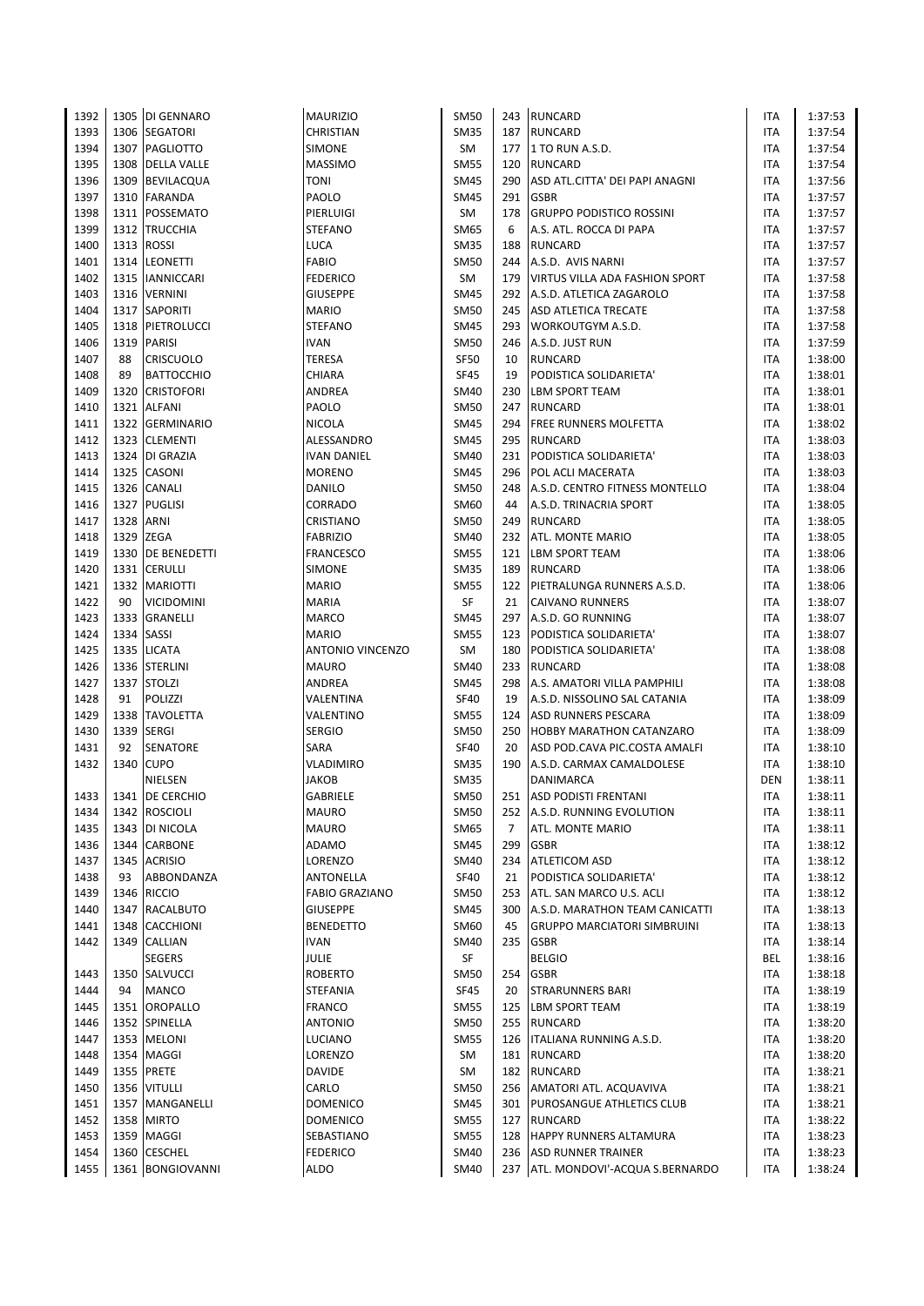| 1392 |            | 1305 DI GENNARO   | <b>MAURIZIO</b>         | <b>SM50</b> |                | 243 RUNCARD                           | <b>ITA</b> | 1:37:53 |
|------|------------|-------------------|-------------------------|-------------|----------------|---------------------------------------|------------|---------|
| 1393 |            | 1306 SEGATORI     | CHRISTIAN               | <b>SM35</b> |                | 187 RUNCARD                           | <b>ITA</b> | 1:37:54 |
| 1394 |            | 1307 PAGLIOTTO    | <b>SIMONE</b>           | SM          | 177            | 1 TO RUN A.S.D.                       | ITA        | 1:37:54 |
| 1395 |            | 1308 DELLA VALLE  | <b>MASSIMO</b>          | <b>SM55</b> | 120            | <b>RUNCARD</b>                        | <b>ITA</b> | 1:37:54 |
| 1396 |            | 1309 BEVILACQUA   | TONI                    | <b>SM45</b> | 290            | ASD ATL.CITTA' DEI PAPI ANAGNI        | ITA        | 1:37:56 |
|      |            |                   |                         |             |                |                                       |            |         |
| 1397 |            | 1310 FARANDA      | PAOLO                   | <b>SM45</b> | 291            | <b>GSBR</b>                           | ITA        | 1:37:57 |
| 1398 |            | 1311   POSSEMATO  | PIERLUIGI               | SM          | 178            | <b>GRUPPO PODISTICO ROSSINI</b>       | ITA        | 1:37:57 |
| 1399 |            | 1312 TRUCCHIA     | <b>STEFANO</b>          | SM65        | 6              | A.S. ATL. ROCCA DI PAPA               | <b>ITA</b> | 1:37:57 |
| 1400 |            | 1313 ROSSI        | LUCA                    | <b>SM35</b> | 188            | <b>RUNCARD</b>                        | <b>ITA</b> | 1:37:57 |
| 1401 |            | 1314 LEONETTI     | <b>FABIO</b>            | <b>SM50</b> | 244            | A.S.D. AVIS NARNI                     | ITA        | 1:37:57 |
| 1402 |            | 1315   IANNICCARI | <b>FEDERICO</b>         | <b>SM</b>   | 179            | <b>VIRTUS VILLA ADA FASHION SPORT</b> | <b>ITA</b> | 1:37:58 |
| 1403 |            | 1316 VERNINI      | <b>GIUSEPPE</b>         | <b>SM45</b> |                | 292 A.S.D. ATLETICA ZAGAROLO          | <b>ITA</b> | 1:37:58 |
| 1404 |            | 1317 SAPORITI     | <b>MARIO</b>            | <b>SM50</b> |                | 245 ASD ATLETICA TRECATE              | <b>ITA</b> | 1:37:58 |
| 1405 |            | 1318 PIETROLUCCI  | <b>STEFANO</b>          | <b>SM45</b> |                | 293 WORKOUTGYM A.S.D.                 | <b>ITA</b> | 1:37:58 |
| 1406 |            | 1319 PARISI       | <b>IVAN</b>             | <b>SM50</b> | 246            | A.S.D. JUST RUN                       | ITA        | 1:37:59 |
| 1407 | 88         | <b>CRISCUOLO</b>  | <b>TERESA</b>           | <b>SF50</b> | 10             | <b>RUNCARD</b>                        | <b>ITA</b> | 1:38:00 |
| 1408 | 89         | <b>BATTOCCHIO</b> | CHIARA                  | <b>SF45</b> | 19             | PODISTICA SOLIDARIETA'                | ITA        | 1:38:01 |
| 1409 | 1320       | <b>CRISTOFORI</b> | ANDREA                  | <b>SM40</b> | 230            | <b>LBM SPORT TEAM</b>                 | ITA        | 1:38:01 |
|      |            |                   |                         |             |                |                                       |            |         |
| 1410 | 1321       | <b>ALFANI</b>     | PAOLO                   | <b>SM50</b> | 247            | <b>RUNCARD</b>                        | <b>ITA</b> | 1:38:01 |
| 1411 |            | 1322 GERMINARIO   | <b>NICOLA</b>           | <b>SM45</b> |                | 294 FREE RUNNERS MOLFETTA             | <b>ITA</b> | 1:38:02 |
| 1412 |            | 1323 CLEMENTI     | ALESSANDRO              | <b>SM45</b> |                | 295 RUNCARD                           | ITA        | 1:38:03 |
| 1413 |            | 1324 DI GRAZIA    | <b>IVAN DANIEL</b>      | <b>SM40</b> |                | 231 PODISTICA SOLIDARIETA'            | ITA        | 1:38:03 |
| 1414 |            | 1325 CASONI       | <b>MORENO</b>           | <b>SM45</b> |                | 296   POL ACLI MACERATA               | <b>ITA</b> | 1:38:03 |
| 1415 |            | 1326 CANALI       | DANILO                  | <b>SM50</b> | 248            | A.S.D. CENTRO FITNESS MONTELLO        | <b>ITA</b> | 1:38:04 |
| 1416 |            | 1327 PUGLISI      | CORRADO                 | SM60        | 44             | A.S.D. TRINACRIA SPORT                | <b>ITA</b> | 1:38:05 |
| 1417 | 1328       | <b>ARNI</b>       | CRISTIANO               | <b>SM50</b> | 249            | <b>RUNCARD</b>                        | ITA        | 1:38:05 |
| 1418 |            | 1329 ZEGA         | <b>FABRIZIO</b>         | SM40        | 232            | <b>ATL. MONTE MARIO</b>               | <b>ITA</b> | 1:38:05 |
| 1419 |            | 1330 DE BENEDETTI | <b>FRANCESCO</b>        | <b>SM55</b> |                | 121 LBM SPORT TEAM                    | <b>ITA</b> | 1:38:06 |
| 1420 |            | 1331 CERULLI      | <b>SIMONE</b>           | <b>SM35</b> |                | 189 RUNCARD                           | <b>ITA</b> | 1:38:06 |
| 1421 |            | 1332 MARIOTTI     | <b>MARIO</b>            | <b>SM55</b> | 122            | PIETRALUNGA RUNNERS A.S.D.            | ITA        | 1:38:06 |
| 1422 | 90         | <b>VICIDOMINI</b> | <b>MARIA</b>            | SF          | 21             | <b>CAIVANO RUNNERS</b>                | <b>ITA</b> | 1:38:07 |
| 1423 |            | 1333 GRANELLI     | <b>MARCO</b>            | <b>SM45</b> |                | 297 A.S.D. GO RUNNING                 | <b>ITA</b> | 1:38:07 |
|      | 1334 SASSI |                   | <b>MARIO</b>            | <b>SM55</b> |                |                                       |            |         |
| 1424 |            |                   |                         |             |                | 123 PODISTICA SOLIDARIETA'            | <b>ITA</b> | 1:38:07 |
| 1425 |            | 1335 LICATA       | <b>ANTONIO VINCENZO</b> | <b>SM</b>   | 180            | PODISTICA SOLIDARIETA'                | <b>ITA</b> | 1:38:08 |
| 1426 |            | 1336 STERLINI     | <b>MAURO</b>            | SM40        |                | 233 RUNCARD                           | <b>ITA</b> | 1:38:08 |
| 1427 |            | 1337 STOLZI       | ANDREA                  | <b>SM45</b> | 298            | A.S. AMATORI VILLA PAMPHILI           | <b>ITA</b> | 1:38:08 |
| 1428 | 91         | POLIZZI           | VALENTINA               | <b>SF40</b> | 19             | A.S.D. NISSOLINO SAL CATANIA          | <b>ITA</b> | 1:38:09 |
| 1429 |            | 1338 TAVOLETTA    | VALENTINO               | <b>SM55</b> | 124            | <b>ASD RUNNERS PESCARA</b>            | ITA        | 1:38:09 |
| 1430 |            | 1339 SERGI        | <b>SERGIO</b>           | <b>SM50</b> | 250            | <b>HOBBY MARATHON CATANZARO</b>       | <b>ITA</b> | 1:38:09 |
| 1431 | 92         | <b>SENATORE</b>   | SARA                    | <b>SF40</b> | 20             | ASD POD.CAVA PIC.COSTA AMALFI         | <b>ITA</b> | 1:38:10 |
| 1432 | 1340       | <b>CUPO</b>       | <b>VLADIMIRO</b>        | <b>SM35</b> |                | 190 A.S.D. CARMAX CAMALDOLESE         | <b>ITA</b> | 1:38:10 |
|      |            | NIELSEN           | <b>JAKOB</b>            | <b>SM35</b> |                | <b>DANIMARCA</b>                      | <b>DEN</b> | 1:38:11 |
| 1433 |            | 1341 DE CERCHIO   | <b>GABRIELE</b>         | <b>SM50</b> |                | 251 ASD PODISTI FRENTANI              | <b>ITA</b> | 1:38:11 |
| 1434 |            | 1342 ROSCIOLI     | <b>MAURO</b>            | <b>SM50</b> |                | 252 A.S.D. RUNNING EVOLUTION          | ITA        | 1:38:11 |
| 1435 |            | 1343 DI NICOLA    | MAURO                   | SM65        | $\overline{7}$ | ATL. MONTE MARIO                      | ITA        | 1:38:11 |
| 1436 |            | 1344 CARBONE      | ADAMO                   | <b>SM45</b> | 299            | <b>GSBR</b>                           | ITA        | 1:38:12 |
| 1437 |            | 1345 ACRISIO      | LORENZO                 | SM40        |                | 234 ATLETICOM ASD                     | ITA        | 1:38:12 |
| 1438 | 93         | ABBONDANZA        | ANTONELLA               | <b>SF40</b> | 21             | PODISTICA SOLIDARIETA'                | ITA        | 1:38:12 |
|      |            |                   |                         |             | 253            |                                       |            |         |
| 1439 |            | 1346 RICCIO       | <b>FABIO GRAZIANO</b>   | <b>SM50</b> |                | ATL. SAN MARCO U.S. ACLI              | ITA        | 1:38:12 |
| 1440 |            | 1347 RACALBUTO    | <b>GIUSEPPE</b>         | <b>SM45</b> | 300            | A.S.D. MARATHON TEAM CANICATTI        | ITA        | 1:38:13 |
| 1441 |            | 1348 CACCHIONI    | <b>BENEDETTO</b>        | SM60        | 45             | <b>GRUPPO MARCIATORI SIMBRUINI</b>    | ITA        | 1:38:13 |
| 1442 |            | 1349 CALLIAN      | <b>IVAN</b>             | <b>SM40</b> |                | 235 GSBR                              | ITA        | 1:38:14 |
|      |            | <b>SEGERS</b>     | JULIE                   | SF          |                | <b>BELGIO</b>                         | BEL        | 1:38:16 |
| 1443 |            | 1350 SALVUCCI     | <b>ROBERTO</b>          | <b>SM50</b> | 254            | <b>GSBR</b>                           | ITA        | 1:38:18 |
| 1444 | 94         | <b>MANCO</b>      | <b>STEFANIA</b>         | SF45        | 20             | <b>STRARUNNERS BARI</b>               | ITA        | 1:38:19 |
| 1445 |            | 1351 OROPALLO     | <b>FRANCO</b>           | <b>SM55</b> | 125            | <b>LBM SPORT TEAM</b>                 | ITA        | 1:38:19 |
| 1446 |            | 1352 SPINELLA     | ANTONIO                 | <b>SM50</b> |                | 255 RUNCARD                           | ITA        | 1:38:20 |
| 1447 |            | 1353 MELONI       | LUCIANO                 | <b>SM55</b> |                | 126   ITALIANA RUNNING A.S.D.         | ITA        | 1:38:20 |
| 1448 |            | 1354 MAGGI        | LORENZO                 | SM          |                | 181 RUNCARD                           | ITA        | 1:38:20 |
| 1449 |            | 1355 PRETE        | DAVIDE                  | SM          |                | 182 RUNCARD                           | ITA        | 1:38:21 |
| 1450 |            | 1356 VITULLI      | CARLO                   | <b>SM50</b> |                | 256 AMATORI ATL. ACQUAVIVA            | ITA        | 1:38:21 |
| 1451 |            | 1357 MANGANELLI   | DOMENICO                | <b>SM45</b> |                | 301 PUROSANGUE ATHLETICS CLUB         | ITA        | 1:38:21 |
| 1452 |            | 1358 MIRTO        | <b>DOMENICO</b>         | <b>SM55</b> |                |                                       | ITA        | 1:38:22 |
|      |            |                   |                         |             |                | 127 RUNCARD                           |            |         |
| 1453 |            | 1359 MAGGI        | SEBASTIANO              | <b>SM55</b> |                | 128 HAPPY RUNNERS ALTAMURA            | ITA        | 1:38:23 |
| 1454 |            | 1360 CESCHEL      | <b>FEDERICO</b>         | <b>SM40</b> |                | 236 ASD RUNNER TRAINER                | ITA        | 1:38:23 |
| 1455 |            | 1361 BONGIOVANNI  | ALDO                    | <b>SM40</b> |                | 237 ATL. MONDOVI'-ACQUA S.BERNARDO    | <b>ITA</b> | 1:38:24 |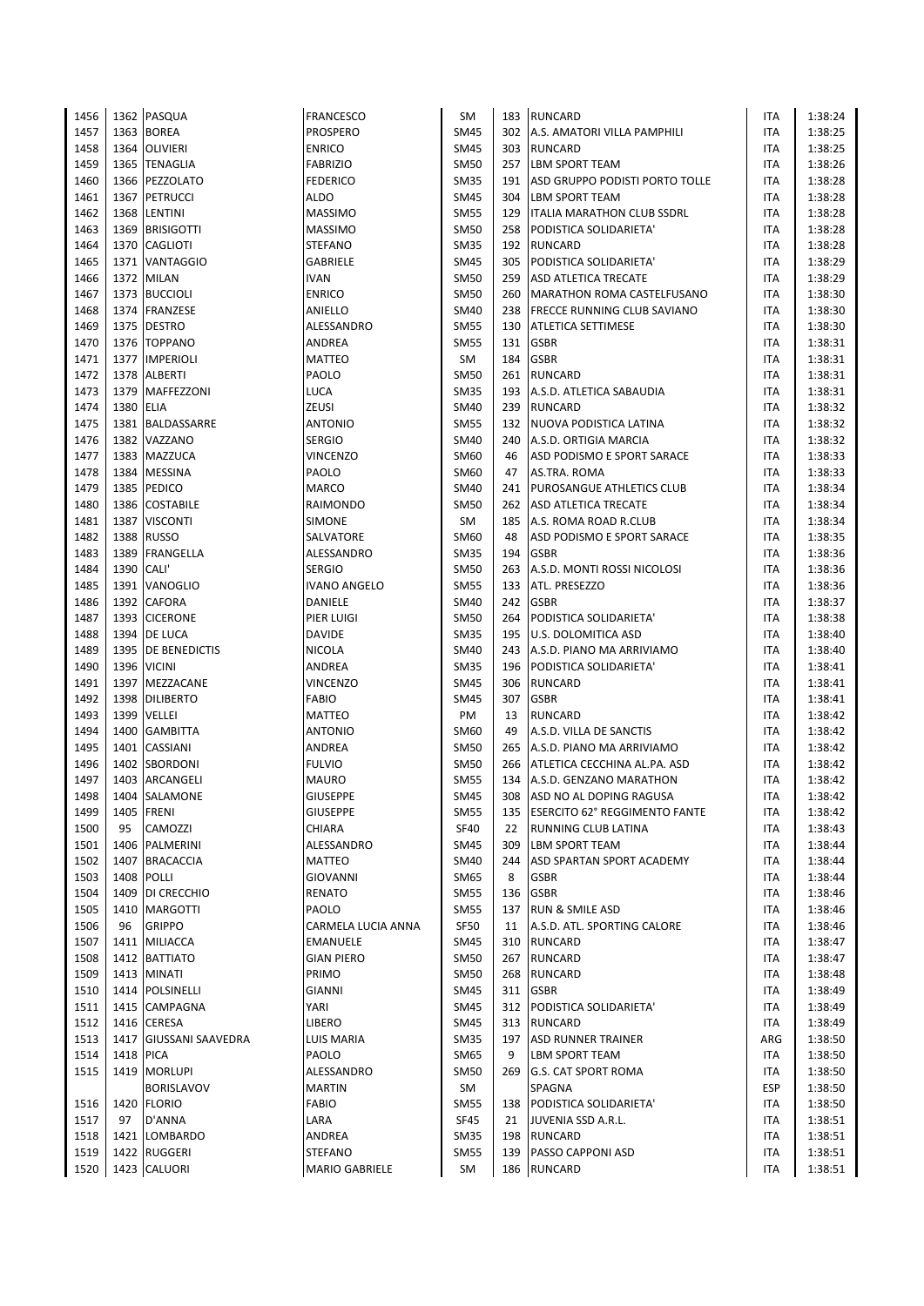| 1456 |           | 1362 PASQUA            | FRANCESCO          | SM          |     | 183 RUNCARD                       | ITA        | 1:38:24 |
|------|-----------|------------------------|--------------------|-------------|-----|-----------------------------------|------------|---------|
| 1457 | 1363      | <b>BOREA</b>           | PROSPERO           | <b>SM45</b> | 302 | A.S. AMATORI VILLA PAMPHILI       | <b>ITA</b> | 1:38:25 |
| 1458 | 1364      | <b>OLIVIERI</b>        | ENRICO             | <b>SM45</b> | 303 | RUNCARD                           | <b>ITA</b> | 1:38:25 |
| 1459 |           | 1365 TENAGLIA          | <b>FABRIZIO</b>    | <b>SM50</b> | 257 | <b>LBM SPORT TEAM</b>             | <b>ITA</b> | 1:38:26 |
| 1460 |           | 1366 PEZZOLATO         | FEDERICO           | <b>SM35</b> | 191 | ASD GRUPPO PODISTI PORTO TOLLE    | <b>ITA</b> | 1:38:28 |
| 1461 | 1367      | <b>PETRUCCI</b>        | ALDO               | <b>SM45</b> | 304 | <b>LBM SPORT TEAM</b>             | ITA        | 1:38:28 |
| 1462 | 1368      | LENTINI                | <b>MASSIMO</b>     | <b>SM55</b> | 129 | <b>ITALIA MARATHON CLUB SSDRL</b> | ITA        | 1:38:28 |
| 1463 | 1369      | <b>BRISIGOTTI</b>      | MASSIMO            | <b>SM50</b> | 258 | PODISTICA SOLIDARIETA'            | ITA        | 1:38:28 |
| 1464 | 1370      | <b>CAGLIOTI</b>        | STEFANO            | <b>SM35</b> |     | 192 RUNCARD                       | ITA        | 1:38:28 |
| 1465 | 1371      | <b>VANTAGGIO</b>       | GABRIELE           | <b>SM45</b> | 305 | <b>PODISTICA SOLIDARIETA'</b>     | ITA        | 1:38:29 |
| 1466 | 1372      | <b>MILAN</b>           | IVAN               | <b>SM50</b> | 259 | ASD ATLETICA TRECATE              | ITA        | 1:38:29 |
| 1467 |           | 1373 BUCCIOLI          | <b>ENRICO</b>      | <b>SM50</b> | 260 | MARATHON ROMA CASTELFUSANO        | ITA        | 1:38:30 |
| 1468 |           | 1374 FRANZESE          | ANIELLO            | <b>SM40</b> |     | 238 FRECCE RUNNING CLUB SAVIANO   | ITA        | 1:38:30 |
| 1469 | 1375      | <b>DESTRO</b>          | ALESSANDRO         | <b>SM55</b> | 130 | <b>ATLETICA SETTIMESE</b>         | ITA        | 1:38:30 |
| 1470 |           | 1376 TOPPANO           | ANDREA             | <b>SM55</b> | 131 | <b>GSBR</b>                       | <b>ITA</b> | 1:38:31 |
| 1471 |           | 1377 IMPERIOLI         | MATTEO             | SM          | 184 | <b>GSBR</b>                       | ITA        | 1:38:31 |
| 1472 | 1378      | <b>ALBERTI</b>         | PAOLO              | <b>SM50</b> |     | 261 RUNCARD                       | ITA        | 1:38:31 |
|      |           |                        |                    |             |     |                                   |            |         |
| 1473 | 1379      | <b>MAFFEZZONI</b>      | LUCA               | <b>SM35</b> |     | 193 A.S.D. ATLETICA SABAUDIA      | ITA        | 1:38:31 |
| 1474 | 1380 ELIA |                        | ZEUSI              | <b>SM40</b> |     | 239 RUNCARD                       | <b>ITA</b> | 1:38:32 |
| 1475 |           | 1381 BALDASSARRE       | <b>ANTONIO</b>     | <b>SM55</b> |     | 132 NUOVA PODISTICA LATINA        | <b>ITA</b> | 1:38:32 |
| 1476 |           | 1382 VAZZANO           | <b>SERGIO</b>      | <b>SM40</b> | 240 | A.S.D. ORTIGIA MARCIA             | <b>ITA</b> | 1:38:32 |
| 1477 | 1383      | MAZZUCA                | <b>VINCENZO</b>    | SM60        | 46  | ASD PODISMO E SPORT SARACE        | ITA        | 1:38:33 |
| 1478 |           | 1384 MESSINA           | PAOLO              | SM60        | 47  | AS.TRA. ROMA                      | ITA        | 1:38:33 |
| 1479 |           | 1385 PEDICO            | MARCO              | <b>SM40</b> | 241 | <b>PUROSANGUE ATHLETICS CLUB</b>  | ITA        | 1:38:34 |
| 1480 | 1386      | <b>COSTABILE</b>       | RAIMONDO           | <b>SM50</b> | 262 | ASD ATLETICA TRECATE              | ITA        | 1:38:34 |
| 1481 | 1387      | <b>VISCONTI</b>        | SIMONE             | SM          | 185 | A.S. ROMA ROAD R.CLUB             | ITA        | 1:38:34 |
| 1482 | 1388      | <b>RUSSO</b>           | SALVATORE          | <b>SM60</b> | 48  | ASD PODISMO E SPORT SARACE        | ITA        | 1:38:35 |
| 1483 | 1389      | FRANGELLA              | ALESSANDRO         | <b>SM35</b> | 194 | <b>GSBR</b>                       | ITA        | 1:38:36 |
| 1484 | 1390      | CALI'                  | <b>SERGIO</b>      | <b>SM50</b> | 263 | A.S.D. MONTI ROSSI NICOLOSI       | ITA        | 1:38:36 |
| 1485 | 1391      | <b>VANOGLIO</b>        | IVANO ANGELO       | <b>SM55</b> | 133 | ATL. PRESEZZO                     | ITA        | 1:38:36 |
| 1486 |           | 1392 CAFORA            | DANIELE            | <b>SM40</b> | 242 | <b>GSBR</b>                       | ITA        | 1:38:37 |
| 1487 | 1393      | <b>CICERONE</b>        | PIER LUIGI         | <b>SM50</b> | 264 | PODISTICA SOLIDARIETA'            | ITA        | 1:38:38 |
| 1488 | 1394      | DE LUCA                | DAVIDE             | <b>SM35</b> | 195 | U.S. DOLOMITICA ASD               | ITA        | 1:38:40 |
| 1489 | 1395      | DE BENEDICTIS          | NICOLA             | SM40        | 243 | A.S.D. PIANO MA ARRIVIAMO         | ITA        | 1:38:40 |
| 1490 | 1396      | <b>VICINI</b>          | ANDREA             | <b>SM35</b> | 196 | PODISTICA SOLIDARIETA'            | ITA        | 1:38:41 |
| 1491 |           | 1397 MEZZACANE         | VINCENZO           | <b>SM45</b> | 306 | RUNCARD                           | ITA        | 1:38:41 |
| 1492 | 1398      | <b>DILIBERTO</b>       | FABIO              | <b>SM45</b> | 307 | <b>GSBR</b>                       | ITA        | 1:38:41 |
| 1493 | 1399      | <b>VELLEI</b>          | MATTEO             | PM          | 13  | <b>RUNCARD</b>                    | ITA        | 1:38:42 |
| 1494 | 1400      | <b>GAMBITTA</b>        | ANTONIO            | SM60        | 49  | A.S.D. VILLA DE SANCTIS           | ITA        | 1:38:42 |
| 1495 | 1401      | CASSIANI               | ANDREA             | <b>SM50</b> | 265 | A.S.D. PIANO MA ARRIVIAMO         | ITA        | 1:38:42 |
| 1496 | 1402      | SBORDONI               | <b>FULVIO</b>      | <b>SM50</b> | 266 | ATLETICA CECCHINA AL.PA. ASD      | ITA        | 1:38:42 |
| 1497 | 1403      | ARCANGELI              | MAURO              | <b>SM55</b> |     | 134 A.S.D. GENZANO MARATHON       | ITA        | 1:38:42 |
| 1498 |           | 1404 SALAMONE          | <b>GIUSEPPE</b>    | <b>SM45</b> |     | 308 ASD NO AL DOPING RAGUSA       | <b>ITA</b> | 1:38:42 |
| 1499 |           | 1405 FRENI             | <b>GIUSEPPE</b>    | <b>SM55</b> | 135 | ESERCITO 62° REGGIMENTO FANTE     | ITA        | 1:38:42 |
| 1500 | 95        | CAMOZZI                | CHIARA             | <b>SF40</b> | 22  | RUNNING CLUB LATINA               | ITA        | 1:38:43 |
| 1501 |           | 1406 PALMERINI         | ALESSANDRO         | <b>SM45</b> | 309 | <b>LBM SPORT TEAM</b>             | ITA        | 1:38:44 |
| 1502 |           | 1407 BRACACCIA         | MATTEO             | SM40        | 244 | <b>ASD SPARTAN SPORT ACADEMY</b>  | ITA        | 1:38:44 |
| 1503 | 1408      | POLLI                  | <b>GIOVANNI</b>    | <b>SM65</b> | 8   | <b>GSBR</b>                       | ITA        | 1:38:44 |
| 1504 | 1409      | DI CRECCHIO            | RENATO             | <b>SM55</b> | 136 | <b>GSBR</b>                       | ITA        | 1:38:46 |
| 1505 |           | 1410 MARGOTTI          | PAOLO              | <b>SM55</b> | 137 | <b>RUN &amp; SMILE ASD</b>        | <b>ITA</b> | 1:38:46 |
| 1506 | 96        | <b>GRIPPO</b>          | CARMELA LUCIA ANNA | <b>SF50</b> | 11  | A.S.D. ATL. SPORTING CALORE       | ITA        | 1:38:46 |
| 1507 | 1411      | <b>MILIACCA</b>        |                    | <b>SM45</b> | 310 | <b>RUNCARD</b>                    | ITA        | 1:38:47 |
|      |           |                        | EMANUELE           |             |     |                                   |            |         |
| 1508 | 1412      | <b>BATTIATO</b>        | GIAN PIERO         | <b>SM50</b> | 267 | <b>RUNCARD</b>                    | ITA        | 1:38:47 |
| 1509 |           | 1413 MINATI            | PRIMO              | <b>SM50</b> | 268 | RUNCARD                           | ITA        | 1:38:48 |
| 1510 | 1414      | POLSINELLI             | GIANNI             | <b>SM45</b> |     | 311 GSBR                          | ITA        | 1:38:49 |
| 1511 | 1415      | <b>CAMPAGNA</b>        | YARI               | SM45        |     | 312 PODISTICA SOLIDARIETA'        | ITA        | 1:38:49 |
| 1512 |           | 1416 CERESA            | LIBERO             | <b>SM45</b> |     | 313 RUNCARD                       | ITA        | 1:38:49 |
| 1513 |           | 1417 GIUSSANI SAAVEDRA | LUIS MARIA         | <b>SM35</b> | 197 | <b>ASD RUNNER TRAINER</b>         | ARG        | 1:38:50 |
| 1514 | 1418      | <b>PICA</b>            | PAOLO              | SM65        | 9   | LBM SPORT TEAM                    | ITA        | 1:38:50 |
| 1515 | 1419      | <b>MORLUPI</b>         | ALESSANDRO         | SM50        | 269 | <b>G.S. CAT SPORT ROMA</b>        | ITA        | 1:38:50 |
|      |           | <b>BORISLAVOV</b>      | MARTIN             | SM          |     | SPAGNA                            | <b>ESP</b> | 1:38:50 |
| 1516 |           | 1420 FLORIO            | FABIO              | <b>SM55</b> | 138 | PODISTICA SOLIDARIETA'            | ITA        | 1:38:50 |
| 1517 | 97        | D'ANNA                 | LARA               | SF45        | 21  | JUVENIA SSD A.R.L.                | ITA        | 1:38:51 |
| 1518 | 1421      | <b>LOMBARDO</b>        | ANDREA             | <b>SM35</b> | 198 | RUNCARD                           | ITA        | 1:38:51 |
| 1519 |           | 1422 RUGGERI           | STEFANO            | <b>SM55</b> | 139 | <b>PASSO CAPPONI ASD</b>          | ITA        | 1:38:51 |
| 1520 |           | 1423 CALUORI           | MARIO GABRIELE     | SM          |     | 186 RUNCARD                       | ITA        | 1:38:51 |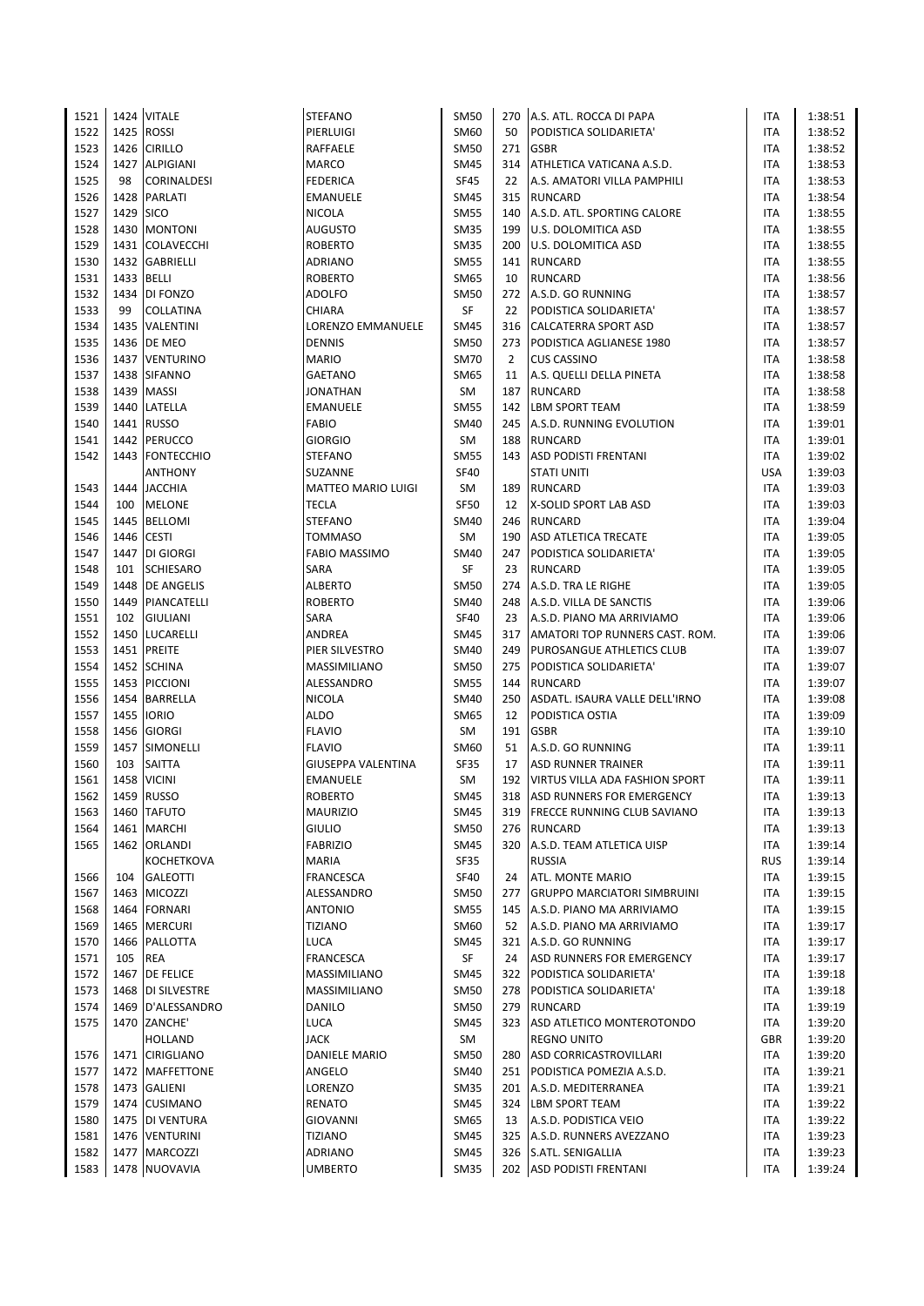| 1521 |      | 1424 VITALE         | <b>STEFANO</b>            | <b>SM50</b> | 270            | A.S. ATL. ROCCA DI PAPA               | ITA        | 1:38:51 |
|------|------|---------------------|---------------------------|-------------|----------------|---------------------------------------|------------|---------|
| 1522 | 1425 | <b>ROSSI</b>        | PIERLUIGI                 | SM60        | 50             | PODISTICA SOLIDARIETA'                | <b>ITA</b> | 1:38:52 |
| 1523 | 1426 | <b>CIRILLO</b>      | RAFFAELE                  | <b>SM50</b> | 271            | <b>GSBR</b>                           | ITA        | 1:38:52 |
| 1524 | 1427 | ALPIGIANI           | MARCO                     | <b>SM45</b> | 314            | ATHLETICA VATICANA A.S.D.             | ITA        | 1:38:53 |
| 1525 | 98   | <b>CORINALDESI</b>  | <b>FEDERICA</b>           | <b>SF45</b> | 22             | A.S. AMATORI VILLA PAMPHILI           | ITA        | 1:38:53 |
| 1526 | 1428 | PARLATI             | <b>EMANUELE</b>           | <b>SM45</b> |                | 315 RUNCARD                           | ITA        | 1:38:54 |
| 1527 | 1429 | <b>SICO</b>         | <b>NICOLA</b>             | <b>SM55</b> | 140            | A.S.D. ATL. SPORTING CALORE           | ITA        | 1:38:55 |
| 1528 |      | 1430 MONTONI        | <b>AUGUSTO</b>            | <b>SM35</b> | 199            | U.S. DOLOMITICA ASD                   | ITA        | 1:38:55 |
| 1529 |      | 1431 COLAVECCHI     | <b>ROBERTO</b>            | <b>SM35</b> | 200            | U.S. DOLOMITICA ASD                   | <b>ITA</b> | 1:38:55 |
| 1530 |      | 1432 GABRIELLI      | ADRIANO                   | <b>SM55</b> |                | 141 RUNCARD                           | ITA        | 1:38:55 |
| 1531 | 1433 | <b>BELLI</b>        | <b>ROBERTO</b>            | SM65        | 10             | <b>RUNCARD</b>                        | ITA        | 1:38:56 |
| 1532 |      | 1434 DI FONZO       | <b>ADOLFO</b>             | <b>SM50</b> |                | 272 A.S.D. GO RUNNING                 | <b>ITA</b> | 1:38:57 |
| 1533 | 99   | <b>COLLATINA</b>    | CHIARA                    | SF          | 22             |                                       | <b>ITA</b> |         |
|      |      |                     |                           |             |                | PODISTICA SOLIDARIETA'                |            | 1:38:57 |
| 1534 | 1435 | VALENTINI           | LORENZO EMMANUELE         | <b>SM45</b> |                | 316 CALCATERRA SPORT ASD              | <b>ITA</b> | 1:38:57 |
| 1535 | 1436 | DE MEO              | <b>DENNIS</b>             | <b>SM50</b> | 273            | PODISTICA AGLIANESE 1980              | <b>ITA</b> | 1:38:57 |
| 1536 |      | 1437 VENTURINO      | <b>MARIO</b>              | <b>SM70</b> | $\overline{2}$ | <b>CUS CASSINO</b>                    | <b>ITA</b> | 1:38:58 |
| 1537 | 1438 | <b>SIFANNO</b>      | GAETANO                   | <b>SM65</b> | 11             | A.S. QUELLI DELLA PINETA              | ITA        | 1:38:58 |
| 1538 | 1439 | <b>MASSI</b>        | JONATHAN                  | SM          | 187            | <b>RUNCARD</b>                        | ITA        | 1:38:58 |
| 1539 | 1440 | LATELLA             | EMANUELE                  | <b>SM55</b> | 142            | <b>LBM SPORT TEAM</b>                 | ITA        | 1:38:59 |
| 1540 |      | 1441 RUSSO          | FABIO                     | <b>SM40</b> | 245            | A.S.D. RUNNING EVOLUTION              | <b>ITA</b> | 1:39:01 |
| 1541 | 1442 | PERUCCO             | <b>GIORGIO</b>            | SM          | 188            | <b>RUNCARD</b>                        | ITA        | 1:39:01 |
| 1542 | 1443 | <b>FONTECCHIO</b>   | <b>STEFANO</b>            | <b>SM55</b> | 143            | <b>ASD PODISTI FRENTANI</b>           | <b>ITA</b> | 1:39:02 |
|      |      | <b>ANTHONY</b>      | SUZANNE                   | <b>SF40</b> |                | <b>STATI UNITI</b>                    | <b>USA</b> | 1:39:03 |
| 1543 | 1444 | <b>JACCHIA</b>      | <b>MATTEO MARIO LUIGI</b> | SM          | 189            | <b>RUNCARD</b>                        | <b>ITA</b> | 1:39:03 |
| 1544 | 100  | <b>MELONE</b>       | <b>TECLA</b>              | <b>SF50</b> | 12             | X-SOLID SPORT LAB ASD                 | ITA        | 1:39:03 |
| 1545 | 1445 | <b>BELLOMI</b>      | STEFANO                   | SM40        | 246            | <b>RUNCARD</b>                        | <b>ITA</b> | 1:39:04 |
| 1546 | 1446 | <b>CESTI</b>        | TOMMASO                   | SM          | 190            | <b>ASD ATLETICA TRECATE</b>           | ITA        | 1:39:05 |
| 1547 | 1447 | <b>DI GIORGI</b>    | FABIO MASSIMO             | <b>SM40</b> | 247            | PODISTICA SOLIDARIETA'                | <b>ITA</b> | 1:39:05 |
| 1548 | 101  | <b>SCHIESARO</b>    | SARA                      | SF          | 23             | <b>RUNCARD</b>                        | ITA        | 1:39:05 |
| 1549 | 1448 | <b>DE ANGELIS</b>   | <b>ALBERTO</b>            | <b>SM50</b> | 274            | A.S.D. TRA LE RIGHE                   | ITA        | 1:39:05 |
| 1550 | 1449 | PIANCATELLI         | <b>ROBERTO</b>            | <b>SM40</b> |                | 248 A.S.D. VILLA DE SANCTIS           | ITA        | 1:39:06 |
| 1551 | 102  | <b>GIULIANI</b>     | SARA                      | <b>SF40</b> | 23             | A.S.D. PIANO MA ARRIVIAMO             | <b>ITA</b> | 1:39:06 |
| 1552 | 1450 | LUCARELLI           | ANDREA                    | <b>SM45</b> | 317            | AMATORI TOP RUNNERS CAST. ROM.        | ITA        | 1:39:06 |
| 1553 | 1451 | <b>PREITE</b>       | PIER SILVESTRO            | SM40        | 249            | PUROSANGUE ATHLETICS CLUB             | ITA        | 1:39:07 |
| 1554 | 1452 | <b>SCHINA</b>       | MASSIMILIANO              | <b>SM50</b> | 275            | PODISTICA SOLIDARIETA'                | ITA        | 1:39:07 |
| 1555 |      | 1453 PICCIONI       | ALESSANDRO                | <b>SM55</b> | 144            | <b>RUNCARD</b>                        | <b>ITA</b> | 1:39:07 |
| 1556 | 1454 | <b>BARRELLA</b>     | NICOLA                    | SM40        | 250            | ASDATL. ISAURA VALLE DELL'IRNO        | <b>ITA</b> | 1:39:08 |
| 1557 | 1455 | <b>IORIO</b>        | <b>ALDO</b>               | <b>SM65</b> | 12             | PODISTICA OSTIA                       | ITA        | 1:39:09 |
| 1558 |      | 1456 GIORGI         | <b>FLAVIO</b>             | SM          | 191            | <b>GSBR</b>                           | <b>ITA</b> | 1:39:10 |
| 1559 |      | 1457 SIMONELLI      | <b>FLAVIO</b>             | SM60        | 51             | A.S.D. GO RUNNING                     | <b>ITA</b> | 1:39:11 |
| 1560 | 103  | <b>SAITTA</b>       | <b>GIUSEPPA VALENTINA</b> | <b>SF35</b> | 17             | <b>ASD RUNNER TRAINER</b>             | <b>ITA</b> | 1:39:11 |
| 1561 | 1458 | <b>VICINI</b>       | <b>EMANUELE</b>           | SM          | 192            | <b>VIRTUS VILLA ADA FASHION SPORT</b> | <b>ITA</b> | 1:39:11 |
| 1562 |      | 1459 RUSSO          | <b>ROBERTO</b>            | <b>SM45</b> |                | 318 ASD RUNNERS FOR EMERGENCY         | <b>ITA</b> | 1:39:13 |
| 1563 |      | 1460 TAFUTO         | <b>MAURIZIO</b>           | <b>SM45</b> | 319            | <b>FRECCE RUNNING CLUB SAVIANO</b>    | ITA        | 1:39:13 |
| 1564 | 1461 | <b>MARCHI</b>       | <b>GIULIO</b>             | <b>SM50</b> |                | 276 RUNCARD                           | ITA        | 1:39:13 |
|      | 1462 | <b>ORLANDI</b>      |                           |             |                |                                       |            |         |
| 1565 |      | KOCHETKOVA          | <b>FABRIZIO</b>           | SM45        |                | 320 A.S.D. TEAM ATLETICA UISP         | ITA        | 1:39:14 |
|      |      |                     | <b>MARIA</b>              | SF35        |                | <b>RUSSIA</b>                         | <b>RUS</b> | 1:39:14 |
| 1566 | 104  | <b>GALEOTTI</b>     | FRANCESCA                 | SF40        | 24             | ATL. MONTE MARIO                      | ITA        | 1:39:15 |
| 1567 | 1463 | <b>MICOZZI</b>      | ALESSANDRO                | SM50        | 277            | <b>GRUPPO MARCIATORI SIMBRUINI</b>    | ITA        | 1:39:15 |
| 1568 | 1464 | <b>FORNARI</b>      | <b>ANTONIO</b>            | <b>SM55</b> |                | 145 A.S.D. PIANO MA ARRIVIAMO         | ITA        | 1:39:15 |
| 1569 |      | 1465 MERCURI        | TIZIANO                   | SM60        | 52             | A.S.D. PIANO MA ARRIVIAMO             | ITA        | 1:39:17 |
| 1570 |      | 1466 PALLOTTA       | LUCA                      | SM45        | 321            | A.S.D. GO RUNNING                     | ITA        | 1:39:17 |
| 1571 | 105  | REA                 | <b>FRANCESCA</b>          | SF          | 24             | ASD RUNNERS FOR EMERGENCY             | ITA        | 1:39:17 |
| 1572 | 1467 | <b>DE FELICE</b>    | MASSIMILIANO              | SM45        |                | 322 PODISTICA SOLIDARIETA'            | ITA        | 1:39:18 |
| 1573 |      | 1468   DI SILVESTRE | MASSIMILIANO              | <b>SM50</b> |                | 278 PODISTICA SOLIDARIETA'            | ITA        | 1:39:18 |
| 1574 |      | 1469   D'ALESSANDRO | DANILO                    | <b>SM50</b> |                | 279 RUNCARD                           | ITA        | 1:39:19 |
| 1575 |      | 1470 ZANCHE'        | LUCA                      | SM45        | 323            | ASD ATLETICO MONTEROTONDO             | ITA        | 1:39:20 |
|      |      | HOLLAND             | <b>JACK</b>               | SM          |                | <b>REGNO UNITO</b>                    | <b>GBR</b> | 1:39:20 |
| 1576 |      | 1471 CIRIGLIANO     | DANIELE MARIO             | <b>SM50</b> | 280            | <b>ASD CORRICASTROVILLARI</b>         | ITA        | 1:39:20 |
| 1577 |      | 1472 MAFFETTONE     | ANGELO                    | SM40        | 251            | PODISTICA POMEZIA A.S.D.              | ITA        | 1:39:21 |
| 1578 | 1473 | <b>GALIENI</b>      | LORENZO                   | <b>SM35</b> |                | 201 A.S.D. MEDITERRANEA               | ITA        | 1:39:21 |
| 1579 |      | 1474 CUSIMANO       | RENATO                    | <b>SM45</b> |                | 324 LBM SPORT TEAM                    | ITA        | 1:39:22 |
| 1580 |      | 1475 DI VENTURA     | GIOVANNI                  | SM65        | 13             | A.S.D. PODISTICA VEIO                 | ITA        | 1:39:22 |
| 1581 |      | 1476 VENTURINI      | TIZIANO                   | <b>SM45</b> | 325            | A.S.D. RUNNERS AVEZZANO               | ITA        | 1:39:23 |
| 1582 |      | 1477 MARCOZZI       | ADRIANO                   | <b>SM45</b> |                | 326 S.ATL. SENIGALLIA                 | ITA        | 1:39:23 |
| 1583 |      | 1478 NUOVAVIA       | <b>UMBERTO</b>            | <b>SM35</b> |                | 202 ASD PODISTI FRENTANI              | <b>ITA</b> | 1:39:24 |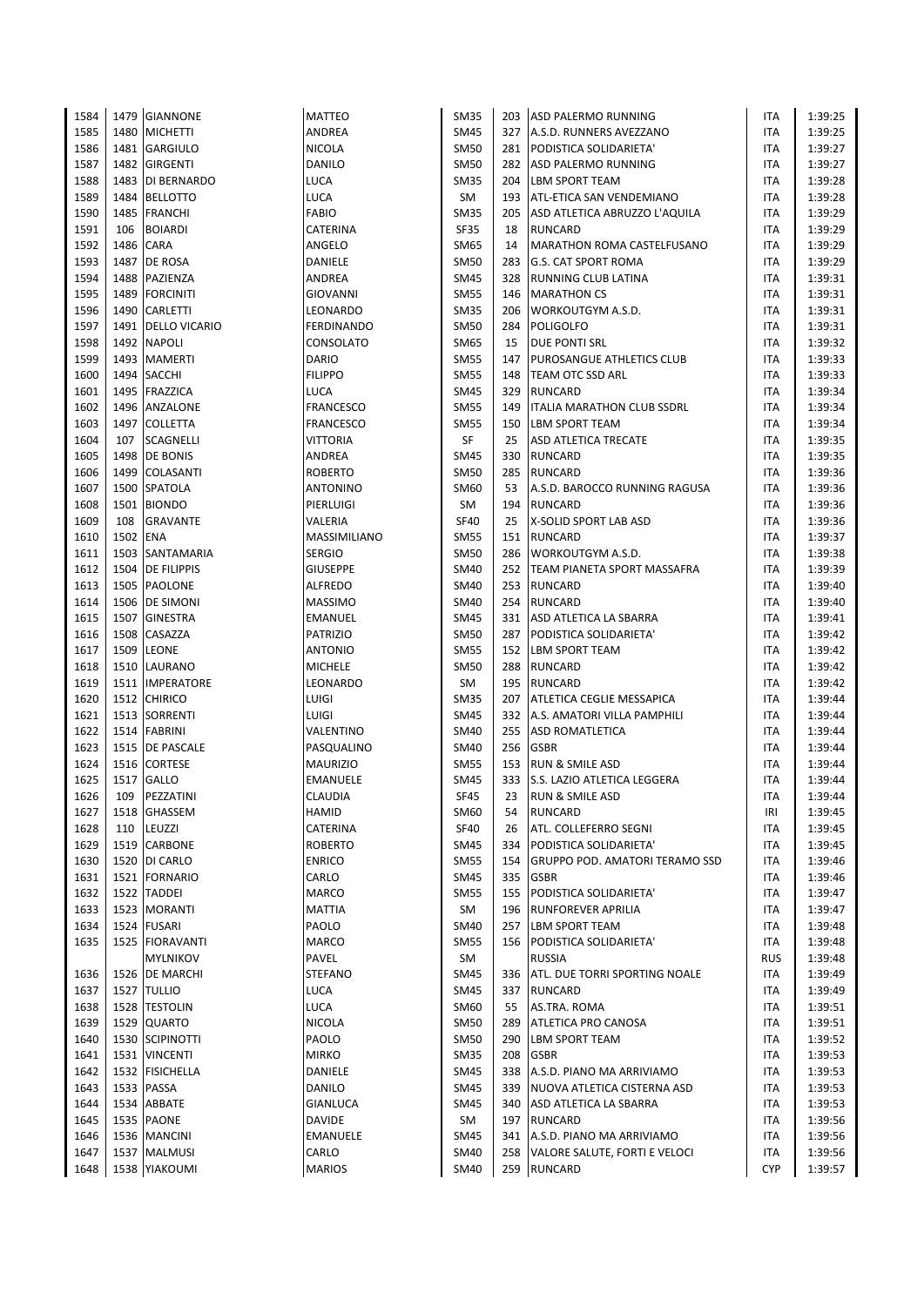| 1584 |          | 1479 GIANNONE      | <b>MATTEO</b>     | SM35        |     | 203 ASD PALERMO RUNNING               | ITA        | 1:39:25 |
|------|----------|--------------------|-------------------|-------------|-----|---------------------------------------|------------|---------|
| 1585 | 1480     | <b>MICHETTI</b>    | ANDREA            | <b>SM45</b> |     | 327 A.S.D. RUNNERS AVEZZANO           | ITA        | 1:39:25 |
| 1586 | 1481     | <b>GARGIULO</b>    | NICOLA            | <b>SM50</b> |     | 281 PODISTICA SOLIDARIETA'            | ITA        | 1:39:27 |
| 1587 |          | 1482 GIRGENTI      | DANILO            | <b>SM50</b> |     | 282 ASD PALERMO RUNNING               | <b>ITA</b> | 1:39:27 |
| 1588 |          | 1483 DI BERNARDO   | LUCA              | <b>SM35</b> |     | 204 LBM SPORT TEAM                    | <b>ITA</b> | 1:39:28 |
|      |          |                    |                   |             |     |                                       |            |         |
| 1589 | 1484     | <b>BELLOTTO</b>    | LUCA              | SM          |     | 193 ATL-ETICA SAN VENDEMIANO          | ITA        | 1:39:28 |
| 1590 |          | 1485 FRANCHI       | FABIO             | <b>SM35</b> | 205 | ASD ATLETICA ABRUZZO L'AQUILA         | ITA        | 1:39:29 |
| 1591 | 106      | <b>BOIARDI</b>     | CATERINA          | <b>SF35</b> | 18  | <b>RUNCARD</b>                        | <b>ITA</b> | 1:39:29 |
| 1592 | 1486     | <b>CARA</b>        | ANGELO            | SM65        | 14  | MARATHON ROMA CASTELFUSANO            | ITA        | 1:39:29 |
| 1593 | 1487     | DE ROSA            | DANIELE           | <b>SM50</b> | 283 | <b>G.S. CAT SPORT ROMA</b>            | ITA        | 1:39:29 |
| 1594 | 1488     | PAZIENZA           | ANDREA            | SM45        | 328 | <b>RUNNING CLUB LATINA</b>            | ITA        | 1:39:31 |
| 1595 | 1489     | <b>FORCINITI</b>   | GIOVANNI          | <b>SM55</b> | 146 | <b>MARATHON CS</b>                    | ITA        | 1:39:31 |
| 1596 |          | 1490 CARLETTI      | LEONARDO          | <b>SM35</b> | 206 | <b>WORKOUTGYM A.S.D.</b>              | ITA        | 1:39:31 |
| 1597 |          | 1491 DELLO VICARIO | <b>FERDINANDO</b> | <b>SM50</b> | 284 | <b>POLIGOLFO</b>                      | ITA        | 1:39:31 |
|      |          |                    |                   |             |     |                                       |            |         |
| 1598 | 1492     | <b>NAPOLI</b>      | CONSOLATO         | SM65        | 15  | <b>DUE PONTI SRL</b>                  | ITA        | 1:39:32 |
| 1599 |          | 1493 MAMERTI       | DARIO             | <b>SM55</b> | 147 | PUROSANGUE ATHLETICS CLUB             | ITA        | 1:39:33 |
| 1600 |          | 1494 SACCHI        | <b>FILIPPO</b>    | <b>SM55</b> | 148 | <b>TEAM OTC SSD ARL</b>               | <b>ITA</b> | 1:39:33 |
| 1601 | 1495     | <b>FRAZZICA</b>    | LUCA              | SM45        | 329 | RUNCARD                               | ITA        | 1:39:34 |
| 1602 | 1496     | ANZALONE           | <b>FRANCESCO</b>  | <b>SM55</b> | 149 | <b>ITALIA MARATHON CLUB SSDRL</b>     | ITA        | 1:39:34 |
| 1603 |          | 1497 COLLETTA      | FRANCESCO         | <b>SM55</b> | 150 | <b>LBM SPORT TEAM</b>                 | ITA        | 1:39:34 |
| 1604 | 107      | <b>SCAGNELLI</b>   | VITTORIA          | SF          | 25  | <b>ASD ATLETICA TRECATE</b>           | ITA        | 1:39:35 |
| 1605 | 1498     | <b>DE BONIS</b>    | ANDREA            | SM45        | 330 | <b>RUNCARD</b>                        | ITA        | 1:39:35 |
| 1606 |          | 1499 COLASANTI     | <b>ROBERTO</b>    | SM50        | 285 | <b>RUNCARD</b>                        | <b>ITA</b> | 1:39:36 |
|      |          | 1500 SPATOLA       |                   |             |     | A.S.D. BAROCCO RUNNING RAGUSA         |            |         |
| 1607 |          |                    | ANTONINO          | SM60        | 53  |                                       | ITA        | 1:39:36 |
| 1608 |          | 1501 BIONDO        | PIERLUIGI         | SM          | 194 | <b>RUNCARD</b>                        | ITA        | 1:39:36 |
| 1609 | 108      | <b>GRAVANTE</b>    | VALERIA           | <b>SF40</b> | 25  | X-SOLID SPORT LAB ASD                 | ITA        | 1:39:36 |
| 1610 | 1502 ENA |                    | MASSIMILIANO      | <b>SM55</b> |     | 151 RUNCARD                           | <b>ITA</b> | 1:39:37 |
| 1611 |          | 1503 SANTAMARIA    | <b>SERGIO</b>     | SM50        | 286 | <b>WORKOUTGYM A.S.D.</b>              | ITA        | 1:39:38 |
| 1612 |          | 1504 DE FILIPPIS   | <b>GIUSEPPE</b>   | <b>SM40</b> |     | 252 TEAM PIANETA SPORT MASSAFRA       | ITA        | 1:39:39 |
| 1613 |          | 1505 PAOLONE       | ALFREDO           | SM40        |     | 253 RUNCARD                           | ITA        | 1:39:40 |
| 1614 |          | 1506 DE SIMONI     | <b>MASSIMO</b>    | <b>SM40</b> | 254 | <b>RUNCARD</b>                        | <b>ITA</b> | 1:39:40 |
| 1615 |          | 1507 GINESTRA      | EMANUEL           | <b>SM45</b> |     | 331 ASD ATLETICA LA SBARRA            | ITA        | 1:39:41 |
| 1616 |          | 1508 CASAZZA       | PATRIZIO          | <b>SM50</b> | 287 | PODISTICA SOLIDARIETA'                | ITA        | 1:39:42 |
|      |          |                    |                   |             |     |                                       |            |         |
| 1617 | 1509     | <b>LEONE</b>       | ANTONIO           | <b>SM55</b> | 152 | <b>LBM SPORT TEAM</b>                 | ITA        | 1:39:42 |
| 1618 |          | 1510 LAURANO       | <b>MICHELE</b>    | <b>SM50</b> | 288 | <b>RUNCARD</b>                        | ITA        | 1:39:42 |
| 1619 |          | 1511 IMPERATORE    | LEONARDO          | SM          |     | 195 RUNCARD                           | ITA        | 1:39:42 |
| 1620 |          | 1512 CHIRICO       | LUIGI             | <b>SM35</b> | 207 | <b>ATLETICA CEGLIE MESSAPICA</b>      | ITA        | 1:39:44 |
| 1621 |          | 1513 SORRENTI      | LUIGI             | SM45        | 332 | A.S. AMATORI VILLA PAMPHILI           | ITA        | 1:39:44 |
| 1622 |          | 1514 FABRINI       | VALENTINO         | <b>SM40</b> |     | 255 ASD ROMATLETICA                   | ITA        | 1:39:44 |
| 1623 |          | 1515 DE PASCALE    | PASQUALINO        | <b>SM40</b> |     | 256 GSBR                              | ITA        | 1:39:44 |
| 1624 | 1516     | <b>CORTESE</b>     | <b>MAURIZIO</b>   | <b>SM55</b> | 153 | <b>RUN &amp; SMILE ASD</b>            | ITA        | 1:39:44 |
| 1625 | 1517     | <b>GALLO</b>       | EMANUELE          | SM45        | 333 | S.S. LAZIO ATLETICA LEGGERA           | ITA        | 1:39:44 |
| 1626 | 109      | PEZZATINI          | CLAUDIA           | <b>SF45</b> | 23  | <b>RUN &amp; SMILE ASD</b>            | <b>ITA</b> | 1:39:44 |
|      |          |                    |                   |             |     |                                       |            |         |
| 1627 |          | 1518 GHASSEM       | HAMID             | SM60        | 54  | <b>RUNCARD</b>                        | IRI        | 1:39:45 |
| 1628 | 110      | LEUZZI             | CATERINA          | <b>SF40</b> | 26  | ATL. COLLEFERRO SEGNI                 | ITA        | 1:39:45 |
| 1629 |          | 1519 CARBONE       | ROBERTO           | SM45        | 334 | PODISTICA SOLIDARIETA'                | ITA        | 1:39:45 |
| 1630 |          | 1520 DI CARLO      | <b>ENRICO</b>     | <b>SM55</b> | 154 | <b>GRUPPO POD. AMATORI TERAMO SSD</b> | ITA        | 1:39:46 |
| 1631 |          | 1521 FORNARIO      | CARLO             | <b>SM45</b> | 335 | <b>GSBR</b>                           | ITA        | 1:39:46 |
| 1632 |          | 1522 TADDEI        | MARCO             | <b>SM55</b> | 155 | PODISTICA SOLIDARIETA'                | ITA        | 1:39:47 |
| 1633 |          | 1523   MORANTI     | MATTIA            | SM          | 196 | <b>RUNFOREVER APRILIA</b>             | <b>ITA</b> | 1:39:47 |
| 1634 |          | 1524 FUSARI        | PAOLO             | SM40        | 257 | <b>LBM SPORT TEAM</b>                 | ITA        | 1:39:48 |
| 1635 |          | 1525 FIORAVANTI    | MARCO             | <b>SM55</b> | 156 | PODISTICA SOLIDARIETA'                | ITA        | 1:39:48 |
|      |          | <b>MYLNIKOV</b>    | PAVEL             | SM          |     | <b>RUSSIA</b>                         | <b>RUS</b> | 1:39:48 |
|      |          |                    |                   |             |     |                                       |            |         |
| 1636 |          | 1526 DE MARCHI     | <b>STEFANO</b>    | SM45        | 336 | <b>ATL. DUE TORRI SPORTING NOALE</b>  | <b>ITA</b> | 1:39:49 |
| 1637 |          | 1527 TULLIO        | LUCA              | <b>SM45</b> | 337 | RUNCARD                               | ITA        | 1:39:49 |
| 1638 |          | 1528 TESTOLIN      | LUCA              | SM60        | 55  | AS.TRA. ROMA                          | <b>ITA</b> | 1:39:51 |
| 1639 |          | 1529 QUARTO        | NICOLA            | SM50        | 289 | ATLETICA PRO CANOSA                   | ITA        | 1:39:51 |
| 1640 |          | 1530 SCIPINOTTI    | PAOLO             | <b>SM50</b> | 290 | <b>LBM SPORT TEAM</b>                 | ITA        | 1:39:52 |
| 1641 |          | 1531 VINCENTI      | <b>MIRKO</b>      | <b>SM35</b> | 208 | <b>GSBR</b>                           | ITA        | 1:39:53 |
| 1642 |          | 1532 FISICHELLA    | DANIELE           | <b>SM45</b> | 338 | A.S.D. PIANO MA ARRIVIAMO             | ITA        | 1:39:53 |
| 1643 |          | 1533 PASSA         | DANILO            | SM45        | 339 | NUOVA ATLETICA CISTERNA ASD           | ITA        | 1:39:53 |
| 1644 |          | 1534 ABBATE        | GIANLUCA          | <b>SM45</b> | 340 | ASD ATLETICA LA SBARRA                | ITA        | 1:39:53 |
|      |          |                    |                   |             |     |                                       |            |         |
| 1645 |          | 1535 PAONE         | DAVIDE            | SM          |     | 197 RUNCARD                           | ITA        | 1:39:56 |
| 1646 |          | 1536 MANCINI       | <b>EMANUELE</b>   | SM45        | 341 | A.S.D. PIANO MA ARRIVIAMO             | ITA        | 1:39:56 |
| 1647 |          | 1537   MALMUSI     | CARLO             | SM40        | 258 | VALORE SALUTE, FORTI E VELOCI         | ITA        | 1:39:56 |
| 1648 |          | 1538 YIAKOUMI      | <b>MARIOS</b>     | SM40        |     | 259 RUNCARD                           | <b>CYP</b> | 1:39:57 |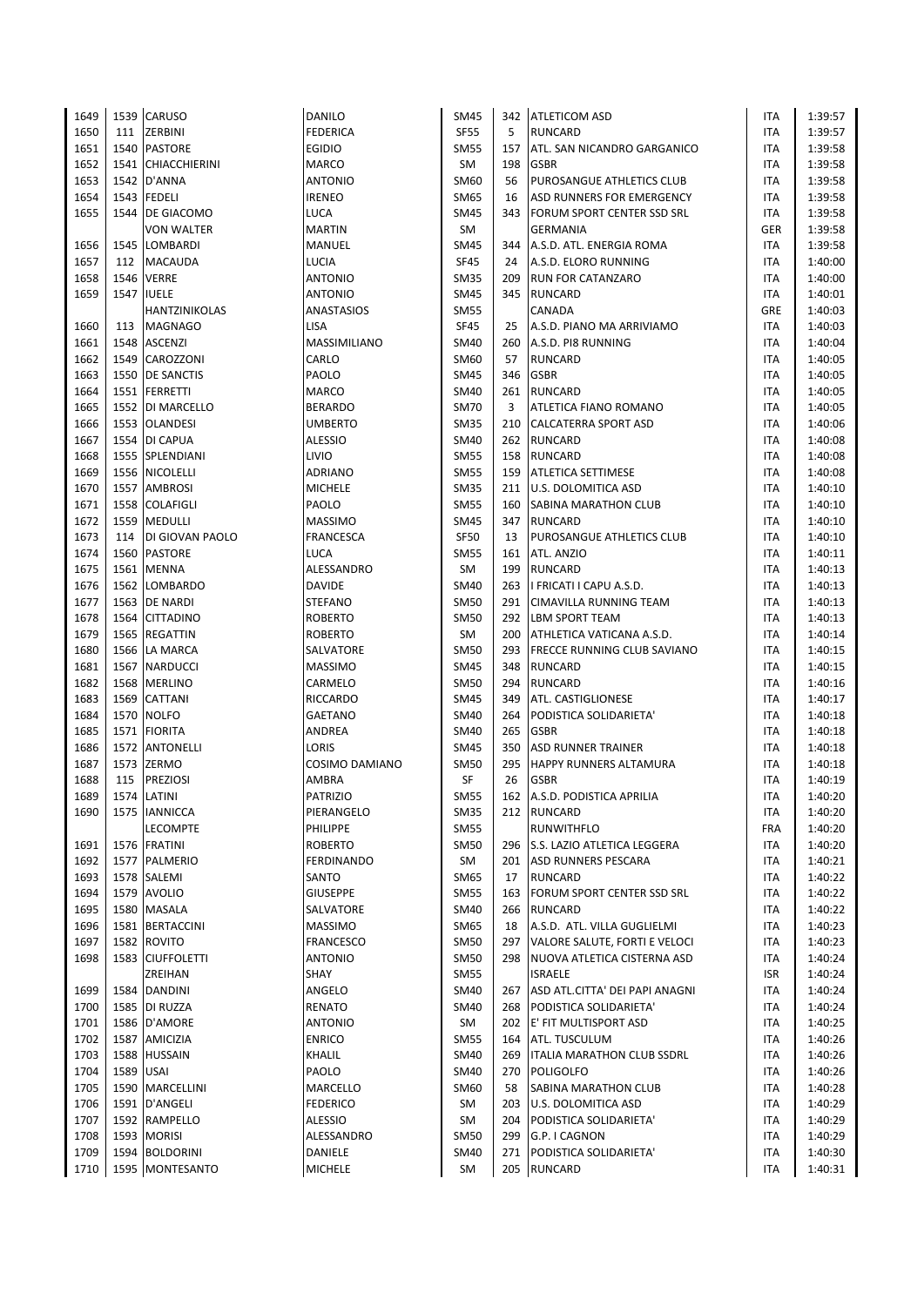| 1649 |           | 1539 CARUSO        | DANILO            | SM45        |     | 342   ATLETICOM ASD                | ITA        | 1:39:57 |
|------|-----------|--------------------|-------------------|-------------|-----|------------------------------------|------------|---------|
| 1650 | 111       | <b>ZERBINI</b>     | FEDERICA          | SF55        | 5   | <b>RUNCARD</b>                     | <b>ITA</b> | 1:39:57 |
| 1651 |           | 1540 PASTORE       | <b>EGIDIO</b>     | <b>SM55</b> | 157 | ATL. SAN NICANDRO GARGANICO        | <b>ITA</b> | 1:39:58 |
| 1652 |           | 1541 CHIACCHIERINI | <b>MARCO</b>      | SM          | 198 | <b>GSBR</b>                        | <b>ITA</b> | 1:39:58 |
| 1653 |           | 1542 D'ANNA        | <b>ANTONIO</b>    | SM60        | 56  | PUROSANGUE ATHLETICS CLUB          | <b>ITA</b> | 1:39:58 |
| 1654 |           | 1543 FEDELI        | <b>IRENEO</b>     | SM65        | 16  | ASD RUNNERS FOR EMERGENCY          | <b>ITA</b> | 1:39:58 |
| 1655 | 1544      | <b>DE GIACOMO</b>  | LUCA              | SM45        | 343 | <b>FORUM SPORT CENTER SSD SRL</b>  | <b>ITA</b> | 1:39:58 |
|      |           | <b>VON WALTER</b>  | <b>MARTIN</b>     | <b>SM</b>   |     | <b>GERMANIA</b>                    | <b>GER</b> | 1:39:58 |
| 1656 |           | 1545 LOMBARDI      | <b>MANUEL</b>     | <b>SM45</b> | 344 | A.S.D. ATL. ENERGIA ROMA           | <b>ITA</b> | 1:39:58 |
| 1657 | 112       | <b>MACAUDA</b>     | LUCIA             | <b>SF45</b> | 24  | A.S.D. ELORO RUNNING               | ITA        | 1:40:00 |
| 1658 |           | 1546 VERRE         | <b>ANTONIO</b>    | <b>SM35</b> | 209 | <b>RUN FOR CATANZARO</b>           | ITA        | 1:40:00 |
| 1659 |           | <b>1547 IUELE</b>  | <b>ANTONIO</b>    | <b>SM45</b> | 345 | RUNCARD                            | <b>ITA</b> | 1:40:01 |
|      |           | HANTZINIKOLAS      | ANASTASIOS        | SM55        |     | <b>CANADA</b>                      | GRE        | 1:40:03 |
| 1660 | 113       | <b>MAGNAGO</b>     | LISA              | <b>SF45</b> | 25  | A.S.D. PIANO MA ARRIVIAMO          | ITA        | 1:40:03 |
| 1661 | 1548      | <b>ASCENZI</b>     | MASSIMILIANO      | SM40        | 260 | A.S.D. PI8 RUNNING                 | <b>ITA</b> | 1:40:04 |
|      |           |                    | CARLO             | SM60        |     | <b>RUNCARD</b>                     | <b>ITA</b> |         |
| 1662 |           | 1549 CAROZZONI     |                   |             | 57  |                                    |            | 1:40:05 |
| 1663 |           | 1550 DE SANCTIS    | PAOLO             | SM45        | 346 | <b>GSBR</b>                        | ITA        | 1:40:05 |
| 1664 |           | 1551 FERRETTI      | <b>MARCO</b>      | SM40        | 261 | RUNCARD                            | <b>ITA</b> | 1:40:05 |
| 1665 |           | 1552   DI MARCELLO | <b>BERARDO</b>    | <b>SM70</b> | 3   | ATLETICA FIANO ROMANO              | <b>ITA</b> | 1:40:05 |
| 1666 |           | 1553 OLANDESI      | UMBERTO           | SM35        | 210 | CALCATERRA SPORT ASD               | ITA        | 1:40:06 |
| 1667 |           | 1554 DI CAPUA      | <b>ALESSIO</b>    | SM40        |     | 262 RUNCARD                        | <b>ITA</b> | 1:40:08 |
| 1668 |           | 1555 SPLENDIANI    | LIVIO             | <b>SM55</b> | 158 | <b>RUNCARD</b>                     | ITA        | 1:40:08 |
| 1669 |           | 1556 NICOLELLI     | ADRIANO           | <b>SM55</b> | 159 | <b>ATLETICA SETTIMESE</b>          | ITA        | 1:40:08 |
| 1670 |           | 1557 AMBROSI       | <b>MICHELE</b>    | <b>SM35</b> | 211 | <b>U.S. DOLOMITICA ASD</b>         | ITA        | 1:40:10 |
| 1671 |           | 1558 COLAFIGLI     | PAOLO             | <b>SM55</b> | 160 | <b>SABINA MARATHON CLUB</b>        | ITA        | 1:40:10 |
| 1672 |           | 1559 MEDULLI       | MASSIMO           | SM45        | 347 | <b>RUNCARD</b>                     | <b>ITA</b> | 1:40:10 |
| 1673 | 114       | DI GIOVAN PAOLO    | <b>FRANCESCA</b>  | SF50        | 13  | PUROSANGUE ATHLETICS CLUB          | <b>ITA</b> | 1:40:10 |
| 1674 |           | 1560 PASTORE       | <b>LUCA</b>       | <b>SM55</b> | 161 | ATL. ANZIO                         | <b>ITA</b> | 1:40:11 |
| 1675 |           | 1561 MENNA         | ALESSANDRO        | SM          | 199 | RUNCARD                            | <b>ITA</b> | 1:40:13 |
| 1676 |           | 1562 LOMBARDO      | DAVIDE            | SM40        | 263 | I FRICATI I CAPU A.S.D.            | ITA        | 1:40:13 |
| 1677 |           | 1563 DE NARDI      | <b>STEFANO</b>    | <b>SM50</b> | 291 | <b>CIMAVILLA RUNNING TEAM</b>      | ITA        | 1:40:13 |
| 1678 |           | 1564 CITTADINO     | <b>ROBERTO</b>    | <b>SM50</b> |     | 292 LBM SPORT TEAM                 | <b>ITA</b> | 1:40:13 |
| 1679 |           | 1565 REGATTIN      | <b>ROBERTO</b>    | <b>SM</b>   | 200 | ATHLETICA VATICANA A.S.D.          | <b>ITA</b> | 1:40:14 |
| 1680 |           | 1566 LA MARCA      | SALVATORE         | <b>SM50</b> | 293 | <b>FRECCE RUNNING CLUB SAVIANO</b> | ITA        | 1:40:15 |
| 1681 |           | 1567 NARDUCCI      | <b>MASSIMO</b>    | <b>SM45</b> | 348 | <b>RUNCARD</b>                     | <b>ITA</b> | 1:40:15 |
| 1682 |           | 1568 MERLINO       | CARMELO           | SM50        | 294 | RUNCARD                            | <b>ITA</b> | 1:40:16 |
| 1683 | 1569      | <b>CATTANI</b>     | RICCARDO          | <b>SM45</b> | 349 | <b>ATL. CASTIGLIONESE</b>          | <b>ITA</b> | 1:40:17 |
| 1684 |           | 1570 NOLFO         | <b>GAETANO</b>    | SM40        | 264 | PODISTICA SOLIDARIETA'             | ITA        | 1:40:18 |
| 1685 |           | 1571 FIORITA       | ANDREA            | <b>SM40</b> | 265 | <b>GSBR</b>                        | ITA        | 1:40:18 |
| 1686 |           | 1572 ANTONELLI     | <b>LORIS</b>      | SM45        | 350 | <b>ASD RUNNER TRAINER</b>          | ITA        | 1:40:18 |
| 1687 |           | 1573 ZERMO         | COSIMO DAMIANO    | SM50        | 295 | <b>HAPPY RUNNERS ALTAMURA</b>      | ITA        | 1:40:18 |
| 1688 | 115       | <b>PREZIOSI</b>    | AMBRA             | SF          | 26  | <b>GSBR</b>                        | <b>ITA</b> | 1:40:19 |
| 1689 |           | 1574 LATINI        | <b>PATRIZIO</b>   | <b>SM55</b> |     | 162 A.S.D. PODISTICA APRILIA       | <b>ITA</b> | 1:40:20 |
| 1690 |           | 1575 IANNICCA      | PIERANGELO        | <b>SM35</b> |     | 212 RUNCARD                        | ITA        | 1:40:20 |
|      |           | <b>LECOMPTE</b>    | PHILIPPE          | <b>SM55</b> |     | <b>RUNWITHFLO</b>                  | <b>FRA</b> | 1:40:20 |
| 1691 |           | 1576 FRATINI       | <b>ROBERTO</b>    | SM50        | 296 | S.S. LAZIO ATLETICA LEGGERA        | <b>ITA</b> | 1:40:20 |
| 1692 |           | 1577 PALMERIO      | <b>FERDINANDO</b> | SM          |     | 201 ASD RUNNERS PESCARA            | ITA        | 1:40:21 |
| 1693 |           | 1578 SALEMI        | SANTO             | SM65        | 17  | <b>RUNCARD</b>                     | <b>ITA</b> | 1:40:22 |
| 1694 |           | 1579 AVOLIO        | <b>GIUSEPPE</b>   | <b>SM55</b> | 163 | <b>FORUM SPORT CENTER SSD SRL</b>  | ITA        | 1:40:22 |
| 1695 |           | 1580 MASALA        | SALVATORE         | SM40        | 266 | RUNCARD                            | ITA        | 1:40:22 |
| 1696 |           | 1581 BERTACCINI    |                   | SM65        |     |                                    |            |         |
|      |           |                    | <b>MASSIMO</b>    |             | 18  | A.S.D. ATL. VILLA GUGLIELMI        | ITA        | 1:40:23 |
| 1697 |           | 1582 ROVITO        | FRANCESCO         | <b>SM50</b> | 297 | VALORE SALUTE, FORTI E VELOCI      | ITA        | 1:40:23 |
| 1698 |           | 1583 CIUFFOLETTI   | <b>ANTONIO</b>    | SM50        | 298 | NUOVA ATLETICA CISTERNA ASD        | ITA        | 1:40:24 |
|      |           | ZREIHAN            | SHAY              | SM55        |     | <b>ISRAELE</b>                     | ISR        | 1:40:24 |
| 1699 |           | 1584 DANDINI       | ANGELO            | <b>SM40</b> | 267 | ASD ATL.CITTA' DEI PAPI ANAGNI     | ITA        | 1:40:24 |
| 1700 |           | 1585 DI RUZZA      | RENATO            | SM40        | 268 | PODISTICA SOLIDARIETA'             | ITA        | 1:40:24 |
| 1701 |           | 1586 D'AMORE       | <b>ANTONIO</b>    | SM          | 202 | E' FIT MULTISPORT ASD              | ITA        | 1:40:25 |
| 1702 |           | 1587 AMICIZIA      | <b>ENRICO</b>     | <b>SM55</b> | 164 | <b>ATL. TUSCULUM</b>               | <b>ITA</b> | 1:40:26 |
| 1703 |           | 1588 HUSSAIN       | KHALIL            | <b>SM40</b> | 269 | <b>ITALIA MARATHON CLUB SSDRL</b>  | <b>ITA</b> | 1:40:26 |
| 1704 | 1589 USAI |                    | PAOLO             | <b>SM40</b> | 270 | POLIGOLFO                          | ITA        | 1:40:26 |
| 1705 |           | 1590 MARCELLINI    | MARCELLO          | SM60        | 58  | <b>SABINA MARATHON CLUB</b>        | ITA        | 1:40:28 |
| 1706 |           | 1591 D'ANGELI      | <b>FEDERICO</b>   | SM          | 203 | <b>U.S. DOLOMITICA ASD</b>         | <b>ITA</b> | 1:40:29 |
| 1707 |           | 1592 RAMPELLO      | <b>ALESSIO</b>    | SM          | 204 | PODISTICA SOLIDARIETA'             | ITA        | 1:40:29 |
| 1708 |           | 1593 MORISI        | ALESSANDRO        | <b>SM50</b> | 299 | G.P. I CAGNON                      | ITA        | 1:40:29 |
| 1709 |           | 1594 BOLDORINI     | DANIELE           | SM40        | 271 | PODISTICA SOLIDARIETA'             | ITA        | 1:40:30 |
| 1710 |           | 1595 MONTESANTO    | <b>MICHELE</b>    | SM          |     | 205 RUNCARD                        | <b>ITA</b> | 1:40:31 |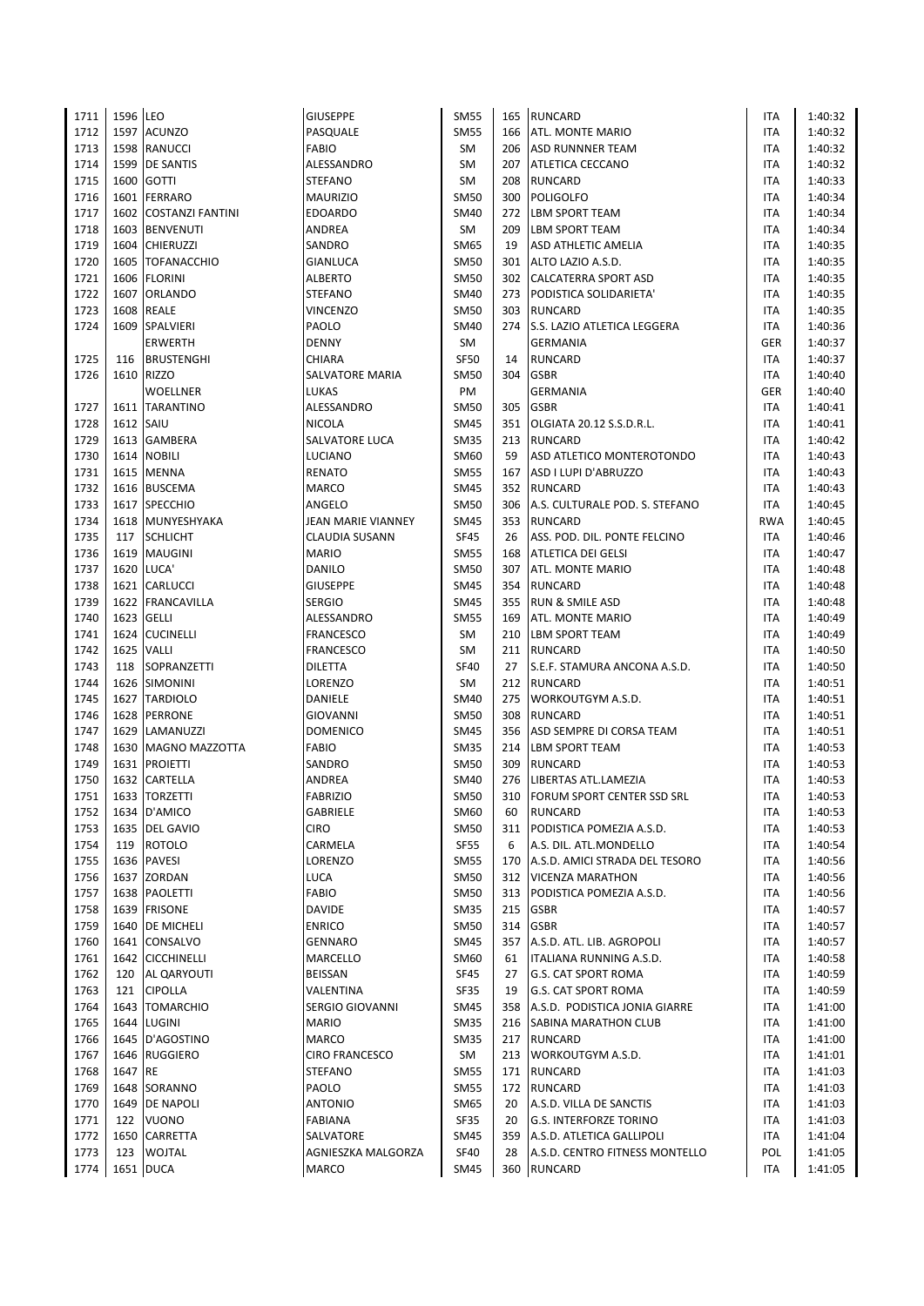| 1711 | 1596 LEO  |                         | <b>GIUSEPPE</b>    | <b>SM55</b> | 165 | RUNCARD                            | ITA        | 1:40:32 |
|------|-----------|-------------------------|--------------------|-------------|-----|------------------------------------|------------|---------|
| 1712 |           | 1597 ACUNZO             | PASQUALE           | <b>SM55</b> |     | 166   ATL. MONTE MARIO             | <b>ITA</b> | 1:40:32 |
| 1713 |           | 1598 RANUCCI            | FABIO              | SM          |     | 206 ASD RUNNNER TEAM               | ITA        | 1:40:32 |
| 1714 |           | 1599 DE SANTIS          | ALESSANDRO         | SM          | 207 | ATLETICA CECCANO                   | ITA        | 1:40:32 |
| 1715 |           | 1600 GOTTI              | STEFANO            | SM          | 208 | <b>RUNCARD</b>                     | ITA        | 1:40:33 |
| 1716 |           | 1601 FERRARO            | MAURIZIO           | <b>SM50</b> | 300 | POLIGOLFO                          | ITA        | 1:40:34 |
| 1717 | 1602      | <b>COSTANZI FANTINI</b> | EDOARDO            | <b>SM40</b> | 272 | <b>LBM SPORT TEAM</b>              | <b>ITA</b> | 1:40:34 |
| 1718 |           | 1603 BENVENUTI          | ANDREA             | SM          | 209 | <b>LBM SPORT TEAM</b>              | <b>ITA</b> | 1:40:34 |
| 1719 |           | 1604 CHIERUZZI          | SANDRO             | SM65        | 19  | ASD ATHLETIC AMELIA                | <b>ITA</b> | 1:40:35 |
| 1720 | 1605      | TOFANACCHIO             | GIANLUCA           | <b>SM50</b> | 301 | ALTO LAZIO A.S.D.                  | <b>ITA</b> | 1:40:35 |
| 1721 |           | 1606 FLORINI            | <b>ALBERTO</b>     | <b>SM50</b> | 302 | CALCATERRA SPORT ASD               | ITA        | 1:40:35 |
| 1722 |           | 1607 ORLANDO            | STEFANO            | <b>SM40</b> |     | 273 PODISTICA SOLIDARIETA'         | <b>ITA</b> | 1:40:35 |
| 1723 |           | 1608 REALE              | <b>VINCENZO</b>    | <b>SM50</b> |     | 303 RUNCARD                        | <b>ITA</b> | 1:40:35 |
| 1724 |           | 1609 SPALVIERI          | PAOLO              | <b>SM40</b> |     | 274 S.S. LAZIO ATLETICA LEGGERA    | <b>ITA</b> | 1:40:36 |
|      |           | <b>ERWERTH</b>          | DENNY              | SM          |     | <b>GERMANIA</b>                    | <b>GER</b> | 1:40:37 |
|      |           |                         |                    |             |     |                                    |            |         |
| 1725 | 116       | <b>BRUSTENGHI</b>       | CHIARA             | <b>SF50</b> | 14  | <b>RUNCARD</b>                     | <b>ITA</b> | 1:40:37 |
| 1726 |           | 1610 RIZZO              | SALVATORE MARIA    | SM50        | 304 | <b>GSBR</b>                        | <b>ITA</b> | 1:40:40 |
|      |           | <b>WOELLNER</b>         | LUKAS              | PM          |     | <b>GERMANIA</b>                    | GER        | 1:40:40 |
| 1727 |           | 1611 TARANTINO          | ALESSANDRO         | <b>SM50</b> | 305 | <b>GSBR</b>                        | ITA        | 1:40:41 |
| 1728 | 1612 SAIU |                         | <b>NICOLA</b>      | <b>SM45</b> | 351 | OLGIATA 20.12 S.S.D.R.L.           | <b>ITA</b> | 1:40:41 |
| 1729 |           | 1613 GAMBERA            | SALVATORE LUCA     | <b>SM35</b> |     | 213 RUNCARD                        | <b>ITA</b> | 1:40:42 |
| 1730 |           | 1614 NOBILI             | LUCIANO            | SM60        | 59  | ASD ATLETICO MONTEROTONDO          | <b>ITA</b> | 1:40:43 |
| 1731 |           | 1615 MENNA              | RENATO             | <b>SM55</b> | 167 | ASD I LUPI D'ABRUZZO               | ITA        | 1:40:43 |
| 1732 |           | 1616 BUSCEMA            | MARCO              | <b>SM45</b> |     | 352 RUNCARD                        | <b>ITA</b> | 1:40:43 |
| 1733 |           | 1617 SPECCHIO           | ANGELO             | <b>SM50</b> |     | 306 A.S. CULTURALE POD. S. STEFANO | <b>ITA</b> | 1:40:45 |
| 1734 |           | 1618 MUNYESHYAKA        | JEAN MARIE VIANNEY | <b>SM45</b> | 353 | <b>RUNCARD</b>                     | <b>RWA</b> | 1:40:45 |
| 1735 | 117       | <b>SCHLICHT</b>         | CLAUDIA SUSANN     | SF45        | 26  | ASS. POD. DIL. PONTE FELCINO       | ITA        | 1:40:46 |
| 1736 |           | 1619 MAUGINI            | MARIO              | <b>SM55</b> | 168 | <b>ATLETICA DEI GELSI</b>          | ITA        | 1:40:47 |
| 1737 |           | 1620 LUCA'              | DANILO             | <b>SM50</b> |     | 307 ATL. MONTE MARIO               | ITA        | 1:40:48 |
| 1738 |           | 1621 CARLUCCI           | <b>GIUSEPPE</b>    | <b>SM45</b> |     | 354 RUNCARD                        | ITA        | 1:40:48 |
| 1739 |           | 1622 FRANCAVILLA        | <b>SERGIO</b>      | <b>SM45</b> |     | 355 RUN & SMILE ASD                | ITA        | 1:40:48 |
| 1740 |           | 1623 GELLI              | ALESSANDRO         | <b>SM55</b> | 169 | <b>ATL. MONTE MARIO</b>            | <b>ITA</b> | 1:40:49 |
| 1741 |           | 1624 CUCINELLI          | FRANCESCO          | SM          | 210 | <b>LBM SPORT TEAM</b>              | ITA        | 1:40:49 |
| 1742 | 1625      | <b>VALLI</b>            | FRANCESCO          | SM          | 211 | <b>RUNCARD</b>                     | ITA        | 1:40:50 |
| 1743 | 118       | SOPRANZETTI             | DILETTA            | <b>SF40</b> | 27  | S.E.F. STAMURA ANCONA A.S.D.       | <b>ITA</b> | 1:40:50 |
| 1744 |           | 1626 SIMONINI           | LORENZO            | SM          |     | 212 RUNCARD                        | ITA        | 1:40:51 |
| 1745 |           | 1627 TARDIOLO           | DANIELE            | SM40        |     | 275 WORKOUTGYM A.S.D.              | <b>ITA</b> | 1:40:51 |
| 1746 |           | 1628 PERRONE            | <b>GIOVANNI</b>    | <b>SM50</b> | 308 | <b>RUNCARD</b>                     | ITA        | 1:40:51 |
| 1747 |           | 1629 LAMANUZZI          | DOMENICO           | <b>SM45</b> |     | 356 ASD SEMPRE DI CORSA TEAM       | <b>ITA</b> | 1:40:51 |
| 1748 |           | 1630 MAGNO MAZZOTTA     | FABIO              | <b>SM35</b> |     | 214   LBM SPORT TEAM               | <b>ITA</b> | 1:40:53 |
| 1749 |           | 1631 PROIETTI           | SANDRO             | <b>SM50</b> |     | 309 RUNCARD                        | <b>ITA</b> | 1:40:53 |
| 1750 |           | 1632 CARTELLA           | <b>ANDREA</b>      | <b>SM40</b> | 276 | LIBERTAS ATL.LAMEZIA               | <b>ITA</b> | 1:40:53 |
| 1751 |           | 1633 TORZETTI           | <b>FABRIZIO</b>    | <b>SM50</b> |     | 310 FORUM SPORT CENTER SSD SRL     | <b>ITA</b> | 1:40:53 |
| 1752 |           | 1634   D'AMICO          | GABRIELE           | SM60        | 60  | <b>RUNCARD</b>                     | ITA        | 1:40:53 |
| 1753 |           | 1635 DEL GAVIO          | <b>CIRO</b>        | <b>SM50</b> | 311 | PODISTICA POMEZIA A.S.D.           | ITA        | 1:40:53 |
| 1754 | 119       | <b>ROTOLO</b>           | CARMELA            | SF55        | 6   | A.S. DIL. ATL.MONDELLO             | <b>ITA</b> | 1:40:54 |
| 1755 |           | 1636 PAVESI             | LORENZO            | <b>SM55</b> |     | 170 A.S.D. AMICI STRADA DEL TESORO | ITA        | 1:40:56 |
| 1756 |           | 1637 ZORDAN             | LUCA               | <b>SM50</b> |     | 312 VICENZA MARATHON               | ITA        | 1:40:56 |
| 1757 |           | 1638 PAOLETTI           | FABIO              | <b>SM50</b> |     | 313 PODISTICA POMEZIA A.S.D.       | ITA        | 1:40:56 |
| 1758 |           | 1639 FRISONE            | DAVIDE             | SM35        |     | 215 GSBR                           | ITA        | 1:40:57 |
| 1759 |           | 1640 DE MICHELI         | <b>ENRICO</b>      | <b>SM50</b> | 314 | <b>GSBR</b>                        | ITA        | 1:40:57 |
| 1760 |           | 1641 CONSALVO           | GENNARO            | <b>SM45</b> |     | 357 A.S.D. ATL. LIB. AGROPOLI      | ITA        | 1:40:57 |
| 1761 | 1642      | <b>CICCHINELLI</b>      | MARCELLO           | SM60        | 61  | <b>ITALIANA RUNNING A.S.D.</b>     | ITA        | 1:40:58 |
|      |           |                         |                    |             |     |                                    |            |         |
| 1762 | 120       | AL QARYOUTI             | BEISSAN            | SF45        | 27  | <b>G.S. CAT SPORT ROMA</b>         | ITA        | 1:40:59 |
| 1763 | 121       | <b>CIPOLLA</b>          | VALENTINA          | SF35        | 19  | <b>G.S. CAT SPORT ROMA</b>         | ITA        | 1:40:59 |
| 1764 | 1643      | <b>TOMARCHIO</b>        | SERGIO GIOVANNI    | <b>SM45</b> |     | 358 A.S.D. PODISTICA JONIA GIARRE  | ITA        | 1:41:00 |
| 1765 | 1644      | LUGINI                  | MARIO              | <b>SM35</b> |     | 216 SABINA MARATHON CLUB           | ITA        | 1:41:00 |
| 1766 |           | 1645 D'AGOSTINO         | MARCO              | <b>SM35</b> |     | 217 RUNCARD                        | <b>ITA</b> | 1:41:00 |
| 1767 |           | 1646 RUGGIERO           | CIRO FRANCESCO     | SM          |     | 213   WORKOUTGYM A.S.D.            | <b>ITA</b> | 1:41:01 |
| 1768 | 1647      | <b>RE</b>               | STEFANO            | <b>SM55</b> | 171 | <b>RUNCARD</b>                     | ITA        | 1:41:03 |
| 1769 |           | 1648 SORANNO            | PAOLO              | <b>SM55</b> |     | 172 RUNCARD                        | ITA        | 1:41:03 |
| 1770 |           | 1649 DE NAPOLI          | ANTONIO            | SM65        | 20  | A.S.D. VILLA DE SANCTIS            | <b>ITA</b> | 1:41:03 |
| 1771 | 122       | <b>VUONO</b>            | FABIANA            | SF35        | 20  | <b>G.S. INTERFORZE TORINO</b>      | ITA        | 1:41:03 |
| 1772 |           | 1650 CARRETTA           | SALVATORE          | SM45        | 359 | A.S.D. ATLETICA GALLIPOLI          | ITA        | 1:41:04 |
| 1773 | 123       | <b>WOJTAL</b>           | AGNIESZKA MALGORZA | <b>SF40</b> | 28  | A.S.D. CENTRO FITNESS MONTELLO     | POL        | 1:41:05 |
| 1774 |           | 1651 DUCA               | MARCO              | <b>SM45</b> |     | 360 RUNCARD                        | <b>ITA</b> | 1:41:05 |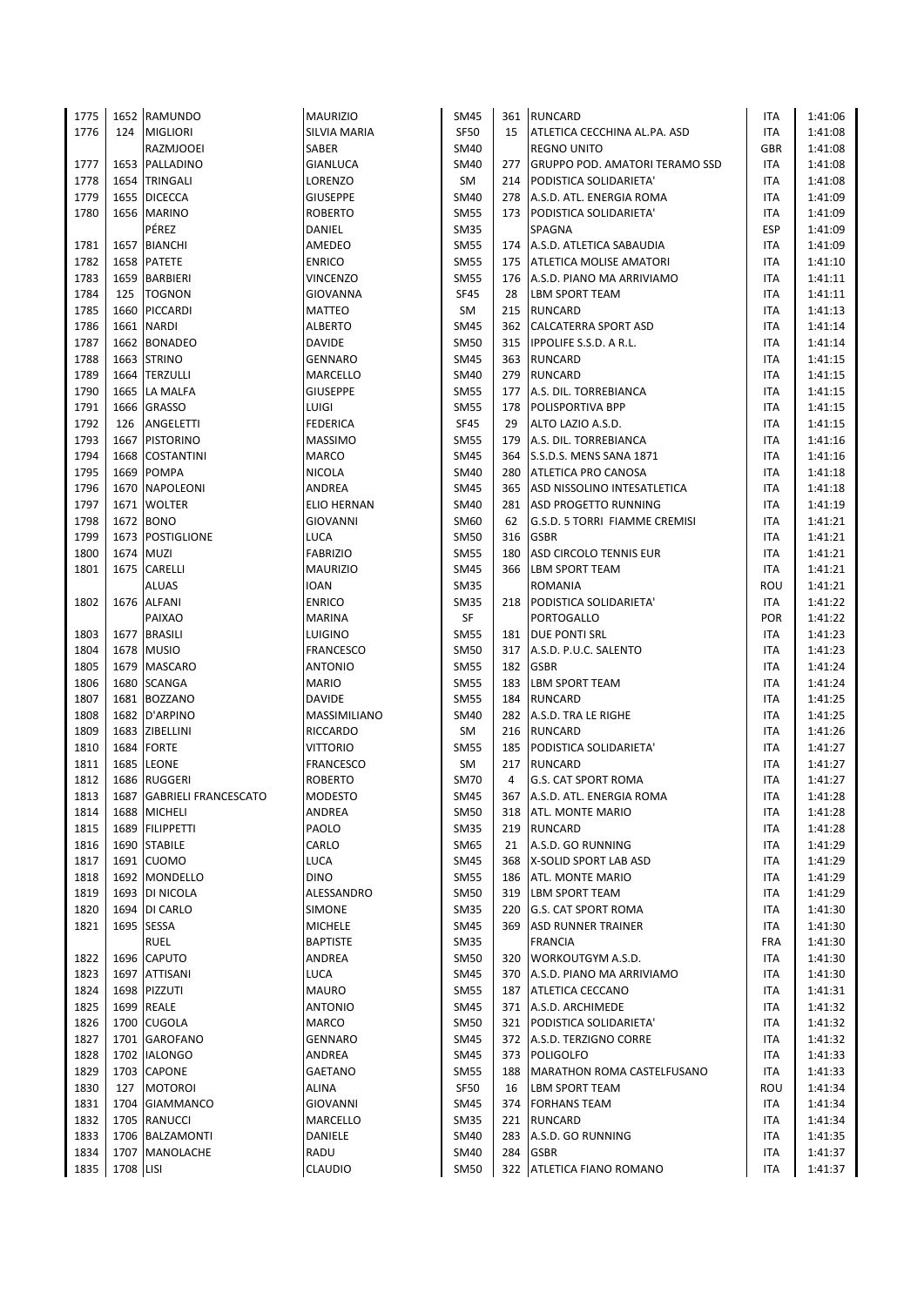| 1775         |           | 1652 RAMUNDO                    | <b>MAURIZIO</b>          | SM45                       |           | 361 RUNCARD                                      | <b>ITA</b>               | 1:41:06            |
|--------------|-----------|---------------------------------|--------------------------|----------------------------|-----------|--------------------------------------------------|--------------------------|--------------------|
| 1776         |           | 124 MIGLIORI                    | SILVIA MARIA             | <b>SF50</b>                | 15        | ATLETICA CECCHINA AL.PA. ASD                     | <b>ITA</b>               | 1:41:08            |
|              |           | RAZMJOOEI                       | SABER                    | <b>SM40</b>                |           | <b>REGNO UNITO</b>                               | <b>GBR</b>               | 1:41:08            |
| 1777         |           | 1653 PALLADINO                  | GIANLUCA                 | SM40                       | 277       | <b>GRUPPO POD. AMATORI TERAMO SSD</b>            | ITA                      | 1:41:08            |
| 1778         |           | 1654 TRINGALI                   | LORENZO                  | SM                         |           | 214 PODISTICA SOLIDARIETA'                       | ITA                      | 1:41:08            |
| 1779         |           | 1655 DICECCA                    | <b>GIUSEPPE</b>          | <b>SM40</b>                |           | 278 A.S.D. ATL. ENERGIA ROMA                     | <b>ITA</b>               | 1:41:09            |
| 1780         |           | 1656 MARINO                     | ROBERTO                  | <b>SM55</b>                | 173       | PODISTICA SOLIDARIETA'                           | ITA                      | 1:41:09            |
|              |           | PÉREZ                           | DANIEL                   | <b>SM35</b>                |           | SPAGNA                                           | ESP                      | 1:41:09            |
| 1781         |           | 1657 BIANCHI                    | AMEDEO                   | <b>SM55</b>                |           | 174 A.S.D. ATLETICA SABAUDIA                     | <b>ITA</b>               | 1:41:09            |
| 1782         |           | 1658 PATETE                     | <b>ENRICO</b>            | <b>SM55</b>                |           | 175 ATLETICA MOLISE AMATORI                      | <b>ITA</b>               | 1:41:10            |
| 1783         |           | 1659 BARBIERI                   | <b>VINCENZO</b>          | <b>SM55</b>                |           | 176 A.S.D. PIANO MA ARRIVIAMO                    | ITA                      | 1:41:11            |
| 1784         | 125       | <b>TOGNON</b>                   | <b>GIOVANNA</b>          | <b>SF45</b>                | 28        | <b>LBM SPORT TEAM</b>                            | <b>ITA</b>               | 1:41:11            |
| 1785         |           | 1660 PICCARDI                   | <b>MATTEO</b>            | SM                         |           | 215 RUNCARD                                      | <b>ITA</b>               | 1:41:13            |
| 1786         |           | 1661 NARDI                      | <b>ALBERTO</b>           | <b>SM45</b>                |           | 362 CALCATERRA SPORT ASD                         | <b>ITA</b>               | 1:41:14            |
| 1787         |           | 1662 BONADEO                    | <b>DAVIDE</b>            | <b>SM50</b>                |           | 315   IPPOLIFE S.S.D. A R.L.                     | ITA                      | 1:41:14            |
| 1788         |           | 1663 STRINO                     | GENNARO                  | <b>SM45</b>                |           | 363 RUNCARD                                      | <b>ITA</b>               | 1:41:15            |
| 1789         |           | 1664 TERZULLI                   | MARCELLO                 | SM40                       |           | 279 RUNCARD                                      | ITA                      | 1:41:15            |
| 1790         |           | 1665 LA MALFA<br>1666 GRASSO    | <b>GIUSEPPE</b>          | <b>SM55</b>                | 177       | A.S. DIL. TORREBIANCA                            | <b>ITA</b>               | 1:41:15            |
| 1791<br>1792 | 126       | ANGELETTI                       | LUIGI<br><b>FEDERICA</b> | <b>SM55</b><br><b>SF45</b> | 178<br>29 | <b>POLISPORTIVA BPP</b><br>ALTO LAZIO A.S.D.     | <b>ITA</b><br><b>ITA</b> | 1:41:15<br>1:41:15 |
| 1793         |           | 1667 PISTORINO                  | <b>MASSIMO</b>           | <b>SM55</b>                | 179       | A.S. DIL. TORREBIANCA                            | ITA                      | 1:41:16            |
| 1794         | 1668      | <b>COSTANTINI</b>               | <b>MARCO</b>             | <b>SM45</b>                |           | 364 S.S.D.S. MENS SANA 1871                      | ITA                      | 1:41:16            |
| 1795         |           | 1669 POMPA                      | NICOLA                   | SM40                       | 280       | <b>ATLETICA PRO CANOSA</b>                       | ITA                      | 1:41:18            |
| 1796         |           | 1670 NAPOLEONI                  | ANDREA                   | <b>SM45</b>                |           | 365 ASD NISSOLINO INTESATLETICA                  | ITA                      | 1:41:18            |
| 1797         |           | 1671 WOLTER                     | <b>ELIO HERNAN</b>       | <b>SM40</b>                |           | 281 ASD PROGETTO RUNNING                         | <b>ITA</b>               | 1:41:19            |
| 1798         |           | 1672 BONO                       | GIOVANNI                 | SM60                       | 62        | G.S.D. 5 TORRI FIAMME CREMISI                    | ITA                      | 1:41:21            |
| 1799         |           | 1673 POSTIGLIONE                | LUCA                     | <b>SM50</b>                | 316       | <b>GSBR</b>                                      | <b>ITA</b>               | 1:41:21            |
| 1800         |           | 1674 MUZI                       | <b>FABRIZIO</b>          | <b>SM55</b>                | 180       | ASD CIRCOLO TENNIS EUR                           | ITA                      | 1:41:21            |
| 1801         |           | 1675 CARELLI                    | <b>MAURIZIO</b>          | <b>SM45</b>                |           | 366 LBM SPORT TEAM                               | ITA                      | 1:41:21            |
|              |           | ALUAS                           | <b>IOAN</b>              | <b>SM35</b>                |           | ROMANIA                                          | ROU                      | 1:41:21            |
| 1802         |           | 1676 ALFANI                     | <b>ENRICO</b>            | <b>SM35</b>                |           | 218 PODISTICA SOLIDARIETA'                       | ITA                      | 1:41:22            |
|              |           | PAIXAO                          | <b>MARINA</b>            | SF                         |           | <b>PORTOGALLO</b>                                | <b>POR</b>               | 1:41:22            |
| 1803         |           | 1677 BRASILI                    | LUIGINO                  | <b>SM55</b>                |           | 181 DUE PONTI SRL                                | ITA                      | 1:41:23            |
| 1804         |           | 1678 MUSIO                      | FRANCESCO                | <b>SM50</b>                | 317       | A.S.D. P.U.C. SALENTO                            | ITA                      | 1:41:23            |
| 1805         |           | 1679 MASCARO                    | <b>ANTONIO</b>           | <b>SM55</b>                | 182       | <b>GSBR</b>                                      | <b>ITA</b>               | 1:41:24            |
| 1806         |           | 1680 SCANGA                     | <b>MARIO</b>             | <b>SM55</b>                |           | 183 LBM SPORT TEAM                               | ITA                      | 1:41:24            |
| 1807         |           | 1681 BOZZANO                    | <b>DAVIDE</b>            | <b>SM55</b>                | 184       | <b>RUNCARD</b>                                   | <b>ITA</b>               | 1:41:25            |
| 1808         |           | 1682 D'ARPINO                   | <b>MASSIMILIANO</b>      | <b>SM40</b>                |           | 282 A.S.D. TRA LE RIGHE                          | ITA                      | 1:41:25            |
| 1809         |           | 1683 ZIBELLINI                  | RICCARDO                 | SM                         |           | 216 RUNCARD                                      | <b>ITA</b>               | 1:41:26            |
| 1810         |           | 1684 FORTE                      | <b>VITTORIO</b>          | <b>SM55</b>                |           | 185 PODISTICA SOLIDARIETA'                       | <b>ITA</b>               | 1:41:27            |
| 1811         |           | 1685 LEONE                      | <b>FRANCESCO</b>         | <b>SM</b>                  | 217       | <b>RUNCARD</b>                                   | <b>ITA</b>               | 1:41:27            |
| 1812         |           | 1686 RUGGERI                    | <b>ROBERTO</b>           | <b>SM70</b>                | 4         | <b>G.S. CAT SPORT ROMA</b>                       | <b>ITA</b>               | 1:41:27            |
| 1813         |           | 1687 GABRIELI FRANCESCATO       | <b>MODESTO</b>           | <b>SM45</b>                |           | 367 A.S.D. ATL. ENERGIA ROMA                     | <b>ITA</b>               | 1:41:28            |
| 1814         |           | 1688 MICHELI                    | ANDREA                   | <b>SM50</b>                |           | 318 ATL. MONTE MARIO                             | ITA                      | 1:41:28            |
| 1815         |           | 1689 FILIPPETTI                 | PAOLO                    | <b>SM35</b>                | 219       | <b>RUNCARD</b>                                   | ITA                      | 1:41:28            |
| 1816         |           | 1690 STABILE                    | CARLO                    | SM65                       | 21        | A.S.D. GO RUNNING                                | ITA                      | 1:41:29            |
| 1817         |           | 1691 CUOMO                      | LUCA                     | <b>SM45</b>                | 368       | X-SOLID SPORT LAB ASD                            | ITA                      | 1:41:29            |
| 1818         |           | 1692 MONDELLO<br>1693 DI NICOLA | <b>DINO</b>              | <b>SM55</b>                |           | 186 ATL. MONTE MARIO                             | ITA                      | 1:41:29            |
| 1819<br>1820 |           | 1694 DI CARLO                   | ALESSANDRO               | <b>SM50</b><br><b>SM35</b> | 220       | 319 LBM SPORT TEAM<br><b>G.S. CAT SPORT ROMA</b> | ITA<br>ITA               | 1:41:29            |
| 1821         |           | 1695 SESSA                      | SIMONE<br><b>MICHELE</b> | <b>SM45</b>                |           | 369 ASD RUNNER TRAINER                           | ITA                      | 1:41:30<br>1:41:30 |
|              |           | <b>RUEL</b>                     | <b>BAPTISTE</b>          | <b>SM35</b>                |           | <b>FRANCIA</b>                                   | <b>FRA</b>               | 1:41:30            |
| 1822         |           | 1696 CAPUTO                     | ANDREA                   | <b>SM50</b>                | 320       | <b>WORKOUTGYM A.S.D.</b>                         | ITA                      | 1:41:30            |
| 1823         |           | 1697 ATTISANI                   | LUCA                     | SM45                       | 370       | A.S.D. PIANO MA ARRIVIAMO                        | ITA                      | 1:41:30            |
| 1824         |           | 1698 PIZZUTI                    | MAURO                    | <b>SM55</b>                |           | 187 ATLETICA CECCANO                             | ITA                      | 1:41:31            |
| 1825         |           | 1699 REALE                      | <b>ANTONIO</b>           | <b>SM45</b>                |           | 371 A.S.D. ARCHIMEDE                             | ITA                      | 1:41:32            |
| 1826         |           | 1700 CUGOLA                     | MARCO                    | <b>SM50</b>                |           | 321 PODISTICA SOLIDARIETA'                       | ITA                      | 1:41:32            |
| 1827         |           | 1701 GAROFANO                   | GENNARO                  | <b>SM45</b>                |           | 372 A.S.D. TERZIGNO CORRE                        | ITA                      | 1:41:32            |
| 1828         |           | 1702 IALONGO                    | ANDREA                   | <b>SM45</b>                |           | 373 POLIGOLFO                                    | ITA                      | 1:41:33            |
| 1829         |           | 1703 CAPONE                     | GAETANO                  | <b>SM55</b>                |           | 188   MARATHON ROMA CASTELFUSANO                 | ITA                      | 1:41:33            |
| 1830         | 127       | <b>MOTOROI</b>                  | ALINA                    | SF50                       | 16        | <b>LBM SPORT TEAM</b>                            | ROU                      | 1:41:34            |
| 1831         |           | 1704 GIAMMANCO                  | GIOVANNI                 | SM45                       |           | 374 FORHANS TEAM                                 | ITA                      | 1:41:34            |
| 1832         |           | 1705 RANUCCI                    | MARCELLO                 | <b>SM35</b>                |           | 221 RUNCARD                                      | ITA                      | 1:41:34            |
| 1833         |           | 1706 BALZAMONTI                 | DANIELE                  | SM40                       |           | 283 A.S.D. GO RUNNING                            | ITA                      | 1:41:35            |
| 1834         |           | 1707 MANOLACHE                  | RADU                     | SM40                       | 284       | <b>GSBR</b>                                      | ITA                      | 1:41:37            |
| 1835         | 1708 LISI |                                 | CLAUDIO                  | <b>SM50</b>                |           | 322 ATLETICA FIANO ROMANO                        | <b>ITA</b>               | 1:41:37            |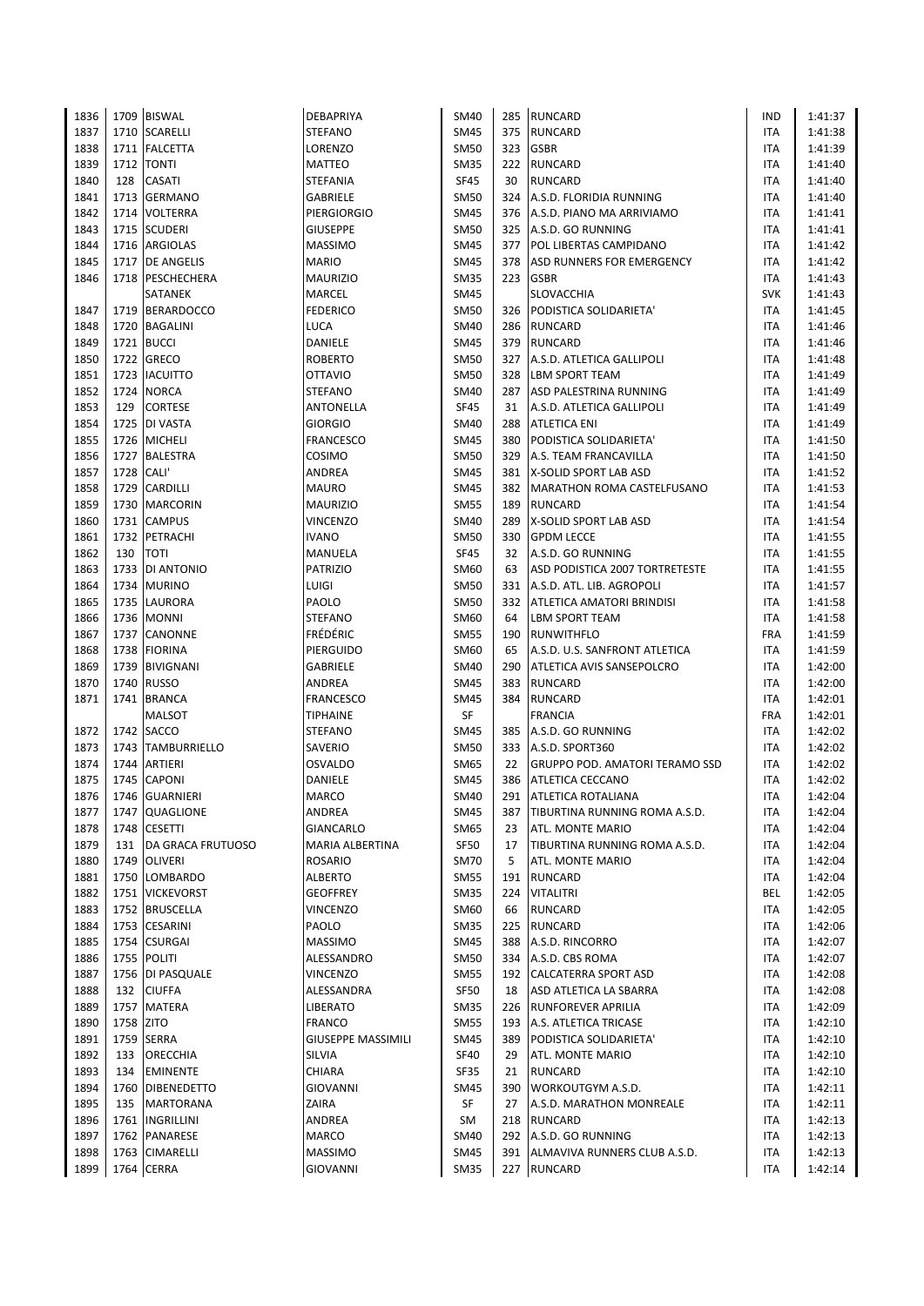| 1836 |            | 1709 BISWAL        | DEBAPRIYA                 | <b>SM40</b> |     | 285 RUNCARD                           | <b>IND</b> | 1:41:37 |
|------|------------|--------------------|---------------------------|-------------|-----|---------------------------------------|------------|---------|
| 1837 |            | 1710 SCARELLI      | <b>STEFANO</b>            | <b>SM45</b> | 375 | <b>RUNCARD</b>                        | <b>ITA</b> | 1:41:38 |
| 1838 |            | 1711   FALCETTA    | LORENZO                   | <b>SM50</b> | 323 | <b>GSBR</b>                           | ITA        | 1:41:39 |
| 1839 |            | 1712 TONTI         | <b>MATTEO</b>             | <b>SM35</b> | 222 | <b>RUNCARD</b>                        | <b>ITA</b> | 1:41:40 |
| 1840 | 128        | <b>CASATI</b>      | STEFANIA                  | <b>SF45</b> | 30  | <b>RUNCARD</b>                        | ITA        | 1:41:40 |
| 1841 |            | 1713 GERMANO       | <b>GABRIELE</b>           | <b>SM50</b> |     | 324 A.S.D. FLORIDIA RUNNING           | ITA        | 1:41:40 |
| 1842 |            | 1714 VOLTERRA      | PIERGIORGIO               | <b>SM45</b> |     | 376 A.S.D. PIANO MA ARRIVIAMO         | ITA        | 1:41:41 |
| 1843 |            | 1715 SCUDERI       | <b>GIUSEPPE</b>           | <b>SM50</b> |     | 325 A.S.D. GO RUNNING                 | <b>ITA</b> | 1:41:41 |
| 1844 |            | 1716 ARGIOLAS      | <b>MASSIMO</b>            | <b>SM45</b> |     | 377 POL LIBERTAS CAMPIDANO            | ITA        | 1:41:42 |
| 1845 |            | 1717 DE ANGELIS    | <b>MARIO</b>              | <b>SM45</b> | 378 | <b>ASD RUNNERS FOR EMERGENCY</b>      | ITA        | 1:41:42 |
| 1846 |            | 1718   PESCHECHERA | <b>MAURIZIO</b>           | <b>SM35</b> |     | 223 GSBR                              | ITA        | 1:41:43 |
|      |            | SATANEK            | MARCEL                    | <b>SM45</b> |     | <b>SLOVACCHIA</b>                     | <b>SVK</b> | 1:41:43 |
| 1847 |            | 1719 BERARDOCCO    | <b>FEDERICO</b>           | <b>SM50</b> |     | 326 PODISTICA SOLIDARIETA'            | ITA        | 1:41:45 |
| 1848 |            | 1720 BAGALINI      | <b>LUCA</b>               | SM40        |     | 286 RUNCARD                           | ITA        | 1:41:46 |
| 1849 |            | 1721 BUCCI         | DANIELE                   | <b>SM45</b> |     | 379 RUNCARD                           | <b>ITA</b> | 1:41:46 |
| 1850 |            | 1722 GRECO         | <b>ROBERTO</b>            | <b>SM50</b> | 327 | A.S.D. ATLETICA GALLIPOLI             | <b>ITA</b> | 1:41:48 |
| 1851 |            | 1723 IACUITTO      | <b>OTTAVIO</b>            | <b>SM50</b> |     | 328 LBM SPORT TEAM                    | ITA        | 1:41:49 |
| 1852 | 1724       | <b>NORCA</b>       | <b>STEFANO</b>            | <b>SM40</b> | 287 | ASD PALESTRINA RUNNING                | ITA        | 1:41:49 |
| 1853 | 129        | <b>CORTESE</b>     | ANTONELLA                 | <b>SF45</b> | 31  | A.S.D. ATLETICA GALLIPOLI             | <b>ITA</b> | 1:41:49 |
| 1854 |            | 1725 DI VASTA      | <b>GIORGIO</b>            | <b>SM40</b> | 288 | <b>ATLETICA ENI</b>                   | ITA        | 1:41:49 |
| 1855 |            | 1726 MICHELI       | <b>FRANCESCO</b>          | <b>SM45</b> | 380 | PODISTICA SOLIDARIETA'                | ITA        | 1:41:50 |
| 1856 |            | 1727 BALESTRA      | COSIMO                    | <b>SM50</b> | 329 | A.S. TEAM FRANCAVILLA                 | ITA        | 1:41:50 |
| 1857 | 1728 CALI' |                    | ANDREA                    | <b>SM45</b> |     | 381 X-SOLID SPORT LAB ASD             | <b>ITA</b> | 1:41:52 |
| 1858 |            | 1729 CARDILLI      | <b>MAURO</b>              | <b>SM45</b> |     | 382   MARATHON ROMA CASTELFUSANO      | ITA        | 1:41:53 |
| 1859 |            | 1730 MARCORIN      | <b>MAURIZIO</b>           | <b>SM55</b> |     | 189 RUNCARD                           | <b>ITA</b> | 1:41:54 |
| 1860 |            | 1731 CAMPUS        | <b>VINCENZO</b>           | <b>SM40</b> | 289 | X-SOLID SPORT LAB ASD                 | ITA        | 1:41:54 |
|      |            |                    | <b>IVANO</b>              | <b>SM50</b> |     | <b>GPDM LECCE</b>                     | <b>ITA</b> |         |
| 1861 |            | 1732 PETRACHI      |                           |             | 330 |                                       |            | 1:41:55 |
| 1862 | 130        | <b>TOTI</b>        | MANUELA                   | <b>SF45</b> | 32  | A.S.D. GO RUNNING                     | <b>ITA</b> | 1:41:55 |
| 1863 |            | 1733 DI ANTONIO    | <b>PATRIZIO</b>           | SM60        | 63  | ASD PODISTICA 2007 TORTRETESTE        | <b>ITA</b> | 1:41:55 |
| 1864 |            | 1734 MURINO        | LUIGI                     | <b>SM50</b> | 331 | A.S.D. ATL. LIB. AGROPOLI             | ITA        | 1:41:57 |
| 1865 |            | 1735 LAURORA       | PAOLO                     | <b>SM50</b> |     | 332   ATLETICA AMATORI BRINDISI       | <b>ITA</b> | 1:41:58 |
| 1866 |            | 1736 MONNI         | <b>STEFANO</b>            | SM60        | 64  | <b>LBM SPORT TEAM</b>                 | ITA        | 1:41:58 |
| 1867 | 1737       | <b>CANONNE</b>     | FRÉDÉRIC                  | <b>SM55</b> | 190 | <b>RUNWITHFLO</b>                     | <b>FRA</b> | 1:41:59 |
| 1868 |            | 1738 FIORINA       | PIERGUIDO                 | SM60        | 65  | A.S.D. U.S. SANFRONT ATLETICA         | ITA        | 1:41:59 |
| 1869 |            | 1739 BIVIGNANI     | GABRIELE                  | <b>SM40</b> | 290 | <b>ATLETICA AVIS SANSEPOLCRO</b>      | <b>ITA</b> | 1:42:00 |
| 1870 |            | 1740 RUSSO         | ANDREA                    | <b>SM45</b> |     | 383 RUNCARD                           | ITA        | 1:42:00 |
| 1871 |            | 1741 BRANCA        | FRANCESCO                 | <b>SM45</b> | 384 | <b>RUNCARD</b>                        | ITA        | 1:42:01 |
|      |            | MALSOT             | <b>TIPHAINE</b>           | SF          |     | <b>FRANCIA</b>                        | <b>FRA</b> | 1:42:01 |
| 1872 |            | 1742 SACCO         | <b>STEFANO</b>            | <b>SM45</b> | 385 | A.S.D. GO RUNNING                     | ITA        | 1:42:02 |
| 1873 |            | 1743 TAMBURRIELLO  | SAVERIO                   | <b>SM50</b> |     | 333   A.S.D. SPORT360                 | ITA        | 1:42:02 |
| 1874 | 1744       | ARTIERI            | OSVALDO                   | SM65        | 22  | <b>GRUPPO POD. AMATORI TERAMO SSD</b> | ITA        | 1:42:02 |
| 1875 |            | 1745 CAPONI        | DANIELE                   | <b>SM45</b> |     | 386 ATLETICA CECCANO                  | ITA        | 1:42:02 |
| 1876 |            | 1746 GUARNIERI     | <b>MARCO</b>              | <b>SM40</b> |     | 291 ATLETICA ROTALIANA                | <b>ITA</b> | 1:42:04 |
| 1877 |            | 1747 QUAGLIONE     | ANDREA                    | SM45        | 387 | TIBURTINA RUNNING ROMA A.S.D.         | ITA        | 1:42:04 |
| 1878 | 1748       | <b>CESETTI</b>     | GIANCARLO                 | SM65        | 23  | ATL. MONTE MARIO                      | ITA        | 1:42:04 |
| 1879 | 131        | DA GRACA FRUTUOSO  | MARIA ALBERTINA           | <b>SF50</b> | 17  | TIBURTINA RUNNING ROMA A.S.D.         | ITA        | 1:42:04 |
| 1880 |            | 1749 OLIVERI       | ROSARIO                   | <b>SM70</b> | 5   | ATL. MONTE MARIO                      | ITA        | 1:42:04 |
| 1881 |            | 1750 LOMBARDO      | ALBERTO                   | <b>SM55</b> | 191 | <b>RUNCARD</b>                        | ITA        | 1:42:04 |
| 1882 |            | 1751 VICKEVORST    | <b>GEOFFREY</b>           | <b>SM35</b> | 224 | <b>VITALITRI</b>                      | BEL        | 1:42:05 |
| 1883 |            | 1752 BRUSCELLA     | <b>VINCENZO</b>           | SM60        | 66  | <b>RUNCARD</b>                        | <b>ITA</b> | 1:42:05 |
| 1884 |            | 1753 CESARINI      | PAOLO                     | <b>SM35</b> | 225 | <b>RUNCARD</b>                        | ITA        | 1:42:06 |
| 1885 |            | 1754 CSURGAI       | <b>MASSIMO</b>            | <b>SM45</b> | 388 | A.S.D. RINCORRO                       | ITA        | 1:42:07 |
| 1886 |            | 1755 POLITI        | ALESSANDRO                | <b>SM50</b> | 334 | A.S.D. CBS ROMA                       | ITA        | 1:42:07 |
| 1887 |            | 1756   DI PASQUALE | VINCENZO                  | <b>SM55</b> |     | 192 CALCATERRA SPORT ASD              | ITA        | 1:42:08 |
| 1888 |            | 132 CIUFFA         | ALESSANDRA                | <b>SF50</b> | 18  | ASD ATLETICA LA SBARRA                | ITA        | 1:42:08 |
| 1889 |            | 1757 MATERA        | LIBERATO                  | <b>SM35</b> | 226 | <b>RUNFOREVER APRILIA</b>             | ITA        | 1:42:09 |
| 1890 | 1758 ZITO  |                    | <b>FRANCO</b>             | <b>SM55</b> | 193 | A.S. ATLETICA TRICASE                 | ITA        | 1:42:10 |
| 1891 |            | 1759 SERRA         | <b>GIUSEPPE MASSIMILI</b> | <b>SM45</b> | 389 | PODISTICA SOLIDARIETA'                | <b>ITA</b> | 1:42:10 |
| 1892 | 133        | <b>ORECCHIA</b>    | SILVIA                    | <b>SF40</b> | 29  | ATL. MONTE MARIO                      | ITA        | 1:42:10 |
| 1893 | 134        | <b>EMINENTE</b>    | CHIARA                    | SF35        | 21  | <b>RUNCARD</b>                        | ITA        | 1:42:10 |
| 1894 | 1760       | <b>DIBENEDETTO</b> | <b>GIOVANNI</b>           | <b>SM45</b> | 390 | <b>WORKOUTGYM A.S.D.</b>              | ITA        | 1:42:11 |
| 1895 | 135        | <b>MARTORANA</b>   | ZAIRA                     | SF          | 27  | A.S.D. MARATHON MONREALE              | ITA        | 1:42:11 |
| 1896 |            | 1761  INGRILLINI   | ANDREA                    | SM          |     | 218 RUNCARD                           | ITA        | 1:42:13 |
| 1897 |            | 1762 PANARESE      | MARCO                     | SM40        |     | 292 A.S.D. GO RUNNING                 | ITA        | 1:42:13 |
| 1898 |            | 1763 CIMARELLI     | <b>MASSIMO</b>            | <b>SM45</b> |     | 391 ALMAVIVA RUNNERS CLUB A.S.D.      | ITA        | 1:42:13 |
| 1899 |            | 1764 CERRA         | <b>GIOVANNI</b>           | <b>SM35</b> |     | 227 RUNCARD                           | <b>ITA</b> | 1:42:14 |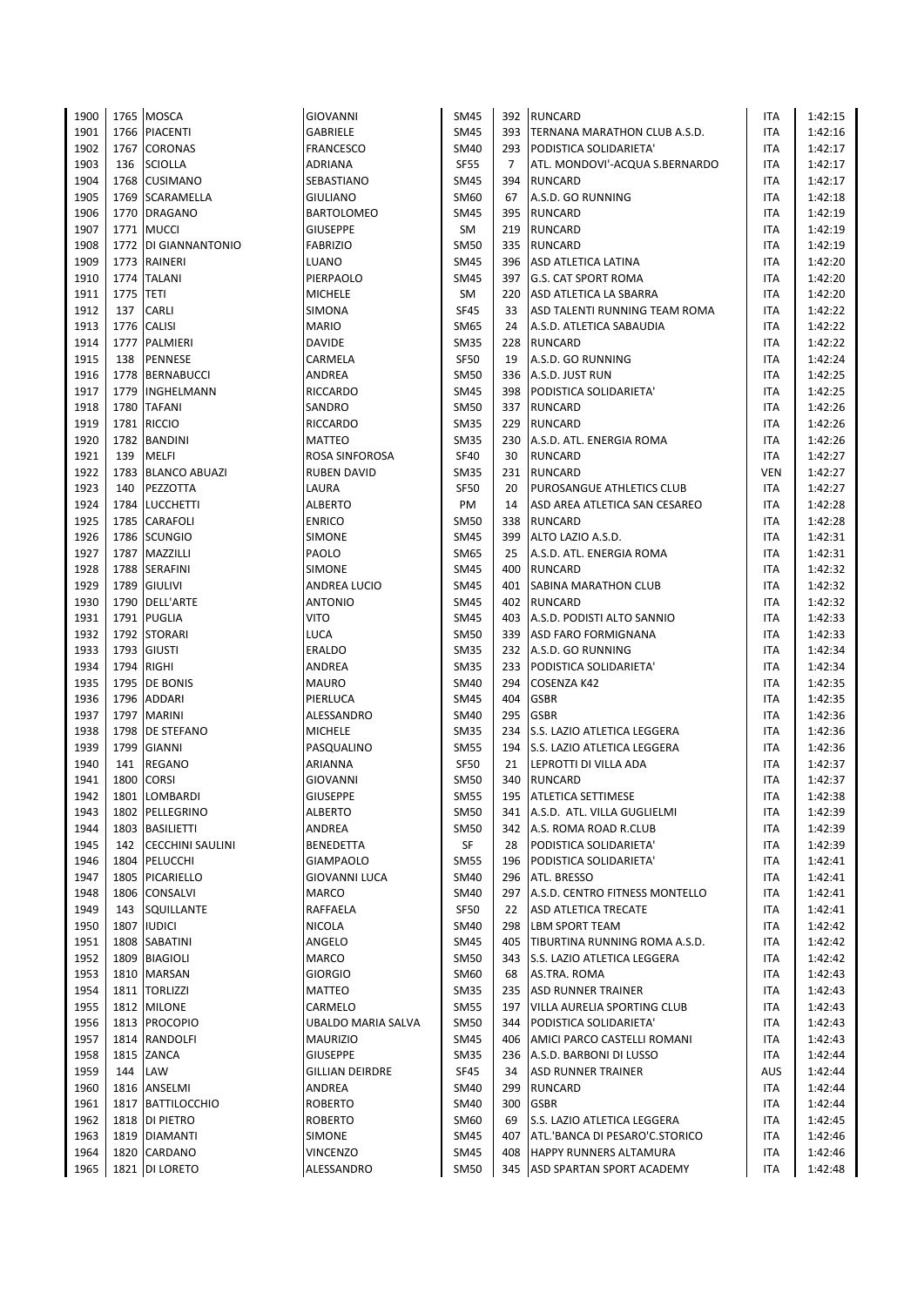| 1900 |           | 1765 MOSCA              | GIOVANNI           | <b>SM45</b> |                | 392 RUNCARD                      | <b>ITA</b> | 1:42:15 |
|------|-----------|-------------------------|--------------------|-------------|----------------|----------------------------------|------------|---------|
| 1901 | 1766      | <b>PIACENTI</b>         | GABRIELE           | <b>SM45</b> |                | 393 TERNANA MARATHON CLUB A.S.D. | <b>ITA</b> | 1:42:16 |
| 1902 | 1767      | <b>CORONAS</b>          | <b>FRANCESCO</b>   | SM40        | 293            | PODISTICA SOLIDARIETA'           | <b>ITA</b> | 1:42:17 |
| 1903 | 136       | <b>SCIOLLA</b>          | ADRIANA            | <b>SF55</b> | $\overline{7}$ | ATL. MONDOVI'-ACQUA S.BERNARDO   | <b>ITA</b> | 1:42:17 |
| 1904 |           | 1768 CUSIMANO           | SEBASTIANO         | <b>SM45</b> | 394            | <b>RUNCARD</b>                   | <b>ITA</b> | 1:42:17 |
| 1905 | 1769      | <b>SCARAMELLA</b>       | <b>GIULIANO</b>    | SM60        | 67             | A.S.D. GO RUNNING                | <b>ITA</b> | 1:42:18 |
| 1906 | 1770      | <b>DRAGANO</b>          | BARTOLOMEO         | <b>SM45</b> | 395            | <b>RUNCARD</b>                   | ITA        | 1:42:19 |
| 1907 |           | 1771 MUCCI              | <b>GIUSEPPE</b>    | SM          |                | 219 RUNCARD                      | <b>ITA</b> | 1:42:19 |
| 1908 |           | 1772 DI GIANNANTONIO    | <b>FABRIZIO</b>    | <b>SM50</b> | 335            | <b>RUNCARD</b>                   | <b>ITA</b> | 1:42:19 |
| 1909 | 1773      | <b>RAINERI</b>          | LUANO              | <b>SM45</b> |                | 396 ASD ATLETICA LATINA          | <b>ITA</b> | 1:42:20 |
| 1910 | 1774      | <b>TALANI</b>           | PIERPAOLO          | <b>SM45</b> | 397            | <b>G.S. CAT SPORT ROMA</b>       | ITA        | 1:42:20 |
| 1911 | 1775 TETI |                         | <b>MICHELE</b>     | SM          | 220            | ASD ATLETICA LA SBARRA           | <b>ITA</b> | 1:42:20 |
| 1912 | 137       | CARLI                   | SIMONA             | <b>SF45</b> | 33             | ASD TALENTI RUNNING TEAM ROMA    | ITA        | 1:42:22 |
| 1913 | 1776      | <b>CALISI</b>           | <b>MARIO</b>       | SM65        | 24             | A.S.D. ATLETICA SABAUDIA         | <b>ITA</b> | 1:42:22 |
| 1914 | 1777      | PALMIERI                | <b>DAVIDE</b>      | <b>SM35</b> | 228            | <b>RUNCARD</b>                   | ITA        | 1:42:22 |
| 1915 | 138       | <b>PENNESE</b>          | CARMELA            | <b>SF50</b> | 19             | A.S.D. GO RUNNING                | <b>ITA</b> | 1:42:24 |
| 1916 |           | 1778 BERNABUCCI         | ANDREA             | <b>SM50</b> |                | 336 A.S.D. JUST RUN              | <b>ITA</b> | 1:42:25 |
| 1917 | 1779      | INGHELMANN              | <b>RICCARDO</b>    | <b>SM45</b> | 398            | PODISTICA SOLIDARIETA'           | ITA        | 1:42:25 |
| 1918 | 1780      | <b>TAFANI</b>           | SANDRO             | SM50        |                | 337 RUNCARD                      | ITA        | 1:42:26 |
| 1919 | 1781      | <b>RICCIO</b>           | <b>RICCARDO</b>    | <b>SM35</b> | 229            | <b>RUNCARD</b>                   | <b>ITA</b> | 1:42:26 |
| 1920 | 1782      | <b>BANDINI</b>          | MATTEO             | <b>SM35</b> | 230            | A.S.D. ATL. ENERGIA ROMA         | <b>ITA</b> | 1:42:26 |
| 1921 | 139       | <b>MELFI</b>            | ROSA SINFOROSA     | SF40        | 30             | <b>RUNCARD</b>                   | ITA        | 1:42:27 |
| 1922 | 1783      | <b>BLANCO ABUAZI</b>    | <b>RUBEN DAVID</b> | <b>SM35</b> |                | 231 RUNCARD                      | <b>VEN</b> | 1:42:27 |
| 1923 | 140       | PEZZOTTA                | LAURA              | <b>SF50</b> | 20             | PUROSANGUE ATHLETICS CLUB        | <b>ITA</b> | 1:42:27 |
| 1924 | 1784      | <b>LUCCHETTI</b>        | <b>ALBERTO</b>     | PM          | 14             | ASD AREA ATLETICA SAN CESAREO    | ITA        | 1:42:28 |
| 1925 | 1785      | CARAFOLI                | <b>ENRICO</b>      | <b>SM50</b> | 338            | <b>RUNCARD</b>                   | ITA        | 1:42:28 |
| 1926 |           | 1786 SCUNGIO            | SIMONE             | SM45        | 399            | ALTO LAZIO A.S.D.                | ITA        | 1:42:31 |
| 1927 |           | 1787 MAZZILLI           | PAOLO              | <b>SM65</b> | 25             | A.S.D. ATL. ENERGIA ROMA         | ITA        | 1:42:31 |
| 1928 | 1788      | <b>SERAFINI</b>         | <b>SIMONE</b>      | <b>SM45</b> | 400            | <b>RUNCARD</b>                   | ITA        | 1:42:32 |
| 1929 | 1789      | <b>GIULIVI</b>          | ANDREA LUCIO       | <b>SM45</b> | 401            | <b>SABINA MARATHON CLUB</b>      | <b>ITA</b> | 1:42:32 |
| 1930 |           | 1790 DELL'ARTE          | <b>ANTONIO</b>     | <b>SM45</b> |                | 402 RUNCARD                      | <b>ITA</b> | 1:42:32 |
| 1931 |           | 1791 PUGLIA             | <b>VITO</b>        | <b>SM45</b> | 403            | A.S.D. PODISTI ALTO SANNIO       | <b>ITA</b> | 1:42:33 |
| 1932 | 1792      | <b>STORARI</b>          | <b>LUCA</b>        | <b>SM50</b> | 339            | <b>ASD FARO FORMIGNANA</b>       | <b>ITA</b> | 1:42:33 |
| 1933 | 1793      | <b>GIUSTI</b>           | ERALDO             | <b>SM35</b> |                | 232 A.S.D. GO RUNNING            | ITA        | 1:42:34 |
| 1934 | 1794      | <b>RIGHI</b>            | ANDREA             | <b>SM35</b> |                | 233 PODISTICA SOLIDARIETA'       | <b>ITA</b> | 1:42:34 |
| 1935 |           | 1795 DE BONIS           | <b>MAURO</b>       | SM40        | 294            | <b>COSENZA K42</b>               | ITA        | 1:42:35 |
| 1936 | 1796      | <b>ADDARI</b>           | PIERLUCA           | <b>SM45</b> | 404            | <b>GSBR</b>                      | ITA        | 1:42:35 |
| 1937 | 1797      | <b>MARINI</b>           | ALESSANDRO         | SM40        | 295            | <b>GSBR</b>                      | ITA        | 1:42:36 |
| 1938 | 1798      | <b>DE STEFANO</b>       | <b>MICHELE</b>     | <b>SM35</b> |                | 234 S.S. LAZIO ATLETICA LEGGERA  | <b>ITA</b> | 1:42:36 |
| 1939 | 1799      | <b>GIANNI</b>           | PASQUALINO         | <b>SM55</b> |                | 194 S.S. LAZIO ATLETICA LEGGERA  | ITA        | 1:42:36 |
| 1940 | 141       | REGANO                  | <b>ARIANNA</b>     | <b>SF50</b> | 21             | LEPROTTI DI VILLA ADA            | ITA        | 1:42:37 |
| 1941 | 1800      | <b>CORSI</b>            | <b>GIOVANNI</b>    | <b>SM50</b> | 340            | <b>RUNCARD</b>                   | <b>ITA</b> | 1:42:37 |
| 1942 |           | 1801 LOMBARDI           | <b>GIUSEPPE</b>    | <b>SM55</b> | 195            | <b>ATLETICA SETTIMESE</b>        | <b>ITA</b> | 1:42:38 |
| 1943 |           | 1802 PELLEGRINO         | <b>ALBERTO</b>     | SM50        | 341            | A.S.D. ATL. VILLA GUGLIELMI      | ITA        | 1:42:39 |
| 1944 | 1803      | <b>BASILIETTI</b>       | ANDREA             | SM50        |                | 342 A.S. ROMA ROAD R.CLUB        | ITA        | 1:42:39 |
| 1945 | 142       | <b>CECCHINI SAULINI</b> | BENEDETTA          | SF          | 28             | PODISTICA SOLIDARIETA'           | ITA        | 1:42:39 |
| 1946 | 1804      | PELUCCHI                | <b>GIAMPAOLO</b>   | <b>SM55</b> |                | 196 PODISTICA SOLIDARIETA'       | ITA        | 1:42:41 |
| 1947 | 1805      | PICARIELLO              | GIOVANNI LUCA      | <b>SM40</b> |                | 296   ATL. BRESSO                | ITA        | 1:42:41 |
| 1948 | 1806      | <b>CONSALVI</b>         | MARCO              | SM40        | 297            | A.S.D. CENTRO FITNESS MONTELLO   | ITA        | 1:42:41 |
| 1949 | 143       | SQUILLANTE              | RAFFAELA           | <b>SF50</b> | 22             | <b>ASD ATLETICA TRECATE</b>      | ITA        | 1:42:41 |
| 1950 | 1807      | <b>IUDICI</b>           | NICOLA             | SM40        | 298            | <b>LBM SPORT TEAM</b>            | ITA        | 1:42:42 |
| 1951 | 1808      | <b>SABATINI</b>         | ANGELO             | <b>SM45</b> | 405            | TIBURTINA RUNNING ROMA A.S.D.    | ITA        | 1:42:42 |
| 1952 | 1809      | <b>BIAGIOLI</b>         | MARCO              | SM50        | 343            | S.S. LAZIO ATLETICA LEGGERA      | ITA        | 1:42:42 |
| 1953 |           | 1810 MARSAN             | <b>GIORGIO</b>     | SM60        | 68             | AS.TRA. ROMA                     | ITA        | 1:42:43 |
| 1954 |           | 1811 TORLIZZI           | MATTEO             | <b>SM35</b> | 235            | <b>ASD RUNNER TRAINER</b>        | ITA        | 1:42:43 |
| 1955 |           | 1812 MILONE             | CARMELO            | <b>SM55</b> | 197            | VILLA AURELIA SPORTING CLUB      | ITA        | 1:42:43 |
| 1956 | 1813      | <b>PROCOPIO</b>         | UBALDO MARIA SALVA | <b>SM50</b> | 344            | PODISTICA SOLIDARIETA'           | ITA        | 1:42:43 |
| 1957 |           | 1814 RANDOLFI           | <b>MAURIZIO</b>    | <b>SM45</b> | 406            | AMICI PARCO CASTELLI ROMANI      | ITA        | 1:42:43 |
| 1958 |           | 1815 ZANCA              | <b>GIUSEPPE</b>    | <b>SM35</b> | 236            | A.S.D. BARBONI DI LUSSO          | ITA        | 1:42:44 |
| 1959 | 144       | LAW                     | GILLIAN DEIRDRE    | SF45        | 34             | <b>ASD RUNNER TRAINER</b>        | AUS        | 1:42:44 |
| 1960 | 1816      | ANSELMI                 | ANDREA             | SM40        | 299            | <b>RUNCARD</b>                   | ITA        | 1:42:44 |
| 1961 |           | 1817 BATTILOCCHIO       | <b>ROBERTO</b>     | SM40        | 300            | <b>GSBR</b>                      | ITA        | 1:42:44 |
| 1962 |           | 1818   DI PIETRO        | <b>ROBERTO</b>     | SM60        | 69             | S.S. LAZIO ATLETICA LEGGERA      | ITA        | 1:42:45 |
| 1963 | 1819      | <b>DIAMANTI</b>         | SIMONE             | <b>SM45</b> | 407            | ATL.'BANCA DI PESARO'C.STORICO   | ITA        | 1:42:46 |
| 1964 | 1820      | CARDANO                 | VINCENZO           | SM45        | 408            | <b>HAPPY RUNNERS ALTAMURA</b>    | ITA        | 1:42:46 |
| 1965 |           | 1821 DI LORETO          | ALESSANDRO         | <b>SM50</b> |                | 345 ASD SPARTAN SPORT ACADEMY    | ITA        | 1:42:48 |
|      |           |                         |                    |             |                |                                  |            |         |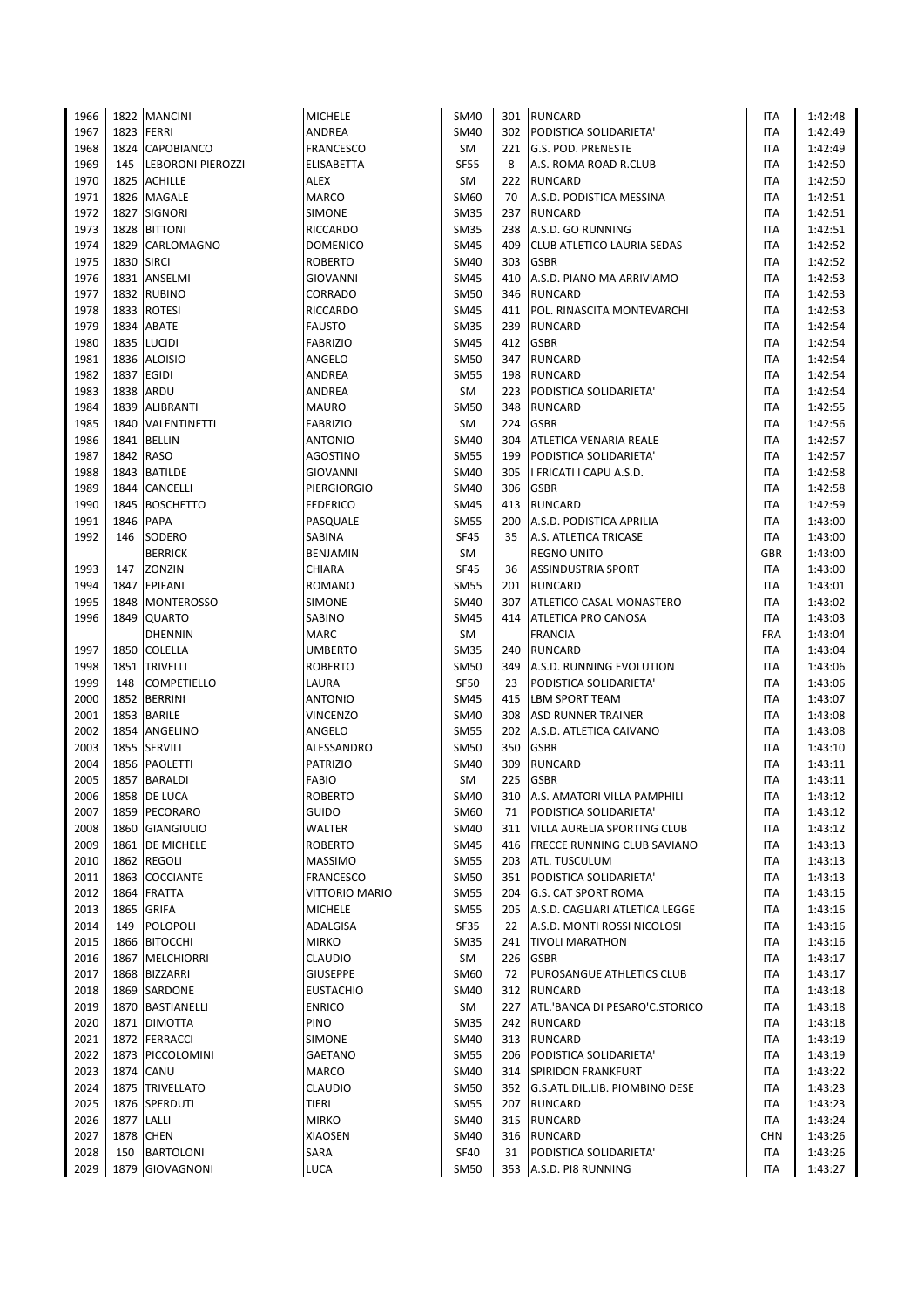| 1966 |            | 1822 MANCINI           | <b>MICHELE</b>              | SM40        |     | 301 RUNCARD                        | ITA        | 1:42:48 |
|------|------------|------------------------|-----------------------------|-------------|-----|------------------------------------|------------|---------|
| 1967 |            | 1823 FERRI             | ANDREA                      | SM40        |     | 302 PODISTICA SOLIDARIETA'         | ITA        | 1:42:49 |
| 1968 |            | 1824 CAPOBIANCO        | <b>FRANCESCO</b>            | SM          | 221 | <b>G.S. POD. PRENESTE</b>          | ITA        | 1:42:49 |
| 1969 |            | 145  LEBORONI PIEROZZI | ELISABETTA                  | <b>SF55</b> | 8   | A.S. ROMA ROAD R.CLUB              | <b>ITA</b> | 1:42:50 |
| 1970 |            | 1825 ACHILLE           | ALEX                        | SM          | 222 | <b>RUNCARD</b>                     | <b>ITA</b> | 1:42:50 |
| 1971 |            | 1826 MAGALE            | <b>MARCO</b>                | SM60        | 70  | A.S.D. PODISTICA MESSINA           | <b>ITA</b> | 1:42:51 |
| 1972 |            | 1827 SIGNORI           | SIMONE                      | <b>SM35</b> | 237 | <b>RUNCARD</b>                     | ITA        | 1:42:51 |
| 1973 |            | 1828 BITTONI           | RICCARDO                    | <b>SM35</b> | 238 | A.S.D. GO RUNNING                  | ITA        | 1:42:51 |
| 1974 |            | 1829 CARLOMAGNO        | <b>DOMENICO</b>             | SM45        | 409 | <b>CLUB ATLETICO LAURIA SEDAS</b>  | <b>ITA</b> | 1:42:52 |
| 1975 | 1830       | <b>SIRCI</b>           | <b>ROBERTO</b>              | SM40        | 303 | <b>GSBR</b>                        | ITA        | 1:42:52 |
| 1976 |            | 1831 ANSELMI           | <b>GIOVANNI</b>             | SM45        | 410 | A.S.D. PIANO MA ARRIVIAMO          | ITA        | 1:42:53 |
| 1977 |            | 1832 RUBINO            | CORRADO                     | SM50        | 346 | <b>RUNCARD</b>                     | ITA        | 1:42:53 |
| 1978 |            | 1833 ROTESI            | <b>RICCARDO</b>             | SM45        | 411 | POL. RINASCITA MONTEVARCHI         | ITA        | 1:42:53 |
| 1979 |            | 1834 ABATE             | <b>FAUSTO</b>               | <b>SM35</b> | 239 | <b>RUNCARD</b>                     | ITA        | 1:42:54 |
| 1980 |            | 1835 LUCIDI            | <b>FABRIZIO</b>             | <b>SM45</b> | 412 | <b>GSBR</b>                        | ITA        | 1:42:54 |
| 1981 |            | 1836 ALOISIO           | ANGELO                      | <b>SM50</b> | 347 | <b>RUNCARD</b>                     | ITA        | 1:42:54 |
| 1982 |            | 1837 EGIDI             | ANDREA                      | <b>SM55</b> | 198 | <b>RUNCARD</b>                     | ITA        | 1:42:54 |
| 1983 |            | 1838 ARDU              | ANDREA                      | SM          | 223 | PODISTICA SOLIDARIETA'             | ITA        | 1:42:54 |
| 1984 |            | 1839 ALIBRANTI         | <b>MAURO</b>                | SM50        | 348 | <b>RUNCARD</b>                     | <b>ITA</b> | 1:42:55 |
| 1985 |            | 1840 VALENTINETTI      | <b>FABRIZIO</b>             | SM          | 224 | <b>GSBR</b>                        | ITA        | 1:42:56 |
| 1986 |            | 1841 BELLIN            | <b>ANTONIO</b>              | SM40        | 304 | <b>ATLETICA VENARIA REALE</b>      | <b>ITA</b> | 1:42:57 |
|      |            | 1842 RASO              |                             |             |     |                                    |            |         |
| 1987 |            | 1843 BATILDE           | AGOSTINO<br><b>GIOVANNI</b> | <b>SM55</b> | 199 | PODISTICA SOLIDARIETA'             | ITA        | 1:42:57 |
| 1988 |            |                        |                             | SM40        | 305 | I FRICATI I CAPU A.S.D.            | ITA        | 1:42:58 |
| 1989 |            | 1844 CANCELLI          | <b>PIERGIORGIO</b>          | SM40        | 306 | <b>GSBR</b>                        | ITA        | 1:42:58 |
| 1990 |            | 1845 BOSCHETTO         | <b>FEDERICO</b>             | <b>SM45</b> | 413 | <b>RUNCARD</b>                     | ITA        | 1:42:59 |
| 1991 | 1846       | <b>PAPA</b>            | PASQUALE                    | <b>SM55</b> | 200 | A.S.D. PODISTICA APRILIA           | ITA        | 1:43:00 |
| 1992 | 146        | SODERO                 | SABINA                      | <b>SF45</b> | 35  | A.S. ATLETICA TRICASE              | ITA        | 1:43:00 |
|      |            | <b>BERRICK</b>         | BENJAMIN                    | SM          |     | <b>REGNO UNITO</b>                 | <b>GBR</b> | 1:43:00 |
| 1993 | 147        | ZONZIN                 | <b>CHIARA</b>               | <b>SF45</b> | 36  | <b>ASSINDUSTRIA SPORT</b>          | ITA        | 1:43:00 |
| 1994 |            | 1847 EPIFANI           | ROMANO                      | <b>SM55</b> | 201 | <b>RUNCARD</b>                     | ITA        | 1:43:01 |
| 1995 |            | 1848   MONTEROSSO      | SIMONE                      | SM40        | 307 | ATLETICO CASAL MONASTERO           | ITA        | 1:43:02 |
| 1996 |            | 1849 QUARTO            | SABINO                      | <b>SM45</b> | 414 | <b>ATLETICA PRO CANOSA</b>         | ITA        | 1:43:03 |
|      |            | <b>DHENNIN</b>         | MARC                        | SM          |     | <b>FRANCIA</b>                     | <b>FRA</b> | 1:43:04 |
| 1997 |            | 1850 COLELLA           | <b>UMBERTO</b>              | <b>SM35</b> | 240 | <b>RUNCARD</b>                     | ITA        | 1:43:04 |
| 1998 |            | 1851 TRIVELLI          | <b>ROBERTO</b>              | <b>SM50</b> | 349 | A.S.D. RUNNING EVOLUTION           | <b>ITA</b> | 1:43:06 |
| 1999 | 148        | <b>COMPETIELLO</b>     | LAURA                       | <b>SF50</b> | 23  | PODISTICA SOLIDARIETA'             | ITA        | 1:43:06 |
| 2000 |            | 1852 BERRINI           | <b>ANTONIO</b>              | SM45        | 415 | <b>LBM SPORT TEAM</b>              | ITA        | 1:43:07 |
| 2001 |            | 1853 BARILE            | <b>VINCENZO</b>             | SM40        | 308 | <b>ASD RUNNER TRAINER</b>          | ITA        | 1:43:08 |
| 2002 |            | 1854 ANGELINO          | ANGELO                      | <b>SM55</b> | 202 | A.S.D. ATLETICA CAIVANO            | ITA        | 1:43:08 |
| 2003 |            | 1855 SERVILI           | ALESSANDRO                  | <b>SM50</b> | 350 | <b>GSBR</b>                        | ITA        | 1:43:10 |
| 2004 |            | 1856 PAOLETTI          | <b>PATRIZIO</b>             | SM40        | 309 | <b>RUNCARD</b>                     | ITA        | 1:43:11 |
| 2005 |            | 1857 BARALDI           | <b>FABIO</b>                | SM          | 225 | <b>GSBR</b>                        | ITA        | 1:43:11 |
| 2006 |            | 1858 DE LUCA           | <b>ROBERTO</b>              | <b>SM40</b> | 310 | A.S. AMATORI VILLA PAMPHILI        | <b>ITA</b> | 1:43:12 |
| 2007 |            | 1859 PECORARO          | <b>GUIDO</b>                | SM60        | 71  | PODISTICA SOLIDARIETA'             | ITA        | 1:43:12 |
| 2008 |            | 1860 GIANGIULIO        | WALTER                      | SM40        | 311 | <b>VILLA AURELIA SPORTING CLUB</b> | ITA        | 1:43:12 |
| 2009 |            | 1861 DE MICHELE        | <b>ROBERTO</b>              | SM45        | 416 | <b>FRECCE RUNNING CLUB SAVIANO</b> | ITA        | 1:43:13 |
| 2010 |            | 1862 REGOLI            | <b>MASSIMO</b>              | <b>SM55</b> | 203 | <b>ATL. TUSCULUM</b>               | ITA        | 1:43:13 |
| 2011 |            | 1863 COCCIANTE         | <b>FRANCESCO</b>            | <b>SM50</b> | 351 | PODISTICA SOLIDARIETA'             | ITA        | 1:43:13 |
| 2012 |            | 1864 FRATTA            | <b>VITTORIO MARIO</b>       | <b>SM55</b> | 204 | <b>G.S. CAT SPORT ROMA</b>         | ITA        | 1:43:15 |
| 2013 |            | 1865 GRIFA             | <b>MICHELE</b>              | SM55        | 205 | A.S.D. CAGLIARI ATLETICA LEGGE     | ITA        | 1:43:16 |
| 2014 |            | 149 POLOPOLI           | ADALGISA                    | SF35        | 22  | A.S.D. MONTI ROSSI NICOLOSI        | ITA        | 1:43:16 |
| 2015 |            | 1866 BITOCCHI          | <b>MIRKO</b>                | SM35        | 241 | <b>TIVOLI MARATHON</b>             |            | 1:43:16 |
| 2016 |            | 1867 MELCHIORRI        |                             |             | 226 | <b>GSBR</b>                        | ITA        |         |
|      |            |                        | <b>CLAUDIO</b>              | SM          |     |                                    | ITA        | 1:43:17 |
| 2017 |            | 1868 BIZZARRI          | <b>GIUSEPPE</b>             | SM60        | 72  | PUROSANGUE ATHLETICS CLUB          | ITA        | 1:43:17 |
| 2018 |            | 1869 SARDONE           | <b>EUSTACHIO</b>            | SM40        | 312 | <b>RUNCARD</b>                     | ITA        | 1:43:18 |
| 2019 |            | 1870 BASTIANELLI       | <b>ENRICO</b>               | SM          | 227 | ATL.'BANCA DI PESARO'C.STORICO     | ITA        | 1:43:18 |
| 2020 |            | 1871 DIMOTTA           | PINO                        | <b>SM35</b> | 242 | RUNCARD                            | ITA        | 1:43:18 |
| 2021 |            | 1872 FERRACCI          | SIMONE                      | SM40        |     | 313 RUNCARD                        | ITA        | 1:43:19 |
| 2022 |            | 1873 PICCOLOMINI       | GAETANO                     | <b>SM55</b> | 206 | PODISTICA SOLIDARIETA'             | ITA        | 1:43:19 |
| 2023 |            | 1874 CANU              | <b>MARCO</b>                | SM40        | 314 | <b>SPIRIDON FRANKFURT</b>          | ITA        | 1:43:22 |
| 2024 |            | 1875 TRIVELLATO        | <b>CLAUDIO</b>              | <b>SM50</b> |     | 352 G.S.ATL.DIL.LIB. PIOMBINO DESE | ITA        | 1:43:23 |
| 2025 |            | 1876 SPERDUTI          | <b>TIERI</b>                | <b>SM55</b> | 207 | <b>RUNCARD</b>                     | ITA        | 1:43:23 |
| 2026 | 1877 LALLI |                        | <b>MIRKO</b>                | SM40        | 315 | <b>RUNCARD</b>                     | ITA        | 1:43:24 |
| 2027 |            | 1878 CHEN              | XIAOSEN                     | SM40        | 316 | RUNCARD                            | <b>CHN</b> | 1:43:26 |
| 2028 | 150        | <b>BARTOLONI</b>       | SARA                        | <b>SF40</b> | 31  | PODISTICA SOLIDARIETA'             | ITA        | 1:43:26 |
| 2029 |            | 1879 GIOVAGNONI        | <b>LUCA</b>                 | SM50        |     | 353 A.S.D. PI8 RUNNING             | ITA        | 1:43:27 |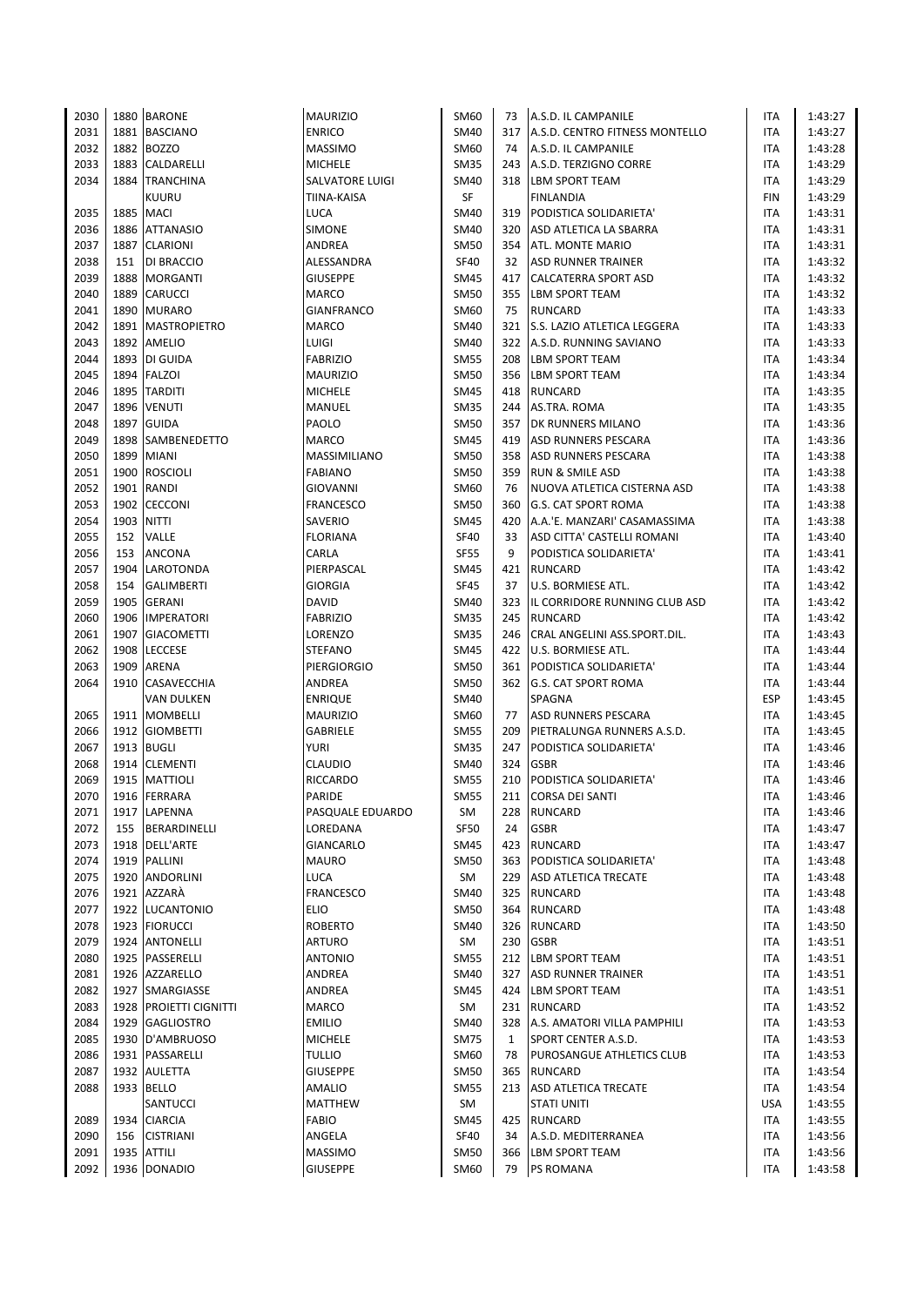| 2030 |      | 1880 BARONE              | <b>MAURIZIO</b>    | SM60        | 73  | A.S.D. IL CAMPANILE                | ITA        | 1:43:27 |
|------|------|--------------------------|--------------------|-------------|-----|------------------------------------|------------|---------|
| 2031 |      | 1881 BASCIANO            | <b>ENRICO</b>      | SM40        |     | 317 A.S.D. CENTRO FITNESS MONTELLO | ITA        | 1:43:27 |
| 2032 |      | 1882 BOZZO               | <b>MASSIMO</b>     | SM60        | 74  | A.S.D. IL CAMPANILE                | ITA        | 1:43:28 |
| 2033 |      | 1883 CALDARELLI          | <b>MICHELE</b>     | <b>SM35</b> |     | 243 A.S.D. TERZIGNO CORRE          | <b>ITA</b> | 1:43:29 |
| 2034 |      | 1884 TRANCHINA           | SALVATORE LUIGI    | SM40        |     | 318   LBM SPORT TEAM               | ITA        | 1:43:29 |
|      |      | <b>KUURU</b>             | <b>TIINA-KAISA</b> | <b>SF</b>   |     | <b>FINLANDIA</b>                   | <b>FIN</b> | 1:43:29 |
| 2035 | 1885 | <b>MACI</b>              | LUCA               | SM40        | 319 | PODISTICA SOLIDARIETA'             | ITA        | 1:43:31 |
| 2036 |      | 1886 ATTANASIO           | SIMONE             | <b>SM40</b> | 320 | ASD ATLETICA LA SBARRA             | <b>ITA</b> | 1:43:31 |
| 2037 |      | 1887 CLARIONI            | ANDREA             | <b>SM50</b> |     | 354 ATL. MONTE MARIO               | <b>ITA</b> | 1:43:31 |
| 2038 | 151  | DI BRACCIO               | ALESSANDRA         | <b>SF40</b> | 32  | <b>ASD RUNNER TRAINER</b>          | ITA        | 1:43:32 |
| 2039 | 1888 | MORGANTI                 | <b>GIUSEPPE</b>    | SM45        | 417 | CALCATERRA SPORT ASD               | ITA        | 1:43:32 |
| 2040 | 1889 | <b>CARUCCI</b>           | <b>MARCO</b>       | <b>SM50</b> | 355 | <b>LBM SPORT TEAM</b>              | ITA        | 1:43:32 |
| 2041 |      | 1890 MURARO              | <b>GIANFRANCO</b>  | SM60        | 75  | <b>RUNCARD</b>                     | ITA        | 1:43:33 |
| 2042 |      | 1891 MASTROPIETRO        | <b>MARCO</b>       | SM40        | 321 | S.S. LAZIO ATLETICA LEGGERA        | ITA        | 1:43:33 |
| 2043 |      | 1892 AMELIO              | LUIGI              | SM40        | 322 | A.S.D. RUNNING SAVIANO             | ITA        | 1:43:33 |
| 2044 |      | 1893 DI GUIDA            |                    | <b>SM55</b> |     | <b>LBM SPORT TEAM</b>              | <b>ITA</b> |         |
|      |      | 1894 FALZOI              | <b>FABRIZIO</b>    |             | 208 |                                    |            | 1:43:34 |
| 2045 |      |                          | <b>MAURIZIO</b>    | <b>SM50</b> |     | 356   LBM SPORT TEAM               | ITA        | 1:43:34 |
| 2046 |      | 1895 TARDITI             | <b>MICHELE</b>     | <b>SM45</b> | 418 | <b>RUNCARD</b>                     | <b>ITA</b> | 1:43:35 |
| 2047 |      | 1896 VENUTI              | MANUEL             | <b>SM35</b> | 244 | AS.TRA. ROMA                       | <b>ITA</b> | 1:43:35 |
| 2048 |      | 1897 GUIDA               | PAOLO              | <b>SM50</b> | 357 | <b>DK RUNNERS MILANO</b>           | <b>ITA</b> | 1:43:36 |
| 2049 |      | 1898 SAMBENEDETTO        | <b>MARCO</b>       | <b>SM45</b> | 419 | <b>ASD RUNNERS PESCARA</b>         | ITA        | 1:43:36 |
| 2050 | 1899 | <b>MIANI</b>             | MASSIMILIANO       | <b>SM50</b> | 358 | <b>ASD RUNNERS PESCARA</b>         | ITA        | 1:43:38 |
| 2051 |      | 1900 ROSCIOLI            | <b>FABIANO</b>     | SM50        | 359 | <b>RUN &amp; SMILE ASD</b>         | ITA        | 1:43:38 |
| 2052 |      | 1901 RANDI               | <b>GIOVANNI</b>    | SM60        | 76  | NUOVA ATLETICA CISTERNA ASD        | ITA        | 1:43:38 |
| 2053 |      | 1902 CECCONI             | <b>FRANCESCO</b>   | <b>SM50</b> | 360 | <b>G.S. CAT SPORT ROMA</b>         | <b>ITA</b> | 1:43:38 |
| 2054 | 1903 | <b>NITTI</b>             | SAVERIO            | SM45        | 420 | A.A.'E. MANZARI' CASAMASSIMA       | ITA        | 1:43:38 |
| 2055 | 152  | VALLE                    | <b>FLORIANA</b>    | <b>SF40</b> | 33  | ASD CITTA' CASTELLI ROMANI         | <b>ITA</b> | 1:43:40 |
| 2056 | 153  | <b>ANCONA</b>            | CARLA              | <b>SF55</b> | 9   | PODISTICA SOLIDARIETA'             | ITA        | 1:43:41 |
| 2057 |      | 1904 LAROTONDA           | PIERPASCAL         | SM45        | 421 | <b>RUNCARD</b>                     | <b>ITA</b> | 1:43:42 |
| 2058 | 154  | <b>GALIMBERTI</b>        | <b>GIORGIA</b>     | <b>SF45</b> | 37  | U.S. BORMIESE ATL.                 | ITA        | 1:43:42 |
| 2059 |      | 1905 GERANI              | <b>DAVID</b>       | <b>SM40</b> |     | 323 IL CORRIDORE RUNNING CLUB ASD  | <b>ITA</b> | 1:43:42 |
| 2060 |      | 1906 IMPERATORI          | <b>FABRIZIO</b>    | <b>SM35</b> |     | 245 RUNCARD                        | <b>ITA</b> | 1:43:42 |
| 2061 |      | 1907 GIACOMETTI          | LORENZO            | <b>SM35</b> | 246 | CRAL ANGELINI ASS.SPORT.DIL.       | ITA        | 1:43:43 |
| 2062 | 1908 | <b>LECCESE</b>           | <b>STEFANO</b>     | SM45        | 422 | <b>U.S. BORMIESE ATL.</b>          | ITA        | 1:43:44 |
| 2063 | 1909 | ARENA                    | PIERGIORGIO        | <b>SM50</b> |     | 361 PODISTICA SOLIDARIETA'         | <b>ITA</b> | 1:43:44 |
| 2064 |      | 1910 CASAVECCHIA         | ANDREA             | SM50        |     | 362 G.S. CAT SPORT ROMA            | <b>ITA</b> | 1:43:44 |
|      |      | VAN DULKEN               | <b>ENRIQUE</b>     | SM40        |     | SPAGNA                             | <b>ESP</b> | 1:43:45 |
| 2065 |      | 1911   MOMBELLI          | <b>MAURIZIO</b>    | SM60        | 77  | <b>ASD RUNNERS PESCARA</b>         | ITA        | 1:43:45 |
| 2066 |      | 1912 GIOMBETTI           | GABRIELE           | <b>SM55</b> | 209 | PIETRALUNGA RUNNERS A.S.D.         | ITA        | 1:43:45 |
| 2067 |      | 1913 BUGLI               | <b>YURI</b>        | <b>SM35</b> | 247 | PODISTICA SOLIDARIETA'             | ITA        | 1:43:46 |
| 2068 |      | 1914 CLEMENTI            | <b>CLAUDIO</b>     | SM40        | 324 | <b>GSBR</b>                        | ITA        | 1:43:46 |
| 2069 |      | 1915 MATTIOLI            | <b>RICCARDO</b>    | <b>SM55</b> | 210 | PODISTICA SOLIDARIETA'             | ITA        | 1:43:46 |
| 2070 |      | 1916 FERRARA             | <b>PARIDE</b>      | <b>SM55</b> |     | 211 CORSA DEI SANTI                | <b>ITA</b> | 1:43:46 |
| 2071 |      | 1917 LAPENNA             | PASQUALE EDUARDO   | SM          | 228 | <b>RUNCARD</b>                     | ITA        | 1:43:46 |
| 2072 |      | 155 BERARDINELLI         | LOREDANA           | <b>SF50</b> | 24  | <b>GSBR</b>                        | <b>ITA</b> | 1:43:47 |
| 2073 |      | 1918 DELL'ARTE           | GIANCARLO          | SM45        | 423 | RUNCARD                            | <b>ITA</b> | 1:43:47 |
| 2074 |      | 1919 PALLINI             | MAURO              | <b>SM50</b> |     | 363 PODISTICA SOLIDARIETA'         | ITA        | 1:43:48 |
| 2075 |      | 1920 ANDORLINI           | <b>LUCA</b>        | SM          |     | 229 ASD ATLETICA TRECATE           | ITA        | 1:43:48 |
| 2076 |      | 1921 AZZARA              | <b>FRANCESCO</b>   | SM40        | 325 | <b>RUNCARD</b>                     | ITA        | 1:43:48 |
| 2077 |      | 1922 LUCANTONIO          | <b>ELIO</b>        | <b>SM50</b> |     | 364 RUNCARD                        | ITA        |         |
| 2078 |      | 1923 FIORUCCI            | <b>ROBERTO</b>     | SM40        |     | 326 RUNCARD                        |            | 1:43:48 |
|      |      |                          |                    |             |     |                                    | ITA        | 1:43:50 |
| 2079 |      | 1924 ANTONELLI           | <b>ARTURO</b>      | SM          | 230 | <b>GSBR</b>                        | ITA        | 1:43:51 |
| 2080 |      | 1925 PASSERELLI          | <b>ANTONIO</b>     | SM55        | 212 | <b>LBM SPORT TEAM</b>              | ITA        | 1:43:51 |
| 2081 |      | 1926 AZZARELLO           | ANDREA             | SM40        | 327 | <b>ASD RUNNER TRAINER</b>          | ITA        | 1:43:51 |
| 2082 |      | 1927 SMARGIASSE          | ANDREA             | <b>SM45</b> |     | 424 LBM SPORT TEAM                 | ITA        | 1:43:51 |
| 2083 |      | 1928   PROIETTI CIGNITTI | MARCO              | SM          |     | 231 RUNCARD                        | ITA        | 1:43:52 |
| 2084 |      | 1929 GAGLIOSTRO          | <b>EMILIO</b>      | SM40        | 328 | A.S. AMATORI VILLA PAMPHILI        | ITA        | 1:43:53 |
| 2085 |      | 1930 D'AMBRUOSO          | <b>MICHELE</b>     | <b>SM75</b> | 1   | <b>SPORT CENTER A.S.D.</b>         | ITA        | 1:43:53 |
| 2086 |      | 1931 PASSARELLI          | <b>TULLIO</b>      | SM60        | 78  | PUROSANGUE ATHLETICS CLUB          | ITA        | 1:43:53 |
| 2087 |      | 1932 AULETTA             | <b>GIUSEPPE</b>    | <b>SM50</b> |     | 365 RUNCARD                        | ITA        | 1:43:54 |
| 2088 |      | 1933 BELLO               | AMALIO             | SM55        | 213 | <b>ASD ATLETICA TRECATE</b>        | ITA        | 1:43:54 |
|      |      | SANTUCCI                 | <b>MATTHEW</b>     | SM          |     | <b>STATI UNITI</b>                 | <b>USA</b> | 1:43:55 |
| 2089 |      | 1934 CIARCIA             | <b>FABIO</b>       | SM45        | 425 | RUNCARD                            | ITA        | 1:43:55 |
| 2090 | 156  | <b>CISTRIANI</b>         | ANGELA             | <b>SF40</b> | 34  | A.S.D. MEDITERRANEA                | ITA        | 1:43:56 |
| 2091 |      | 1935 ATTILI              | <b>MASSIMO</b>     | SM50        | 366 | <b>LBM SPORT TEAM</b>              | ITA        | 1:43:56 |
| 2092 |      | 1936 DONADIO             | <b>GIUSEPPE</b>    | SM60        | 79  | <b>PS ROMANA</b>                   | <b>ITA</b> | 1:43:58 |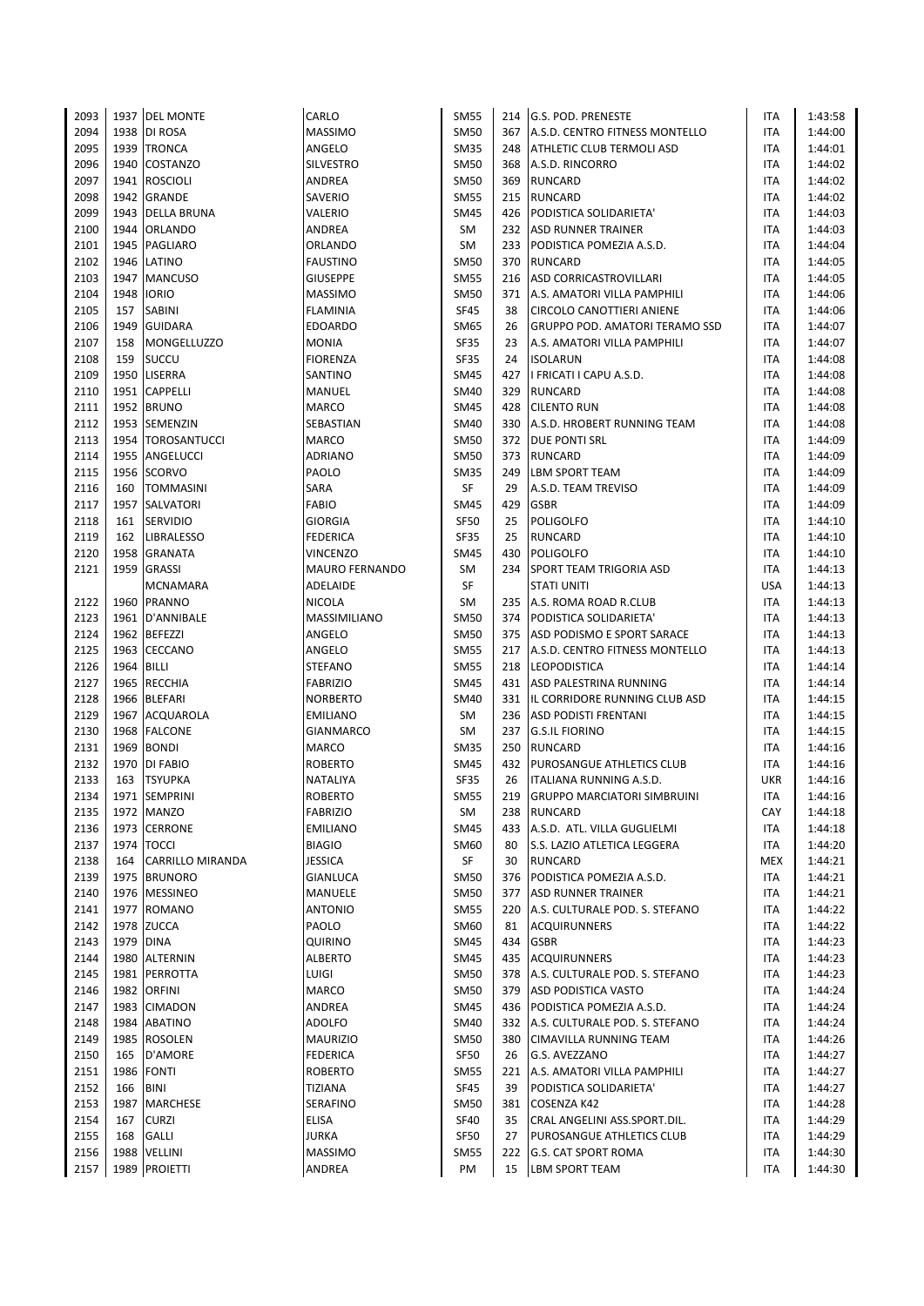| 2093         |            | 1937 DEL MONTE      | CARLO                   | <b>SM55</b>                |     | 214 G.S. POD. PRENESTE                | ITA                      | 1:43:58 |
|--------------|------------|---------------------|-------------------------|----------------------------|-----|---------------------------------------|--------------------------|---------|
| 2094         |            | 1938 DI ROSA        | MASSIMO                 | <b>SM50</b>                |     | 367 A.S.D. CENTRO FITNESS MONTELLO    | <b>ITA</b>               | 1:44:00 |
| 2095         |            | 1939 TRONCA         | ANGELO                  | <b>SM35</b>                | 248 | <b>ATHLETIC CLUB TERMOLI ASD</b>      | ITA                      | 1:44:01 |
| 2096         |            | 1940 COSTANZO       | SILVESTRO               | <b>SM50</b>                | 368 | A.S.D. RINCORRO                       | <b>ITA</b>               | 1:44:02 |
| 2097         |            | 1941 ROSCIOLI       | ANDREA                  | <b>SM50</b>                | 369 | <b>RUNCARD</b>                        | ITA                      | 1:44:02 |
| 2098         |            | 1942 GRANDE         | SAVERIO                 | <b>SM55</b>                |     | 215 RUNCARD                           | ITA                      | 1:44:02 |
| 2099         |            | 1943 DELLA BRUNA    | VALERIO                 | <b>SM45</b>                | 426 | PODISTICA SOLIDARIETA'                | ITA                      | 1:44:03 |
| 2100         |            | 1944 ORLANDO        | ANDREA                  | SM                         |     | 232 ASD RUNNER TRAINER                | <b>ITA</b>               | 1:44:03 |
| 2101         |            | 1945 PAGLIARO       | ORLANDO                 | SM                         |     | 233 PODISTICA POMEZIA A.S.D.          | ITA                      | 1:44:04 |
| 2102         | 1946       | LATINO              | <b>FAUSTINO</b>         | <b>SM50</b>                |     | 370 RUNCARD                           | ITA                      | 1:44:05 |
| 2103         |            | 1947 MANCUSO        | <b>GIUSEPPE</b>         | <b>SM55</b>                | 216 | ASD CORRICASTROVILLARI                | ITA                      | 1:44:05 |
| 2104         |            | 1948   IORIO        | <b>MASSIMO</b>          | <b>SM50</b>                |     | 371 A.S. AMATORI VILLA PAMPHILI       | <b>ITA</b>               | 1:44:06 |
| 2105         | 157        | <b>SABINI</b>       | <b>FLAMINIA</b>         | SF45                       | 38  | <b>CIRCOLO CANOTTIERI ANIENE</b>      | <b>ITA</b>               | 1:44:06 |
| 2106         | 1949       | <b>GUIDARA</b>      | <b>EDOARDO</b>          | SM65                       | 26  | <b>GRUPPO POD. AMATORI TERAMO SSD</b> | ITA                      | 1:44:07 |
| 2107         | 158        | MONGELLUZZO         | <b>MONIA</b>            | SF35                       | 23  | A.S. AMATORI VILLA PAMPHILI           | <b>ITA</b>               | 1:44:07 |
| 2108         | 159        | <b>SUCCU</b>        | <b>FIORENZA</b>         | <b>SF35</b>                | 24  | <b>ISOLARUN</b>                       | <b>ITA</b>               | 1:44:08 |
| 2109         |            | 1950 LISERRA        | SANTINO                 | <b>SM45</b>                | 427 | I FRICATI I CAPU A.S.D.               | ITA                      | 1:44:08 |
| 2110         |            | 1951 CAPPELLI       | MANUEL                  | SM40                       | 329 | <b>RUNCARD</b>                        | ITA                      | 1:44:08 |
| 2111         |            | 1952 BRUNO          | MARCO                   | <b>SM45</b>                | 428 | <b>CILENTO RUN</b>                    | <b>ITA</b>               | 1:44:08 |
| 2112         |            | 1953 SEMENZIN       | SEBASTIAN               | <b>SM40</b>                | 330 | A.S.D. HROBERT RUNNING TEAM           | ITA                      | 1:44:08 |
| 2113         |            | 1954   TOROSANTUCCI | MARCO                   | <b>SM50</b>                |     | 372 DUE PONTI SRL                     | ITA                      | 1:44:09 |
| 2114         |            | 1955 ANGELUCCI      | <b>ADRIANO</b>          | <b>SM50</b>                |     | 373 RUNCARD                           | ITA                      | 1:44:09 |
| 2115         |            | 1956 SCORVO         | PAOLO                   | <b>SM35</b>                | 249 | <b>LBM SPORT TEAM</b>                 | <b>ITA</b>               | 1:44:09 |
| 2116         |            | 160 TOMMASINI       | SARA                    | <b>SF</b>                  | 29  | A.S.D. TEAM TREVISO                   | <b>ITA</b>               | 1:44:09 |
| 2117         |            | 1957 SALVATORI      | <b>FABIO</b>            | <b>SM45</b>                | 429 | <b>GSBR</b>                           | ITA                      | 1:44:09 |
| 2118         | 161        | <b>SERVIDIO</b>     | <b>GIORGIA</b>          | <b>SF50</b>                | 25  | <b>POLIGOLFO</b>                      | <b>ITA</b>               | 1:44:10 |
| 2119         | 162        | <b>LIBRALESSO</b>   | <b>FEDERICA</b>         | <b>SF35</b>                | 25  | <b>RUNCARD</b>                        | ITA                      | 1:44:10 |
| 2120         |            | 1958 GRANATA        | VINCENZO                | <b>SM45</b>                | 430 | <b>POLIGOLFO</b>                      | <b>ITA</b>               | 1:44:10 |
| 2121         |            | 1959 GRASSI         | <b>MAURO FERNANDO</b>   | SM                         | 234 | <b>SPORT TEAM TRIGORIA ASD</b>        | <b>ITA</b>               | 1:44:13 |
|              |            | <b>MCNAMARA</b>     | ADELAIDE                | SF                         |     | <b>STATI UNITI</b>                    | <b>USA</b>               | 1:44:13 |
| 2122         |            | 1960 PRANNO         | <b>NICOLA</b>           | SM                         | 235 | A.S. ROMA ROAD R.CLUB                 | <b>ITA</b>               | 1:44:13 |
| 2123         |            | 1961   D'ANNIBALE   | MASSIMILIANO            | <b>SM50</b>                |     | 374   PODISTICA SOLIDARIETA'          | ITA                      | 1:44:13 |
| 2124         | 1962       | <b>BEFEZZI</b>      | ANGELO                  | <b>SM50</b>                |     |                                       | ITA                      | 1:44:13 |
|              | 1963       |                     |                         | <b>SM55</b>                |     | 375 ASD PODISMO E SPORT SARACE        |                          |         |
| 2125         |            | CECCANO             | ANGELO                  |                            |     | 217   A.S.D. CENTRO FITNESS MONTELLO  | ITA                      | 1:44:13 |
| 2126<br>2127 | 1964 BILLI | 1965 RECCHIA        | STEFANO                 | <b>SM55</b><br><b>SM45</b> | 431 | 218 LEOPODISTICA                      | <b>ITA</b><br><b>ITA</b> | 1:44:14 |
|              |            | 1966 BLEFARI        | <b>FABRIZIO</b>         |                            |     | ASD PALESTRINA RUNNING                |                          | 1:44:14 |
| 2128         |            | 1967 ACQUAROLA      | NORBERTO                | <b>SM40</b>                |     | 331 IL CORRIDORE RUNNING CLUB ASD     | ITA                      | 1:44:15 |
| 2129         |            |                     | <b>EMILIANO</b>         | SM                         |     | 236 ASD PODISTI FRENTANI              | ITA                      | 1:44:15 |
| 2130         |            | 1968 FALCONE        | <b>GIANMARCO</b>        | SM                         | 237 | <b>G.S.IL FIORINO</b>                 | ITA                      | 1:44:15 |
| 2131         | 1969       | <b>BONDI</b>        | MARCO<br><b>ROBERTO</b> | <b>SM35</b>                |     | 250 RUNCARD                           | ITA                      | 1:44:16 |
| 2132         | 1970       | <b>DI FABIO</b>     |                         | <b>SM45</b>                | 432 | <b>PUROSANGUE ATHLETICS CLUB</b>      | ITA                      | 1:44:16 |
| 2133         | 163        | <b>TSYUPKA</b>      | NATALIYA                | SF35                       | 26  | ITALIANA RUNNING A.S.D.               | <b>UKR</b><br><b>ITA</b> | 1:44:16 |
| 2134         |            | 1971 SEMPRINI       | <b>ROBERTO</b>          | <b>SM55</b>                |     | 219 GRUPPO MARCIATORI SIMBRUINI       |                          | 1:44:16 |
| 2135         |            | 1972 MANZO          | <b>FABRIZIO</b>         | SM                         |     | 238 RUNCARD                           | CAY                      | 1:44:18 |
| 2136         |            | 1973 CERRONE        | <b>EMILIANO</b>         | <b>SM45</b>                | 433 | A.S.D. ATL. VILLA GUGLIELMI           | ITA                      | 1:44:18 |
| 2137         |            | 1974   TOCCI        | <b>BIAGIO</b>           | SM60                       | 80  | S.S. LAZIO ATLETICA LEGGERA           | ITA                      | 1:44:20 |
| 2138         | 164        | CARRILLO MIRANDA    | JESSICA                 | SF                         | 30  | <b>RUNCARD</b>                        | <b>MEX</b>               | 1:44:21 |
| 2139         |            | 1975 BRUNORO        | GIANLUCA                | SM50                       |     | 376 PODISTICA POMEZIA A.S.D.          | ITA                      | 1:44:21 |
| 2140         |            | 1976 MESSINEO       | <b>MANUELE</b>          | <b>SM50</b>                | 377 | <b>ASD RUNNER TRAINER</b>             | ITA                      | 1:44:21 |
| 2141         |            | 1977 ROMANO         | <b>ANTONIO</b>          | <b>SM55</b>                |     | 220 A.S. CULTURALE POD. S. STEFANO    | ITA                      | 1:44:22 |
| 2142         |            | 1978 ZUCCA          | PAOLO                   | SM60                       | 81  | <b>ACQUIRUNNERS</b>                   | ITA                      | 1:44:22 |
| 2143         | 1979 DINA  |                     | <b>QUIRINO</b>          | <b>SM45</b>                | 434 | <b>GSBR</b>                           | ITA                      | 1:44:23 |
| 2144         |            | 1980 ALTERNIN       | <b>ALBERTO</b>          | <b>SM45</b>                | 435 | <b>ACQUIRUNNERS</b>                   | ITA                      | 1:44:23 |
| 2145         |            | 1981 PERROTTA       | LUIGI                   | <b>SM50</b>                |     | 378 A.S. CULTURALE POD. S. STEFANO    | <b>ITA</b>               | 1:44:23 |
| 2146         |            | 1982 ORFINI         | MARCO                   | <b>SM50</b>                |     | 379 ASD PODISTICA VASTO               | ITA                      | 1:44:24 |
| 2147         |            | 1983 CIMADON        | ANDREA                  | <b>SM45</b>                |     | 436 PODISTICA POMEZIA A.S.D.          | ITA                      | 1:44:24 |
| 2148         |            | 1984 ABATINO        | <b>ADOLFO</b>           | SM40                       |     | 332 A.S. CULTURALE POD. S. STEFANO    | ITA                      | 1:44:24 |
| 2149         |            | 1985 ROSOLEN        | <b>MAURIZIO</b>         | <b>SM50</b>                |     | 380 CIMAVILLA RUNNING TEAM            | ITA                      | 1:44:26 |
| 2150         | 165        | D'AMORE             | <b>FEDERICA</b>         | <b>SF50</b>                | 26  | G.S. AVEZZANO                         | ITA                      | 1:44:27 |
| 2151         | 1986       | <b>FONTI</b>        | <b>ROBERTO</b>          | <b>SM55</b>                | 221 | A.S. AMATORI VILLA PAMPHILI           | ITA                      | 1:44:27 |
| 2152         | 166        | BINI                | TIZIANA                 | SF45                       | 39  | PODISTICA SOLIDARIETA'                | ITA                      | 1:44:27 |
| 2153         | 1987       | <b>MARCHESE</b>     | SERAFINO                | <b>SM50</b>                |     | 381 COSENZA K42                       | ITA                      | 1:44:28 |
| 2154         | 167        | <b>CURZI</b>        | ELISA                   | <b>SF40</b>                | 35  | CRAL ANGELINI ASS.SPORT.DIL.          | ITA                      | 1:44:29 |
| 2155         | 168        | <b>GALLI</b>        | JURKA                   | SF50                       | 27  | PUROSANGUE ATHLETICS CLUB             | ITA                      | 1:44:29 |
| 2156         | 1988       | <b>VELLINI</b>      | MASSIMO                 | SM55                       | 222 | <b>G.S. CAT SPORT ROMA</b>            | ITA                      | 1:44:30 |
| 2157         |            | 1989 PROIETTI       | ANDREA                  | PM                         | 15  | LBM SPORT TEAM                        | ITA                      | 1:44:30 |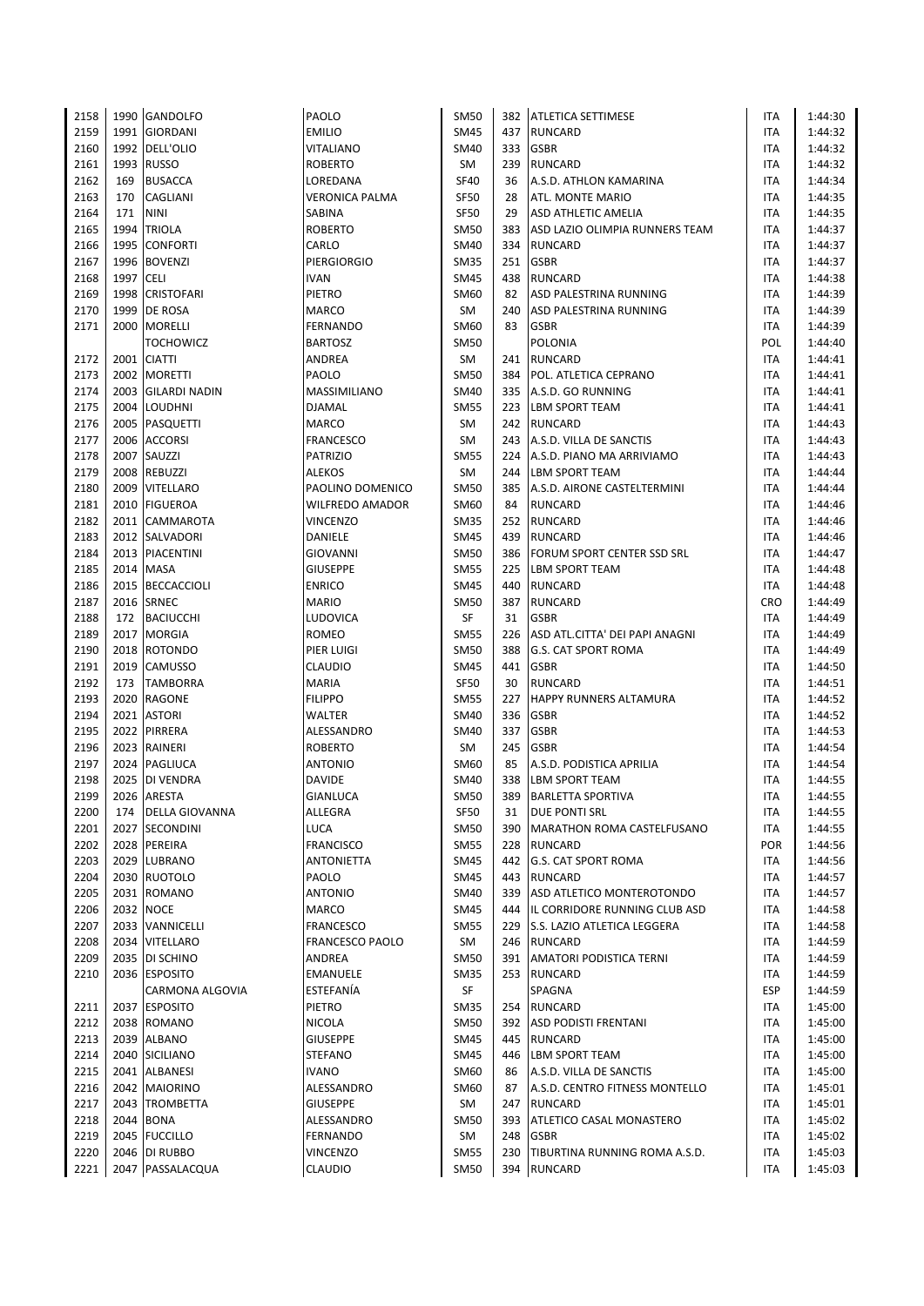| 2158 |      | 1990 GANDOLFO         | PAOLO            | <b>SM50</b> | 382 | <b>ATLETICA SETTIMESE</b>       | ITA        | 1:44:30 |
|------|------|-----------------------|------------------|-------------|-----|---------------------------------|------------|---------|
| 2159 |      | 1991 GIORDANI         | <b>EMILIO</b>    | <b>SM45</b> |     | 437 RUNCARD                     | <b>ITA</b> | 1:44:32 |
|      |      |                       |                  |             |     |                                 |            |         |
| 2160 |      | 1992 DELL'OLIO        | VITALIANO        | SM40        | 333 | <b>GSBR</b>                     | ITA        | 1:44:32 |
| 2161 |      | 1993 RUSSO            | ROBERTO          | SM          | 239 | <b>RUNCARD</b>                  | ITA        | 1:44:32 |
| 2162 | 169  | <b>BUSACCA</b>        | LOREDANA         | <b>SF40</b> | 36  | A.S.D. ATHLON KAMARINA          | ITA        | 1:44:34 |
| 2163 | 170  | CAGLIANI              | VERONICA PALMA   | SF50        | 28  | ATL. MONTE MARIO                | ITA        | 1:44:35 |
| 2164 | 171  | <b>NINI</b>           | SABINA           | <b>SF50</b> | 29  | <b>ASD ATHLETIC AMELIA</b>      | ITA        | 1:44:35 |
| 2165 |      | 1994 TRIOLA           | ROBERTO          | <b>SM50</b> | 383 | ASD LAZIO OLIMPIA RUNNERS TEAM  | <b>ITA</b> | 1:44:37 |
| 2166 |      | 1995 CONFORTI         | CARLO            | <b>SM40</b> | 334 | <b>RUNCARD</b>                  | ITA        | 1:44:37 |
|      |      |                       |                  |             |     |                                 |            |         |
| 2167 | 1996 | <b>BOVENZI</b>        | PIERGIORGIO      | <b>SM35</b> | 251 | <b>GSBR</b>                     | ITA        | 1:44:37 |
| 2168 | 1997 | <b>CELI</b>           | <b>IVAN</b>      | <b>SM45</b> | 438 | <b>RUNCARD</b>                  | ITA        | 1:44:38 |
| 2169 |      | 1998 CRISTOFARI       | PIETRO           | SM60        | 82  | ASD PALESTRINA RUNNING          | <b>ITA</b> | 1:44:39 |
| 2170 |      | 1999 DE ROSA          | <b>MARCO</b>     | SM          | 240 | ASD PALESTRINA RUNNING          | ITA        | 1:44:39 |
| 2171 |      | 2000 MORELLI          | FERNANDO         | SM60        | 83  | <b>GSBR</b>                     | <b>ITA</b> | 1:44:39 |
|      |      | <b>TOCHOWICZ</b>      | <b>BARTOSZ</b>   | <b>SM50</b> |     | <b>POLONIA</b>                  | POL        | 1:44:40 |
| 2172 |      | 2001 CIATTI           | ANDREA           | SM          |     | 241 RUNCARD                     | <b>ITA</b> | 1:44:41 |
|      |      |                       |                  |             |     |                                 |            |         |
| 2173 |      | 2002 MORETTI          | PAOLO            | <b>SM50</b> |     | 384   POL. ATLETICA CEPRANO     | ITA        | 1:44:41 |
| 2174 | 2003 | <b>GILARDI NADIN</b>  | MASSIMILIANO     | <b>SM40</b> |     | 335 A.S.D. GO RUNNING           | ITA        | 1:44:41 |
| 2175 |      | 2004 LOUDHNI          | DJAMAL           | <b>SM55</b> | 223 | <b>LBM SPORT TEAM</b>           | ITA        | 1:44:41 |
| 2176 |      | 2005 PASQUETTI        | MARCO            | SM          |     | 242 RUNCARD                     | ITA        | 1:44:43 |
| 2177 |      | 2006 ACCORSI          | <b>FRANCESCO</b> | SM          |     | 243 A.S.D. VILLA DE SANCTIS     | ITA        | 1:44:43 |
| 2178 |      | 2007 SAUZZI           | PATRIZIO         | <b>SM55</b> |     | 224 A.S.D. PIANO MA ARRIVIAMO   | <b>ITA</b> | 1:44:43 |
| 2179 |      | 2008 REBUZZI          | ALEKOS           | SM          | 244 | <b>LBM SPORT TEAM</b>           | ITA        | 1:44:44 |
|      |      | 2009 VITELLARO        |                  |             |     |                                 | <b>ITA</b> |         |
| 2180 |      |                       | PAOLINO DOMENICO | <b>SM50</b> | 385 | A.S.D. AIRONE CASTELTERMINI     |            | 1:44:44 |
| 2181 |      | 2010 FIGUEROA         | WILFREDO AMADOR  | SM60        | 84  | <b>RUNCARD</b>                  | ITA        | 1:44:46 |
| 2182 | 2011 | <b>CAMMAROTA</b>      | VINCENZO         | <b>SM35</b> | 252 | <b>RUNCARD</b>                  | ITA        | 1:44:46 |
| 2183 |      | 2012 SALVADORI        | DANIELE          | SM45        | 439 | RUNCARD                         | ITA        | 1:44:46 |
| 2184 |      | 2013 PIACENTINI       | GIOVANNI         | <b>SM50</b> |     | 386 FORUM SPORT CENTER SSD SRL  | ITA        | 1:44:47 |
| 2185 |      | 2014 MASA             | <b>GIUSEPPE</b>  | <b>SM55</b> |     | 225   LBM SPORT TEAM            | ITA        | 1:44:48 |
| 2186 |      | 2015 BECCACCIOLI      | <b>ENRICO</b>    | <b>SM45</b> | 440 | <b>RUNCARD</b>                  | ITA        | 1:44:48 |
| 2187 |      | 2016 SRNEC            | MARIO            | <b>SM50</b> | 387 | <b>RUNCARD</b>                  | <b>CRO</b> | 1:44:49 |
|      |      |                       |                  |             |     |                                 |            |         |
| 2188 |      | 172 BACIUCCHI         | LUDOVICA         | SF          | 31  | <b>GSBR</b>                     | <b>ITA</b> | 1:44:49 |
| 2189 | 2017 | <b>MORGIA</b>         | ROMEO            | <b>SM55</b> | 226 | ASD ATL.CITTA' DEI PAPI ANAGNI  | <b>ITA</b> | 1:44:49 |
| 2190 | 2018 | <b>ROTONDO</b>        | PIER LUIGI       | SM50        | 388 | <b>G.S. CAT SPORT ROMA</b>      | ITA        | 1:44:49 |
| 2191 |      | 2019 CAMUSSO          | CLAUDIO          | <b>SM45</b> | 441 | <b>GSBR</b>                     | <b>ITA</b> | 1:44:50 |
| 2192 | 173  | <b>TAMBORRA</b>       | MARIA            | SF50        | 30  | <b>RUNCARD</b>                  | ITA        | 1:44:51 |
| 2193 |      | 2020 RAGONE           | <b>FILIPPO</b>   | <b>SM55</b> | 227 | <b>HAPPY RUNNERS ALTAMURA</b>   | ITA        | 1:44:52 |
| 2194 |      | 2021 ASTORI           | WALTER           | SM40        | 336 | <b>GSBR</b>                     | ITA        | 1:44:52 |
|      |      |                       |                  |             |     |                                 |            |         |
| 2195 |      | 2022 PIRRERA          | ALESSANDRO       | SM40        | 337 | <b>GSBR</b>                     | <b>ITA</b> | 1:44:53 |
| 2196 |      | 2023 RAINERI          | <b>ROBERTO</b>   | SM          | 245 | <b>GSBR</b>                     | ITA        | 1:44:54 |
| 2197 |      | 2024 PAGLIUCA         | <b>ANTONIO</b>   | SM60        | 85  | A.S.D. PODISTICA APRILIA        | ITA        | 1:44:54 |
| 2198 |      | 2025 DI VENDRA        | <b>DAVIDE</b>    | SM40        | 338 | <b>LBM SPORT TEAM</b>           | ITA        | 1:44:55 |
| 2199 |      | 2026 ARESTA           | <b>GIANLUCA</b>  | <b>SM50</b> |     | 389 BARLETTA SPORTIVA           | <b>ITA</b> | 1:44:55 |
| 2200 | 174  | <b>DELLA GIOVANNA</b> | ALLEGRA          | <b>SF50</b> | 31  | <b>DUE PONTI SRL</b>            | ITA        | 1:44:55 |
| 2201 |      | 2027 SECONDINI        | LUCA             | <b>SM50</b> | 390 | MARATHON ROMA CASTELFUSANO      | ITA        | 1:44:55 |
| 2202 |      | 2028 PEREIRA          | <b>FRANCISCO</b> | <b>SM55</b> | 228 | <b>RUNCARD</b>                  | <b>POR</b> | 1:44:56 |
|      |      |                       |                  |             |     |                                 |            |         |
| 2203 |      | 2029 LUBRANO          | ANTONIETTA       | <b>SM45</b> |     | 442 G.S. CAT SPORT ROMA         | ITA        | 1:44:56 |
| 2204 |      | 2030 RUOTOLO          | PAOLO            | <b>SM45</b> |     | 443 RUNCARD                     | ITA        | 1:44:57 |
| 2205 |      | 2031 ROMANO           | ANTONIO          | SM40        | 339 | ASD ATLETICO MONTEROTONDO       | ITA        | 1:44:57 |
| 2206 |      | 2032 NOCE             | MARCO            | SM45        | 444 | IL CORRIDORE RUNNING CLUB ASD   | ITA        | 1:44:58 |
| 2207 |      | 2033 VANNICELLI       | FRANCESCO        | <b>SM55</b> |     | 229 S.S. LAZIO ATLETICA LEGGERA | ITA        | 1:44:58 |
| 2208 |      | 2034 VITELLARO        | FRANCESCO PAOLO  | SM          |     | 246 RUNCARD                     | ITA        | 1:44:59 |
| 2209 | 2035 | <b>DI SCHINO</b>      | ANDREA           | SM50        | 391 | <b>AMATORI PODISTICA TERNI</b>  | ITA        | 1:44:59 |
|      |      |                       |                  |             |     |                                 |            |         |
| 2210 |      | 2036 ESPOSITO         | EMANUELE         | SM35        |     | 253 RUNCARD                     | <b>ITA</b> | 1:44:59 |
|      |      | CARMONA ALGOVIA       | ESTEFANÍA        | SF          |     | SPAGNA                          | <b>ESP</b> | 1:44:59 |
| 2211 |      | 2037 ESPOSITO         | PIETRO           | SM35        | 254 | <b>RUNCARD</b>                  | ITA        | 1:45:00 |
| 2212 |      | 2038 ROMANO           | NICOLA           | SM50        |     | 392 ASD PODISTI FRENTANI        | ITA        | 1:45:00 |
| 2213 |      | 2039 ALBANO           | GIUSEPPE         | <b>SM45</b> |     | 445 RUNCARD                     | ITA        | 1:45:00 |
| 2214 |      | 2040 SICILIANO        | STEFANO          | <b>SM45</b> |     | 446 LBM SPORT TEAM              | <b>ITA</b> | 1:45:00 |
| 2215 |      | 2041 ALBANESI         | <b>IVANO</b>     | SM60        | 86  | A.S.D. VILLA DE SANCTIS         | ITA        | 1:45:00 |
| 2216 |      | 2042 MAIORINO         | ALESSANDRO       | SM60        | 87  | A.S.D. CENTRO FITNESS MONTELLO  | ITA        | 1:45:01 |
|      |      |                       |                  |             |     |                                 |            |         |
| 2217 |      | 2043 TROMBETTA        | GIUSEPPE         | SM          | 247 | <b>RUNCARD</b>                  | <b>ITA</b> | 1:45:01 |
| 2218 |      | 2044 BONA             | ALESSANDRO       | <b>SM50</b> |     | 393 ATLETICO CASAL MONASTERO    | ITA        | 1:45:02 |
| 2219 |      | 2045 FUCCILLO         | FERNANDO         | SM          | 248 | <b>GSBR</b>                     | ITA        | 1:45:02 |
| 2220 |      | 2046 DI RUBBO         | VINCENZO         | <b>SM55</b> | 230 | TIBURTINA RUNNING ROMA A.S.D.   | ITA        | 1:45:03 |
| 2221 |      | 2047 PASSALACQUA      | CLAUDIO          | <b>SM50</b> |     | 394 RUNCARD                     | <b>ITA</b> | 1:45:03 |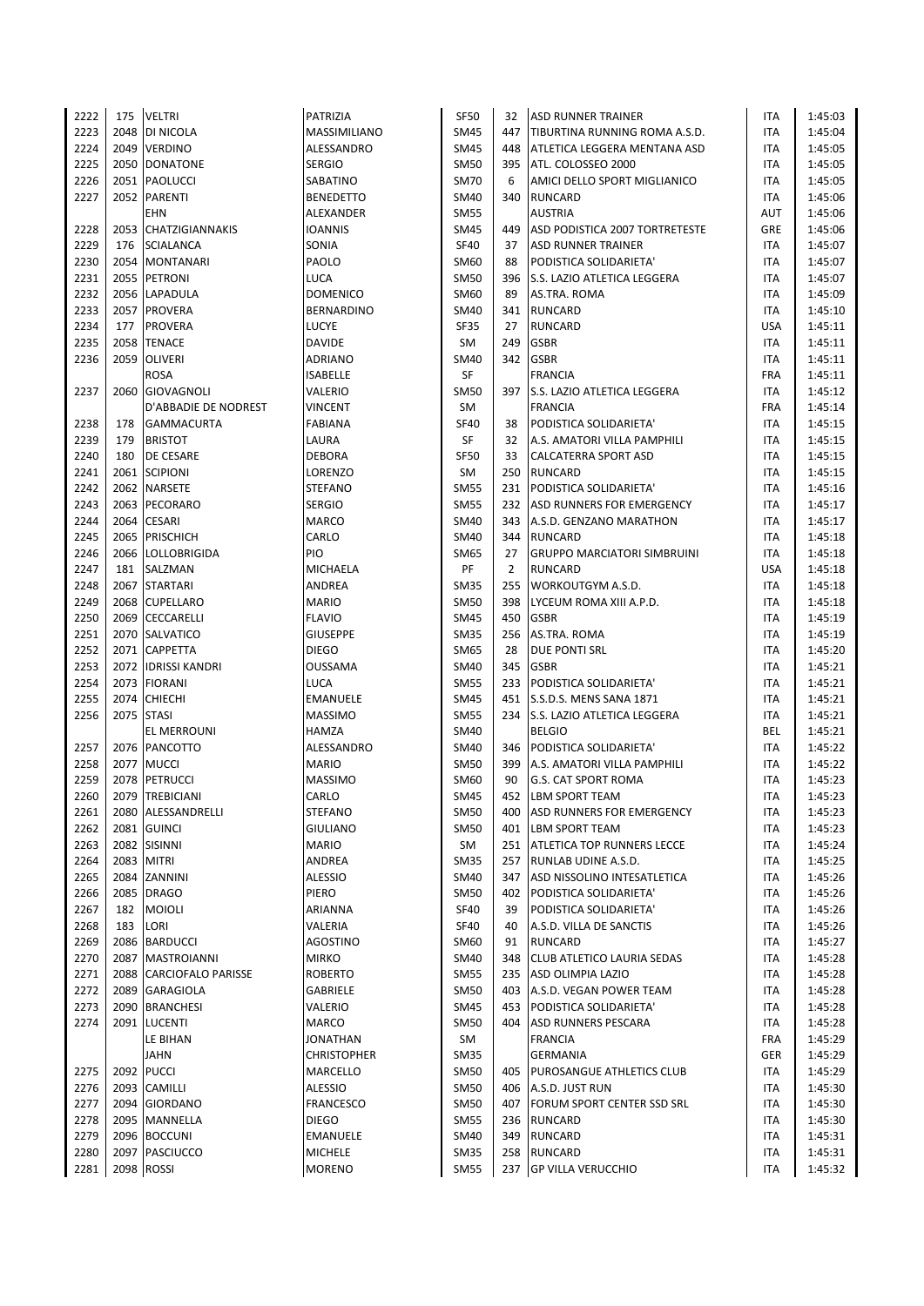| 2222 | 175  | <b>VELTRI</b>              | PATRIZIA           | <b>SF50</b> | 32  | <b>ASD RUNNER TRAINER</b>                        | ITA        | 1:45:03 |
|------|------|----------------------------|--------------------|-------------|-----|--------------------------------------------------|------------|---------|
| 2223 |      | 2048 DI NICOLA             | MASSIMILIANO       | <b>SM45</b> | 447 | TIBURTINA RUNNING ROMA A.S.D.                    | ITA        | 1:45:04 |
| 2224 |      | 2049 VERDINO               | ALESSANDRO         | <b>SM45</b> | 448 | ATLETICA LEGGERA MENTANA ASD                     | ITA        | 1:45:05 |
| 2225 |      | 2050 DONATONE              | <b>SERGIO</b>      | <b>SM50</b> | 395 | ATL. COLOSSEO 2000                               | <b>ITA</b> | 1:45:05 |
| 2226 |      | 2051 PAOLUCCI              | SABATINO           | <b>SM70</b> | 6   | AMICI DELLO SPORT MIGLIANICO                     | <b>ITA</b> | 1:45:05 |
| 2227 |      | 2052 PARENTI               | <b>BENEDETTO</b>   | SM40        | 340 | <b>RUNCARD</b>                                   | ITA        | 1:45:06 |
|      |      | <b>EHN</b>                 | ALEXANDER          | <b>SM55</b> |     | <b>AUSTRIA</b>                                   | AUT        | 1:45:06 |
| 2228 |      | 2053 CHATZIGIANNAKIS       | <b>IOANNIS</b>     | SM45        | 449 | ASD PODISTICA 2007 TORTRETESTE                   | GRE        | 1:45:06 |
| 2229 |      | 176 SCIALANCA              | SONIA              | <b>SF40</b> | 37  | <b>ASD RUNNER TRAINER</b>                        | ITA        | 1:45:07 |
| 2230 |      | 2054 MONTANARI             | PAOLO              | SM60        | 88  | PODISTICA SOLIDARIETA'                           | ITA        | 1:45:07 |
| 2231 |      | 2055 PETRONI               | <b>LUCA</b>        | <b>SM50</b> | 396 | <b>S.S. LAZIO ATLETICA LEGGERA</b>               | ITA        | 1:45:07 |
| 2232 |      | 2056 LAPADULA              | <b>DOMENICO</b>    | SM60        | 89  | AS.TRA. ROMA                                     | ITA        | 1:45:09 |
| 2233 |      | 2057 PROVERA               | <b>BERNARDINO</b>  | SM40        | 341 | <b>RUNCARD</b>                                   | ITA        | 1:45:10 |
| 2234 | 177  | <b>PROVERA</b>             | LUCYE              | <b>SF35</b> | 27  | <b>RUNCARD</b>                                   | <b>USA</b> | 1:45:11 |
| 2235 |      | 2058 TENACE                | <b>DAVIDE</b>      | SM          | 249 | <b>GSBR</b>                                      | ITA        | 1:45:11 |
|      |      |                            |                    |             |     |                                                  |            |         |
| 2236 |      | 2059 OLIVERI               | <b>ADRIANO</b>     | <b>SM40</b> | 342 | <b>GSBR</b>                                      | ITA        | 1:45:11 |
|      |      | <b>ROSA</b>                | <b>ISABELLE</b>    | SF          |     | <b>FRANCIA</b>                                   | <b>FRA</b> | 1:45:11 |
| 2237 | 2060 | GIOVAGNOLI                 | VALERIO            | <b>SM50</b> | 397 | S.S. LAZIO ATLETICA LEGGERA                      | ITA        | 1:45:12 |
|      |      | D'ABBADIE DE NODREST       | <b>VINCENT</b>     | SM          |     | <b>FRANCIA</b>                                   | <b>FRA</b> | 1:45:14 |
| 2238 | 178  | <b>GAMMACURTA</b>          | <b>FABIANA</b>     | <b>SF40</b> | 38  | PODISTICA SOLIDARIETA'                           | ITA        | 1:45:15 |
| 2239 | 179  | <b>BRISTOT</b>             | LAURA              | SF          | 32  | A.S. AMATORI VILLA PAMPHILI                      | <b>ITA</b> | 1:45:15 |
| 2240 | 180  | <b>DE CESARE</b>           | <b>DEBORA</b>      | <b>SF50</b> | 33  | <b>CALCATERRA SPORT ASD</b>                      | ITA        | 1:45:15 |
| 2241 |      | 2061 SCIPIONI              | LORENZO            | SM          | 250 | <b>RUNCARD</b>                                   | ITA        | 1:45:15 |
| 2242 |      | 2062 NARSETE               | <b>STEFANO</b>     | <b>SM55</b> | 231 | PODISTICA SOLIDARIETA'                           | ITA        | 1:45:16 |
| 2243 |      | 2063 PECORARO              | <b>SERGIO</b>      | <b>SM55</b> | 232 | <b>ASD RUNNERS FOR EMERGENCY</b>                 | ITA        | 1:45:17 |
| 2244 | 2064 | <b>CESARI</b>              | <b>MARCO</b>       | <b>SM40</b> | 343 | A.S.D. GENZANO MARATHON                          | ITA        | 1:45:17 |
| 2245 |      | 2065 PRISCHICH             | CARLO              | SM40        | 344 | <b>RUNCARD</b>                                   | ITA        | 1:45:18 |
| 2246 |      | 2066 LOLLOBRIGIDA          | PIO                | SM65        | 27  | <b>GRUPPO MARCIATORI SIMBRUINI</b>               | ITA        | 1:45:18 |
| 2247 | 181  | SALZMAN                    | MICHAELA           | PF          | 2   | <b>RUNCARD</b>                                   | <b>USA</b> | 1:45:18 |
| 2248 |      | 2067 STARTARI              | ANDREA             | <b>SM35</b> | 255 | <b>WORKOUTGYM A.S.D.</b>                         | ITA        | 1:45:18 |
| 2249 |      | 2068 CUPELLARO             | <b>MARIO</b>       | <b>SM50</b> | 398 | LYCEUM ROMA XIII A.P.D.                          | ITA        | 1:45:18 |
| 2250 |      | 2069 CECCARELLI            | <b>FLAVIO</b>      | SM45        | 450 | <b>GSBR</b>                                      | ITA        | 1:45:19 |
| 2251 |      | 2070 SALVATICO             | <b>GIUSEPPE</b>    | <b>SM35</b> | 256 | AS.TRA. ROMA                                     | ITA        | 1:45:19 |
| 2252 |      | 2071 CAPPETTA              | <b>DIEGO</b>       | SM65        | 28  | <b>DUE PONTI SRL</b>                             | ITA        | 1:45:20 |
| 2253 |      | 2072 <b>IDRISSI KANDRI</b> | <b>OUSSAMA</b>     | SM40        | 345 | <b>GSBR</b>                                      | <b>ITA</b> | 1:45:21 |
| 2254 |      | 2073 FIORANI               | <b>LUCA</b>        | <b>SM55</b> | 233 | PODISTICA SOLIDARIETA'                           | ITA        | 1:45:21 |
| 2255 |      | 2074 CHIECHI               | <b>EMANUELE</b>    | <b>SM45</b> | 451 | S.S.D.S. MENS SANA 1871                          | ITA        | 1:45:21 |
| 2256 |      | 2075 STASI                 | <b>MASSIMO</b>     | <b>SM55</b> | 234 | S.S. LAZIO ATLETICA LEGGERA                      | ITA        | 1:45:21 |
|      |      | EL MERROUNI                | HAMZA              | SM40        |     | <b>BELGIO</b>                                    | BEL        | 1:45:21 |
| 2257 |      | 2076 PANCOTTO              | ALESSANDRO         | SM40        | 346 | PODISTICA SOLIDARIETA'                           | ITA        | 1:45:22 |
| 2258 |      | 2077 MUCCI                 | <b>MARIO</b>       | <b>SM50</b> | 399 | A.S. AMATORI VILLA PAMPHILI                      | ITA        | 1:45:22 |
| 2259 |      | 2078 PETRUCCI              | <b>MASSIMO</b>     | SM60        | 90  | <b>G.S. CAT SPORT ROMA</b>                       | ITA        | 1:45:23 |
| 2260 |      | 2079 TREBICIANI            | CARLO              | <b>SM45</b> |     | 452 LBM SPORT TEAM                               | <b>ITA</b> | 1:45:23 |
| 2261 |      | 2080 ALESSANDRELLI         | <b>STEFANO</b>     | <b>SM50</b> | 400 | ASD RUNNERS FOR EMERGENCY                        | ITA        | 1:45:23 |
| 2262 |      | 2081 GUINCI                | <b>GIULIANO</b>    | <b>SM50</b> | 401 | <b>LBM SPORT TEAM</b>                            | ITA        | 1:45:23 |
| 2263 |      | 2082 SISINNI               | <b>MARIO</b>       | SM          | 251 | <b>ATLETICA TOP RUNNERS LECCE</b>                | ITA        | 1:45:24 |
| 2264 |      | 2083 MITRI                 | ANDREA             | <b>SM35</b> | 257 | RUNLAB UDINE A.S.D.                              | ITA        | 1:45:25 |
| 2265 |      | 2084 ZANNINI               | ALESSIO            | SM40        | 347 |                                                  | ITA        |         |
|      |      |                            |                    |             |     | ASD NISSOLINO INTESATLETICA                      |            | 1:45:26 |
| 2266 |      | 2085 DRAGO<br>182 MOIOLI   | PIERO              | <b>SM50</b> | 402 | PODISTICA SOLIDARIETA'<br>PODISTICA SOLIDARIETA' | ITA        | 1:45:26 |
| 2267 |      |                            | ARIANNA            | SF40        | 39  |                                                  | ITA        | 1:45:26 |
| 2268 | 183  | LORI                       | VALERIA            | <b>SF40</b> | 40  | A.S.D. VILLA DE SANCTIS                          | ITA        | 1:45:26 |
| 2269 |      | 2086 BARDUCCI              | <b>AGOSTINO</b>    | SM60        | 91  | <b>RUNCARD</b>                                   | ITA        | 1:45:27 |
| 2270 |      | 2087 MASTROIANNI           | <b>MIRKO</b>       | SM40        | 348 | <b>CLUB ATLETICO LAURIA SEDAS</b>                | ITA        | 1:45:28 |
| 2271 |      | 2088 CARCIOFALO PARISSE    | <b>ROBERTO</b>     | <b>SM55</b> | 235 | ASD OLIMPIA LAZIO                                | ITA        | 1:45:28 |
| 2272 |      | 2089 GARAGIOLA             | <b>GABRIELE</b>    | <b>SM50</b> | 403 | A.S.D. VEGAN POWER TEAM                          | ITA        | 1:45:28 |
| 2273 |      | 2090 BRANCHESI             | VALERIO            | <b>SM45</b> | 453 | PODISTICA SOLIDARIETA'                           | ITA        | 1:45:28 |
| 2274 |      | 2091 LUCENTI               | MARCO              | <b>SM50</b> | 404 | ASD RUNNERS PESCARA                              | ITA        | 1:45:28 |
|      |      | LE BIHAN                   | <b>JONATHAN</b>    | SM          |     | <b>FRANCIA</b>                                   | <b>FRA</b> | 1:45:29 |
|      |      | JAHN                       | <b>CHRISTOPHER</b> | <b>SM35</b> |     | <b>GERMANIA</b>                                  | GER        | 1:45:29 |
| 2275 |      | 2092 PUCCI                 | MARCELLO           | <b>SM50</b> | 405 | <b>PUROSANGUE ATHLETICS CLUB</b>                 | ITA        | 1:45:29 |
| 2276 |      | 2093 CAMILLI               | <b>ALESSIO</b>     | <b>SM50</b> | 406 | A.S.D. JUST RUN                                  | ITA        | 1:45:30 |
| 2277 |      | 2094 GIORDANO              | <b>FRANCESCO</b>   | <b>SM50</b> | 407 | <b>FORUM SPORT CENTER SSD SRL</b>                | ITA        | 1:45:30 |
| 2278 |      | 2095 MANNELLA              | <b>DIEGO</b>       | <b>SM55</b> | 236 | RUNCARD                                          | ITA        | 1:45:30 |
| 2279 |      | 2096 BOCCUNI               | <b>EMANUELE</b>    | SM40        | 349 | <b>RUNCARD</b>                                   | ITA        | 1:45:31 |
| 2280 |      | 2097 PASCIUCCO             | <b>MICHELE</b>     | <b>SM35</b> | 258 | <b>RUNCARD</b>                                   | ITA        | 1:45:31 |
| 2281 |      | 2098 ROSSI                 | <b>MORENO</b>      | SM55        | 237 | <b>GP VILLA VERUCCHIO</b>                        | ITA        | 1:45:32 |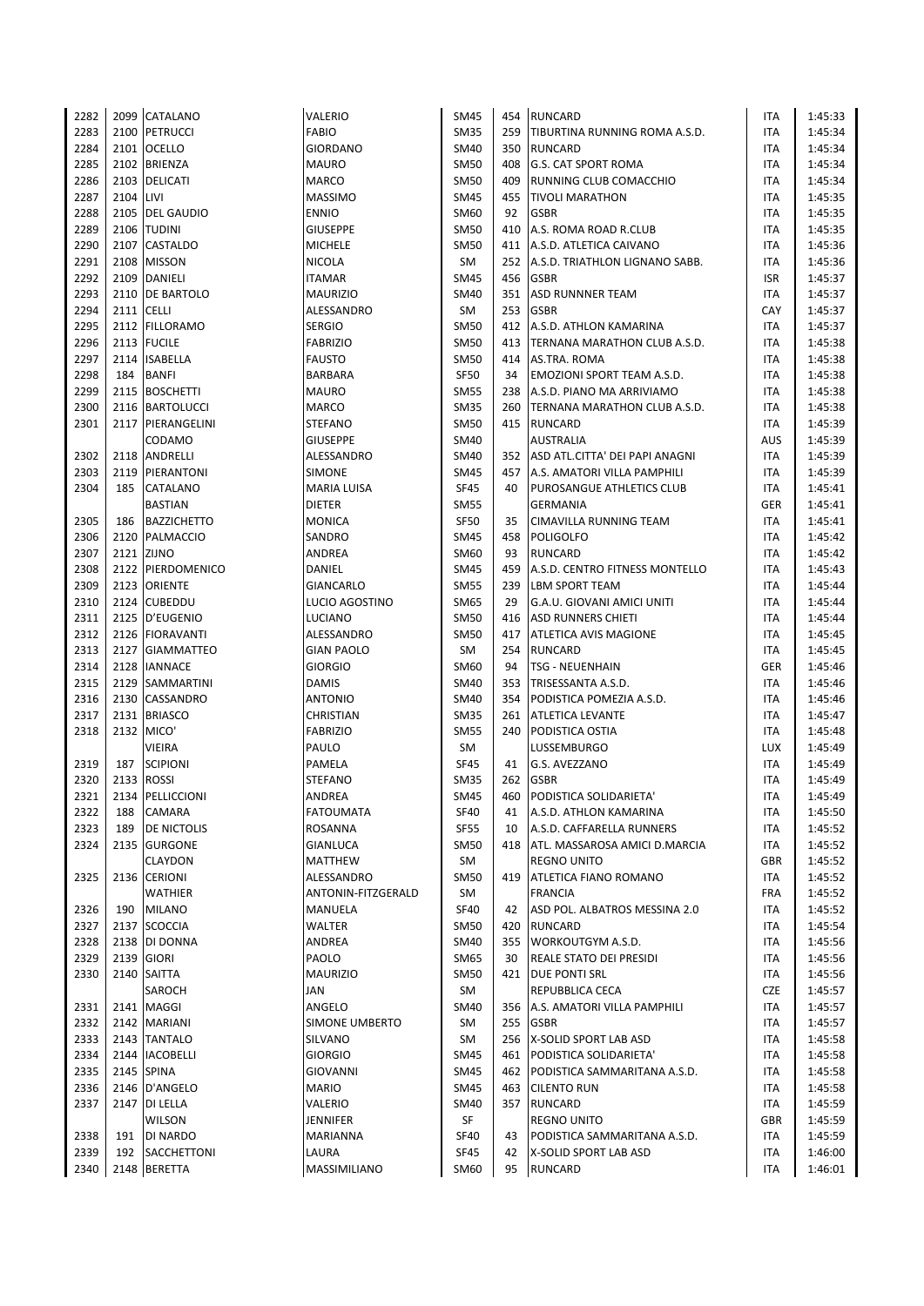| 2282 |            | 2099 CATALANO      | VALERIO            | <b>SM45</b> |     | 454 RUNCARD                         | ITA        | 1:45:33 |
|------|------------|--------------------|--------------------|-------------|-----|-------------------------------------|------------|---------|
|      |            |                    |                    |             |     |                                     |            |         |
| 2283 |            | 2100 PETRUCCI      | FABIO              | <b>SM35</b> |     | 259 TIBURTINA RUNNING ROMA A.S.D.   | <b>ITA</b> | 1:45:34 |
| 2284 |            | 2101 OCELLO        | GIORDANO           | <b>SM40</b> | 350 | <b>RUNCARD</b>                      | ITA        | 1:45:34 |
| 2285 |            | 2102 BRIENZA       | MAURO              | <b>SM50</b> |     | 408 G.S. CAT SPORT ROMA             | <b>ITA</b> | 1:45:34 |
| 2286 |            | 2103 DELICATI      | MARCO              | <b>SM50</b> | 409 | RUNNING CLUB COMACCHIO              | <b>ITA</b> | 1:45:34 |
| 2287 | 2104 LIVI  |                    | MASSIMO            | <b>SM45</b> | 455 | <b>TIVOLI MARATHON</b>              | <b>ITA</b> |         |
|      |            |                    |                    |             |     |                                     |            | 1:45:35 |
| 2288 |            | 2105 DEL GAUDIO    | <b>ENNIO</b>       | SM60        | 92  | <b>GSBR</b>                         | ITA        | 1:45:35 |
| 2289 |            | <b>2106 TUDINI</b> | <b>GIUSEPPE</b>    | <b>SM50</b> | 410 | A.S. ROMA ROAD R.CLUB               | <b>ITA</b> | 1:45:35 |
| 2290 |            | 2107 CASTALDO      | <b>MICHELE</b>     | <b>SM50</b> |     | 411 A.S.D. ATLETICA CAIVANO         | <b>ITA</b> | 1:45:36 |
| 2291 | 2108       | <b>MISSON</b>      | NICOLA             | SM          |     | 252 A.S.D. TRIATHLON LIGNANO SABB.  | ITA        | 1:45:36 |
| 2292 | 2109       | DANIELI            | ITAMAR             | <b>SM45</b> | 456 | <b>GSBR</b>                         | <b>ISR</b> | 1:45:37 |
|      |            |                    |                    |             |     |                                     |            |         |
| 2293 |            | 2110 DE BARTOLO    | MAURIZIO           | SM40        | 351 | <b>ASD RUNNNER TEAM</b>             | <b>ITA</b> | 1:45:37 |
| 2294 | 2111 CELLI |                    | ALESSANDRO         | SM          | 253 | <b>GSBR</b>                         | CAY        | 1:45:37 |
| 2295 |            | 2112 FILLORAMO     | <b>SERGIO</b>      | <b>SM50</b> |     | 412 A.S.D. ATHLON KAMARINA          | <b>ITA</b> | 1:45:37 |
| 2296 |            | 2113 FUCILE        | <b>FABRIZIO</b>    | <b>SM50</b> |     | 413   TERNANA MARATHON CLUB A.S.D.  | ITA        | 1:45:38 |
| 2297 |            | 2114 ISABELLA      | <b>FAUSTO</b>      | <b>SM50</b> |     | 414 AS.TRA. ROMA                    | <b>ITA</b> | 1:45:38 |
|      |            |                    |                    |             |     |                                     |            |         |
| 2298 | 184        | <b>BANFI</b>       | BARBARA            | SF50        | 34  | <b>EMOZIONI SPORT TEAM A.S.D.</b>   | ITA        | 1:45:38 |
| 2299 | 2115       | <b>BOSCHETTI</b>   | MAURO              | <b>SM55</b> | 238 | A.S.D. PIANO MA ARRIVIAMO           | ITA        | 1:45:38 |
| 2300 |            | 2116 BARTOLUCCI    | MARCO              | <b>SM35</b> | 260 | TERNANA MARATHON CLUB A.S.D.        | ITA        | 1:45:38 |
| 2301 |            | 2117 PIERANGELINI  | STEFANO            | <b>SM50</b> |     | 415 RUNCARD                         | ITA        | 1:45:39 |
|      |            | CODAMO             | GIUSEPPE           | SM40        |     | <b>AUSTRALIA</b>                    | AUS        | 1:45:39 |
|      |            |                    |                    |             |     |                                     |            |         |
| 2302 |            | 2118 ANDRELLI      | ALESSANDRO         | <b>SM40</b> |     | 352 ASD ATL.CITTA' DEI PAPI ANAGNI  | <b>ITA</b> | 1:45:39 |
| 2303 |            | 2119 PIERANTONI    | SIMONE             | <b>SM45</b> |     | 457 A.S. AMATORI VILLA PAMPHILI     | ITA        | 1:45:39 |
| 2304 | 185        | CATALANO           | MARIA LUISA        | <b>SF45</b> | 40  | <b>PUROSANGUE ATHLETICS CLUB</b>    | <b>ITA</b> | 1:45:41 |
|      |            | <b>BASTIAN</b>     | DIETER             | <b>SM55</b> |     | <b>GERMANIA</b>                     | GER        | 1:45:41 |
| 2305 | 186        | <b>BAZZICHETTO</b> | MONICA             | <b>SF50</b> | 35  | CIMAVILLA RUNNING TEAM              | ITA        | 1:45:41 |
|      |            |                    |                    |             |     |                                     |            |         |
| 2306 |            | 2120 PALMACCIO     | SANDRO             | <b>SM45</b> | 458 | POLIGOLFO                           | ITA        | 1:45:42 |
| 2307 |            | 2121 ZIJNO         | ANDREA             | SM60        | 93  | <b>RUNCARD</b>                      | ITA        | 1:45:42 |
| 2308 |            | 2122 PIERDOMENICO  | DANIEL             | <b>SM45</b> | 459 | A.S.D. CENTRO FITNESS MONTELLO      | ITA        | 1:45:43 |
| 2309 |            | 2123 ORIENTE       | GIANCARLO          | <b>SM55</b> | 239 | <b>LBM SPORT TEAM</b>               | ITA        | 1:45:44 |
| 2310 |            | 2124 CUBEDDU       | LUCIO AGOSTINO     | <b>SM65</b> | 29  | G.A.U. GIOVANI AMICI UNITI          | <b>ITA</b> | 1:45:44 |
|      |            |                    |                    |             |     |                                     |            |         |
| 2311 |            | 2125 D'EUGENIO     | LUCIANO            | <b>SM50</b> | 416 | <b>ASD RUNNERS CHIETI</b>           | <b>ITA</b> | 1:45:44 |
| 2312 |            | 2126 FIORAVANTI    | ALESSANDRO         | <b>SM50</b> | 417 | <b>ATLETICA AVIS MAGIONE</b>        | <b>ITA</b> | 1:45:45 |
| 2313 |            | 2127 GIAMMATTEO    | GIAN PAOLO         | SM          | 254 | <b>RUNCARD</b>                      | ITA        | 1:45:45 |
| 2314 |            | 2128 IANNACE       | <b>GIORGIO</b>     | SM60        | 94  | <b>TSG - NEUENHAIN</b>              | GER        | 1:45:46 |
| 2315 |            | 2129   SAMMARTINI  | DAMIS              | <b>SM40</b> |     | 353 TRISESSANTA A.S.D.              | ITA        | 1:45:46 |
|      |            | 2130 CASSANDRO     |                    | SM40        |     |                                     |            |         |
| 2316 |            |                    | ANTONIO            |             | 354 | PODISTICA POMEZIA A.S.D.            | ITA        | 1:45:46 |
| 2317 |            | 2131 BRIASCO       | CHRISTIAN          | <b>SM35</b> | 261 | <b>ATLETICA LEVANTE</b>             | ITA        | 1:45:47 |
| 2318 |            | 2132 MICO'         | FABRIZIO           | <b>SM55</b> |     | 240 PODISTICA OSTIA                 | <b>ITA</b> | 1:45:48 |
|      |            | <b>VIEIRA</b>      | PAULO              | SM          |     | <b>LUSSEMBURGO</b>                  | <b>LUX</b> | 1:45:49 |
| 2319 | 187        | <b>SCIPIONI</b>    | PAMELA             | <b>SF45</b> | 41  | G.S. AVEZZANO                       | <b>ITA</b> | 1:45:49 |
|      | 2133       | <b>ROSSI</b>       |                    |             |     | <b>GSBR</b>                         |            | 1:45:49 |
| 2320 |            |                    | STEFANO            | <b>SM35</b> | 262 |                                     | ITA        |         |
| 2321 |            | 2134 PELLICCIONI   | ANDREA             | <b>SM45</b> |     | 460 PODISTICA SOLIDARIETA'          | <b>ITA</b> | 1:45:49 |
| 2322 | 188        | CAMARA             | FATOUMATA          | SF40        | 41  | A.S.D. ATHLON KAMARINA              | ITA        | 1:45:50 |
| 2323 | 189        | <b>DE NICTOLIS</b> | ROSANNA            | <b>SF55</b> | 10  | A.S.D. CAFFARELLA RUNNERS           | ITA        | 1:45:52 |
| 2324 |            | 2135 GURGONE       | GIANLUCA           | SM50        |     | 418   ATL. MASSAROSA AMICI D.MARCIA | ITA        | 1:45:52 |
|      |            | <b>CLAYDON</b>     | MATTHEW            | SM          |     | <b>REGNO UNITO</b>                  | GBR        | 1:45:52 |
|      |            |                    |                    |             |     |                                     |            |         |
| 2325 |            | 2136 CERIONI       | ALESSANDRO         | SM50        |     | 419 ATLETICA FIANO ROMANO           | ITA        | 1:45:52 |
|      |            | <b>WATHIER</b>     | ANTONIN-FITZGERALD | SM          |     | <b>FRANCIA</b>                      | <b>FRA</b> | 1:45:52 |
| 2326 | 190        | <b>MILANO</b>      | MANUELA            | SF40        | 42  | ASD POL. ALBATROS MESSINA 2.0       | ITA        | 1:45:52 |
| 2327 |            | 2137 SCOCCIA       | WALTER             | SM50        |     | 420 RUNCARD                         | ITA        | 1:45:54 |
| 2328 |            | 2138 DI DONNA      | ANDREA             | SM40        |     | 355   WORKOUTGYM A.S.D.             | ITA        | 1:45:56 |
|      |            |                    |                    |             |     |                                     |            |         |
| 2329 | 2139       | <b>GIORI</b>       | PAOLO              | SM65        | 30  | <b>REALE STATO DEI PRESIDI</b>      | ITA        | 1:45:56 |
| 2330 |            | 2140 SAITTA        | MAURIZIO           | SM50        |     | 421 <b>DUE PONTI SRL</b>            | ITA        | 1:45:56 |
|      |            | SAROCH             | JAN                | SM          |     | REPUBBLICA CECA                     | <b>CZE</b> | 1:45:57 |
| 2331 |            | 2141 MAGGI         | ANGELO             | SM40        |     | 356 A.S. AMATORI VILLA PAMPHILI     | ITA        | 1:45:57 |
| 2332 |            | 2142 MARIANI       | SIMONE UMBERTO     | SM          |     | 255 GSBR                            | ITA        | 1:45:57 |
|      |            |                    |                    |             |     |                                     |            |         |
| 2333 |            | 2143 TANTALO       | SILVANO            | SM          |     | 256 X-SOLID SPORT LAB ASD           | <b>ITA</b> | 1:45:58 |
| 2334 |            | 2144   IACOBELLI   | GIORGIO            | <b>SM45</b> |     | 461 PODISTICA SOLIDARIETA'          | ITA        | 1:45:58 |
| 2335 |            | 2145 SPINA         | GIOVANNI           | <b>SM45</b> |     | 462 PODISTICA SAMMARITANA A.S.D.    | ITA        | 1:45:58 |
| 2336 |            | 2146 D'ANGELO      | MARIO              | SM45        |     | 463 CILENTO RUN                     | ITA        | 1:45:58 |
| 2337 |            | 2147 DI LELLA      | VALERIO            | SM40        |     | 357 RUNCARD                         | <b>ITA</b> | 1:45:59 |
|      |            |                    |                    |             |     |                                     |            |         |
|      |            | <b>WILSON</b>      | JENNIFER           | SF          |     | <b>REGNO UNITO</b>                  | GBR        | 1:45:59 |
| 2338 | 191        | DI NARDO           | MARIANNA           | SF40        | 43  | PODISTICA SAMMARITANA A.S.D.        | ITA        | 1:45:59 |
| 2339 | 192        | SACCHETTONI        | LAURA              | SF45        | 42  | X-SOLID SPORT LAB ASD               | ITA        | 1:46:00 |
| 2340 |            | 2148 BERETTA       | MASSIMILIANO       | SM60        | 95  | <b>RUNCARD</b>                      | <b>ITA</b> | 1:46:01 |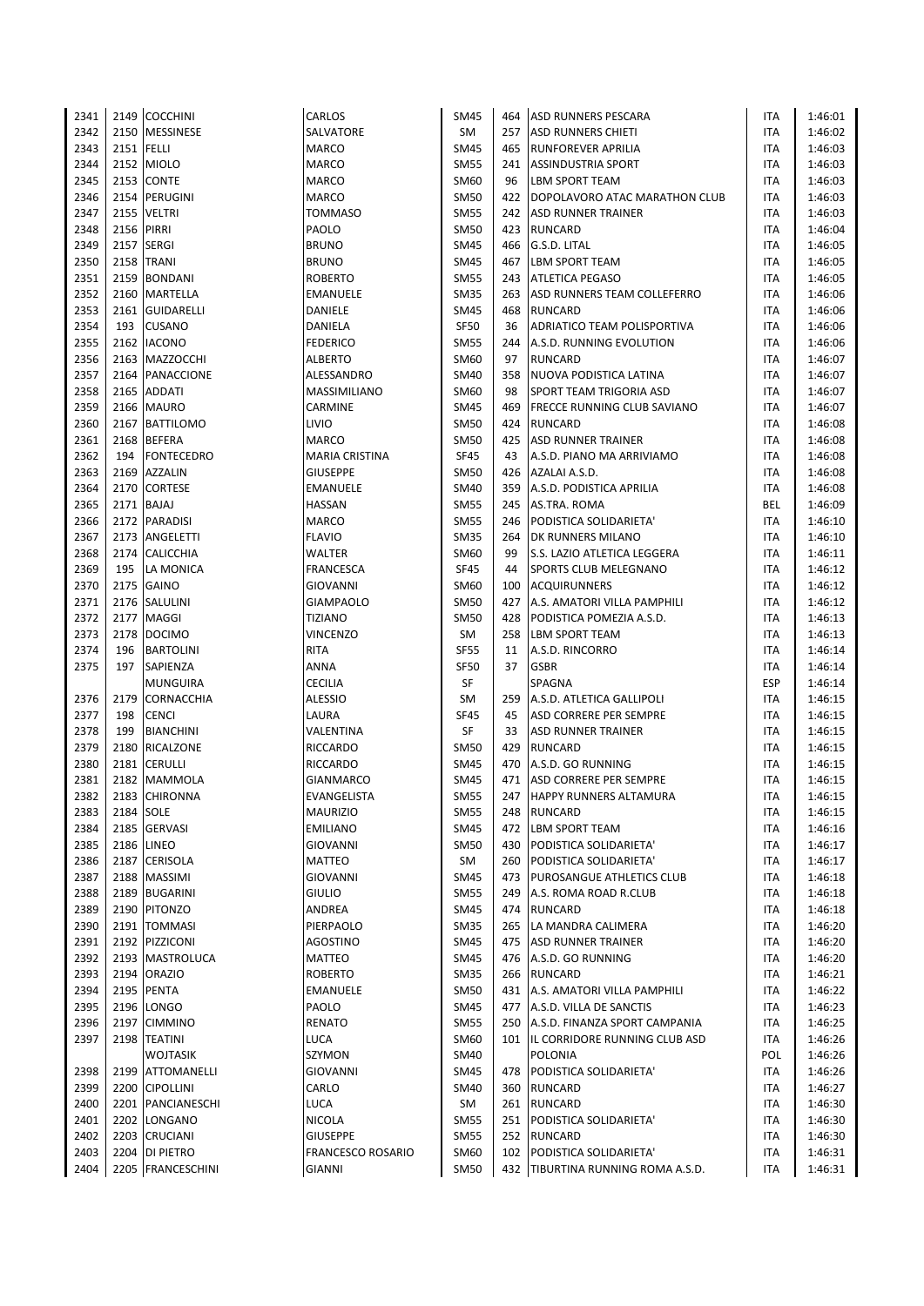| 2341 |            | 2149 COCCHINI     | CARLOS            | <b>SM45</b> | 464 | <b>ASD RUNNERS PESCARA</b>         | ITA        | 1:46:01 |
|------|------------|-------------------|-------------------|-------------|-----|------------------------------------|------------|---------|
| 2342 |            | 2150 MESSINESE    | SALVATORE         | SM          | 257 | <b>ASD RUNNERS CHIETI</b>          | ITA        | 1:46:02 |
| 2343 | 2151 FELLI |                   | <b>MARCO</b>      | SM45        | 465 | <b>RUNFOREVER APRILIA</b>          | ITA        | 1:46:03 |
| 2344 |            | 2152 MIOLO        | <b>MARCO</b>      | <b>SM55</b> | 241 | <b>ASSINDUSTRIA SPORT</b>          | <b>ITA</b> | 1:46:03 |
| 2345 |            | 2153 CONTE        | <b>MARCO</b>      | SM60        | 96  | <b>LBM SPORT TEAM</b>              | <b>ITA</b> | 1:46:03 |
| 2346 |            | 2154 PERUGINI     | <b>MARCO</b>      | <b>SM50</b> | 422 | DOPOLAVORO ATAC MARATHON CLUB      | <b>ITA</b> | 1:46:03 |
| 2347 |            | 2155 VELTRI       | <b>TOMMASO</b>    | <b>SM55</b> | 242 | ASD RUNNER TRAINER                 | ITA        | 1:46:03 |
| 2348 |            | 2156 PIRRI        | PAOLO             | <b>SM50</b> |     | 423 RUNCARD                        | ITA        | 1:46:04 |
| 2349 |            | 2157 SERGI        | <b>BRUNO</b>      | <b>SM45</b> | 466 | G.S.D. LITAL                       | <b>ITA</b> | 1:46:05 |
| 2350 | 2158       | <b>TRANI</b>      | <b>BRUNO</b>      | <b>SM45</b> | 467 | <b>LBM SPORT TEAM</b>              | ITA        | 1:46:05 |
| 2351 | 2159       | <b>BONDANI</b>    | <b>ROBERTO</b>    | <b>SM55</b> | 243 | <b>ATLETICA PEGASO</b>             | ITA        | 1:46:05 |
| 2352 |            | 2160 MARTELLA     | <b>EMANUELE</b>   | <b>SM35</b> | 263 | ASD RUNNERS TEAM COLLEFERRO        | ITA        | 1:46:06 |
| 2353 |            | 2161 GUIDARELLI   | DANIELE           | SM45        | 468 | RUNCARD                            | ITA        | 1:46:06 |
| 2354 | 193        | <b>CUSANO</b>     | DANIELA           | <b>SF50</b> | 36  | ADRIATICO TEAM POLISPORTIVA        | ITA        | 1:46:06 |
| 2355 |            | 2162 IACONO       |                   | <b>SM55</b> | 244 | A.S.D. RUNNING EVOLUTION           | ITA        |         |
|      |            |                   | <b>FEDERICO</b>   |             |     |                                    |            | 1:46:06 |
| 2356 |            | 2163 MAZZOCCHI    | <b>ALBERTO</b>    | SM60        | 97  | <b>RUNCARD</b>                     | ITA        | 1:46:07 |
| 2357 |            | 2164 PANACCIONE   | ALESSANDRO        | <b>SM40</b> | 358 | NUOVA PODISTICA LATINA             | ITA        | 1:46:07 |
| 2358 | 2165       | <b>ADDATI</b>     | MASSIMILIANO      | SM60        | 98  | <b>SPORT TEAM TRIGORIA ASD</b>     | ITA        | 1:46:07 |
| 2359 |            | 2166 MAURO        | CARMINE           | SM45        | 469 | <b>FRECCE RUNNING CLUB SAVIANO</b> | <b>ITA</b> | 1:46:07 |
| 2360 |            | 2167 BATTILOMO    | LIVIO             | SM50        | 424 | RUNCARD                            | ITA        | 1:46:08 |
| 2361 |            | 2168 BEFERA       | <b>MARCO</b>      | SM50        | 425 | <b>ASD RUNNER TRAINER</b>          | <b>ITA</b> | 1:46:08 |
| 2362 | 194        | <b>FONTECEDRO</b> | MARIA CRISTINA    | <b>SF45</b> | 43  | A.S.D. PIANO MA ARRIVIAMO          | ITA        | 1:46:08 |
| 2363 | 2169       | <b>AZZALIN</b>    | <b>GIUSEPPE</b>   | SM50        | 426 | AZALAI A.S.D.                      | ITA        | 1:46:08 |
| 2364 |            | 2170 CORTESE      | <b>EMANUELE</b>   | <b>SM40</b> | 359 | A.S.D. PODISTICA APRILIA           | ITA        | 1:46:08 |
| 2365 |            | 2171 BAJAJ        | <b>HASSAN</b>     | <b>SM55</b> | 245 | AS.TRA. ROMA                       | <b>BEL</b> | 1:46:09 |
| 2366 |            | 2172 PARADISI     | <b>MARCO</b>      | <b>SM55</b> | 246 | PODISTICA SOLIDARIETA'             | ITA        | 1:46:10 |
| 2367 |            | 2173 ANGELETTI    | <b>FLAVIO</b>     | <b>SM35</b> | 264 | <b>DK RUNNERS MILANO</b>           | ITA        | 1:46:10 |
| 2368 |            | 2174 CALICCHIA    | WALTER            | SM60        | 99  | S.S. LAZIO ATLETICA LEGGERA        | ITA        | 1:46:11 |
| 2369 | 195        | LA MONICA         | <b>FRANCESCA</b>  | <b>SF45</b> | 44  | <b>SPORTS CLUB MELEGNANO</b>       | ITA        | 1:46:12 |
| 2370 |            | 2175 GAINO        | GIOVANNI          | SM60        | 100 | <b>ACQUIRUNNERS</b>                | ITA        | 1:46:12 |
| 2371 |            | 2176 SALULINI     | <b>GIAMPAOLO</b>  | <b>SM50</b> | 427 | A.S. AMATORI VILLA PAMPHILI        | ITA        | 1:46:12 |
| 2372 |            | 2177 MAGGI        | <b>TIZIANO</b>    | <b>SM50</b> | 428 | PODISTICA POMEZIA A.S.D.           | ITA        | 1:46:13 |
| 2373 | 2178       | <b>DOCIMO</b>     | <b>VINCENZO</b>   | <b>SM</b>   | 258 | <b>LBM SPORT TEAM</b>              | ITA        | 1:46:13 |
| 2374 | 196        | <b>BARTOLINI</b>  | <b>RITA</b>       | <b>SF55</b> | 11  | A.S.D. RINCORRO                    | ITA        | 1:46:14 |
| 2375 | 197        | SAPIENZA          | ANNA              | <b>SF50</b> | 37  | <b>GSBR</b>                        | <b>ITA</b> | 1:46:14 |
|      |            | <b>MUNGUIRA</b>   | <b>CECILIA</b>    | SF          |     | SPAGNA                             | <b>ESP</b> | 1:46:14 |
| 2376 | 2179       | <b>CORNACCHIA</b> | ALESSIO           | SM          | 259 | A.S.D. ATLETICA GALLIPOLI          | ITA        | 1:46:15 |
| 2377 | 198        | <b>CENCI</b>      | LAURA             | <b>SF45</b> | 45  | <b>ASD CORRERE PER SEMPRE</b>      | ITA        | 1:46:15 |
| 2378 | 199        | <b>BIANCHINI</b>  | VALENTINA         | SF          | 33  | <b>ASD RUNNER TRAINER</b>          | ITA        | 1:46:15 |
| 2379 |            | 2180 RICALZONE    | <b>RICCARDO</b>   | SM50        | 429 | <b>RUNCARD</b>                     | ITA        | 1:46:15 |
| 2380 | 2181       | <b>CERULLI</b>    | <b>RICCARDO</b>   | <b>SM45</b> | 470 | A.S.D. GO RUNNING                  | ITA        | 1:46:15 |
| 2381 |            | 2182 MAMMOLA      | <b>GIANMARCO</b>  | SM45        | 471 | <b>ASD CORRERE PER SEMPRE</b>      | ITA        | 1:46:15 |
| 2382 |            | 2183 CHIRONNA     | EVANGELISTA       | <b>SM55</b> |     | 247 HAPPY RUNNERS ALTAMURA         | <b>ITA</b> | 1:46:15 |
| 2383 | 2184 SOLE  |                   | <b>MAURIZIO</b>   | <b>SM55</b> |     | 248 RUNCARD                        | ITA        | 1:46:15 |
| 2384 | 2185       | <b>GERVASI</b>    | <b>EMILIANO</b>   | SM45        |     | 472 LBM SPORT TEAM                 | ITA        | 1:46:16 |
| 2385 |            | 2186 LINEO        | GIOVANNI          | SM50        | 430 | PODISTICA SOLIDARIETA'             | <b>ITA</b> | 1:46:17 |
| 2386 |            | 2187 CERISOLA     | MATTEO            | SM          | 260 | PODISTICA SOLIDARIETA'             | ITA        | 1:46:17 |
| 2387 |            | 2188 MASSIMI      | GIOVANNI          | SM45        | 473 | <b>PUROSANGUE ATHLETICS CLUB</b>   | ITA        | 1:46:18 |
| 2388 |            | 2189 BUGARINI     | <b>GIULIO</b>     | <b>SM55</b> | 249 | A.S. ROMA ROAD R.CLUB              | ITA        | 1:46:18 |
| 2389 |            | 2190 PITONZO      | ANDREA            | SM45        | 474 | RUNCARD                            | ITA        | 1:46:18 |
| 2390 |            | 2191   TOMMASI    | PIERPAOLO         | <b>SM35</b> | 265 | LA MANDRA CALIMERA                 | ITA        | 1:46:20 |
| 2391 |            | 2192 PIZZICONI    | <b>AGOSTINO</b>   | SM45        | 475 | <b>ASD RUNNER TRAINER</b>          |            | 1:46:20 |
|      |            |                   |                   |             |     | A.S.D. GO RUNNING                  | ITA        |         |
| 2392 |            | 2193   MASTROLUCA | MATTEO            | SM45        | 476 |                                    | ITA        | 1:46:20 |
| 2393 |            | 2194 ORAZIO       | <b>ROBERTO</b>    | <b>SM35</b> |     | 266 RUNCARD                        | ITA        | 1:46:21 |
| 2394 |            | 2195 PENTA        | <b>EMANUELE</b>   | <b>SM50</b> |     | 431 A.S. AMATORI VILLA PAMPHILI    | ITA        | 1:46:22 |
| 2395 |            | 2196 LONGO        | PAOLO             | <b>SM45</b> |     | 477 A.S.D. VILLA DE SANCTIS        | ITA        | 1:46:23 |
| 2396 |            | 2197 CIMMINO      | RENATO            | <b>SM55</b> | 250 | A.S.D. FINANZA SPORT CAMPANIA      | ITA        | 1:46:25 |
| 2397 |            | 2198 TEATINI      | LUCA              | SM60        |     | 101 IL CORRIDORE RUNNING CLUB ASD  | ITA        | 1:46:26 |
|      |            | <b>WOJTASIK</b>   | SZYMON            | <b>SM40</b> |     | <b>POLONIA</b>                     | POL        | 1:46:26 |
| 2398 |            | 2199 ATTOMANELLI  | <b>GIOVANNI</b>   | <b>SM45</b> | 478 | PODISTICA SOLIDARIETA'             | ITA        | 1:46:26 |
| 2399 |            | 2200 CIPOLLINI    | CARLO             | SM40        | 360 | RUNCARD                            | ITA        | 1:46:27 |
| 2400 |            | 2201 PANCIANESCHI | LUCA              | SM          | 261 | <b>RUNCARD</b>                     | ITA        | 1:46:30 |
| 2401 |            | 2202 LONGANO      | <b>NICOLA</b>     | <b>SM55</b> |     | 251 PODISTICA SOLIDARIETA'         | ITA        | 1:46:30 |
| 2402 | 2203       | <b>CRUCIANI</b>   | <b>GIUSEPPE</b>   | <b>SM55</b> | 252 | RUNCARD                            | ITA        | 1:46:30 |
| 2403 |            | 2204 DI PIETRO    | FRANCESCO ROSARIO | SM60        | 102 | PODISTICA SOLIDARIETA'             | ITA        | 1:46:31 |
| 2404 |            | 2205 FRANCESCHINI | GIANNI            | <b>SM50</b> |     | 432 TIBURTINA RUNNING ROMA A.S.D.  | ITA        | 1:46:31 |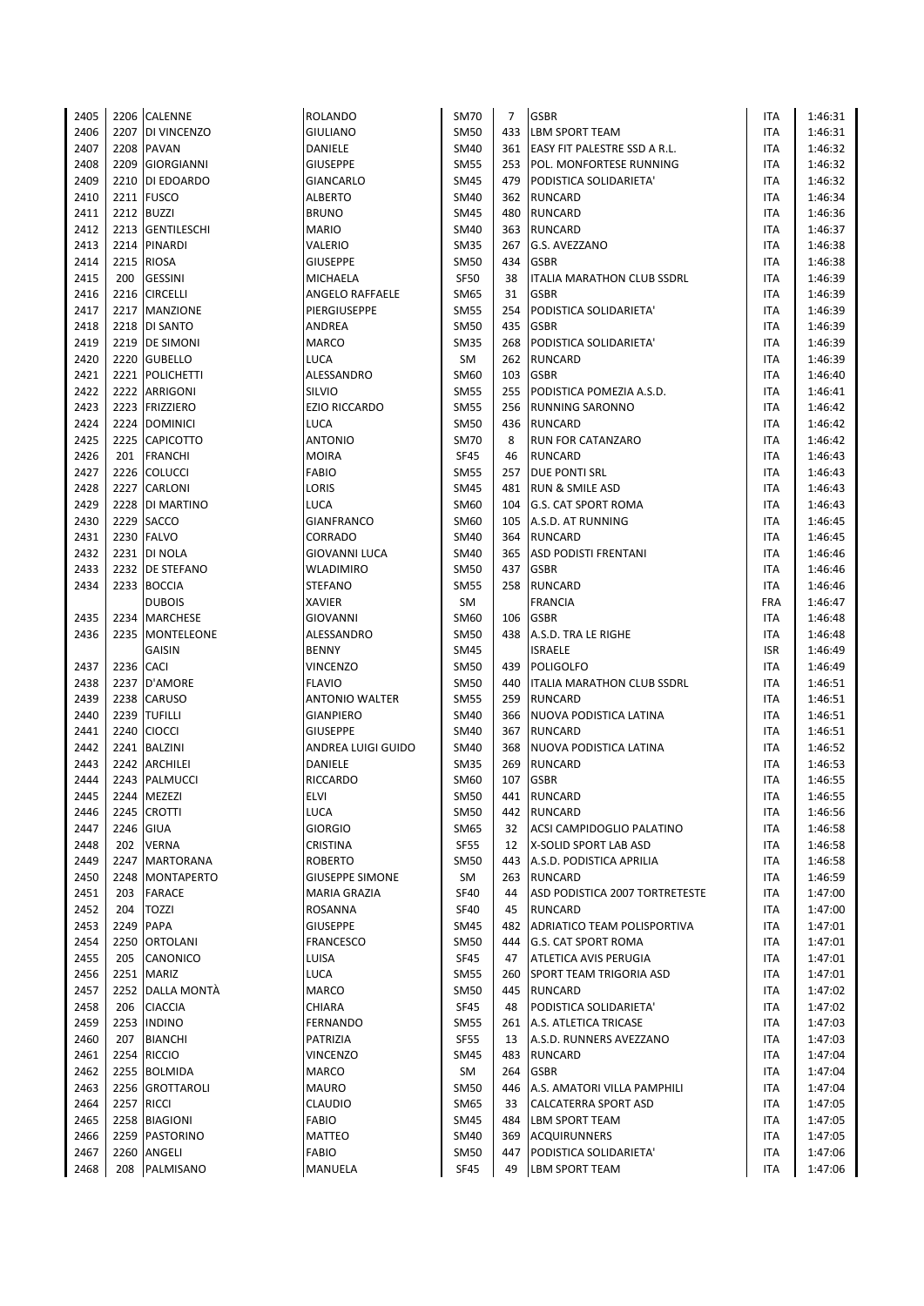| 2405 |            | 2206 CALENNE       | <b>ROLANDO</b>         | <b>SM70</b> | $\overline{7}$ | <b>GSBR</b>                        | ITA        | 1:46:31 |
|------|------------|--------------------|------------------------|-------------|----------------|------------------------------------|------------|---------|
| 2406 |            | 2207 DI VINCENZO   | <b>GIULIANO</b>        | <b>SM50</b> | 433            | <b>LBM SPORT TEAM</b>              | <b>ITA</b> | 1:46:31 |
| 2407 | 2208       | <b>PAVAN</b>       | DANIELE                | <b>SM40</b> |                | 361 EASY FIT PALESTRE SSD A R.L.   | <b>ITA</b> | 1:46:32 |
| 2408 | 2209       | <b>GIORGIANNI</b>  | <b>GIUSEPPE</b>        | <b>SM55</b> |                | 253 POL. MONFORTESE RUNNING        | ITA        | 1:46:32 |
| 2409 |            | 2210 DI EDOARDO    | GIANCARLO              | <b>SM45</b> | 479            | PODISTICA SOLIDARIETA'             | ITA        | 1:46:32 |
| 2410 | 2211       | <b>FUSCO</b>       | <b>ALBERTO</b>         | <b>SM40</b> |                | 362 RUNCARD                        | <b>ITA</b> | 1:46:34 |
| 2411 | 2212       | <b>BUZZI</b>       | <b>BRUNO</b>           | <b>SM45</b> | 480            | RUNCARD                            | ITA        | 1:46:36 |
| 2412 | 2213       | <b>GENTILESCHI</b> | <b>MARIO</b>           | <b>SM40</b> |                | 363 RUNCARD                        | ITA        | 1:46:37 |
| 2413 | 2214       | PINARDI            | VALERIO                | <b>SM35</b> | 267            | G.S. AVEZZANO                      | <b>ITA</b> | 1:46:38 |
| 2414 | 2215       | <b>RIOSA</b>       | <b>GIUSEPPE</b>        | <b>SM50</b> | 434            | <b>GSBR</b>                        | <b>ITA</b> | 1:46:38 |
| 2415 | 200        | <b>GESSINI</b>     | <b>MICHAELA</b>        | <b>SF50</b> | 38             | ITALIA MARATHON CLUB SSDRL         | ITA        | 1:46:39 |
| 2416 |            | 2216 CIRCELLI      | <b>ANGELO RAFFAELE</b> | <b>SM65</b> | 31             | <b>GSBR</b>                        | <b>ITA</b> | 1:46:39 |
| 2417 |            | 2217 MANZIONE      | PIERGIUSEPPE           | <b>SM55</b> | 254            | PODISTICA SOLIDARIETA'             | ITA        | 1:46:39 |
| 2418 |            | 2218 DI SANTO      | ANDREA                 | <b>SM50</b> | 435            | <b>GSBR</b>                        | <b>ITA</b> | 1:46:39 |
| 2419 | 2219       | <b>DE SIMONI</b>   | <b>MARCO</b>           | <b>SM35</b> | 268            | PODISTICA SOLIDARIETA'             | ITA        | 1:46:39 |
| 2420 |            | 2220 GUBELLO       | <b>LUCA</b>            | SM          |                | 262 RUNCARD                        | <b>ITA</b> | 1:46:39 |
| 2421 | 2221       | <b>POLICHETTI</b>  | ALESSANDRO             | SM60        |                | 103 GSBR                           | ITA        | 1:46:40 |
| 2422 | 2222       | ARRIGONI           | SILVIO                 | <b>SM55</b> | 255            | PODISTICA POMEZIA A.S.D.           | <b>ITA</b> | 1:46:41 |
| 2423 | 2223       | <b>FRIZZIERO</b>   | <b>EZIO RICCARDO</b>   | <b>SM55</b> | 256            | <b>RUNNING SARONNO</b>             | ITA        | 1:46:42 |
| 2424 |            | 2224 DOMINICI      | <b>LUCA</b>            | <b>SM50</b> | 436            | RUNCARD                            | ITA        | 1:46:42 |
| 2425 |            | 2225 CAPICOTTO     | <b>ANTONIO</b>         | <b>SM70</b> | 8              | <b>RUN FOR CATANZARO</b>           | ITA        | 1:46:42 |
| 2426 | 201        | <b>FRANCHI</b>     | <b>MOIRA</b>           | <b>SF45</b> | 46             | <b>RUNCARD</b>                     | ITA        | 1:46:43 |
| 2427 | 2226       | <b>COLUCCI</b>     | <b>FABIO</b>           | <b>SM55</b> | 257            | <b>DUE PONTI SRL</b>               | ITA        | 1:46:43 |
| 2428 | 2227       | <b>CARLONI</b>     | LORIS                  | <b>SM45</b> |                | 481 RUN & SMILE ASD                | ITA        | 1:46:43 |
| 2429 | 2228       | DI MARTINO         | <b>LUCA</b>            | <b>SM60</b> |                | 104 G.S. CAT SPORT ROMA            | ITA        | 1:46:43 |
| 2430 | 2229       | <b>SACCO</b>       | <b>GIANFRANCO</b>      | SM60        |                | 105 A.S.D. AT RUNNING              | ITA        | 1:46:45 |
| 2431 |            | 2230 FALVO         | <b>CORRADO</b>         | <b>SM40</b> |                | 364 RUNCARD                        | ITA        | 1:46:45 |
| 2432 |            | 2231   DI NOLA     | <b>GIOVANNI LUCA</b>   | SM40        | 365            | <b>ASD PODISTI FRENTANI</b>        | ITA        | 1:46:46 |
| 2433 |            | 2232 DE STEFANO    | <b>WLADIMIRO</b>       | <b>SM50</b> |                | 437 GSBR                           | ITA        | 1:46:46 |
| 2434 | 2233       | <b>BOCCIA</b>      | <b>STEFANO</b>         | <b>SM55</b> |                | 258 RUNCARD                        | ITA        | 1:46:46 |
|      |            | <b>DUBOIS</b>      | <b>XAVIER</b>          | SM          |                | <b>FRANCIA</b>                     | FRA        | 1:46:47 |
| 2435 |            | 2234   MARCHESE    | <b>GIOVANNI</b>        | <b>SM60</b> | 106            | <b>GSBR</b>                        | ITA        | 1:46:48 |
| 2436 |            | 2235   MONTELEONE  | ALESSANDRO             | <b>SM50</b> |                | 438 A.S.D. TRA LE RIGHE            | ITA        | 1:46:48 |
|      |            | <b>GAISIN</b>      | <b>BENNY</b>           | <b>SM45</b> |                | <b>ISRAELE</b>                     | <b>ISR</b> | 1:46:49 |
| 2437 | 2236 CACI  |                    | <b>VINCENZO</b>        | <b>SM50</b> | 439            | <b>POLIGOLFO</b>                   | ITA        | 1:46:49 |
| 2438 |            | 2237 D'AMORE       | <b>FLAVIO</b>          | <b>SM50</b> |                | 440   ITALIA MARATHON CLUB SSDRL   | ITA        | 1:46:51 |
| 2439 | 2238       | <b>CARUSO</b>      | <b>ANTONIO WALTER</b>  | <b>SM55</b> | 259            | <b>RUNCARD</b>                     | <b>ITA</b> | 1:46:51 |
| 2440 | 2239       | <b>TUFILLI</b>     | <b>GIANPIERO</b>       | <b>SM40</b> | 366            | NUOVA PODISTICA LATINA             | ITA        | 1:46:51 |
| 2441 |            | 2240 CIOCCI        | <b>GIUSEPPE</b>        | <b>SM40</b> | 367            | RUNCARD                            | <b>ITA</b> | 1:46:51 |
| 2442 |            | 2241 BALZINI       | ANDREA LUIGI GUIDO     | <b>SM40</b> |                | 368 NUOVA PODISTICA LATINA         | ITA        | 1:46:52 |
| 2443 | 2242       | <b>ARCHILEI</b>    | DANIELE                | <b>SM35</b> |                | 269 RUNCARD                        | <b>ITA</b> | 1:46:53 |
| 2444 | 2243       | PALMUCCI           | <b>RICCARDO</b>        | SM60        | 107            | <b>GSBR</b>                        | ITA        | 1:46:55 |
| 2445 |            | 2244 MEZEZI        | <b>ELVI</b>            | <b>SM50</b> |                | 441 RUNCARD                        | <b>ITA</b> | 1:46:55 |
| 2446 |            | 2245 CROTTI        | <b>LUCA</b>            | <b>SM50</b> |                | 442 RUNCARD                        | ITA        | 1:46:56 |
| 2447 | 2246       | <b>GIUA</b>        | <b>GIORGIO</b>         | <b>SM65</b> | 32             | ACSI CAMPIDOGLIO PALATINO          | ITA        | 1:46:58 |
| 2448 | 202        | <b>VERNA</b>       | CRISTINA               | <b>SF55</b> | 12             | X-SOLID SPORT LAB ASD              | ITA        | 1:46:58 |
| 2449 | 2247       | <b>MARTORANA</b>   | <b>ROBERTO</b>         | <b>SM50</b> |                | 443 A.S.D. PODISTICA APRILIA       | ITA        | 1:46:58 |
| 2450 | 2248       | MONTAPERTO         | <b>GIUSEPPE SIMONE</b> | SM          |                | 263 RUNCARD                        | ITA        | 1:46:59 |
| 2451 | 203        | <b>FARACE</b>      | MARIA GRAZIA           | <b>SF40</b> | 44             | ASD PODISTICA 2007 TORTRETESTE     | ITA        | 1:47:00 |
| 2452 | 204        | <b>TOZZI</b>       | ROSANNA                | SF40        | 45             | <b>RUNCARD</b>                     | ITA        | 1:47:00 |
| 2453 | 2249       | <b>PAPA</b>        | <b>GIUSEPPE</b>        | <b>SM45</b> | 482            | <b>ADRIATICO TEAM POLISPORTIVA</b> | ITA        | 1:47:01 |
| 2454 | 2250       | <b>ORTOLANI</b>    | <b>FRANCESCO</b>       | SM50        |                | 444 G.S. CAT SPORT ROMA            | ITA        | 1:47:01 |
| 2455 | 205        | CANONICO           | LUISA                  | SF45        | 47             | <b>ATLETICA AVIS PERUGIA</b>       | ITA        | 1:47:01 |
| 2456 | 2251       | <b>MARIZ</b>       | LUCA                   | <b>SM55</b> | 260            | <b>SPORT TEAM TRIGORIA ASD</b>     | ITA        | 1:47:01 |
| 2457 |            | 2252 DALLA MONTÀ   | MARCO                  | <b>SM50</b> |                | 445 RUNCARD                        | ITA        | 1:47:02 |
| 2458 | 206        | <b>CIACCIA</b>     | CHIARA                 | SF45        | 48             | PODISTICA SOLIDARIETA'             | ITA        | 1:47:02 |
| 2459 | 2253       | <b>INDINO</b>      | FERNANDO               | <b>SM55</b> | 261            | A.S. ATLETICA TRICASE              | ITA        | 1:47:03 |
| 2460 | 207        | <b>BIANCHI</b>     | PATRIZIA               | <b>SF55</b> | 13             | A.S.D. RUNNERS AVEZZANO            | ITA        | 1:47:03 |
| 2461 | 2254       | <b>RICCIO</b>      | VINCENZO               | <b>SM45</b> |                | 483 RUNCARD                        | ITA        | 1:47:04 |
| 2462 | 2255       | <b>BOLMIDA</b>     | <b>MARCO</b>           | SM          | 264            | <b>GSBR</b>                        | ITA        | 1:47:04 |
| 2463 | 2256       | GROTTAROLI         | MAURO                  | SM50        | 446            | A.S. AMATORI VILLA PAMPHILI        | ITA        | 1:47:04 |
| 2464 | 2257 RICCI |                    | <b>CLAUDIO</b>         | SM65        | 33             | CALCATERRA SPORT ASD               | ITA        | 1:47:05 |
| 2465 |            | 2258 BIAGIONI      | <b>FABIO</b>           | <b>SM45</b> | 484            | <b>LBM SPORT TEAM</b>              | ITA        | 1:47:05 |
| 2466 | 2259       | PASTORINO          | MATTEO                 | SM40        |                | 369 ACQUIRUNNERS                   | ITA        | 1:47:05 |
| 2467 | 2260       | ANGELI             | <b>FABIO</b>           | <b>SM50</b> |                | 447 PODISTICA SOLIDARIETA'         | ITA        | 1:47:06 |
| 2468 | 208        | PALMISANO          | MANUELA                | <b>SF45</b> | 49             | <b>LBM SPORT TEAM</b>              | <b>ITA</b> | 1:47:06 |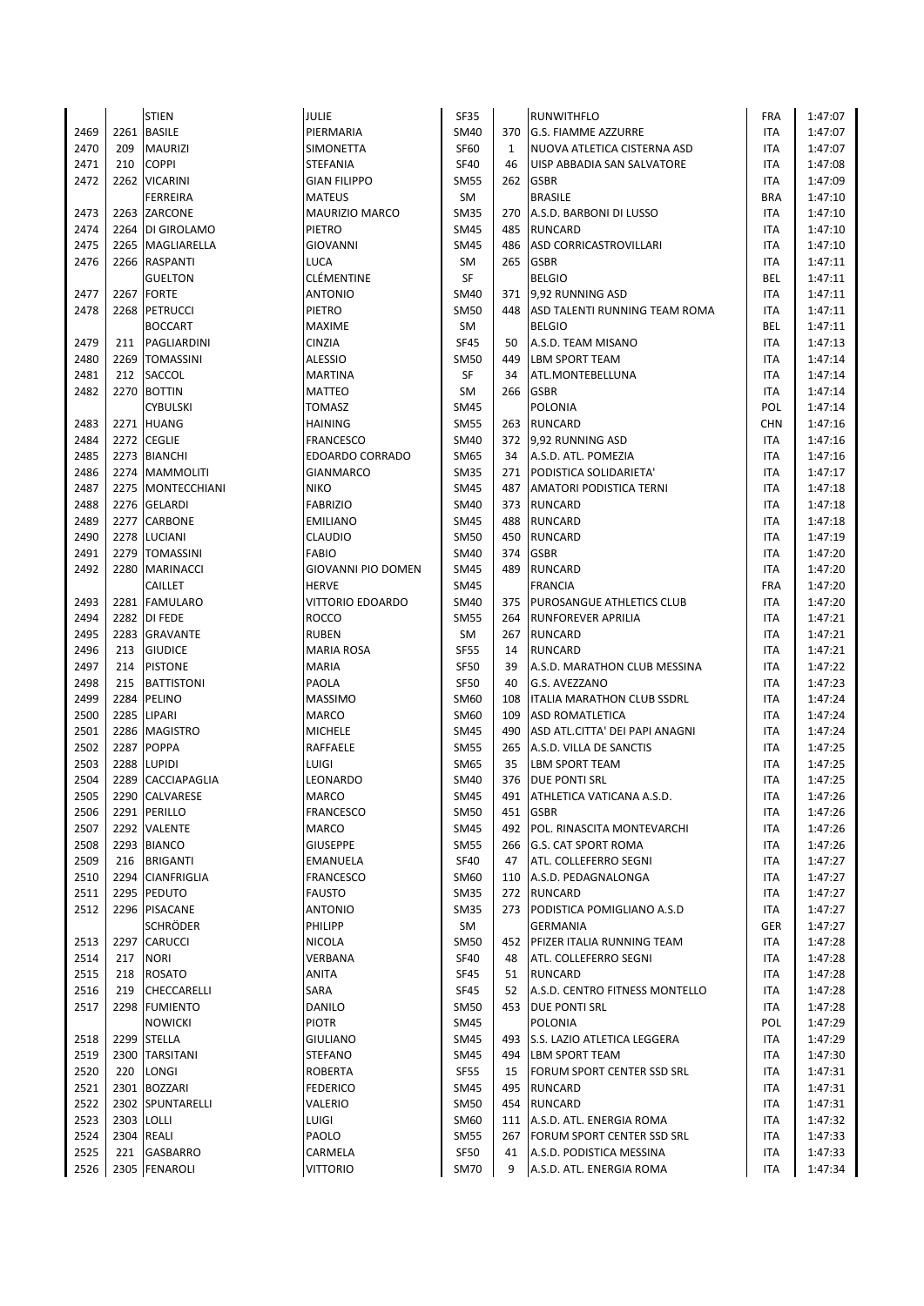|      |      | <b>STIEN</b>        | JULIE                    | <b>SF35</b> |     | <b>RUNWITHFLO</b>                 | <b>FRA</b> | 1:47:07 |
|------|------|---------------------|--------------------------|-------------|-----|-----------------------------------|------------|---------|
| 2469 | 2261 | <b>BASILE</b>       | PIERMARIA                | SM40        | 370 | <b>G.S. FIAMME AZZURRE</b>        | ITA        | 1:47:07 |
| 2470 | 209  | <b>MAURIZI</b>      | SIMONETTA                | <b>SF60</b> | 1   | NUOVA ATLETICA CISTERNA ASD       | ITA        | 1:47:07 |
| 2471 | 210  | <b>COPPI</b>        | <b>STEFANIA</b>          | <b>SF40</b> | 46  | UISP ABBADIA SAN SALVATORE        | <b>ITA</b> | 1:47:08 |
| 2472 |      | 2262 VICARINI       | <b>GIAN FILIPPO</b>      | <b>SM55</b> |     | 262 GSBR                          | <b>ITA</b> | 1:47:09 |
|      |      | <b>FERREIRA</b>     | <b>MATEUS</b>            | SM          |     | <b>BRASILE</b>                    | <b>BRA</b> | 1:47:10 |
| 2473 | 2263 | ZARCONE             | <b>MAURIZIO MARCO</b>    | <b>SM35</b> | 270 | A.S.D. BARBONI DI LUSSO           | ITA        | 1:47:10 |
| 2474 |      | 2264 DI GIROLAMO    | PIETRO                   | SM45        | 485 | <b>RUNCARD</b>                    | <b>ITA</b> | 1:47:10 |
| 2475 |      | 2265 MAGLIARELLA    | GIOVANNI                 | SM45        | 486 | <b>ASD CORRICASTROVILLARI</b>     | <b>ITA</b> | 1:47:10 |
| 2476 | 2266 | <b>RASPANTI</b>     | <b>LUCA</b>              | SM          | 265 | <b>GSBR</b>                       | ITA        | 1:47:11 |
|      |      | <b>GUELTON</b>      | CLÉMENTINE               | SF          |     | <b>BELGIO</b>                     | BEL        | 1:47:11 |
| 2477 | 2267 | <b>FORTE</b>        | ANTONIO                  | <b>SM40</b> |     | 371 9,92 RUNNING ASD              | <b>ITA</b> | 1:47:11 |
| 2478 |      | 2268 PETRUCCI       | PIETRO                   | <b>SM50</b> | 448 | ASD TALENTI RUNNING TEAM ROMA     | <b>ITA</b> | 1:47:11 |
|      |      | <b>BOCCART</b>      | <b>MAXIME</b>            | SM          |     | <b>BELGIO</b>                     | BEL        | 1:47:11 |
| 2479 | 211  | PAGLIARDINI         | CINZIA                   | <b>SF45</b> | 50  |                                   | ITA        | 1:47:13 |
|      |      |                     |                          |             |     | A.S.D. TEAM MISANO                |            |         |
| 2480 | 2269 | <b>TOMASSINI</b>    | <b>ALESSIO</b>           | <b>SM50</b> | 449 | <b>LBM SPORT TEAM</b>             | ITA        | 1:47:14 |
| 2481 | 212  | SACCOL              | <b>MARTINA</b>           | SF          | 34  | ATL.MONTEBELLUNA                  | ITA        | 1:47:14 |
| 2482 | 2270 | <b>BOTTIN</b>       | MATTEO                   | SM          | 266 | <b>GSBR</b>                       | ITA        | 1:47:14 |
|      |      | <b>CYBULSKI</b>     | TOMASZ                   | SM45        |     | POLONIA                           | POL        | 1:47:14 |
| 2483 |      | 2271 HUANG          | <b>HAINING</b>           | <b>SM55</b> | 263 | <b>RUNCARD</b>                    | <b>CHN</b> | 1:47:16 |
| 2484 |      | 2272 CEGLIE         | <b>FRANCESCO</b>         | <b>SM40</b> |     | 372 9,92 RUNNING ASD              | ITA        | 1:47:16 |
| 2485 | 2273 | <b>BIANCHI</b>      | EDOARDO CORRADO          | SM65        | 34  | A.S.D. ATL. POMEZIA               | ITA        | 1:47:16 |
| 2486 |      | 2274 MAMMOLITI      | GIANMARCO                | SM35        | 271 | PODISTICA SOLIDARIETA'            | ITA        | 1:47:17 |
| 2487 |      | 2275   MONTECCHIANI | <b>NIKO</b>              | <b>SM45</b> | 487 | <b>AMATORI PODISTICA TERNI</b>    | ITA        | 1:47:18 |
| 2488 |      | 2276 GELARDI        | <b>FABRIZIO</b>          | <b>SM40</b> | 373 | <b>RUNCARD</b>                    | ITA        | 1:47:18 |
| 2489 | 2277 | <b>CARBONE</b>      | <b>EMILIANO</b>          | SM45        | 488 | <b>RUNCARD</b>                    | ITA        | 1:47:18 |
| 2490 |      | 2278 LUCIANI        | CLAUDIO                  | <b>SM50</b> | 450 | <b>RUNCARD</b>                    | ITA        | 1:47:19 |
| 2491 |      | 2279 TOMASSINI      | FABIO                    | SM40        | 374 | <b>GSBR</b>                       | ITA        | 1:47:20 |
| 2492 | 2280 | <b>MARINACCI</b>    | GIOVANNI PIO DOMEN       | <b>SM45</b> | 489 | <b>RUNCARD</b>                    | <b>ITA</b> | 1:47:20 |
|      |      | CAILLET             | <b>HERVE</b>             | SM45        |     | <b>FRANCIA</b>                    | <b>FRA</b> | 1:47:20 |
| 2493 |      | 2281 FAMULARO       | VITTORIO EDOARDO         | SM40        | 375 | <b>PUROSANGUE ATHLETICS CLUB</b>  | <b>ITA</b> | 1:47:20 |
| 2494 |      | 2282 DI FEDE        | ROCCO                    | <b>SM55</b> | 264 | <b>RUNFOREVER APRILIA</b>         | <b>ITA</b> | 1:47:21 |
| 2495 | 2283 | <b>GRAVANTE</b>     | <b>RUBEN</b>             | SM          | 267 | <b>RUNCARD</b>                    | <b>ITA</b> | 1:47:21 |
| 2496 | 213  | <b>GIUDICE</b>      | <b>MARIA ROSA</b>        | <b>SF55</b> | 14  | <b>RUNCARD</b>                    | ITA        | 1:47:21 |
| 2497 | 214  | <b>PISTONE</b>      | <b>MARIA</b>             | <b>SF50</b> | 39  | A.S.D. MARATHON CLUB MESSINA      | <b>ITA</b> | 1:47:22 |
| 2498 | 215  | <b>BATTISTONI</b>   | PAOLA                    | <b>SF50</b> | 40  | G.S. AVEZZANO                     | ITA        | 1:47:23 |
| 2499 | 2284 | PELINO              | MASSIMO                  | SM60        | 108 | <b>ITALIA MARATHON CLUB SSDRL</b> | ITA        | 1:47:24 |
| 2500 | 2285 | LIPARI              | <b>MARCO</b>             | SM60        | 109 | <b>ASD ROMATLETICA</b>            | ITA        | 1:47:24 |
| 2501 |      | 2286 MAGISTRO       | <b>MICHELE</b>           | <b>SM45</b> | 490 | ASD ATL.CITTA' DEI PAPI ANAGNI    | ITA        | 1:47:24 |
| 2502 | 2287 | <b>POPPA</b>        | RAFFAELE                 | <b>SM55</b> | 265 | A.S.D. VILLA DE SANCTIS           | ITA        | 1:47:25 |
| 2503 | 2288 | <b>LUPIDI</b>       | LUIGI                    | SM65        | 35  | <b>LBM SPORT TEAM</b>             | ITA        | 1:47:25 |
| 2504 | 2289 | CACCIAPAGLIA        | LEONARDO                 | SM40        | 376 | <b>DUE PONTI SRL</b>              | <b>ITA</b> | 1:47:25 |
| 2505 |      | 2290 CALVARESE      | <b>MARCO</b>             | <b>SM45</b> |     | 491   ATHLETICA VATICANA A.S.D.   | <b>ITA</b> | 1:47:26 |
| 2506 |      | 2291 PERILLO        | FRANCESCO                | SM50        | 451 | <b>GSBR</b>                       | ITA        | 1:47:26 |
| 2507 |      | 2292 VALENTE        | MARCO                    | <b>SM45</b> | 492 | POL. RINASCITA MONTEVARCHI        | ITA        | 1:47:26 |
| 2508 |      | 2293 BIANCO         | GIUSEPPE                 | <b>SM55</b> |     | 266 G.S. CAT SPORT ROMA           | <b>ITA</b> | 1:47:26 |
| 2509 | 216  | <b>BRIGANTI</b>     | EMANUELA                 | SF40        | 47  | ATL. COLLEFERRO SEGNI             | ITA        | 1:47:27 |
| 2510 |      | 2294 CIANFRIGLIA    | FRANCESCO                | SM60        | 110 | A.S.D. PEDAGNALONGA               | <b>ITA</b> | 1:47:27 |
|      |      |                     |                          |             |     |                                   |            |         |
| 2511 | 2295 | <b>PEDUTO</b>       | <b>FAUSTO</b><br>ANTONIO | SM35        |     | 272 RUNCARD                       | ITA        | 1:47:27 |
| 2512 |      | 2296 PISACANE       |                          | <b>SM35</b> |     | 273 PODISTICA POMIGLIANO A.S.D    | ITA        | 1:47:27 |
|      |      | <b>SCHRÖDER</b>     | PHILIPP                  | SM          |     | <b>GERMANIA</b>                   | GER        | 1:47:27 |
| 2513 |      | 2297 CARUCCI        | NICOLA                   | <b>SM50</b> | 452 | <b>PFIZER ITALIA RUNNING TEAM</b> | ITA        | 1:47:28 |
| 2514 | 217  | <b>NORI</b>         | VERBANA                  | <b>SF40</b> | 48  | ATL. COLLEFERRO SEGNI             | ITA        | 1:47:28 |
| 2515 | 218  | <b>ROSATO</b>       | ANITA                    | SF45        | 51  | <b>RUNCARD</b>                    | ITA        | 1:47:28 |
| 2516 | 219  | CHECCARELLI         | SARA                     | SF45        | 52  | A.S.D. CENTRO FITNESS MONTELLO    | ITA        | 1:47:28 |
| 2517 |      | 2298 FUMIENTO       | DANILO                   | SM50        |     | 453 DUE PONTI SRL                 | <b>ITA</b> | 1:47:28 |
|      |      | <b>NOWICKI</b>      | <b>PIOTR</b>             | SM45        |     | POLONIA                           | POL        | 1:47:29 |
| 2518 |      | 2299 STELLA         | <b>GIULIANO</b>          | <b>SM45</b> | 493 | S.S. LAZIO ATLETICA LEGGERA       | ITA        | 1:47:29 |
| 2519 |      | 2300 TARSITANI      | <b>STEFANO</b>           | <b>SM45</b> |     | 494 LBM SPORT TEAM                | ITA        | 1:47:30 |
| 2520 | 220  | LONGI               | <b>ROBERTA</b>           | <b>SF55</b> | 15  | FORUM SPORT CENTER SSD SRL        | ITA        | 1:47:31 |
| 2521 | 2301 | <b>BOZZARI</b>      | <b>FEDERICO</b>          | SM45        | 495 | <b>RUNCARD</b>                    | ITA        | 1:47:31 |
| 2522 |      | 2302 SPUNTARELLI    | VALERIO                  | <b>SM50</b> | 454 | <b>RUNCARD</b>                    | ITA        | 1:47:31 |
| 2523 | 2303 | <b>LOLLI</b>        | LUIGI                    | SM60        |     | 111 A.S.D. ATL. ENERGIA ROMA      | ITA        | 1:47:32 |
| 2524 | 2304 | REALI               | PAOLO                    | <b>SM55</b> | 267 | <b>FORUM SPORT CENTER SSD SRL</b> | ITA        | 1:47:33 |
| 2525 | 221  | <b>GASBARRO</b>     | CARMELA                  | SF50        | 41  | A.S.D. PODISTICA MESSINA          | ITA        | 1:47:33 |
| 2526 |      | 2305 FENAROLI       | <b>VITTORIO</b>          | <b>SM70</b> | 9   | A.S.D. ATL. ENERGIA ROMA          | ITA        | 1:47:34 |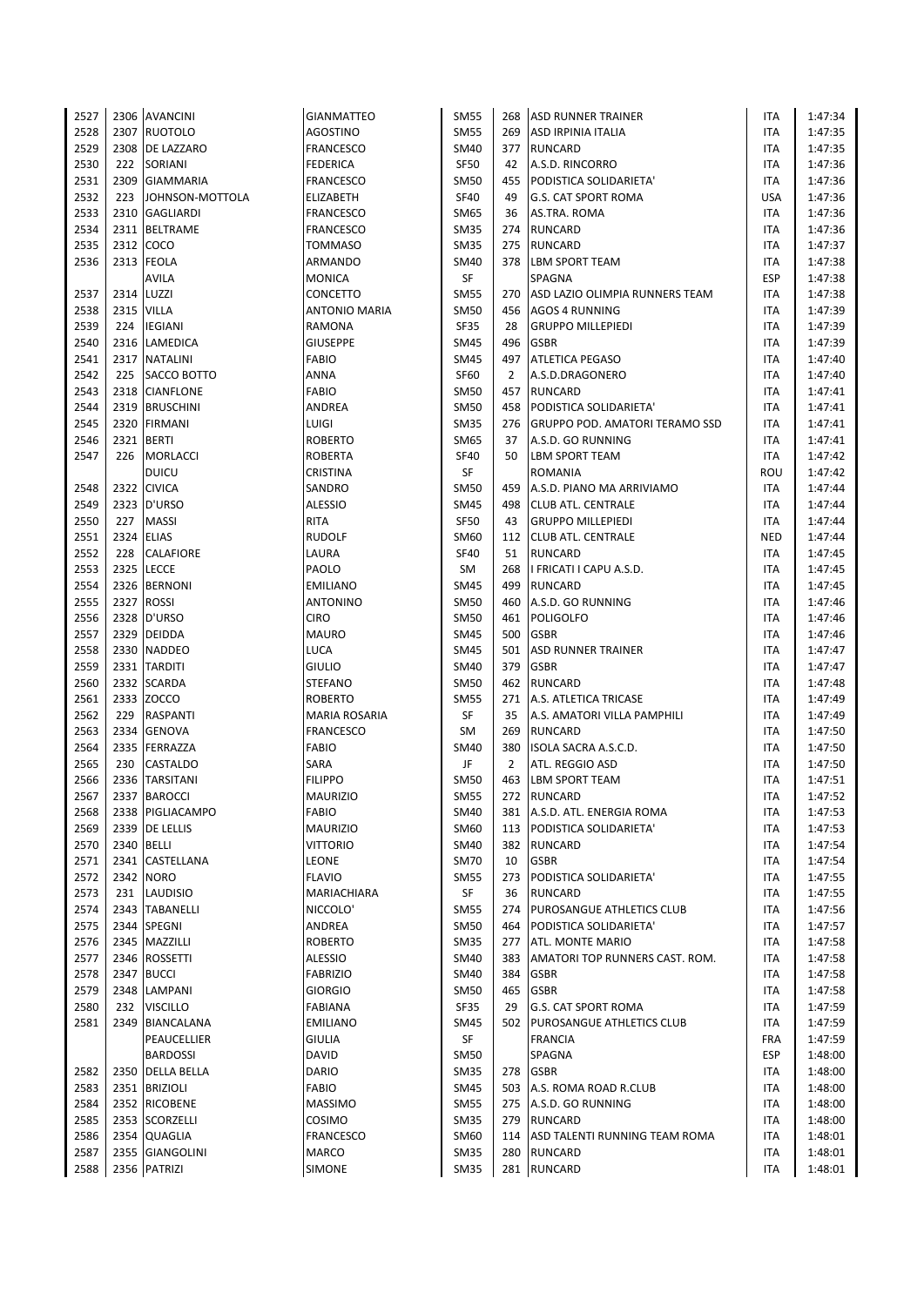| 2527 |            | 2306 AVANCINI    | <b>GIANMATTEO</b>    | <b>SM55</b> | 268            | <b>ASD RUNNER TRAINER</b>          | ITA        | 1:47:34 |
|------|------------|------------------|----------------------|-------------|----------------|------------------------------------|------------|---------|
| 2528 |            | 2307 RUOTOLO     | AGOSTINO             | <b>SM55</b> | 269            | ASD IRPINIA ITALIA                 | <b>ITA</b> | 1:47:35 |
| 2529 |            | 2308 DE LAZZARO  | <b>FRANCESCO</b>     | SM40        | 377            | RUNCARD                            | ITA        | 1:47:35 |
| 2530 | 222        | SORIANI          | <b>FEDERICA</b>      | <b>SF50</b> | 42             | A.S.D. RINCORRO                    | ITA        | 1:47:36 |
| 2531 |            | 2309 GIAMMARIA   | <b>FRANCESCO</b>     | SM50        | 455            | PODISTICA SOLIDARIETA'             | ITA        | 1:47:36 |
| 2532 | 223        | JOHNSON-MOTTOLA  | ELIZABETH            | <b>SF40</b> | 49             | <b>G.S. CAT SPORT ROMA</b>         | <b>USA</b> | 1:47:36 |
| 2533 |            | 2310 GAGLIARDI   | <b>FRANCESCO</b>     | SM65        | 36             | AS.TRA. ROMA                       | ITA        | 1:47:36 |
| 2534 |            | 2311 BELTRAME    | <b>FRANCESCO</b>     | SM35        | 274            | <b>RUNCARD</b>                     | <b>ITA</b> | 1:47:36 |
| 2535 |            | 2312 COCO        | <b>TOMMASO</b>       | <b>SM35</b> | 275            | RUNCARD                            | ITA        | 1:47:37 |
| 2536 |            | 2313 FEOLA       | ARMANDO              | <b>SM40</b> |                | 378 LBM SPORT TEAM                 | ITA        | 1:47:38 |
|      |            | <b>AVILA</b>     | <b>MONICA</b>        | SF          |                | SPAGNA                             | <b>ESP</b> | 1:47:38 |
| 2537 |            | 2314 LUZZI       | CONCETTO             | <b>SM55</b> |                | 270 ASD LAZIO OLIMPIA RUNNERS TEAM | <b>ITA</b> | 1:47:38 |
| 2538 |            | 2315 VILLA       | <b>ANTONIO MARIA</b> | SM50        |                | 456 AGOS 4 RUNNING                 | <b>ITA</b> | 1:47:39 |
| 2539 | 224        | <b>IEGIANI</b>   | <b>RAMONA</b>        | <b>SF35</b> | 28             | <b>GRUPPO MILLEPIEDI</b>           | <b>ITA</b> | 1:47:39 |
| 2540 |            | 2316 LAMEDICA    | <b>GIUSEPPE</b>      | SM45        | 496            | <b>GSBR</b>                        | ITA        | 1:47:39 |
| 2541 |            | 2317 NATALINI    | <b>FABIO</b>         | <b>SM45</b> | 497            | <b>ATLETICA PEGASO</b>             | <b>ITA</b> | 1:47:40 |
| 2542 |            | 225 SACCO BOTTO  | ANNA                 | <b>SF60</b> | $\overline{2}$ | A.S.D.DRAGONERO                    | ITA        | 1:47:40 |
| 2543 |            | 2318 CIANFLONE   | <b>FABIO</b>         | <b>SM50</b> | 457            | <b>RUNCARD</b>                     | ITA        | 1:47:41 |
| 2544 |            | 2319 BRUSCHINI   | ANDREA               | SM50        | 458            | PODISTICA SOLIDARIETA'             | ITA        | 1:47:41 |
| 2545 |            | 2320 FIRMANI     | LUIGI                | <b>SM35</b> | 276            | GRUPPO POD. AMATORI TERAMO SSD     | <b>ITA</b> | 1:47:41 |
| 2546 |            | 2321 BERTI       | <b>ROBERTO</b>       | SM65        | 37             | A.S.D. GO RUNNING                  | <b>ITA</b> | 1:47:41 |
| 2547 | 226        | <b>MORLACCI</b>  | ROBERTA              | <b>SF40</b> | 50             | <b>LBM SPORT TEAM</b>              | <b>ITA</b> | 1:47:42 |
|      |            | <b>DUICU</b>     | <b>CRISTINA</b>      | SF          |                | <b>ROMANIA</b>                     | ROU        | 1:47:42 |
| 2548 |            | 2322 CIVICA      | SANDRO               | SM50        | 459            | A.S.D. PIANO MA ARRIVIAMO          | <b>ITA</b> | 1:47:44 |
| 2549 |            | 2323 D'URSO      | ALESSIO              | <b>SM45</b> |                | 498 CLUB ATL. CENTRALE             | ITA        | 1:47:44 |
| 2550 | 227        | <b>MASSI</b>     | <b>RITA</b>          | <b>SF50</b> | 43             | <b>GRUPPO MILLEPIEDI</b>           | <b>ITA</b> | 1:47:44 |
| 2551 |            | 2324 ELIAS       | <b>RUDOLF</b>        | SM60        | 112            | <b>CLUB ATL. CENTRALE</b>          | <b>NED</b> | 1:47:44 |
| 2552 | 228        | <b>CALAFIORE</b> | LAURA                | <b>SF40</b> | 51             | RUNCARD                            | <b>ITA</b> | 1:47:45 |
| 2553 |            | 2325 LECCE       | PAOLO                | SM          | 268            | I FRICATI I CAPU A.S.D.            | ITA        | 1:47:45 |
| 2554 |            | 2326 BERNONI     | EMILIANO             | SM45        | 499            | <b>RUNCARD</b>                     | ITA        | 1:47:45 |
| 2555 |            | 2327 ROSSI       | <b>ANTONINO</b>      | <b>SM50</b> | 460            | A.S.D. GO RUNNING                  | <b>ITA</b> | 1:47:46 |
| 2556 |            | 2328 D'URSO      | <b>CIRO</b>          | <b>SM50</b> |                | 461 POLIGOLFO                      | ITA        | 1:47:46 |
| 2557 |            | 2329 DEIDDA      | <b>MAURO</b>         | <b>SM45</b> | 500            | <b>GSBR</b>                        | <b>ITA</b> | 1:47:46 |
| 2558 |            | 2330 NADDEO      | LUCA                 | SM45        | 501            | <b>ASD RUNNER TRAINER</b>          | ITA        | 1:47:47 |
| 2559 |            | 2331 TARDITI     | <b>GIULIO</b>        | SM40        | 379            | <b>GSBR</b>                        | ITA        | 1:47:47 |
| 2560 |            | 2332 SCARDA      | <b>STEFANO</b>       | SM50        |                | 462 RUNCARD                        | <b>ITA</b> | 1:47:48 |
| 2561 |            | 2333 ZOCCO       | <b>ROBERTO</b>       | <b>SM55</b> | 271            | A.S. ATLETICA TRICASE              | ITA        | 1:47:49 |
| 2562 | 229        | RASPANTI         | <b>MARIA ROSARIA</b> | SF          | 35             | A.S. AMATORI VILLA PAMPHILI        | ITA        | 1:47:49 |
| 2563 |            | 2334 GENOVA      | <b>FRANCESCO</b>     | SM          | 269            | <b>RUNCARD</b>                     | <b>ITA</b> | 1:47:50 |
| 2564 |            | 2335 FERRAZZA    | <b>FABIO</b>         | SM40        | 380            | ISOLA SACRA A.S.C.D.               | <b>ITA</b> | 1:47:50 |
| 2565 | 230        | <b>CASTALDO</b>  | SARA                 | JF          | $\overline{2}$ | ATL. REGGIO ASD                    | ITA        | 1:47:50 |
| 2566 |            | 2336 TARSITANI   | <b>FILIPPO</b>       | <b>SM50</b> | 463            | <b>LBM SPORT TEAM</b>              | ITA        | 1:47:51 |
| 2567 |            | 2337 BAROCCI     | <b>MAURIZIO</b>      | <b>SM55</b> |                | 272 RUNCARD                        | <b>ITA</b> | 1:47:52 |
| 2568 |            | 2338 PIGLIACAMPO | <b>FABIO</b>         | SM40        |                | 381 A.S.D. ATL. ENERGIA ROMA       | ITA        | 1:47:53 |
| 2569 |            | 2339 DE LELLIS   | <b>MAURIZIO</b>      | SM60        |                | 113 PODISTICA SOLIDARIETA'         | ITA        | 1:47:53 |
| 2570 | 2340 BELLI |                  | VITTORIO             | SM40        | 382            | <b>RUNCARD</b>                     | ITA        | 1:47:54 |
| 2571 |            | 2341 CASTELLANA  | LEONE                | <b>SM70</b> | 10             | <b>GSBR</b>                        | ITA        | 1:47:54 |
| 2572 |            | 2342 NORO        | <b>FLAVIO</b>        | <b>SM55</b> | 273            | PODISTICA SOLIDARIETA'             | ITA        | 1:47:55 |
| 2573 | 231        | <b>LAUDISIO</b>  | MARIACHIARA          | SF          | 36             | <b>RUNCARD</b>                     | ITA        | 1:47:55 |
| 2574 |            | 2343 TABANELLI   | NICCOLO'             | <b>SM55</b> | 274            | <b>PUROSANGUE ATHLETICS CLUB</b>   | ITA        | 1:47:56 |
| 2575 |            | 2344 SPEGNI      |                      | <b>SM50</b> | 464            | PODISTICA SOLIDARIETA'             | ITA        | 1:47:57 |
|      |            | 2345 MAZZILLI    | ANDREA               |             |                |                                    |            |         |
| 2576 |            |                  | <b>ROBERTO</b>       | <b>SM35</b> |                | 277 ATL. MONTE MARIO               | <b>ITA</b> | 1:47:58 |
| 2577 |            | 2346 ROSSETTI    | ALESSIO              | SM40        | 383            | AMATORI TOP RUNNERS CAST. ROM.     | ITA        | 1:47:58 |
| 2578 |            | 2347 BUCCI       | <b>FABRIZIO</b>      | SM40        | 384            | <b>GSBR</b>                        | ITA        | 1:47:58 |
| 2579 |            | 2348 LAMPANI     | <b>GIORGIO</b>       | <b>SM50</b> | 465            | <b>GSBR</b>                        | ITA        | 1:47:58 |
| 2580 |            | 232 VISCILLO     | FABIANA              | <b>SF35</b> | 29             | <b>G.S. CAT SPORT ROMA</b>         | ITA        | 1:47:59 |
| 2581 |            | 2349 BIANCALANA  | EMILIANO             | SM45        |                | 502 PUROSANGUE ATHLETICS CLUB      | ITA        | 1:47:59 |
|      |            | PEAUCELLIER      | <b>GIULIA</b>        | SF          |                | <b>FRANCIA</b>                     | <b>FRA</b> | 1:47:59 |
|      |            | <b>BARDOSSI</b>  | <b>DAVID</b>         | <b>SM50</b> |                | SPAGNA                             | ESP        | 1:48:00 |
| 2582 |            | 2350 DELLA BELLA | <b>DARIO</b>         | <b>SM35</b> |                | 278 GSBR                           | ITA        | 1:48:00 |
| 2583 |            | 2351 BRIZIOLI    | FABIO                | SM45        | 503            | A.S. ROMA ROAD R.CLUB              | ITA        | 1:48:00 |
| 2584 |            | 2352 RICOBENE    | <b>MASSIMO</b>       | <b>SM55</b> |                | 275 A.S.D. GO RUNNING              | ITA        | 1:48:00 |
| 2585 |            | 2353 SCORZELLI   | <b>COSIMO</b>        | <b>SM35</b> |                | 279 RUNCARD                        | ITA        | 1:48:00 |
| 2586 |            | 2354 QUAGLIA     | <b>FRANCESCO</b>     | SM60        | 114            | ASD TALENTI RUNNING TEAM ROMA      | ITA        | 1:48:01 |
| 2587 |            | 2355 GIANGOLINI  | <b>MARCO</b>         | <b>SM35</b> | 280            | <b>RUNCARD</b>                     | ITA        | 1:48:01 |
| 2588 |            | 2356 PATRIZI     | SIMONE               | <b>SM35</b> |                | 281 RUNCARD                        | <b>ITA</b> | 1:48:01 |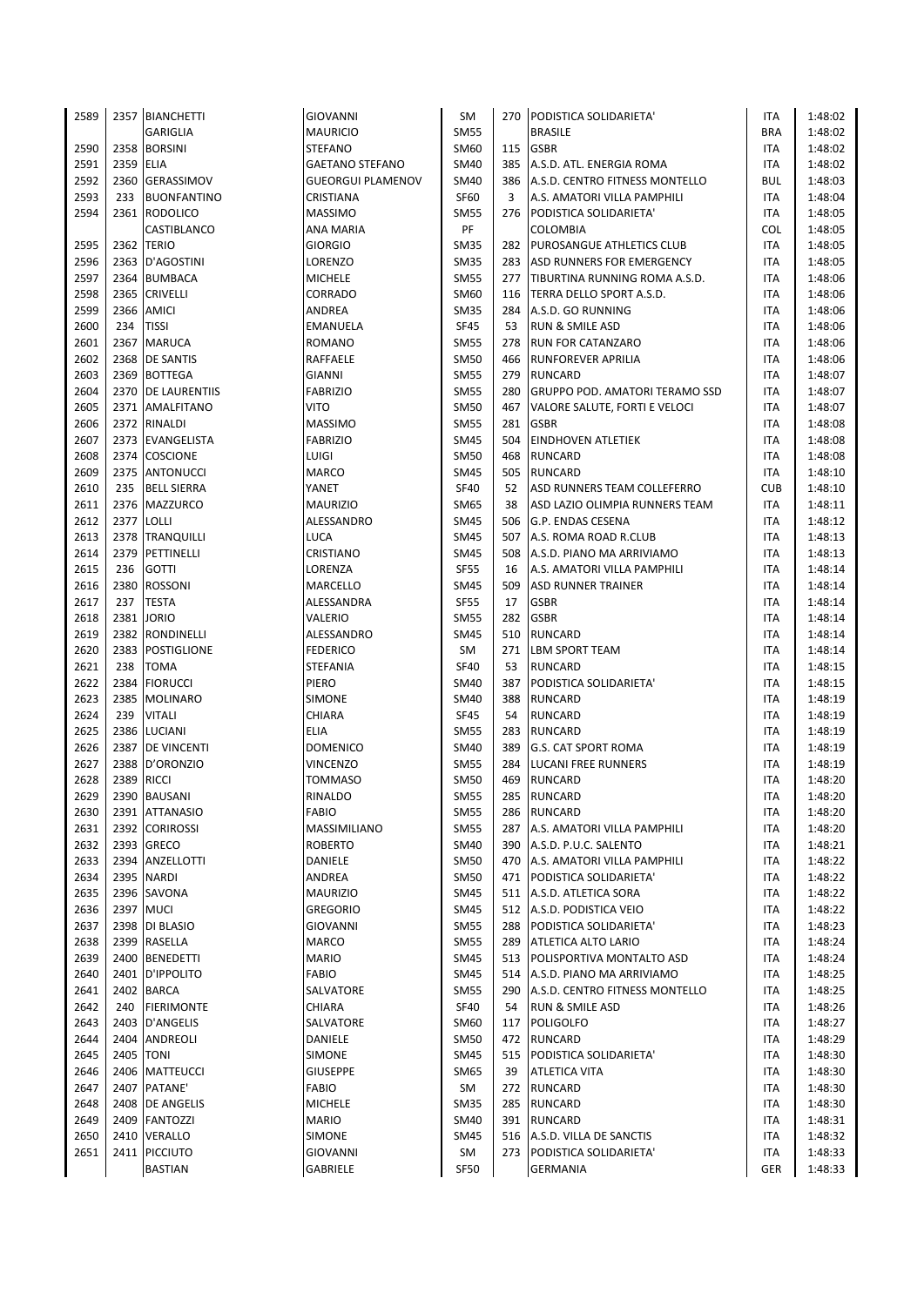| 2589 |      | 2357 BIANCHETTI      | GIOVANNI          | <b>SM</b>   |     | 270 PODISTICA SOLIDARIETA'            | ITA        | 1:48:02 |
|------|------|----------------------|-------------------|-------------|-----|---------------------------------------|------------|---------|
|      |      | <b>GARIGLIA</b>      | MAURICIO          | <b>SM55</b> |     | <b>BRASILE</b>                        | <b>BRA</b> | 1:48:02 |
| 2590 | 2358 | <b>BORSINI</b>       | STEFANO           | SM60        | 115 | <b>GSBR</b>                           | ITA        | 1:48:02 |
| 2591 | 2359 | <b>ELIA</b>          | GAETANO STEFANO   | <b>SM40</b> | 385 | A.S.D. ATL. ENERGIA ROMA              | <b>ITA</b> | 1:48:02 |
| 2592 | 2360 | <b>GERASSIMOV</b>    | GUEORGUI PLAMENOV | <b>SM40</b> |     | 386   A.S.D. CENTRO FITNESS MONTELLO  | <b>BUL</b> | 1:48:03 |
| 2593 | 233  | <b>BUONFANTINO</b>   | <b>CRISTIANA</b>  | SF60        | 3   | A.S. AMATORI VILLA PAMPHILI           | <b>ITA</b> | 1:48:04 |
| 2594 | 2361 | <b>RODOLICO</b>      | MASSIMO           | <b>SM55</b> | 276 | PODISTICA SOLIDARIETA'                | ITA        | 1:48:05 |
|      |      | CASTIBLANCO          | ANA MARIA         | PF          |     | <b>COLOMBIA</b>                       | <b>COL</b> | 1:48:05 |
| 2595 | 2362 | <b>TERIO</b>         | <b>GIORGIO</b>    | <b>SM35</b> | 282 | <b>PUROSANGUE ATHLETICS CLUB</b>      | <b>ITA</b> | 1:48:05 |
| 2596 | 2363 | D'AGOSTINI           | LORENZO           | <b>SM35</b> | 283 | <b>ASD RUNNERS FOR EMERGENCY</b>      | ITA        | 1:48:05 |
| 2597 | 2364 | <b>BUMBACA</b>       | <b>MICHELE</b>    | <b>SM55</b> | 277 | TIBURTINA RUNNING ROMA A.S.D.         | ITA        | 1:48:06 |
| 2598 | 2365 | <b>CRIVELLI</b>      | CORRADO           | SM60        | 116 | TERRA DELLO SPORT A.S.D.              | ITA        | 1:48:06 |
| 2599 | 2366 | <b>AMICI</b>         | ANDREA            | <b>SM35</b> |     | 284 A.S.D. GO RUNNING                 | ITA        | 1:48:06 |
| 2600 | 234  | <b>TISSI</b>         | EMANUELA          | <b>SF45</b> | 53  | <b>RUN &amp; SMILE ASD</b>            | ITA        | 1:48:06 |
| 2601 | 2367 | <b>MARUCA</b>        | ROMANO            | <b>SM55</b> | 278 | <b>RUN FOR CATANZARO</b>              | ITA        | 1:48:06 |
| 2602 |      | 2368 DE SANTIS       | RAFFAELE          | <b>SM50</b> | 466 | <b>RUNFOREVER APRILIA</b>             | <b>ITA</b> | 1:48:06 |
| 2603 |      | 2369 BOTTEGA         | GIANNI            | <b>SM55</b> |     | 279 RUNCARD                           | ITA        | 1:48:07 |
| 2604 | 2370 |                      |                   | <b>SM55</b> | 280 | <b>GRUPPO POD. AMATORI TERAMO SSD</b> | ITA        | 1:48:07 |
|      |      | <b>DE LAURENTIIS</b> | FABRIZIO          |             |     |                                       |            |         |
| 2605 |      | 2371 AMALFITANO      | VITO              | <b>SM50</b> | 467 | VALORE SALUTE, FORTI E VELOCI         | ITA        | 1:48:07 |
| 2606 |      | 2372 RINALDI         | MASSIMO           | <b>SM55</b> | 281 | <b>GSBR</b>                           | <b>ITA</b> | 1:48:08 |
| 2607 |      | 2373 EVANGELISTA     | <b>FABRIZIO</b>   | <b>SM45</b> |     | 504 EINDHOVEN ATLETIEK                | ITA        | 1:48:08 |
| 2608 | 2374 | <b>COSCIONE</b>      | LUIGI             | SM50        | 468 | RUNCARD                               | ITA        | 1:48:08 |
| 2609 |      | 2375 ANTONUCCI       | MARCO             | <b>SM45</b> | 505 | <b>RUNCARD</b>                        | <b>ITA</b> | 1:48:10 |
| 2610 | 235  | <b>BELL SIERRA</b>   | YANET             | <b>SF40</b> | 52  | ASD RUNNERS TEAM COLLEFERRO           | <b>CUB</b> | 1:48:10 |
| 2611 |      | 2376 MAZZURCO        | MAURIZIO          | <b>SM65</b> | 38  | ASD LAZIO OLIMPIA RUNNERS TEAM        | ITA        | 1:48:11 |
| 2612 | 2377 | <b>LOLLI</b>         | ALESSANDRO        | <b>SM45</b> | 506 | <b>G.P. ENDAS CESENA</b>              | ITA        | 1:48:12 |
| 2613 |      | 2378 TRANQUILLI      | LUCA              | <b>SM45</b> | 507 | A.S. ROMA ROAD R.CLUB                 | ITA        | 1:48:13 |
| 2614 |      | 2379 PETTINELLI      | CRISTIANO         | <b>SM45</b> | 508 | A.S.D. PIANO MA ARRIVIAMO             | <b>ITA</b> | 1:48:13 |
| 2615 | 236  | <b>GOTTI</b>         | LORENZA           | <b>SF55</b> | 16  | A.S. AMATORI VILLA PAMPHILI           | <b>ITA</b> | 1:48:14 |
| 2616 | 2380 | <b>ROSSONI</b>       | MARCELLO          | <b>SM45</b> | 509 | <b>ASD RUNNER TRAINER</b>             | ITA        | 1:48:14 |
| 2617 | 237  | <b>TESTA</b>         | ALESSANDRA        | <b>SF55</b> | 17  | <b>GSBR</b>                           | <b>ITA</b> | 1:48:14 |
| 2618 | 2381 | <b>JORIO</b>         | VALERIO           | <b>SM55</b> | 282 | <b>GSBR</b>                           | <b>ITA</b> | 1:48:14 |
| 2619 | 2382 | RONDINELLI           | ALESSANDRO        | <b>SM45</b> | 510 | <b>RUNCARD</b>                        | ITA        | 1:48:14 |
| 2620 | 2383 | <b>POSTIGLIONE</b>   | FEDERICO          | SM          | 271 | <b>LBM SPORT TEAM</b>                 | ITA        | 1:48:14 |
| 2621 | 238  | <b>TOMA</b>          | STEFANIA          | <b>SF40</b> | 53  | <b>RUNCARD</b>                        | ITA        | 1:48:15 |
| 2622 | 2384 | <b>FIORUCCI</b>      | PIERO             | <b>SM40</b> | 387 | PODISTICA SOLIDARIETA'                | ITA        | 1:48:15 |
| 2623 | 2385 | <b>MOLINARO</b>      | SIMONE            | <b>SM40</b> | 388 | RUNCARD                               | ITA        | 1:48:19 |
| 2624 | 239  | <b>VITALI</b>        | CHIARA            | <b>SF45</b> | 54  | <b>RUNCARD</b>                        | ITA        | 1:48:19 |
| 2625 | 2386 | LUCIANI              | ELIA              | <b>SM55</b> | 283 | <b>RUNCARD</b>                        | ITA        | 1:48:19 |
| 2626 |      | 2387 DE VINCENTI     | DOMENICO          | SM40        | 389 | <b>G.S. CAT SPORT ROMA</b>            | ITA        | 1:48:19 |
| 2627 | 2388 | D'ORONZIO            | VINCENZO          | <b>SM55</b> | 284 | <b>LUCANI FREE RUNNERS</b>            | <b>ITA</b> | 1:48:19 |
| 2628 | 2389 | <b>RICCI</b>         | TOMMASO           | SM50        | 469 | <b>RUNCARD</b>                        | ITA        | 1:48:20 |
| 2629 |      | 2390 BAUSANI         | RINALDO           | <b>SM55</b> |     | 285 RUNCARD                           | <b>ITA</b> | 1:48:20 |
| 2630 |      | 2391 ATTANASIO       | FABIO             | <b>SM55</b> | 286 | <b>RUNCARD</b>                        | ITA        | 1:48:20 |
| 2631 | 2392 | <b>CORIROSSI</b>     | MASSIMILIANO      | <b>SM55</b> | 287 | A.S. AMATORI VILLA PAMPHILI           | ITA        | 1:48:20 |
| 2632 |      | 2393 GRECO           | ROBERTO           | <b>SM40</b> | 390 | A.S.D. P.U.C. SALENTO                 | <b>ITA</b> | 1:48:21 |
| 2633 | 2394 | ANZELLOTTI           | DANIELE           | <b>SM50</b> |     | 470 A.S. AMATORI VILLA PAMPHILI       | ITA        | 1:48:22 |
| 2634 | 2395 | <b>NARDI</b>         | ANDREA            | <b>SM50</b> | 471 | PODISTICA SOLIDARIETA'                | ITA        | 1:48:22 |
| 2635 |      | 2396 SAVONA          | MAURIZIO          | <b>SM45</b> |     | 511 A.S.D. ATLETICA SORA              | ITA        | 1:48:22 |
| 2636 |      | 2397 MUCI            | GREGORIO          | <b>SM45</b> |     | 512 A.S.D. PODISTICA VEIO             | ITA        | 1:48:22 |
| 2637 |      | 2398 DI BLASIO       | GIOVANNI          | <b>SM55</b> |     | 288 PODISTICA SOLIDARIETA'            | ITA        | 1:48:23 |
| 2638 | 2399 | RASELLA              | MARCO             | <b>SM55</b> |     | 289 ATLETICA ALTO LARIO               | ITA        | 1:48:24 |
| 2639 | 2400 | <b>BENEDETTI</b>     | MARIO             | <b>SM45</b> | 513 | POLISPORTIVA MONTALTO ASD             | ITA        | 1:48:24 |
|      |      |                      |                   | <b>SM45</b> |     |                                       |            |         |
| 2640 |      | 2401 D'IPPOLITO      | FABIO             |             |     | 514 A.S.D. PIANO MA ARRIVIAMO         | ITA        | 1:48:25 |
| 2641 |      | 2402 BARCA           | SALVATORE         | <b>SM55</b> |     | 290 A.S.D. CENTRO FITNESS MONTELLO    | ITA        | 1:48:25 |
| 2642 | 240  | <b>FIERIMONTE</b>    | CHIARA            | <b>SF40</b> | 54  | <b>RUN &amp; SMILE ASD</b>            | ITA        | 1:48:26 |
| 2643 | 2403 | D'ANGELIS            | SALVATORE         | SM60        | 117 | <b>POLIGOLFO</b>                      | ITA        | 1:48:27 |
| 2644 | 2404 | ANDREOLI             | DANIELE           | <b>SM50</b> |     | 472 RUNCARD                           | ITA        | 1:48:29 |
| 2645 | 2405 | <b>TONI</b>          | SIMONE            | <b>SM45</b> |     | 515 PODISTICA SOLIDARIETA'            | ITA        | 1:48:30 |
| 2646 | 2406 | <b>MATTEUCCI</b>     | <b>GIUSEPPE</b>   | SM65        | 39  | <b>ATLETICA VITA</b>                  | ITA        | 1:48:30 |
| 2647 | 2407 | PATANE'              | FABIO             | SM          | 272 | <b>RUNCARD</b>                        | ITA        | 1:48:30 |
| 2648 |      | 2408 DE ANGELIS      | MICHELE           | <b>SM35</b> | 285 | <b>RUNCARD</b>                        | ITA        | 1:48:30 |
| 2649 |      | 2409 FANTOZZI        | MARIO             | <b>SM40</b> |     | 391 RUNCARD                           | ITA        | 1:48:31 |
| 2650 | 2410 | <b>VERALLO</b>       | SIMONE            | <b>SM45</b> |     | 516 A.S.D. VILLA DE SANCTIS           | ITA        | 1:48:32 |
| 2651 | 2411 | <b>PICCIUTO</b>      | GIOVANNI          | SM          |     | 273 PODISTICA SOLIDARIETA'            | ITA        | 1:48:33 |
|      |      | <b>BASTIAN</b>       | GABRIELE          | <b>SF50</b> |     | GERMANIA                              | GER        | 1:48:33 |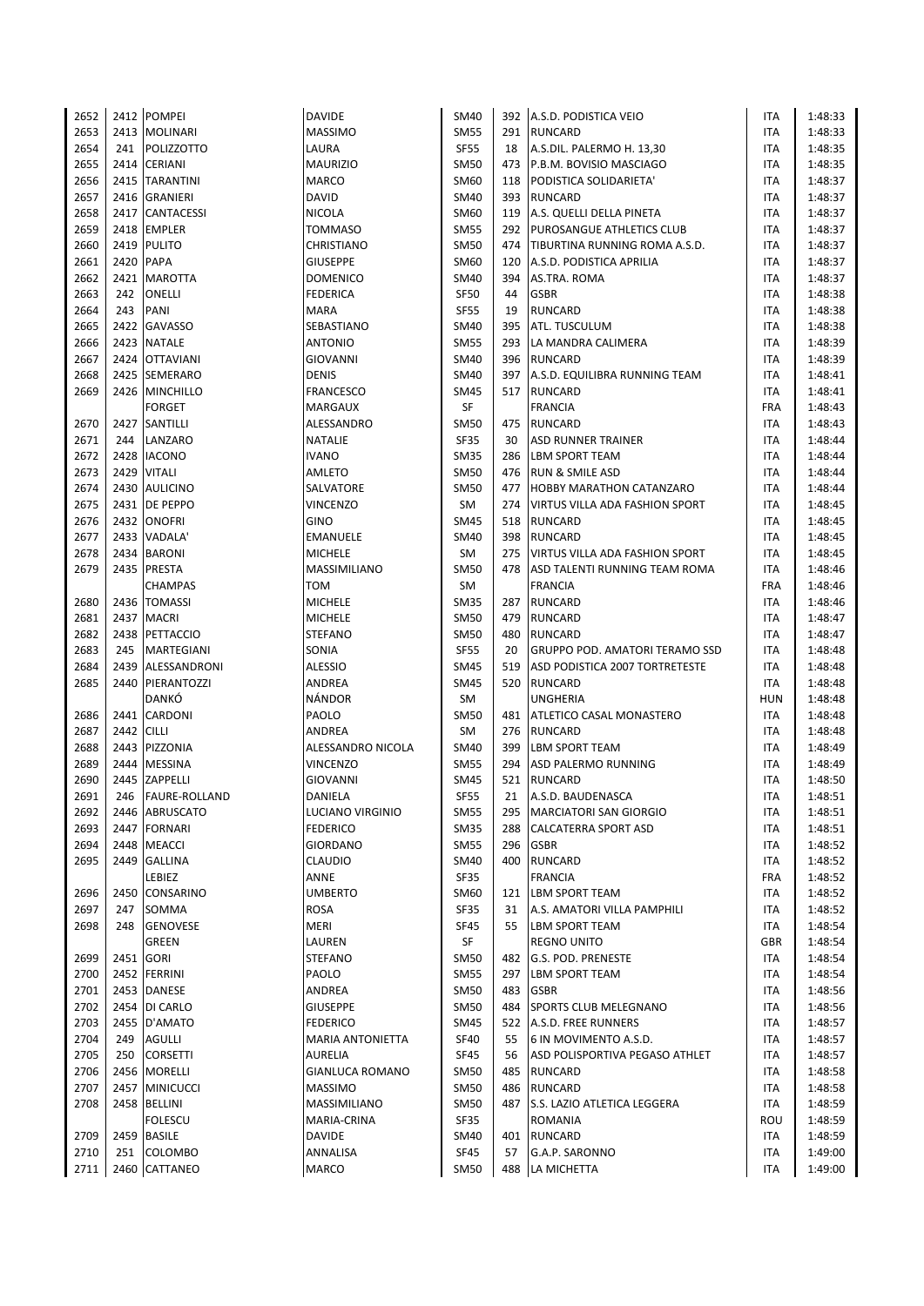| 2652 |      | 2412 POMPEI                    | <b>DAVIDE</b>           | <b>SM40</b>         |     | 392 A.S.D. PODISTICA VEIO               | ITA                      | 1:48:33            |
|------|------|--------------------------------|-------------------------|---------------------|-----|-----------------------------------------|--------------------------|--------------------|
| 2653 |      | 2413 MOLINARI                  | <b>MASSIMO</b>          | <b>SM55</b>         |     | 291 RUNCARD                             | <b>ITA</b>               | 1:48:33            |
| 2654 | 241  | <b>POLIZZOTTO</b>              | LAURA                   | <b>SF55</b>         | 18  | A.S.DIL. PALERMO H. 13,30               | <b>ITA</b>               | 1:48:35            |
| 2655 |      | 2414 CERIANI                   | <b>MAURIZIO</b>         | <b>SM50</b>         | 473 | P.B.M. BOVISIO MASCIAGO                 | <b>ITA</b>               | 1:48:35            |
| 2656 |      | 2415 TARANTINI                 | <b>MARCO</b>            | SM60                |     | 118 PODISTICA SOLIDARIETA'              | ITA                      | 1:48:37            |
| 2657 |      | 2416 GRANIERI                  | <b>DAVID</b>            | <b>SM40</b>         |     | 393 RUNCARD                             | <b>ITA</b>               | 1:48:37            |
| 2658 | 2417 | <b>CANTACESSI</b>              | <b>NICOLA</b>           | SM60                | 119 | A.S. QUELLI DELLA PINETA                | <b>ITA</b>               | 1:48:37            |
| 2659 |      | 2418 EMPLER                    | TOMMASO                 | <b>SM55</b>         | 292 | <b>PUROSANGUE ATHLETICS CLUB</b>        | ITA                      | 1:48:37            |
| 2660 |      | 2419 PULITO                    | <b>CHRISTIANO</b>       | <b>SM50</b>         |     | 474 TIBURTINA RUNNING ROMA A.S.D.       | ITA                      | 1:48:37            |
| 2661 |      | 2420 PAPA                      | <b>GIUSEPPE</b>         | <b>SM60</b>         | 120 | A.S.D. PODISTICA APRILIA                | <b>ITA</b>               | 1:48:37            |
| 2662 |      | 2421 MAROTTA                   | <b>DOMENICO</b>         | <b>SM40</b>         | 394 | AS.TRA. ROMA                            | <b>ITA</b>               | 1:48:37            |
| 2663 | 242  | ONELLI                         | <b>FEDERICA</b>         | <b>SF50</b>         | 44  | <b>GSBR</b>                             | <b>ITA</b>               | 1:48:38            |
| 2664 | 243  | PANI                           | <b>MARA</b>             | <b>SF55</b>         | 19  | <b>RUNCARD</b>                          | ITA                      | 1:48:38            |
| 2665 |      | 2422 GAVASSO                   | SEBASTIANO              | <b>SM40</b>         | 395 | ATL. TUSCULUM                           | ITA                      | 1:48:38            |
| 2666 |      | 2423 NATALE                    | <b>ANTONIO</b>          | <b>SM55</b>         | 293 | LA MANDRA CALIMERA                      | ITA                      | 1:48:39            |
| 2667 |      | 2424 OTTAVIANI                 | GIOVANNI                | <b>SM40</b>         | 396 | <b>RUNCARD</b>                          | <b>ITA</b>               | 1:48:39            |
| 2668 |      | 2425 SEMERARO                  | <b>DENIS</b>            | <b>SM40</b>         |     | 397 A.S.D. EQUILIBRA RUNNING TEAM       | ITA                      | 1:48:41            |
| 2669 | 2426 | MINCHILLO                      | <b>FRANCESCO</b>        | <b>SM45</b><br>SF   | 517 | <b>RUNCARD</b>                          | <b>ITA</b><br><b>FRA</b> | 1:48:41            |
| 2670 |      | <b>FORGET</b><br>2427 SANTILLI | MARGAUX<br>ALESSANDRO   | <b>SM50</b>         | 475 | <b>FRANCIA</b><br>RUNCARD               | <b>ITA</b>               | 1:48:43<br>1:48:43 |
| 2671 |      | 244 LANZARO                    | NATALIE                 | <b>SF35</b>         | 30  | <b>ASD RUNNER TRAINER</b>               | ITA                      | 1:48:44            |
| 2672 |      | 2428 IACONO                    | <b>IVANO</b>            | <b>SM35</b>         | 286 | <b>LBM SPORT TEAM</b>                   | ITA                      | 1:48:44            |
| 2673 |      | 2429 VITALI                    | AMLETO                  | <b>SM50</b>         |     | 476 RUN & SMILE ASD                     | ITA                      | 1:48:44            |
| 2674 |      | 2430 AULICINO                  | SALVATORE               | <b>SM50</b>         | 477 | <b>HOBBY MARATHON CATANZARO</b>         | ITA                      | 1:48:44            |
| 2675 |      | 2431 DE PEPPO                  | VINCENZO                | SM                  |     | 274 VIRTUS VILLA ADA FASHION SPORT      | <b>ITA</b>               | 1:48:45            |
| 2676 |      | 2432 ONOFRI                    | GINO                    | <b>SM45</b>         |     | 518 RUNCARD                             | ITA                      | 1:48:45            |
| 2677 |      | 2433 VADALA                    | <b>EMANUELE</b>         | SM40                |     | 398 RUNCARD                             | ITA                      | 1:48:45            |
| 2678 |      | 2434 BARONI                    | <b>MICHELE</b>          | SM                  | 275 | VIRTUS VILLA ADA FASHION SPORT          | <b>ITA</b>               | 1:48:45            |
| 2679 |      | 2435 PRESTA                    | MASSIMILIANO            | <b>SM50</b>         |     | 478 ASD TALENTI RUNNING TEAM ROMA       | <b>ITA</b>               | 1:48:46            |
|      |      | CHAMPAS                        | TOM                     | SM                  |     | <b>FRANCIA</b>                          | FRA                      | 1:48:46            |
| 2680 |      | 2436   TOMASSI                 | <b>MICHELE</b>          | <b>SM35</b>         | 287 | RUNCARD                                 | <b>ITA</b>               | 1:48:46            |
| 2681 |      | 2437 MACRI                     | <b>MICHELE</b>          | <b>SM50</b>         | 479 | RUNCARD                                 | ITA                      | 1:48:47            |
| 2682 | 2438 | PETTACCIO                      | <b>STEFANO</b>          | <b>SM50</b>         | 480 | <b>RUNCARD</b>                          | ITA                      | 1:48:47            |
| 2683 | 245  | MARTEGIANI                     | SONIA                   | <b>SF55</b>         | 20  | <b>GRUPPO POD. AMATORI TERAMO SSD</b>   | ITA                      | 1:48:48            |
| 2684 | 2439 | ALESSANDRONI                   | <b>ALESSIO</b>          | <b>SM45</b>         | 519 | ASD PODISTICA 2007 TORTRETESTE          | ITA                      | 1:48:48            |
| 2685 |      | 2440 PIERANTOZZI               | ANDREA                  | <b>SM45</b>         |     | 520 RUNCARD                             | ITA                      | 1:48:48            |
|      |      | DANKÓ                          | NÁNDOR                  | SM                  |     | <b>UNGHERIA</b>                         | HUN                      | 1:48:48            |
| 2686 | 2441 | <b>CARDONI</b>                 | PAOLO                   | <b>SM50</b>         | 481 | ATLETICO CASAL MONASTERO                | ITA                      | 1:48:48            |
| 2687 | 2442 | <b>CILLI</b>                   | ANDREA                  | <b>SM</b>           | 276 | <b>RUNCARD</b>                          | <b>ITA</b>               | 1:48:48            |
| 2688 |      | 2443 PIZZONIA                  | ALESSANDRO NICOLA       | <b>SM40</b>         |     | 399 LBM SPORT TEAM                      | <b>ITA</b>               | 1:48:49            |
| 2689 | 2444 | <b>MESSINA</b>                 | <b>VINCENZO</b>         | <b>SM55</b>         |     | 294 ASD PALERMO RUNNING                 | <b>ITA</b>               | 1:48:49            |
| 2690 |      | 2445 ZAPPELLI                  | <b>GIOVANNI</b>         | <b>SM45</b>         |     | 521 RUNCARD                             | <b>ITA</b>               | 1:48:50            |
| 2691 | 246  | <b>FAURE-ROLLAND</b>           | DANIELA                 | <b>SF55</b>         | 21  | A.S.D. BAUDENASCA                       | <b>ITA</b>               | 1:48:51            |
| 2692 |      | 2446 ABRUSCATO                 | LUCIANO VIRGINIO        | <b>SM55</b>         | 295 | MARCIATORI SAN GIORGIO                  | ITA                      | 1:48:51            |
| 2693 | 2447 | <b>FORNARI</b>                 | <b>FEDERICO</b>         | <b>SM35</b>         | 288 | <b>CALCATERRA SPORT ASD</b>             | ITA                      | 1:48:51            |
| 2694 |      | 2448 MEACCI                    | <b>GIORDANO</b>         | <b>SM55</b>         | 296 | <b>GSBR</b><br>400 RUNCARD              | ITA                      | 1:48:52            |
| 2695 |      | 2449 GALLINA                   | <b>CLAUDIO</b>          | <b>SM40</b>         |     |                                         | ITA                      | 1:48:52            |
| 2696 | 2450 | LEBIEZ<br><b>CONSARINO</b>     | ANNE<br><b>UMBERTO</b>  | <b>SF35</b><br>SM60 | 121 | <b>FRANCIA</b><br><b>LBM SPORT TEAM</b> | FRA<br>ITA               | 1:48:52<br>1:48:52 |
| 2697 | 247  | SOMMA                          | ROSA                    | SF35                | 31  | A.S. AMATORI VILLA PAMPHILI             | ITA                      | 1:48:52            |
| 2698 | 248  | <b>GENOVESE</b>                | <b>MERI</b>             | SF45                | 55  | <b>LBM SPORT TEAM</b>                   | ITA                      | 1:48:54            |
|      |      | <b>GREEN</b>                   | LAUREN                  | SF                  |     | <b>REGNO UNITO</b>                      | GBR                      | 1:48:54            |
| 2699 | 2451 | <b>GORI</b>                    | <b>STEFANO</b>          | SM50                | 482 | G.S. POD. PRENESTE                      | ITA                      | 1:48:54            |
| 2700 |      | 2452 FERRINI                   | PAOLO                   | <b>SM55</b>         | 297 | <b>LBM SPORT TEAM</b>                   | ITA                      | 1:48:54            |
| 2701 |      | 2453 DANESE                    | ANDREA                  | <b>SM50</b>         | 483 | <b>GSBR</b>                             | ITA                      | 1:48:56            |
| 2702 |      | 2454 DI CARLO                  | <b>GIUSEPPE</b>         | <b>SM50</b>         | 484 | <b>SPORTS CLUB MELEGNANO</b>            | ITA                      | 1:48:56            |
| 2703 |      | 2455 D'AMATO                   | <b>FEDERICO</b>         | <b>SM45</b>         | 522 | A.S.D. FREE RUNNERS                     | ITA                      | 1:48:57            |
| 2704 | 249  | AGULLI                         | <b>MARIA ANTONIETTA</b> | <b>SF40</b>         | 55  | 6 IN MOVIMENTO A.S.D.                   | ITA                      | 1:48:57            |
| 2705 | 250  | <b>CORSETTI</b>                | AURELIA                 | SF45                | 56  | ASD POLISPORTIVA PEGASO ATHLET          | ITA                      | 1:48:57            |
| 2706 |      | 2456 MORELLI                   | GIANLUCA ROMANO         | <b>SM50</b>         | 485 | RUNCARD                                 | ITA                      | 1:48:58            |
| 2707 |      | 2457 MINICUCCI                 | <b>MASSIMO</b>          | SM50                | 486 | <b>RUNCARD</b>                          | ITA                      | 1:48:58            |
| 2708 |      | 2458 BELLINI                   | MASSIMILIANO            | <b>SM50</b>         | 487 | S.S. LAZIO ATLETICA LEGGERA             | ITA                      | 1:48:59            |
|      |      | <b>FOLESCU</b>                 | MARIA-CRINA             | SF35                |     | <b>ROMANIA</b>                          | ROU                      | 1:48:59            |
| 2709 |      | 2459 BASILE                    | DAVIDE                  | <b>SM40</b>         | 401 | <b>RUNCARD</b>                          | ITA                      | 1:48:59            |
| 2710 | 251  | <b>COLOMBO</b>                 | ANNALISA                | SF45                | 57  | G.A.P. SARONNO                          | ITA                      | 1:49:00            |
| 2711 |      | 2460 CATTANEO                  | <b>MARCO</b>            | <b>SM50</b>         |     | 488 LA MICHETTA                         | <b>ITA</b>               | 1:49:00            |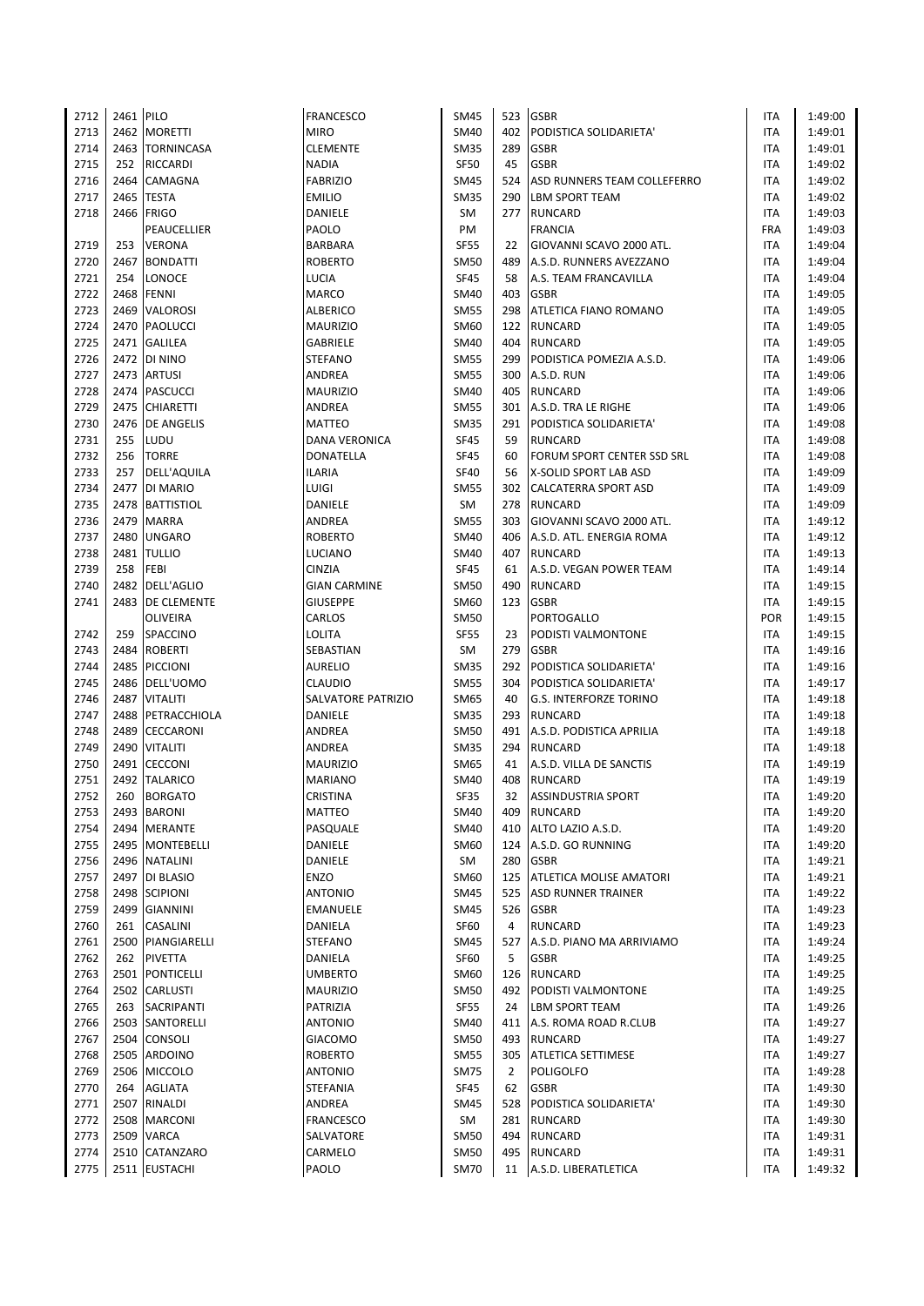| 2712 | 2461 PILO |                   | <b>FRANCESCO</b>     | SM45        | 523 | <b>GSBR</b>                    | ITA        | 1:49:00 |
|------|-----------|-------------------|----------------------|-------------|-----|--------------------------------|------------|---------|
| 2713 |           | 2462 MORETTI      | <b>MIRO</b>          | SM40        | 402 | PODISTICA SOLIDARIETA'         | ITA        | 1:49:01 |
| 2714 |           | 2463 TORNINCASA   | <b>CLEMENTE</b>      | <b>SM35</b> | 289 | <b>GSBR</b>                    | <b>ITA</b> | 1:49:01 |
| 2715 | 252       | <b>RICCARDI</b>   | <b>NADIA</b>         | <b>SF50</b> | 45  | <b>GSBR</b>                    | <b>ITA</b> | 1:49:02 |
| 2716 | 2464      | CAMAGNA           | <b>FABRIZIO</b>      | SM45        | 524 | ASD RUNNERS TEAM COLLEFERRO    | <b>ITA</b> | 1:49:02 |
| 2717 | 2465      | <b>TESTA</b>      | <b>EMILIO</b>        | <b>SM35</b> | 290 | <b>LBM SPORT TEAM</b>          | <b>ITA</b> | 1:49:02 |
| 2718 | 2466      | <b>FRIGO</b>      | DANIELE              | SM          |     | 277 RUNCARD                    | <b>ITA</b> | 1:49:03 |
|      |           | PEAUCELLIER       | PAOLO                | PM          |     | <b>FRANCIA</b>                 | <b>FRA</b> | 1:49:03 |
| 2719 | 253       | <b>VERONA</b>     | <b>BARBARA</b>       | <b>SF55</b> | 22  | GIOVANNI SCAVO 2000 ATL.       | <b>ITA</b> | 1:49:04 |
| 2720 | 2467      | <b>BONDATTI</b>   | <b>ROBERTO</b>       | <b>SM50</b> | 489 | A.S.D. RUNNERS AVEZZANO        | ITA        | 1:49:04 |
| 2721 | 254       | LONOCE            | LUCIA                | <b>SF45</b> | 58  | A.S. TEAM FRANCAVILLA          | ITA        | 1:49:04 |
| 2722 | 2468      | <b>FENNI</b>      | <b>MARCO</b>         | <b>SM40</b> | 403 | <b>GSBR</b>                    | <b>ITA</b> | 1:49:05 |
| 2723 |           | 2469 VALOROSI     | <b>ALBERICO</b>      | <b>SM55</b> | 298 | <b>ATLETICA FIANO ROMANO</b>   | <b>ITA</b> | 1:49:05 |
| 2724 |           | 2470 PAOLUCCI     | <b>MAURIZIO</b>      | SM60        |     | 122 RUNCARD                    | <b>ITA</b> | 1:49:05 |
| 2725 |           | 2471 GALILEA      | GABRIELE             | <b>SM40</b> | 404 | <b>RUNCARD</b>                 | ITA        | 1:49:05 |
| 2726 |           | 2472 DI NINO      |                      | <b>SM55</b> | 299 | PODISTICA POMEZIA A.S.D.       | <b>ITA</b> | 1:49:06 |
|      |           |                   | <b>STEFANO</b>       |             |     |                                |            |         |
| 2727 |           | 2473 ARTUSI       | ANDREA               | <b>SM55</b> | 300 | A.S.D. RUN                     | <b>ITA</b> | 1:49:06 |
| 2728 |           | 2474   PASCUCCI   | <b>MAURIZIO</b>      | <b>SM40</b> | 405 | <b>RUNCARD</b>                 | <b>ITA</b> | 1:49:06 |
| 2729 |           | 2475 CHIARETTI    | ANDREA               | <b>SM55</b> | 301 | A.S.D. TRA LE RIGHE            | <b>ITA</b> | 1:49:06 |
| 2730 |           | 2476 DE ANGELIS   | <b>MATTEO</b>        | SM35        | 291 | PODISTICA SOLIDARIETA'         | ITA        | 1:49:08 |
| 2731 | 255       | LUDU              | <b>DANA VERONICA</b> | <b>SF45</b> | 59  | <b>RUNCARD</b>                 | ITA        | 1:49:08 |
| 2732 | 256       | <b>TORRE</b>      | DONATELLA            | <b>SF45</b> | 60  | FORUM SPORT CENTER SSD SRL     | <b>ITA</b> | 1:49:08 |
| 2733 | 257       | DELL'AQUILA       | <b>ILARIA</b>        | <b>SF40</b> | 56  | X-SOLID SPORT LAB ASD          | ITA        | 1:49:09 |
| 2734 |           | 2477 DI MARIO     | LUIGI                | SM55        |     | 302 CALCATERRA SPORT ASD       | <b>ITA</b> | 1:49:09 |
| 2735 | 2478      | <b>BATTISTIOL</b> | DANIELE              | SM          |     | 278 RUNCARD                    | ITA        | 1:49:09 |
| 2736 | 2479      | <b>MARRA</b>      | ANDREA               | SM55        | 303 | GIOVANNI SCAVO 2000 ATL.       | ITA        | 1:49:12 |
| 2737 | 2480      | <b>UNGARO</b>     | <b>ROBERTO</b>       | SM40        | 406 | A.S.D. ATL. ENERGIA ROMA       | <b>ITA</b> | 1:49:12 |
| 2738 |           | 2481 TULLIO       | LUCIANO              | SM40        | 407 | <b>RUNCARD</b>                 | <b>ITA</b> | 1:49:13 |
| 2739 | 258       | <b>FEBI</b>       | CINZIA               | <b>SF45</b> | 61  | A.S.D. VEGAN POWER TEAM        | ITA        | 1:49:14 |
| 2740 |           | 2482 DELL'AGLIO   | <b>GIAN CARMINE</b>  | SM50        | 490 | <b>RUNCARD</b>                 | <b>ITA</b> | 1:49:15 |
| 2741 |           | 2483 DE CLEMENTE  | <b>GIUSEPPE</b>      | SM60        |     | 123 GSBR                       | <b>ITA</b> | 1:49:15 |
|      |           | <b>OLIVEIRA</b>   | CARLOS               | SM50        |     | <b>PORTOGALLO</b>              | POR        | 1:49:15 |
| 2742 | 259       | SPACCINO          | <b>LOLITA</b>        | <b>SF55</b> | 23  | PODISTI VALMONTONE             | ITA        | 1:49:15 |
| 2743 | 2484      | <b>ROBERTI</b>    | SEBASTIAN            | SM          | 279 | <b>GSBR</b>                    | ITA        | 1:49:16 |
| 2744 |           | 2485 PICCIONI     | <b>AURELIO</b>       | <b>SM35</b> | 292 | PODISTICA SOLIDARIETA'         | <b>ITA</b> | 1:49:16 |
| 2745 |           | 2486 DELL'UOMO    | <b>CLAUDIO</b>       | SM55        | 304 | PODISTICA SOLIDARIETA'         | ITA        | 1:49:17 |
| 2746 | 2487      | <b>VITALITI</b>   | SALVATORE PATRIZIO   | SM65        | 40  | <b>G.S. INTERFORZE TORINO</b>  | <b>ITA</b> | 1:49:18 |
| 2747 | 2488      | PETRACCHIOLA      | DANIELE              | <b>SM35</b> | 293 | <b>RUNCARD</b>                 | <b>ITA</b> | 1:49:18 |
| 2748 | 2489      | <b>CECCARONI</b>  | ANDREA               | <b>SM50</b> | 491 | A.S.D. PODISTICA APRILIA       | <b>ITA</b> | 1:49:18 |
| 2749 | 2490      | <b>VITALITI</b>   | <b>ANDREA</b>        | <b>SM35</b> | 294 | <b>RUNCARD</b>                 | <b>ITA</b> | 1:49:18 |
| 2750 | 2491      | <b>CECCONI</b>    | <b>MAURIZIO</b>      | SM65        | 41  | A.S.D. VILLA DE SANCTIS        | ITA        | 1:49:19 |
| 2751 | 2492      | <b>TALARICO</b>   | <b>MARIANO</b>       | SM40        | 408 | <b>RUNCARD</b>                 | <b>ITA</b> | 1:49:19 |
| 2752 | 260       | <b>BORGATO</b>    | CRISTINA             | <b>SF35</b> | 32  | <b>ASSINDUSTRIA SPORT</b>      | <b>ITA</b> | 1:49:20 |
| 2753 |           | 2493 BARONI       | MATTEO               | SM40        | 409 | <b>RUNCARD</b>                 | <b>ITA</b> | 1:49:20 |
| 2754 |           | 2494 MERANTE      | PASQUALE             | <b>SM40</b> | 410 | ALTO LAZIO A.S.D.              | ITA        | 1:49:20 |
| 2755 |           | 2495 MONTEBELLI   | DANIELE              | SM60        | 124 | A.S.D. GO RUNNING              | <b>ITA</b> | 1:49:20 |
| 2756 |           | 2496 NATALINI     | DANIELE              | SM          | 280 | <b>GSBR</b>                    | <b>ITA</b> | 1:49:21 |
| 2757 |           | 2497 DI BLASIO    | ENZO                 | SM60        | 125 | <b>ATLETICA MOLISE AMATORI</b> | ITA        | 1:49:21 |
| 2758 |           | 2498 SCIPIONI     | <b>ANTONIO</b>       | SM45        | 525 | <b>ASD RUNNER TRAINER</b>      | ITA        | 1:49:22 |
| 2759 |           | 2499 GIANNINI     | EMANUELE             | SM45        | 526 | <b>GSBR</b>                    | <b>ITA</b> | 1:49:23 |
| 2760 |           | 261 CASALINI      | DANIELA              | <b>SF60</b> | 4   | <b>RUNCARD</b>                 | ITA        | 1:49:23 |
| 2761 |           | 2500 PIANGIARELLI | <b>STEFANO</b>       | SM45        | 527 | A.S.D. PIANO MA ARRIVIAMO      | ITA        | 1:49:24 |
| 2762 | 262       | <b>PIVETTA</b>    | DANIELA              | SF60        | 5   | <b>GSBR</b>                    | ITA        | 1:49:25 |
| 2763 |           |                   | <b>UMBERTO</b>       |             |     |                                |            |         |
|      |           | 2501 PONTICELLI   |                      | SM60        | 126 | RUNCARD                        | <b>ITA</b> | 1:49:25 |
| 2764 |           | 2502 CARLUSTI     | <b>MAURIZIO</b>      | <b>SM50</b> | 492 | <b>PODISTI VALMONTONE</b>      | ITA        | 1:49:25 |
| 2765 |           | 263 SACRIPANTI    | PATRIZIA             | <b>SF55</b> | 24  | <b>LBM SPORT TEAM</b>          | ITA        | 1:49:26 |
| 2766 |           | 2503 SANTORELLI   | <b>ANTONIO</b>       | SM40        | 411 | A.S. ROMA ROAD R.CLUB          | ITA        | 1:49:27 |
| 2767 |           | 2504 CONSOLI      | <b>GIACOMO</b>       | <b>SM50</b> |     | 493 RUNCARD                    | ITA        | 1:49:27 |
| 2768 |           | 2505 ARDOINO      | <b>ROBERTO</b>       | <b>SM55</b> | 305 | <b>ATLETICA SETTIMESE</b>      | ITA        | 1:49:27 |
| 2769 |           | 2506 MICCOLO      | <b>ANTONIO</b>       | <b>SM75</b> | 2   | <b>POLIGOLFO</b>               | ITA        | 1:49:28 |
| 2770 | 264       | <b>AGLIATA</b>    | STEFANIA             | <b>SF45</b> | 62  | <b>GSBR</b>                    | ITA        | 1:49:30 |
| 2771 |           | 2507 RINALDI      | ANDREA               | SM45        | 528 | PODISTICA SOLIDARIETA'         | ITA        | 1:49:30 |
| 2772 |           | 2508 MARCONI      | <b>FRANCESCO</b>     | SM          |     | 281 RUNCARD                    | ITA        | 1:49:30 |
| 2773 |           | 2509 VARCA        | SALVATORE            | SM50        | 494 | <b>RUNCARD</b>                 | ITA        | 1:49:31 |
| 2774 |           | 2510 CATANZARO    | CARMELO              | SM50        | 495 | <b>RUNCARD</b>                 | <b>ITA</b> | 1:49:31 |
| 2775 |           | 2511 EUSTACHI     | PAOLO                | <b>SM70</b> |     | 11 A.S.D. LIBERATLETICA        | <b>ITA</b> | 1:49:32 |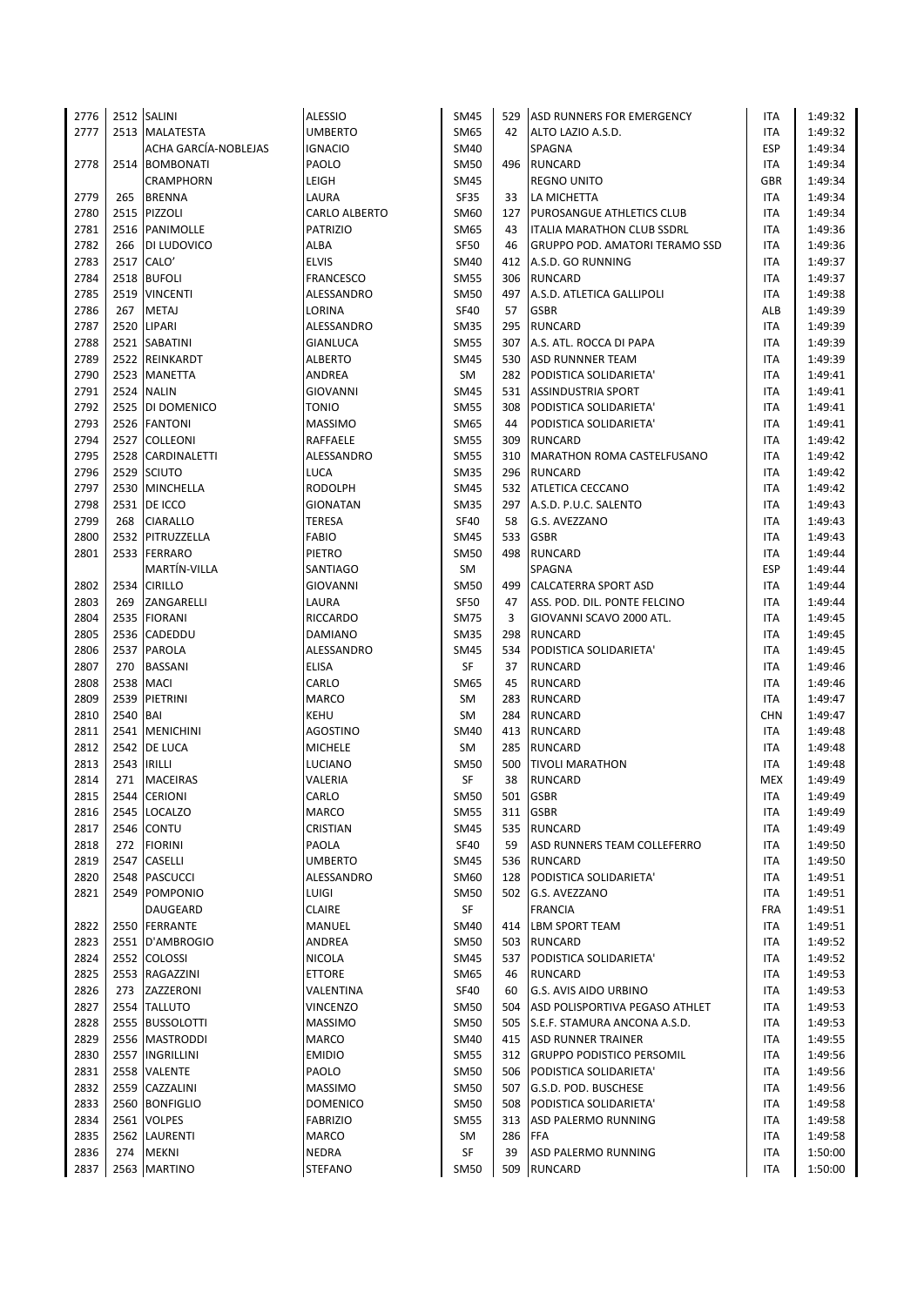| 2776 |          | 2512 SALINI          | <b>ALESSIO</b>  | <b>SM45</b> | 529 | ASD RUNNERS FOR EMERGENCY             | ITA        | 1:49:32 |
|------|----------|----------------------|-----------------|-------------|-----|---------------------------------------|------------|---------|
| 2777 |          | 2513 MALATESTA       | <b>UMBERTO</b>  | <b>SM65</b> | 42  | ALTO LAZIO A.S.D.                     | <b>ITA</b> | 1:49:32 |
|      |          | ACHA GARCÍA-NOBLEJAS | <b>IGNACIO</b>  | SM40        |     | SPAGNA                                | ESP        | 1:49:34 |
| 2778 |          | 2514 BOMBONATI       | PAOLO           | <b>SM50</b> |     | 496 RUNCARD                           | <b>ITA</b> | 1:49:34 |
|      |          | <b>CRAMPHORN</b>     | LEIGH           | <b>SM45</b> |     | <b>REGNO UNITO</b>                    | <b>GBR</b> | 1:49:34 |
| 2779 | 265      | <b>BRENNA</b>        | LAURA           | <b>SF35</b> | 33  | LA MICHETTA                           | ITA        | 1:49:34 |
| 2780 |          | 2515 PIZZOLI         | CARLO ALBERTO   | SM60        | 127 | PUROSANGUE ATHLETICS CLUB             | ITA        | 1:49:34 |
| 2781 |          | 2516 PANIMOLLE       | <b>PATRIZIO</b> | <b>SM65</b> | 43  | ITALIA MARATHON CLUB SSDRL            | <b>ITA</b> | 1:49:36 |
| 2782 |          | 266   DI LUDOVICO    | ALBA            | <b>SF50</b> | 46  | <b>GRUPPO POD. AMATORI TERAMO SSD</b> | ITA        | 1:49:36 |
| 2783 |          | 2517 CALO'           | <b>ELVIS</b>    | SM40        | 412 | A.S.D. GO RUNNING                     | ITA        | 1:49:37 |
| 2784 |          | 2518 BUFOLI          | FRANCESCO       | <b>SM55</b> | 306 | <b>RUNCARD</b>                        | <b>ITA</b> | 1:49:37 |
| 2785 |          | 2519 VINCENTI        | ALESSANDRO      | <b>SM50</b> | 497 | A.S.D. ATLETICA GALLIPOLI             | <b>ITA</b> | 1:49:38 |
| 2786 | 267      | <b>METAJ</b>         | LORINA          | <b>SF40</b> | 57  | <b>GSBR</b>                           | ALB        | 1:49:39 |
| 2787 |          | 2520 LIPARI          | ALESSANDRO      | <b>SM35</b> | 295 | <b>RUNCARD</b>                        | ITA        | 1:49:39 |
| 2788 |          | 2521 SABATINI        | GIANLUCA        | <b>SM55</b> | 307 | A.S. ATL. ROCCA DI PAPA               | <b>ITA</b> | 1:49:39 |
| 2789 |          | 2522 REINKARDT       |                 | <b>SM45</b> | 530 |                                       | ITA        |         |
|      |          | 2523 MANETTA         | ALBERTO         | SM          |     | <b>ASD RUNNNER TEAM</b>               |            | 1:49:39 |
| 2790 |          |                      | ANDREA          |             |     | 282 PODISTICA SOLIDARIETA'            | ITA        | 1:49:41 |
| 2791 |          | 2524 NALIN           | GIOVANNI        | <b>SM45</b> |     | 531 ASSINDUSTRIA SPORT                | ITA        | 1:49:41 |
| 2792 |          | 2525 DI DOMENICO     | <b>TONIO</b>    | <b>SM55</b> | 308 | PODISTICA SOLIDARIETA'                | ITA        | 1:49:41 |
| 2793 |          | 2526 FANTONI         | <b>MASSIMO</b>  | <b>SM65</b> | 44  | PODISTICA SOLIDARIETA'                | ITA        | 1:49:41 |
| 2794 |          | 2527 COLLEONI        | RAFFAELE        | <b>SM55</b> | 309 | <b>RUNCARD</b>                        | ITA        | 1:49:42 |
| 2795 |          | 2528 CARDINALETTI    | ALESSANDRO      | <b>SM55</b> | 310 | MARATHON ROMA CASTELFUSANO            | ITA        | 1:49:42 |
| 2796 |          | 2529 SCIUTO          | LUCA            | <b>SM35</b> |     | 296 RUNCARD                           | <b>ITA</b> | 1:49:42 |
| 2797 |          | 2530 MINCHELLA       | <b>RODOLPH</b>  | <b>SM45</b> |     | 532 ATLETICA CECCANO                  | <b>ITA</b> | 1:49:42 |
| 2798 |          | 2531 DE ICCO         | <b>GIONATAN</b> | <b>SM35</b> |     | 297 A.S.D. P.U.C. SALENTO             | ITA        | 1:49:43 |
| 2799 | 268      | <b>CIARALLO</b>      | <b>TERESA</b>   | <b>SF40</b> | 58  | G.S. AVEZZANO                         | ITA        | 1:49:43 |
| 2800 |          | 2532 PITRUZZELLA     | <b>FABIO</b>    | <b>SM45</b> | 533 | <b>GSBR</b>                           | <b>ITA</b> | 1:49:43 |
| 2801 |          | 2533 FERRARO         | PIETRO          | <b>SM50</b> |     | 498 RUNCARD                           | <b>ITA</b> | 1:49:44 |
|      |          | MARTÍN-VILLA         | SANTIAGO        | SM          |     | SPAGNA                                | <b>ESP</b> | 1:49:44 |
| 2802 |          | 2534 CIRILLO         | <b>GIOVANNI</b> | <b>SM50</b> | 499 | <b>CALCATERRA SPORT ASD</b>           | ITA        | 1:49:44 |
| 2803 | 269      | ZANGARELLI           | LAURA           | <b>SF50</b> | 47  | ASS. POD. DIL. PONTE FELCINO          | ITA        | 1:49:44 |
| 2804 |          | 2535 FIORANI         | <b>RICCARDO</b> | <b>SM75</b> | 3   | GIOVANNI SCAVO 2000 ATL.              | ITA        | 1:49:45 |
| 2805 | 2536     | CADEDDU              | DAMIANO         | <b>SM35</b> | 298 | <b>RUNCARD</b>                        | ITA        | 1:49:45 |
| 2806 |          | 2537 PAROLA          | ALESSANDRO      | <b>SM45</b> | 534 | PODISTICA SOLIDARIETA'                | ITA        | 1:49:45 |
| 2807 | 270      | <b>BASSANI</b>       | <b>ELISA</b>    | SF          | 37  | <b>RUNCARD</b>                        | <b>ITA</b> | 1:49:46 |
| 2808 |          | <b>2538 MACI</b>     | CARLO           | SM65        | 45  | <b>RUNCARD</b>                        | <b>ITA</b> | 1:49:46 |
| 2809 | 2539     | PIETRINI             | MARCO           | SM          | 283 | <b>RUNCARD</b>                        | ITA        | 1:49:47 |
| 2810 | 2540 BAI |                      | KEHU            | SM          |     | 284 RUNCARD                           | <b>CHN</b> | 1:49:47 |
| 2811 |          | 2541 MENICHINI       | AGOSTINO        | <b>SM40</b> |     | 413 RUNCARD                           | <b>ITA</b> | 1:49:48 |
| 2812 |          | 2542 DE LUCA         | <b>MICHELE</b>  | SM          |     | 285 RUNCARD                           | ITA        | 1:49:48 |
| 2813 | 2543     | <b>IRILLI</b>        | LUCIANO         | <b>SM50</b> | 500 | <b>TIVOLI MARATHON</b>                | ITA        | 1:49:48 |
| 2814 | 271      | <b>MACEIRAS</b>      | VALERIA         | SF          | 38  | <b>RUNCARD</b>                        | <b>MEX</b> | 1:49:49 |
| 2815 |          | 2544 CERIONI         | CARLO           | <b>SM50</b> |     | 501 GSBR                              | <b>ITA</b> | 1:49:49 |
| 2816 |          | 2545 LOCALZO         | MARCO           | <b>SM55</b> | 311 | <b>GSBR</b>                           | ITA        | 1:49:49 |
| 2817 | 2546     | <b>CONTU</b>         | CRISTIAN        | <b>SM45</b> | 535 | <b>RUNCARD</b>                        | ITA        | 1:49:49 |
| 2818 | 272      | <b>FIORINI</b>       | PAOLA           | <b>SF40</b> | 59  | ASD RUNNERS TEAM COLLEFERRO           | ITA        | 1:49:50 |
| 2819 |          | 2547 CASELLI         | <b>UMBERTO</b>  | <b>SM45</b> | 536 | RUNCARD                               | ITA        | 1:49:50 |
| 2820 |          | 2548 PASCUCCI        | ALESSANDRO      | SM60        |     | 128 PODISTICA SOLIDARIETA'            | ITA        | 1:49:51 |
| 2821 |          | 2549 POMPONIO        | LUIGI           | <b>SM50</b> | 502 | G.S. AVEZZANO                         | ITA        | 1:49:51 |
|      |          | DAUGEARD             | <b>CLAIRE</b>   | SF          |     | <b>FRANCIA</b>                        | <b>FRA</b> | 1:49:51 |
| 2822 |          | 2550 FERRANTE        | MANUEL          | <b>SM40</b> | 414 | <b>LBM SPORT TEAM</b>                 | ITA        | 1:49:51 |
|      |          |                      |                 |             |     |                                       |            |         |
| 2823 |          | 2551   D'AMBROGIO    | ANDREA          | <b>SM50</b> | 503 | <b>RUNCARD</b>                        | ITA        | 1:49:52 |
| 2824 |          | 2552 COLOSSI         | NICOLA          | <b>SM45</b> | 537 | <b>PODISTICA SOLIDARIETA'</b>         | ITA        | 1:49:52 |
| 2825 |          | 2553 RAGAZZINI       | <b>ETTORE</b>   | SM65        | 46  | <b>RUNCARD</b>                        | ITA        | 1:49:53 |
| 2826 |          | 273 ZAZZERONI        | VALENTINA       | <b>SF40</b> | 60  | G.S. AVIS AIDO URBINO                 | ITA        | 1:49:53 |
| 2827 |          | 2554 TALLUTO         | VINCENZO        | SM50        | 504 | ASD POLISPORTIVA PEGASO ATHLET        | ITA        | 1:49:53 |
| 2828 |          | 2555 BUSSOLOTTI      | <b>MASSIMO</b>  | SM50        | 505 | S.E.F. STAMURA ANCONA A.S.D.          | ITA        | 1:49:53 |
| 2829 |          | 2556 MASTRODDI       | <b>MARCO</b>    | SM40        |     | 415 ASD RUNNER TRAINER                | ITA        | 1:49:55 |
| 2830 |          | 2557 INGRILLINI      | <b>EMIDIO</b>   | <b>SM55</b> |     | 312 GRUPPO PODISTICO PERSOMIL         | ITA        | 1:49:56 |
| 2831 | 2558     | VALENTE              | PAOLO           | <b>SM50</b> |     | 506 PODISTICA SOLIDARIETA'            | ITA        | 1:49:56 |
| 2832 |          | 2559 CAZZALINI       | <b>MASSIMO</b>  | SM50        | 507 | G.S.D. POD. BUSCHESE                  | ITA        | 1:49:56 |
| 2833 |          | 2560 BONFIGLIO       | DOMENICO        | <b>SM50</b> | 508 | PODISTICA SOLIDARIETA'                | ITA        | 1:49:58 |
| 2834 |          | 2561 VOLPES          | <b>FABRIZIO</b> | <b>SM55</b> | 313 | ASD PALERMO RUNNING                   | ITA        | 1:49:58 |
| 2835 |          | 2562 LAURENTI        | MARCO           | SM          | 286 | <b>FFA</b>                            | ITA        | 1:49:58 |
| 2836 | 274      | <b>MEKNI</b>         | NEDRA           | SF          | 39  | ASD PALERMO RUNNING                   | ITA        | 1:50:00 |
| 2837 |          | 2563 MARTINO         | <b>STEFANO</b>  | <b>SM50</b> |     | 509 RUNCARD                           | <b>ITA</b> | 1:50:00 |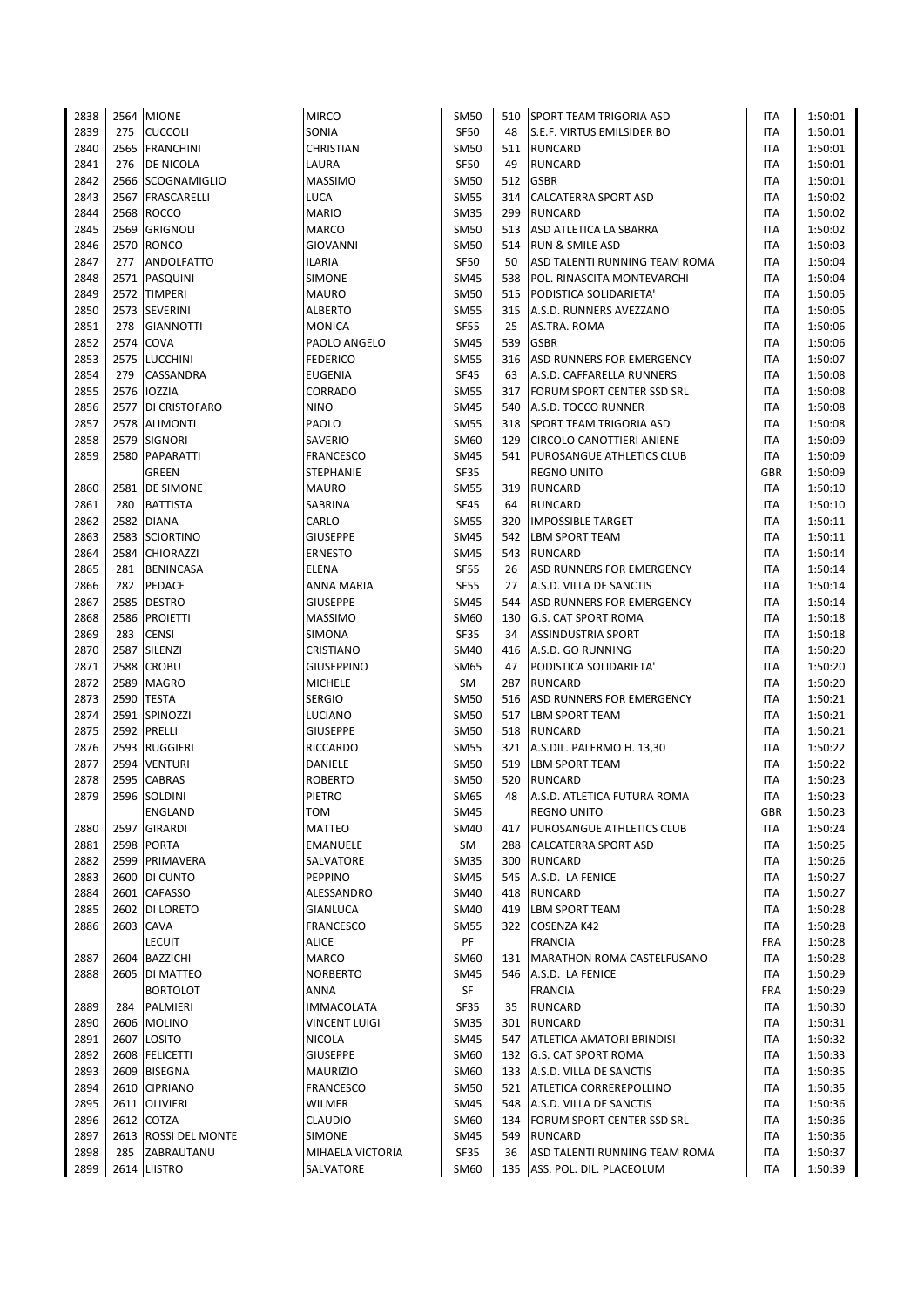| 2838 |      | 2564 MIONE             | <b>MIRCO</b>     | <b>SM50</b> | 510 | <b>SPORT TEAM TRIGORIA ASD</b>   | ITA        | 1:50:01 |
|------|------|------------------------|------------------|-------------|-----|----------------------------------|------------|---------|
| 2839 | 275  | <b>CUCCOLI</b>         | SONIA            | <b>SF50</b> | 48  | S.E.F. VIRTUS EMILSIDER BO       | <b>ITA</b> | 1:50:01 |
| 2840 | 2565 | <b>FRANCHINI</b>       | CHRISTIAN        | <b>SM50</b> | 511 | <b>RUNCARD</b>                   | <b>ITA</b> | 1:50:01 |
| 2841 | 276  | DE NICOLA              | LAURA            | <b>SF50</b> | 49  | <b>RUNCARD</b>                   | <b>ITA</b> | 1:50:01 |
| 2842 |      | 2566 SCOGNAMIGLIO      | MASSIMO          | <b>SM50</b> | 512 | <b>GSBR</b>                      | ITA        | 1:50:01 |
| 2843 |      | 2567 FRASCARELLI       | LUCA             | <b>SM55</b> | 314 | <b>CALCATERRA SPORT ASD</b>      | ITA        | 1:50:02 |
| 2844 | 2568 | <b>ROCCO</b>           | MARIO            | <b>SM35</b> | 299 | <b>RUNCARD</b>                   | ITA        | 1:50:02 |
| 2845 | 2569 | <b>GRIGNOLI</b>        | MARCO            | <b>SM50</b> |     | 513 ASD ATLETICA LA SBARRA       | ITA        | 1:50:02 |
| 2846 | 2570 | <b>RONCO</b>           | GIOVANNI         | <b>SM50</b> | 514 | <b>RUN &amp; SMILE ASD</b>       | <b>ITA</b> | 1:50:03 |
| 2847 | 277  | ANDOLFATTO             | <b>ILARIA</b>    | <b>SF50</b> | 50  | ASD TALENTI RUNNING TEAM ROMA    | <b>ITA</b> | 1:50:04 |
| 2848 | 2571 | PASQUINI               | SIMONE           | <b>SM45</b> | 538 | POL. RINASCITA MONTEVARCHI       | ITA        | 1:50:04 |
| 2849 |      | 2572 TIMPERI           | MAURO            | <b>SM50</b> |     | 515 PODISTICA SOLIDARIETA'       | <b>ITA</b> | 1:50:05 |
| 2850 |      | 2573 SEVERINI          | ALBERTO          | <b>SM55</b> |     | 315 A.S.D. RUNNERS AVEZZANO      | <b>ITA</b> | 1:50:05 |
| 2851 | 278  | <b>GIANNOTTI</b>       | MONICA           | <b>SF55</b> | 25  | AS.TRA. ROMA                     | <b>ITA</b> | 1:50:06 |
| 2852 | 2574 | <b>COVA</b>            | PAOLO ANGELO     | <b>SM45</b> | 539 | <b>GSBR</b>                      | ITA        | 1:50:06 |
| 2853 | 2575 | <b>LUCCHINI</b>        | <b>FEDERICO</b>  | <b>SM55</b> | 316 | ASD RUNNERS FOR EMERGENCY        | <b>ITA</b> | 1:50:07 |
| 2854 | 279  | CASSANDRA              | EUGENIA          | <b>SF45</b> | 63  | A.S.D. CAFFARELLA RUNNERS        | <b>ITA</b> | 1:50:08 |
| 2855 | 2576 | <b>IOZZIA</b>          | CORRADO          | <b>SM55</b> | 317 | FORUM SPORT CENTER SSD SRL       | <b>ITA</b> | 1:50:08 |
| 2856 | 2577 | <b>DI CRISTOFARO</b>   | NINO             | <b>SM45</b> | 540 | A.S.D. TOCCO RUNNER              | <b>ITA</b> | 1:50:08 |
| 2857 |      | 2578 ALIMONTI          | PAOLO            | <b>SM55</b> | 318 | <b>SPORT TEAM TRIGORIA ASD</b>   | <b>ITA</b> | 1:50:08 |
| 2858 | 2579 | <b>SIGNORI</b>         | SAVERIO          | SM60        | 129 | <b>CIRCOLO CANOTTIERI ANIENE</b> | <b>ITA</b> | 1:50:09 |
| 2859 | 2580 | PAPARATTI              | FRANCESCO        | <b>SM45</b> | 541 | <b>PUROSANGUE ATHLETICS CLUB</b> | ITA        | 1:50:09 |
|      |      | GREEN                  | STEPHANIE        | <b>SF35</b> |     | <b>REGNO UNITO</b>               | <b>GBR</b> | 1:50:09 |
| 2860 |      | 2581   DE SIMONE       | MAURO            | <b>SM55</b> | 319 | <b>RUNCARD</b>                   | <b>ITA</b> | 1:50:10 |
| 2861 | 280  | <b>BATTISTA</b>        | SABRINA          | SF45        | 64  | <b>RUNCARD</b>                   | ITA        | 1:50:10 |
| 2862 | 2582 | <b>DIANA</b>           | CARLO            | <b>SM55</b> | 320 | <b>IMPOSSIBLE TARGET</b>         | ITA        | 1:50:11 |
| 2863 | 2583 | <b>SCIORTINO</b>       | <b>GIUSEPPE</b>  | <b>SM45</b> | 542 | <b>LBM SPORT TEAM</b>            | ITA        | 1:50:11 |
| 2864 | 2584 | <b>CHIORAZZI</b>       | ERNESTO          | <b>SM45</b> |     | 543 RUNCARD                      | <b>ITA</b> | 1:50:14 |
| 2865 | 281  | <b>BENINCASA</b>       | ELENA            | <b>SF55</b> | 26  | <b>ASD RUNNERS FOR EMERGENCY</b> | ITA        | 1:50:14 |
| 2866 | 282  | PEDACE                 | ANNA MARIA       | <b>SF55</b> | 27  | A.S.D. VILLA DE SANCTIS          | ITA        | 1:50:14 |
| 2867 | 2585 | <b>DESTRO</b>          | GIUSEPPE         | <b>SM45</b> | 544 | <b>ASD RUNNERS FOR EMERGENCY</b> | ITA        | 1:50:14 |
| 2868 |      | 2586 PROIETTI          | MASSIMO          | SM60        | 130 | <b>G.S. CAT SPORT ROMA</b>       | <b>ITA</b> | 1:50:18 |
| 2869 | 283  | <b>CENSI</b>           | SIMONA           | <b>SF35</b> | 34  | <b>ASSINDUSTRIA SPORT</b>        | ITA        | 1:50:18 |
| 2870 | 2587 | SILENZI                | CRISTIANO        | <b>SM40</b> | 416 | A.S.D. GO RUNNING                | ITA        | 1:50:20 |
| 2871 | 2588 | <b>CROBU</b>           | GIUSEPPINO       | SM65        | 47  | PODISTICA SOLIDARIETA'           | ITA        | 1:50:20 |
| 2872 | 2589 | <b>MAGRO</b>           | <b>MICHELE</b>   | SM          |     | 287 RUNCARD                      | <b>ITA</b> | 1:50:20 |
| 2873 | 2590 | <b>TESTA</b>           | <b>SERGIO</b>    | <b>SM50</b> | 516 | ASD RUNNERS FOR EMERGENCY        | <b>ITA</b> | 1:50:21 |
| 2874 | 2591 | SPINOZZI               | LUCIANO          | <b>SM50</b> |     | 517 LBM SPORT TEAM               | ITA        | 1:50:21 |
| 2875 |      | 2592 PRELLI            | <b>GIUSEPPE</b>  | <b>SM50</b> |     | 518 RUNCARD                      | <b>ITA</b> | 1:50:21 |
| 2876 |      | 2593 RUGGIERI          | <b>RICCARDO</b>  | <b>SM55</b> |     | 321 A.S.DIL. PALERMO H. 13,30    | <b>ITA</b> | 1:50:22 |
| 2877 | 2594 | <b>VENTURI</b>         | DANIELE          | <b>SM50</b> | 519 | <b>LBM SPORT TEAM</b>            | ITA        | 1:50:22 |
| 2878 | 2595 | <b>CABRAS</b>          | ROBERTO          | <b>SM50</b> | 520 | <b>RUNCARD</b>                   | <b>ITA</b> | 1:50:23 |
| 2879 |      | 2596 SOLDINI           | PIETRO           | SM65        | 48  | A.S.D. ATLETICA FUTURA ROMA      | <b>ITA</b> | 1:50:23 |
|      |      | ENGLAND                | TOM              | <b>SM45</b> |     | <b>REGNO UNITO</b>               | GBR        | 1:50:23 |
| 2880 | 2597 | GIRARDI                | MATTEO           | <b>SM40</b> | 417 | <b>PUROSANGUE ATHLETICS CLUB</b> | ITA        | 1:50:24 |
| 2881 | 2598 | <b>PORTA</b>           | EMANUELE         | SM          | 288 | <b>CALCATERRA SPORT ASD</b>      | ITA        | 1:50:25 |
| 2882 | 2599 | PRIMAVERA              | SALVATORE        | <b>SM35</b> |     | 300 RUNCARD                      | ITA        | 1:50:26 |
| 2883 | 2600 | DI CUNTO               | PEPPINO          | <b>SM45</b> |     | 545 A.S.D. LA FENICE             | ITA        | 1:50:27 |
| 2884 | 2601 | CAFASSO                | ALESSANDRO       | SM40        | 418 | <b>RUNCARD</b>                   | ITA        | 1:50:27 |
| 2885 | 2602 | DI LORETO              | GIANLUCA         | SM40        | 419 | LBM SPORT TEAM                   | ITA        | 1:50:28 |
| 2886 |      | 2603 CAVA              | FRANCESCO        | <b>SM55</b> |     | 322 COSENZA K42                  | ITA        | 1:50:28 |
|      |      | <b>LECUIT</b>          | ALICE            | PF          |     | <b>FRANCIA</b>                   | <b>FRA</b> | 1:50:28 |
| 2887 | 2604 | BAZZICHI               | MARCO            | SM60        | 131 | MARATHON ROMA CASTELFUSANO       | ITA        | 1:50:28 |
| 2888 | 2605 | DI MATTEO              | NORBERTO         | <b>SM45</b> |     | 546 A.S.D. LA FENICE             | ITA        | 1:50:29 |
|      |      | <b>BORTOLOT</b>        | ANNA             | SF          |     | <b>FRANCIA</b>                   | <b>FRA</b> | 1:50:29 |
| 2889 | 284  | PALMIERI               | IMMACOLATA       | SF35        | 35  | <b>RUNCARD</b>                   | ITA        | 1:50:30 |
| 2890 | 2606 | <b>MOLINO</b>          | VINCENT LUIGI    | <b>SM35</b> | 301 | <b>RUNCARD</b>                   | ITA        | 1:50:31 |
| 2891 | 2607 | <b>LOSITO</b>          | NICOLA           | <b>SM45</b> | 547 | <b>ATLETICA AMATORI BRINDISI</b> | ITA        | 1:50:32 |
| 2892 |      | 2608 FELICETTI         | GIUSEPPE         | <b>SM60</b> |     | 132 G.S. CAT SPORT ROMA          | ITA        | 1:50:33 |
| 2893 | 2609 | <b>BISEGNA</b>         | MAURIZIO         | SM60        |     | 133 A.S.D. VILLA DE SANCTIS      | ITA        | 1:50:35 |
| 2894 | 2610 | <b>CIPRIANO</b>        | FRANCESCO        | <b>SM50</b> |     | 521 ATLETICA CORREREPOLLINO      | ITA        | 1:50:35 |
| 2895 | 2611 | <b>OLIVIERI</b>        | WILMER           | <b>SM45</b> |     | 548 A.S.D. VILLA DE SANCTIS      | ITA        | 1:50:36 |
| 2896 |      | 2612 COTZA             | CLAUDIO          | SM60        |     | 134 FORUM SPORT CENTER SSD SRL   | ITA        | 1:50:36 |
| 2897 | 2613 | <b>ROSSI DEL MONTE</b> | SIMONE           | <b>SM45</b> | 549 | <b>RUNCARD</b>                   | ITA        | 1:50:36 |
| 2898 | 285  | ZABRAUTANU             | MIHAELA VICTORIA | SF35        | 36  | ASD TALENTI RUNNING TEAM ROMA    | ITA        | 1:50:37 |
| 2899 |      | 2614 LIISTRO           | SALVATORE        | SM60        |     | 135 ASS. POL. DIL. PLACEOLUM     | <b>ITA</b> | 1:50:39 |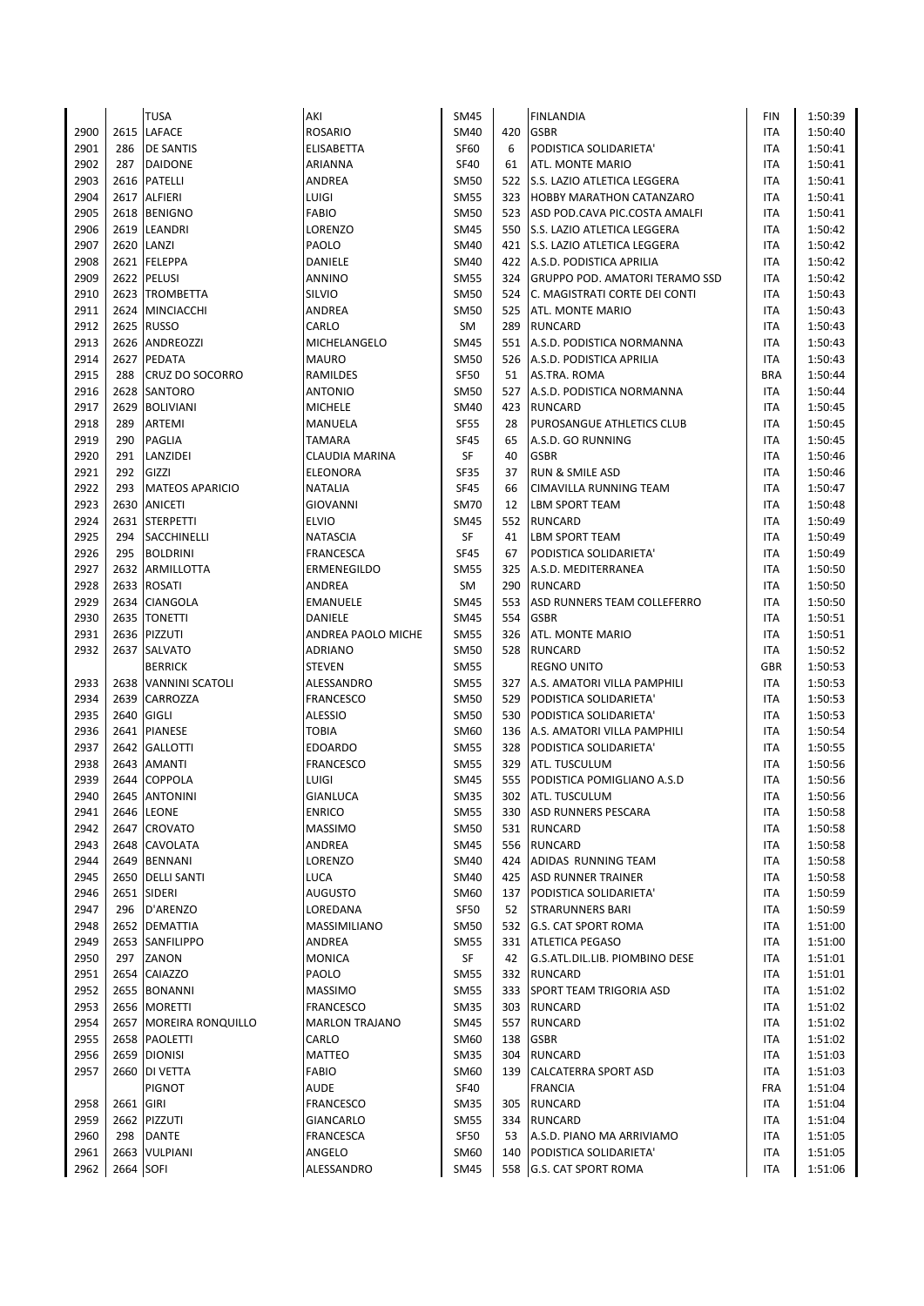|      |           | <b>TUSA</b>              | AKI                   | <b>SM45</b> |     | <b>FINLANDIA</b>                   | FIN        | 1:50:39 |
|------|-----------|--------------------------|-----------------------|-------------|-----|------------------------------------|------------|---------|
| 2900 | 2615      | <b>LAFACE</b>            | <b>ROSARIO</b>        | <b>SM40</b> | 420 | <b>GSBR</b>                        | ITA        | 1:50:40 |
| 2901 | 286       | <b>DE SANTIS</b>         | ELISABETTA            | <b>SF60</b> | 6   | PODISTICA SOLIDARIETA'             | <b>ITA</b> | 1:50:41 |
| 2902 | 287       | <b>DAIDONE</b>           | ARIANNA               | SF40        | 61  | ATL. MONTE MARIO                   | <b>ITA</b> | 1:50:41 |
| 2903 |           | 2616 PATELLI             | ANDREA                | <b>SM50</b> | 522 | <b>S.S. LAZIO ATLETICA LEGGERA</b> | <b>ITA</b> | 1:50:41 |
| 2904 | 2617      | <b>ALFIERI</b>           | LUIGI                 | <b>SM55</b> | 323 | <b>HOBBY MARATHON CATANZARO</b>    | ITA        | 1:50:41 |
| 2905 | 2618      | <b>BENIGNO</b>           | FABIO                 | <b>SM50</b> | 523 | ASD POD.CAVA PIC.COSTA AMALFI      | ITA        | 1:50:41 |
| 2906 | 2619      | LEANDRI                  | LORENZO               | <b>SM45</b> | 550 | S.S. LAZIO ATLETICA LEGGERA        | <b>ITA</b> | 1:50:42 |
| 2907 | 2620      | LANZI                    | PAOLO                 | <b>SM40</b> |     | 421 S.S. LAZIO ATLETICA LEGGERA    | <b>ITA</b> | 1:50:42 |
| 2908 | 2621      | <b>FELEPPA</b>           | DANIELE               | <b>SM40</b> |     | 422 A.S.D. PODISTICA APRILIA       | <b>ITA</b> | 1:50:42 |
| 2909 | 2622      | <b>PELUSI</b>            | ANNINO                | <b>SM55</b> |     | 324 GRUPPO POD. AMATORI TERAMO SSD | ITA        | 1:50:42 |
| 2910 |           | 2623 TROMBETTA           | Silvio                | <b>SM50</b> | 524 | C. MAGISTRATI CORTE DEI CONTI      | <b>ITA</b> | 1:50:43 |
| 2911 |           | 2624 MINCIACCHI          | ANDREA                | <b>SM50</b> |     | 525 ATL. MONTE MARIO               | <b>ITA</b> | 1:50:43 |
| 2912 | 2625      | <b>RUSSO</b>             | CARLO                 | SM          | 289 | <b>RUNCARD</b>                     | <b>ITA</b> | 1:50:43 |
| 2913 | 2626      | <b>ANDREOZZI</b>         | MICHELANGELO          | <b>SM45</b> |     | 551 A.S.D. PODISTICA NORMANNA      | <b>ITA</b> | 1:50:43 |
| 2914 |           | 2627 PEDATA              | MAURO                 | <b>SM50</b> |     | 526 A.S.D. PODISTICA APRILIA       | <b>ITA</b> | 1:50:43 |
| 2915 | 288       | <b>CRUZ DO SOCORRO</b>   | RAMILDES              | <b>SF50</b> | 51  | AS.TRA. ROMA                       | <b>BRA</b> | 1:50:44 |
| 2916 | 2628      | <b>SANTORO</b>           | <b>ANTONIO</b>        | <b>SM50</b> | 527 | A.S.D. PODISTICA NORMANNA          | <b>ITA</b> | 1:50:44 |
| 2917 | 2629      | <b>BOLIVIANI</b>         | <b>MICHELE</b>        | SM40        | 423 | <b>RUNCARD</b>                     | <b>ITA</b> | 1:50:45 |
| 2918 | 289       | ARTEMI                   | MANUELA               | <b>SF55</b> | 28  | PUROSANGUE ATHLETICS CLUB          | <b>ITA</b> | 1:50:45 |
| 2919 | 290       | <b>PAGLIA</b>            | TAMARA                | <b>SF45</b> | 65  | A.S.D. GO RUNNING                  | <b>ITA</b> | 1:50:45 |
| 2920 | 291       | LANZIDEI                 | CLAUDIA MARINA        | SF          | 40  | <b>GSBR</b>                        | ITA        | 1:50:46 |
| 2921 | 292       | GIZZI                    | ELEONORA              | SF35        | 37  | <b>RUN &amp; SMILE ASD</b>         | ITA        | 1:50:46 |
| 2922 | 293       | <b>MATEOS APARICIO</b>   | NATALIA               | <b>SF45</b> | 66  | <b>CIMAVILLA RUNNING TEAM</b>      | ITA        | 1:50:47 |
| 2923 | 2630      | <b>ANICETI</b>           | GIOVANNI              | <b>SM70</b> | 12  | <b>LBM SPORT TEAM</b>              | ITA        | 1:50:48 |
| 2924 | 2631      | <b>STERPETTI</b>         | ELVIO                 | <b>SM45</b> | 552 | <b>RUNCARD</b>                     | <b>ITA</b> | 1:50:49 |
| 2925 | 294       | SACCHINELLI              | NATASCIA              | SF          | 41  | <b>LBM SPORT TEAM</b>              | ITA        | 1:50:49 |
| 2926 | 295       | <b>BOLDRINI</b>          | FRANCESCA             | <b>SF45</b> | 67  | PODISTICA SOLIDARIETA'             | <b>ITA</b> | 1:50:49 |
| 2927 | 2632      | <b>ARMILLOTTA</b>        | ERMENEGILDO           | <b>SM55</b> | 325 | A.S.D. MEDITERRANEA                | <b>ITA</b> | 1:50:50 |
| 2928 | 2633      | <b>ROSATI</b>            | ANDREA                | SM          | 290 | <b>RUNCARD</b>                     | ITA        | 1:50:50 |
| 2929 | 2634      | <b>CIANGOLA</b>          | EMANUELE              | <b>SM45</b> | 553 | ASD RUNNERS TEAM COLLEFERRO        | ITA        | 1:50:50 |
| 2930 | 2635      | <b>TONETTI</b>           | DANIELE               | <b>SM45</b> | 554 | <b>GSBR</b>                        | <b>ITA</b> | 1:50:51 |
| 2931 | 2636      | PIZZUTI                  | ANDREA PAOLO MICHE    | <b>SM55</b> | 326 | ATL. MONTE MARIO                   | <b>ITA</b> | 1:50:51 |
| 2932 | 2637      | <b>SALVATO</b>           | <b>ADRIANO</b>        | <b>SM50</b> | 528 | <b>RUNCARD</b>                     | ITA        | 1:50:52 |
|      |           | <b>BERRICK</b>           | STEVEN                | <b>SM55</b> |     | <b>REGNO UNITO</b>                 | <b>GBR</b> | 1:50:53 |
| 2933 |           | 2638 VANNINI SCATOLI     | ALESSANDRO            | <b>SM55</b> |     | 327 A.S. AMATORI VILLA PAMPHILI    | <b>ITA</b> | 1:50:53 |
| 2934 | 2639      | CARROZZA                 | FRANCESCO             | <b>SM50</b> | 529 | PODISTICA SOLIDARIETA'             | <b>ITA</b> | 1:50:53 |
| 2935 | 2640      | <b>GIGLI</b>             | ALESSIO               | <b>SM50</b> | 530 | PODISTICA SOLIDARIETA'             | ITA        | 1:50:53 |
| 2936 | 2641      | <b>PIANESE</b>           | TOBIA                 | <b>SM60</b> | 136 | A.S. AMATORI VILLA PAMPHILI        | <b>ITA</b> | 1:50:54 |
| 2937 | 2642      | <b>GALLOTTI</b>          | EDOARDO               | <b>SM55</b> |     | 328 PODISTICA SOLIDARIETA'         | <b>ITA</b> | 1:50:55 |
| 2938 | 2643      | <b>AMANTI</b>            | <b>FRANCESCO</b>      | <b>SM55</b> |     | 329 ATL. TUSCULUM                  | <b>ITA</b> | 1:50:56 |
| 2939 | 2644      | <b>COPPOLA</b>           | LUIGI                 | <b>SM45</b> |     | 555 PODISTICA POMIGLIANO A.S.D     | <b>ITA</b> | 1:50:56 |
| 2940 |           | 2645 ANTONINI            | <b>GIANLUCA</b>       | <b>SM35</b> |     | 302 ATL. TUSCULUM                  | <b>ITA</b> | 1:50:56 |
| 2941 |           | 2646 LEONE               | ENRICO                | <b>SM55</b> |     | 330 ASD RUNNERS PESCARA            | ITA        | 1:50:58 |
| 2942 | 2647      | <b>CROVATO</b>           | MASSIMO               | <b>SM50</b> |     | 531 RUNCARD                        | ITA        | 1:50:58 |
| 2943 | 2648      | <b>CAVOLATA</b>          | ANDREA                | <b>SM45</b> |     | 556 RUNCARD                        | ITA        | 1:50:58 |
| 2944 |           | 2649 BENNANI             | LORENZO               | <b>SM40</b> |     | 424 ADIDAS RUNNING TEAM            | ITA        | 1:50:58 |
| 2945 |           | 2650 DELLI SANTI         | LUCA                  | <b>SM40</b> |     | 425 ASD RUNNER TRAINER             | ITA        | 1:50:58 |
| 2946 | 2651      | <b>SIDERI</b>            | AUGUSTO               | SM60        | 137 | PODISTICA SOLIDARIETA'             | ITA        | 1:50:59 |
| 2947 | 296       | D'ARENZO                 | LOREDANA              | <b>SF50</b> | 52  | <b>STRARUNNERS BARI</b>            | ITA        | 1:50:59 |
| 2948 |           | 2652 DEMATTIA            | MASSIMILIANO          | <b>SM50</b> | 532 | <b>G.S. CAT SPORT ROMA</b>         | ITA        | 1:51:00 |
| 2949 |           | 2653 SANFILIPPO          | ANDREA                | <b>SM55</b> |     | 331   ATLETICA PEGASO              | ITA        | 1:51:00 |
| 2950 | 297       | ZANON                    | MONICA                | SF          | 42  | G.S.ATL.DIL.LIB. PIOMBINO DESE     | ITA        | 1:51:01 |
| 2951 | 2654      | CAIAZZO                  | PAOLO                 | <b>SM55</b> |     | 332 RUNCARD                        | ITA        | 1:51:01 |
| 2952 |           | 2655 BONANNI             | MASSIMO               | <b>SM55</b> |     | 333 SPORT TEAM TRIGORIA ASD        |            | 1:51:02 |
| 2953 |           |                          |                       | <b>SM35</b> |     |                                    | ITA        | 1:51:02 |
|      |           | 2656 MORETTI             | FRANCESCO             |             |     | 303 RUNCARD                        | ITA        |         |
| 2954 |           | 2657   MOREIRA RONQUILLO | <b>MARLON TRAJANO</b> | <b>SM45</b> | 557 | <b>RUNCARD</b>                     | ITA        | 1:51:02 |
| 2955 |           | 2658 PAOLETTI            | CARLO                 | <b>SM60</b> | 138 | <b>GSBR</b>                        | ITA        | 1:51:02 |
| 2956 |           | 2659 DIONISI             | MATTEO                | <b>SM35</b> | 304 | RUNCARD                            | ITA        | 1:51:03 |
| 2957 | 2660      | <b>DI VETTA</b>          | FABIO                 | SM60        |     | 139 CALCATERRA SPORT ASD           | ITA        | 1:51:03 |
|      |           | <b>PIGNOT</b>            | <b>AUDE</b>           | SF40        |     | <b>FRANCIA</b>                     | <b>FRA</b> | 1:51:04 |
| 2958 | 2661 GIRI |                          | FRANCESCO             | <b>SM35</b> | 305 | <b>RUNCARD</b>                     | ITA        | 1:51:04 |
| 2959 |           | 2662 PIZZUTI             | GIANCARLO             | <b>SM55</b> |     | 334 RUNCARD                        | ITA        | 1:51:04 |
| 2960 | 298       | <b>DANTE</b>             | FRANCESCA             | <b>SF50</b> | 53  | A.S.D. PIANO MA ARRIVIAMO          | ITA        | 1:51:05 |
| 2961 | 2663      | VULPIANI                 | ANGELO                | SM60        | 140 | PODISTICA SOLIDARIETA'             | ITA        | 1:51:05 |
| 2962 | 2664 SOFI |                          | ALESSANDRO            | <b>SM45</b> |     | 558 G.S. CAT SPORT ROMA            | <b>ITA</b> | 1:51:06 |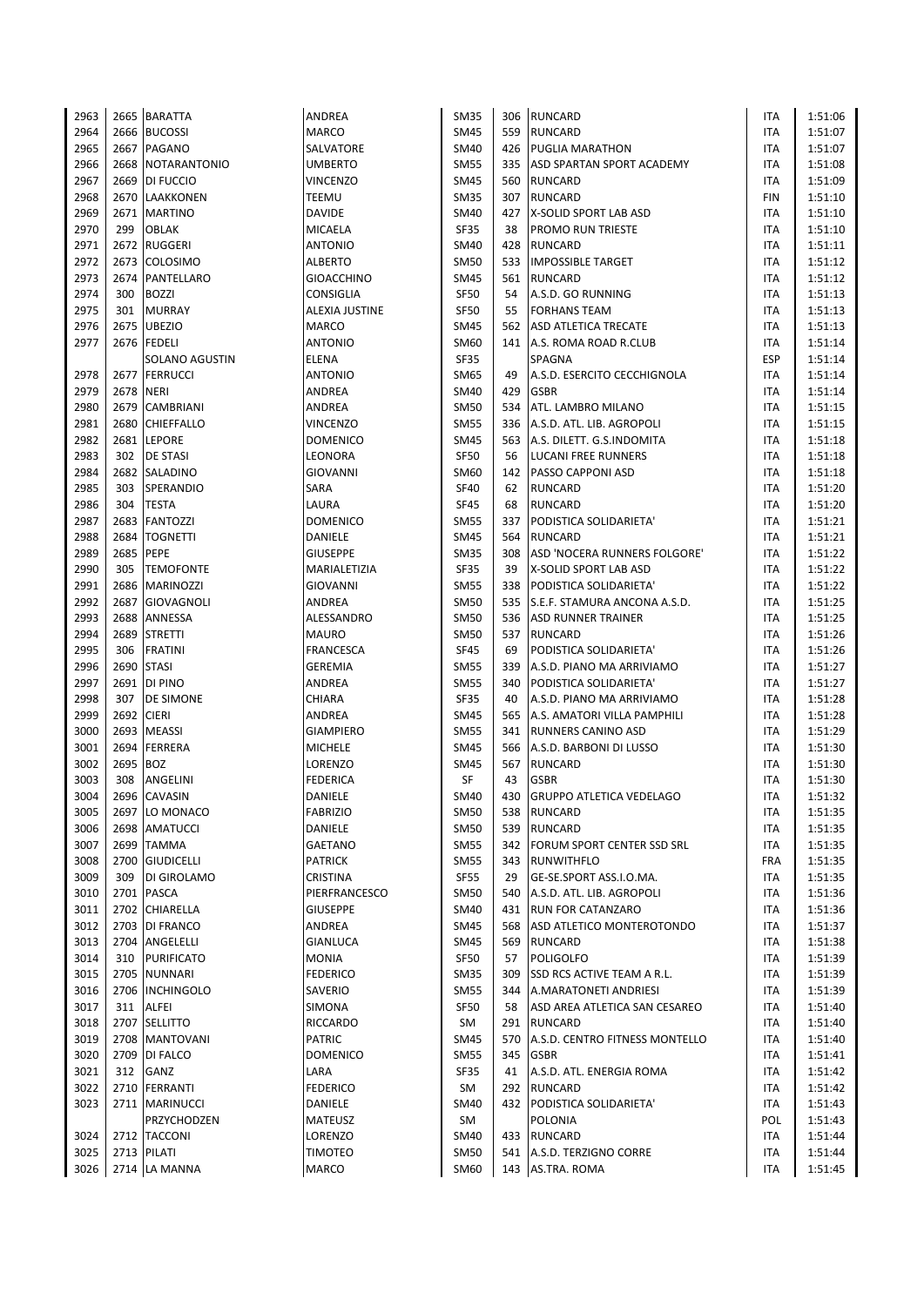| 2963         |           | 2665 BARATTA              | ANDREA                           | <b>SM35</b>                |           | 306 RUNCARD                                          | ITA        | 1:51:06            |
|--------------|-----------|---------------------------|----------------------------------|----------------------------|-----------|------------------------------------------------------|------------|--------------------|
| 2964         |           | 2666 BUCOSSI              | <b>MARCO</b>                     | <b>SM45</b>                | 559       | <b>RUNCARD</b>                                       | ITA        | 1:51:07            |
| 2965         |           | 2667 PAGANO               | SALVATORE                        | SM40                       | 426       | <b>PUGLIA MARATHON</b>                               | ITA        | 1:51:07            |
| 2966         |           | 2668 NOTARANTONIO         | <b>UMBERTO</b>                   | <b>SM55</b>                | 335       | ASD SPARTAN SPORT ACADEMY                            | <b>ITA</b> | 1:51:08            |
| 2967         |           | 2669 DI FUCCIO            | <b>VINCENZO</b>                  | <b>SM45</b>                |           | 560 RUNCARD                                          | <b>ITA</b> | 1:51:09            |
| 2968         |           | 2670 LAAKKONEN            | TEEMU                            | <b>SM35</b>                | 307       | <b>RUNCARD</b>                                       | <b>FIN</b> | 1:51:10            |
| 2969         |           | 2671   MARTINO            | DAVIDE                           | SM40                       | 427       | X-SOLID SPORT LAB ASD                                | ITA        | 1:51:10            |
| 2970         | 299       | <b>OBLAK</b>              | MICAELA                          | <b>SF35</b>                | 38        | <b>PROMO RUN TRIESTE</b>                             | ITA        | 1:51:10            |
| 2971         |           | 2672 RUGGERI              | <b>ANTONIO</b>                   | SM40                       | 428       | <b>RUNCARD</b>                                       | <b>ITA</b> | 1:51:11            |
| 2972         | 2673      | <b>COLOSIMO</b>           | <b>ALBERTO</b>                   | <b>SM50</b>                | 533       | <b>IMPOSSIBLE TARGET</b>                             | ITA        | 1:51:12            |
| 2973         | 2674      | PANTELLARO                | GIOACCHINO                       | <b>SM45</b>                | 561       | <b>RUNCARD</b>                                       | ITA        | 1:51:12            |
| 2974         | 300       | <b>BOZZI</b>              | CONSIGLIA                        | <b>SF50</b>                | 54        | A.S.D. GO RUNNING                                    | ITA        | 1:51:13            |
| 2975         | 301       | <b>MURRAY</b>             | ALEXIA JUSTINE                   | <b>SF50</b>                | 55        | <b>FORHANS TEAM</b>                                  | ITA        | 1:51:13            |
| 2976         | 2675      | <b>UBEZIO</b>             | <b>MARCO</b>                     | SM45                       | 562       | ASD ATLETICA TRECATE                                 | ITA        | 1:51:13            |
| 2977         |           | 2676 FEDELI               | <b>ANTONIO</b>                   | SM60                       |           |                                                      | ITA        |                    |
|              |           |                           |                                  |                            |           | 141 A.S. ROMA ROAD R.CLUB                            |            | 1:51:14            |
|              |           | SOLANO AGUSTIN            | <b>ELENA</b>                     | <b>SF35</b>                |           | SPAGNA                                               | <b>ESP</b> | 1:51:14            |
| 2978         |           | 2677 FERRUCCI             | <b>ANTONIO</b>                   | SM65                       | 49        | A.S.D. ESERCITO CECCHIGNOLA                          | <b>ITA</b> | 1:51:14            |
| 2979         | 2678      | <b>NERI</b>               | ANDREA                           | SM40                       | 429       | <b>GSBR</b>                                          | ITA        | 1:51:14            |
| 2980         | 2679      | <b>CAMBRIANI</b>          | ANDREA                           | <b>SM50</b>                | 534       | <b>ATL. LAMBRO MILANO</b>                            | <b>ITA</b> | 1:51:15            |
| 2981         | 2680      | <b>CHIEFFALLO</b>         | VINCENZO                         | <b>SM55</b>                | 336       | A.S.D. ATL. LIB. AGROPOLI                            | ITA        | 1:51:15            |
| 2982         |           | 2681 LEPORE               | <b>DOMENICO</b>                  | SM45                       | 563       | A.S. DILETT. G.S.INDOMITA                            | <b>ITA</b> | 1:51:18            |
| 2983         | 302       | <b>DE STASI</b>           | LEONORA                          | SF50                       | 56        | LUCANI FREE RUNNERS                                  | ITA        | 1:51:18            |
| 2984         |           | 2682 SALADINO             | <b>GIOVANNI</b>                  | SM60                       | 142       | <b>PASSO CAPPONI ASD</b>                             | ITA        | 1:51:18            |
| 2985         | 303       | SPERANDIO                 | SARA                             | <b>SF40</b>                | 62        | <b>RUNCARD</b>                                       | ITA        | 1:51:20            |
| 2986         | 304       | <b>TESTA</b>              | LAURA                            | <b>SF45</b>                | 68        | <b>RUNCARD</b>                                       | ITA        | 1:51:20            |
| 2987         | 2683      | <b>FANTOZZI</b>           | DOMENICO                         | <b>SM55</b>                | 337       | PODISTICA SOLIDARIETA'                               | ITA        | 1:51:21            |
| 2988         | 2684      | <b>TOGNETTI</b>           | DANIELE                          | SM45                       | 564       | <b>RUNCARD</b>                                       | ITA        | 1:51:21            |
| 2989         | 2685 PEPE |                           | <b>GIUSEPPE</b>                  | <b>SM35</b>                | 308       | ASD 'NOCERA RUNNERS FOLGORE'                         | ITA        | 1:51:22            |
| 2990         | 305       | <b>TEMOFONTE</b>          | MARIALETIZIA                     | <b>SF35</b>                | 39        | X-SOLID SPORT LAB ASD                                | ITA        | 1:51:22            |
| 2991         |           | 2686 MARINOZZI            | GIOVANNI                         | <b>SM55</b>                | 338       | PODISTICA SOLIDARIETA'                               | ITA        | 1:51:22            |
| 2992         |           | 2687 GIOVAGNOLI           | ANDREA                           | <b>SM50</b>                | 535       | S.E.F. STAMURA ANCONA A.S.D.                         | <b>ITA</b> | 1:51:25            |
| 2993         |           | 2688 ANNESSA              | ALESSANDRO                       | <b>SM50</b>                | 536       | <b>ASD RUNNER TRAINER</b>                            | ITA        | 1:51:25            |
| 2994         | 2689      | <b>STRETTI</b>            | <b>MAURO</b>                     | <b>SM50</b>                | 537       | <b>RUNCARD</b>                                       | ITA        | 1:51:26            |
| 2995         | 306       | <b>FRATINI</b>            | <b>FRANCESCA</b>                 | <b>SF45</b>                | 69        | PODISTICA SOLIDARIETA'                               | ITA        | 1:51:26            |
| 2996         |           | 2690 STASI                | <b>GEREMIA</b>                   | <b>SM55</b>                | 339       | A.S.D. PIANO MA ARRIVIAMO                            | <b>ITA</b> | 1:51:27            |
| 2997         |           | 2691 DI PINO              | ANDREA                           | <b>SM55</b>                | 340       | PODISTICA SOLIDARIETA'                               | ITA        | 1:51:27            |
| 2998         | 307       | <b>DE SIMONE</b>          | CHIARA                           | <b>SF35</b>                | 40        | A.S.D. PIANO MA ARRIVIAMO                            | ITA        | 1:51:28            |
| 2999         | 2692      | <b>CIERI</b>              | ANDREA                           | SM45                       | 565       | A.S. AMATORI VILLA PAMPHILI                          | ITA        | 1:51:28            |
| 3000         |           | 2693 MEASSI               | <b>GIAMPIERO</b>                 | <b>SM55</b>                | 341       | <b>RUNNERS CANINO ASD</b>                            | ITA        | 1:51:29            |
| 3001         | 2694      | <b>FERRERA</b>            | <b>MICHELE</b>                   | SM45                       | 566       | A.S.D. BARBONI DI LUSSO                              | ITA        | 1:51:30            |
| 3002         | 2695      | <b>BOZ</b>                | LORENZO                          | <b>SM45</b>                | 567       | <b>RUNCARD</b>                                       | ITA        | 1:51:30            |
| 3003         | 308       | ANGELINI                  | <b>FEDERICA</b>                  | SF                         | 43        | <b>GSBR</b>                                          | ITA        | 1:51:30            |
| 3004         |           | 2696 CAVASIN              | DANIELE                          | <b>SM40</b>                | 430       | <b>GRUPPO ATLETICA VEDELAGO</b>                      | <b>ITA</b> | 1:51:32            |
| 3005         |           | 2697 LO MONACO            | <b>FABRIZIO</b>                  | <b>SM50</b>                | 538       | <b>RUNCARD</b>                                       | ITA        | 1:51:35            |
| 3006         | 2698      | AMATUCCI                  | DANIELE                          | <b>SM50</b>                | 539       | <b>RUNCARD</b>                                       | ITA        | 1:51:35            |
| 3007         |           | 2699 TAMMA                | GAETANO                          | <b>SM55</b>                | 342       | <b>FORUM SPORT CENTER SSD SRL</b>                    | ITA        | 1:51:35            |
| 3008         |           | 2700 GIUDICELLI           | <b>PATRICK</b>                   | <b>SM55</b>                | 343       | <b>RUNWITHFLO</b>                                    | <b>FRA</b> | 1:51:35            |
|              |           |                           |                                  |                            |           |                                                      |            |                    |
| 3009<br>3010 | 309       | DI GIROLAMO<br>2701 PASCA | <b>CRISTINA</b><br>PIERFRANCESCO | <b>SF55</b><br><b>SM50</b> | 29<br>540 | GE-SE.SPORT ASS.I.O.MA.<br>A.S.D. ATL. LIB. AGROPOLI | ITA<br>ITA | 1:51:35<br>1:51:36 |
|              |           |                           |                                  |                            |           |                                                      |            |                    |
| 3011         |           | 2702 CHIARELLA            | <b>GIUSEPPE</b>                  | SM40                       | 431       | <b>RUN FOR CATANZARO</b>                             | ITA        | 1:51:36            |
| 3012         |           | 2703 DI FRANCO            | ANDREA                           | <b>SM45</b>                | 568       | ASD ATLETICO MONTEROTONDO                            | ITA        | 1:51:37            |
| 3013         |           | 2704 ANGELELLI            | <b>GIANLUCA</b>                  | <b>SM45</b>                | 569       | <b>RUNCARD</b>                                       | ITA        | 1:51:38            |
| 3014         | 310       | <b>PURIFICATO</b>         | <b>MONIA</b>                     | SF50                       | 57        | <b>POLIGOLFO</b>                                     | ITA        | 1:51:39            |
| 3015         |           | 2705 NUNNARI              | <b>FEDERICO</b>                  | <b>SM35</b>                | 309       | <b>SSD RCS ACTIVE TEAM A R.L.</b>                    | ITA        | 1:51:39            |
| 3016         |           | 2706 INCHINGOLO           | SAVERIO                          | <b>SM55</b>                | 344       | A.MARATONETI ANDRIESI                                | ITA        | 1:51:39            |
| 3017         | 311       | ALFEI                     | SIMONA                           | <b>SF50</b>                | 58        | ASD AREA ATLETICA SAN CESAREO                        | ITA        | 1:51:40            |
| 3018         |           | 2707 SELLITTO             | RICCARDO                         | SM                         | 291       | RUNCARD                                              | ITA        | 1:51:40            |
| 3019         |           | 2708 MANTOVANI            | <b>PATRIC</b>                    | SM45                       | 570       | A.S.D. CENTRO FITNESS MONTELLO                       | ITA        | 1:51:40            |
| 3020         |           | 2709 DI FALCO             | <b>DOMENICO</b>                  | <b>SM55</b>                | 345       | <b>GSBR</b>                                          | ITA        | 1:51:41            |
| 3021         | 312       | GANZ                      | LARA                             | <b>SF35</b>                | 41        | A.S.D. ATL. ENERGIA ROMA                             | ITA        | 1:51:42            |
| 3022         |           | 2710 FERRANTI             | <b>FEDERICO</b>                  | SM                         | 292       | <b>RUNCARD</b>                                       | ITA        | 1:51:42            |
| 3023         |           | 2711   MARINUCCI          | DANIELE                          | SM40                       |           | 432 PODISTICA SOLIDARIETA'                           | ITA        | 1:51:43            |
|              |           | PRZYCHODZEN               | MATEUSZ                          | SM                         |           | <b>POLONIA</b>                                       | POL        | 1:51:43            |
| 3024         |           | 2712 TACCONI              | LORENZO                          | <b>SM40</b>                | 433       | <b>RUNCARD</b>                                       | ITA        | 1:51:44            |
| 3025         |           | 2713 PILATI               | <b>TIMOTEO</b>                   | SM50                       | 541       | A.S.D. TERZIGNO CORRE                                | ITA        | 1:51:44            |
| 3026         |           | 2714 LA MANNA             | MARCO                            | SM60                       |           | 143 AS.TRA. ROMA                                     | ITA        | 1:51:45            |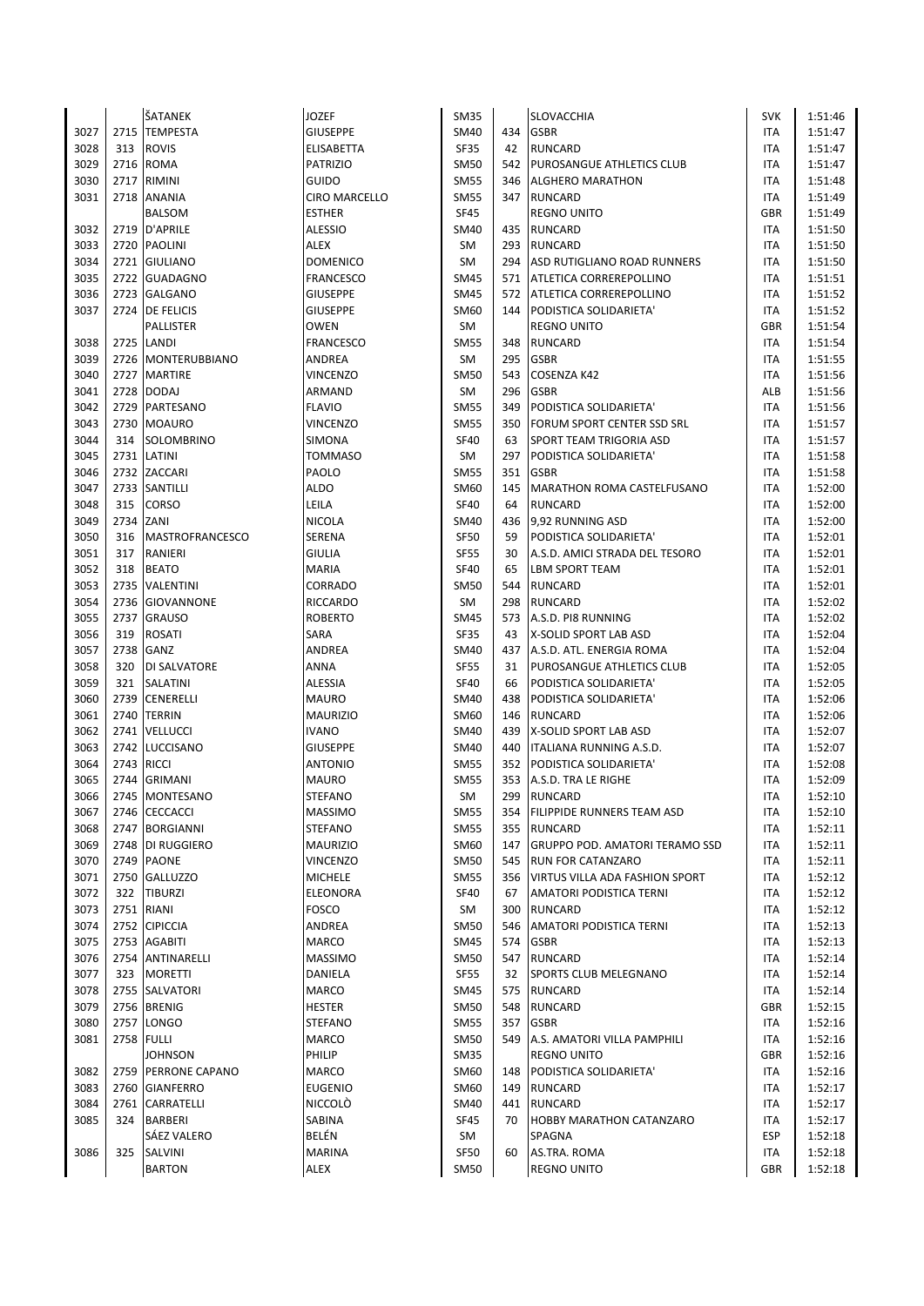|      |      | ŠATANEK                | <b>JOZEF</b>     | <b>SM35</b> |     | SLOVACCHIA                            | <b>SVK</b> | 1:51:46 |
|------|------|------------------------|------------------|-------------|-----|---------------------------------------|------------|---------|
| 3027 |      | 2715 TEMPESTA          | <b>GIUSEPPE</b>  | <b>SM40</b> | 434 | <b>GSBR</b>                           | ITA        | 1:51:47 |
| 3028 | 313  | <b>ROVIS</b>           | ELISABETTA       | <b>SF35</b> | 42  | <b>RUNCARD</b>                        | ITA        | 1:51:47 |
| 3029 |      | 2716 ROMA              | <b>PATRIZIO</b>  | <b>SM50</b> | 542 | <b>PUROSANGUE ATHLETICS CLUB</b>      | <b>ITA</b> | 1:51:47 |
| 3030 |      | 2717 RIMINI            | <b>GUIDO</b>     | <b>SM55</b> | 346 | <b>ALGHERO MARATHON</b>               | <b>ITA</b> | 1:51:48 |
| 3031 | 2718 | <b>ANANIA</b>          | CIRO MARCELLO    | <b>SM55</b> | 347 | RUNCARD                               | ITA        | 1:51:49 |
|      |      | <b>BALSOM</b>          | <b>ESTHER</b>    | <b>SF45</b> |     | <b>REGNO UNITO</b>                    | <b>GBR</b> | 1:51:49 |
| 3032 |      | 2719 D'APRILE          | <b>ALESSIO</b>   | SM40        | 435 | <b>RUNCARD</b>                        | ITA        | 1:51:50 |
| 3033 |      | 2720 PAOLINI           | <b>ALEX</b>      | SM          |     | 293 RUNCARD                           | ITA        | 1:51:50 |
| 3034 |      | 2721 GIULIANO          | <b>DOMENICO</b>  | <b>SM</b>   | 294 | ASD RUTIGLIANO ROAD RUNNERS           | ITA        | 1:51:50 |
| 3035 |      | 2722 GUADAGNO          | <b>FRANCESCO</b> | <b>SM45</b> | 571 | <b>ATLETICA CORREREPOLLINO</b>        | ITA        | 1:51:51 |
| 3036 |      | 2723 GALGANO           | <b>GIUSEPPE</b>  | <b>SM45</b> |     | 572 ATLETICA CORREREPOLLINO           | ITA        | 1:51:52 |
| 3037 |      | 2724 DE FELICIS        | <b>GIUSEPPE</b>  | SM60        |     | 144 PODISTICA SOLIDARIETA'            | ITA        | 1:51:52 |
|      |      | PALLISTER              | <b>OWEN</b>      | SM          |     | <b>REGNO UNITO</b>                    | <b>GBR</b> | 1:51:54 |
| 3038 |      | 2725 LANDI             |                  |             | 348 | <b>RUNCARD</b>                        | ITA        |         |
|      |      |                        | <b>FRANCESCO</b> | <b>SM55</b> |     |                                       |            | 1:51:54 |
| 3039 |      | 2726 MONTERUBBIANO     | ANDREA           | SM          | 295 | <b>GSBR</b>                           | <b>ITA</b> | 1:51:55 |
| 3040 |      | 2727 MARTIRE           | <b>VINCENZO</b>  | SM50        | 543 | <b>COSENZA K42</b>                    | ITA        | 1:51:56 |
| 3041 | 2728 | <b>DODAJ</b>           | ARMAND           | <b>SM</b>   | 296 | <b>GSBR</b>                           | ALB        | 1:51:56 |
| 3042 |      | 2729 PARTESANO         | <b>FLAVIO</b>    | <b>SM55</b> | 349 | PODISTICA SOLIDARIETA'                | ITA        | 1:51:56 |
| 3043 |      | 2730 MOAURO            | VINCENZO         | SM55        | 350 | <b>FORUM SPORT CENTER SSD SRL</b>     | ITA        | 1:51:57 |
| 3044 | 314  | SOLOMBRINO             | SIMONA           | <b>SF40</b> | 63  | SPORT TEAM TRIGORIA ASD               | ITA        | 1:51:57 |
| 3045 |      | 2731 LATINI            | <b>TOMMASO</b>   | SM          | 297 | PODISTICA SOLIDARIETA'                | ITA        | 1:51:58 |
| 3046 |      | 2732 ZACCARI           | PAOLO            | <b>SM55</b> | 351 | <b>GSBR</b>                           | ITA        | 1:51:58 |
| 3047 |      | 2733 SANTILLI          | ALDO             | SM60        | 145 | MARATHON ROMA CASTELFUSANO            | ITA        | 1:52:00 |
| 3048 | 315  | <b>CORSO</b>           | LEILA            | <b>SF40</b> | 64  | <b>RUNCARD</b>                        | ITA        | 1:52:00 |
| 3049 | 2734 | ZANI                   | NICOLA           | SM40        | 436 | 9,92 RUNNING ASD                      | ITA        | 1:52:00 |
| 3050 | 316  | <b>MASTROFRANCESCO</b> | <b>SERENA</b>    | SF50        | 59  | PODISTICA SOLIDARIETA'                | ITA        | 1:52:01 |
| 3051 | 317  | RANIERI                | <b>GIULIA</b>    | <b>SF55</b> | 30  | A.S.D. AMICI STRADA DEL TESORO        | <b>ITA</b> | 1:52:01 |
| 3052 | 318  | <b>BEATO</b>           | <b>MARIA</b>     | <b>SF40</b> | 65  | <b>LBM SPORT TEAM</b>                 | ITA        | 1:52:01 |
| 3053 |      | 2735 VALENTINI         | CORRADO          | SM50        | 544 | <b>RUNCARD</b>                        | ITA        | 1:52:01 |
| 3054 |      | 2736 GIOVANNONE        | RICCARDO         | <b>SM</b>   | 298 | RUNCARD                               | <b>ITA</b> | 1:52:02 |
| 3055 |      | 2737 GRAUSO            | <b>ROBERTO</b>   | <b>SM45</b> | 573 | A.S.D. PI8 RUNNING                    | <b>ITA</b> | 1:52:02 |
| 3056 | 319  | ROSATI                 | SARA             | <b>SF35</b> | 43  | X-SOLID SPORT LAB ASD                 | ITA        | 1:52:04 |
| 3057 | 2738 | GANZ                   | ANDREA           | SM40        | 437 | A.S.D. ATL. ENERGIA ROMA              | ITA        | 1:52:04 |
| 3058 | 320  | DI SALVATORE           | ANNA             | <b>SF55</b> | 31  | <b>PUROSANGUE ATHLETICS CLUB</b>      | <b>ITA</b> | 1:52:05 |
| 3059 | 321  | <b>SALATINI</b>        | ALESSIA          | <b>SF40</b> | 66  | PODISTICA SOLIDARIETA'                | ITA        | 1:52:05 |
| 3060 | 2739 | <b>CENERELLI</b>       | MAURO            | SM40        | 438 | PODISTICA SOLIDARIETA'                | ITA        | 1:52:06 |
| 3061 | 2740 | <b>TERRIN</b>          | <b>MAURIZIO</b>  | SM60        | 146 | <b>RUNCARD</b>                        | ITA        | 1:52:06 |
| 3062 |      | 2741 VELLUCCI          | <b>IVANO</b>     | <b>SM40</b> | 439 | X-SOLID SPORT LAB ASD                 | ITA        | 1:52:07 |
| 3063 |      | 2742 LUCCISANO         | <b>GIUSEPPE</b>  | SM40        | 440 | <b>ITALIANA RUNNING A.S.D.</b>        | ITA        | 1:52:07 |
| 3064 | 2743 | <b>RICCI</b>           | <b>ANTONIO</b>   | <b>SM55</b> | 352 | PODISTICA SOLIDARIETA'                | ITA        | 1:52:08 |
| 3065 | 2744 | <b>GRIMANI</b>         | <b>MAURO</b>     | <b>SM55</b> | 353 | A.S.D. TRA LE RIGHE                   | ITA        | 1:52:09 |
| 3066 |      | 2745 MONTESANO         | <b>STEFANO</b>   | SM          | 299 | <b>RUNCARD</b>                        | <b>ITA</b> | 1:52:10 |
| 3067 |      | 2746 CECCACCI          | <b>MASSIMO</b>   | <b>SM55</b> |     | 354 FILIPPIDE RUNNERS TEAM ASD        | ITA        | 1:52:10 |
| 3068 |      | 2747 BORGIANNI         | STEFANO          | <b>SM55</b> | 355 | RUNCARD                               | ITA        | 1:52:11 |
| 3069 |      | 2748  DI RUGGIERO      | <b>MAURIZIO</b>  | SM60        | 147 | <b>GRUPPO POD. AMATORI TERAMO SSD</b> | ITA        | 1:52:11 |
| 3070 |      | 2749 PAONE             | <b>VINCENZO</b>  | <b>SM50</b> | 545 | <b>RUN FOR CATANZARO</b>              | ITA        | 1:52:11 |
| 3071 |      | 2750 GALLUZZO          | <b>MICHELE</b>   | SM55        | 356 | VIRTUS VILLA ADA FASHION SPORT        | ITA        | 1:52:12 |
| 3072 | 322  | <b>TIBURZI</b>         | ELEONORA         | <b>SF40</b> | 67  | <b>AMATORI PODISTICA TERNI</b>        | ITA        | 1:52:12 |
| 3073 |      | 2751 RIANI             | <b>FOSCO</b>     | SM          | 300 | RUNCARD                               | ITA        | 1:52:12 |
| 3074 |      | 2752 CIPICCIA          | ANDREA           | <b>SM50</b> | 546 | <b>AMATORI PODISTICA TERNI</b>        | ITA        |         |
|      |      |                        |                  |             |     | <b>GSBR</b>                           |            | 1:52:13 |
| 3075 |      | 2753 AGABITI           | <b>MARCO</b>     | <b>SM45</b> | 574 |                                       | ITA        | 1:52:13 |
| 3076 |      | 2754 ANTINARELLI       | <b>MASSIMO</b>   | SM50        | 547 | <b>RUNCARD</b>                        | ITA        | 1:52:14 |
| 3077 | 323  | MORETTI                | DANIELA          | SF55        | 32  | <b>SPORTS CLUB MELEGNANO</b>          | ITA        | 1:52:14 |
| 3078 |      | 2755 SALVATORI         | MARCO            | <b>SM45</b> | 575 | <b>RUNCARD</b>                        | ITA        | 1:52:14 |
| 3079 |      | 2756 BRENIG            | <b>HESTER</b>    | <b>SM50</b> |     | 548 RUNCARD                           | GBR        | 1:52:15 |
| 3080 |      | 2757 LONGO             | <b>STEFANO</b>   | <b>SM55</b> | 357 | <b>GSBR</b>                           | ITA        | 1:52:16 |
| 3081 |      | <b>2758 FULLI</b>      | <b>MARCO</b>     | <b>SM50</b> |     | 549 A.S. AMATORI VILLA PAMPHILI       | ITA        | 1:52:16 |
|      |      | <b>JOHNSON</b>         | PHILIP           | <b>SM35</b> |     | <b>REGNO UNITO</b>                    | <b>GBR</b> | 1:52:16 |
| 3082 |      | 2759 PERRONE CAPANO    | MARCO            | SM60        | 148 | PODISTICA SOLIDARIETA'                | ITA        | 1:52:16 |
| 3083 |      | 2760 GIANFERRO         | <b>EUGENIO</b>   | SM60        | 149 | <b>RUNCARD</b>                        | ITA        | 1:52:17 |
| 3084 |      | 2761 CARRATELLI        | <b>NICCOLO</b>   | SM40        | 441 | <b>RUNCARD</b>                        | ITA        | 1:52:17 |
| 3085 | 324  | <b>BARBERI</b>         | SABINA           | <b>SF45</b> | 70  | <b>HOBBY MARATHON CATANZARO</b>       | ITA        | 1:52:17 |
|      |      | SÁEZ VALERO            | BELÉN            | SM          |     | SPAGNA                                | <b>ESP</b> | 1:52:18 |
| 3086 | 325  | SALVINI                | <b>MARINA</b>    | SF50        | 60  | AS.TRA. ROMA                          | ITA        | 1:52:18 |
|      |      | <b>BARTON</b>          | <b>ALEX</b>      | SM50        |     | <b>REGNO UNITO</b>                    | <b>GBR</b> | 1:52:18 |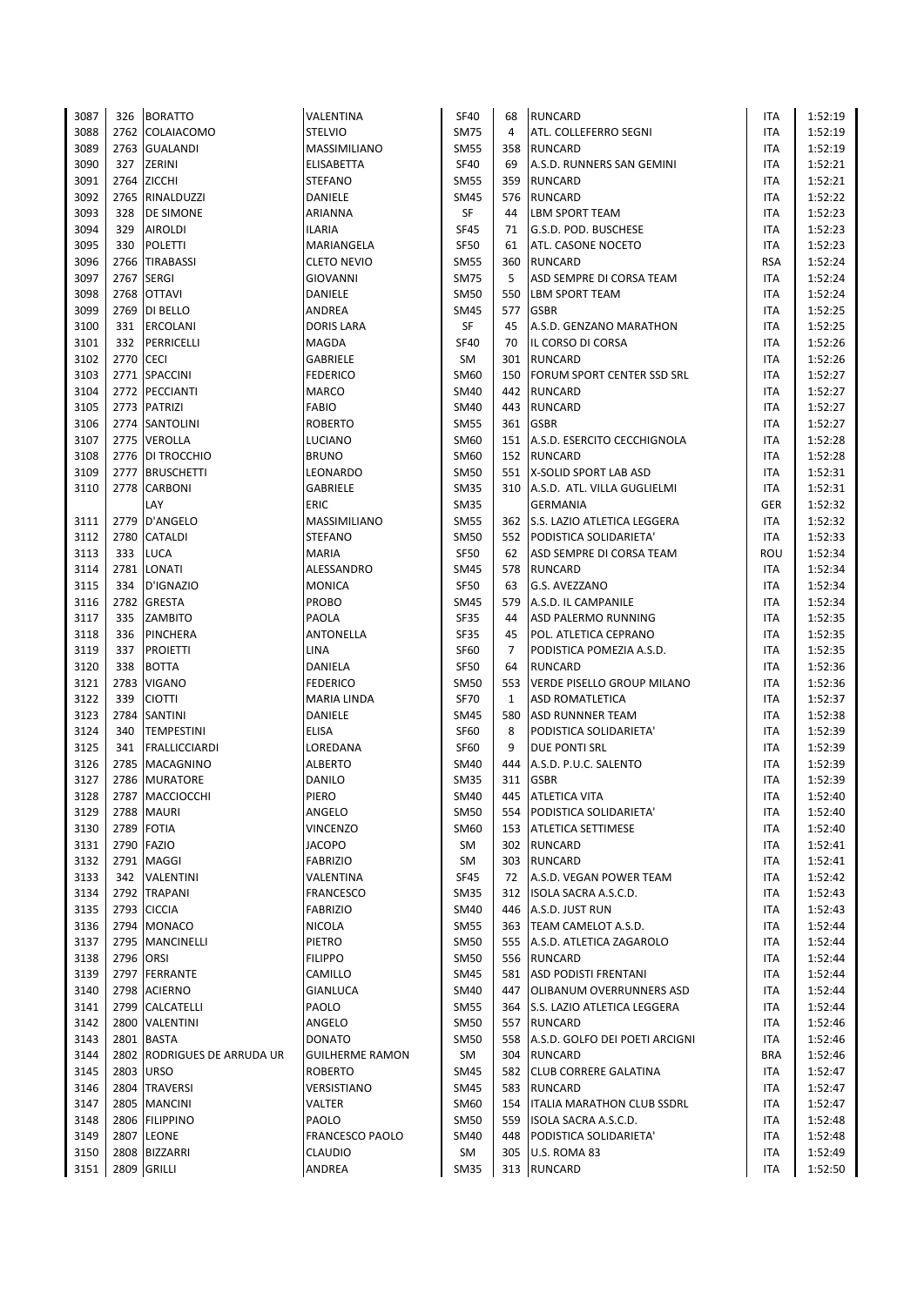| 3087 | 326       | <b>BORATTO</b>              | VALENTINA              | <b>SF40</b> | 68             | <b>RUNCARD</b>                     | <b>ITA</b> | 1:52:19 |
|------|-----------|-----------------------------|------------------------|-------------|----------------|------------------------------------|------------|---------|
| 3088 | 2762      | <b>COLAIACOMO</b>           | <b>STELVIO</b>         | <b>SM75</b> | $\overline{4}$ | ATL. COLLEFERRO SEGNI              | <b>ITA</b> | 1:52:19 |
| 3089 | 2763      | <b>GUALANDI</b>             | MASSIMILIANO           | <b>SM55</b> | 358            | <b>RUNCARD</b>                     | ITA        | 1:52:19 |
| 3090 | 327       | ZERINI                      | ELISABETTA             | <b>SF40</b> | 69             | A.S.D. RUNNERS SAN GEMINI          | <b>ITA</b> | 1:52:21 |
| 3091 | 2764      | <b>ZICCHI</b>               | <b>STEFANO</b>         | <b>SM55</b> | 359            | <b>RUNCARD</b>                     | <b>ITA</b> | 1:52:21 |
| 3092 | 2765      | RINALDUZZI                  | DANIELE                | <b>SM45</b> |                | 576 RUNCARD                        | ITA        | 1:52:22 |
| 3093 | 328       | DE SIMONE                   | ARIANNA                | SF          | 44             | <b>LBM SPORT TEAM</b>              | ITA        | 1:52:23 |
| 3094 | 329       | <b>AIROLDI</b>              | <b>ILARIA</b>          | <b>SF45</b> | 71             | G.S.D. POD. BUSCHESE               | ITA        | 1:52:23 |
| 3095 | 330       | <b>POLETTI</b>              | MARIANGELA             | <b>SF50</b> | 61             | ATL. CASONE NOCETO                 | <b>ITA</b> | 1:52:23 |
| 3096 | 2766      | <b>TIRABASSI</b>            | <b>CLETO NEVIO</b>     | <b>SM55</b> | 360            | <b>RUNCARD</b>                     | <b>RSA</b> | 1:52:24 |
| 3097 | 2767      | <b>SERGI</b>                | GIOVANNI               | <b>SM75</b> | 5              | ASD SEMPRE DI CORSA TEAM           | ITA        | 1:52:24 |
| 3098 | 2768      | <b>OTTAVI</b>               | DANIELE                | <b>SM50</b> | 550            | <b>LBM SPORT TEAM</b>              | <b>ITA</b> | 1:52:24 |
| 3099 |           | 2769 DI BELLO               | ANDREA                 | <b>SM45</b> | 577            | <b>GSBR</b>                        | <b>ITA</b> | 1:52:25 |
| 3100 | 331       | ERCOLANI                    | <b>DORIS LARA</b>      | SF          | 45             | A.S.D. GENZANO MARATHON            | <b>ITA</b> | 1:52:25 |
| 3101 | 332       | PERRICELLI                  | <b>MAGDA</b>           | <b>SF40</b> | 70             | IL CORSO DI CORSA                  | <b>ITA</b> | 1:52:26 |
| 3102 | 2770 CECI |                             | GABRIELE               | SM          |                | 301 RUNCARD                        | <b>ITA</b> | 1:52:26 |
| 3103 |           | 2771 SPACCINI               | <b>FEDERICO</b>        | SM60        | 150            | <b>FORUM SPORT CENTER SSD SRL</b>  | <b>ITA</b> | 1:52:27 |
| 3104 | 2772      | PECCIANTI                   | <b>MARCO</b>           | <b>SM40</b> | 442            | <b>RUNCARD</b>                     | <b>ITA</b> | 1:52:27 |
| 3105 | 2773      | <b>PATRIZI</b>              | FABIO                  | <b>SM40</b> | 443            | <b>RUNCARD</b>                     | ITA        | 1:52:27 |
| 3106 |           | 2774 SANTOLINI              | <b>ROBERTO</b>         | <b>SM55</b> | 361            | <b>GSBR</b>                        | <b>ITA</b> | 1:52:27 |
| 3107 |           | 2775 VEROLLA                | <b>LUCIANO</b>         | SM60        |                | 151 A.S.D. ESERCITO CECCHIGNOLA    | <b>ITA</b> | 1:52:28 |
| 3108 | 2776      | DI TROCCHIO                 | <b>BRUNO</b>           | SM60        |                | 152 RUNCARD                        | <b>ITA</b> | 1:52:28 |
| 3109 | 2777      | <b>BRUSCHETTI</b>           | LEONARDO               | <b>SM50</b> |                | 551   X-SOLID SPORT LAB ASD        | <b>ITA</b> | 1:52:31 |
| 3110 |           | 2778 CARBONI                | GABRIELE               | <b>SM35</b> |                | 310 A.S.D. ATL. VILLA GUGLIELMI    | <b>ITA</b> | 1:52:31 |
|      |           | LAY                         | ERIC                   | <b>SM35</b> |                | <b>GERMANIA</b>                    | GER        | 1:52:32 |
| 3111 | 2779      | D'ANGELO                    | MASSIMILIANO           | <b>SM55</b> |                | 362 S.S. LAZIO ATLETICA LEGGERA    | ITA        | 1:52:32 |
|      | 2780      |                             |                        |             |                |                                    |            |         |
| 3112 |           | <b>CATALDI</b>              | <b>STEFANO</b>         | <b>SM50</b> |                | 552 PODISTICA SOLIDARIETA'         | ITA        | 1:52:33 |
| 3113 | 333       | <b>LUCA</b>                 | <b>MARIA</b>           | SF50        | 62             | ASD SEMPRE DI CORSA TEAM           | ROU        | 1:52:34 |
| 3114 | 2781      | LONATI                      | ALESSANDRO             | <b>SM45</b> |                | 578 RUNCARD                        | ITA        | 1:52:34 |
| 3115 | 334       | D'IGNAZIO                   | <b>MONICA</b>          | <b>SF50</b> | 63             | G.S. AVEZZANO                      | ITA        | 1:52:34 |
| 3116 | 2782      | <b>GRESTA</b>               | PROBO                  | <b>SM45</b> | 579            | A.S.D. IL CAMPANILE                | ITA        | 1:52:34 |
| 3117 | 335       | <b>ZAMBITO</b>              | PAOLA                  | <b>SF35</b> | 44             | ASD PALERMO RUNNING                | <b>ITA</b> | 1:52:35 |
| 3118 | 336       | PINCHERA                    | ANTONELLA              | <b>SF35</b> | 45             | POL. ATLETICA CEPRANO              | ITA        | 1:52:35 |
| 3119 | 337       | <b>PROIETTI</b>             | <b>LINA</b>            | <b>SF60</b> | $\overline{7}$ | PODISTICA POMEZIA A.S.D.           | ITA        | 1:52:35 |
| 3120 | 338       | <b>BOTTA</b>                | DANIELA                | <b>SF50</b> | 64             | <b>RUNCARD</b>                     | ITA        | 1:52:36 |
| 3121 | 2783      | <b>VIGANO</b>               | <b>FEDERICO</b>        | <b>SM50</b> | 553            | VERDE PISELLO GROUP MILANO         | <b>ITA</b> | 1:52:36 |
| 3122 | 339       | <b>CIOTTI</b>               | MARIA LINDA            | <b>SF70</b> | 1              | <b>ASD ROMATLETICA</b>             | <b>ITA</b> | 1:52:37 |
| 3123 | 2784      | <b>SANTINI</b>              | DANIELE                | <b>SM45</b> | 580            | <b>ASD RUNNNER TEAM</b>            | <b>ITA</b> | 1:52:38 |
| 3124 | 340       | <b>TEMPESTINI</b>           | <b>ELISA</b>           | <b>SF60</b> | 8              | PODISTICA SOLIDARIETA'             | <b>ITA</b> | 1:52:39 |
| 3125 | 341       | <b>FRALLICCIARDI</b>        | LOREDANA               | <b>SF60</b> | 9              | <b>DUE PONTI SRL</b>               | <b>ITA</b> | 1:52:39 |
| 3126 | 2785      | <b>MACAGNINO</b>            | <b>ALBERTO</b>         | SM40        | 444            | A.S.D. P.U.C. SALENTO              | <b>ITA</b> | 1:52:39 |
| 3127 | 2786      | <b>MURATORE</b>             | DANILO                 | <b>SM35</b> | 311            | <b>GSBR</b>                        | <b>ITA</b> | 1:52:39 |
| 3128 |           | 2787 MACCIOCCHI             | PIERO                  | SM40        |                | 445 ATLETICA VITA                  | <b>ITA</b> | 1:52:40 |
| 3129 |           | 2788 MAURI                  | ANGELO                 | <b>SM50</b> | 554            | PODISTICA SOLIDARIETA'             | ITA        | 1:52:40 |
| 3130 | 2789      | <b>FOTIA</b>                | <b>VINCENZO</b>        | SM60        |                | 153 ATLETICA SETTIMESE             | ITA        | 1:52:40 |
| 3131 | 2790      | <b>FAZIO</b>                | <b>JACOPO</b>          | SM          | 302            | <b>RUNCARD</b>                     | ITA        | 1:52:41 |
| 3132 |           | 2791 MAGGI                  | <b>FABRIZIO</b>        | SM          |                | 303 RUNCARD                        | ITA        | 1:52:41 |
| 3133 | 342       | VALENTINI                   | VALENTINA              | <b>SF45</b> | 72             | A.S.D. VEGAN POWER TEAM            | ITA        | 1:52:42 |
| 3134 | 2792      | <b>TRAPANI</b>              | FRANCESCO              | <b>SM35</b> |                | 312 ISOLA SACRA A.S.C.D.           | ITA        | 1:52:43 |
| 3135 |           | 2793 CICCIA                 | <b>FABRIZIO</b>        | SM40        |                | 446 A.S.D. JUST RUN                | ITA        | 1:52:43 |
| 3136 |           | 2794 MONACO                 | <b>NICOLA</b>          | <b>SM55</b> |                | 363 TEAM CAMELOT A.S.D.            | ITA        | 1:52:44 |
| 3137 |           | 2795 MANCINELLI             | PIETRO                 | <b>SM50</b> |                | 555 A.S.D. ATLETICA ZAGAROLO       | ITA        | 1:52:44 |
| 3138 | 2796      | ORSI                        | <b>FILIPPO</b>         | <b>SM50</b> |                | 556 RUNCARD                        | ITA        | 1:52:44 |
| 3139 |           | 2797 FERRANTE               | CAMILLO                | <b>SM45</b> |                | 581 ASD PODISTI FRENTANI           | ITA        | 1:52:44 |
| 3140 |           | 2798 ACIERNO                | <b>GIANLUCA</b>        | SM40        | 447            | <b>OLIBANUM OVERRUNNERS ASD</b>    | ITA        | 1:52:44 |
| 3141 |           | 2799 CALCATELLI             | PAOLO                  | <b>SM55</b> |                | 364 S.S. LAZIO ATLETICA LEGGERA    | ITA        | 1:52:44 |
| 3142 | 2800      | VALENTINI                   | ANGELO                 | SM50        | 557            | <b>RUNCARD</b>                     | ITA        | 1:52:46 |
| 3143 | 2801      | <b>BASTA</b>                | <b>DONATO</b>          | <b>SM50</b> |                | 558 A.S.D. GOLFO DEI POETI ARCIGNI | ITA        | 1:52:46 |
| 3144 |           | 2802 RODRIGUES DE ARRUDA UR | <b>GUILHERME RAMON</b> | SM          | 304            | <b>RUNCARD</b>                     | <b>BRA</b> | 1:52:46 |
| 3145 | 2803      | <b>URSO</b>                 | <b>ROBERTO</b>         | <b>SM45</b> |                | 582 CLUB CORRERE GALATINA          | ITA        | 1:52:47 |
| 3146 | 2804      | <b>TRAVERSI</b>             | VERSISTIANO            | SM45        | 583            | <b>RUNCARD</b>                     | ITA        | 1:52:47 |
| 3147 | 2805      | <b>MANCINI</b>              | VALTER                 | SM60        | 154            | <b>ITALIA MARATHON CLUB SSDRL</b>  | ITA        | 1:52:47 |
| 3148 |           | 2806 FILIPPINO              | PAOLO                  | <b>SM50</b> |                | 559 ISOLA SACRA A.S.C.D.           | ITA        | 1:52:48 |
| 3149 | 2807      | <b>LEONE</b>                | <b>FRANCESCO PAOLO</b> | <b>SM40</b> | 448            | PODISTICA SOLIDARIETA'             | ITA        | 1:52:48 |
| 3150 | 2808      | <b>BIZZARRI</b>             | CLAUDIO                | SM          | 305            | U.S. ROMA 83                       | ITA        | 1:52:49 |
| 3151 |           | 2809 GRILLI                 | ANDREA                 | <b>SM35</b> |                | 313 RUNCARD                        | <b>ITA</b> | 1:52:50 |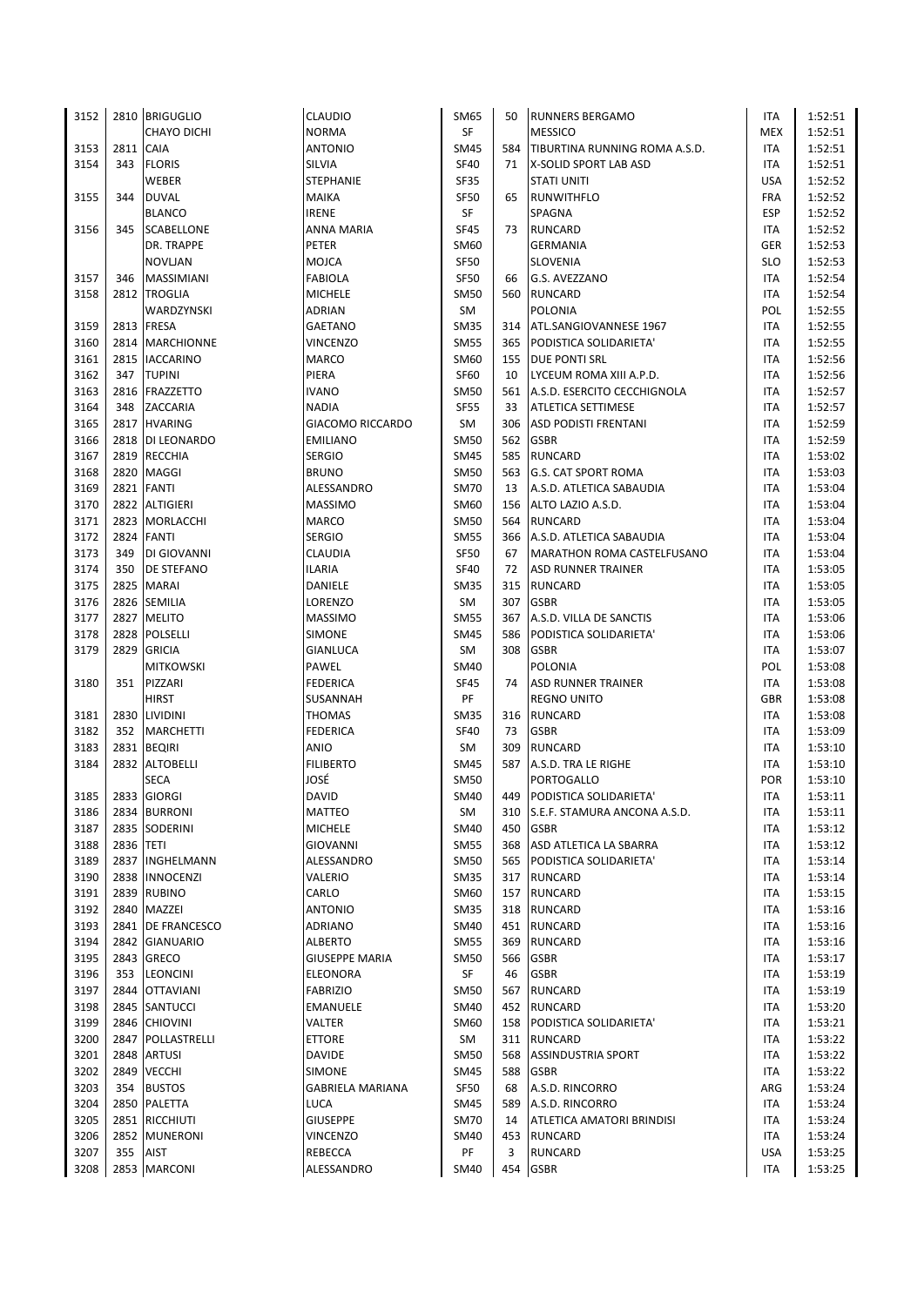| 3152 |           | 2810 BRIGUGLIO     | CLAUDIO                 | SM65        | 50  | <b>RUNNERS BERGAMO</b>           | ITA        | 1:52:51 |
|------|-----------|--------------------|-------------------------|-------------|-----|----------------------------------|------------|---------|
|      |           | <b>CHAYO DICHI</b> | <b>NORMA</b>            | SF          |     | <b>MESSICO</b>                   | MEX        | 1:52:51 |
| 3153 | 2811      | <b>CAIA</b>        | <b>ANTONIO</b>          | <b>SM45</b> | 584 | TIBURTINA RUNNING ROMA A.S.D.    | ITA        | 1:52:51 |
| 3154 | 343       | <b>FLORIS</b>      | SILVIA                  | <b>SF40</b> | 71  | X-SOLID SPORT LAB ASD            | ITA        | 1:52:51 |
|      |           | WEBER              | STEPHANIE               | <b>SF35</b> |     | <b>STATI UNITI</b>               | <b>USA</b> | 1:52:52 |
| 3155 | 344       | <b>DUVAL</b>       | <b>MAIKA</b>            | <b>SF50</b> | 65  | RUNWITHFLO                       | <b>FRA</b> | 1:52:52 |
|      |           | <b>BLANCO</b>      | <b>IRENE</b>            | SF          |     | SPAGNA                           | ESP        | 1:52:52 |
| 3156 | 345       | <b>SCABELLONE</b>  | ANNA MARIA              | SF45        | 73  | <b>RUNCARD</b>                   | ITA        | 1:52:52 |
|      |           | DR. TRAPPE         | PETER                   | SM60        |     | <b>GERMANIA</b>                  | GER        | 1:52:53 |
|      |           | <b>NOVLJAN</b>     | <b>MOJCA</b>            | <b>SF50</b> |     | <b>SLOVENIA</b>                  | <b>SLO</b> | 1:52:53 |
| 3157 | 346       | MASSIMIANI         | <b>FABIOLA</b>          | <b>SF50</b> | 66  | G.S. AVEZZANO                    | ITA        | 1:52:54 |
| 3158 |           | 2812 TROGLIA       | <b>MICHELE</b>          | <b>SM50</b> |     | 560 RUNCARD                      | <b>ITA</b> | 1:52:54 |
|      |           | WARDZYNSKI         | <b>ADRIAN</b>           | SM          |     | <b>POLONIA</b>                   | POL        | 1:52:55 |
| 3159 |           | 2813 FRESA         | <b>GAETANO</b>          | <b>SM35</b> |     | 314 ATL.SANGIOVANNESE 1967       | ITA        | 1:52:55 |
|      | 2814      | <b>MARCHIONNE</b>  | <b>VINCENZO</b>         | <b>SM55</b> |     | 365 PODISTICA SOLIDARIETA'       | <b>ITA</b> |         |
| 3160 |           |                    |                         |             |     |                                  |            | 1:52:55 |
| 3161 |           | 2815 IACCARINO     | <b>MARCO</b>            | SM60        |     | 155 DUE PONTI SRL                | <b>ITA</b> | 1:52:56 |
| 3162 | 347       | <b>TUPINI</b>      | PIERA                   | <b>SF60</b> | 10  | LYCEUM ROMA XIII A.P.D.          | <b>ITA</b> | 1:52:56 |
| 3163 | 2816      | <b>FRAZZETTO</b>   | <b>IVANO</b>            | <b>SM50</b> | 561 | A.S.D. ESERCITO CECCHIGNOLA      | <b>ITA</b> | 1:52:57 |
| 3164 | 348       | ZACCARIA           | <b>NADIA</b>            | <b>SF55</b> | 33  | <b>ATLETICA SETTIMESE</b>        | ITA        | 1:52:57 |
| 3165 |           | 2817 HVARING       | <b>GIACOMO RICCARDO</b> | SM          | 306 | <b>ASD PODISTI FRENTANI</b>      | <b>ITA</b> | 1:52:59 |
| 3166 |           | 2818 DI LEONARDO   | <b>EMILIANO</b>         | <b>SM50</b> |     | 562 GSBR                         | ITA        | 1:52:59 |
| 3167 | 2819      | <b>RECCHIA</b>     | <b>SERGIO</b>           | <b>SM45</b> |     | 585 RUNCARD                      | <b>ITA</b> | 1:53:02 |
| 3168 |           | 2820 MAGGI         | <b>BRUNO</b>            | SM50        |     | 563 G.S. CAT SPORT ROMA          | ITA        | 1:53:03 |
| 3169 |           | 2821 FANTI         | ALESSANDRO              | <b>SM70</b> | 13  | A.S.D. ATLETICA SABAUDIA         | <b>ITA</b> | 1:53:04 |
| 3170 | 2822      | <b>ALTIGIERI</b>   | <b>MASSIMO</b>          | SM60        |     | 156 ALTO LAZIO A.S.D.            | ITA        | 1:53:04 |
| 3171 | 2823      | MORLACCHI          | MARCO                   | <b>SM50</b> | 564 | <b>RUNCARD</b>                   | ITA        | 1:53:04 |
| 3172 | 2824      | <b>FANTI</b>       | <b>SERGIO</b>           | <b>SM55</b> |     | 366 A.S.D. ATLETICA SABAUDIA     | <b>ITA</b> | 1:53:04 |
| 3173 | 349       | DI GIOVANNI        | CLAUDIA                 | SF50        | 67  | MARATHON ROMA CASTELFUSANO       | <b>ITA</b> | 1:53:04 |
| 3174 | 350       | <b>DE STEFANO</b>  | <b>ILARIA</b>           | <b>SF40</b> | 72  | <b>ASD RUNNER TRAINER</b>        | ITA        | 1:53:05 |
| 3175 | 2825      | <b>MARAI</b>       | DANIELE                 | <b>SM35</b> | 315 | <b>RUNCARD</b>                   | ITA        | 1:53:05 |
| 3176 |           | 2826 SEMILIA       | LORENZO                 | SM          | 307 | <b>GSBR</b>                      | ITA        | 1:53:05 |
| 3177 |           | 2827 MELITO        | MASSIMO                 | <b>SM55</b> | 367 | A.S.D. VILLA DE SANCTIS          | <b>ITA</b> | 1:53:06 |
| 3178 | 2828      | <b>POLSELLI</b>    | <b>SIMONE</b>           | <b>SM45</b> |     | 586 PODISTICA SOLIDARIETA'       | ITA        | 1:53:06 |
| 3179 | 2829      | <b>GRICIA</b>      | GIANLUCA                | SM          | 308 | <b>GSBR</b>                      | ITA        | 1:53:07 |
|      |           | <b>MITKOWSKI</b>   | PAWEL                   | <b>SM40</b> |     | POLONIA                          | POL        | 1:53:08 |
| 3180 | 351       | PIZZARI            | <b>FEDERICA</b>         | <b>SF45</b> | 74  | <b>ASD RUNNER TRAINER</b>        | <b>ITA</b> | 1:53:08 |
|      |           | <b>HIRST</b>       | SUSANNAH                | PF          |     | <b>REGNO UNITO</b>               | <b>GBR</b> | 1:53:08 |
| 3181 | 2830      | <b>LIVIDINI</b>    | <b>THOMAS</b>           | <b>SM35</b> | 316 | <b>RUNCARD</b>                   | ITA        | 1:53:08 |
| 3182 | 352       | <b>MARCHETTI</b>   | <b>FEDERICA</b>         | <b>SF40</b> | 73  | <b>GSBR</b>                      | <b>ITA</b> | 1:53:09 |
| 3183 |           | 2831 BEQIRI        | ANIO                    | SM          | 309 | <b>RUNCARD</b>                   | <b>ITA</b> | 1:53:10 |
| 3184 | 2832      | <b>ALTOBELLI</b>   | <b>FILIBERTO</b>        | <b>SM45</b> |     | 587 A.S.D. TRA LE RIGHE          | ITA        | 1:53:10 |
|      |           | <b>SECA</b>        | JOSÉ                    | <b>SM50</b> |     | PORTOGALLO                       | <b>POR</b> |         |
|      |           | 2833 GIORGI        | <b>DAVID</b>            | SM40        |     |                                  | <b>ITA</b> | 1:53:10 |
| 3185 |           |                    |                         |             |     | 449 PODISTICA SOLIDARIETA'       |            | 1:53:11 |
| 3186 |           | 2834 BURRONI       | MATTEO                  | SM          |     | 310 S.E.F. STAMURA ANCONA A.S.D. | ITA        | 1:53:11 |
| 3187 |           | 2835 SODERINI      | <b>MICHELE</b>          | SM40        | 450 | <b>GSBR</b>                      | ITA        | 1:53:12 |
| 3188 | 2836 TETI |                    | <b>GIOVANNI</b>         | <b>SM55</b> | 368 | ASD ATLETICA LA SBARRA           | ITA        | 1:53:12 |
| 3189 | 2837      | INGHELMANN         | ALESSANDRO              | <b>SM50</b> |     | 565 PODISTICA SOLIDARIETA'       | ITA        | 1:53:14 |
| 3190 | 2838      | <b>INNOCENZI</b>   | VALERIO                 | <b>SM35</b> |     | 317 RUNCARD                      | ITA        | 1:53:14 |
| 3191 | 2839      | <b>RUBINO</b>      | CARLO                   | SM60        | 157 | <b>RUNCARD</b>                   | ITA        | 1:53:15 |
| 3192 | 2840      | MAZZEI             | ANTONIO                 | <b>SM35</b> |     | 318 RUNCARD                      | ITA        | 1:53:16 |
| 3193 |           | 2841 DE FRANCESCO  | ADRIANO                 | <b>SM40</b> |     | 451 RUNCARD                      | ITA        | 1:53:16 |
| 3194 | 2842      | <b>GIANUARIO</b>   | <b>ALBERTO</b>          | <b>SM55</b> | 369 | <b>RUNCARD</b>                   | ITA        | 1:53:16 |
| 3195 | 2843      | <b>GRECO</b>       | <b>GIUSEPPE MARIA</b>   | SM50        | 566 | <b>GSBR</b>                      | ITA        | 1:53:17 |
| 3196 | 353       | <b>LEONCINI</b>    | ELEONORA                | SF          | 46  | <b>GSBR</b>                      | ITA        | 1:53:19 |
| 3197 |           | 2844 OTTAVIANI     | <b>FABRIZIO</b>         | <b>SM50</b> | 567 | <b>RUNCARD</b>                   | ITA        | 1:53:19 |
| 3198 |           | 2845 SANTUCCI      | EMANUELE                | SM40        |     | 452 RUNCARD                      | ITA        | 1:53:20 |
| 3199 | 2846      | <b>CHIOVINI</b>    | VALTER                  | SM60        | 158 | PODISTICA SOLIDARIETA'           | ITA        | 1:53:21 |
| 3200 | 2847      | POLLASTRELLI       | ETTORE                  | SM          |     | 311 RUNCARD                      | ITA        | 1:53:22 |
| 3201 | 2848      | <b>ARTUSI</b>      | DAVIDE                  | <b>SM50</b> | 568 | <b>ASSINDUSTRIA SPORT</b>        | ITA        | 1:53:22 |
| 3202 | 2849      | <b>VECCHI</b>      | <b>SIMONE</b>           | <b>SM45</b> | 588 | <b>GSBR</b>                      | ITA        | 1:53:22 |
| 3203 | 354       | <b>BUSTOS</b>      | <b>GABRIELA MARIANA</b> | <b>SF50</b> | 68  | A.S.D. RINCORRO                  | ARG        | 1:53:24 |
| 3204 |           | 2850 PALETTA       | LUCA                    | <b>SM45</b> | 589 | A.S.D. RINCORRO                  | ITA        | 1:53:24 |
| 3205 |           | 2851 RICCHIUTI     | <b>GIUSEPPE</b>         | <b>SM70</b> | 14  | ATLETICA AMATORI BRINDISI        | ITA        | 1:53:24 |
| 3206 |           | 2852 MUNERONI      | VINCENZO                | <b>SM40</b> | 453 | <b>RUNCARD</b>                   | ITA        | 1:53:24 |
| 3207 | 355       | AIST               | REBECCA                 | PF          | 3   | <b>RUNCARD</b>                   | <b>USA</b> | 1:53:25 |
| 3208 |           | 2853 MARCONI       | ALESSANDRO              | SM40        |     | 454 GSBR                         | <b>ITA</b> | 1:53:25 |
|      |           |                    |                         |             |     |                                  |            |         |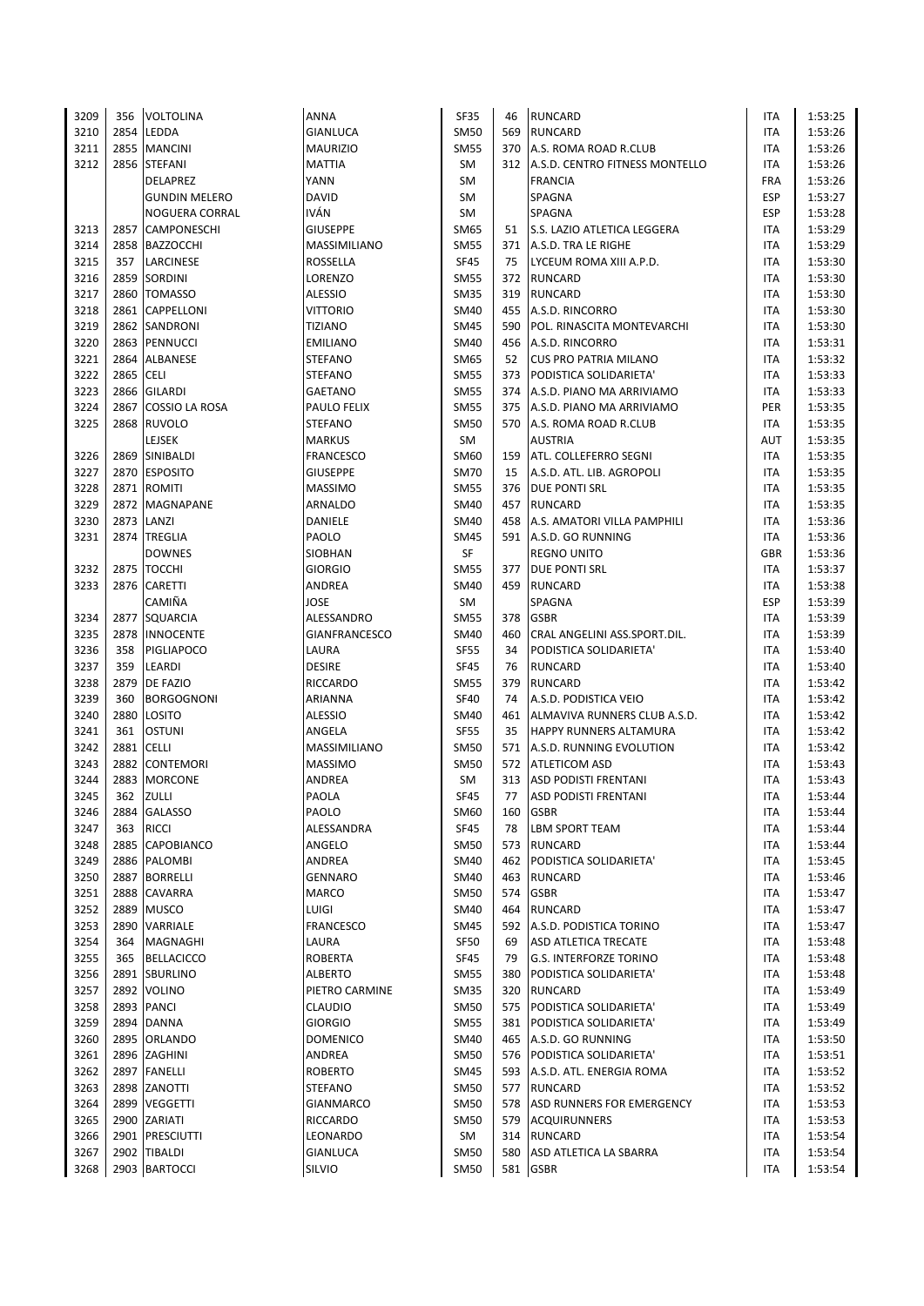| 3209 | 356       | VOLTOLINA            | ANNA                 | <b>SF35</b> | 46  | <b>RUNCARD</b>                 | ITA        | 1:53:25 |
|------|-----------|----------------------|----------------------|-------------|-----|--------------------------------|------------|---------|
| 3210 |           | 2854 LEDDA           | <b>GIANLUCA</b>      | <b>SM50</b> | 569 | <b>RUNCARD</b>                 | ITA        | 1:53:26 |
| 3211 |           | 2855 MANCINI         | <b>MAURIZIO</b>      | <b>SM55</b> | 370 | A.S. ROMA ROAD R.CLUB          | ITA        | 1:53:26 |
| 3212 |           | 2856 STEFANI         | <b>MATTIA</b>        | SM          | 312 | A.S.D. CENTRO FITNESS MONTELLO | <b>ITA</b> | 1:53:26 |
|      |           | DELAPREZ             | YANN                 | SM          |     | <b>FRANCIA</b>                 | <b>FRA</b> | 1:53:26 |
|      |           | <b>GUNDIN MELERO</b> | <b>DAVID</b>         | SM          |     | SPAGNA                         | <b>ESP</b> | 1:53:27 |
|      |           | NOGUERA CORRAL       | IVÁN                 | SM          |     | SPAGNA                         | <b>ESP</b> | 1:53:28 |
| 3213 |           | 2857 CAMPONESCHI     | <b>GIUSEPPE</b>      | <b>SM65</b> | 51  | S.S. LAZIO ATLETICA LEGGERA    | ITA        | 1:53:29 |
| 3214 |           | 2858 BAZZOCCHI       | MASSIMILIANO         | <b>SM55</b> | 371 | A.S.D. TRA LE RIGHE            | ITA        | 1:53:29 |
| 3215 | 357       | LARCINESE            | ROSSELLA             | <b>SF45</b> | 75  | LYCEUM ROMA XIII A.P.D.        | ITA        | 1:53:30 |
|      |           |                      |                      |             |     |                                |            |         |
| 3216 |           | 2859 SORDINI         | LORENZO              | <b>SM55</b> | 372 | <b>RUNCARD</b>                 | ITA        | 1:53:30 |
| 3217 |           | 2860 TOMASSO         | <b>ALESSIO</b>       | <b>SM35</b> | 319 | <b>RUNCARD</b>                 | ITA        | 1:53:30 |
| 3218 |           | 2861 CAPPELLONI      | <b>VITTORIO</b>      | <b>SM40</b> | 455 | A.S.D. RINCORRO                | <b>ITA</b> | 1:53:30 |
| 3219 |           | 2862 SANDRONI        | <b>TIZIANO</b>       | <b>SM45</b> | 590 | POL. RINASCITA MONTEVARCHI     | ITA        | 1:53:30 |
| 3220 |           | 2863 PENNUCCI        | <b>EMILIANO</b>      | SM40        | 456 | A.S.D. RINCORRO                | ITA        | 1:53:31 |
| 3221 |           | 2864 ALBANESE        | <b>STEFANO</b>       | SM65        | 52  | <b>CUS PRO PATRIA MILANO</b>   | ITA        | 1:53:32 |
| 3222 | 2865 CELI |                      | <b>STEFANO</b>       | <b>SM55</b> | 373 | PODISTICA SOLIDARIETA'         | ITA        | 1:53:33 |
| 3223 |           | 2866 GILARDI         | <b>GAETANO</b>       | <b>SM55</b> | 374 | A.S.D. PIANO MA ARRIVIAMO      | ITA        | 1:53:33 |
| 3224 |           | 2867 COSSIO LA ROSA  | PAULO FELIX          | <b>SM55</b> | 375 | A.S.D. PIANO MA ARRIVIAMO      | PER        | 1:53:35 |
| 3225 |           | 2868 RUVOLO          | STEFANO              | <b>SM50</b> | 570 | A.S. ROMA ROAD R.CLUB          | ITA        | 1:53:35 |
|      |           | LEJSEK               | <b>MARKUS</b>        | SM          |     | <b>AUSTRIA</b>                 | AUT        | 1:53:35 |
| 3226 |           | 2869 SINIBALDI       | <b>FRANCESCO</b>     | SM60        | 159 | ATL. COLLEFERRO SEGNI          | ITA        | 1:53:35 |
| 3227 |           | 2870 ESPOSITO        | <b>GIUSEPPE</b>      | <b>SM70</b> | 15  | A.S.D. ATL. LIB. AGROPOLI      | ITA        | 1:53:35 |
| 3228 |           | 2871 ROMITI          | <b>MASSIMO</b>       | <b>SM55</b> | 376 | <b>DUE PONTI SRL</b>           | <b>ITA</b> | 1:53:35 |
| 3229 |           | 2872 MAGNAPANE       | ARNALDO              | <b>SM40</b> | 457 | <b>RUNCARD</b>                 | <b>ITA</b> | 1:53:35 |
| 3230 |           | 2873 LANZI           | DANIELE              | SM40        | 458 | A.S. AMATORI VILLA PAMPHILI    | ITA        | 1:53:36 |
| 3231 |           | 2874 TREGLIA         | PAOLO                | <b>SM45</b> |     | 591 A.S.D. GO RUNNING          | <b>ITA</b> | 1:53:36 |
|      |           | <b>DOWNES</b>        | <b>SIOBHAN</b>       | <b>SF</b>   |     | <b>REGNO UNITO</b>             | <b>GBR</b> | 1:53:36 |
| 3232 |           | 2875 TOCCHI          | <b>GIORGIO</b>       | <b>SM55</b> |     | <b>DUE PONTI SRL</b>           |            | 1:53:37 |
|      |           |                      |                      |             | 377 |                                | ITA        |         |
| 3233 |           | 2876 CARETTI         | ANDREA               | SM40        | 459 | <b>RUNCARD</b>                 | ITA        | 1:53:38 |
|      |           | CAMIÑA               | JOSE                 | SM          |     | SPAGNA                         | <b>ESP</b> | 1:53:39 |
| 3234 |           | 2877 SQUARCIA        | ALESSANDRO           | <b>SM55</b> | 378 | <b>GSBR</b>                    | ITA        | 1:53:39 |
| 3235 |           | 2878 INNOCENTE       | <b>GIANFRANCESCO</b> | <b>SM40</b> | 460 | CRAL ANGELINI ASS.SPORT.DIL.   | ITA        | 1:53:39 |
| 3236 | 358       | <b>PIGLIAPOCO</b>    | LAURA                | <b>SF55</b> | 34  | PODISTICA SOLIDARIETA'         | ITA        | 1:53:40 |
| 3237 | 359       | LEARDI               | <b>DESIRE</b>        | <b>SF45</b> | 76  | <b>RUNCARD</b>                 | ITA        | 1:53:40 |
| 3238 |           | 2879   DE FAZIO      | <b>RICCARDO</b>      | <b>SM55</b> | 379 | <b>RUNCARD</b>                 | ITA        | 1:53:42 |
| 3239 | 360       | <b>BORGOGNONI</b>    | ARIANNA              | <b>SF40</b> | 74  | A.S.D. PODISTICA VEIO          | ITA        | 1:53:42 |
| 3240 |           | 2880 LOSITO          | <b>ALESSIO</b>       | SM40        | 461 | ALMAVIVA RUNNERS CLUB A.S.D.   | ITA        | 1:53:42 |
| 3241 | 361       | <b>OSTUNI</b>        | ANGELA               | <b>SF55</b> | 35  | <b>HAPPY RUNNERS ALTAMURA</b>  | ITA        | 1:53:42 |
| 3242 | 2881      | <b>CELLI</b>         | MASSIMILIANO         | SM50        | 571 | A.S.D. RUNNING EVOLUTION       | ITA        | 1:53:42 |
| 3243 | 2882      | <b>CONTEMORI</b>     | <b>MASSIMO</b>       | <b>SM50</b> | 572 | <b>ATLETICOM ASD</b>           | ITA        | 1:53:43 |
| 3244 | 2883      | <b>MORCONE</b>       | ANDREA               | <b>SM</b>   | 313 | <b>ASD PODISTI FRENTANI</b>    | ITA        | 1:53:43 |
| 3245 |           | 362 ZULLI            | PAOLA                | <b>SF45</b> | 77  | <b>ASD PODISTI FRENTANI</b>    | <b>ITA</b> | 1:53:44 |
| 3246 |           | 2884 GALASSO         | PAOLO                | SM60        | 160 | <b>GSBR</b>                    | ITA        | 1:53:44 |
| 3247 | 363       | <b>RICCI</b>         | ALESSANDRA           | SF45        | 78  | LBM SPORT TEAM                 | ITA        | 1:53:44 |
| 3248 |           | 2885 CAPOBIANCO      | ANGELO               | <b>SM50</b> | 573 | <b>RUNCARD</b>                 | ITA        | 1:53:44 |
| 3249 |           | 2886 PALOMBI         | ANDREA               | <b>SM40</b> | 462 | PODISTICA SOLIDARIETA'         | ITA        | 1:53:45 |
| 3250 |           | 2887 BORRELLI        | GENNARO              | <b>SM40</b> | 463 | RUNCARD                        | ITA        | 1:53:46 |
| 3251 |           | 2888 CAVARRA         | MARCO                | <b>SM50</b> | 574 | <b>GSBR</b>                    | ITA        | 1:53:47 |
| 3252 |           | 2889 MUSCO           | LUIGI                | SM40        | 464 | <b>RUNCARD</b>                 | <b>ITA</b> | 1:53:47 |
| 3253 |           | 2890 VARRIALE        | <b>FRANCESCO</b>     | <b>SM45</b> | 592 | A.S.D. PODISTICA TORINO        | ITA        | 1:53:47 |
| 3254 | 364       | MAGNAGHI             | LAURA                | SF50        | 69  | ASD ATLETICA TRECATE           | ITA        | 1:53:48 |
| 3255 | 365       | <b>BELLACICCO</b>    | <b>ROBERTA</b>       | <b>SF45</b> | 79  | <b>G.S. INTERFORZE TORINO</b>  | ITA        | 1:53:48 |
| 3256 |           | 2891 SBURLINO        | <b>ALBERTO</b>       | <b>SM55</b> | 380 | PODISTICA SOLIDARIETA'         | ITA        | 1:53:48 |
| 3257 |           | 2892 VOLINO          | PIETRO CARMINE       | <b>SM35</b> | 320 | RUNCARD                        | ITA        | 1:53:49 |
| 3258 |           | 2893 PANCI           | CLAUDIO              | <b>SM50</b> | 575 | PODISTICA SOLIDARIETA'         | ITA        | 1:53:49 |
| 3259 |           | 2894 DANNA           | <b>GIORGIO</b>       | <b>SM55</b> | 381 | PODISTICA SOLIDARIETA'         | ITA        | 1:53:49 |
|      |           |                      |                      | SM40        | 465 |                                |            |         |
| 3260 |           | 2895 ORLANDO         | <b>DOMENICO</b>      |             |     | A.S.D. GO RUNNING              | ITA        | 1:53:50 |
| 3261 |           | 2896 ZAGHINI         | ANDREA               | <b>SM50</b> | 576 | PODISTICA SOLIDARIETA'         | ITA        | 1:53:51 |
| 3262 |           | 2897 FANELLI         | <b>ROBERTO</b>       | <b>SM45</b> | 593 | A.S.D. ATL. ENERGIA ROMA       | ITA        | 1:53:52 |
| 3263 |           | 2898 ZANOTTI         | <b>STEFANO</b>       | SM50        | 577 | <b>RUNCARD</b>                 | ITA        | 1:53:52 |
| 3264 |           | 2899 VEGGETTI        | GIANMARCO            | <b>SM50</b> | 578 | ASD RUNNERS FOR EMERGENCY      | ITA        | 1:53:53 |
| 3265 |           | 2900 ZARIATI         | RICCARDO             | SM50        | 579 | <b>ACQUIRUNNERS</b>            | ITA        | 1:53:53 |
| 3266 |           | 2901 PRESCIUTTI      | LEONARDO             | SM          | 314 | <b>RUNCARD</b>                 | ITA        | 1:53:54 |
| 3267 |           | 2902 TIBALDI         | <b>GIANLUCA</b>      | SM50        | 580 | ASD ATLETICA LA SBARRA         | ITA        | 1:53:54 |
| 3268 |           | 2903 BARTOCCI        | SILVIO               | SM50        |     | 581 GSBR                       | ITA        | 1:53:54 |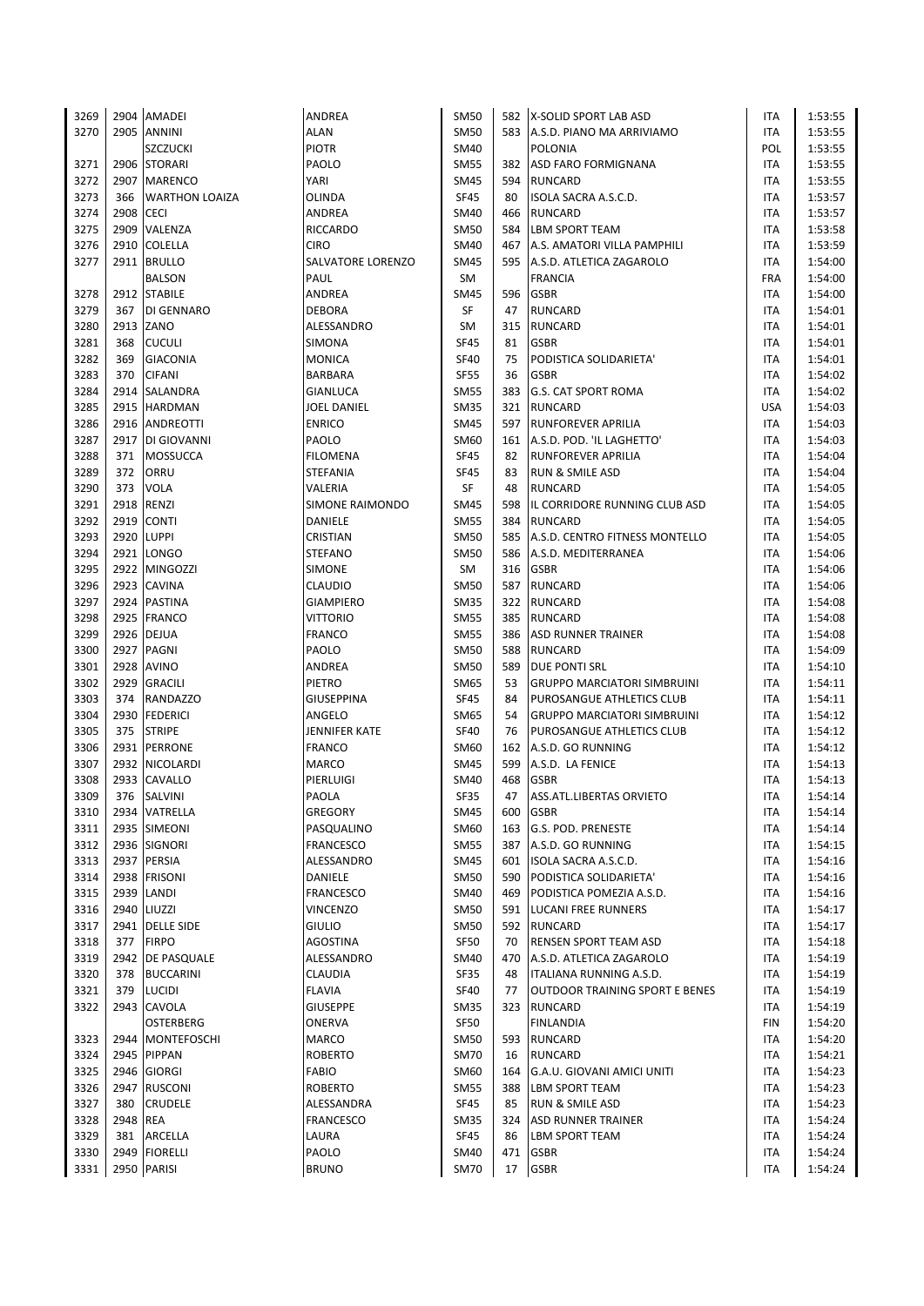| 3269 |           | 2904 AMADEI           | ANDREA                      | <b>SM50</b> |     | 582 X-SOLID SPORT LAB ASD                              | ITA        | 1:53:55 |
|------|-----------|-----------------------|-----------------------------|-------------|-----|--------------------------------------------------------|------------|---------|
| 3270 |           | 2905 ANNINI           | <b>ALAN</b>                 | <b>SM50</b> |     | 583 A.S.D. PIANO MA ARRIVIAMO                          | <b>ITA</b> | 1:53:55 |
|      |           | <b>SZCZUCKI</b>       | <b>PIOTR</b>                | SM40        |     | POLONIA                                                | POL        | 1:53:55 |
| 3271 |           | 2906 STORARI          | PAOLO                       | <b>SM55</b> |     | 382 ASD FARO FORMIGNANA                                | <b>ITA</b> | 1:53:55 |
| 3272 |           | 2907 MARENCO          | YARI                        | <b>SM45</b> |     | 594 RUNCARD                                            | ITA        | 1:53:55 |
| 3273 | 366       | <b>WARTHON LOAIZA</b> | OLINDA                      | <b>SF45</b> | 80  | ISOLA SACRA A.S.C.D.                                   | <b>ITA</b> | 1:53:57 |
| 3274 | 2908 CECI |                       | ANDREA                      | <b>SM40</b> | 466 | <b>RUNCARD</b>                                         | ITA        | 1:53:57 |
| 3275 |           | 2909 VALENZA          | <b>RICCARDO</b>             | <b>SM50</b> | 584 | <b>LBM SPORT TEAM</b>                                  | <b>ITA</b> | 1:53:58 |
| 3276 |           | 2910 COLELLA          | <b>CIRO</b>                 | <b>SM40</b> |     | 467 A.S. AMATORI VILLA PAMPHILI                        | <b>ITA</b> | 1:53:59 |
| 3277 |           | 2911 BRULLO           | SALVATORE LORENZO           | <b>SM45</b> | 595 | A.S.D. ATLETICA ZAGAROLO                               | <b>ITA</b> | 1:54:00 |
|      |           | <b>BALSON</b>         | PAUL                        | SM          |     | <b>FRANCIA</b>                                         | <b>FRA</b> | 1:54:00 |
| 3278 |           | 2912 STABILE          | ANDREA                      | <b>SM45</b> | 596 | <b>GSBR</b>                                            | <b>ITA</b> | 1:54:00 |
| 3279 | 367       | DI GENNARO            | <b>DEBORA</b>               | SF          | 47  | <b>RUNCARD</b>                                         | ITA        | 1:54:01 |
| 3280 |           | 2913 ZANO             | ALESSANDRO                  | SM          | 315 | <b>RUNCARD</b>                                         | ITA        | 1:54:01 |
| 3281 | 368       |                       | SIMONA                      | <b>SF45</b> | 81  | <b>GSBR</b>                                            | ITA        |         |
|      | 369       | <b>CUCULI</b>         |                             |             |     |                                                        |            | 1:54:01 |
| 3282 |           | <b>GIACONIA</b>       | <b>MONICA</b>               | <b>SF40</b> | 75  | PODISTICA SOLIDARIETA'                                 | <b>ITA</b> | 1:54:01 |
| 3283 | 370       | <b>CIFANI</b>         | BARBARA                     | <b>SF55</b> | 36  | <b>GSBR</b>                                            | ITA        | 1:54:02 |
| 3284 |           | 2914 SALANDRA         | GIANLUCA                    | <b>SM55</b> | 383 | <b>G.S. CAT SPORT ROMA</b>                             | ITA        | 1:54:02 |
| 3285 |           | 2915 HARDMAN          | JOEL DANIEL                 | <b>SM35</b> | 321 | <b>RUNCARD</b>                                         | <b>USA</b> | 1:54:03 |
| 3286 |           | 2916 ANDREOTTI        | <b>ENRICO</b>               | <b>SM45</b> | 597 | <b>RUNFOREVER APRILIA</b>                              | <b>ITA</b> | 1:54:03 |
| 3287 |           | 2917 DI GIOVANNI      | PAOLO                       | SM60        |     | 161 A.S.D. POD. 'IL LAGHETTO'                          | ITA        | 1:54:03 |
| 3288 | 371       | <b>MOSSUCCA</b>       | <b>FILOMENA</b>             | SF45        | 82  | <b>RUNFOREVER APRILIA</b>                              | ITA        | 1:54:04 |
| 3289 | 372       | ORRU                  | STEFANIA                    | SF45        | 83  | <b>RUN &amp; SMILE ASD</b>                             | <b>ITA</b> | 1:54:04 |
| 3290 | 373       | <b>VOLA</b>           | VALERIA                     | SF          | 48  | <b>RUNCARD</b>                                         | ITA        | 1:54:05 |
| 3291 |           | 2918 RENZI            | <b>SIMONE RAIMONDO</b>      | <b>SM45</b> | 598 | IL CORRIDORE RUNNING CLUB ASD                          | ITA        | 1:54:05 |
| 3292 |           | 2919 CONTI            | DANIELE                     | <b>SM55</b> | 384 | <b>RUNCARD</b>                                         | <b>ITA</b> | 1:54:05 |
| 3293 |           | 2920 LUPPI            | CRISTIAN                    | <b>SM50</b> | 585 | A.S.D. CENTRO FITNESS MONTELLO                         | ITA        | 1:54:05 |
| 3294 |           | 2921 LONGO            | <b>STEFANO</b>              | <b>SM50</b> | 586 | A.S.D. MEDITERRANEA                                    | <b>ITA</b> | 1:54:06 |
| 3295 |           | 2922 MINGOZZI         | SIMONE                      | SM          |     | 316 GSBR                                               | ITA        | 1:54:06 |
| 3296 |           | 2923 CAVINA           | CLAUDIO                     | <b>SM50</b> |     | 587 RUNCARD                                            | <b>ITA</b> | 1:54:06 |
| 3297 |           | 2924 PASTINA          | <b>GIAMPIERO</b>            | <b>SM35</b> |     | 322 RUNCARD                                            | <b>ITA</b> | 1:54:08 |
| 3298 |           | 2925 FRANCO           | <b>VITTORIO</b>             | <b>SM55</b> |     | 385 RUNCARD                                            | <b>ITA</b> | 1:54:08 |
| 3299 |           | 2926 DEJUA            | <b>FRANCO</b>               | <b>SM55</b> |     | 386 ASD RUNNER TRAINER                                 | <b>ITA</b> | 1:54:08 |
| 3300 |           | 2927 PAGNI            | PAOLO                       | <b>SM50</b> | 588 | <b>RUNCARD</b>                                         | ITA        | 1:54:09 |
| 3301 |           | 2928 AVINO            | ANDREA                      | <b>SM50</b> | 589 | <b>DUE PONTI SRL</b>                                   | <b>ITA</b> | 1:54:10 |
| 3302 |           | 2929 GRACILI          | PIETRO                      | SM65        | 53  | <b>GRUPPO MARCIATORI SIMBRUINI</b>                     | ITA        | 1:54:11 |
| 3303 | 374       | <b>RANDAZZO</b>       | <b>GIUSEPPINA</b>           | <b>SF45</b> | 84  | PUROSANGUE ATHLETICS CLUB                              | ITA        | 1:54:11 |
| 3304 |           | 2930 FEDERICI         | ANGELO                      | SM65        | 54  | <b>GRUPPO MARCIATORI SIMBRUINI</b>                     | ITA        | 1:54:12 |
| 3305 | 375       | <b>STRIPE</b>         | JENNIFER KATE               | <b>SF40</b> | 76  | PUROSANGUE ATHLETICS CLUB                              | <b>ITA</b> | 1:54:12 |
| 3306 |           | 2931 PERRONE          | <b>FRANCO</b>               | SM60        |     | 162 A.S.D. GO RUNNING                                  | ITA        | 1:54:12 |
| 3307 |           | 2932 NICOLARDI        | <b>MARCO</b>                | <b>SM45</b> | 599 | A.S.D. LA FENICE                                       | ITA        | 1:54:13 |
| 3308 |           | 2933 CAVALLO          | PIERLUIGI                   | SM40        | 468 | <b>GSBR</b>                                            | ITA        | 1:54:13 |
| 3309 |           | 376 SALVINI           | PAOLA                       | <b>SF35</b> | 47  | ASS.ATL.LIBERTAS ORVIETO                               | <b>ITA</b> | 1:54:14 |
| 3310 |           | 2934 VATRELLA         | GREGORY                     | <b>SM45</b> | 600 | <b>GSBR</b>                                            | ITA        | 1:54:14 |
| 3311 |           | 2935 SIMEONI          | PASQUALINO                  | SM60        | 163 | <b>G.S. POD. PRENESTE</b>                              | ITA        | 1:54:14 |
| 3312 |           | 2936 SIGNORI          | <b>FRANCESCO</b>            | <b>SM55</b> | 387 | A.S.D. GO RUNNING                                      | <b>ITA</b> | 1:54:15 |
| 3313 |           | 2937 PERSIA           | ALESSANDRO                  | <b>SM45</b> |     | 601 ISOLA SACRA A.S.C.D.                               | ITA        | 1:54:16 |
|      |           | 2938 FRISONI          |                             | <b>SM50</b> |     |                                                        |            |         |
| 3314 |           | 2939 LANDI            | DANIELE<br><b>FRANCESCO</b> |             |     | 590 PODISTICA SOLIDARIETA'<br>PODISTICA POMEZIA A.S.D. | ITA        | 1:54:16 |
| 3315 |           |                       |                             | <b>SM40</b> | 469 |                                                        | ITA        | 1:54:16 |
| 3316 |           | 2940 LIUZZI           | VINCENZO                    | SM50        |     | 591 LUCANI FREE RUNNERS                                | ITA        | 1:54:17 |
| 3317 |           | 2941 DELLE SIDE       | <b>GIULIO</b>               | <b>SM50</b> |     | 592 RUNCARD                                            | ITA        | 1:54:17 |
| 3318 | 377       | <b>FIRPO</b>          | <b>AGOSTINA</b>             | <b>SF50</b> | 70  | <b>RENSEN SPORT TEAM ASD</b>                           | ITA        | 1:54:18 |
| 3319 |           | 2942   DE PASQUALE    | ALESSANDRO                  | SM40        | 470 | A.S.D. ATLETICA ZAGAROLO                               | ITA        | 1:54:19 |
| 3320 | 378       | <b>BUCCARINI</b>      | CLAUDIA                     | SF35        | 48  | ITALIANA RUNNING A.S.D.                                | ITA        | 1:54:19 |
| 3321 |           | 379 LUCIDI            | <b>FLAVIA</b>               | SF40        | 77  | <b>OUTDOOR TRAINING SPORT E BENES</b>                  | ITA        | 1:54:19 |
| 3322 |           | 2943 CAVOLA           | <b>GIUSEPPE</b>             | <b>SM35</b> | 323 | <b>RUNCARD</b>                                         | ITA        | 1:54:19 |
|      |           | OSTERBERG             | ONERVA                      | <b>SF50</b> |     | <b>FINLANDIA</b>                                       | FIN        | 1:54:20 |
| 3323 |           | 2944 MONTEFOSCHI      | <b>MARCO</b>                | <b>SM50</b> | 593 | <b>RUNCARD</b>                                         | ITA        | 1:54:20 |
| 3324 |           | 2945 PIPPAN           | <b>ROBERTO</b>              | <b>SM70</b> | 16  | <b>RUNCARD</b>                                         | ITA        | 1:54:21 |
| 3325 |           | 2946 GIORGI           | <b>FABIO</b>                | SM60        | 164 | G.A.U. GIOVANI AMICI UNITI                             | ITA        | 1:54:23 |
| 3326 |           | 2947 RUSCONI          | <b>ROBERTO</b>              | <b>SM55</b> | 388 | <b>LBM SPORT TEAM</b>                                  | ITA        | 1:54:23 |
| 3327 | 380       | <b>CRUDELE</b>        | ALESSANDRA                  | <b>SF45</b> | 85  | <b>RUN &amp; SMILE ASD</b>                             | <b>ITA</b> | 1:54:23 |
| 3328 | 2948 REA  |                       | <b>FRANCESCO</b>            | <b>SM35</b> | 324 | <b>ASD RUNNER TRAINER</b>                              | ITA        | 1:54:24 |
| 3329 | 381       | ARCELLA               | LAURA                       | SF45        | 86  | <b>LBM SPORT TEAM</b>                                  | ITA        | 1:54:24 |
| 3330 |           | 2949 FIORELLI         | PAOLO                       | SM40        | 471 | <b>GSBR</b>                                            | ITA        | 1:54:24 |
| 3331 |           | 2950 PARISI           | <b>BRUNO</b>                | <b>SM70</b> | 17  | <b>GSBR</b>                                            | <b>ITA</b> | 1:54:24 |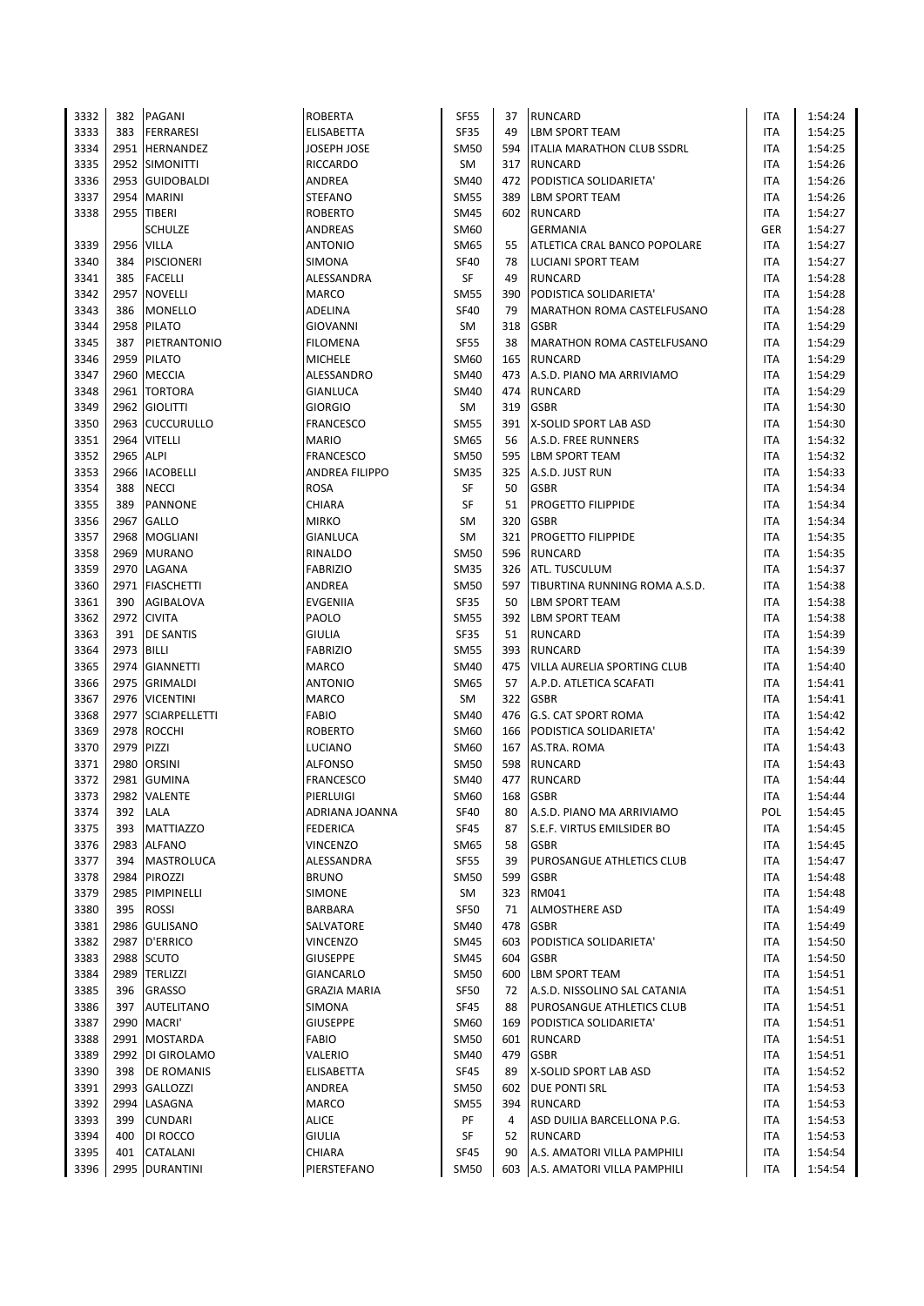| 3332 | 382  | PAGANI            | ROBERTA               | <b>SF55</b> | 37  | <b>RUNCARD</b>                    | ITA        | 1:54:24 |
|------|------|-------------------|-----------------------|-------------|-----|-----------------------------------|------------|---------|
| 3333 | 383  | <b>FERRARESI</b>  | ELISABETTA            | <b>SF35</b> | 49  | <b>LBM SPORT TEAM</b>             | <b>ITA</b> | 1:54:25 |
| 3334 |      | 2951 HERNANDEZ    | JOSEPH JOSE           | <b>SM50</b> | 594 | <b>ITALIA MARATHON CLUB SSDRL</b> | <b>ITA</b> | 1:54:25 |
| 3335 |      | 2952 SIMONITTI    | RICCARDO              | SM          | 317 | <b>RUNCARD</b>                    | ITA        | 1:54:26 |
| 3336 |      | 2953 GUIDOBALDI   | ANDREA                | <b>SM40</b> |     | 472 PODISTICA SOLIDARIETA'        | ITA        | 1:54:26 |
| 3337 | 2954 | <b>MARINI</b>     | <b>STEFANO</b>        | <b>SM55</b> | 389 | <b>LBM SPORT TEAM</b>             | ITA        | 1:54:26 |
| 3338 | 2955 | <b>TIBERI</b>     | ROBERTO               | <b>SM45</b> |     | 602 RUNCARD                       | ITA        | 1:54:27 |
|      |      | <b>SCHULZE</b>    | ANDREAS               | SM60        |     | <b>GERMANIA</b>                   | GER        | 1:54:27 |
| 3339 | 2956 | <b>VILLA</b>      | <b>ANTONIO</b>        | <b>SM65</b> | 55  | ATLETICA CRAL BANCO POPOLARE      | ITA        | 1:54:27 |
| 3340 | 384  | <b>PISCIONERI</b> | SIMONA                | SF40        | 78  | LUCIANI SPORT TEAM                | ITA        | 1:54:27 |
| 3341 | 385  | <b>FACELLI</b>    | ALESSANDRA            | SF          | 49  | <b>RUNCARD</b>                    | ITA        | 1:54:28 |
| 3342 |      | 2957 NOVELLI      | MARCO                 | <b>SM55</b> | 390 | PODISTICA SOLIDARIETA'            | ITA        | 1:54:28 |
| 3343 | 386  | MONELLO           | ADELINA               | <b>SF40</b> | 79  | MARATHON ROMA CASTELFUSANO        | <b>ITA</b> | 1:54:28 |
| 3344 | 2958 | <b>PILATO</b>     | GIOVANNI              | SM          | 318 | <b>GSBR</b>                       | ITA        | 1:54:29 |
| 3345 | 387  | PIETRANTONIO      | FILOMENA              | <b>SF55</b> | 38  | MARATHON ROMA CASTELFUSANO        | ITA        | 1:54:29 |
| 3346 | 2959 | <b>PILATO</b>     | MICHELE               | SM60        | 165 | <b>RUNCARD</b>                    | ITA        | 1:54:29 |
| 3347 | 2960 | <b>MECCIA</b>     | ALESSANDRO            | <b>SM40</b> | 473 | A.S.D. PIANO MA ARRIVIAMO         | ITA        | 1:54:29 |
|      |      |                   |                       |             |     |                                   |            |         |
| 3348 | 2961 | <b>TORTORA</b>    | GIANLUCA              | <b>SM40</b> | 474 | <b>RUNCARD</b>                    | ITA        | 1:54:29 |
| 3349 |      | 2962 GIOLITTI     | GIORGIO               | SM          | 319 | <b>GSBR</b>                       | <b>ITA</b> | 1:54:30 |
| 3350 |      | 2963 CUCCURULLO   | FRANCESCO             | <b>SM55</b> |     | 391 X-SOLID SPORT LAB ASD         | <b>ITA</b> | 1:54:30 |
| 3351 | 2964 | <b>VITELLI</b>    | MARIO                 | <b>SM65</b> | 56  | A.S.D. FREE RUNNERS               | <b>ITA</b> | 1:54:32 |
| 3352 | 2965 | <b>ALPI</b>       | <b>FRANCESCO</b>      | <b>SM50</b> | 595 | <b>LBM SPORT TEAM</b>             | ITA        | 1:54:32 |
| 3353 | 2966 | <b>IACOBELLI</b>  | <b>ANDREA FILIPPO</b> | <b>SM35</b> | 325 | A.S.D. JUST RUN                   | ITA        | 1:54:33 |
| 3354 | 388  | <b>NECCI</b>      | ROSA                  | SF          | 50  | <b>GSBR</b>                       | ITA        | 1:54:34 |
| 3355 | 389  | <b>PANNONE</b>    | CHIARA                | SF          | 51  | <b>PROGETTO FILIPPIDE</b>         | ITA        | 1:54:34 |
| 3356 | 2967 | <b>GALLO</b>      | <b>MIRKO</b>          | SM          | 320 | <b>GSBR</b>                       | ITA        | 1:54:34 |
| 3357 | 2968 | <b>MOGLIANI</b>   | GIANLUCA              | <b>SM</b>   | 321 | <b>PROGETTO FILIPPIDE</b>         | ITA        | 1:54:35 |
| 3358 |      | 2969 MURANO       | RINALDO               | <b>SM50</b> |     | 596 RUNCARD                       | ITA        | 1:54:35 |
| 3359 | 2970 | LAGANA            | <b>FABRIZIO</b>       | <b>SM35</b> | 326 | ATL. TUSCULUM                     | <b>ITA</b> | 1:54:37 |
| 3360 | 2971 | <b>FIASCHETTI</b> | ANDREA                | <b>SM50</b> | 597 | TIBURTINA RUNNING ROMA A.S.D.     | ITA        | 1:54:38 |
| 3361 | 390  | <b>AGIBALOVA</b>  | EVGENIIA              | <b>SF35</b> | 50  | <b>LBM SPORT TEAM</b>             | ITA        | 1:54:38 |
| 3362 | 2972 | <b>CIVITA</b>     | PAOLO                 | <b>SM55</b> |     | 392   LBM SPORT TEAM              | ITA        | 1:54:38 |
| 3363 | 391  | <b>DE SANTIS</b>  | GIULIA                | SF35        | 51  | <b>RUNCARD</b>                    | ITA        | 1:54:39 |
| 3364 | 2973 | <b>BILLI</b>      | FABRIZIO              | <b>SM55</b> | 393 | RUNCARD                           | ITA        | 1:54:39 |
| 3365 | 2974 | <b>GIANNETTI</b>  | MARCO                 | <b>SM40</b> | 475 | VILLA AURELIA SPORTING CLUB       | ITA        | 1:54:40 |
| 3366 | 2975 | <b>GRIMALDI</b>   | <b>ANTONIO</b>        | <b>SM65</b> | 57  | A.P.D. ATLETICA SCAFATI           | ITA        | 1:54:41 |
| 3367 | 2976 | <b>VICENTINI</b>  | MARCO                 | SM          | 322 | <b>GSBR</b>                       | ITA        | 1:54:41 |
| 3368 | 2977 | SCIARPELLETTI     | FABIO                 | <b>SM40</b> | 476 | <b>G.S. CAT SPORT ROMA</b>        | ITA        | 1:54:42 |
| 3369 |      | 2978 ROCCHI       | <b>ROBERTO</b>        | <b>SM60</b> |     | 166 PODISTICA SOLIDARIETA'        | ITA        | 1:54:42 |
| 3370 | 2979 | PIZZI             | LUCIANO               | SM60        |     | 167 AS.TRA. ROMA                  | ITA        | 1:54:43 |
| 3371 | 2980 | <b>ORSINI</b>     | <b>ALFONSO</b>        | SM50        | 598 | <b>RUNCARD</b>                    | ITA        | 1:54:43 |
| 3372 | 2981 | <b>GUMINA</b>     | FRANCESCO             | SM40        | 477 | <b>RUNCARD</b>                    | ITA        | 1:54:44 |
| 3373 |      | 2982 VALENTE      | PIERLUIGI             | SM60        |     | 168 GSBR                          | <b>ITA</b> | 1:54:44 |
| 3374 | 392  | LALA              | ADRIANA JOANNA        | SF40        | 80  | A.S.D. PIANO MA ARRIVIAMO         | POL        | 1:54:45 |
| 3375 | 393  | <b>MATTIAZZO</b>  | FEDERICA              | <b>SF45</b> | 87  | S.E.F. VIRTUS EMILSIDER BO        | ITA        | 1:54:45 |
| 3376 | 2983 | <b>ALFANO</b>     | VINCENZO              | SM65        | 58  | <b>GSBR</b>                       | ITA        | 1:54:45 |
| 3377 | 394  | <b>MASTROLUCA</b> | ALESSANDRA            | <b>SF55</b> | 39  | PUROSANGUE ATHLETICS CLUB         | ITA        | 1:54:47 |
| 3378 | 2984 | <b>PIROZZI</b>    | <b>BRUNO</b>          | <b>SM50</b> | 599 | <b>GSBR</b>                       | ITA        | 1:54:48 |
| 3379 | 2985 | PIMPINELLI        | <b>SIMONE</b>         | SM          | 323 | RM041                             | ITA        | 1:54:48 |
| 3380 | 395  | <b>ROSSI</b>      | BARBARA               | <b>SF50</b> | 71  | <b>ALMOSTHERE ASD</b>             | <b>ITA</b> | 1:54:49 |
|      |      | 2986 GULISANO     |                       |             |     |                                   |            |         |
| 3381 |      |                   | SALVATORE             | <b>SM40</b> | 478 | <b>GSBR</b>                       | ITA        | 1:54:49 |
| 3382 | 2987 | <b>D'ERRICO</b>   | VINCENZO              | <b>SM45</b> | 603 | PODISTICA SOLIDARIETA'            | ITA        | 1:54:50 |
| 3383 | 2988 | <b>SCUTO</b>      | GIUSEPPE              | <b>SM45</b> | 604 | <b>GSBR</b>                       | ITA        | 1:54:50 |
| 3384 | 2989 | <b>TERLIZZI</b>   | GIANCARLO             | <b>SM50</b> | 600 | <b>LBM SPORT TEAM</b>             | <b>ITA</b> | 1:54:51 |
| 3385 | 396  | <b>GRASSO</b>     | GRAZIA MARIA          | <b>SF50</b> | 72  | A.S.D. NISSOLINO SAL CATANIA      | ITA        | 1:54:51 |
| 3386 | 397  | <b>AUTELITANO</b> | SIMONA                | SF45        | 88  | PUROSANGUE ATHLETICS CLUB         | ITA        | 1:54:51 |
| 3387 |      | 2990 MACRI'       | GIUSEPPE              | SM60        | 169 | PODISTICA SOLIDARIETA'            | ITA        | 1:54:51 |
| 3388 |      | 2991 MOSTARDA     | FABIO                 | <b>SM50</b> |     | 601 RUNCARD                       | ITA        | 1:54:51 |
| 3389 | 2992 | DI GIROLAMO       | VALERIO               | <b>SM40</b> | 479 | <b>GSBR</b>                       | ITA        | 1:54:51 |
| 3390 | 398  | DE ROMANIS        | ELISABETTA            | SF45        | 89  | X-SOLID SPORT LAB ASD             | ITA        | 1:54:52 |
| 3391 | 2993 | GALLOZZI          | ANDREA                | SM50        | 602 | <b>DUE PONTI SRL</b>              | ITA        | 1:54:53 |
| 3392 | 2994 | LASAGNA           | MARCO                 | <b>SM55</b> | 394 | <b>RUNCARD</b>                    | ITA        | 1:54:53 |
| 3393 | 399  | <b>CUNDARI</b>    | ALICE                 | PF          | 4   | ASD DUILIA BARCELLONA P.G.        | ITA        | 1:54:53 |
| 3394 | 400  | DI ROCCO          | GIULIA                | SF          | 52  | <b>RUNCARD</b>                    | ITA        | 1:54:53 |
| 3395 | 401  | CATALANI          | CHIARA                | SF45        | 90  | A.S. AMATORI VILLA PAMPHILI       | ITA        | 1:54:54 |
| 3396 |      | 2995 DURANTINI    | PIERSTEFANO           | <b>SM50</b> |     | 603 A.S. AMATORI VILLA PAMPHILI   | ITA        | 1:54:54 |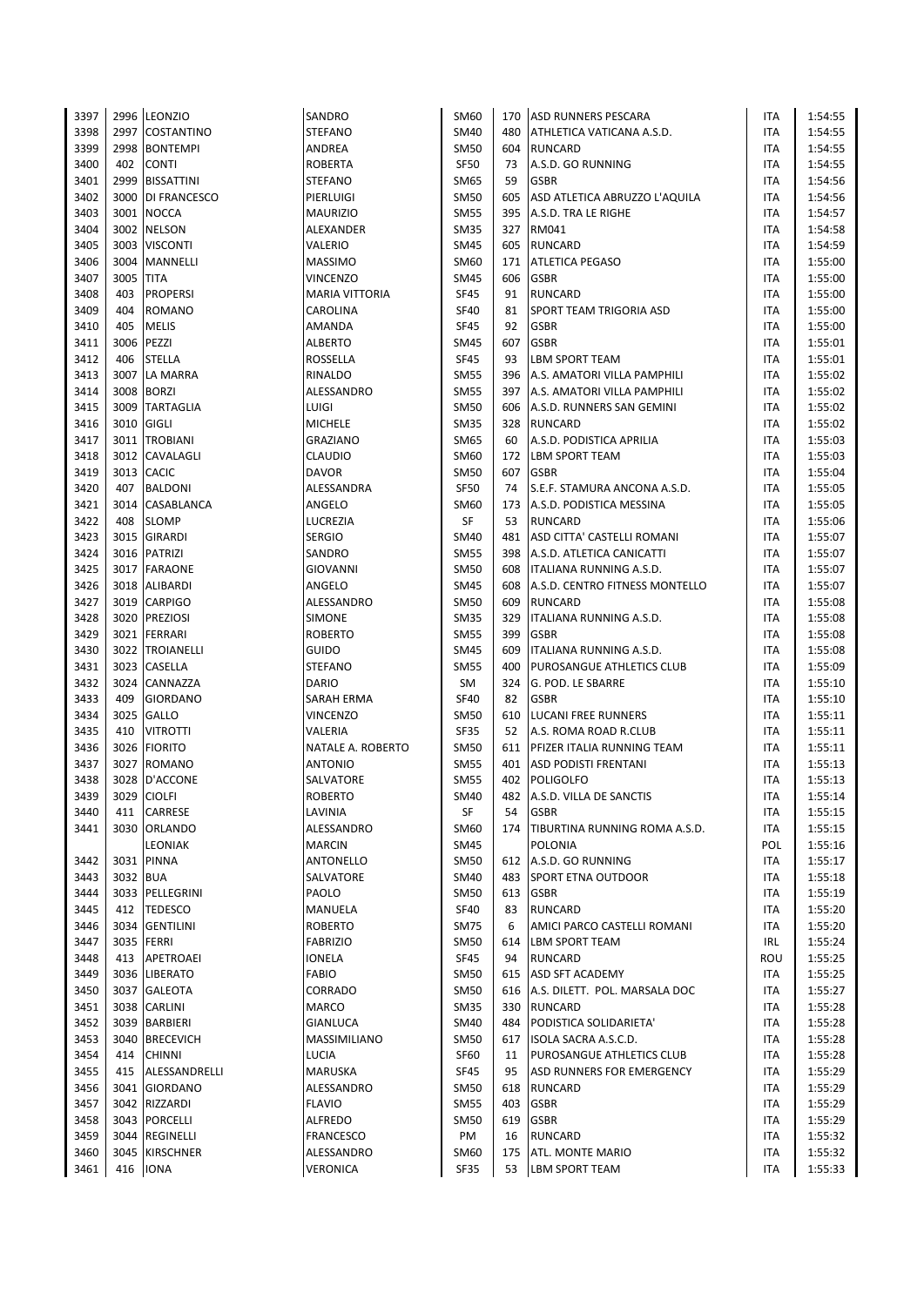| 3397 |          | 2996 LEONZIO        | SANDRO                | SM60        | 170 | <b>ASD RUNNERS PESCARA</b>        | <b>ITA</b> | 1:54:55 |
|------|----------|---------------------|-----------------------|-------------|-----|-----------------------------------|------------|---------|
| 3398 | 2997     | <b>COSTANTINO</b>   | <b>STEFANO</b>        | <b>SM40</b> | 480 | ATHLETICA VATICANA A.S.D.         | <b>ITA</b> | 1:54:55 |
| 3399 | 2998     | <b>BONTEMPI</b>     | ANDREA                | <b>SM50</b> | 604 | <b>RUNCARD</b>                    | ITA        | 1:54:55 |
| 3400 | 402      | <b>CONTI</b>        | <b>ROBERTA</b>        | <b>SF50</b> | 73  | A.S.D. GO RUNNING                 | <b>ITA</b> | 1:54:55 |
| 3401 | 2999     | <b>BISSATTINI</b>   | <b>STEFANO</b>        | SM65        | 59  | <b>GSBR</b>                       | <b>ITA</b> | 1:54:56 |
| 3402 | 3000     | <b>DI FRANCESCO</b> | PIERLUIGI             | <b>SM50</b> | 605 | ASD ATLETICA ABRUZZO L'AQUILA     | ITA        | 1:54:56 |
| 3403 | 3001     | <b>NOCCA</b>        | <b>MAURIZIO</b>       | <b>SM55</b> | 395 | A.S.D. TRA LE RIGHE               | ITA        | 1:54:57 |
| 3404 | 3002     | <b>NELSON</b>       | ALEXANDER             | <b>SM35</b> |     | 327 RM041                         | ITA        | 1:54:58 |
| 3405 | 3003     | <b>VISCONTI</b>     | VALERIO               | <b>SM45</b> | 605 | <b>RUNCARD</b>                    | <b>ITA</b> | 1:54:59 |
| 3406 | 3004     | <b>MANNELLI</b>     | <b>MASSIMO</b>        | SM60        | 171 | <b>ATLETICA PEGASO</b>            | <b>ITA</b> | 1:55:00 |
| 3407 | 3005     | <b>TITA</b>         | <b>VINCENZO</b>       | <b>SM45</b> | 606 | <b>GSBR</b>                       | ITA        | 1:55:00 |
| 3408 | 403      | <b>PROPERSI</b>     | <b>MARIA VITTORIA</b> | <b>SF45</b> | 91  | <b>RUNCARD</b>                    | <b>ITA</b> | 1:55:00 |
| 3409 | 404      | <b>ROMANO</b>       | CAROLINA              | <b>SF40</b> | 81  | <b>SPORT TEAM TRIGORIA ASD</b>    | <b>ITA</b> | 1:55:00 |
| 3410 | 405      | <b>MELIS</b>        | <b>AMANDA</b>         | <b>SF45</b> | 92  | <b>GSBR</b>                       | <b>ITA</b> | 1:55:00 |
|      | 3006     | PEZZI               |                       | <b>SM45</b> | 607 | <b>GSBR</b>                       | <b>ITA</b> |         |
| 3411 |          |                     | <b>ALBERTO</b>        |             |     |                                   |            | 1:55:01 |
| 3412 | 406      | <b>STELLA</b>       | ROSSELLA              | <b>SF45</b> | 93  | <b>LBM SPORT TEAM</b>             | <b>ITA</b> | 1:55:01 |
| 3413 | 3007     | LA MARRA            | RINALDO               | <b>SM55</b> | 396 | A.S. AMATORI VILLA PAMPHILI       | ITA        | 1:55:02 |
| 3414 | 3008     | <b>BORZI</b>        | ALESSANDRO            | <b>SM55</b> | 397 | A.S. AMATORI VILLA PAMPHILI       | <b>ITA</b> | 1:55:02 |
| 3415 | 3009     | <b>TARTAGLIA</b>    | LUIGI                 | <b>SM50</b> | 606 | A.S.D. RUNNERS SAN GEMINI         | ITA        | 1:55:02 |
| 3416 | 3010     | <b>GIGLI</b>        | <b>MICHELE</b>        | <b>SM35</b> |     | 328 RUNCARD                       | <b>ITA</b> | 1:55:02 |
| 3417 |          | 3011 TROBIANI       | <b>GRAZIANO</b>       | <b>SM65</b> | 60  | A.S.D. PODISTICA APRILIA          | ITA        | 1:55:03 |
| 3418 | 3012     | <b>CAVALAGLI</b>    | <b>CLAUDIO</b>        | SM60        | 172 | <b>LBM SPORT TEAM</b>             | <b>ITA</b> | 1:55:03 |
| 3419 | 3013     | <b>CACIC</b>        | <b>DAVOR</b>          | <b>SM50</b> | 607 | <b>GSBR</b>                       | <b>ITA</b> | 1:55:04 |
| 3420 | 407      | <b>BALDONI</b>      | ALESSANDRA            | SF50        | 74  | S.E.F. STAMURA ANCONA A.S.D.      | <b>ITA</b> | 1:55:05 |
| 3421 |          | 3014 CASABLANCA     | ANGELO                | SM60        | 173 | A.S.D. PODISTICA MESSINA          | <b>ITA</b> | 1:55:05 |
| 3422 | 408      | <b>SLOMP</b>        | LUCREZIA              | SF          | 53  | <b>RUNCARD</b>                    | ITA        | 1:55:06 |
| 3423 | 3015     | <b>GIRARDI</b>      | <b>SERGIO</b>         | SM40        | 481 | ASD CITTA' CASTELLI ROMANI        | <b>ITA</b> | 1:55:07 |
| 3424 |          | 3016 PATRIZI        | SANDRO                | <b>SM55</b> |     | 398 A.S.D. ATLETICA CANICATTI     | <b>ITA</b> | 1:55:07 |
| 3425 |          | 3017 FARAONE        | GIOVANNI              | <b>SM50</b> |     | 608   ITALIANA RUNNING A.S.D.     | <b>ITA</b> | 1:55:07 |
| 3426 | 3018     | <b>ALIBARDI</b>     | ANGELO                | <b>SM45</b> | 608 | A.S.D. CENTRO FITNESS MONTELLO    | ITA        | 1:55:07 |
| 3427 |          | 3019 CARPIGO        | ALESSANDRO            | <b>SM50</b> | 609 | <b>RUNCARD</b>                    | ITA        | 1:55:08 |
| 3428 |          | 3020 PREZIOSI       | <b>SIMONE</b>         | <b>SM35</b> | 329 | ITALIANA RUNNING A.S.D.           | <b>ITA</b> | 1:55:08 |
| 3429 | 3021     | <b>FERRARI</b>      | <b>ROBERTO</b>        | <b>SM55</b> | 399 | <b>GSBR</b>                       | ITA        | 1:55:08 |
| 3430 | 3022     | <b>TROIANELLI</b>   | GUIDO                 | <b>SM45</b> | 609 | <b>ITALIANA RUNNING A.S.D.</b>    | ITA        | 1:55:08 |
| 3431 | 3023     | <b>CASELLA</b>      | <b>STEFANO</b>        | <b>SM55</b> | 400 | PUROSANGUE ATHLETICS CLUB         | <b>ITA</b> | 1:55:09 |
| 3432 | 3024     | CANNAZZA            | <b>DARIO</b>          | SM          | 324 | G. POD. LE SBARRE                 | <b>ITA</b> | 1:55:10 |
| 3433 | 409      | <b>GIORDANO</b>     | SARAH ERMA            | <b>SF40</b> | 82  | <b>GSBR</b>                       | <b>ITA</b> | 1:55:10 |
| 3434 | 3025     | <b>GALLO</b>        | <b>VINCENZO</b>       | <b>SM50</b> | 610 | <b>LUCANI FREE RUNNERS</b>        | ITA        | 1:55:11 |
| 3435 | 410      | <b>VITROTTI</b>     | VALERIA               | <b>SF35</b> | 52  | A.S. ROMA ROAD R.CLUB             | <b>ITA</b> | 1:55:11 |
| 3436 | 3026     | <b>FIORITO</b>      | NATALE A. ROBERTO     | <b>SM50</b> |     | 611 PFIZER ITALIA RUNNING TEAM    | <b>ITA</b> | 1:55:11 |
| 3437 | 3027     | <b>ROMANO</b>       | <b>ANTONIO</b>        | <b>SM55</b> | 401 | <b>ASD PODISTI FRENTANI</b>       | <b>ITA</b> | 1:55:13 |
| 3438 | 3028     | <b>D'ACCONE</b>     | SALVATORE             | <b>SM55</b> | 402 | <b>POLIGOLFO</b>                  | <b>ITA</b> | 1:55:13 |
| 3439 |          | 3029 CIOLFI         | <b>ROBERTO</b>        | SM40        |     | 482 A.S.D. VILLA DE SANCTIS       | <b>ITA</b> | 1:55:14 |
| 3440 | 411      | CARRESE             | LAVINIA               | SF          | 54  | <b>GSBR</b>                       | ITA        | 1:55:15 |
| 3441 | 3030     | ORLANDO             | ALESSANDRO            | SM60        | 174 | TIBURTINA RUNNING ROMA A.S.D.     | ITA        | 1:55:15 |
|      |          | LEONIAK             | <b>MARCIN</b>         | SM45        |     | POLONIA                           | POL        | 1:55:16 |
| 3442 |          | 3031 PINNA          | ANTONELLO             | <b>SM50</b> |     | 612 A.S.D. GO RUNNING             | ITA        | 1:55:17 |
| 3443 | 3032 BUA |                     | SALVATORE             | <b>SM40</b> | 483 | <b>SPORT ETNA OUTDOOR</b>         | ITA        | 1:55:18 |
| 3444 | 3033     | PELLEGRINI          | PAOLO                 | <b>SM50</b> | 613 | <b>GSBR</b>                       | ITA        | 1:55:19 |
| 3445 | 412      | <b>TEDESCO</b>      | MANUELA               | <b>SF40</b> | 83  | <b>RUNCARD</b>                    | ITA        |         |
|      |          |                     |                       |             |     |                                   |            | 1:55:20 |
| 3446 | 3034     | <b>GENTILINI</b>    | <b>ROBERTO</b>        | <b>SM75</b> | 6   | AMICI PARCO CASTELLI ROMANI       | ITA        | 1:55:20 |
| 3447 | 3035     | <b>FERRI</b>        | <b>FABRIZIO</b>       | <b>SM50</b> | 614 | LBM SPORT TEAM                    | IRL        | 1:55:24 |
| 3448 | 413      | APETROAEI           | IONELA                | SF45        | 94  | <b>RUNCARD</b>                    | ROU        | 1:55:25 |
| 3449 | 3036     | <b>LIBERATO</b>     | FABIO                 | SM50        | 615 | <b>ASD SFT ACADEMY</b>            | ITA        | 1:55:25 |
| 3450 |          | 3037 GALEOTA        | CORRADO               | <b>SM50</b> |     | 616 A.S. DILETT. POL. MARSALA DOC | ITA        | 1:55:27 |
| 3451 | 3038     | <b>CARLINI</b>      | MARCO                 | <b>SM35</b> |     | 330 RUNCARD                       | ITA        | 1:55:28 |
| 3452 | 3039     | <b>BARBIERI</b>     | GIANLUCA              | SM40        | 484 | PODISTICA SOLIDARIETA'            | ITA        | 1:55:28 |
| 3453 | 3040     | <b>BRECEVICH</b>    | MASSIMILIANO          | <b>SM50</b> | 617 | ISOLA SACRA A.S.C.D.              | ITA        | 1:55:28 |
| 3454 | 414      | <b>CHINNI</b>       | LUCIA                 | SF60        | 11  | <b>PUROSANGUE ATHLETICS CLUB</b>  | ITA        | 1:55:28 |
| 3455 | 415      | ALESSANDRELLI       | MARUSKA               | <b>SF45</b> | 95  | ASD RUNNERS FOR EMERGENCY         | ITA        | 1:55:29 |
| 3456 | 3041     | <b>GIORDANO</b>     | ALESSANDRO            | <b>SM50</b> | 618 | <b>RUNCARD</b>                    | ITA        | 1:55:29 |
| 3457 | 3042     | RIZZARDI            | <b>FLAVIO</b>         | <b>SM55</b> | 403 | <b>GSBR</b>                       | ITA        | 1:55:29 |
| 3458 | 3043     | <b>PORCELLI</b>     | <b>ALFREDO</b>        | <b>SM50</b> | 619 | <b>GSBR</b>                       | ITA        | 1:55:29 |
| 3459 | 3044     | <b>REGINELLI</b>    | FRANCESCO             | PM          | 16  | <b>RUNCARD</b>                    | ITA        | 1:55:32 |
| 3460 | 3045     | <b>KIRSCHNER</b>    | ALESSANDRO            | SM60        | 175 | ATL. MONTE MARIO                  | ITA        | 1:55:32 |
| 3461 | 416      | <b>IONA</b>         | <b>VERONICA</b>       | SF35        | 53  | <b>LBM SPORT TEAM</b>             | <b>ITA</b> | 1:55:33 |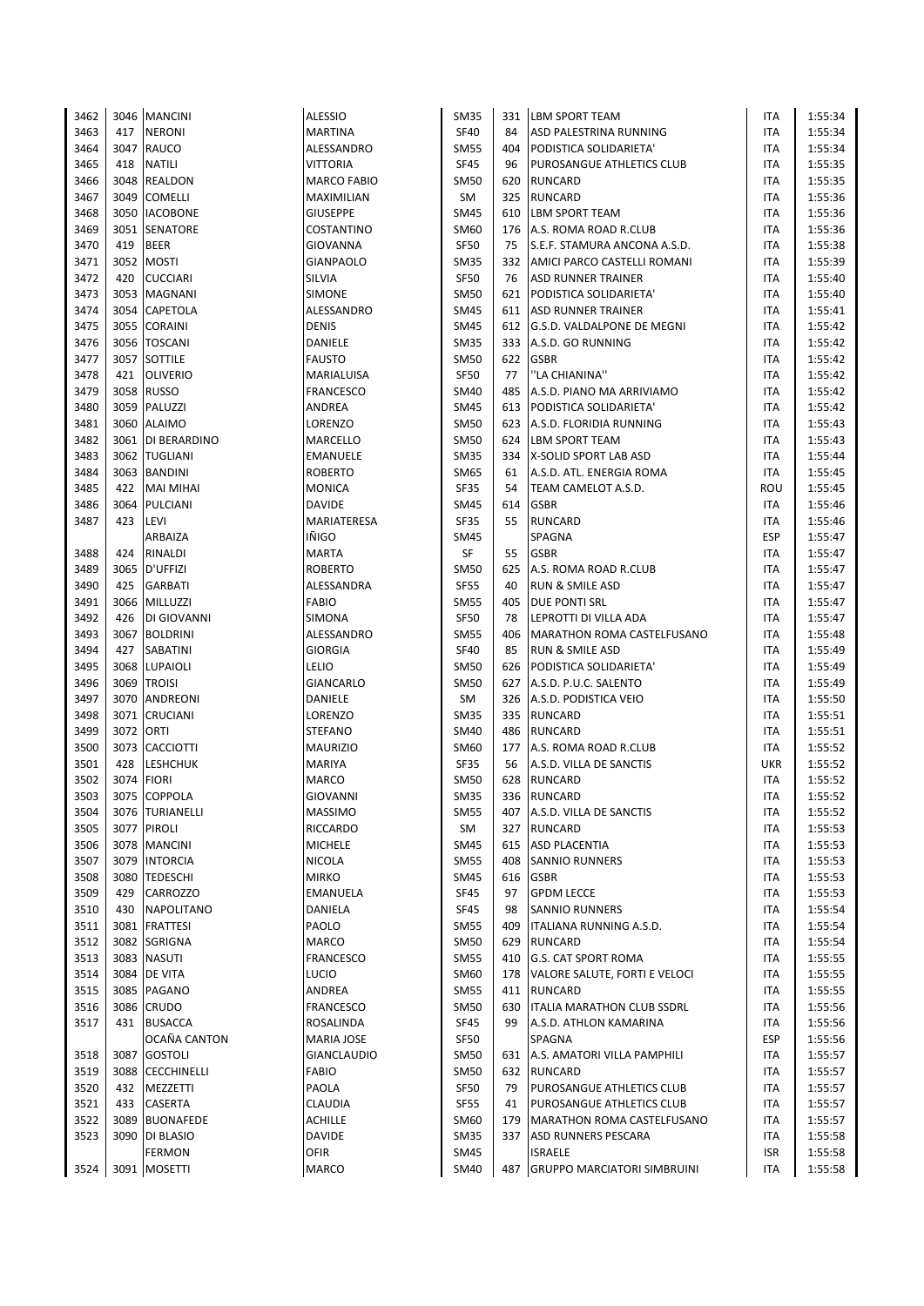| 3462 |           | 3046 MANCINI      | <b>ALESSIO</b>     | <b>SM35</b> |     | 331 LBM SPORT TEAM               | ITA        | 1:55:34 |
|------|-----------|-------------------|--------------------|-------------|-----|----------------------------------|------------|---------|
|      |           |                   |                    |             |     |                                  |            |         |
| 3463 | 417       | <b>NERONI</b>     | <b>MARTINA</b>     | <b>SF40</b> | 84  | ASD PALESTRINA RUNNING           | ITA        | 1:55:34 |
| 3464 |           | 3047 RAUCO        | ALESSANDRO         | <b>SM55</b> | 404 | PODISTICA SOLIDARIETA'           | ITA        | 1:55:34 |
| 3465 | 418       | <b>NATILI</b>     | <b>VITTORIA</b>    | <b>SF45</b> | 96  | PUROSANGUE ATHLETICS CLUB        | <b>ITA</b> | 1:55:35 |
| 3466 |           | 3048 REALDON      | MARCO FABIO        | <b>SM50</b> | 620 | <b>RUNCARD</b>                   | <b>ITA</b> | 1:55:35 |
|      |           |                   |                    |             |     |                                  |            |         |
| 3467 |           | 3049 COMELLI      | MAXIMILIAN         | SM          | 325 | <b>RUNCARD</b>                   | <b>ITA</b> | 1:55:36 |
| 3468 |           | 3050 IACOBONE     | <b>GIUSEPPE</b>    | <b>SM45</b> | 610 | <b>LBM SPORT TEAM</b>            | ITA        | 1:55:36 |
| 3469 |           | 3051 SENATORE     | COSTANTINO         | <b>SM60</b> | 176 | A.S. ROMA ROAD R.CLUB            | <b>ITA</b> | 1:55:36 |
| 3470 | 419       | <b>BEER</b>       | <b>GIOVANNA</b>    | <b>SF50</b> | 75  | S.E.F. STAMURA ANCONA A.S.D.     | <b>ITA</b> | 1:55:38 |
|      |           |                   |                    |             |     |                                  |            |         |
| 3471 |           | 3052 MOSTI        | <b>GIANPAOLO</b>   | <b>SM35</b> | 332 | AMICI PARCO CASTELLI ROMANI      | ITA        | 1:55:39 |
| 3472 | 420       | <b>CUCCIARI</b>   | SILVIA             | <b>SF50</b> | 76  | <b>ASD RUNNER TRAINER</b>        | ITA        | 1:55:40 |
| 3473 |           | 3053 MAGNANI      | <b>SIMONE</b>      | <b>SM50</b> |     | 621 PODISTICA SOLIDARIETA'       | <b>ITA</b> | 1:55:40 |
| 3474 |           | 3054 CAPETOLA     | ALESSANDRO         | <b>SM45</b> |     | 611 ASD RUNNER TRAINER           | ITA        | 1:55:41 |
| 3475 | 3055      | <b>CORAINI</b>    | <b>DENIS</b>       | <b>SM45</b> |     | 612 G.S.D. VALDALPONE DE MEGNI   | ITA        | 1:55:42 |
|      |           |                   |                    |             |     |                                  |            |         |
| 3476 |           | 3056 TOSCANI      | DANIELE            | <b>SM35</b> |     | 333 A.S.D. GO RUNNING            | ITA        | 1:55:42 |
| 3477 |           | 3057 SOTTILE      | <b>FAUSTO</b>      | <b>SM50</b> | 622 | <b>GSBR</b>                      | <b>ITA</b> | 1:55:42 |
| 3478 | 421       | <b>OLIVERIO</b>   | MARIALUISA         | <b>SF50</b> | 77  | "LA CHIANINA"                    | <b>ITA</b> | 1:55:42 |
| 3479 | 3058      | <b>RUSSO</b>      | <b>FRANCESCO</b>   | SM40        | 485 | A.S.D. PIANO MA ARRIVIAMO        | ITA        | 1:55:42 |
| 3480 |           | 3059 PALUZZI      | ANDREA             | <b>SM45</b> |     | 613 PODISTICA SOLIDARIETA'       | <b>ITA</b> | 1:55:42 |
|      |           |                   |                    |             |     |                                  |            |         |
| 3481 |           | 3060 ALAIMO       | LORENZO            | <b>SM50</b> |     | 623 A.S.D. FLORIDIA RUNNING      | ITA        | 1:55:43 |
| 3482 |           | 3061 DI BERARDINO | MARCELLO           | <b>SM50</b> |     | 624 LBM SPORT TEAM               | <b>ITA</b> | 1:55:43 |
| 3483 |           | 3062 TUGLIANI     | EMANUELE           | <b>SM35</b> | 334 | X-SOLID SPORT LAB ASD            | ITA        | 1:55:44 |
| 3484 |           | 3063 BANDINI      | <b>ROBERTO</b>     | SM65        | 61  | A.S.D. ATL. ENERGIA ROMA         | ITA        | 1:55:45 |
| 3485 | 422       | <b>MAI MIHAI</b>  | <b>MONICA</b>      | <b>SF35</b> | 54  | TEAM CAMELOT A.S.D.              | ROU        | 1:55:45 |
|      |           |                   |                    |             |     |                                  |            |         |
| 3486 | 3064      | PULCIANI          | <b>DAVIDE</b>      | <b>SM45</b> | 614 | <b>GSBR</b>                      | ITA        | 1:55:46 |
| 3487 | 423       | LEVI              | MARIATERESA        | <b>SF35</b> | 55  | <b>RUNCARD</b>                   | ITA        | 1:55:46 |
|      |           | ARBAIZA           | IÑIGO              | SM45        |     | SPAGNA                           | <b>ESP</b> | 1:55:47 |
| 3488 |           | 424 RINALDI       | <b>MARTA</b>       | SF          | 55  | <b>GSBR</b>                      | ITA        | 1:55:47 |
| 3489 |           | 3065 D'UFFIZI     | <b>ROBERTO</b>     | SM50        | 625 | A.S. ROMA ROAD R.CLUB            | ITA        | 1:55:47 |
| 3490 | 425       | <b>GARBATI</b>    | ALESSANDRA         | <b>SF55</b> | 40  | <b>RUN &amp; SMILE ASD</b>       | ITA        | 1:55:47 |
|      |           |                   |                    |             |     |                                  |            |         |
| 3491 |           | 3066 MILLUZZI     | FABIO              | <b>SM55</b> | 405 | <b>DUE PONTI SRL</b>             | <b>ITA</b> | 1:55:47 |
| 3492 |           | 426 DI GIOVANNI   | SIMONA             | <b>SF50</b> | 78  | LEPROTTI DI VILLA ADA            | <b>ITA</b> | 1:55:47 |
| 3493 |           | 3067 BOLDRINI     | ALESSANDRO         | <b>SM55</b> | 406 | MARATHON ROMA CASTELFUSANO       | <b>ITA</b> | 1:55:48 |
| 3494 | 427       | <b>SABATINI</b>   | <b>GIORGIA</b>     | <b>SF40</b> | 85  | <b>RUN &amp; SMILE ASD</b>       | ITA        | 1:55:49 |
| 3495 |           | 3068 LUPAIOLI     | <b>LELIO</b>       | <b>SM50</b> |     | 626 PODISTICA SOLIDARIETA'       | <b>ITA</b> | 1:55:49 |
| 3496 |           | 3069 TROISI       | <b>GIANCARLO</b>   | <b>SM50</b> |     | 627 A.S.D. P.U.C. SALENTO        | ITA        | 1:55:49 |
|      |           |                   |                    |             |     |                                  |            |         |
| 3497 |           | 3070 ANDREONI     | DANIELE            | SM          |     | 326 A.S.D. PODISTICA VEIO        | ITA        | 1:55:50 |
| 3498 | 3071      | <b>CRUCIANI</b>   | LORENZO            | <b>SM35</b> |     | 335 RUNCARD                      | ITA        | 1:55:51 |
| 3499 | 3072 ORTI |                   | <b>STEFANO</b>     | <b>SM40</b> | 486 | <b>RUNCARD</b>                   | <b>ITA</b> | 1:55:51 |
| 3500 |           | 3073 CACCIOTTI    | <b>MAURIZIO</b>    | SM60        | 177 | A.S. ROMA ROAD R.CLUB            | ITA        | 1:55:52 |
| 3501 | 428       | <b>LESHCHUK</b>   | <b>MARIYA</b>      | <b>SF35</b> | 56  | A.S.D. VILLA DE SANCTIS          | <b>UKR</b> | 1:55:52 |
| 3502 |           | 3074 FIORI        | <b>MARCO</b>       | SM50        |     | 628 RUNCARD                      | ITA        | 1:55:52 |
|      |           |                   |                    |             |     |                                  |            |         |
| 3503 |           | 3075 COPPOLA      | <b>GIOVANNI</b>    | <b>SM35</b> |     | 336 RUNCARD                      | <b>ITA</b> | 1:55:52 |
| 3504 |           | 3076 TURIANELLI   | <b>MASSIMO</b>     | <b>SM55</b> |     | 407 A.S.D. VILLA DE SANCTIS      | ITA        | 1:55:52 |
| 3505 |           | 3077 PIROLI       | RICCARDO           | SM          | 327 | <b>RUNCARD</b>                   | ITA        | 1:55:53 |
| 3506 |           | 3078 MANCINI      | <b>MICHELE</b>     | <b>SM45</b> |     | 615 ASD PLACENTIA                | ITA        | 1:55:53 |
| 3507 |           | 3079 INTORCIA     | <b>NICOLA</b>      | <b>SM55</b> | 408 | <b>SANNIO RUNNERS</b>            | ITA        | 1:55:53 |
|      |           |                   |                    |             |     |                                  |            |         |
| 3508 |           | 3080 TEDESCHI     | <b>MIRKO</b>       | <b>SM45</b> |     | 616 GSBR                         | ITA        | 1:55:53 |
| 3509 | 429       | CARROZZO          | EMANUELA           | SF45        | 97  | <b>GPDM LECCE</b>                | ITA        | 1:55:53 |
| 3510 | 430       | <b>NAPOLITANO</b> | DANIELA            | SF45        | 98  | <b>SANNIO RUNNERS</b>            | ITA        | 1:55:54 |
| 3511 |           | 3081 FRATTESI     | PAOLO              | <b>SM55</b> | 409 | ITALIANA RUNNING A.S.D.          | ITA        | 1:55:54 |
| 3512 |           | 3082 SGRIGNA      | MARCO              | <b>SM50</b> |     | 629 RUNCARD                      | ITA        | 1:55:54 |
| 3513 |           | 3083 NASUTI       | FRANCESCO          | <b>SM55</b> | 410 | <b>G.S. CAT SPORT ROMA</b>       | ITA        | 1:55:55 |
|      |           |                   |                    |             |     |                                  |            |         |
| 3514 |           | 3084 DE VITA      | <b>LUCIO</b>       | SM60        | 178 | VALORE SALUTE, FORTI E VELOCI    | ITA        | 1:55:55 |
| 3515 |           | 3085 PAGANO       | ANDREA             | <b>SM55</b> |     | 411 RUNCARD                      | ITA        | 1:55:55 |
| 3516 |           | 3086 CRUDO        | FRANCESCO          | <b>SM50</b> |     | 630   ITALIA MARATHON CLUB SSDRL | ITA        | 1:55:56 |
| 3517 | 431       | <b>BUSACCA</b>    | ROSALINDA          | SF45        | 99  | A.S.D. ATHLON KAMARINA           | ITA        | 1:55:56 |
|      |           | OCAÑA CANTON      | MARIA JOSE         | SF50        |     | SPAGNA                           | <b>ESP</b> | 1:55:56 |
|      |           |                   |                    |             |     |                                  |            |         |
| 3518 |           | 3087 GOSTOLI      | <b>GIANCLAUDIO</b> | <b>SM50</b> |     | 631 A.S. AMATORI VILLA PAMPHILI  | ITA        | 1:55:57 |
| 3519 |           | 3088 CECCHINELLI  | <b>FABIO</b>       | <b>SM50</b> |     | 632 RUNCARD                      | ITA        | 1:55:57 |
| 3520 | 432       | MEZZETTI          | PAOLA              | <b>SF50</b> | 79  | PUROSANGUE ATHLETICS CLUB        | ITA        | 1:55:57 |
| 3521 | 433       | <b>CASERTA</b>    | CLAUDIA            | SF55        | 41  | PUROSANGUE ATHLETICS CLUB        | ITA        | 1:55:57 |
| 3522 |           | 3089 BUONAFEDE    | <b>ACHILLE</b>     | SM60        | 179 | MARATHON ROMA CASTELFUSANO       | ITA        | 1:55:57 |
| 3523 |           | 3090 DI BLASIO    | DAVIDE             | <b>SM35</b> | 337 | <b>ASD RUNNERS PESCARA</b>       | ITA        | 1:55:58 |
|      |           |                   |                    |             |     |                                  |            |         |
|      |           | <b>FERMON</b>     | OFIR               | <b>SM45</b> |     | <b>ISRAELE</b>                   | ISR        | 1:55:58 |
| 3524 |           | 3091 MOSETTI      | <b>MARCO</b>       | SM40        |     | 487 GRUPPO MARCIATORI SIMBRUINI  | <b>ITA</b> | 1:55:58 |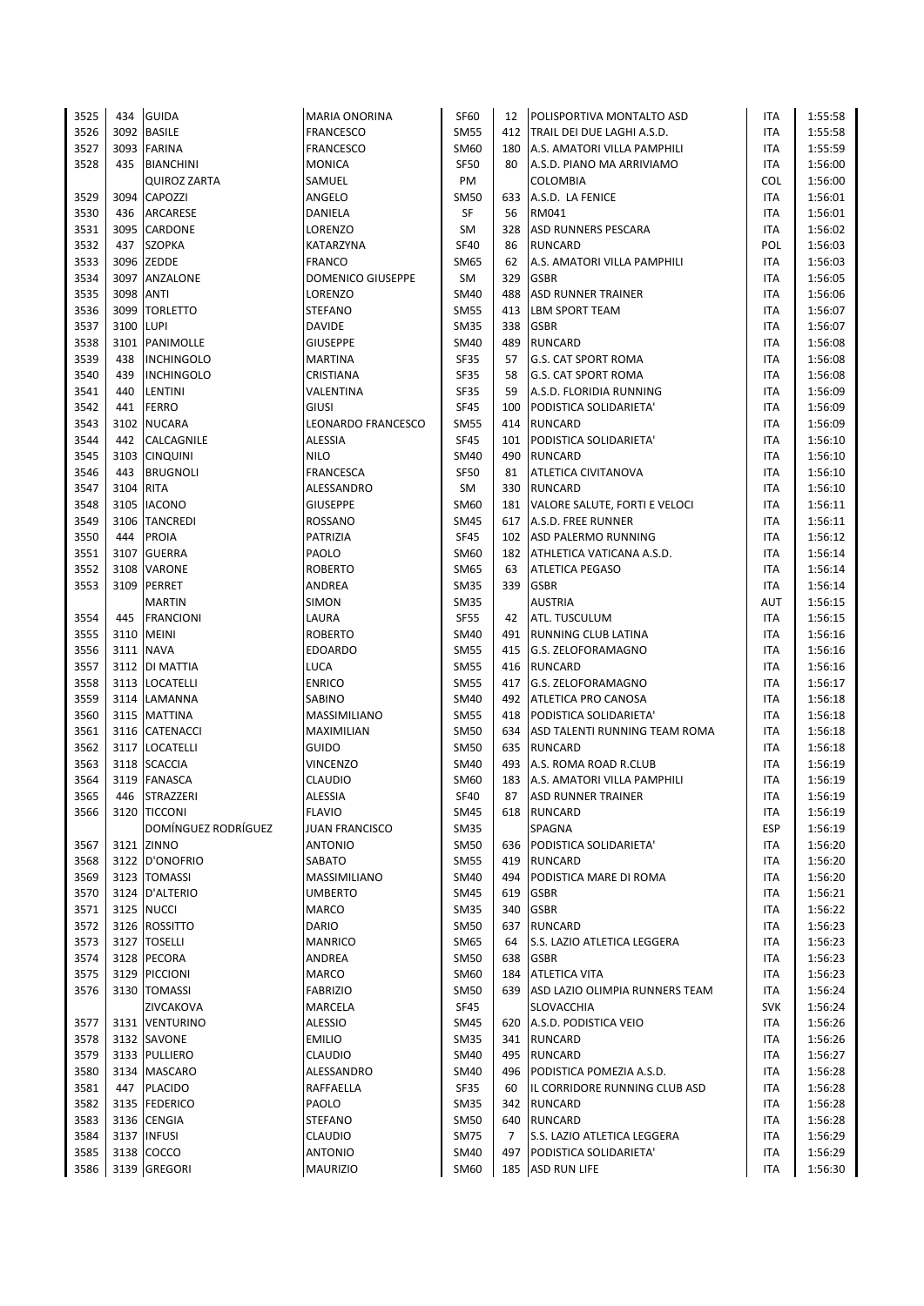| 3525         | 434       | <b>GUIDA</b>                       | <b>MARIA ONORINA</b>         | <b>SF60</b>                | 12  | POLISPORTIVA MONTALTO ASD           | ITA        | 1:55:58            |
|--------------|-----------|------------------------------------|------------------------------|----------------------------|-----|-------------------------------------|------------|--------------------|
| 3526         |           | 3092 BASILE                        | <b>FRANCESCO</b>             | <b>SM55</b>                |     | 412 TRAIL DEI DUE LAGHI A.S.D.      | ITA        | 1:55:58            |
| 3527         | 3093      | <b>FARINA</b>                      | <b>FRANCESCO</b>             | SM60                       | 180 | A.S. AMATORI VILLA PAMPHILI         | ITA        | 1:55:59            |
| 3528         | 435       | <b>BIANCHINI</b>                   | <b>MONICA</b>                | SF50                       | 80  | A.S.D. PIANO MA ARRIVIAMO           | ITA        | 1:56:00            |
|              |           | <b>QUIROZ ZARTA</b>                | SAMUEL                       | PM                         |     | <b>COLOMBIA</b>                     | <b>COL</b> | 1:56:00            |
| 3529         | 3094      | CAPOZZI                            | ANGELO                       | <b>SM50</b>                | 633 | A.S.D. LA FENICE                    | ITA        | 1:56:01            |
| 3530         | 436       | ARCARESE                           | DANIELA                      | SF                         | 56  | RM041                               | ITA        | 1:56:01            |
| 3531         |           | 3095 CARDONE                       | LORENZO                      | SM                         | 328 | <b>ASD RUNNERS PESCARA</b>          | ITA        | 1:56:02            |
| 3532         | 437       | <b>SZOPKA</b>                      | KATARZYNA                    | <b>SF40</b>                | 86  | <b>RUNCARD</b>                      | POL        | 1:56:03            |
| 3533         |           | 3096 ZEDDE                         | <b>FRANCO</b>                | SM65                       | 62  | A.S. AMATORI VILLA PAMPHILI         | ITA        | 1:56:03            |
| 3534         | 3097      | ANZALONE                           | <b>DOMENICO GIUSEPPE</b>     | SM                         | 329 | <b>GSBR</b>                         | ITA        | 1:56:05            |
| 3535         | 3098      | ANTI                               | LORENZO                      | SM40                       | 488 | <b>ASD RUNNER TRAINER</b>           | ITA        | 1:56:06            |
| 3536         | 3099      | <b>TORLETTO</b>                    | <b>STEFANO</b>               | <b>SM55</b>                | 413 | <b>LBM SPORT TEAM</b>               | ITA        | 1:56:07            |
| 3537         | 3100      | LUPI                               | <b>DAVIDE</b>                | SM35                       | 338 | <b>GSBR</b>                         | ITA        | 1:56:07            |
| 3538         | 3101      | PANIMOLLE                          | GIUSEPPE                     | SM40                       | 489 | <b>RUNCARD</b>                      | ITA        | 1:56:08            |
| 3539         | 438       | <b>INCHINGOLO</b>                  | <b>MARTINA</b>               | <b>SF35</b>                | 57  | <b>G.S. CAT SPORT ROMA</b>          | ITA        | 1:56:08            |
| 3540         | 439       | <b>INCHINGOLO</b>                  | CRISTIANA                    | <b>SF35</b>                | 58  | <b>G.S. CAT SPORT ROMA</b>          | <b>ITA</b> | 1:56:08            |
| 3541         | 440       | LENTINI                            | VALENTINA                    | <b>SF35</b>                | 59  | A.S.D. FLORIDIA RUNNING             | ITA        | 1:56:09            |
| 3542         | 441       | <b>FERRO</b>                       | <b>GIUSI</b>                 | <b>SF45</b>                | 100 | PODISTICA SOLIDARIETA'              | ITA        | 1:56:09            |
| 3543         |           | 3102 NUCARA                        | LEONARDO FRANCESCO           | <b>SM55</b>                | 414 | <b>RUNCARD</b>                      | ITA        | 1:56:09            |
| 3544         | 442       | CALCAGNILE                         | ALESSIA                      | <b>SF45</b>                | 101 | PODISTICA SOLIDARIETA'              | <b>ITA</b> | 1:56:10            |
| 3545         |           | 3103 CINQUINI                      | <b>NILO</b>                  | SM40                       | 490 | RUNCARD                             | ITA        | 1:56:10            |
| 3546         | 443       | <b>BRUGNOLI</b>                    | <b>FRANCESCA</b>             | <b>SF50</b>                | 81  | <b>ATLETICA CIVITANOVA</b>          | ITA        | 1:56:10            |
| 3547         | 3104 RITA |                                    | ALESSANDRO                   | SM                         | 330 | RUNCARD                             | ITA        | 1:56:10            |
| 3548         |           | 3105 IACONO                        | <b>GIUSEPPE</b>              | SM60                       |     | 181   VALORE SALUTE, FORTI E VELOCI | ITA        | 1:56:11            |
| 3549         | 3106      | <b>TANCREDI</b>                    | ROSSANO                      | <b>SM45</b>                | 617 | A.S.D. FREE RUNNER                  | ITA        | 1:56:11            |
| 3550         | 444       | PROIA                              | PATRIZIA                     | <b>SF45</b>                | 102 | ASD PALERMO RUNNING                 | ITA        | 1:56:12            |
| 3551         | 3107      | <b>GUERRA</b>                      | PAOLO                        | SM60                       | 182 | ATHLETICA VATICANA A.S.D.           | ITA        | 1:56:14            |
| 3552         |           | 3108 VARONE                        | <b>ROBERTO</b>               | SM65                       | 63  | <b>ATLETICA PEGASO</b>              | ITA        | 1:56:14            |
| 3553         | 3109      | PERRET                             | ANDREA                       | SM35                       | 339 | <b>GSBR</b>                         | ITA        | 1:56:14            |
|              |           | <b>MARTIN</b>                      | SIMON                        | <b>SM35</b>                |     | <b>AUSTRIA</b>                      | AUT        | 1:56:15            |
| 3554         | 445       | <b>FRANCIONI</b>                   | LAURA                        | <b>SF55</b>                | 42  | <b>ATL. TUSCULUM</b>                | ITA        | 1:56:15            |
| 3555         |           | 3110 MEINI                         | <b>ROBERTO</b>               | SM40                       | 491 | RUNNING CLUB LATINA                 | ITA        | 1:56:16            |
| 3556         |           | 3111 NAVA                          | <b>EDOARDO</b>               | <b>SM55</b>                |     | 415 G.S. ZELOFORAMAGNO              | ITA        | 1:56:16            |
| 3557<br>3558 |           | 3112   DI MATTIA<br>3113 LOCATELLI | <b>LUCA</b><br><b>ENRICO</b> | <b>SM55</b><br><b>SM55</b> | 416 | RUNCARD<br>417 G.S. ZELOFORAMAGNO   | ITA<br>ITA | 1:56:16<br>1:56:17 |
| 3559         |           | 3114 LAMANNA                       | SABINO                       | SM40                       |     | 492 ATLETICA PRO CANOSA             | ITA        | 1:56:18            |
| 3560         |           | 3115 MATTINA                       | MASSIMILIANO                 | <b>SM55</b>                | 418 | PODISTICA SOLIDARIETA'              | ITA        | 1:56:18            |
| 3561         |           | 3116 CATENACCI                     | MAXIMILIAN                   | SM50                       | 634 | ASD TALENTI RUNNING TEAM ROMA       | ITA        | 1:56:18            |
| 3562         |           | 3117 LOCATELLI                     | GUIDO                        | <b>SM50</b>                | 635 | RUNCARD                             | ITA        | 1:56:18            |
| 3563         | 3118      | <b>SCACCIA</b>                     | VINCENZO                     | SM40                       | 493 | A.S. ROMA ROAD R.CLUB               | ITA        | 1:56:19            |
| 3564         | 3119      | <b>FANASCA</b>                     | CLAUDIO                      | SM60                       | 183 | A.S. AMATORI VILLA PAMPHILI         | ITA        | 1:56:19            |
| 3565         |           | 446 STRAZZERI                      | <b>ALESSIA</b>               | <b>SF40</b>                | 87  | <b>ASD RUNNER TRAINER</b>           | <b>ITA</b> | 1:56:19            |
| 3566         |           | 3120 TICCONI                       | <b>FLAVIO</b>                | SM45                       |     | 618 RUNCARD                         | ITA        | 1:56:19            |
|              |           | DOMÍNGUEZ RODRÍGUEZ                | <b>JUAN FRANCISCO</b>        | <b>SM35</b>                |     | SPAGNA                              | <b>ESP</b> | 1:56:19            |
| 3567         |           | 3121 ZINNO                         | <b>ANTONIO</b>               | <b>SM50</b>                | 636 | PODISTICA SOLIDARIETA'              | ITA        | 1:56:20            |
| 3568         |           | 3122 D'ONOFRIO                     | SABATO                       | <b>SM55</b>                | 419 | <b>RUNCARD</b>                      | <b>ITA</b> | 1:56:20            |
| 3569         |           | 3123 TOMASSI                       | MASSIMILIANO                 | <b>SM40</b>                | 494 | PODISTICA MARE DI ROMA              | <b>ITA</b> | 1:56:20            |
| 3570         |           | 3124 D'ALTERIO                     | <b>UMBERTO</b>               | <b>SM45</b>                | 619 | <b>GSBR</b>                         | ITA        | 1:56:21            |
| 3571         |           | 3125 NUCCI                         | MARCO                        | <b>SM35</b>                | 340 | <b>GSBR</b>                         | ITA        | 1:56:22            |
| 3572         |           | 3126 ROSSITTO                      | <b>DARIO</b>                 | <b>SM50</b>                | 637 | <b>RUNCARD</b>                      | ITA        | 1:56:23            |
| 3573         |           | 3127 TOSELLI                       | <b>MANRICO</b>               | SM65                       | 64  | S.S. LAZIO ATLETICA LEGGERA         | ITA        | 1:56:23            |
| 3574         |           | 3128 PECORA                        | ANDREA                       | <b>SM50</b>                | 638 | <b>GSBR</b>                         | ITA        | 1:56:23            |
| 3575         |           | 3129 PICCIONI                      | <b>MARCO</b>                 | SM60                       | 184 | <b>ATLETICA VITA</b>                | ITA        | 1:56:23            |
| 3576         |           | 3130 TOMASSI                       | <b>FABRIZIO</b>              | <b>SM50</b>                | 639 | ASD LAZIO OLIMPIA RUNNERS TEAM      | ITA        | 1:56:24            |
|              |           | ZIVCAKOVA                          | MARCELA                      | SF45                       |     | <b>SLOVACCHIA</b>                   | <b>SVK</b> | 1:56:24            |
| 3577         |           | 3131 VENTURINO                     | ALESSIO                      | SM45                       | 620 | A.S.D. PODISTICA VEIO               | ITA        | 1:56:26            |
| 3578         |           | 3132 SAVONE                        | <b>EMILIO</b>                | <b>SM35</b>                | 341 | RUNCARD                             | ITA        | 1:56:26            |
| 3579         |           | 3133 PULLIERO                      | <b>CLAUDIO</b>               | SM40                       |     | 495 RUNCARD                         | ITA        | 1:56:27            |
| 3580         |           | 3134   MASCARO                     | ALESSANDRO                   | <b>SM40</b>                |     | 496   PODISTICA POMEZIA A.S.D.      | ITA        | 1:56:28            |
| 3581         | 447       | <b>PLACIDO</b>                     | RAFFAELLA                    | SF35                       | 60  | IL CORRIDORE RUNNING CLUB ASD       | ITA        | 1:56:28            |
| 3582         |           | 3135 FEDERICO                      | PAOLO                        | <b>SM35</b>                | 342 | RUNCARD                             | ITA        | 1:56:28            |
| 3583         |           | 3136 CENGIA                        | STEFANO                      | <b>SM50</b>                | 640 | <b>RUNCARD</b>                      | ITA        | 1:56:28            |
| 3584         |           | 3137 INFUSI                        | <b>CLAUDIO</b>               | <b>SM75</b>                | 7   | S.S. LAZIO ATLETICA LEGGERA         | ITA        | 1:56:29            |
| 3585         |           | 3138 COCCO                         | ANTONIO                      | SM40                       | 497 | PODISTICA SOLIDARIETA'              | ITA        | 1:56:29            |
| 3586         |           | 3139 GREGORI                       | <b>MAURIZIO</b>              | SM60                       |     | 185 ASD RUN LIFE                    | ITA        | 1:56:30            |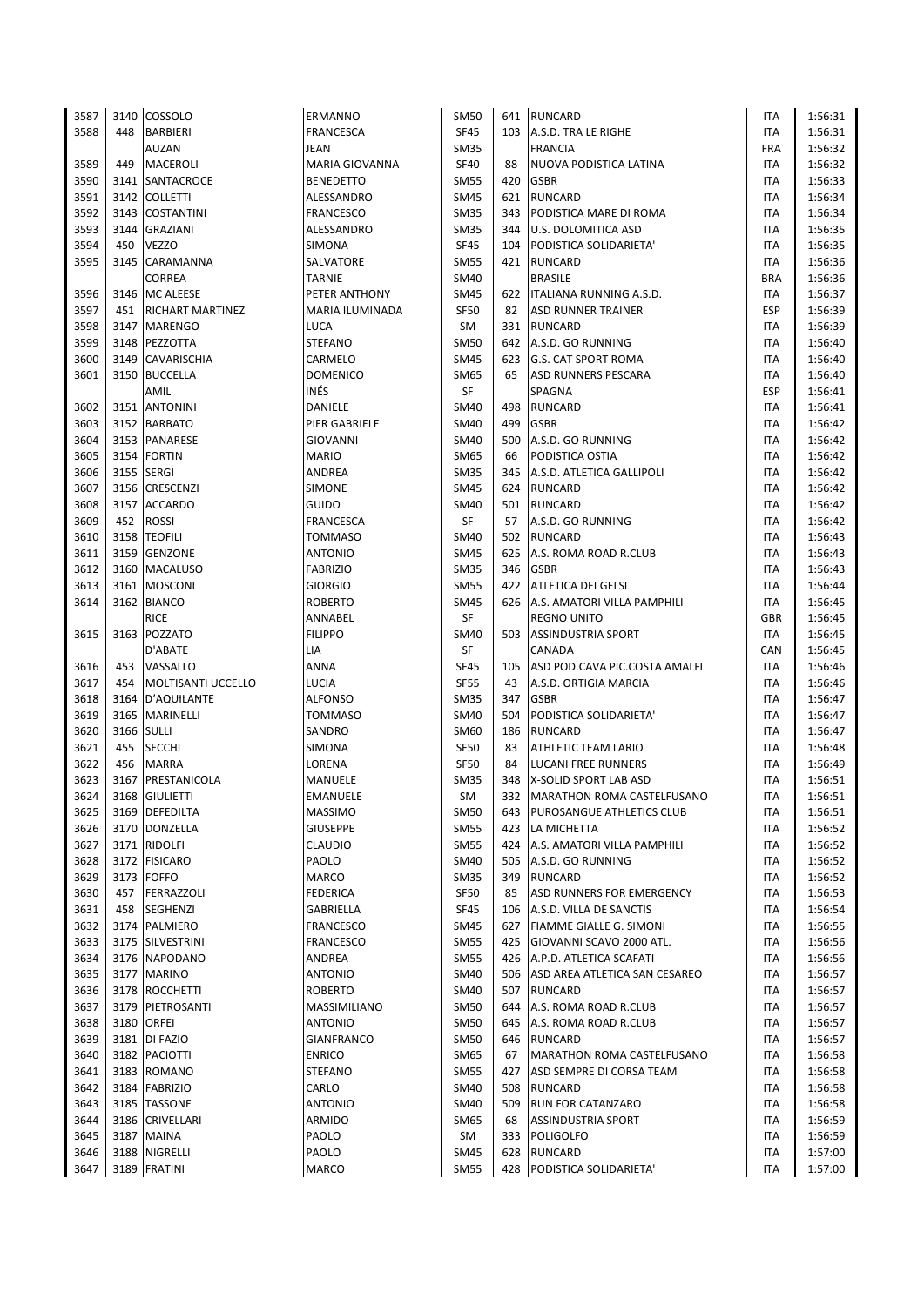| 3587 |      | 3140 COSSOLO            | ERMANNO           | SM50        |     | 641 RUNCARD                        | <b>ITA</b> | 1:56:31 |
|------|------|-------------------------|-------------------|-------------|-----|------------------------------------|------------|---------|
| 3588 | 448  | <b>BARBIERI</b>         | <b>FRANCESCA</b>  | <b>SF45</b> |     | 103 A.S.D. TRA LE RIGHE            | <b>ITA</b> | 1:56:31 |
|      |      | <b>AUZAN</b>            | JEAN              | SM35        |     | <b>FRANCIA</b>                     | <b>FRA</b> | 1:56:32 |
| 3589 | 449  | <b>MACEROLI</b>         | MARIA GIOVANNA    | <b>SF40</b> | 88  | NUOVA PODISTICA LATINA             | <b>ITA</b> | 1:56:32 |
| 3590 |      | 3141 SANTACROCE         | <b>BENEDETTO</b>  | <b>SM55</b> | 420 | <b>GSBR</b>                        | ITA        | 1:56:33 |
| 3591 |      | 3142 COLLETTI           | ALESSANDRO        | <b>SM45</b> | 621 | <b>RUNCARD</b>                     | <b>ITA</b> | 1:56:34 |
| 3592 |      | 3143 COSTANTINI         | <b>FRANCESCO</b>  | <b>SM35</b> | 343 | PODISTICA MARE DI ROMA             | <b>ITA</b> | 1:56:34 |
| 3593 |      | 3144 GRAZIANI           | ALESSANDRO        | <b>SM35</b> | 344 | <b>U.S. DOLOMITICA ASD</b>         | <b>ITA</b> | 1:56:35 |
| 3594 | 450  | <b>VEZZO</b>            | SIMONA            | <b>SF45</b> | 104 | PODISTICA SOLIDARIETA'             | ITA        | 1:56:35 |
| 3595 | 3145 | CARAMANNA               | SALVATORE         | SM55        | 421 | <b>RUNCARD</b>                     | <b>ITA</b> | 1:56:36 |
|      |      | CORREA                  | TARNIE            | SM40        |     | <b>BRASILE</b>                     | <b>BRA</b> | 1:56:36 |
| 3596 |      | 3146 MC ALEESE          | PETER ANTHONY     | SM45        |     | 622 <b>ITALIANA RUNNING A.S.D.</b> | ITA        | 1:56:37 |
| 3597 | 451  | <b>RICHART MARTINEZ</b> | MARIA ILUMINADA   | <b>SF50</b> | 82  | <b>ASD RUNNER TRAINER</b>          | <b>ESP</b> | 1:56:39 |
| 3598 |      | 3147 MARENGO            | LUCA              | SM          |     | 331 RUNCARD                        | <b>ITA</b> | 1:56:39 |
| 3599 |      | 3148 PEZZOTTA           | <b>STEFANO</b>    | <b>SM50</b> | 642 | A.S.D. GO RUNNING                  | <b>ITA</b> | 1:56:40 |
| 3600 |      | 3149 CAVARISCHIA        |                   | <b>SM45</b> | 623 | <b>G.S. CAT SPORT ROMA</b>         | <b>ITA</b> | 1:56:40 |
|      |      |                         | CARMELO           | SM65        | 65  |                                    |            |         |
| 3601 |      | 3150 BUCCELLA           | <b>DOMENICO</b>   |             |     | <b>ASD RUNNERS PESCARA</b>         | ITA        | 1:56:40 |
|      |      | AMIL                    | INÉS              | SF          |     | SPAGNA                             | ESP        | 1:56:41 |
| 3602 |      | 3151 ANTONINI           | DANIELE           | SM40        | 498 | <b>RUNCARD</b>                     | <b>ITA</b> | 1:56:41 |
| 3603 |      | 3152 BARBATO            | PIER GABRIELE     | SM40        | 499 | <b>GSBR</b>                        | <b>ITA</b> | 1:56:42 |
| 3604 |      | 3153 PANARESE           | <b>GIOVANNI</b>   | <b>SM40</b> | 500 | A.S.D. GO RUNNING                  | <b>ITA</b> | 1:56:42 |
| 3605 |      | 3154 FORTIN             | <b>MARIO</b>      | SM65        | 66  | PODISTICA OSTIA                    | ITA        | 1:56:42 |
| 3606 |      | 3155 SERGI              | ANDREA            | <b>SM35</b> |     | 345 A.S.D. ATLETICA GALLIPOLI      | <b>ITA</b> | 1:56:42 |
| 3607 |      | 3156 CRESCENZI          | <b>SIMONE</b>     | <b>SM45</b> |     | 624 RUNCARD                        | <b>ITA</b> | 1:56:42 |
| 3608 |      | 3157 ACCARDO            | GUIDO             | <b>SM40</b> |     | 501 RUNCARD                        | <b>ITA</b> | 1:56:42 |
| 3609 | 452  | <b>ROSSI</b>            | FRANCESCA         | SF          | 57  | A.S.D. GO RUNNING                  | <b>ITA</b> | 1:56:42 |
| 3610 |      | 3158 TEOFILI            | <b>TOMMASO</b>    | SM40        |     | 502 RUNCARD                        | <b>ITA</b> | 1:56:43 |
| 3611 |      | 3159 GENZONE            | <b>ANTONIO</b>    | <b>SM45</b> | 625 | A.S. ROMA ROAD R.CLUB              | <b>ITA</b> | 1:56:43 |
| 3612 |      | 3160 MACALUSO           | <b>FABRIZIO</b>   | <b>SM35</b> | 346 | <b>GSBR</b>                        | <b>ITA</b> | 1:56:43 |
| 3613 |      | 3161 MOSCONI            | <b>GIORGIO</b>    | <b>SM55</b> | 422 | <b>ATLETICA DEI GELSI</b>          | <b>ITA</b> | 1:56:44 |
| 3614 |      | 3162 BIANCO             | <b>ROBERTO</b>    | <b>SM45</b> |     | 626 A.S. AMATORI VILLA PAMPHILI    | <b>ITA</b> | 1:56:45 |
|      |      | <b>RICE</b>             | ANNABEL           | SF          |     | <b>REGNO UNITO</b>                 | <b>GBR</b> | 1:56:45 |
| 3615 | 3163 | POZZATO                 | <b>FILIPPO</b>    | <b>SM40</b> | 503 | <b>ASSINDUSTRIA SPORT</b>          | <b>ITA</b> | 1:56:45 |
|      |      | D'ABATE                 | LIA               | SF          |     | <b>CANADA</b>                      | CAN        | 1:56:45 |
| 3616 | 453  | VASSALLO                | ANNA              | <b>SF45</b> | 105 | ASD POD.CAVA PIC.COSTA AMALFI      | <b>ITA</b> | 1:56:46 |
| 3617 | 454  | MOLTISANTI UCCELLO      | LUCIA             | <b>SF55</b> | 43  | A.S.D. ORTIGIA MARCIA              | ITA        | 1:56:46 |
| 3618 |      | 3164 D'AQUILANTE        | <b>ALFONSO</b>    | SM35        | 347 | <b>GSBR</b>                        | <b>ITA</b> | 1:56:47 |
| 3619 |      | 3165 MARINELLI          | <b>TOMMASO</b>    | SM40        | 504 | PODISTICA SOLIDARIETA'             | ITA        | 1:56:47 |
| 3620 |      | 3166 SULLI              | SANDRO            | SM60        | 186 | <b>RUNCARD</b>                     | <b>ITA</b> | 1:56:47 |
| 3621 | 455  | <b>SECCHI</b>           | SIMONA            | <b>SF50</b> | 83  | <b>ATHLETIC TEAM LARIO</b>         | <b>ITA</b> | 1:56:48 |
| 3622 | 456  | <b>MARRA</b>            | LORENA            | SF50        | 84  | LUCANI FREE RUNNERS                | <b>ITA</b> | 1:56:49 |
| 3623 |      | 3167 PRESTANICOLA       | MANUELE           | SM35        | 348 | X-SOLID SPORT LAB ASD              | ITA        | 1:56:51 |
| 3624 |      | 3168 GIULIETTI          | <b>EMANUELE</b>   | <b>SM</b>   |     | 332 MARATHON ROMA CASTELFUSANO     | <b>ITA</b> | 1:56:51 |
| 3625 |      | 3169 DEFEDILTA          | <b>MASSIMO</b>    | SM50        | 643 | PUROSANGUE ATHLETICS CLUB          | ITA        | 1:56:51 |
| 3626 |      | 3170 DONZELLA           | <b>GIUSEPPE</b>   | <b>SM55</b> | 423 | LA MICHETTA                        | ITA        | 1:56:52 |
| 3627 |      | 3171 RIDOLFI            | CLAUDIO           | <b>SM55</b> | 424 | A.S. AMATORI VILLA PAMPHILI        | ITA        | 1:56:52 |
| 3628 |      | 3172 FISICARO           | PAOLO             | SM40        | 505 | A.S.D. GO RUNNING                  | ITA        | 1:56:52 |
| 3629 |      | 3173 FOFFO              | <b>MARCO</b>      | <b>SM35</b> | 349 | RUNCARD                            | ITA        | 1:56:52 |
| 3630 | 457  | FERRAZZOLI              | <b>FEDERICA</b>   | SF50        | 85  | ASD RUNNERS FOR EMERGENCY          | ITA        | 1:56:53 |
| 3631 |      | 458 SEGHENZI            | GABRIELLA         | <b>SF45</b> | 106 | A.S.D. VILLA DE SANCTIS            | ITA        | 1:56:54 |
| 3632 |      | 3174 PALMIERO           | <b>FRANCESCO</b>  | SM45        |     | 627 FIAMME GIALLE G. SIMONI        | ITA        | 1:56:55 |
| 3633 |      | 3175 SILVESTRINI        | <b>FRANCESCO</b>  | <b>SM55</b> |     | 425 GIOVANNI SCAVO 2000 ATL.       | ITA        | 1:56:56 |
| 3634 |      | 3176 NAPODANO           | ANDREA            | SM55        |     | 426 A.P.D. ATLETICA SCAFATI        | ITA        | 1:56:56 |
|      |      | 3177 MARINO             |                   |             |     |                                    |            |         |
| 3635 |      |                         | <b>ANTONIO</b>    | SM40        |     | 506 ASD AREA ATLETICA SAN CESAREO  | ITA        | 1:56:57 |
| 3636 |      | 3178 ROCCHETTI          | <b>ROBERTO</b>    | <b>SM40</b> |     | 507 RUNCARD                        | ITA        | 1:56:57 |
| 3637 |      | 3179 PIETROSANTI        | MASSIMILIANO      | SM50        | 644 | A.S. ROMA ROAD R.CLUB              | ITA        | 1:56:57 |
| 3638 |      | 3180 ORFEI              | <b>ANTONIO</b>    | <b>SM50</b> | 645 | A.S. ROMA ROAD R.CLUB              | ITA        | 1:56:57 |
| 3639 |      | 3181   DI FAZIO         | <b>GIANFRANCO</b> | <b>SM50</b> |     | 646 RUNCARD                        | ITA        | 1:56:57 |
| 3640 |      |                         |                   | SM65        | 67  | MARATHON ROMA CASTELFUSANO         | ITA        | 1:56:58 |
|      |      | 3182 PACIOTTI           | <b>ENRICO</b>     |             |     |                                    |            |         |
| 3641 |      | 3183 ROMANO             | <b>STEFANO</b>    | <b>SM55</b> | 427 | ASD SEMPRE DI CORSA TEAM           | ITA        | 1:56:58 |
| 3642 |      | 3184 FABRIZIO           | CARLO             | SM40        | 508 | <b>RUNCARD</b>                     | ITA        | 1:56:58 |
| 3643 |      | 3185 TASSONE            | <b>ANTONIO</b>    | SM40        | 509 | <b>RUN FOR CATANZARO</b>           | ITA        | 1:56:58 |
| 3644 |      | 3186 CRIVELLARI         | ARMIDO            | SM65        | 68  | <b>ASSINDUSTRIA SPORT</b>          | <b>ITA</b> | 1:56:59 |
| 3645 |      | 3187 MAINA              | PAOLO             | SM          | 333 | POLIGOLFO                          | ITA        | 1:56:59 |
| 3646 |      | 3188 NIGRELLI           | PAOLO             | SM45        | 628 | RUNCARD                            | <b>ITA</b> | 1:57:00 |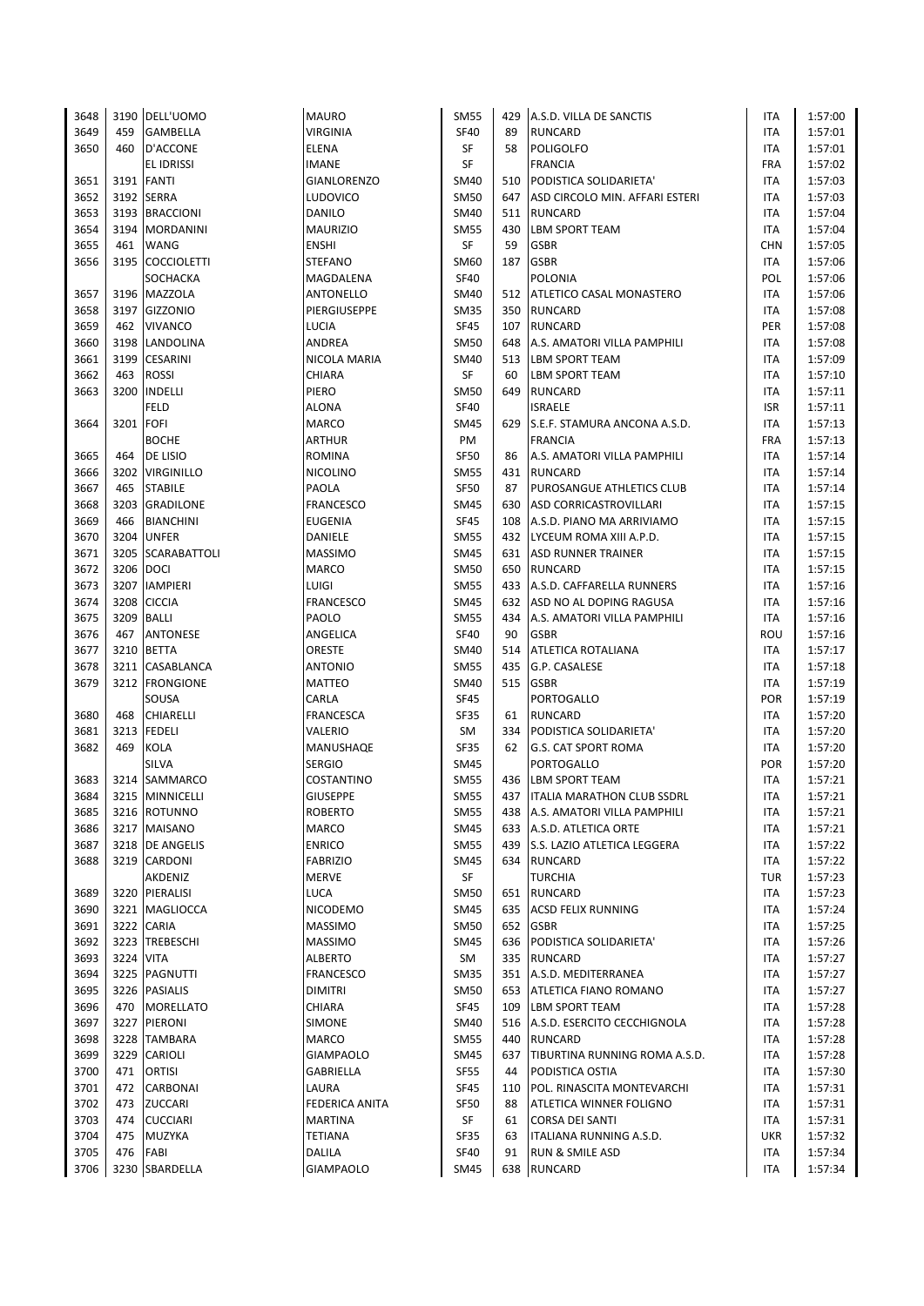| 3648 |           | 3190 DELL'UOMO     | <b>MAURO</b>       | <b>SM55</b> | 429 | A.S.D. VILLA DE SANCTIS          | ITA        | 1:57:00 |
|------|-----------|--------------------|--------------------|-------------|-----|----------------------------------|------------|---------|
| 3649 | 459       | <b>GAMBELLA</b>    | <b>VIRGINIA</b>    | <b>SF40</b> | 89  | <b>RUNCARD</b>                   | ITA        | 1:57:01 |
| 3650 | 460       | <b>D'ACCONE</b>    | <b>ELENA</b>       | SF          | 58  | POLIGOLFO                        | ITA        | 1:57:01 |
|      |           | EL IDRISSI         | <b>IMANE</b>       | SF          |     | <b>FRANCIA</b>                   | <b>FRA</b> | 1:57:02 |
| 3651 |           | 3191 FANTI         | <b>GIANLORENZO</b> | <b>SM40</b> | 510 | PODISTICA SOLIDARIETA'           | ITA        | 1:57:03 |
| 3652 |           | 3192 SERRA         | <b>LUDOVICO</b>    | <b>SM50</b> | 647 | ASD CIRCOLO MIN. AFFARI ESTERI   | ITA        | 1:57:03 |
| 3653 |           | 3193 BRACCIONI     | DANILO             | <b>SM40</b> | 511 | <b>RUNCARD</b>                   | ITA        | 1:57:04 |
| 3654 |           | 3194 MORDANINI     | <b>MAURIZIO</b>    | <b>SM55</b> | 430 | <b>LBM SPORT TEAM</b>            | <b>ITA</b> | 1:57:04 |
| 3655 | 461       | <b>WANG</b>        | <b>ENSHI</b>       | <b>SF</b>   | 59  | <b>GSBR</b>                      | <b>CHN</b> | 1:57:05 |
| 3656 | 3195      | <b>COCCIOLETTI</b> | <b>STEFANO</b>     | SM60        | 187 | <b>GSBR</b>                      | ITA        | 1:57:06 |
|      |           | SOCHACKA           | MAGDALENA          | <b>SF40</b> |     | <b>POLONIA</b>                   | POL        | 1:57:06 |
| 3657 |           | 3196 MAZZOLA       | ANTONELLO          | SM40        | 512 | <b>ATLETICO CASAL MONASTERO</b>  | ITA        | 1:57:06 |
| 3658 |           | 3197 GIZZONIO      | PIERGIUSEPPE       | <b>SM35</b> | 350 | <b>RUNCARD</b>                   | ITA        | 1:57:08 |
| 3659 | 462       | <b>VIVANCO</b>     | LUCIA              | <b>SF45</b> | 107 | <b>RUNCARD</b>                   | PER        | 1:57:08 |
| 3660 |           | 3198 LANDOLINA     | ANDREA             | <b>SM50</b> | 648 | A.S. AMATORI VILLA PAMPHILI      | ITA        | 1:57:08 |
| 3661 |           | 3199 CESARINI      | NICOLA MARIA       | <b>SM40</b> | 513 | <b>LBM SPORT TEAM</b>            | ITA        | 1:57:09 |
| 3662 | 463       | <b>ROSSI</b>       | <b>CHIARA</b>      | SF          | 60  | <b>LBM SPORT TEAM</b>            | ITA        | 1:57:10 |
| 3663 | 3200      | <b>INDELLI</b>     | PIERO              | <b>SM50</b> | 649 | <b>RUNCARD</b>                   | ITA        | 1:57:11 |
|      |           | FELD               | <b>ALONA</b>       | <b>SF40</b> |     | <b>ISRAELE</b>                   | <b>ISR</b> | 1:57:11 |
| 3664 | 3201 FOFI |                    | <b>MARCO</b>       | <b>SM45</b> | 629 | S.E.F. STAMURA ANCONA A.S.D.     | ITA        | 1:57:13 |
|      |           | <b>BOCHE</b>       | <b>ARTHUR</b>      | PM          |     | <b>FRANCIA</b>                   | <b>FRA</b> | 1:57:13 |
| 3665 | 464       | DE LISIO           | <b>ROMINA</b>      | <b>SF50</b> | 86  | A.S. AMATORI VILLA PAMPHILI      | ITA        | 1:57:14 |
| 3666 |           | 3202 VIRGINILLO    | <b>NICOLINO</b>    | <b>SM55</b> | 431 | <b>RUNCARD</b>                   | ITA        | 1:57:14 |
| 3667 | 465       | <b>STABILE</b>     | <b>PAOLA</b>       | <b>SF50</b> | 87  | PUROSANGUE ATHLETICS CLUB        | ITA        | 1:57:14 |
| 3668 | 3203      | GRADILONE          | <b>FRANCESCO</b>   | <b>SM45</b> | 630 | ASD CORRICASTROVILLARI           | ITA        | 1:57:15 |
|      | 466       |                    |                    |             |     |                                  |            |         |
| 3669 |           | <b>BIANCHINI</b>   | <b>EUGENIA</b>     | <b>SF45</b> | 108 | A.S.D. PIANO MA ARRIVIAMO        | ITA        | 1:57:15 |
| 3670 | 3204      | <b>UNFER</b>       | DANIELE            | <b>SM55</b> | 432 | LYCEUM ROMA XIII A.P.D.          | ITA        | 1:57:15 |
| 3671 |           | 3205 SCARABATTOLI  | <b>MASSIMO</b>     | <b>SM45</b> | 631 | <b>ASD RUNNER TRAINER</b>        | ITA        | 1:57:15 |
| 3672 |           | 3206 DOCI          | <b>MARCO</b>       | <b>SM50</b> | 650 | <b>RUNCARD</b>                   | ITA        | 1:57:15 |
| 3673 |           | 3207 IAMPIERI      | LUIGI              | <b>SM55</b> | 433 | A.S.D. CAFFARELLA RUNNERS        | ITA        | 1:57:16 |
| 3674 |           | 3208 CICCIA        | <b>FRANCESCO</b>   | <b>SM45</b> | 632 | ASD NO AL DOPING RAGUSA          | <b>ITA</b> | 1:57:16 |
| 3675 |           | 3209 BALLI         | PAOLO              | <b>SM55</b> | 434 | A.S. AMATORI VILLA PAMPHILI      | <b>ITA</b> | 1:57:16 |
| 3676 | 467       | <b>ANTONESE</b>    | ANGELICA           | <b>SF40</b> | 90  | <b>GSBR</b>                      | ROU        | 1:57:16 |
| 3677 | 3210      | <b>BETTA</b>       | ORESTE             | <b>SM40</b> | 514 | <b>ATLETICA ROTALIANA</b>        | ITA        | 1:57:17 |
| 3678 |           | 3211 CASABLANCA    | <b>ANTONIO</b>     | <b>SM55</b> | 435 | G.P. CASALESE                    | ITA        | 1:57:18 |
| 3679 |           | 3212 FRONGIONE     | MATTEO             | SM40        | 515 | <b>GSBR</b>                      | ITA        | 1:57:19 |
|      |           | SOUSA              | CARLA              | <b>SF45</b> |     | PORTOGALLO                       | POR        | 1:57:19 |
| 3680 | 468       | <b>CHIARELLI</b>   | <b>FRANCESCA</b>   | <b>SF35</b> | 61  | <b>RUNCARD</b>                   | ITA        | 1:57:20 |
| 3681 |           | 3213 FEDELI        | VALERIO            | SM          | 334 | PODISTICA SOLIDARIETA'           | ITA        | 1:57:20 |
| 3682 | 469       | KOLA               | MANUSHAQE          | <b>SF35</b> | 62  | <b>G.S. CAT SPORT ROMA</b>       | ITA        | 1:57:20 |
|      |           | SILVA              | <b>SERGIO</b>      | <b>SM45</b> |     | PORTOGALLO                       | POR        | 1:57:20 |
| 3683 |           | 3214 SAMMARCO      | COSTANTINO         | <b>SM55</b> | 436 | <b>LBM SPORT TEAM</b>            | ITA        | 1:57:21 |
| 3684 |           | 3215 MINNICELLI    | <b>GIUSEPPE</b>    | <b>SM55</b> |     | 437   ITALIA MARATHON CLUB SSDRL | ITA        | 1:57:21 |
| 3685 |           | 3216 ROTUNNO       | <b>ROBERTO</b>     | <b>SM55</b> | 438 | A.S. AMATORI VILLA PAMPHILI      | ITA        | 1:57:21 |
| 3686 |           | 3217 MAISANO       | MARCO              | <b>SM45</b> | 633 | A.S.D. ATLETICA ORTE             | ITA        | 1:57:21 |
| 3687 |           | 3218   DE ANGELIS  | <b>ENRICO</b>      | SM55        | 439 | S.S. LAZIO ATLETICA LEGGERA      | ITA        | 1:57:22 |
| 3688 |           | 3219 CARDONI       | <b>FABRIZIO</b>    | <b>SM45</b> |     | 634 RUNCARD                      | ITA        | 1:57:22 |
|      |           | AKDENIZ            | <b>MERVE</b>       | SF          |     | <b>TURCHIA</b>                   | <b>TUR</b> | 1:57:23 |
| 3689 |           | 3220 PIERALISI     | LUCA               | SM50        | 651 | <b>RUNCARD</b>                   | ITA        | 1:57:23 |
| 3690 |           | 3221 MAGLIOCCA     | <b>NICODEMO</b>    | SM45        | 635 | <b>ACSD FELIX RUNNING</b>        | ITA        | 1:57:24 |
| 3691 |           | 3222 CARIA         | <b>MASSIMO</b>     | <b>SM50</b> | 652 | <b>GSBR</b>                      | ITA        | 1:57:25 |
| 3692 |           | 3223 TREBESCHI     | <b>MASSIMO</b>     | SM45        | 636 | <b>PODISTICA SOLIDARIETA'</b>    | ITA        | 1:57:26 |
| 3693 | 3224 VITA |                    | <b>ALBERTO</b>     | SM          | 335 | <b>RUNCARD</b>                   | ITA        | 1:57:27 |
| 3694 |           | 3225 PAGNUTTI      | <b>FRANCESCO</b>   | SM35        | 351 | A.S.D. MEDITERRANEA              | ITA        | 1:57:27 |
| 3695 |           | 3226 PASIALIS      | <b>DIMITRI</b>     | <b>SM50</b> | 653 | <b>ATLETICA FIANO ROMANO</b>     | ITA        | 1:57:27 |
| 3696 | 470       | <b>MORELLATO</b>   | CHIARA             | <b>SF45</b> | 109 | <b>LBM SPORT TEAM</b>            | ITA        | 1:57:28 |
| 3697 |           | 3227 PIERONI       | SIMONE             | SM40        | 516 | A.S.D. ESERCITO CECCHIGNOLA      | ITA        | 1:57:28 |
| 3698 |           | 3228 TAMBARA       | MARCO              | <b>SM55</b> | 440 | <b>RUNCARD</b>                   | ITA        | 1:57:28 |
| 3699 |           | 3229 CARIOLI       | <b>GIAMPAOLO</b>   | <b>SM45</b> | 637 | TIBURTINA RUNNING ROMA A.S.D.    | ITA        | 1:57:28 |
| 3700 | 471       | <b>ORTISI</b>      | GABRIELLA          | SF55        | 44  | PODISTICA OSTIA                  | ITA        | 1:57:30 |
| 3701 | 472       | <b>CARBONAI</b>    | LAURA              | <b>SF45</b> | 110 | POL. RINASCITA MONTEVARCHI       | ITA        | 1:57:31 |
| 3702 |           | 473 ZUCCARI        | FEDERICA ANITA     | <b>SF50</b> | 88  | ATLETICA WINNER FOLIGNO          | ITA        | 1:57:31 |
| 3703 |           | 474 CUCCIARI       | <b>MARTINA</b>     | SF          | 61  | <b>CORSA DEI SANTI</b>           | ITA        | 1:57:31 |
| 3704 | 475       | MUZYKA             | <b>TETIANA</b>     | SF35        | 63  | ITALIANA RUNNING A.S.D.          | <b>UKR</b> | 1:57:32 |
| 3705 | 476       | FABI               | DALILA             | SF40        | 91  | RUN & SMILE ASD                  | ITA        | 1:57:34 |
| 3706 |           | 3230 SBARDELLA     | <b>GIAMPAOLO</b>   | <b>SM45</b> |     | 638 RUNCARD                      | ITA        | 1:57:34 |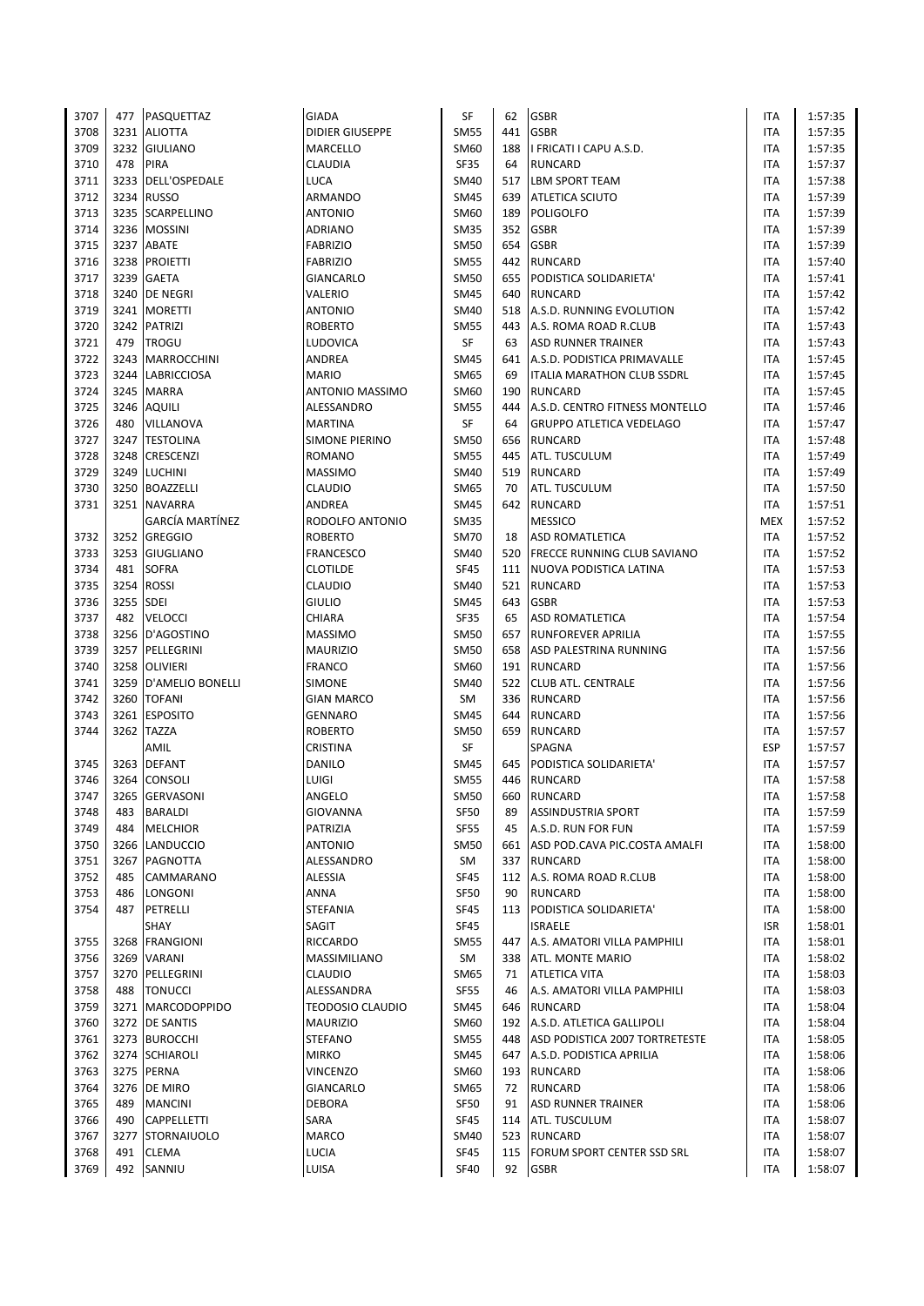| 3707 | 477  | PASQUETTAZ              | <b>GIADA</b>            | SF          | 62  | <b>GSBR</b>                        | <b>ITA</b> | 1:57:35 |
|------|------|-------------------------|-------------------------|-------------|-----|------------------------------------|------------|---------|
| 3708 |      | 3231 ALIOTTA            | <b>DIDIER GIUSEPPE</b>  | <b>SM55</b> | 441 | <b>GSBR</b>                        | <b>ITA</b> | 1:57:35 |
| 3709 | 3232 | <b>GIULIANO</b>         | MARCELLO                | SM60        | 188 | I FRICATI I CAPU A.S.D.            | ITA        | 1:57:35 |
| 3710 | 478  | <b>PIRA</b>             | CLAUDIA                 | SF35        | 64  | <b>RUNCARD</b>                     | <b>ITA</b> | 1:57:37 |
| 3711 | 3233 | DELL'OSPEDALE           | LUCA                    | <b>SM40</b> | 517 | <b>LBM SPORT TEAM</b>              | ITA        | 1:57:38 |
| 3712 | 3234 | <b>RUSSO</b>            | ARMANDO                 | <b>SM45</b> | 639 | <b>ATLETICA SCIUTO</b>             | ITA        | 1:57:39 |
| 3713 | 3235 | <b>SCARPELLINO</b>      | <b>ANTONIO</b>          | SM60        | 189 | <b>POLIGOLFO</b>                   | ITA        | 1:57:39 |
| 3714 |      | 3236 MOSSINI            | ADRIANO                 | <b>SM35</b> | 352 | <b>GSBR</b>                        | ITA        | 1:57:39 |
| 3715 |      | 3237 ABATE              | <b>FABRIZIO</b>         | <b>SM50</b> | 654 | <b>GSBR</b>                        | <b>ITA</b> | 1:57:39 |
| 3716 | 3238 | <b>PROIETTI</b>         | <b>FABRIZIO</b>         | <b>SM55</b> | 442 | <b>RUNCARD</b>                     | <b>ITA</b> | 1:57:40 |
| 3717 | 3239 | <b>GAETA</b>            | GIANCARLO               | <b>SM50</b> | 655 | PODISTICA SOLIDARIETA'             | ITA        | 1:57:41 |
| 3718 | 3240 | <b>DE NEGRI</b>         | VALERIO                 | <b>SM45</b> | 640 | <b>RUNCARD</b>                     | <b>ITA</b> | 1:57:42 |
| 3719 |      | 3241 MORETTI            | <b>ANTONIO</b>          | <b>SM40</b> | 518 | A.S.D. RUNNING EVOLUTION           | <b>ITA</b> | 1:57:42 |
|      |      |                         |                         |             |     |                                    |            |         |
| 3720 | 3242 | <b>PATRIZI</b>          | <b>ROBERTO</b>          | <b>SM55</b> | 443 | A.S. ROMA ROAD R.CLUB              | ITA        | 1:57:43 |
| 3721 | 479  | <b>TROGU</b>            | LUDOVICA                | SF          | 63  | <b>ASD RUNNER TRAINER</b>          | ITA        | 1:57:43 |
| 3722 | 3243 | <b>MARROCCHINI</b>      | ANDREA                  | <b>SM45</b> | 641 | A.S.D. PODISTICA PRIMAVALLE        | ITA        | 1:57:45 |
| 3723 | 3244 | <b>LABRICCIOSA</b>      | <b>MARIO</b>            | SM65        | 69  | <b>ITALIA MARATHON CLUB SSDRL</b>  | <b>ITA</b> | 1:57:45 |
| 3724 | 3245 | <b>MARRA</b>            | ANTONIO MASSIMO         | SM60        | 190 | <b>RUNCARD</b>                     | <b>ITA</b> | 1:57:45 |
| 3725 | 3246 | <b>AQUILI</b>           | ALESSANDRO              | <b>SM55</b> | 444 | A.S.D. CENTRO FITNESS MONTELLO     | ITA        | 1:57:46 |
| 3726 | 480  | VILLANOVA               | <b>MARTINA</b>          | SF          | 64  | <b>GRUPPO ATLETICA VEDELAGO</b>    | <b>ITA</b> | 1:57:47 |
| 3727 | 3247 | <b>TESTOLINA</b>        | SIMONE PIERINO          | <b>SM50</b> | 656 | <b>RUNCARD</b>                     | <b>ITA</b> | 1:57:48 |
| 3728 | 3248 | CRESCENZI               | <b>ROMANO</b>           | <b>SM55</b> | 445 | ATL. TUSCULUM                      | <b>ITA</b> | 1:57:49 |
| 3729 | 3249 | <b>LUCHINI</b>          | <b>MASSIMO</b>          | <b>SM40</b> | 519 | <b>RUNCARD</b>                     | ITA        | 1:57:49 |
| 3730 |      | 3250 BOAZZELLI          | CLAUDIO                 | <b>SM65</b> | 70  | ATL. TUSCULUM                      | <b>ITA</b> | 1:57:50 |
| 3731 |      | 3251 NAVARRA            | ANDREA                  | <b>SM45</b> | 642 | <b>RUNCARD</b>                     | ITA        | 1:57:51 |
|      |      | <b>GARCÍA MARTÍNEZ</b>  | RODOLFO ANTONIO         | <b>SM35</b> |     | <b>MESSICO</b>                     | <b>MEX</b> | 1:57:52 |
| 3732 | 3252 | <b>GREGGIO</b>          | <b>ROBERTO</b>          | <b>SM70</b> | 18  | <b>ASD ROMATLETICA</b>             | ITA        | 1:57:52 |
| 3733 | 3253 | <b>GIUGLIANO</b>        | <b>FRANCESCO</b>        | <b>SM40</b> | 520 | <b>FRECCE RUNNING CLUB SAVIANO</b> | <b>ITA</b> | 1:57:52 |
| 3734 | 481  | <b>SOFRA</b>            | <b>CLOTILDE</b>         | <b>SF45</b> | 111 | NUOVA PODISTICA LATINA             | ITA        | 1:57:53 |
| 3735 | 3254 | <b>ROSSI</b>            | CLAUDIO                 | SM40        | 521 | <b>RUNCARD</b>                     | ITA        | 1:57:53 |
| 3736 | 3255 | <b>SDEI</b>             | <b>GIULIO</b>           | <b>SM45</b> | 643 | <b>GSBR</b>                        | <b>ITA</b> | 1:57:53 |
| 3737 | 482  | <b>VELOCCI</b>          | CHIARA                  | SF35        | 65  | <b>ASD ROMATLETICA</b>             | <b>ITA</b> | 1:57:54 |
| 3738 |      | 3256 D'AGOSTINO         | <b>MASSIMO</b>          | <b>SM50</b> |     | 657 RUNFOREVER APRILIA             | <b>ITA</b> | 1:57:55 |
| 3739 | 3257 | PELLEGRINI              | <b>MAURIZIO</b>         | <b>SM50</b> | 658 | ASD PALESTRINA RUNNING             | ITA        | 1:57:56 |
| 3740 | 3258 | <b>OLIVIERI</b>         | <b>FRANCO</b>           | SM60        | 191 | <b>RUNCARD</b>                     | <b>ITA</b> | 1:57:56 |
| 3741 | 3259 | <b>D'AMELIO BONELLI</b> | <b>SIMONE</b>           | <b>SM40</b> |     | 522 CLUB ATL. CENTRALE             | ITA        | 1:57:56 |
| 3742 | 3260 | <b>TOFANI</b>           | <b>GIAN MARCO</b>       | SM          |     | 336 RUNCARD                        | ITA        | 1:57:56 |
| 3743 | 3261 | <b>ESPOSITO</b>         | <b>GENNARO</b>          | <b>SM45</b> | 644 | <b>RUNCARD</b>                     | ITA        | 1:57:56 |
| 3744 | 3262 | <b>TAZZA</b>            | <b>ROBERTO</b>          | <b>SM50</b> |     | 659 RUNCARD                        | ITA        | 1:57:57 |
|      |      | AMIL                    | CRISTINA                | SF          |     | <b>SPAGNA</b>                      | <b>ESP</b> | 1:57:57 |
| 3745 | 3263 | <b>DEFANT</b>           | DANILO                  | <b>SM45</b> | 645 | PODISTICA SOLIDARIETA'             | ITA        | 1:57:57 |
| 3746 | 3264 | <b>CONSOLI</b>          | LUIGI                   | <b>SM55</b> | 446 | <b>RUNCARD</b>                     | <b>ITA</b> | 1:57:58 |
| 3747 |      | 3265 GERVASONI          | ANGELO                  | <b>SM50</b> |     | 660 RUNCARD                        | <b>ITA</b> | 1:57:58 |
| 3748 | 483  | <b>BARALDI</b>          | <b>GIOVANNA</b>         | <b>SF50</b> | 89  | <b>ASSINDUSTRIA SPORT</b>          | ITA        | 1:57:59 |
| 3749 | 484  | <b>MELCHIOR</b>         | PATRIZIA                | <b>SF55</b> | 45  | A.S.D. RUN FOR FUN                 | <b>ITA</b> | 1:57:59 |
| 3750 | 3266 | <b>LANDUCCIO</b>        | <b>ANTONIO</b>          | <b>SM50</b> | 661 | ASD POD.CAVA PIC.COSTA AMALFI      | ITA        | 1:58:00 |
| 3751 | 3267 | <b>PAGNOTTA</b>         | ALESSANDRO              | SM          |     | 337 RUNCARD                        | <b>ITA</b> | 1:58:00 |
| 3752 | 485  | CAMMARANO               | ALESSIA                 | <b>SF45</b> |     | 112 A.S. ROMA ROAD R.CLUB          | ITA        | 1:58:00 |
| 3753 | 486  | LONGONI                 | ANNA                    | <b>SF50</b> | 90  | <b>RUNCARD</b>                     | ITA        | 1:58:00 |
| 3754 | 487  | PETRELLI                | <b>STEFANIA</b>         | SF45        | 113 | PODISTICA SOLIDARIETA'             | ITA        | 1:58:00 |
|      |      |                         |                         |             |     |                                    |            |         |
|      |      | SHAY                    | SAGIT                   | SF45        |     | <b>ISRAELE</b>                     | <b>ISR</b> | 1:58:01 |
| 3755 | 3268 | <b>FRANGIONI</b>        | RICCARDO                | <b>SM55</b> | 447 | A.S. AMATORI VILLA PAMPHILI        | ITA        | 1:58:01 |
| 3756 | 3269 | VARANI                  | MASSIMILIANO            | SM          | 338 | ATL. MONTE MARIO                   | ITA        | 1:58:02 |
| 3757 | 3270 | PELLEGRINI              | CLAUDIO                 | SM65        | 71  | <b>ATLETICA VITA</b>               | ITA        | 1:58:03 |
| 3758 | 488  | <b>TONUCCI</b>          | ALESSANDRA              | <b>SF55</b> | 46  | A.S. AMATORI VILLA PAMPHILI        | ITA        | 1:58:03 |
| 3759 |      | 3271   MARCODOPPIDO     | <b>TEODOSIO CLAUDIO</b> | <b>SM45</b> |     | 646 RUNCARD                        | ITA        | 1:58:04 |
| 3760 | 3272 | <b>DE SANTIS</b>        | <b>MAURIZIO</b>         | SM60        |     | 192 A.S.D. ATLETICA GALLIPOLI      | ITA        | 1:58:04 |
| 3761 |      | 3273 BUROCCHI           | <b>STEFANO</b>          | <b>SM55</b> |     | 448 ASD PODISTICA 2007 TORTRETESTE | ITA        | 1:58:05 |
| 3762 |      | 3274 SCHIAROLI          | <b>MIRKO</b>            | <b>SM45</b> |     | 647 A.S.D. PODISTICA APRILIA       | ITA        | 1:58:06 |
| 3763 |      | 3275 PERNA              | VINCENZO                | SM60        |     | 193 RUNCARD                        | ITA        | 1:58:06 |
| 3764 | 3276 | DE MIRO                 | GIANCARLO               | SM65        | 72  | <b>RUNCARD</b>                     | ITA        | 1:58:06 |
| 3765 | 489  | <b>MANCINI</b>          | DEBORA                  | <b>SF50</b> | 91  | <b>ASD RUNNER TRAINER</b>          | ITA        | 1:58:06 |
| 3766 | 490  | <b>CAPPELLETTI</b>      | SARA                    | SF45        | 114 | ATL. TUSCULUM                      | ITA        | 1:58:07 |
| 3767 | 3277 | <b>STORNAIUOLO</b>      | MARCO                   | SM40        |     | 523 RUNCARD                        | ITA        | 1:58:07 |
| 3768 | 491  | <b>CLEMA</b>            | <b>LUCIA</b>            | SF45        | 115 | FORUM SPORT CENTER SSD SRL         | ITA        | 1:58:07 |
| 3769 | 492  | SANNIU                  | LUISA                   | <b>SF40</b> | 92  | <b>GSBR</b>                        | ITA        | 1:58:07 |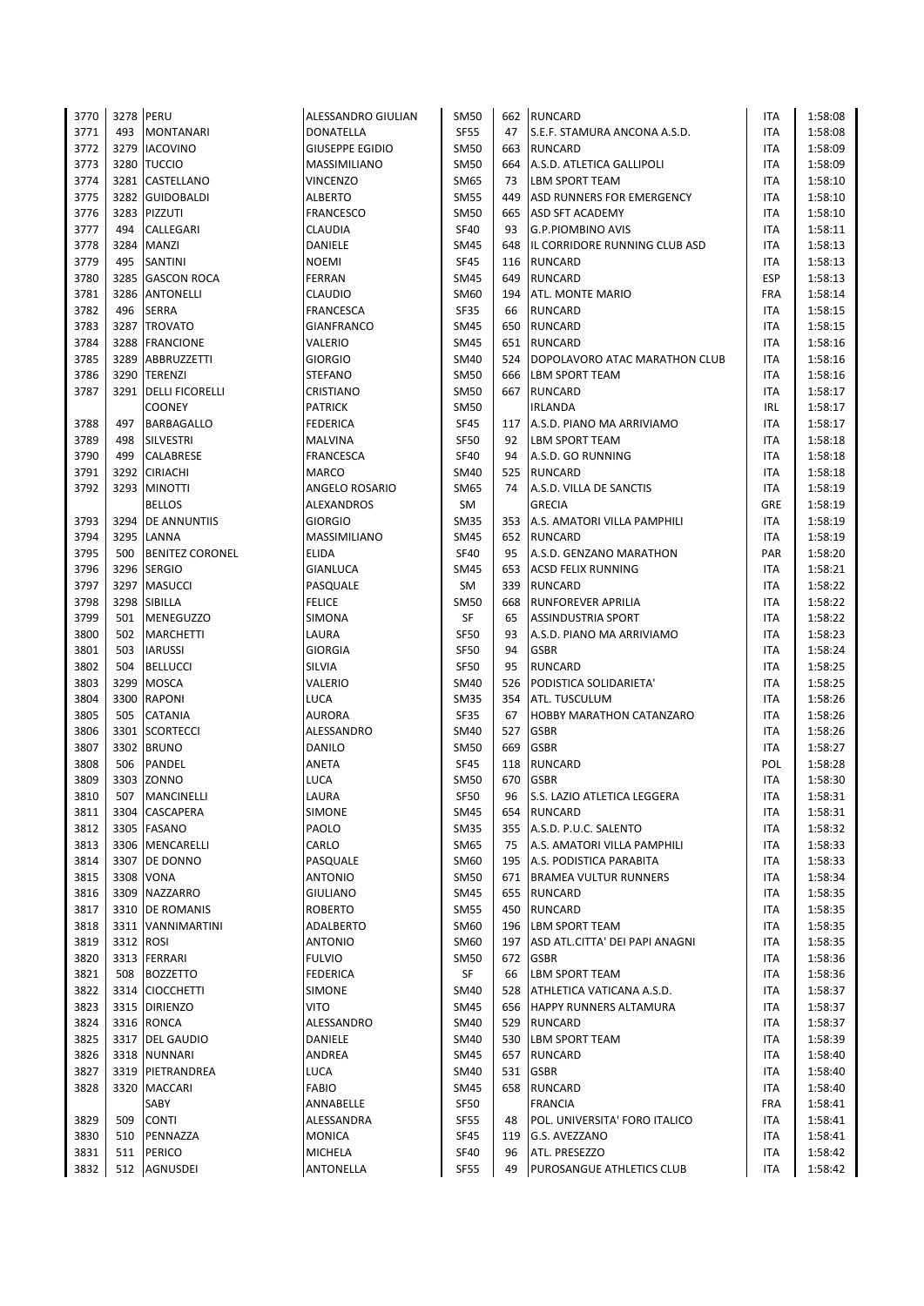| 3770         | 3278 PERU |                                       | ALESSANDRO GIULIAN          | <b>SM50</b>         |           | 662 RUNCARD                              | <b>ITA</b>               | 1:58:08            |
|--------------|-----------|---------------------------------------|-----------------------------|---------------------|-----------|------------------------------------------|--------------------------|--------------------|
| 3771         | 493       | <b>MONTANARI</b>                      | <b>DONATELLA</b>            | <b>SF55</b>         | 47        | S.E.F. STAMURA ANCONA A.S.D.             | <b>ITA</b>               | 1:58:08            |
| 3772         | 3279      | <b>IACOVINO</b>                       | <b>GIUSEPPE EGIDIO</b>      | <b>SM50</b>         | 663       | <b>RUNCARD</b>                           | <b>ITA</b>               | 1:58:09            |
| 3773         | 3280      | <b>TUCCIO</b>                         | MASSIMILIANO                | SM50                | 664       | A.S.D. ATLETICA GALLIPOLI                | <b>ITA</b>               | 1:58:09            |
| 3774         |           | 3281 CASTELLANO                       | <b>VINCENZO</b>             | SM65                | 73        | LBM SPORT TEAM                           | <b>ITA</b>               | 1:58:10            |
| 3775         | 3282      | <b>GUIDOBALDI</b>                     | <b>ALBERTO</b>              | <b>SM55</b>         | 449       | <b>ASD RUNNERS FOR EMERGENCY</b>         | ITA                      | 1:58:10            |
| 3776         | 3283      | PIZZUTI                               | <b>FRANCESCO</b>            | <b>SM50</b>         | 665       | <b>ASD SFT ACADEMY</b>                   | ITA                      | 1:58:10            |
| 3777         | 494       | CALLEGARI                             | <b>CLAUDIA</b>              | <b>SF40</b>         | 93        | <b>G.P.PIOMBINO AVIS</b>                 | ITA                      | 1:58:11            |
| 3778         | 3284      | <b>MANZI</b>                          | DANIELE                     | <b>SM45</b>         | 648       | IL CORRIDORE RUNNING CLUB ASD            | <b>ITA</b>               | 1:58:13            |
| 3779         | 495       | SANTINI                               | <b>NOEMI</b>                | <b>SF45</b>         |           | 116 RUNCARD                              | <b>ITA</b>               | 1:58:13            |
| 3780         | 3285      | <b>GASCON ROCA</b>                    | FERRAN                      | SM45                | 649       | <b>RUNCARD</b>                           | <b>ESP</b>               | 1:58:13            |
| 3781         | 3286      | <b>ANTONELLI</b>                      | <b>CLAUDIO</b>              | SM60                | 194       | <b>ATL. MONTE MARIO</b>                  | <b>FRA</b>               | 1:58:14            |
| 3782         | 496       | <b>SERRA</b>                          | FRANCESCA                   | SF35                | 66        | <b>RUNCARD</b>                           | ITA                      | 1:58:15            |
| 3783         |           | 3287 TROVATO                          | <b>GIANFRANCO</b>           | SM45                | 650       | RUNCARD                                  | <b>ITA</b>               | 1:58:15            |
| 3784         | 3288      | <b>FRANCIONE</b>                      | VALERIO                     | SM45                | 651       | <b>RUNCARD</b>                           | ITA                      | 1:58:16            |
| 3785         | 3289      | ABBRUZZETTI                           | <b>GIORGIO</b>              | SM40                | 524       | DOPOLAVORO ATAC MARATHON CLUB            | ITA                      | 1:58:16            |
| 3786         | 3290      | <b>TERENZI</b>                        | <b>STEFANO</b>              | <b>SM50</b>         | 666       | <b>LBM SPORT TEAM</b>                    | ITA                      | 1:58:16            |
| 3787         |           | 3291 DELLI FICORELLI                  | CRISTIANO                   | <b>SM50</b>         |           | 667 RUNCARD                              | ITA                      | 1:58:17            |
|              |           | <b>COONEY</b>                         | <b>PATRICK</b>              | SM50                |           | <b>IRLANDA</b>                           | <b>IRL</b>               | 1:58:17            |
| 3788         | 497       | <b>BARBAGALLO</b>                     | <b>FEDERICA</b>             | <b>SF45</b>         | 117       | A.S.D. PIANO MA ARRIVIAMO                | ITA                      | 1:58:17            |
| 3789         | 498       | <b>SILVESTRI</b>                      | <b>MALVINA</b>              | <b>SF50</b>         | 92        | <b>LBM SPORT TEAM</b>                    | ITA                      | 1:58:18            |
| 3790         | 499       | <b>CALABRESE</b>                      | FRANCESCA                   | <b>SF40</b>         | 94        | A.S.D. GO RUNNING                        | <b>ITA</b>               | 1:58:18            |
| 3791         | 3292      | <b>CIRIACHI</b>                       | <b>MARCO</b>                | SM40                | 525       | <b>RUNCARD</b>                           | ITA                      | 1:58:18            |
| 3792         |           | 3293 MINOTTI                          | ANGELO ROSARIO              | SM65                | 74        | A.S.D. VILLA DE SANCTIS                  | <b>ITA</b>               | 1:58:19            |
|              |           | <b>BELLOS</b>                         | ALEXANDROS                  | SM                  |           | <b>GRECIA</b>                            | GRE                      | 1:58:19            |
| 3793         |           | 3294 DE ANNUNTIIS                     | <b>GIORGIO</b>              | <b>SM35</b>         |           | 353 A.S. AMATORI VILLA PAMPHILI          | <b>ITA</b>               | 1:58:19            |
| 3794         |           | 3295 LANNA                            | MASSIMILIANO                | SM45                |           | 652 RUNCARD                              | ITA                      | 1:58:19            |
| 3795         | 500       |                                       | <b>ELIDA</b>                | <b>SF40</b>         | 95        | A.S.D. GENZANO MARATHON                  | PAR                      |                    |
|              |           | <b>BENITEZ CORONEL</b><br>3296 SERGIO |                             |                     |           |                                          |                          | 1:58:20            |
| 3796<br>3797 | 3297      | <b>MASUCCI</b>                        | <b>GIANLUCA</b><br>PASQUALE | SM45<br>SM          | 339       | 653 ACSD FELIX RUNNING<br><b>RUNCARD</b> | <b>ITA</b><br>ITA        | 1:58:21<br>1:58:22 |
|              | 3298      |                                       | <b>FELICE</b>               | <b>SM50</b>         |           |                                          |                          |                    |
| 3798         | 501       | SIBILLA<br><b>MENEGUZZO</b>           |                             | SF                  | 668       | <b>RUNFOREVER APRILIA</b>                | <b>ITA</b><br><b>ITA</b> | 1:58:22            |
| 3799         |           |                                       | SIMONA                      | <b>SF50</b>         | 65        | <b>ASSINDUSTRIA SPORT</b>                |                          | 1:58:22<br>1:58:23 |
| 3800         | 502       | <b>MARCHETTI</b>                      | LAURA                       |                     | 93        | A.S.D. PIANO MA ARRIVIAMO                | ITA                      |                    |
| 3801         | 503       | <b>IARUSSI</b>                        | <b>GIORGIA</b>              | <b>SF50</b>         | 94        | <b>GSBR</b>                              | <b>ITA</b>               | 1:58:24            |
| 3802         | 504       | <b>BELLUCCI</b>                       | SILVIA                      | <b>SF50</b>         | 95        | <b>RUNCARD</b>                           | <b>ITA</b>               | 1:58:25            |
| 3803         | 3299      | <b>MOSCA</b>                          | VALERIO                     | SM40                | 526       | PODISTICA SOLIDARIETA'                   | ITA                      | 1:58:25            |
| 3804         | 3300      | <b>RAPONI</b>                         | LUCA                        | <b>SM35</b>         | 354       | ATL. TUSCULUM                            | <b>ITA</b>               | 1:58:26            |
| 3805         | 505       | <b>CATANIA</b>                        | <b>AURORA</b>               | SF35                | 67        | <b>HOBBY MARATHON CATANZARO</b>          | ITA                      | 1:58:26            |
| 3806         | 3301      | <b>SCORTECCI</b>                      | ALESSANDRO                  | SM40                | 527       | <b>GSBR</b>                              | ITA                      | 1:58:26            |
| 3807         |           | 3302 BRUNO                            | DANILO                      | SM50                | 669       | <b>GSBR</b>                              | ITA                      | 1:58:27            |
| 3808         | 506       | PANDEL                                | <b>ANETA</b>                | <b>SF45</b>         | 118       | RUNCARD                                  | POL                      | 1:58:28            |
| 3809         | 507       | 3303 ZONNO                            | LUCA                        | SM50<br><b>SF50</b> | 670<br>96 | <b>GSBR</b>                              | <b>ITA</b><br><b>ITA</b> | 1:58:30            |
| 3810         |           | <b>MANCINELLI</b>                     | LAURA                       |                     |           | S.S. LAZIO ATLETICA LEGGERA              |                          | 1:58:31            |
| 3811         |           | 3304 CASCAPERA                        | SIMONE                      | SM45                |           | 654 RUNCARD                              | ITA                      | 1:58:31            |
| 3812         |           | 3305 FASANO                           | PAOLO                       | <b>SM35</b>         |           | 355 A.S.D. P.U.C. SALENTO                | ITA                      | 1:58:32            |
| 3813         |           | 3306 MENCARELLI                       | CARLO                       | SM65                | 75        | A.S. AMATORI VILLA PAMPHILI              | ITA                      | 1:58:33            |
| 3814         |           | 3307 DE DONNO                         | PASQUALE                    | SM60                | 195       | A.S. PODISTICA PARABITA                  | ITA                      | 1:58:33            |
| 3815         |           | 3308 VONA                             | <b>ANTONIO</b>              | <b>SM50</b>         |           | 671 BRAMEA VULTUR RUNNERS                | ITA                      | 1:58:34            |
| 3816         |           | 3309 NAZZARRO                         | <b>GIULIANO</b>             | <b>SM45</b>         |           | 655 RUNCARD                              | ITA                      | 1:58:35            |
| 3817         |           | 3310 DE ROMANIS                       | <b>ROBERTO</b>              | SM55                |           | 450 RUNCARD                              | ITA                      | 1:58:35            |
| 3818         |           | 3311 VANNIMARTINI                     | ADALBERTO                   | SM60                |           | 196 LBM SPORT TEAM                       | ITA                      | 1:58:35            |
| 3819         | 3312 ROSI |                                       | <b>ANTONIO</b>              | SM60                |           | 197 ASD ATL.CITTA' DEI PAPI ANAGNI       | ITA                      | 1:58:35            |
| 3820         |           | 3313 FERRARI                          | <b>FULVIO</b>               | <b>SM50</b>         |           | 672 GSBR                                 | ITA                      | 1:58:36            |
| 3821         | 508       | <b>BOZZETTO</b>                       | <b>FEDERICA</b>             | SF                  | 66        | <b>LBM SPORT TEAM</b>                    | ITA                      | 1:58:36            |
| 3822         |           | 3314 CIOCCHETTI                       | SIMONE                      | <b>SM40</b>         | 528       | ATHLETICA VATICANA A.S.D.                | <b>ITA</b>               | 1:58:37            |
| 3823         |           | 3315 DIRIENZO                         | VITO                        | <b>SM45</b>         |           | 656 HAPPY RUNNERS ALTAMURA               | ITA                      | 1:58:37            |
| 3824         |           | 3316 RONCA                            | ALESSANDRO                  | <b>SM40</b>         |           | 529 RUNCARD                              | ITA                      | 1:58:37            |
| 3825         |           | 3317 DEL GAUDIO                       | DANIELE                     | SM40                | 530       | <b>LBM SPORT TEAM</b>                    | ITA                      | 1:58:39            |
| 3826         |           | 3318 NUNNARI                          | ANDREA                      | <b>SM45</b>         | 657       | <b>RUNCARD</b>                           | ITA                      | 1:58:40            |
| 3827         |           | 3319 PIETRANDREA                      | LUCA                        | <b>SM40</b>         |           | 531 GSBR                                 | ITA                      | 1:58:40            |
| 3828         |           | 3320 MACCARI                          | FABIO                       | <b>SM45</b>         | 658       | <b>RUNCARD</b>                           | ITA                      | 1:58:40            |
|              |           | SABY                                  | ANNABELLE                   | SF50                |           | <b>FRANCIA</b>                           | FRA                      | 1:58:41            |
| 3829         | 509       | <b>CONTI</b>                          | ALESSANDRA                  | SF55                | 48        | POL. UNIVERSITA' FORO ITALICO            | ITA                      | 1:58:41            |
| 3830         | 510       | PENNAZZA                              | <b>MONICA</b>               | SF45                | 119       | G.S. AVEZZANO                            | ITA                      | 1:58:41            |
| 3831         | 511       | PERICO                                | <b>MICHELA</b>              | SF40                | 96        | ATL. PRESEZZO                            | ITA                      | 1:58:42            |
| 3832         | 512       | AGNUSDEI                              | ANTONELLA                   | <b>SF55</b>         | 49        | PUROSANGUE ATHLETICS CLUB                | ITA                      | 1:58:42            |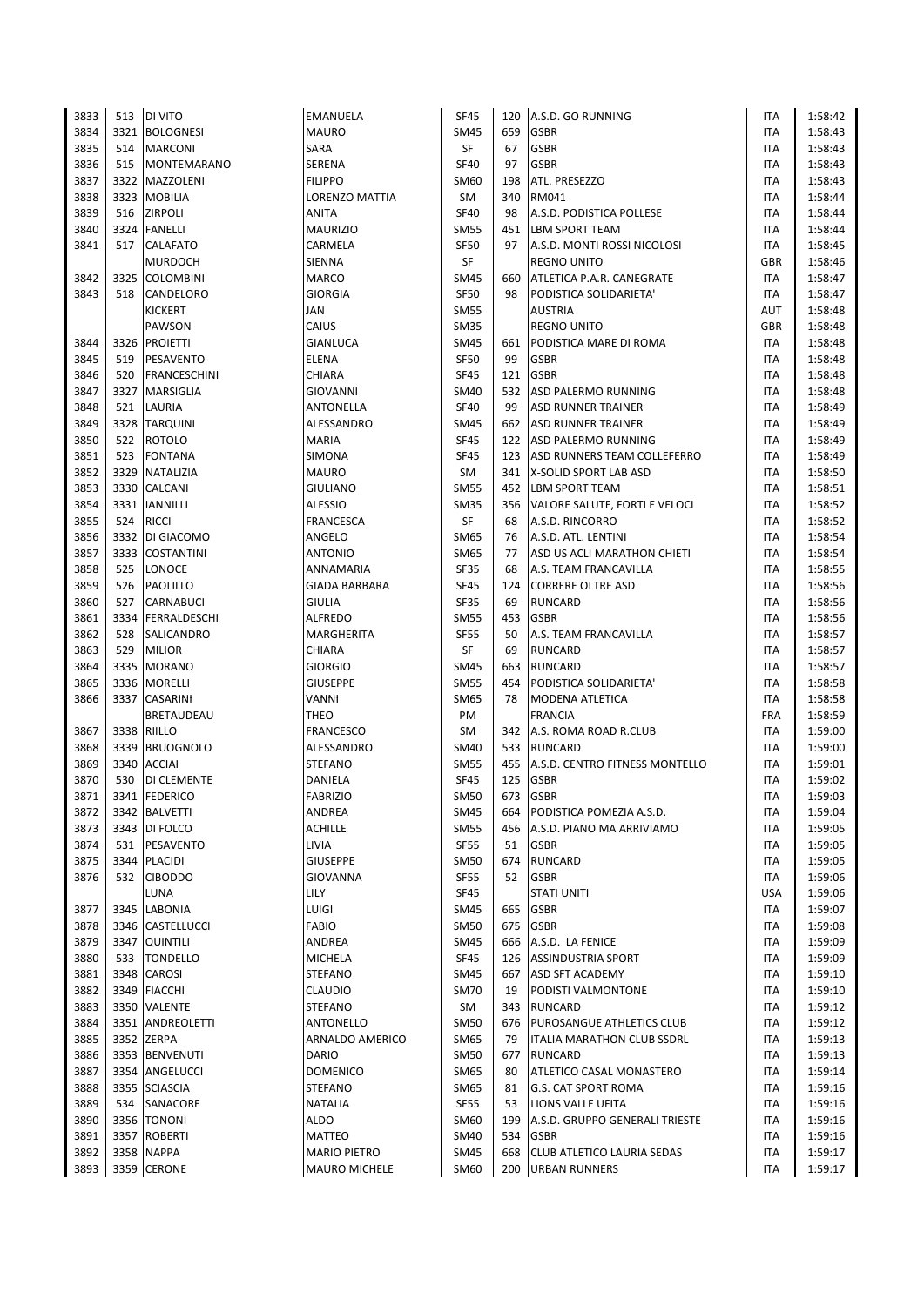| 3833 |      | 513   DI VITO       | EMANUELA              | <b>SF45</b> | 120 | A.S.D. GO RUNNING                  | ITA        | 1:58:42 |
|------|------|---------------------|-----------------------|-------------|-----|------------------------------------|------------|---------|
| 3834 |      | 3321 BOLOGNESI      | <b>MAURO</b>          | <b>SM45</b> | 659 | <b>GSBR</b>                        | ITA        | 1:58:43 |
| 3835 | 514  | <b>MARCONI</b>      | SARA                  | SF          | 67  | <b>GSBR</b>                        | ITA        | 1:58:43 |
| 3836 |      | 515 MONTEMARANO     | SERENA                | <b>SF40</b> | 97  | <b>GSBR</b>                        | <b>ITA</b> | 1:58:43 |
| 3837 |      | 3322 MAZZOLENI      | <b>FILIPPO</b>        | SM60        | 198 | ATL. PRESEZZO                      | ITA        | 1:58:43 |
| 3838 |      | 3323 MOBILIA        | <b>LORENZO MATTIA</b> | SM          | 340 | RM041                              | ITA        | 1:58:44 |
| 3839 | 516  | <b>ZIRPOLI</b>      | ANITA                 | <b>SF40</b> | 98  | A.S.D. PODISTICA POLLESE           | ITA        | 1:58:44 |
| 3840 |      | 3324 FANELLI        | <b>MAURIZIO</b>       | <b>SM55</b> | 451 | <b>LBM SPORT TEAM</b>              | <b>ITA</b> | 1:58:44 |
| 3841 | 517  | <b>CALAFATO</b>     | CARMELA               | <b>SF50</b> | 97  | A.S.D. MONTI ROSSI NICOLOSI        | <b>ITA</b> | 1:58:45 |
|      |      | <b>MURDOCH</b>      | SIENNA                | SF          |     | <b>REGNO UNITO</b>                 | <b>GBR</b> | 1:58:46 |
| 3842 | 3325 | <b>COLOMBINI</b>    | <b>MARCO</b>          | <b>SM45</b> | 660 | ATLETICA P.A.R. CANEGRATE          | ITA        | 1:58:47 |
| 3843 | 518  | CANDELORO           | <b>GIORGIA</b>        | <b>SF50</b> | 98  | PODISTICA SOLIDARIETA'             | <b>ITA</b> | 1:58:47 |
|      |      | <b>KICKERT</b>      | JAN                   | <b>SM55</b> |     | <b>AUSTRIA</b>                     | AUT        | 1:58:48 |
|      |      |                     |                       |             |     | <b>REGNO UNITO</b>                 |            |         |
|      |      | PAWSON              | CAIUS                 | <b>SM35</b> |     |                                    | <b>GBR</b> | 1:58:48 |
| 3844 | 3326 | <b>PROJETTI</b>     | <b>GIANLUCA</b>       | <b>SM45</b> | 661 | PODISTICA MARE DI ROMA             | ITA        | 1:58:48 |
| 3845 | 519  | PESAVENTO           | <b>ELENA</b>          | <b>SF50</b> | 99  | <b>GSBR</b>                        | <b>ITA</b> | 1:58:48 |
| 3846 | 520  | <b>FRANCESCHINI</b> | CHIARA                | <b>SF45</b> | 121 | <b>GSBR</b>                        | ITA        | 1:58:48 |
| 3847 | 3327 | <b>MARSIGLIA</b>    | GIOVANNI              | <b>SM40</b> | 532 | ASD PALERMO RUNNING                | ITA        | 1:58:48 |
| 3848 | 521  | LAURIA              | ANTONELLA             | <b>SF40</b> | 99  | <b>ASD RUNNER TRAINER</b>          | ITA        | 1:58:49 |
| 3849 |      | 3328 TARQUINI       | ALESSANDRO            | <b>SM45</b> |     | 662 ASD RUNNER TRAINER             | ITA        | 1:58:49 |
| 3850 | 522  | <b>ROTOLO</b>       | <b>MARIA</b>          | <b>SF45</b> |     | 122 ASD PALERMO RUNNING            | <b>ITA</b> | 1:58:49 |
| 3851 | 523  | <b>FONTANA</b>      | SIMONA                | <b>SF45</b> |     | 123 ASD RUNNERS TEAM COLLEFERRO    | ITA        | 1:58:49 |
| 3852 |      | 3329 NATALIZIA      | <b>MAURO</b>          | SM          |     | 341   X-SOLID SPORT LAB ASD        | ITA        | 1:58:50 |
| 3853 |      | 3330 CALCANI        | <b>GIULIANO</b>       | <b>SM55</b> |     | 452 LBM SPORT TEAM                 | ITA        | 1:58:51 |
| 3854 |      | 3331   IANNILLI     | <b>ALESSIO</b>        | <b>SM35</b> |     | 356 VALORE SALUTE, FORTI E VELOCI  | ITA        | 1:58:52 |
| 3855 | 524  | <b>RICCI</b>        | FRANCESCA             | SF          | 68  | A.S.D. RINCORRO                    | ITA        | 1:58:52 |
| 3856 |      | 3332 DI GIACOMO     | ANGELO                | SM65        | 76  | A.S.D. ATL. LENTINI                | <b>ITA</b> | 1:58:54 |
| 3857 |      | 3333 COSTANTINI     | <b>ANTONIO</b>        | SM65        | 77  | ASD US ACLI MARATHON CHIETI        | ITA        | 1:58:54 |
| 3858 | 525  | LONOCE              | ANNAMARIA             | SF35        | 68  | A.S. TEAM FRANCAVILLA              | ITA        | 1:58:55 |
| 3859 | 526  | PAOLILLO            | <b>GIADA BARBARA</b>  | <b>SF45</b> | 124 | <b>CORRERE OLTRE ASD</b>           | ITA        | 1:58:56 |
| 3860 | 527  | <b>CARNABUCI</b>    | <b>GIULIA</b>         | <b>SF35</b> | 69  | <b>RUNCARD</b>                     | <b>ITA</b> | 1:58:56 |
| 3861 |      | 3334 FERRALDESCHI   | <b>ALFREDO</b>        | <b>SM55</b> | 453 | <b>GSBR</b>                        | <b>ITA</b> | 1:58:56 |
| 3862 | 528  | SALICANDRO          | MARGHERITA            | <b>SF55</b> | 50  | A.S. TEAM FRANCAVILLA              | <b>ITA</b> | 1:58:57 |
| 3863 | 529  | <b>MILIOR</b>       | CHIARA                | <b>SF</b>   | 69  | <b>RUNCARD</b>                     | <b>ITA</b> | 1:58:57 |
| 3864 |      | 3335 MORANO         | <b>GIORGIO</b>        | <b>SM45</b> | 663 | <b>RUNCARD</b>                     | <b>ITA</b> | 1:58:57 |
| 3865 |      | 3336 MORELLI        | <b>GIUSEPPE</b>       | <b>SM55</b> | 454 | PODISTICA SOLIDARIETA'             | ITA        | 1:58:58 |
| 3866 | 3337 | <b>CASARINI</b>     | VANNI                 | SM65        | 78  | MODENA ATLETICA                    | ITA        | 1:58:58 |
|      |      | <b>BRETAUDEAU</b>   | THEO                  | PM          |     | <b>FRANCIA</b>                     | <b>FRA</b> | 1:58:59 |
| 3867 |      | 3338 RIILLO         | <b>FRANCESCO</b>      | SM          |     | 342 A.S. ROMA ROAD R.CLUB          | <b>ITA</b> | 1:59:00 |
| 3868 |      | 3339 BRUOGNOLO      | ALESSANDRO            | <b>SM40</b> |     | 533 RUNCARD                        | ITA        | 1:59:00 |
| 3869 | 3340 | <b>ACCIAI</b>       | <b>STEFANO</b>        | <b>SM55</b> |     | 455 A.S.D. CENTRO FITNESS MONTELLO | ITA        | 1:59:01 |
| 3870 | 530  | <b>DI CLEMENTE</b>  | DANIELA               | <b>SF45</b> | 125 | <b>GSBR</b>                        | ITA        | 1:59:02 |
| 3871 |      | 3341 FEDERICO       | <b>FABRIZIO</b>       | <b>SM50</b> |     | 673 GSBR                           | <b>ITA</b> | 1:59:03 |
| 3872 |      | 3342 BALVETTI       | ANDREA                | <b>SM45</b> |     | 664 PODISTICA POMEZIA A.S.D.       | ITA        | 1:59:04 |
| 3873 |      | 3343 DI FOLCO       | ACHILLE               | <b>SM55</b> | 456 | A.S.D. PIANO MA ARRIVIAMO          | ITA        | 1:59:05 |
| 3874 | 531  | PESAVENTO           | LIVIA                 | <b>SF55</b> | 51  | <b>GSBR</b>                        | ITA        | 1:59:05 |
| 3875 |      | 3344 PLACIDI        | <b>GIUSEPPE</b>       | <b>SM50</b> | 674 | <b>RUNCARD</b>                     | ITA        | 1:59:05 |
| 3876 | 532  | <b>CIBODDO</b>      | GIOVANNA              | <b>SF55</b> | 52  | <b>GSBR</b>                        | ITA        | 1:59:06 |
|      |      | LUNA                | <b>LILY</b>           | SF45        |     | <b>STATI UNITI</b>                 | <b>USA</b> | 1:59:06 |
| 3877 |      | 3345 LABONIA        | LUIGI                 | <b>SM45</b> | 665 | <b>GSBR</b>                        | ITA        | 1:59:07 |
| 3878 |      | 3346 CASTELLUCCI    | <b>FABIO</b>          | <b>SM50</b> | 675 | <b>GSBR</b>                        | ITA        | 1:59:08 |
| 3879 |      | 3347 QUINTILI       | ANDREA                | <b>SM45</b> |     | 666 A.S.D. LA FENICE               | ITA        | 1:59:09 |
| 3880 | 533  | <b>TONDELLO</b>     | <b>MICHELA</b>        | SF45        |     | 126 ASSINDUSTRIA SPORT             | ITA        | 1:59:09 |
| 3881 |      | 3348 CAROSI         | <b>STEFANO</b>        | <b>SM45</b> | 667 | <b>ASD SFT ACADEMY</b>             | ITA        | 1:59:10 |
| 3882 |      | 3349 FIACCHI        | CLAUDIO               | <b>SM70</b> | 19  | PODISTI VALMONTONE                 | ITA        | 1:59:10 |
| 3883 |      | 3350 VALENTE        | <b>STEFANO</b>        | SM          |     | 343 RUNCARD                        | ITA        | 1:59:12 |
| 3884 |      | 3351 ANDREOLETTI    | ANTONELLO             | <b>SM50</b> | 676 | <b>PUROSANGUE ATHLETICS CLUB</b>   | ITA        | 1:59:12 |
| 3885 |      | 3352 ZERPA          | ARNALDO AMERICO       | SM65        | 79  | <b>ITALIA MARATHON CLUB SSDRL</b>  | ITA        | 1:59:13 |
| 3886 |      | 3353 BENVENUTI      | <b>DARIO</b>          | <b>SM50</b> | 677 | <b>RUNCARD</b>                     | ITA        | 1:59:13 |
| 3887 |      | 3354 ANGELUCCI      | <b>DOMENICO</b>       | <b>SM65</b> | 80  | ATLETICO CASAL MONASTERO           | ITA        | 1:59:14 |
| 3888 |      | 3355 SCIASCIA       | <b>STEFANO</b>        | SM65        | 81  | <b>G.S. CAT SPORT ROMA</b>         | ITA        | 1:59:16 |
| 3889 |      | 534 SANACORE        | NATALIA               | <b>SF55</b> | 53  | <b>LIONS VALLE UFITA</b>           | ITA        | 1:59:16 |
| 3890 |      | 3356 TONONI         | ALDO                  | SM60        | 199 | A.S.D. GRUPPO GENERALI TRIESTE     | ITA        | 1:59:16 |
| 3891 |      | 3357 ROBERTI        | <b>MATTEO</b>         | <b>SM40</b> | 534 | <b>GSBR</b>                        | ITA        | 1:59:16 |
| 3892 |      | 3358 NAPPA          | <b>MARIO PIETRO</b>   | <b>SM45</b> | 668 | CLUB ATLETICO LAURIA SEDAS         | ITA        | 1:59:17 |
| 3893 |      | 3359 CERONE         | MAURO MICHELE         | SM60        |     | 200 URBAN RUNNERS                  | <b>ITA</b> | 1:59:17 |
|      |      |                     |                       |             |     |                                    |            |         |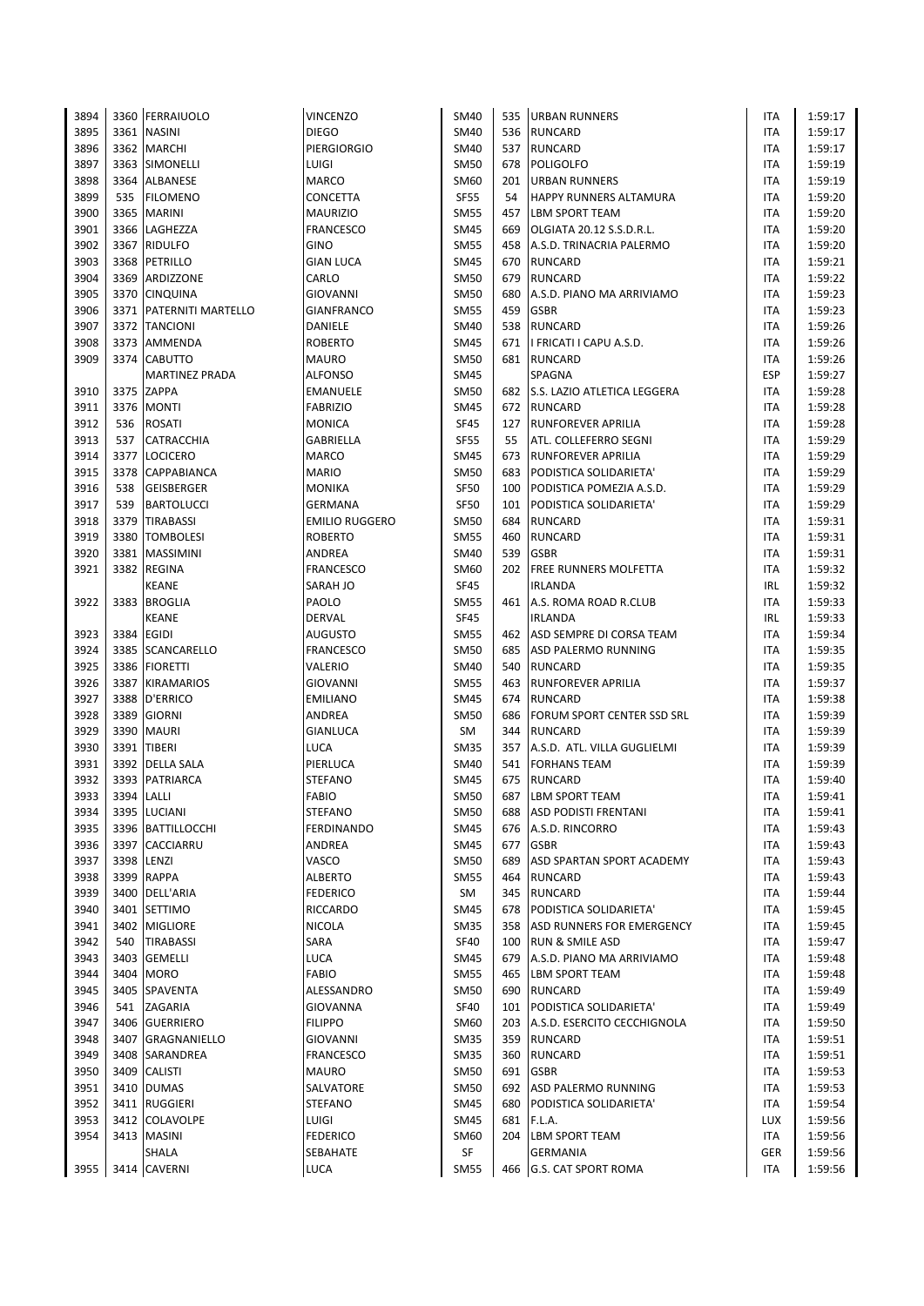| 3894 |            | 3360 FERRAIUOLO         | <b>VINCENZO</b>       | SM40        |     | 535   URBAN RUNNERS               | ITA        | 1:59:17 |
|------|------------|-------------------------|-----------------------|-------------|-----|-----------------------------------|------------|---------|
| 3895 |            | 3361 NASINI             | <b>DIEGO</b>          | <b>SM40</b> |     | 536 RUNCARD                       | ITA        | 1:59:17 |
| 3896 |            | 3362 MARCHI             | <b>PIERGIORGIO</b>    | SM40        | 537 | <b>RUNCARD</b>                    | ITA        | 1:59:17 |
| 3897 |            | 3363 SIMONELLI          | LUIGI                 | <b>SM50</b> | 678 | POLIGOLFO                         | <b>ITA</b> | 1:59:19 |
| 3898 |            | 3364 ALBANESE           | <b>MARCO</b>          | SM60        |     | 201 URBAN RUNNERS                 | <b>ITA</b> | 1:59:19 |
| 3899 | 535        | <b>FILOMENO</b>         | CONCETTA              | <b>SF55</b> | 54  | <b>HAPPY RUNNERS ALTAMURA</b>     | ITA        | 1:59:20 |
| 3900 |            | 3365 MARINI             |                       | <b>SM55</b> | 457 | <b>LBM SPORT TEAM</b>             | ITA        | 1:59:20 |
|      |            |                         | <b>MAURIZIO</b>       |             |     |                                   |            |         |
| 3901 |            | 3366 LAGHEZZA           | <b>FRANCESCO</b>      | <b>SM45</b> | 669 | OLGIATA 20.12 S.S.D.R.L.          | ITA        | 1:59:20 |
| 3902 |            | 3367 RIDULFO            | <b>GINO</b>           | <b>SM55</b> |     | 458 A.S.D. TRINACRIA PALERMO      | ITA        | 1:59:20 |
| 3903 |            | 3368 PETRILLO           | <b>GIAN LUCA</b>      | <b>SM45</b> | 670 | <b>RUNCARD</b>                    | ITA        | 1:59:21 |
| 3904 | 3369       | ARDIZZONE               | CARLO                 | <b>SM50</b> | 679 | <b>RUNCARD</b>                    | ITA        | 1:59:22 |
| 3905 |            | 3370 CINQUINA           | GIOVANNI              | <b>SM50</b> | 680 | A.S.D. PIANO MA ARRIVIAMO         | ITA        | 1:59:23 |
| 3906 |            | 3371 PATERNITI MARTELLO | <b>GIANFRANCO</b>     | <b>SM55</b> | 459 | <b>GSBR</b>                       | ITA        | 1:59:23 |
| 3907 |            | 3372 TANCIONI           | DANIELE               | <b>SM40</b> | 538 | <b>RUNCARD</b>                    | ITA        | 1:59:26 |
| 3908 | 3373       | AMMENDA                 | <b>ROBERTO</b>        | SM45        | 671 | I FRICATI I CAPU A.S.D.           | ITA        | 1:59:26 |
| 3909 |            | 3374 CABUTTO            | <b>MAURO</b>          | <b>SM50</b> |     | 681 RUNCARD                       | ITA        | 1:59:26 |
|      |            | <b>MARTINEZ PRADA</b>   | <b>ALFONSO</b>        | <b>SM45</b> |     | SPAGNA                            | <b>ESP</b> | 1:59:27 |
| 3910 |            | 3375 ZAPPA              | EMANUELE              | <b>SM50</b> |     | 682 S.S. LAZIO ATLETICA LEGGERA   | ITA        | 1:59:28 |
|      |            |                         |                       |             |     |                                   |            |         |
| 3911 |            | 3376   MONTI            | <b>FABRIZIO</b>       | SM45        | 672 | RUNCARD                           | ITA        | 1:59:28 |
| 3912 | 536        | <b>ROSATI</b>           | <b>MONICA</b>         | SF45        |     | 127 RUNFOREVER APRILIA            | ITA        | 1:59:28 |
| 3913 | 537        | <b>CATRACCHIA</b>       | GABRIELLA             | <b>SF55</b> | 55  | ATL. COLLEFERRO SEGNI             | ITA        | 1:59:29 |
| 3914 | 3377       | <b>LOCICERO</b>         | <b>MARCO</b>          | <b>SM45</b> | 673 | <b>RUNFOREVER APRILIA</b>         | ITA        | 1:59:29 |
| 3915 |            | 3378 CAPPABIANCA        | <b>MARIO</b>          | <b>SM50</b> | 683 | PODISTICA SOLIDARIETA'            | ITA        | 1:59:29 |
| 3916 | 538        | <b>GEISBERGER</b>       | <b>MONIKA</b>         | <b>SF50</b> | 100 | PODISTICA POMEZIA A.S.D.          | ITA        | 1:59:29 |
| 3917 | 539        | <b>BARTOLUCCI</b>       | GERMANA               | <b>SF50</b> |     | 101 PODISTICA SOLIDARIETA'        | ITA        | 1:59:29 |
| 3918 | 3379       | <b>TIRABASSI</b>        | <b>EMILIO RUGGERO</b> | SM50        | 684 | <b>RUNCARD</b>                    | ITA        | 1:59:31 |
| 3919 | 3380       | <b>TOMBOLESI</b>        | <b>ROBERTO</b>        | <b>SM55</b> | 460 | <b>RUNCARD</b>                    | ITA        | 1:59:31 |
| 3920 |            | 3381 MASSIMINI          | ANDREA                | SM40        | 539 | <b>GSBR</b>                       | ITA        | 1:59:31 |
| 3921 |            | 3382 REGINA             | <b>FRANCESCO</b>      | SM60        | 202 | <b>FREE RUNNERS MOLFETTA</b>      | ITA        | 1:59:32 |
|      |            | <b>KEANE</b>            | SARAH JO              | <b>SF45</b> |     | <b>IRLANDA</b>                    | IRL        | 1:59:32 |
|      |            |                         | PAOLO                 | <b>SM55</b> |     | 461 A.S. ROMA ROAD R.CLUB         | ITA        | 1:59:33 |
| 3922 |            | 3383 BROGLIA            |                       |             |     |                                   |            |         |
|      |            | <b>KEANE</b>            | <b>DERVAL</b>         | <b>SF45</b> |     | <b>IRLANDA</b>                    | IRL        | 1:59:33 |
| 3923 |            | 3384 EGIDI              | <b>AUGUSTO</b>        | <b>SM55</b> |     | 462 ASD SEMPRE DI CORSA TEAM      | ITA        | 1:59:34 |
| 3924 |            | 3385 SCANCARELLO        | FRANCESCO             | <b>SM50</b> | 685 | ASD PALERMO RUNNING               | ITA        | 1:59:35 |
| 3925 |            | 3386 FIORETTI           | VALERIO               | SM40        | 540 | <b>RUNCARD</b>                    | <b>ITA</b> | 1:59:35 |
| 3926 |            | 3387 KIRAMARIOS         | <b>GIOVANNI</b>       | <b>SM55</b> | 463 | <b>RUNFOREVER APRILIA</b>         | ITA        | 1:59:37 |
| 3927 |            | 3388 D'ERRICO           | <b>EMILIANO</b>       | <b>SM45</b> | 674 | RUNCARD                           | ITA        | 1:59:38 |
| 3928 | 3389       | <b>GIORNI</b>           | ANDREA                | <b>SM50</b> | 686 | <b>FORUM SPORT CENTER SSD SRL</b> | ITA        | 1:59:39 |
| 3929 |            | 3390 MAURI              | GIANLUCA              | <b>SM</b>   |     | 344 RUNCARD                       | ITA        | 1:59:39 |
| 3930 |            | 3391 TIBERI             | <b>LUCA</b>           | <b>SM35</b> |     | 357 A.S.D. ATL. VILLA GUGLIELMI   | ITA        | 1:59:39 |
| 3931 |            | 3392 DELLA SALA         | PIERLUCA              | <b>SM40</b> |     | 541 FORHANS TEAM                  | ITA        | 1:59:39 |
| 3932 |            | 3393 PATRIARCA          | <b>STEFANO</b>        | SM45        | 675 | <b>RUNCARD</b>                    | ITA        | 1:59:40 |
| 3933 | 3394 LALLI |                         | <b>FABIO</b>          | <b>SM50</b> |     | 687 LBM SPORT TEAM                | <b>ITA</b> | 1:59:41 |
| 3934 |            | 3395 LUCIANI            | <b>STEFANO</b>        | SM50        | 688 | <b>ASD PODISTI FRENTANI</b>       | ITA        | 1:59:41 |
|      |            |                         | <b>FERDINANDO</b>     |             |     | A.S.D. RINCORRO                   |            |         |
| 3935 |            | 3396 BATTILLOCCHI       |                       | SM45        | 676 |                                   | ITA        | 1:59:43 |
| 3936 |            | 3397 CACCIARRU          | ANDREA                | SM45        | 677 | <b>GSBR</b>                       | <b>ITA</b> | 1:59:43 |
| 3937 |            | 3398 LENZI              | VASCO                 | <b>SM50</b> | 689 | <b>ASD SPARTAN SPORT ACADEMY</b>  | ITA        | 1:59:43 |
| 3938 |            | 3399 RAPPA              | ALBERTO               | <b>SM55</b> | 464 | RUNCARD                           | ITA        | 1:59:43 |
| 3939 |            | 3400 DELL'ARIA          | <b>FEDERICO</b>       | SM          | 345 | RUNCARD                           | ITA        | 1:59:44 |
| 3940 |            | 3401 SETTIMO            | <b>RICCARDO</b>       | SM45        | 678 | PODISTICA SOLIDARIETA'            | ITA        | 1:59:45 |
| 3941 |            | 3402 MIGLIORE           | <b>NICOLA</b>         | <b>SM35</b> | 358 | ASD RUNNERS FOR EMERGENCY         | ITA        | 1:59:45 |
| 3942 | 540        | <b>TIRABASSI</b>        | SARA                  | <b>SF40</b> | 100 | <b>RUN &amp; SMILE ASD</b>        | ITA        | 1:59:47 |
| 3943 | 3403       | <b>GEMELLI</b>          | LUCA                  | SM45        | 679 | A.S.D. PIANO MA ARRIVIAMO         | ITA        | 1:59:48 |
| 3944 |            | 3404 MORO               | <b>FABIO</b>          | SM55        | 465 | <b>LBM SPORT TEAM</b>             | ITA        | 1:59:48 |
| 3945 |            | 3405 SPAVENTA           | ALESSANDRO            | <b>SM50</b> |     | 690 RUNCARD                       | ITA        | 1:59:49 |
| 3946 | 541        | ZAGARIA                 | <b>GIOVANNA</b>       | <b>SF40</b> |     | 101 PODISTICA SOLIDARIETA'        | ITA        | 1:59:49 |
| 3947 |            | 3406 GUERRIERO          | <b>FILIPPO</b>        | SM60        | 203 | A.S.D. ESERCITO CECCHIGNOLA       | ITA        | 1:59:50 |
| 3948 |            | 3407 GRAGNANIELLO       | GIOVANNI              | <b>SM35</b> | 359 | <b>RUNCARD</b>                    | <b>ITA</b> | 1:59:51 |
|      |            |                         |                       |             |     |                                   |            |         |
| 3949 |            | 3408 SARANDREA          | <b>FRANCESCO</b>      | <b>SM35</b> |     | 360 RUNCARD                       | ITA        | 1:59:51 |
| 3950 |            | 3409 CALISTI            | <b>MAURO</b>          | <b>SM50</b> | 691 | <b>GSBR</b>                       | ITA        | 1:59:53 |
| 3951 |            | 3410 DUMAS              | SALVATORE             | SM50        | 692 | ASD PALERMO RUNNING               | ITA        | 1:59:53 |
| 3952 |            | 3411 RUGGIERI           | <b>STEFANO</b>        | <b>SM45</b> | 680 | PODISTICA SOLIDARIETA'            | ITA        | 1:59:54 |
| 3953 |            | 3412 COLAVOLPE          | LUIGI                 | <b>SM45</b> | 681 | F.L.A.                            | <b>LUX</b> | 1:59:56 |
| 3954 |            | 3413 MASINI             | <b>FEDERICO</b>       | SM60        | 204 | <b>LBM SPORT TEAM</b>             | ITA        | 1:59:56 |
|      |            | SHALA                   | SEBAHATE              | SF          |     | <b>GERMANIA</b>                   | GER        | 1:59:56 |
| 3955 |            | 3414 CAVERNI            | <b>LUCA</b>           | <b>SM55</b> |     | 466 G.S. CAT SPORT ROMA           | ITA        | 1:59:56 |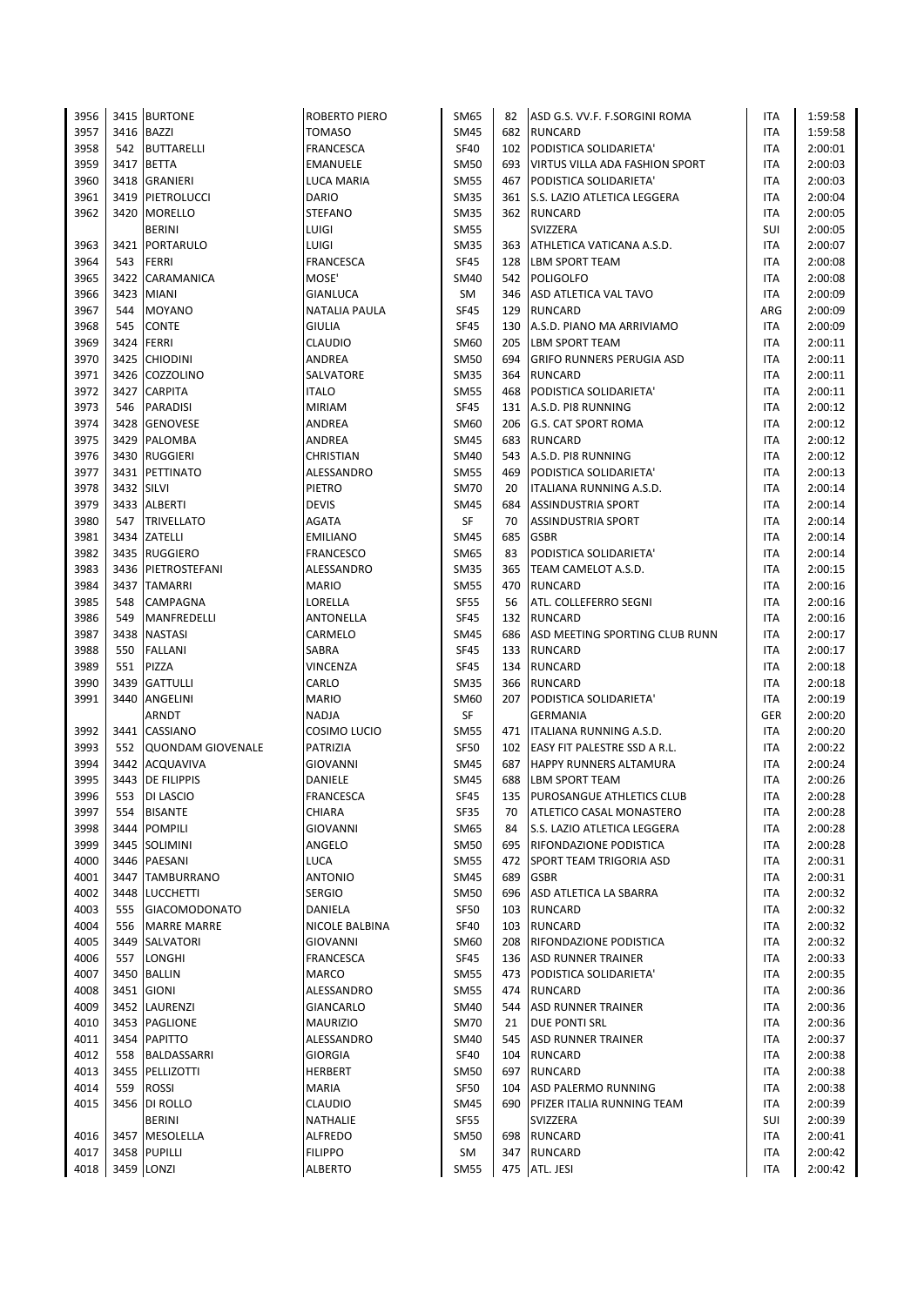| 3956 |            | 3415 BURTONE          | ROBERTO PIERO           | SM65        | 82  | ASD G.S. VV.F. F.SORGINI ROMA                | ITA        | 1:59:58 |
|------|------------|-----------------------|-------------------------|-------------|-----|----------------------------------------------|------------|---------|
| 3957 |            | 3416 BAZZI            | <b>TOMASO</b>           | <b>SM45</b> | 682 | <b>RUNCARD</b>                               | <b>ITA</b> | 1:59:58 |
| 3958 |            | 542 BUTTARELLI        | <b>FRANCESCA</b>        | <b>SF40</b> | 102 | PODISTICA SOLIDARIETA'                       | ITA        | 2:00:01 |
| 3959 |            | 3417 BETTA            | EMANUELE                | <b>SM50</b> | 693 | <b>VIRTUS VILLA ADA FASHION SPORT</b>        | <b>ITA</b> | 2:00:03 |
| 3960 |            | 3418 GRANIERI         | LUCA MARIA              | <b>SM55</b> | 467 | PODISTICA SOLIDARIETA'                       | ITA        | 2:00:03 |
| 3961 |            | 3419 PIETROLUCCI      | <b>DARIO</b>            | <b>SM35</b> | 361 | S.S. LAZIO ATLETICA LEGGERA                  | <b>ITA</b> | 2:00:04 |
| 3962 |            | 3420 MORELLO          | <b>STEFANO</b>          | <b>SM35</b> |     | 362 RUNCARD                                  | <b>ITA</b> | 2:00:05 |
|      |            | <b>BERINI</b>         | LUIGI                   | <b>SM55</b> |     | SVIZZERA                                     | SUI        | 2:00:05 |
| 3963 |            | 3421   PORTARULO      | <b>LUIGI</b>            | <b>SM35</b> | 363 | ATHLETICA VATICANA A.S.D.                    | <b>ITA</b> | 2:00:07 |
| 3964 | 543        | <b>FERRI</b>          | <b>FRANCESCA</b>        | <b>SF45</b> | 128 | <b>LBM SPORT TEAM</b>                        | ITA        | 2:00:08 |
| 3965 |            | 3422 CARAMANICA       | MOSE'                   | SM40        |     | 542 POLIGOLFO                                | ITA        | 2:00:08 |
| 3966 |            | 3423 MIANI            | GIANLUCA                | <b>SM</b>   | 346 | ASD ATLETICA VAL TAVO                        | <b>ITA</b> | 2:00:09 |
| 3967 | 544        | <b>MOYANO</b>         | <b>NATALIA PAULA</b>    | <b>SF45</b> | 129 | <b>RUNCARD</b>                               | ARG        | 2:00:09 |
| 3968 | 545        | <b>CONTE</b>          | <b>GIULIA</b>           | <b>SF45</b> | 130 | A.S.D. PIANO MA ARRIVIAMO                    | ITA        | 2:00:09 |
| 3969 |            | 3424 FERRI            | <b>CLAUDIO</b>          | SM60        | 205 | <b>LBM SPORT TEAM</b>                        | ITA        | 2:00:11 |
| 3970 |            | 3425 CHIODINI         | ANDREA                  | <b>SM50</b> | 694 | <b>GRIFO RUNNERS PERUGIA ASD</b>             | <b>ITA</b> | 2:00:11 |
| 3971 |            | 3426 COZZOLINO        | SALVATORE               | SM35        | 364 | <b>RUNCARD</b>                               | ITA        | 2:00:11 |
| 3972 |            | 3427 CARPITA          | <b>ITALO</b>            | <b>SM55</b> | 468 | PODISTICA SOLIDARIETA'                       | ITA        | 2:00:11 |
| 3973 | 546        | PARADISI              | <b>MIRIAM</b>           | <b>SF45</b> | 131 | A.S.D. PI8 RUNNING                           | <b>ITA</b> | 2:00:12 |
| 3974 |            | 3428 GENOVESE         | ANDREA                  | SM60        | 206 | <b>G.S. CAT SPORT ROMA</b>                   | <b>ITA</b> | 2:00:12 |
| 3975 |            | 3429 PALOMBA          | ANDREA                  | SM45        | 683 | <b>RUNCARD</b>                               | ITA        | 2:00:12 |
|      |            |                       |                         | SM40        | 543 |                                              |            |         |
| 3976 |            | 3430 RUGGIERI         | CHRISTIAN<br>ALESSANDRO |             |     | A.S.D. PI8 RUNNING<br>PODISTICA SOLIDARIETA' | ITA        | 2:00:12 |
| 3977 |            | 3431 PETTINATO        |                         | <b>SM55</b> | 469 |                                              | ITA        | 2:00:13 |
| 3978 | 3432 SILVI |                       | PIETRO                  | <b>SM70</b> | 20  | ITALIANA RUNNING A.S.D.                      | ITA        | 2:00:14 |
| 3979 |            | 3433 ALBERTI          | <b>DEVIS</b>            | SM45        | 684 | <b>ASSINDUSTRIA SPORT</b>                    | <b>ITA</b> | 2:00:14 |
| 3980 | 547        | <b>TRIVELLATO</b>     | AGATA                   | SF          | 70  | <b>ASSINDUSTRIA SPORT</b>                    | <b>ITA</b> | 2:00:14 |
| 3981 |            | 3434 ZATELLI          | <b>EMILIANO</b>         | SM45        | 685 | <b>GSBR</b>                                  | ITA        | 2:00:14 |
| 3982 |            | 3435 RUGGIERO         | <b>FRANCESCO</b>        | SM65        | 83  | PODISTICA SOLIDARIETA'                       | ITA        | 2:00:14 |
| 3983 |            | 3436 PIETROSTEFANI    | ALESSANDRO              | <b>SM35</b> | 365 | TEAM CAMELOT A.S.D.                          | ITA        | 2:00:15 |
| 3984 |            | 3437 TAMARRI          | <b>MARIO</b>            | <b>SM55</b> | 470 | RUNCARD                                      | ITA        | 2:00:16 |
| 3985 | 548        | <b>CAMPAGNA</b>       | LORELLA                 | <b>SF55</b> | 56  | ATL. COLLEFERRO SEGNI                        | ITA        | 2:00:16 |
| 3986 | 549        | MANFREDELLI           | ANTONELLA               | <b>SF45</b> | 132 | <b>RUNCARD</b>                               | <b>ITA</b> | 2:00:16 |
| 3987 |            | 3438 NASTASI          | CARMELO                 | SM45        | 686 | ASD MEETING SPORTING CLUB RUNN               | <b>ITA</b> | 2:00:17 |
| 3988 | 550        | <b>FALLANI</b>        | SABRA                   | <b>SF45</b> | 133 | <b>RUNCARD</b>                               | <b>ITA</b> | 2:00:17 |
| 3989 | 551        | PIZZA                 | VINCENZA                | <b>SF45</b> | 134 | RUNCARD                                      | <b>ITA</b> | 2:00:18 |
| 3990 |            | 3439 GATTULLI         | CARLO                   | SM35        | 366 | RUNCARD                                      | <b>ITA</b> | 2:00:18 |
| 3991 |            | 3440 ANGELINI         | MARIO                   | SM60        | 207 | PODISTICA SOLIDARIETA'                       | <b>ITA</b> | 2:00:19 |
|      |            | ARNDT                 | <b>NADJA</b>            | SF          |     | <b>GERMANIA</b>                              | <b>GER</b> | 2:00:20 |
| 3992 |            | 3441 CASSIANO         | COSIMO LUCIO            | SM55        | 471 | ITALIANA RUNNING A.S.D.                      | <b>ITA</b> | 2:00:20 |
| 3993 |            | 552 QUONDAM GIOVENALE | PATRIZIA                | <b>SF50</b> |     | 102 EASY FIT PALESTRE SSD A R.L.             | <b>ITA</b> | 2:00:22 |
| 3994 |            | 3442 ACQUAVIVA        | <b>GIOVANNI</b>         | <b>SM45</b> | 687 | HAPPY RUNNERS ALTAMURA                       | ITA        | 2:00:24 |
| 3995 |            | 3443 DE FILIPPIS      | <b>DANIELE</b>          | <b>SM45</b> | 688 | <b>LBM SPORT TEAM</b>                        | ITA        | 2:00:26 |
| 3996 | 553        | <b>DI LASCIO</b>      | <b>FRANCESCA</b>        | <b>SF45</b> | 135 | PUROSANGUE ATHLETICS CLUB                    | <b>ITA</b> | 2:00:28 |
| 3997 | 554        | <b>BISANTE</b>        | CHIARA                  | SF35        | 70  | ATLETICO CASAL MONASTERO                     | ITA        | 2:00:28 |
| 3998 |            | 3444 POMPILI          | <b>GIOVANNI</b>         | SM65        | 84  | S.S. LAZIO ATLETICA LEGGERA                  | ITA        | 2:00:28 |
| 3999 |            | 3445 SOLIMINI         | ANGELO                  | SM50        | 695 | <b>RIFONDAZIONE PODISTICA</b>                | ITA        | 2:00:28 |
| 4000 |            | 3446 PAESANI          | LUCA                    | <b>SM55</b> | 472 | <b>SPORT TEAM TRIGORIA ASD</b>               | ITA        | 2:00:31 |
| 4001 |            | 3447 TAMBURRANO       | <b>ANTONIO</b>          | SM45        | 689 | <b>GSBR</b>                                  | ITA        | 2:00:31 |
| 4002 |            | 3448 LUCCHETTI        | <b>SERGIO</b>           | SM50        | 696 | ASD ATLETICA LA SBARRA                       | ITA        | 2:00:32 |
| 4003 | 555        | <b>GIACOMODONATO</b>  | DANIELA                 | SF50        | 103 | <b>RUNCARD</b>                               | ITA        | 2:00:32 |
| 4004 | 556        | <b>MARRE MARRE</b>    | NICOLE BALBINA          | <b>SF40</b> | 103 | RUNCARD                                      | ITA        | 2:00:32 |
| 4005 |            | 3449 SALVATORI        | GIOVANNI                | SM60        | 208 | <b>RIFONDAZIONE PODISTICA</b>                | ITA        | 2:00:32 |
| 4006 | 557        | LONGHI                | FRANCESCA               | SF45        | 136 | <b>ASD RUNNER TRAINER</b>                    | ITA        | 2:00:33 |
| 4007 |            | 3450 BALLIN           | MARCO                   | SM55        | 473 | PODISTICA SOLIDARIETA'                       | ITA        | 2:00:35 |
| 4008 |            | 3451 GIONI            | ALESSANDRO              | <b>SM55</b> |     | 474 RUNCARD                                  | ITA        | 2:00:36 |
| 4009 |            | 3452 LAURENZI         | GIANCARLO               | SM40        | 544 | <b>ASD RUNNER TRAINER</b>                    | ITA        | 2:00:36 |
| 4010 |            | 3453 PAGLIONE         | <b>MAURIZIO</b>         | SM70        | 21  | DUE PONTI SRL                                | ITA        | 2:00:36 |
| 4011 |            | 3454 PAPITTO          | ALESSANDRO              | SM40        | 545 | <b>ASD RUNNER TRAINER</b>                    | ITA        | 2:00:37 |
| 4012 |            | 558 BALDASSARRI       | <b>GIORGIA</b>          | <b>SF40</b> | 104 | RUNCARD                                      | ITA        | 2:00:38 |
| 4013 |            | 3455   PELLIZOTTI     | HERBERT                 | SM50        | 697 | <b>RUNCARD</b>                               | ITA        | 2:00:38 |
| 4014 | 559        | <b>ROSSI</b>          | <b>MARIA</b>            | SF50        | 104 | ASD PALERMO RUNNING                          | ITA        | 2:00:38 |
| 4015 |            | 3456   DI ROLLO       | <b>CLAUDIO</b>          | SM45        | 690 | <b>PFIZER ITALIA RUNNING TEAM</b>            | ITA        | 2:00:39 |
|      |            | <b>BERINI</b>         | NATHALIE                | <b>SF55</b> |     | SVIZZERA                                     | SUI        | 2:00:39 |
| 4016 |            | 3457 MESOLELLA        | <b>ALFREDO</b>          | SM50        | 698 | <b>RUNCARD</b>                               | ITA        | 2:00:41 |
| 4017 |            | 3458 PUPILLI          | <b>FILIPPO</b>          | SM          | 347 | <b>RUNCARD</b>                               | ITA        | 2:00:42 |
| 4018 |            |                       |                         |             |     |                                              |            |         |
|      |            | 3459 LONZI            | <b>ALBERTO</b>          | SM55        |     | 475 ATL. JESI                                | <b>ITA</b> | 2:00:42 |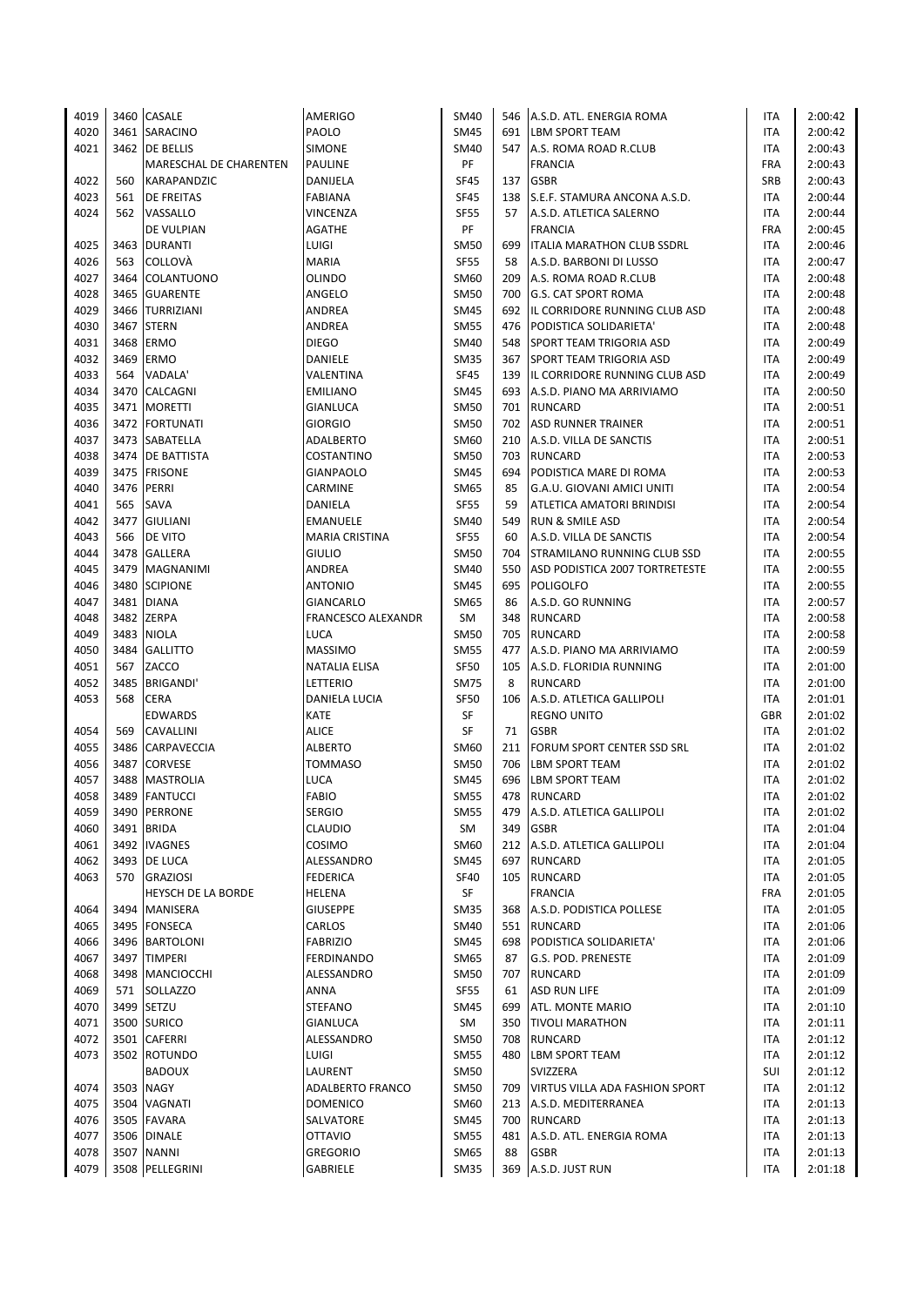| 4019 |      | 3460 CASALE               | AMERIGO               | SM40        | 546 | A.S.D. ATL. ENERGIA ROMA           | ITA        | 2:00:42 |
|------|------|---------------------------|-----------------------|-------------|-----|------------------------------------|------------|---------|
| 4020 |      | 3461 SARACINO             | PAOLO                 | <b>SM45</b> | 691 | <b>LBM SPORT TEAM</b>              | ITA        | 2:00:42 |
| 4021 |      | 3462 DE BELLIS            | <b>SIMONE</b>         | SM40        | 547 | A.S. ROMA ROAD R.CLUB              | ITA        | 2:00:43 |
|      |      | MARESCHAL DE CHARENTEN    | <b>PAULINE</b>        | PF          |     | <b>FRANCIA</b>                     | <b>FRA</b> | 2:00:43 |
| 4022 | 560  | KARAPANDZIC               | DANIJELA              | <b>SF45</b> | 137 | <b>GSBR</b>                        | SRB        | 2:00:43 |
| 4023 | 561  | <b>DE FREITAS</b>         | <b>FABIANA</b>        | <b>SF45</b> | 138 | S.E.F. STAMURA ANCONA A.S.D.       | ITA        | 2:00:44 |
|      |      |                           |                       |             |     |                                    |            |         |
| 4024 | 562  | VASSALLO                  | VINCENZA              | <b>SF55</b> | 57  | A.S.D. ATLETICA SALERNO            | ITA        | 2:00:44 |
|      |      | DE VULPIAN                | AGATHE                | PF          |     | <b>FRANCIA</b>                     | <b>FRA</b> | 2:00:45 |
| 4025 |      | 3463 DURANTI              | LUIGI                 | <b>SM50</b> | 699 | <b>ITALIA MARATHON CLUB SSDRL</b>  | ITA        | 2:00:46 |
| 4026 | 563  | COLLOVÀ                   | <b>MARIA</b>          | <b>SF55</b> | 58  | A.S.D. BARBONI DI LUSSO            | ITA        | 2:00:47 |
| 4027 |      | 3464 COLANTUONO           | OLINDO                | SM60        | 209 | A.S. ROMA ROAD R.CLUB              | ITA        | 2:00:48 |
| 4028 |      | 3465 GUARENTE             | ANGELO                | <b>SM50</b> | 700 | <b>G.S. CAT SPORT ROMA</b>         | <b>ITA</b> | 2:00:48 |
| 4029 |      | 3466 TURRIZIANI           | ANDREA                | <b>SM45</b> | 692 | IL CORRIDORE RUNNING CLUB ASD      | ITA        | 2:00:48 |
| 4030 |      | 3467 STERN                | ANDREA                | <b>SM55</b> | 476 | PODISTICA SOLIDARIETA'             | ITA        | 2:00:48 |
| 4031 |      | 3468 ERMO                 | <b>DIEGO</b>          | SM40        | 548 | <b>SPORT TEAM TRIGORIA ASD</b>     | ITA        | 2:00:49 |
| 4032 |      | 3469 ERMO                 | DANIELE               | <b>SM35</b> | 367 | <b>SPORT TEAM TRIGORIA ASD</b>     | <b>ITA</b> | 2:00:49 |
| 4033 | 564  | VADALA'                   | VALENTINA             | <b>SF45</b> | 139 | IL CORRIDORE RUNNING CLUB ASD      | ITA        | 2:00:49 |
| 4034 |      | 3470 CALCAGNI             | <b>EMILIANO</b>       | <b>SM45</b> | 693 | A.S.D. PIANO MA ARRIVIAMO          | ITA        | 2:00:50 |
| 4035 |      | 3471   MORETTI            | GIANLUCA              | <b>SM50</b> | 701 | RUNCARD                            | ITA        | 2:00:51 |
| 4036 |      | 3472 FORTUNATI            |                       |             |     |                                    |            |         |
|      |      |                           | <b>GIORGIO</b>        | <b>SM50</b> | 702 | <b>ASD RUNNER TRAINER</b>          | ITA        | 2:00:51 |
| 4037 |      | 3473 SABATELLA            | ADALBERTO             | SM60        | 210 | A.S.D. VILLA DE SANCTIS            | ITA        | 2:00:51 |
| 4038 |      | 3474 DE BATTISTA          | COSTANTINO            | <b>SM50</b> | 703 | <b>RUNCARD</b>                     | ITA        | 2:00:53 |
| 4039 |      | 3475 FRISONE              | GIANPAOLO             | <b>SM45</b> | 694 | PODISTICA MARE DI ROMA             | ITA        | 2:00:53 |
| 4040 |      | 3476 PERRI                | CARMINE               | SM65        | 85  | G.A.U. GIOVANI AMICI UNITI         | ITA        | 2:00:54 |
| 4041 | 565  | SAVA                      | DANIELA               | <b>SF55</b> | 59  | ATLETICA AMATORI BRINDISI          | ITA        | 2:00:54 |
| 4042 |      | 3477 GIULIANI             | <b>EMANUELE</b>       | SM40        | 549 | <b>RUN &amp; SMILE ASD</b>         | ITA        | 2:00:54 |
| 4043 | 566  | <b>DE VITO</b>            | <b>MARIA CRISTINA</b> | <b>SF55</b> | 60  | A.S.D. VILLA DE SANCTIS            | <b>ITA</b> | 2:00:54 |
| 4044 |      | 3478 GALLERA              | <b>GIULIO</b>         | <b>SM50</b> | 704 | <b>STRAMILANO RUNNING CLUB SSD</b> | <b>ITA</b> | 2:00:55 |
| 4045 |      | 3479 MAGNANIMI            | ANDREA                | <b>SM40</b> | 550 | ASD PODISTICA 2007 TORTRETESTE     | ITA        | 2:00:55 |
| 4046 |      | 3480 SCIPIONE             | <b>ANTONIO</b>        | <b>SM45</b> | 695 | <b>POLIGOLFO</b>                   | ITA        | 2:00:55 |
| 4047 |      | 3481 DIANA                | GIANCARLO             | SM65        | 86  | A.S.D. GO RUNNING                  | ITA        | 2:00:57 |
| 4048 |      | 3482 ZERPA                | FRANCESCO ALEXANDR    | SM          | 348 | <b>RUNCARD</b>                     | ITA        | 2:00:58 |
| 4049 | 3483 | <b>NIOLA</b>              | LUCA                  | <b>SM50</b> | 705 | <b>RUNCARD</b>                     | ITA        | 2:00:58 |
|      |      |                           |                       |             |     |                                    |            |         |
| 4050 | 3484 | <b>GALLITTO</b>           | <b>MASSIMO</b>        | <b>SM55</b> | 477 | A.S.D. PIANO MA ARRIVIAMO          | ITA        | 2:00:59 |
| 4051 | 567  | ZACCO                     | NATALIA ELISA         | <b>SF50</b> | 105 | A.S.D. FLORIDIA RUNNING            | ITA        | 2:01:00 |
| 4052 |      | 3485 BRIGANDI'            | LETTERIO              | <b>SM75</b> | 8   | <b>RUNCARD</b>                     | ITA        | 2:01:00 |
| 4053 | 568  | <b>CERA</b>               | DANIELA LUCIA         | SF50        | 106 | A.S.D. ATLETICA GALLIPOLI          | ITA        | 2:01:01 |
|      |      | <b>EDWARDS</b>            | KATE                  | SF          |     | <b>REGNO UNITO</b>                 | <b>GBR</b> | 2:01:02 |
| 4054 | 569  | <b>CAVALLINI</b>          | <b>ALICE</b>          | SF          | 71  | <b>GSBR</b>                        | ITA        | 2:01:02 |
| 4055 |      | 3486 CARPAVECCIA          | <b>ALBERTO</b>        | SM60        | 211 | <b>FORUM SPORT CENTER SSD SRL</b>  | ITA        | 2:01:02 |
| 4056 | 3487 | <b>CORVESE</b>            | <b>TOMMASO</b>        | <b>SM50</b> | 706 | <b>LBM SPORT TEAM</b>              | ITA        | 2:01:02 |
| 4057 | 3488 | <b>MASTROLIA</b>          | LUCA                  | <b>SM45</b> | 696 | <b>LBM SPORT TEAM</b>              | ITA        | 2:01:02 |
| 4058 |      | 3489 FANTUCCI             | <b>FABIO</b>          | <b>SM55</b> | 478 | <b>RUNCARD</b>                     | <b>ITA</b> | 2:01:02 |
| 4059 |      | 3490 PERRONE              | <b>SERGIO</b>         | <b>SM55</b> | 479 | A.S.D. ATLETICA GALLIPOLI          | ITA        | 2:01:02 |
| 4060 |      | 3491 BRIDA                | CLAUDIO               | SM          | 349 | <b>GSBR</b>                        | ITA        | 2:01:04 |
| 4061 |      | 3492 IVAGNES              | COSIMO                | SM60        | 212 | A.S.D. ATLETICA GALLIPOLI          | ITA        | 2:01:04 |
| 4062 |      | 3493   DE LUCA            | ALESSANDRO            | <b>SM45</b> | 697 | <b>RUNCARD</b>                     | ITA        | 2:01:05 |
|      |      |                           |                       |             |     |                                    |            |         |
| 4063 |      | 570 GRAZIOSI              | <b>FEDERICA</b>       | <b>SF40</b> | 105 | <b>RUNCARD</b>                     | ITA        | 2:01:05 |
|      |      | <b>HEYSCH DE LA BORDE</b> | HELENA                | SF          |     | <b>FRANCIA</b>                     | <b>FRA</b> | 2:01:05 |
| 4064 |      | 3494   MANISERA           | <b>GIUSEPPE</b>       | SM35        | 368 | A.S.D. PODISTICA POLLESE           | ITA        | 2:01:05 |
| 4065 |      | 3495 FONSECA              | CARLOS                | SM40        | 551 | RUNCARD                            | ITA        | 2:01:06 |
| 4066 |      | 3496 BARTOLONI            | <b>FABRIZIO</b>       | <b>SM45</b> | 698 | PODISTICA SOLIDARIETA'             | ITA        | 2:01:06 |
| 4067 |      | 3497 TIMPERI              | <b>FERDINANDO</b>     | SM65        | 87  | G.S. POD. PRENESTE                 | ITA        | 2:01:09 |
| 4068 |      | 3498 MANCIOCCHI           | ALESSANDRO            | <b>SM50</b> | 707 | RUNCARD                            | ITA        | 2:01:09 |
| 4069 |      | 571 SOLLAZZO              | ANNA                  | <b>SF55</b> | 61  | <b>ASD RUN LIFE</b>                | ITA        | 2:01:09 |
| 4070 |      | 3499 SETZU                | STEFANO               | SM45        | 699 | ATL. MONTE MARIO                   | ITA        | 2:01:10 |
| 4071 |      | 3500 SURICO               | GIANLUCA              | SM          | 350 | <b>TIVOLI MARATHON</b>             | ITA        | 2:01:11 |
| 4072 |      | 3501 CAFERRI              | ALESSANDRO            | <b>SM50</b> | 708 | <b>RUNCARD</b>                     | ITA        | 2:01:12 |
| 4073 |      | 3502 ROTUNDO              | LUIGI                 | <b>SM55</b> | 480 | <b>LBM SPORT TEAM</b>              | ITA        | 2:01:12 |
|      |      | <b>BADOUX</b>             | LAURENT               | <b>SM50</b> |     | SVIZZERA                           | SUI        | 2:01:12 |
| 4074 |      | 3503 NAGY                 | ADALBERTO FRANCO      | SM50        | 709 | VIRTUS VILLA ADA FASHION SPORT     | ITA        | 2:01:12 |
|      |      |                           |                       |             |     |                                    |            |         |
| 4075 |      | 3504 VAGNATI              | <b>DOMENICO</b>       | SM60        | 213 | A.S.D. MEDITERRANEA                | ITA        | 2:01:13 |
| 4076 |      | 3505 FAVARA               | SALVATORE             | SM45        | 700 | <b>RUNCARD</b>                     | ITA        | 2:01:13 |
| 4077 |      | 3506 DINALE               | OTTAVIO               | SM55        | 481 | A.S.D. ATL. ENERGIA ROMA           | ITA        | 2:01:13 |
| 4078 |      | 3507 NANNI                | <b>GREGORIO</b>       | SM65        | 88  | <b>GSBR</b>                        | ITA        | 2:01:13 |
| 4079 |      | 3508 PELLEGRINI           | GABRIELE              | <b>SM35</b> | 369 | A.S.D. JUST RUN                    | <b>ITA</b> | 2:01:18 |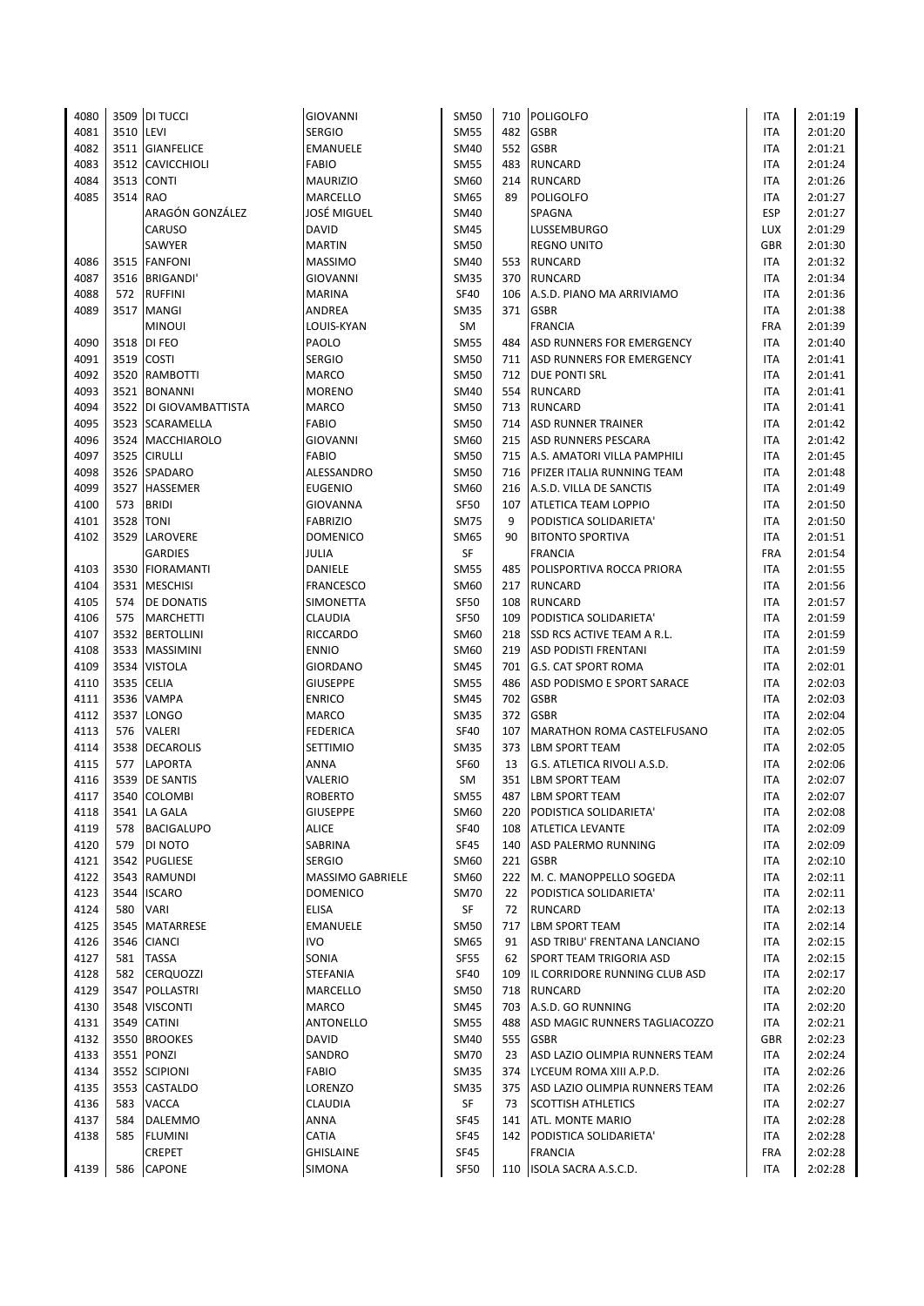| 4080 |          | 3509 DI TUCCI          | GIOVANNI           | SM50        |     | 710 POLIGOLFO                     | ITA        | 2:01:19 |
|------|----------|------------------------|--------------------|-------------|-----|-----------------------------------|------------|---------|
| 4081 | 3510     | LEVI                   | <b>SERGIO</b>      | <b>SM55</b> | 482 | <b>GSBR</b>                       | ITA        | 2:01:20 |
| 4082 |          | 3511 GIANFELICE        | <b>EMANUELE</b>    | SM40        | 552 | <b>GSBR</b>                       | ITA        | 2:01:21 |
|      |          |                        |                    |             |     |                                   |            |         |
| 4083 |          | 3512 CAVICCHIOLI       | <b>FABIO</b>       | <b>SM55</b> | 483 | <b>RUNCARD</b>                    | ITA        | 2:01:24 |
| 4084 |          | 3513 CONTI             | <b>MAURIZIO</b>    | SM60        | 214 | <b>RUNCARD</b>                    | ITA        | 2:01:26 |
| 4085 | 3514 RAO |                        | MARCELLO           | SM65        | 89  | <b>POLIGOLFO</b>                  | ITA        | 2:01:27 |
|      |          | ARAGÓN GONZÁLEZ        | <b>JOSÉ MIGUEL</b> | SM40        |     | SPAGNA                            | <b>ESP</b> | 2:01:27 |
|      |          | CARUSO                 | <b>DAVID</b>       | SM45        |     | <b>LUSSEMBURGO</b>                | LUX        | 2:01:29 |
|      |          | SAWYER                 | <b>MARTIN</b>      | SM50        |     | <b>REGNO UNITO</b>                | <b>GBR</b> | 2:01:30 |
|      |          |                        |                    |             |     |                                   |            |         |
| 4086 |          | 3515 FANFONI           | <b>MASSIMO</b>     | SM40        | 553 | <b>RUNCARD</b>                    | ITA        | 2:01:32 |
| 4087 |          | 3516 BRIGANDI'         | <b>GIOVANNI</b>    | SM35        | 370 | RUNCARD                           | <b>ITA</b> | 2:01:34 |
| 4088 |          | 572 RUFFINI            | MARINA             | <b>SF40</b> | 106 | A.S.D. PIANO MA ARRIVIAMO         | <b>ITA</b> | 2:01:36 |
| 4089 |          | 3517 MANGI             | ANDREA             | SM35        | 371 | <b>GSBR</b>                       | <b>ITA</b> | 2:01:38 |
|      |          | <b>MINOUI</b>          | LOUIS-KYAN         | SM          |     | <b>FRANCIA</b>                    | <b>FRA</b> | 2:01:39 |
| 4090 |          | 3518 DI FEO            | PAOLO              | <b>SM55</b> | 484 | <b>ASD RUNNERS FOR EMERGENCY</b>  | <b>ITA</b> | 2:01:40 |
|      |          |                        |                    |             |     |                                   |            |         |
| 4091 |          | 3519 COSTI             | <b>SERGIO</b>      | <b>SM50</b> | 711 | ASD RUNNERS FOR EMERGENCY         | ITA        | 2:01:41 |
| 4092 |          | 3520 RAMBOTTI          | <b>MARCO</b>       | <b>SM50</b> |     | 712 <b>DUE PONTI SRL</b>          | ITA        | 2:01:41 |
| 4093 |          | 3521 BONANNI           | <b>MORENO</b>      | <b>SM40</b> | 554 | <b>RUNCARD</b>                    | ITA        | 2:01:41 |
| 4094 |          | 3522 DI GIOVAMBATTISTA | MARCO              | <b>SM50</b> | 713 | <b>RUNCARD</b>                    | ITA        | 2:01:41 |
| 4095 |          | 3523 SCARAMELLA        | FABIO              | <b>SM50</b> | 714 | <b>ASD RUNNER TRAINER</b>         | ITA        | 2:01:42 |
| 4096 |          | 3524 MACCHIAROLO       | <b>GIOVANNI</b>    | SM60        | 215 | <b>ASD RUNNERS PESCARA</b>        | ITA        | 2:01:42 |
| 4097 |          | 3525 CIRULLI           | <b>FABIO</b>       | <b>SM50</b> | 715 | A.S. AMATORI VILLA PAMPHILI       | ITA        | 2:01:45 |
|      |          |                        | ALESSANDRO         |             |     |                                   |            |         |
| 4098 |          | 3526 SPADARO           |                    | <b>SM50</b> | 716 | <b>PFIZER ITALIA RUNNING TEAM</b> | ITA        | 2:01:48 |
| 4099 |          | 3527 HASSEMER          | <b>EUGENIO</b>     | SM60        |     | 216 A.S.D. VILLA DE SANCTIS       | <b>ITA</b> | 2:01:49 |
| 4100 | 573      | <b>BRIDI</b>           | GIOVANNA           | <b>SF50</b> | 107 | <b>ATLETICA TEAM LOPPIO</b>       | ITA        | 2:01:50 |
| 4101 | 3528     | <b>TONI</b>            | <b>FABRIZIO</b>    | SM75        | 9   | PODISTICA SOLIDARIETA'            | ITA        | 2:01:50 |
| 4102 |          | 3529 LAROVERE          | <b>DOMENICO</b>    | SM65        | 90  | <b>BITONTO SPORTIVA</b>           | <b>ITA</b> | 2:01:51 |
|      |          | <b>GARDIES</b>         | JULIA              | SF          |     | <b>FRANCIA</b>                    | <b>FRA</b> | 2:01:54 |
| 4103 |          | 3530 FIORAMANTI        | DANIELE            | <b>SM55</b> | 485 | POLISPORTIVA ROCCA PRIORA         | ITA        | 2:01:55 |
| 4104 |          | 3531 MESCHISI          |                    |             | 217 | <b>RUNCARD</b>                    | ITA        |         |
|      |          |                        | <b>FRANCESCO</b>   | SM60        |     |                                   |            | 2:01:56 |
| 4105 |          | 574 DE DONATIS         | SIMONETTA          | <b>SF50</b> | 108 | <b>RUNCARD</b>                    | ITA        | 2:01:57 |
| 4106 | 575      | <b>MARCHETTI</b>       | <b>CLAUDIA</b>     | <b>SF50</b> | 109 | PODISTICA SOLIDARIETA'            | ITA        | 2:01:59 |
| 4107 |          | 3532 BERTOLLINI        | <b>RICCARDO</b>    | SM60        | 218 | <b>SSD RCS ACTIVE TEAM A R.L.</b> | ITA        | 2:01:59 |
| 4108 |          | 3533 MASSIMINI         | <b>ENNIO</b>       | SM60        | 219 | <b>ASD PODISTI FRENTANI</b>       | ITA        | 2:01:59 |
| 4109 |          | 3534 VISTOLA           | <b>GIORDANO</b>    | <b>SM45</b> | 701 | <b>G.S. CAT SPORT ROMA</b>        | ITA        | 2:02:01 |
| 4110 |          | 3535 CELIA             | <b>GIUSEPPE</b>    | <b>SM55</b> | 486 | ASD PODISMO E SPORT SARACE        | <b>ITA</b> | 2:02:03 |
| 4111 |          | 3536 VAMPA             | <b>ENRICO</b>      | SM45        | 702 | <b>GSBR</b>                       | ITA        | 2:02:03 |
|      |          |                        |                    |             |     |                                   |            |         |
| 4112 |          | 3537 LONGO             | MARCO              | SM35        | 372 | <b>GSBR</b>                       | <b>ITA</b> | 2:02:04 |
| 4113 | 576      | <b>VALERI</b>          | <b>FEDERICA</b>    | <b>SF40</b> | 107 | MARATHON ROMA CASTELFUSANO        | ITA        | 2:02:05 |
| 4114 |          | 3538 DECAROLIS         | SETTIMIO           | SM35        | 373 | <b>LBM SPORT TEAM</b>             | <b>ITA</b> | 2:02:05 |
| 4115 | 577      | <b>LAPORTA</b>         | ANNA               | SF60        | 13  | G.S. ATLETICA RIVOLI A.S.D.       | ITA        | 2:02:06 |
| 4116 |          | 3539 DE SANTIS         | VALERIO            | SM          | 351 | <b>LBM SPORT TEAM</b>             | <b>ITA</b> | 2:02:07 |
| 4117 |          | 3540 COLOMBI           | <b>ROBERTO</b>     | <b>SM55</b> | 487 | <b>LBM SPORT TEAM</b>             | <b>ITA</b> | 2:02:07 |
| 4118 |          | 3541 LA GALA           | <b>GIUSEPPE</b>    | SM60        | 220 | PODISTICA SOLIDARIETA'            | ITA        | 2:02:08 |
|      | 578      |                        |                    |             |     |                                   |            |         |
| 4119 |          | <b>BACIGALUPO</b>      | <b>ALICE</b>       | <b>SF40</b> | 108 | <b>ATLETICA LEVANTE</b>           | ITA        | 2:02:09 |
| 4120 | 579      | DI NOTO                | SABRINA            | SF45        | 140 | ASD PALERMO RUNNING               | ITA        | 2:02:09 |
| 4121 |          | 3542 PUGLIESE          | <b>SERGIO</b>      | SM60        | 221 | <b>GSBR</b>                       | ITA        | 2:02:10 |
| 4122 |          | 3543 RAMUNDI           | MASSIMO GABRIELE   | SM60        | 222 | M. C. MANOPPELLO SOGEDA           | ITA        | 2:02:11 |
| 4123 |          | 3544 ISCARO            | <b>DOMENICO</b>    | <b>SM70</b> | 22  | PODISTICA SOLIDARIETA'            | ITA        | 2:02:11 |
| 4124 | 580      | <b>VARI</b>            | <b>ELISA</b>       | SF          | 72  | <b>RUNCARD</b>                    | ITA        | 2:02:13 |
| 4125 |          | 3545 MATARRESE         | <b>EMANUELE</b>    | SM50        | 717 | <b>LBM SPORT TEAM</b>             | ITA        | 2:02:14 |
| 4126 |          | 3546 CIANCI            | <b>IVO</b>         | SM65        | 91  | ASD TRIBU' FRENTANA LANCIANO      | ITA        | 2:02:15 |
|      |          |                        |                    |             |     |                                   |            |         |
| 4127 | 581      | <b>TASSA</b>           | SONIA              | <b>SF55</b> | 62  | <b>SPORT TEAM TRIGORIA ASD</b>    | ITA        | 2:02:15 |
| 4128 | 582      | <b>CERQUOZZI</b>       | <b>STEFANIA</b>    | <b>SF40</b> | 109 | IL CORRIDORE RUNNING CLUB ASD     | ITA        | 2:02:17 |
| 4129 |          | 3547 POLLASTRI         | MARCELLO           | SM50        | 718 | <b>RUNCARD</b>                    | ITA        | 2:02:20 |
| 4130 |          | 3548 VISCONTI          | <b>MARCO</b>       | <b>SM45</b> | 703 | A.S.D. GO RUNNING                 | ITA        | 2:02:20 |
| 4131 |          | 3549 CATINI            | ANTONELLO          | <b>SM55</b> | 488 | ASD MAGIC RUNNERS TAGLIACOZZO     | ITA        | 2:02:21 |
| 4132 |          | 3550 BROOKES           | <b>DAVID</b>       | SM40        | 555 | <b>GSBR</b>                       | <b>GBR</b> | 2:02:23 |
| 4133 |          | 3551 PONZI             | SANDRO             | <b>SM70</b> | 23  | ASD LAZIO OLIMPIA RUNNERS TEAM    | ITA        | 2:02:24 |
|      |          |                        |                    |             |     |                                   |            |         |
| 4134 |          | 3552 SCIPIONI          | FABIO              | <b>SM35</b> | 374 | LYCEUM ROMA XIII A.P.D.           | ITA        | 2:02:26 |
| 4135 |          | 3553 CASTALDO          | LORENZO            | SM35        | 375 | ASD LAZIO OLIMPIA RUNNERS TEAM    | ITA        | 2:02:26 |
| 4136 | 583      | VACCA                  | CLAUDIA            | SF          | 73  | <b>SCOTTISH ATHLETICS</b>         | ITA        | 2:02:27 |
| 4137 | 584      | <b>DALEMMO</b>         | ANNA               | SF45        | 141 | <b>ATL. MONTE MARIO</b>           | ITA        | 2:02:28 |
| 4138 | 585      | <b>FLUMINI</b>         | CATIA              | SF45        | 142 | PODISTICA SOLIDARIETA'            | ITA        | 2:02:28 |
|      |          | CREPET                 | <b>GHISLAINE</b>   | SF45        |     | <b>FRANCIA</b>                    | <b>FRA</b> | 2:02:28 |
| 4139 | 586      | CAPONE                 | SIMONA             | <b>SF50</b> | 110 | ISOLA SACRA A.S.C.D.              | ITA        | 2:02:28 |
|      |          |                        |                    |             |     |                                   |            |         |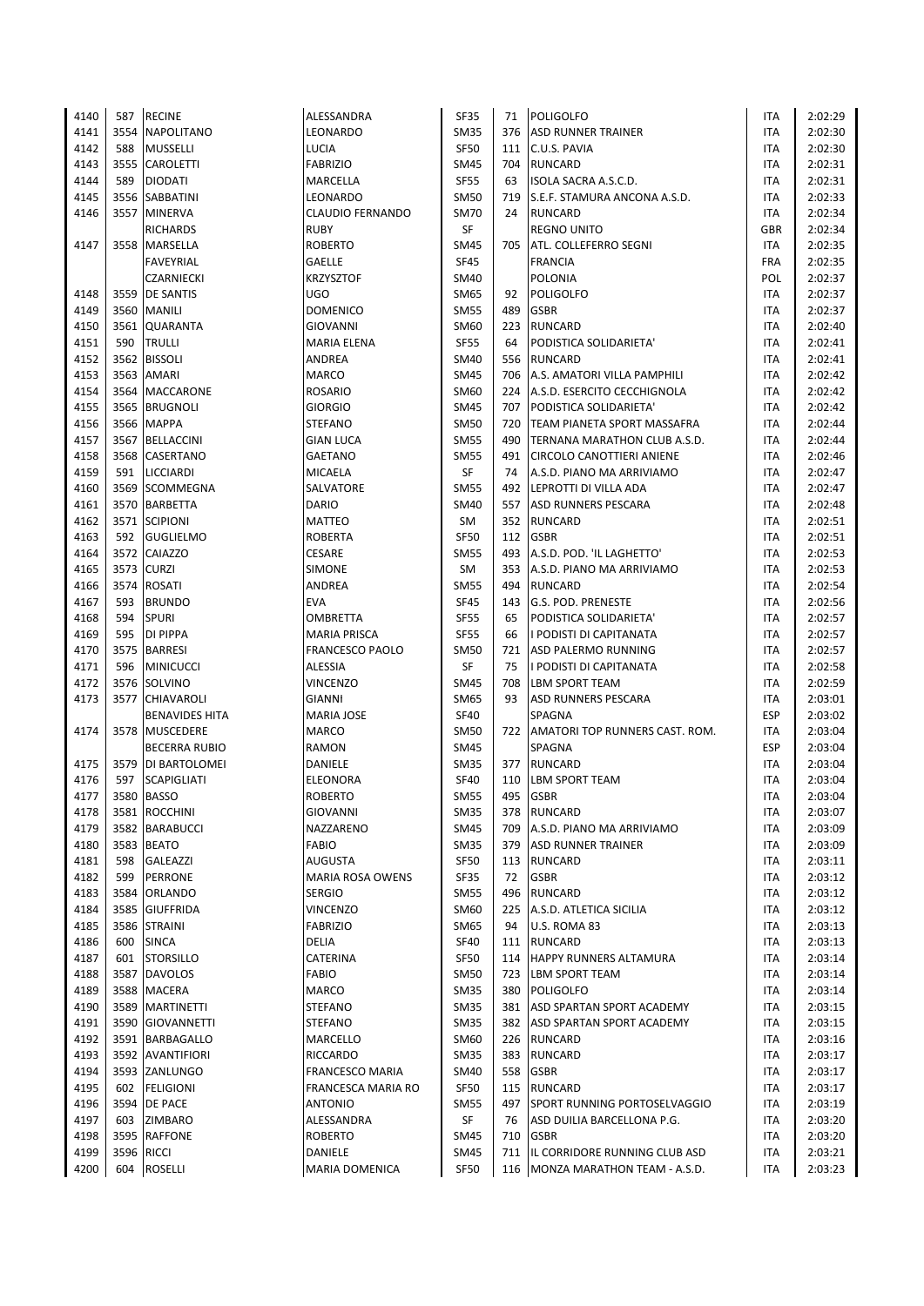| 4140 | 587  | <b>RECINE</b>         | ALESSANDRA              | SF35        | 71  | <b>POLIGOLFO</b>                 | ITA        | 2:02:29 |
|------|------|-----------------------|-------------------------|-------------|-----|----------------------------------|------------|---------|
| 4141 | 3554 | <b>NAPOLITANO</b>     | LEONARDO                | <b>SM35</b> |     | 376 ASD RUNNER TRAINER           | <b>ITA</b> | 2:02:30 |
| 4142 | 588  | <b>MUSSELLI</b>       | LUCIA                   | <b>SF50</b> |     | 111 C.U.S. PAVIA                 | ITA        | 2:02:30 |
| 4143 | 3555 | <b>CAROLETTI</b>      | <b>FABRIZIO</b>         | <b>SM45</b> |     | 704 RUNCARD                      | ITA        | 2:02:31 |
| 4144 | 589  | <b>DIODATI</b>        | MARCELLA                | <b>SF55</b> | 63  | ISOLA SACRA A.S.C.D.             | <b>ITA</b> | 2:02:31 |
| 4145 |      | 3556 SABBATINI        | LEONARDO                | <b>SM50</b> | 719 | S.E.F. STAMURA ANCONA A.S.D.     | ITA        | 2:02:33 |
| 4146 | 3557 | <b>MINERVA</b>        | <b>CLAUDIO FERNANDO</b> | <b>SM70</b> | 24  | <b>RUNCARD</b>                   | ITA        | 2:02:34 |
|      |      | RICHARDS              | <b>RUBY</b>             | SF          |     | <b>REGNO UNITO</b>               | <b>GBR</b> | 2:02:34 |
| 4147 | 3558 | MARSELLA              | <b>ROBERTO</b>          | <b>SM45</b> | 705 | ATL. COLLEFERRO SEGNI            | ITA        | 2:02:35 |
|      |      | <b>FAVEYRIAL</b>      | <b>GAELLE</b>           | <b>SF45</b> |     | <b>FRANCIA</b>                   | <b>FRA</b> | 2:02:35 |
|      |      | CZARNIECKI            | <b>KRZYSZTOF</b>        | <b>SM40</b> |     | <b>POLONIA</b>                   | POL        | 2:02:37 |
| 4148 |      | 3559 DE SANTIS        | <b>UGO</b>              | SM65        | 92  | <b>POLIGOLFO</b>                 | <b>ITA</b> | 2:02:37 |
| 4149 | 3560 | <b>MANILI</b>         | <b>DOMENICO</b>         | <b>SM55</b> | 489 | <b>GSBR</b>                      | <b>ITA</b> | 2:02:37 |
| 4150 | 3561 | <b>QUARANTA</b>       | <b>GIOVANNI</b>         | SM60        | 223 | <b>RUNCARD</b>                   | <b>ITA</b> | 2:02:40 |
| 4151 | 590  | <b>TRULLI</b>         | <b>MARIA ELENA</b>      | <b>SF55</b> | 64  | PODISTICA SOLIDARIETA'           | <b>ITA</b> | 2:02:41 |
| 4152 | 3562 | <b>BISSOLI</b>        | ANDREA                  | <b>SM40</b> |     | 556 RUNCARD                      | <b>ITA</b> | 2:02:41 |
| 4153 | 3563 | <b>AMARI</b>          | <b>MARCO</b>            | <b>SM45</b> | 706 | A.S. AMATORI VILLA PAMPHILI      | ITA        | 2:02:42 |
| 4154 | 3564 | <b>MACCARONE</b>      | <b>ROSARIO</b>          | SM60        | 224 | A.S.D. ESERCITO CECCHIGNOLA      | <b>ITA</b> | 2:02:42 |
|      | 3565 |                       |                         | <b>SM45</b> |     |                                  |            |         |
| 4155 |      | <b>BRUGNOLI</b>       | <b>GIORGIO</b>          |             | 707 | PODISTICA SOLIDARIETA'           | ITA        | 2:02:42 |
| 4156 | 3566 | <b>MAPPA</b>          | <b>STEFANO</b>          | <b>SM50</b> | 720 | TEAM PIANETA SPORT MASSAFRA      | <b>ITA</b> | 2:02:44 |
| 4157 |      | 3567 BELLACCINI       | <b>GIAN LUCA</b>        | <b>SM55</b> | 490 | TERNANA MARATHON CLUB A.S.D.     | <b>ITA</b> | 2:02:44 |
| 4158 | 3568 | <b>CASERTANO</b>      | <b>GAETANO</b>          | <b>SM55</b> | 491 | <b>CIRCOLO CANOTTIERI ANIENE</b> | <b>ITA</b> | 2:02:46 |
| 4159 | 591  | <b>LICCIARDI</b>      | MICAELA                 | SF          | 74  | A.S.D. PIANO MA ARRIVIAMO        | ITA        | 2:02:47 |
| 4160 |      | 3569 SCOMMEGNA        | SALVATORE               | <b>SM55</b> | 492 | LEPROTTI DI VILLA ADA            | <b>ITA</b> | 2:02:47 |
| 4161 | 3570 | <b>BARBETTA</b>       | DARIO                   | <b>SM40</b> |     | 557 ASD RUNNERS PESCARA          | ITA        | 2:02:48 |
| 4162 | 3571 | <b>SCIPIONI</b>       | <b>MATTEO</b>           | SM          | 352 | <b>RUNCARD</b>                   | ITA        | 2:02:51 |
| 4163 | 592  | <b>GUGLIELMO</b>      | ROBERTA                 | <b>SF50</b> | 112 | <b>GSBR</b>                      | <b>ITA</b> | 2:02:51 |
| 4164 |      | 3572 CAIAZZO          | CESARE                  | <b>SM55</b> | 493 | A.S.D. POD. 'IL LAGHETTO'        | <b>ITA</b> | 2:02:53 |
| 4165 | 3573 | <b>CURZI</b>          | <b>SIMONE</b>           | SM          |     | 353 A.S.D. PIANO MA ARRIVIAMO    | ITA        | 2:02:53 |
| 4166 | 3574 | <b>ROSATI</b>         | ANDREA                  | <b>SM55</b> | 494 | <b>RUNCARD</b>                   | ITA        | 2:02:54 |
| 4167 | 593  | <b>BRUNDO</b>         | EVA                     | <b>SF45</b> | 143 | G.S. POD. PRENESTE               | ITA        | 2:02:56 |
| 4168 | 594  | <b>SPURI</b>          | OMBRETTA                | <b>SF55</b> | 65  | PODISTICA SOLIDARIETA'           | <b>ITA</b> | 2:02:57 |
| 4169 | 595  | DI PIPPA              | MARIA PRISCA            | <b>SF55</b> | 66  | I PODISTI DI CAPITANATA          | ITA        | 2:02:57 |
| 4170 | 3575 | <b>BARRESI</b>        | <b>FRANCESCO PAOLO</b>  | <b>SM50</b> | 721 | ASD PALERMO RUNNING              | ITA        | 2:02:57 |
| 4171 | 596  | <b>MINICUCCI</b>      | ALESSIA                 | SF          | 75  | I PODISTI DI CAPITANATA          | ITA        | 2:02:58 |
| 4172 |      | 3576 SOLVINO          | <b>VINCENZO</b>         | <b>SM45</b> | 708 | <b>LBM SPORT TEAM</b>            | <b>ITA</b> | 2:02:59 |
| 4173 | 3577 | <b>CHIAVAROLI</b>     | GIANNI                  | <b>SM65</b> | 93  | ASD RUNNERS PESCARA              | <b>ITA</b> | 2:03:01 |
|      |      | <b>BENAVIDES HITA</b> | <b>MARIA JOSE</b>       | <b>SF40</b> |     | SPAGNA                           | ESP        | 2:03:02 |
| 4174 |      | 3578 MUSCEDERE        | MARCO                   | <b>SM50</b> | 722 | AMATORI TOP RUNNERS CAST. ROM.   | <b>ITA</b> | 2:03:04 |
|      |      | <b>BECERRA RUBIO</b>  | RAMON                   | <b>SM45</b> |     | SPAGNA                           | ESP        | 2:03:04 |
| 4175 | 3579 | DI BARTOLOMEI         | DANIELE                 | <b>SM35</b> | 377 | <b>RUNCARD</b>                   | <b>ITA</b> | 2:03:04 |
| 4176 | 597  | <b>SCAPIGLIATI</b>    | <b>ELEONORA</b>         | <b>SF40</b> | 110 | <b>LBM SPORT TEAM</b>            | <b>ITA</b> | 2:03:04 |
| 4177 |      | 3580 BASSO            | <b>ROBERTO</b>          | <b>SM55</b> | 495 | <b>GSBR</b>                      | <b>ITA</b> | 2:03:04 |
| 4178 |      | 3581 ROCCHINI         | GIOVANNI                | <b>SM35</b> | 378 | <b>RUNCARD</b>                   | ITA        | 2:03:07 |
| 4179 | 3582 | <b>BARABUCCI</b>      | NAZZARENO               | <b>SM45</b> | 709 | A.S.D. PIANO MA ARRIVIAMO        | ITA        | 2:03:09 |
| 4180 | 3583 | <b>BEATO</b>          | FABIO                   | <b>SM35</b> | 379 | <b>ASD RUNNER TRAINER</b>        | ITA        | 2:03:09 |
| 4181 | 598  | <b>GALEAZZI</b>       | AUGUSTA                 | SF50        |     | 113 RUNCARD                      | ITA        | 2:03:11 |
| 4182 | 599  | <b>PERRONE</b>        | MARIA ROSA OWENS        | SF35        | 72  | <b>GSBR</b>                      | ITA        | 2:03:12 |
| 4183 | 3584 | ORLANDO               | <b>SERGIO</b>           | <b>SM55</b> | 496 | <b>RUNCARD</b>                   | ITA        | 2:03:12 |
| 4184 | 3585 | <b>GIUFFRIDA</b>      | VINCENZO                | SM60        | 225 | A.S.D. ATLETICA SICILIA          | ITA        | 2:03:12 |
| 4185 |      | 3586 STRAINI          | <b>FABRIZIO</b>         | SM65        | 94  | U.S. ROMA 83                     | ITA        | 2:03:13 |
| 4186 | 600  | <b>SINCA</b>          | DELIA                   | SF40        | 111 | <b>RUNCARD</b>                   | ITA        | 2:03:13 |
| 4187 | 601  | <b>STORSILLO</b>      | CATERINA                | SF50        |     | 114 HAPPY RUNNERS ALTAMURA       | ITA        | 2:03:14 |
| 4188 | 3587 | <b>DAVOLOS</b>        | FABIO                   | SM50        | 723 | <b>LBM SPORT TEAM</b>            | ITA        | 2:03:14 |
| 4189 |      | 3588 MACERA           | MARCO                   | <b>SM35</b> | 380 | <b>POLIGOLFO</b>                 | ITA        | 2:03:14 |
| 4190 |      | 3589 MARTINETTI       | <b>STEFANO</b>          | <b>SM35</b> | 381 | ASD SPARTAN SPORT ACADEMY        | ITA        | 2:03:15 |
| 4191 | 3590 | <b>GIOVANNETTI</b>    | <b>STEFANO</b>          | <b>SM35</b> |     | 382 ASD SPARTAN SPORT ACADEMY    | ITA        | 2:03:15 |
| 4192 |      | 3591 BARBAGALLO       | MARCELLO                | SM60        |     | 226 RUNCARD                      | ITA        | 2:03:16 |
| 4193 |      | 3592 AVANTIFIORI      | RICCARDO                | <b>SM35</b> | 383 | <b>RUNCARD</b>                   | ITA        | 2:03:17 |
| 4194 |      | 3593 ZANLUNGO         | <b>FRANCESCO MARIA</b>  | <b>SM40</b> | 558 | <b>GSBR</b>                      | ITA        | 2:03:17 |
| 4195 | 602  | <b>FELIGIONI</b>      | FRANCESCA MARIA RO      | SF50        | 115 | <b>RUNCARD</b>                   | ITA        | 2:03:17 |
| 4196 | 3594 | DE PACE               | <b>ANTONIO</b>          | <b>SM55</b> | 497 | SPORT RUNNING PORTOSELVAGGIO     | ITA        | 2:03:19 |
| 4197 | 603  | ZIMBARO               | ALESSANDRA              | SF          | 76  | ASD DUILIA BARCELLONA P.G.       | ITA        | 2:03:20 |
| 4198 |      | 3595 RAFFONE          | <b>ROBERTO</b>          | SM45        | 710 | <b>GSBR</b>                      | ITA        | 2:03:20 |
| 4199 | 3596 | <b>RICCI</b>          | DANIELE                 | SM45        | 711 | IL CORRIDORE RUNNING CLUB ASD    | ITA        | 2:03:21 |
| 4200 | 604  | <b>ROSELLI</b>        | MARIA DOMENICA          | <b>SF50</b> |     | 116 MONZA MARATHON TEAM - A.S.D. | <b>ITA</b> | 2:03:23 |
|      |      |                       |                         |             |     |                                  |            |         |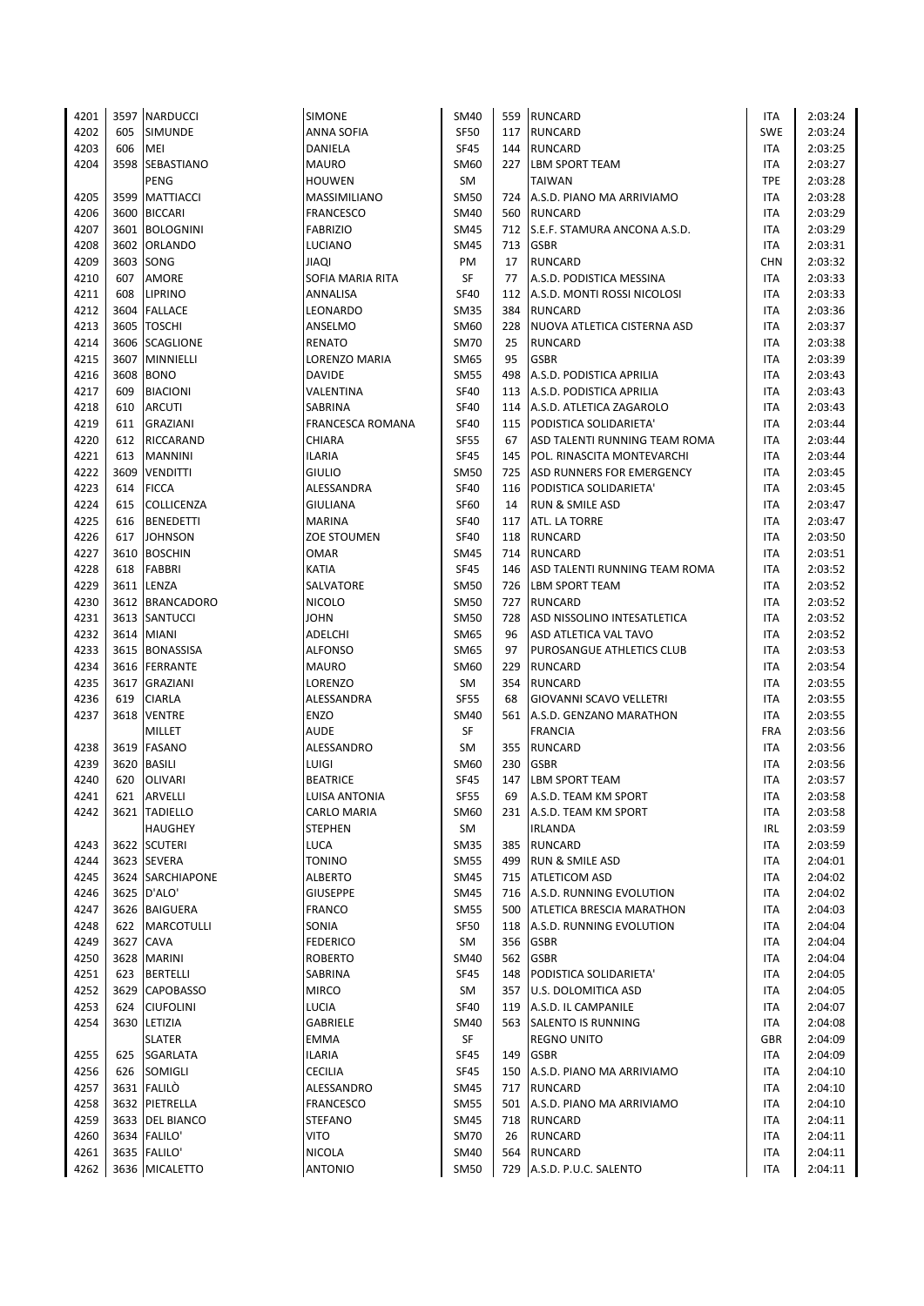| 4201 |      | 3597 NARDUCCI    | SIMONE             | <b>SM40</b> |     | 559 RUNCARD                      | ITA        | 2:03:24 |
|------|------|------------------|--------------------|-------------|-----|----------------------------------|------------|---------|
| 4202 | 605  | SIMUNDE          | ANNA SOFIA         | <b>SF50</b> | 117 | <b>RUNCARD</b>                   | <b>SWE</b> | 2:03:24 |
| 4203 | 606  | MEI              | DANIELA            | <b>SF45</b> | 144 | <b>RUNCARD</b>                   | ITA        | 2:03:25 |
| 4204 | 3598 | SEBASTIANO       | <b>MAURO</b>       | SM60        | 227 | <b>LBM SPORT TEAM</b>            | ITA        | 2:03:27 |
|      |      | PENG             | <b>HOUWEN</b>      | SM          |     | <b>TAIWAN</b>                    | <b>TPE</b> | 2:03:28 |
| 4205 | 3599 | <b>MATTIACCI</b> | MASSIMILIANO       | <b>SM50</b> |     | 724 A.S.D. PIANO MA ARRIVIAMO    | ITA        | 2:03:28 |
| 4206 | 3600 | <b>BICCARI</b>   | <b>FRANCESCO</b>   | <b>SM40</b> | 560 | <b>RUNCARD</b>                   | ITA        | 2:03:29 |
| 4207 |      | 3601 BOLOGNINI   | <b>FABRIZIO</b>    | <b>SM45</b> | 712 | S.E.F. STAMURA ANCONA A.S.D.     | ITA        | 2:03:29 |
| 4208 |      | 3602 ORLANDO     | LUCIANO            | <b>SM45</b> | 713 | <b>GSBR</b>                      | <b>ITA</b> | 2:03:31 |
| 4209 |      | 3603 SONG        | <b>JIAQI</b>       | PM          | 17  | <b>RUNCARD</b>                   | <b>CHN</b> | 2:03:32 |
| 4210 | 607  | AMORE            | SOFIA MARIA RITA   | SF          | 77  | A.S.D. PODISTICA MESSINA         | <b>ITA</b> | 2:03:33 |
| 4211 | 608  | <b>LIPRINO</b>   | ANNALISA           | <b>SF40</b> |     | 112 A.S.D. MONTI ROSSI NICOLOSI  | <b>ITA</b> | 2:03:33 |
| 4212 |      | 3604 FALLACE     | LEONARDO           | <b>SM35</b> | 384 | <b>RUNCARD</b>                   | <b>ITA</b> | 2:03:36 |
| 4213 | 3605 | <b>TOSCHI</b>    | ANSELMO            | SM60        | 228 | NUOVA ATLETICA CISTERNA ASD      | <b>ITA</b> | 2:03:37 |
|      |      |                  | <b>RENATO</b>      | <b>SM70</b> | 25  | <b>RUNCARD</b>                   |            |         |
| 4214 |      | 3606 SCAGLIONE   |                    |             |     |                                  | <b>ITA</b> | 2:03:38 |
| 4215 | 3607 | MINNIELLI        | LORENZO MARIA      | <b>SM65</b> | 95  | <b>GSBR</b>                      | <b>ITA</b> | 2:03:39 |
| 4216 | 3608 | <b>BONO</b>      | <b>DAVIDE</b>      | <b>SM55</b> | 498 | A.S.D. PODISTICA APRILIA         | <b>ITA</b> | 2:03:43 |
| 4217 | 609  | <b>BIACIONI</b>  | VALENTINA          | <b>SF40</b> | 113 | A.S.D. PODISTICA APRILIA         | <b>ITA</b> | 2:03:43 |
| 4218 | 610  | <b>ARCUTI</b>    | SABRINA            | <b>SF40</b> |     | 114 A.S.D. ATLETICA ZAGAROLO     | <b>ITA</b> | 2:03:43 |
| 4219 | 611  | <b>GRAZIANI</b>  | FRANCESCA ROMANA   | <b>SF40</b> |     | 115 PODISTICA SOLIDARIETA'       | <b>ITA</b> | 2:03:44 |
| 4220 | 612  | RICCARAND        | CHIARA             | <b>SF55</b> | 67  | ASD TALENTI RUNNING TEAM ROMA    | <b>ITA</b> | 2:03:44 |
| 4221 | 613  | <b>MANNINI</b>   | <b>ILARIA</b>      | <b>SF45</b> | 145 | POL. RINASCITA MONTEVARCHI       | <b>ITA</b> | 2:03:44 |
| 4222 | 3609 | <b>VENDITTI</b>  | <b>GIULIO</b>      | <b>SM50</b> | 725 | <b>ASD RUNNERS FOR EMERGENCY</b> | ITA        | 2:03:45 |
| 4223 | 614  | <b>FICCA</b>     | ALESSANDRA         | <b>SF40</b> |     | 116 PODISTICA SOLIDARIETA'       | <b>ITA</b> | 2:03:45 |
| 4224 | 615  | COLLICENZA       | GIULIANA           | <b>SF60</b> | 14  | <b>RUN &amp; SMILE ASD</b>       | ITA        | 2:03:47 |
| 4225 | 616  | <b>BENEDETTI</b> | <b>MARINA</b>      | <b>SF40</b> | 117 | <b>ATL. LA TORRE</b>             | ITA        | 2:03:47 |
| 4226 | 617  | <b>JOHNSON</b>   | <b>ZOE STOUMEN</b> | <b>SF40</b> |     | 118 RUNCARD                      | ITA        | 2:03:50 |
| 4227 |      | 3610 BOSCHIN     | <b>OMAR</b>        | <b>SM45</b> |     | 714 RUNCARD                      | <b>ITA</b> | 2:03:51 |
| 4228 | 618  | <b>FABBRI</b>    | <b>KATIA</b>       | <b>SF45</b> | 146 | ASD TALENTI RUNNING TEAM ROMA    | <b>ITA</b> | 2:03:52 |
| 4229 |      | 3611 LENZA       | SALVATORE          | <b>SM50</b> | 726 | <b>LBM SPORT TEAM</b>            | ITA        | 2:03:52 |
| 4230 |      | 3612 BRANCADORO  | <b>NICOLO</b>      | <b>SM50</b> | 727 | RUNCARD                          | ITA        | 2:03:52 |
| 4231 |      | 3613 SANTUCCI    | <b>JOHN</b>        | <b>SM50</b> | 728 | ASD NISSOLINO INTESATLETICA      | <b>ITA</b> | 2:03:52 |
| 4232 |      | 3614 MIANI       | ADELCHI            | <b>SM65</b> | 96  | ASD ATLETICA VAL TAVO            | ITA        | 2:03:52 |
| 4233 |      | 3615 BONASSISA   | ALFONSO            | SM65        | 97  | PUROSANGUE ATHLETICS CLUB        | ITA        | 2:03:53 |
| 4234 |      | 3616 FERRANTE    | <b>MAURO</b>       | SM60        | 229 | <b>RUNCARD</b>                   | <b>ITA</b> | 2:03:54 |
| 4235 |      | 3617 GRAZIANI    | LORENZO            | SM          |     | 354 RUNCARD                      | <b>ITA</b> | 2:03:55 |
| 4236 | 619  | CIARLA           | ALESSANDRA         | <b>SF55</b> | 68  | GIOVANNI SCAVO VELLETRI          | <b>ITA</b> | 2:03:55 |
| 4237 | 3618 | <b>VENTRE</b>    | <b>ENZO</b>        | <b>SM40</b> |     | 561 A.S.D. GENZANO MARATHON      | ITA        | 2:03:55 |
|      |      | MILLET           | <b>AUDE</b>        | SF          |     | <b>FRANCIA</b>                   | <b>FRA</b> | 2:03:56 |
| 4238 |      | 3619 FASANO      | ALESSANDRO         | <b>SM</b>   |     | 355 RUNCARD                      | <b>ITA</b> | 2:03:56 |
| 4239 |      | 3620 BASILI      | LUIGI              | SM60        | 230 | <b>GSBR</b>                      | <b>ITA</b> | 2:03:56 |
| 4240 | 620  | <b>OLIVARI</b>   | <b>BEATRICE</b>    | <b>SF45</b> | 147 | <b>LBM SPORT TEAM</b>            | ITA        | 2:03:57 |
| 4241 |      | 621 ARVELLI      | LUISA ANTONIA      | <b>SF55</b> | 69  | A.S.D. TEAM KM SPORT             | <b>ITA</b> | 2:03:58 |
| 4242 |      | 3621 TADIELLO    | CARLO MARIA        | SM60        |     | 231 A.S.D. TEAM KM SPORT         | ITA        | 2:03:58 |
|      |      | <b>HAUGHEY</b>   | <b>STEPHEN</b>     | SM          |     | <b>IRLANDA</b>                   | IRL        | 2:03:59 |
| 4243 |      | 3622 SCUTERI     | LUCA               | <b>SM35</b> | 385 | <b>RUNCARD</b>                   | ITA        | 2:03:59 |
| 4244 |      | 3623 SEVERA      | <b>TONINO</b>      | <b>SM55</b> | 499 | <b>RUN &amp; SMILE ASD</b>       | ITA        | 2:04:01 |
| 4245 |      | 3624 SARCHIAPONE | ALBERTO            | <b>SM45</b> |     | 715   ATLETICOM ASD              | ITA        | 2:04:02 |
| 4246 |      | 3625   D'ALO'    | <b>GIUSEPPE</b>    | <b>SM45</b> |     | 716 A.S.D. RUNNING EVOLUTION     | ITA        | 2:04:02 |
| 4247 |      | 3626 BAIGUERA    | <b>FRANCO</b>      | <b>SM55</b> |     | 500 ATLETICA BRESCIA MARATHON    | ITA        | 2:04:03 |
| 4248 |      | 622 MARCOTULLI   | SONIA              | <b>SF50</b> |     | 118 A.S.D. RUNNING EVOLUTION     | ITA        | 2:04:04 |
| 4249 |      | 3627 CAVA        | <b>FEDERICO</b>    | SM          |     | 356 GSBR                         | ITA        | 2:04:04 |
| 4250 |      |                  |                    |             |     | 562 GSBR                         |            | 2:04:04 |
|      |      | 3628 MARINI      | ROBERTO            | SM40        |     |                                  | ITA        |         |
| 4251 | 623  | <b>BERTELLI</b>  | SABRINA            | SF45        | 148 | PODISTICA SOLIDARIETA'           | ITA        | 2:04:05 |
| 4252 |      | 3629 CAPOBASSO   | <b>MIRCO</b>       | SM          | 357 | U.S. DOLOMITICA ASD              | ITA        | 2:04:05 |
| 4253 | 624  | <b>CIUFOLINI</b> | LUCIA              | SF40        |     | 119 A.S.D. IL CAMPANILE          | ITA        | 2:04:07 |
| 4254 |      | 3630 LETIZIA     | GABRIELE           | SM40        |     | 563 SALENTO IS RUNNING           | ITA        | 2:04:08 |
|      |      | SLATER           | EMMA               | SF          |     | <b>REGNO UNITO</b>               | <b>GBR</b> | 2:04:09 |
| 4255 | 625  | SGARLATA         | ILARIA             | SF45        | 149 | <b>GSBR</b>                      | ITA        | 2:04:09 |
| 4256 | 626  | SOMIGLI          | CECILIA            | SF45        | 150 | A.S.D. PIANO MA ARRIVIAMO        | ITA        | 2:04:10 |
| 4257 |      | 3631 FALILO      | ALESSANDRO         | <b>SM45</b> | 717 | <b>RUNCARD</b>                   | ITA        | 2:04:10 |
| 4258 |      | 3632 PIETRELLA   | <b>FRANCESCO</b>   | <b>SM55</b> | 501 | A.S.D. PIANO MA ARRIVIAMO        | ITA        | 2:04:10 |
| 4259 |      | 3633 DEL BIANCO  | <b>STEFANO</b>     | <b>SM45</b> |     | 718 RUNCARD                      | ITA        | 2:04:11 |
| 4260 |      | 3634 FALILO'     | VITO               | <b>SM70</b> | 26  | <b>RUNCARD</b>                   | ITA        | 2:04:11 |
| 4261 |      | 3635 FALILO'     | NICOLA             | SM40        |     | 564 RUNCARD                      | ITA        | 2:04:11 |
| 4262 |      | 3636 MICALETTO   | <b>ANTONIO</b>     | <b>SM50</b> |     | 729 A.S.D. P.U.C. SALENTO        | <b>ITA</b> | 2:04:11 |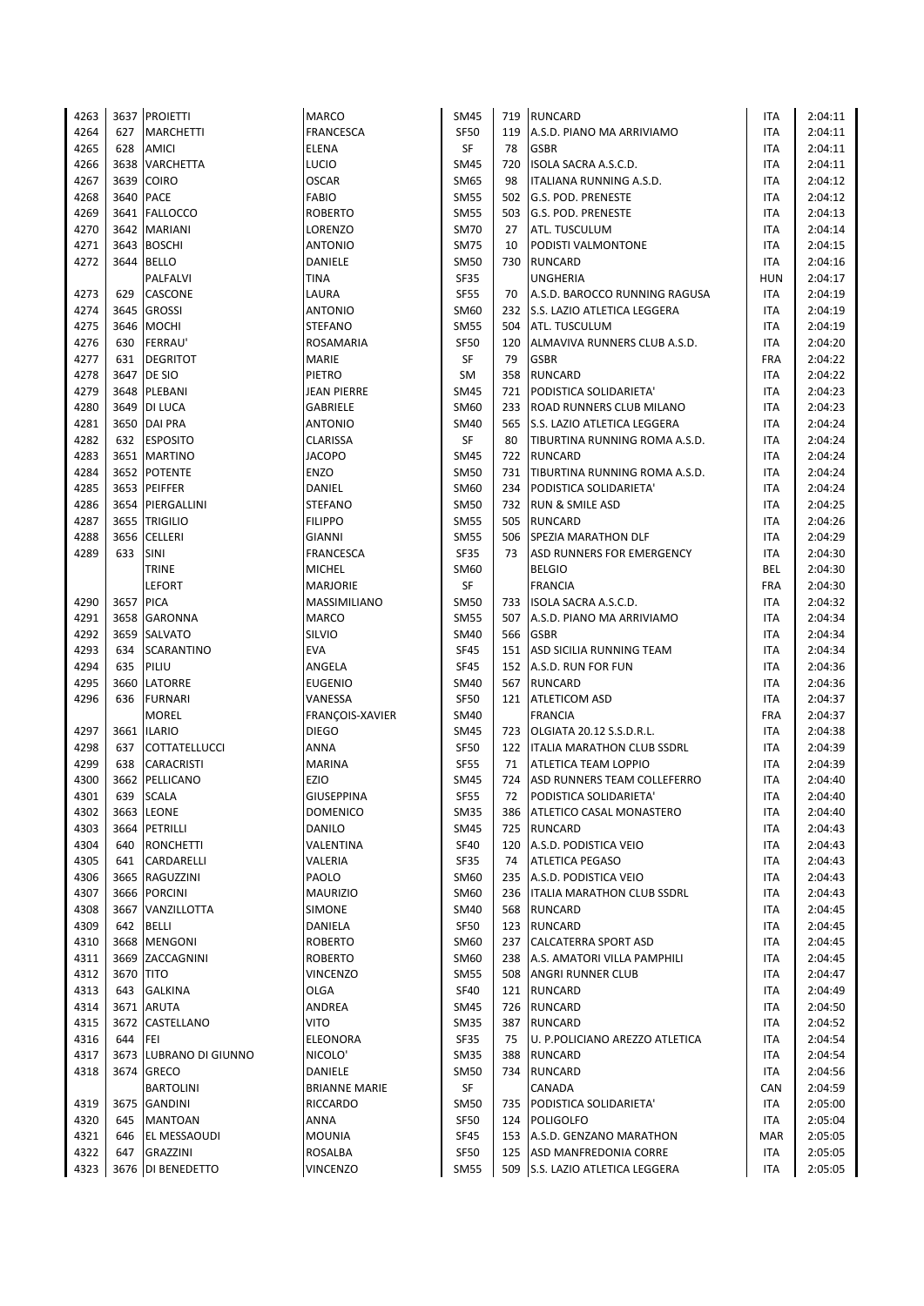| 4263 |           | 3637 PROIETTI          | <b>MARCO</b>         | SM45        |     | 719 RUNCARD                       | ITA        | 2:04:11 |
|------|-----------|------------------------|----------------------|-------------|-----|-----------------------------------|------------|---------|
| 4264 | 627       | <b>MARCHETTI</b>       | <b>FRANCESCA</b>     | <b>SF50</b> | 119 | A.S.D. PIANO MA ARRIVIAMO         | ITA        | 2:04:11 |
| 4265 | 628       | <b>AMICI</b>           | <b>ELENA</b>         | SF          | 78  | <b>GSBR</b>                       | <b>ITA</b> | 2:04:11 |
| 4266 |           | 3638 VARCHETTA         | LUCIO                | <b>SM45</b> | 720 | ISOLA SACRA A.S.C.D.              | <b>ITA</b> | 2:04:11 |
| 4267 |           | 3639 COIRO             | <b>OSCAR</b>         | SM65        | 98  | ITALIANA RUNNING A.S.D.           | <b>ITA</b> | 2:04:12 |
|      | 3640      | <b>PACE</b>            |                      |             |     |                                   |            |         |
| 4268 |           |                        | <b>FABIO</b>         | <b>SM55</b> | 502 | <b>G.S. POD. PRENESTE</b>         | <b>ITA</b> | 2:04:12 |
| 4269 |           | 3641 FALLOCCO          | <b>ROBERTO</b>       | <b>SM55</b> | 503 | <b>G.S. POD. PRENESTE</b>         | ITA        | 2:04:13 |
| 4270 |           | 3642 MARIANI           | LORENZO              | <b>SM70</b> | 27  | ATL. TUSCULUM                     | <b>ITA</b> | 2:04:14 |
| 4271 |           | 3643 BOSCHI            | <b>ANTONIO</b>       | <b>SM75</b> | 10  | PODISTI VALMONTONE                | <b>ITA</b> | 2:04:15 |
| 4272 | 3644      | <b>BELLO</b>           | DANIELE              | <b>SM50</b> | 730 | <b>RUNCARD</b>                    | <b>ITA</b> | 2:04:16 |
|      |           | PALFALVI               | <b>TINA</b>          | <b>SF35</b> |     | <b>UNGHERIA</b>                   | HUN        | 2:04:17 |
| 4273 | 629       | CASCONE                | LAURA                | <b>SF55</b> | 70  | A.S.D. BAROCCO RUNNING RAGUSA     | <b>ITA</b> | 2:04:19 |
| 4274 | 3645      | <b>GROSSI</b>          | <b>ANTONIO</b>       | SM60        |     | 232 S.S. LAZIO ATLETICA LEGGERA   | <b>ITA</b> | 2:04:19 |
| 4275 | 3646      | <b>MOCHI</b>           | <b>STEFANO</b>       | <b>SM55</b> | 504 | ATL. TUSCULUM                     | <b>ITA</b> | 2:04:19 |
|      |           |                        |                      |             |     |                                   |            |         |
| 4276 | 630       | <b>FERRAU'</b>         | ROSAMARIA            | <b>SF50</b> | 120 | ALMAVIVA RUNNERS CLUB A.S.D.      | <b>ITA</b> | 2:04:20 |
| 4277 | 631       | <b>DEGRITOT</b>        | <b>MARIE</b>         | SF          | 79  | <b>GSBR</b>                       | <b>FRA</b> | 2:04:22 |
| 4278 |           | 3647 DE SIO            | PIETRO               | SM          | 358 | <b>RUNCARD</b>                    | ITA        | 2:04:22 |
| 4279 | 3648      | PLEBANI                | <b>JEAN PIERRE</b>   | <b>SM45</b> | 721 | PODISTICA SOLIDARIETA'            | ITA        | 2:04:23 |
| 4280 |           | 3649 DI LUCA           | GABRIELE             | SM60        | 233 | <b>ROAD RUNNERS CLUB MILANO</b>   | <b>ITA</b> | 2:04:23 |
| 4281 |           | 3650 DAI PRA           | <b>ANTONIO</b>       | <b>SM40</b> | 565 | S.S. LAZIO ATLETICA LEGGERA       | <b>ITA</b> | 2:04:24 |
| 4282 |           | 632 ESPOSITO           | <b>CLARISSA</b>      | SF          | 80  | TIBURTINA RUNNING ROMA A.S.D.     | ITA        | 2:04:24 |
| 4283 |           | 3651 MARTINO           | <b>JACOPO</b>        | <b>SM45</b> | 722 | <b>RUNCARD</b>                    | <b>ITA</b> | 2:04:24 |
| 4284 |           | 3652 POTENTE           | <b>ENZO</b>          | <b>SM50</b> | 731 | TIBURTINA RUNNING ROMA A.S.D.     | <b>ITA</b> | 2:04:24 |
| 4285 |           | 3653 PEIFFER           |                      | SM60        |     | PODISTICA SOLIDARIETA'            | <b>ITA</b> | 2:04:24 |
|      |           |                        | DANIEL               |             | 234 |                                   |            |         |
| 4286 |           | 3654 PIERGALLINI       | <b>STEFANO</b>       | <b>SM50</b> |     | 732 RUN & SMILE ASD               | ITA        | 2:04:25 |
| 4287 | 3655      | <b>TRIGILIO</b>        | <b>FILIPPO</b>       | <b>SM55</b> | 505 | <b>RUNCARD</b>                    | <b>ITA</b> | 2:04:26 |
| 4288 | 3656      | <b>CELLERI</b>         | <b>GIANNI</b>        | <b>SM55</b> | 506 | SPEZIA MARATHON DLF               | <b>ITA</b> | 2:04:29 |
| 4289 | 633       | SINI                   | FRANCESCA            | <b>SF35</b> | 73  | <b>ASD RUNNERS FOR EMERGENCY</b>  | <b>ITA</b> | 2:04:30 |
|      |           | <b>TRINE</b>           | <b>MICHEL</b>        | SM60        |     | <b>BELGIO</b>                     | <b>BEL</b> | 2:04:30 |
|      |           | <b>LEFORT</b>          | <b>MARJORIE</b>      | SF          |     | <b>FRANCIA</b>                    | <b>FRA</b> | 2:04:30 |
| 4290 | 3657 PICA |                        | MASSIMILIANO         | <b>SM50</b> |     | 733   ISOLA SACRA A.S.C.D.        | <b>ITA</b> | 2:04:32 |
| 4291 |           | 3658 GARONNA           | <b>MARCO</b>         | <b>SM55</b> | 507 | A.S.D. PIANO MA ARRIVIAMO         | <b>ITA</b> | 2:04:34 |
| 4292 | 3659      | <b>SALVATO</b>         | SILVIO               | <b>SM40</b> | 566 | <b>GSBR</b>                       | <b>ITA</b> | 2:04:34 |
|      |           |                        |                      |             |     |                                   |            |         |
| 4293 | 634       | <b>SCARANTINO</b>      | <b>EVA</b>           | <b>SF45</b> |     | 151 ASD SICILIA RUNNING TEAM      | <b>ITA</b> | 2:04:34 |
| 4294 | 635       | PILIU                  | ANGELA               | <b>SF45</b> |     | 152 A.S.D. RUN FOR FUN            | <b>ITA</b> | 2:04:36 |
| 4295 |           | 3660 LATORRE           | <b>EUGENIO</b>       | SM40        |     | 567 RUNCARD                       | <b>ITA</b> | 2:04:36 |
| 4296 | 636       | <b>FURNARI</b>         | VANESSA              | <b>SF50</b> | 121 | <b>ATLETICOM ASD</b>              | ITA        | 2:04:37 |
|      |           | <b>MOREL</b>           | FRANÇOIS-XAVIER      | SM40        |     | <b>FRANCIA</b>                    | <b>FRA</b> | 2:04:37 |
| 4297 |           | 3661 ILARIO            | <b>DIEGO</b>         | <b>SM45</b> | 723 | OLGIATA 20.12 S.S.D.R.L.          | <b>ITA</b> | 2:04:38 |
| 4298 | 637       | COTTATELLUCCI          | <b>ANNA</b>          | <b>SF50</b> | 122 | <b>ITALIA MARATHON CLUB SSDRL</b> | ITA        | 2:04:39 |
| 4299 | 638       | <b>CARACRISTI</b>      | <b>MARINA</b>        | <b>SF55</b> | 71  | <b>ATLETICA TEAM LOPPIO</b>       | <b>ITA</b> | 2:04:39 |
| 4300 | 3662      | PELLICANO              | EZIO                 | <b>SM45</b> | 724 | ASD RUNNERS TEAM COLLEFERRO       | <b>ITA</b> | 2:04:40 |
|      |           |                        |                      |             |     |                                   |            |         |
| 4301 | 639       | <b>SCALA</b>           | <b>GIUSEPPINA</b>    | <b>SF55</b> | 72  | PODISTICA SOLIDARIETA'            | <b>ITA</b> | 2:04:40 |
| 4302 |           | 3663 LEONE             | <b>DOMENICO</b>      | SM35        | 386 | <b>ATLETICO CASAL MONASTERO</b>   | ITA        | 2:04:40 |
| 4303 |           | 3664 PETRILLI          | DANILO               | <b>SM45</b> | 725 | <b>RUNCARD</b>                    | ITA        | 2:04:43 |
| 4304 | 640       | <b>RONCHETTI</b>       | VALENTINA            | <b>SF40</b> | 120 | A.S.D. PODISTICA VEIO             | ITA        | 2:04:43 |
| 4305 | 641       | CARDARELLI             | VALERIA              | SF35        | 74  | <b>ATLETICA PEGASO</b>            | ITA        | 2:04:43 |
| 4306 |           | 3665 RAGUZZINI         | PAOLO                | SM60        |     | 235 A.S.D. PODISTICA VEIO         | ITA        | 2:04:43 |
| 4307 |           | 3666 PORCINI           | <b>MAURIZIO</b>      | SM60        |     | 236   ITALIA MARATHON CLUB SSDRL  | ITA        | 2:04:43 |
| 4308 |           | 3667 VANZILLOTTA       | SIMONE               | SM40        |     | 568 RUNCARD                       | ITA        | 2:04:45 |
| 4309 |           | 642 BELLI              | DANIELA              | SF50        |     | 123 RUNCARD                       | ITA        | 2:04:45 |
|      |           |                        |                      |             |     |                                   |            |         |
| 4310 |           | 3668 MENGONI           | <b>ROBERTO</b>       | SM60        |     | 237 CALCATERRA SPORT ASD          | ITA        | 2:04:45 |
| 4311 |           | 3669 ZACCAGNINI        | <b>ROBERTO</b>       | SM60        |     | 238 A.S. AMATORI VILLA PAMPHILI   | ITA        | 2:04:45 |
| 4312 | 3670 TITO |                        | <b>VINCENZO</b>      | <b>SM55</b> |     | 508 ANGRI RUNNER CLUB             | ITA        | 2:04:47 |
| 4313 | 643       | <b>GALKINA</b>         | OLGA                 | SF40        |     | 121 RUNCARD                       | ITA        | 2:04:49 |
| 4314 |           | 3671 ARUTA             | ANDREA               | SM45        |     | 726 RUNCARD                       | ITA        | 2:04:50 |
| 4315 |           | 3672 CASTELLANO        | VITO                 | SM35        | 387 | RUNCARD                           | ITA        | 2:04:52 |
| 4316 | 644       | FEI                    | ELEONORA             | <b>SF35</b> | 75  | U. P.POLICIANO AREZZO ATLETICA    | ITA        | 2:04:54 |
| 4317 |           | 3673 LUBRANO DI GIUNNO | NICOLO'              | <b>SM35</b> | 388 | <b>RUNCARD</b>                    | ITA        | 2:04:54 |
| 4318 |           | 3674 GRECO             | DANIELE              | <b>SM50</b> | 734 | RUNCARD                           | ITA        | 2:04:56 |
|      |           |                        |                      |             |     |                                   |            |         |
|      |           | BARTOLINI              | <b>BRIANNE MARIE</b> | SF          |     | CANADA                            | CAN        | 2:04:59 |
| 4319 |           | 3675 GANDINI           | RICCARDO             | SM50        | 735 | PODISTICA SOLIDARIETA'            | ITA        | 2:05:00 |
| 4320 | 645       | <b>MANTOAN</b>         | ANNA                 | <b>SF50</b> |     | 124 POLIGOLFO                     | ITA        | 2:05:04 |
| 4321 | 646       | EL MESSAOUDI           | <b>MOUNIA</b>        | <b>SF45</b> |     | 153 A.S.D. GENZANO MARATHON       | MAR        | 2:05:05 |
| 4322 | 647       | GRAZZINI               | ROSALBA              | <b>SF50</b> | 125 | ASD MANFREDONIA CORRE             | ITA        | 2:05:05 |
| 4323 |           | 3676 DI BENEDETTO      | <b>VINCENZO</b>      | <b>SM55</b> |     | 509 S.S. LAZIO ATLETICA LEGGERA   | <b>ITA</b> | 2:05:05 |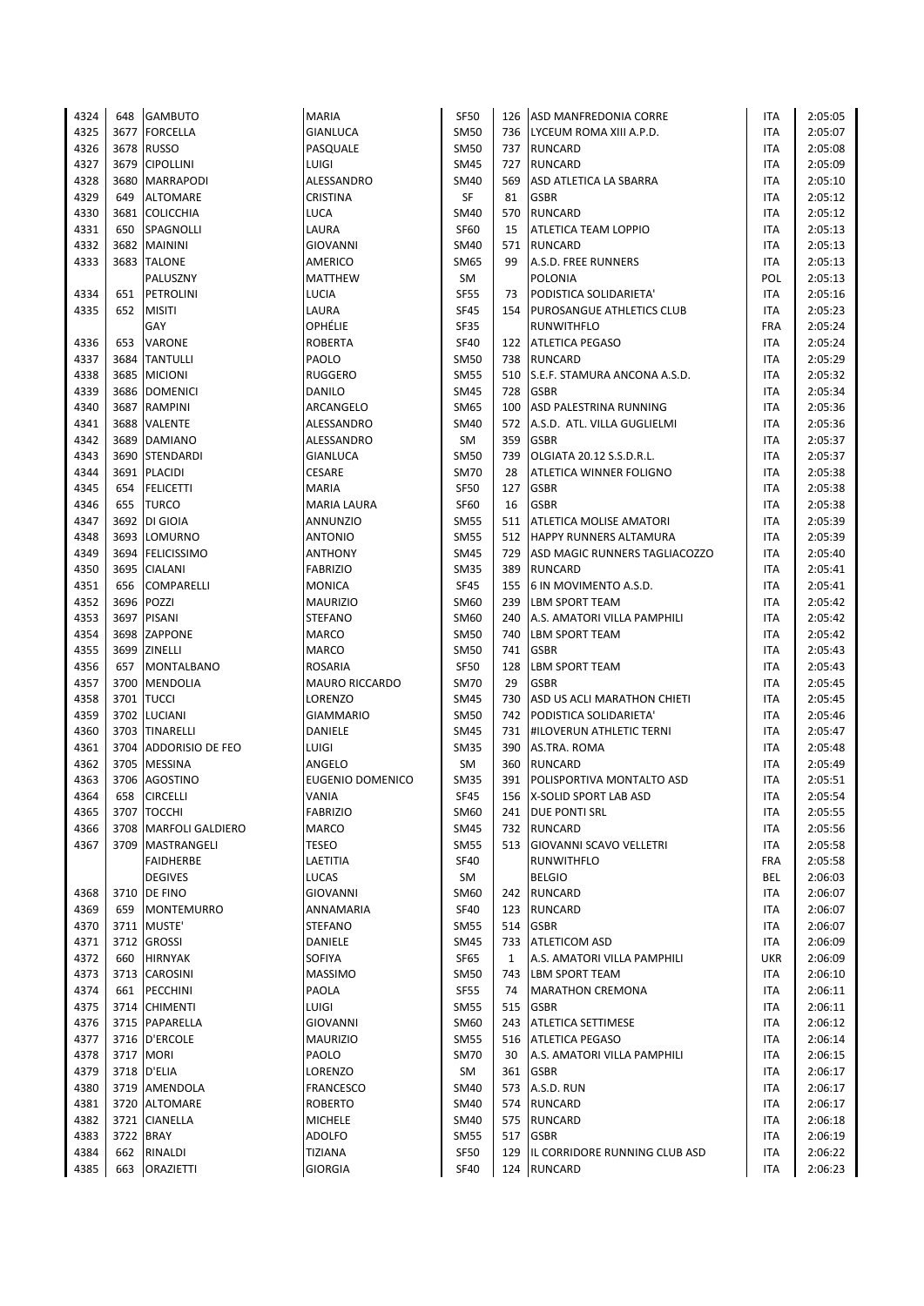| 4324 | 648  | <b>GAMBUTO</b>                    | MARIA                   | <b>SF50</b> | 126          | ASD MANFREDONIA CORRE           | ITA        | 2:05:05 |
|------|------|-----------------------------------|-------------------------|-------------|--------------|---------------------------------|------------|---------|
| 4325 | 3677 | <b>FORCELLA</b>                   | <b>GIANLUCA</b>         | <b>SM50</b> |              | 736 LYCEUM ROMA XIII A.P.D.     | ITA        | 2:05:07 |
| 4326 | 3678 | <b>RUSSO</b>                      | PASQUALE                | <b>SM50</b> | 737          | <b>RUNCARD</b>                  | <b>ITA</b> | 2:05:08 |
| 4327 | 3679 | <b>CIPOLLINI</b>                  | LUIGI                   | <b>SM45</b> | 727          | <b>RUNCARD</b>                  | <b>ITA</b> | 2:05:09 |
| 4328 |      | 3680 MARRAPODI                    | ALESSANDRO              | <b>SM40</b> | 569          | ASD ATLETICA LA SBARRA          | <b>ITA</b> | 2:05:10 |
| 4329 | 649  | <b>ALTOMARE</b>                   | <b>CRISTINA</b>         | SF          | 81           | <b>GSBR</b>                     | <b>ITA</b> | 2:05:12 |
| 4330 | 3681 | <b>COLICCHIA</b>                  | <b>LUCA</b>             | SM40        | 570          | <b>RUNCARD</b>                  | ITA        | 2:05:12 |
| 4331 | 650  | SPAGNOLLI                         | LAURA                   | <b>SF60</b> | 15           | <b>ATLETICA TEAM LOPPIO</b>     | <b>ITA</b> | 2:05:13 |
| 4332 |      | 3682 MAININI                      | <b>GIOVANNI</b>         | <b>SM40</b> | 571          | <b>RUNCARD</b>                  | <b>ITA</b> | 2:05:13 |
| 4333 | 3683 | <b>TALONE</b>                     | AMERICO                 | <b>SM65</b> | 99           | A.S.D. FREE RUNNERS             | ITA        | 2:05:13 |
|      |      | PALUSZNY                          | <b>MATTHEW</b>          | <b>SM</b>   |              | <b>POLONIA</b>                  | POL        | 2:05:13 |
| 4334 | 651  | PETROLINI                         | LUCIA                   | <b>SF55</b> | 73           | PODISTICA SOLIDARIETA'          | ITA        | 2:05:16 |
| 4335 | 652  | <b>MISITI</b>                     | LAURA                   | <b>SF45</b> |              | 154 PUROSANGUE ATHLETICS CLUB   | ITA        | 2:05:23 |
|      |      | GAY                               | OPHÉLIE                 | <b>SF35</b> |              | <b>RUNWITHFLO</b>               | <b>FRA</b> | 2:05:24 |
|      | 653  |                                   | <b>ROBERTA</b>          | <b>SF40</b> | 122          | <b>ATLETICA PEGASO</b>          | ITA        | 2:05:24 |
| 4336 |      | VARONE                            |                         |             |              |                                 |            |         |
| 4337 |      | 3684 TANTULLI                     | PAOLO                   | <b>SM50</b> | 738          | <b>RUNCARD</b>                  | <b>ITA</b> | 2:05:29 |
| 4338 |      | 3685 MICIONI                      | <b>RUGGERO</b>          | <b>SM55</b> | 510          | S.E.F. STAMURA ANCONA A.S.D.    | ITA        | 2:05:32 |
| 4339 | 3686 | <b>DOMENICI</b>                   | DANILO                  | <b>SM45</b> | 728          | <b>GSBR</b>                     | ITA        | 2:05:34 |
| 4340 | 3687 | <b>RAMPINI</b>                    | ARCANGELO               | SM65        | 100          | ASD PALESTRINA RUNNING          | <b>ITA</b> | 2:05:36 |
| 4341 |      | 3688 VALENTE                      | ALESSANDRO              | <b>SM40</b> | 572          | A.S.D. ATL. VILLA GUGLIELMI     | <b>ITA</b> | 2:05:36 |
| 4342 |      | 3689 DAMIANO                      | ALESSANDRO              | SM          | 359          | <b>GSBR</b>                     | <b>ITA</b> | 2:05:37 |
| 4343 | 3690 | STENDARDI                         | GIANLUCA                | <b>SM50</b> | 739          | OLGIATA 20.12 S.S.D.R.L.        | ITA        | 2:05:37 |
| 4344 |      | 3691 PLACIDI                      | <b>CESARE</b>           | <b>SM70</b> | 28           | ATLETICA WINNER FOLIGNO         | ITA        | 2:05:38 |
| 4345 | 654  | <b>FELICETTI</b>                  | MARIA                   | <b>SF50</b> | 127          | <b>GSBR</b>                     | ITA        | 2:05:38 |
| 4346 | 655  | <b>TURCO</b>                      | <b>MARIA LAURA</b>      | <b>SF60</b> | 16           | <b>GSBR</b>                     | ITA        | 2:05:38 |
| 4347 | 3692 | DI GIOIA                          | ANNUNZIO                | <b>SM55</b> | 511          | <b>ATLETICA MOLISE AMATORI</b>  | ITA        | 2:05:39 |
| 4348 | 3693 | LOMURNO                           | <b>ANTONIO</b>          | <b>SM55</b> | 512          | <b>HAPPY RUNNERS ALTAMURA</b>   | <b>ITA</b> | 2:05:39 |
| 4349 |      | 3694 FELICISSIMO                  | <b>ANTHONY</b>          | <b>SM45</b> | 729          | ASD MAGIC RUNNERS TAGLIACOZZO   | <b>ITA</b> | 2:05:40 |
| 4350 | 3695 | <b>CIALANI</b>                    | <b>FABRIZIO</b>         | <b>SM35</b> | 389          | <b>RUNCARD</b>                  | ITA        | 2:05:41 |
| 4351 | 656  | COMPARELLI                        | <b>MONICA</b>           | <b>SF45</b> | 155          | 6 IN MOVIMENTO A.S.D.           | ITA        | 2:05:41 |
| 4352 |      | 3696 POZZI                        | <b>MAURIZIO</b>         | SM60        | 239          | <b>LBM SPORT TEAM</b>           | <b>ITA</b> | 2:05:42 |
| 4353 |      | 3697 PISANI                       | <b>STEFANO</b>          | SM60        | 240          | A.S. AMATORI VILLA PAMPHILI     | <b>ITA</b> | 2:05:42 |
| 4354 |      | 3698 ZAPPONE                      | <b>MARCO</b>            | <b>SM50</b> | 740          | <b>LBM SPORT TEAM</b>           | ITA        | 2:05:42 |
| 4355 | 3699 | ZINELLI                           | <b>MARCO</b>            | <b>SM50</b> | 741          | <b>GSBR</b>                     | <b>ITA</b> | 2:05:43 |
| 4356 | 657  | <b>MONTALBANO</b>                 | <b>ROSARIA</b>          | <b>SF50</b> | 128          | <b>LBM SPORT TEAM</b>           | <b>ITA</b> | 2:05:43 |
| 4357 |      | 3700 MENDOLIA                     | <b>MAURO RICCARDO</b>   | <b>SM70</b> | 29           | <b>GSBR</b>                     | ITA        | 2:05:45 |
| 4358 | 3701 | <b>TUCCI</b>                      | LORENZO                 | <b>SM45</b> | 730          | ASD US ACLI MARATHON CHIETI     | ITA        | 2:05:45 |
| 4359 |      | 3702 LUCIANI                      | <b>GIAMMARIO</b>        | <b>SM50</b> | 742          | PODISTICA SOLIDARIETA'          | ITA        | 2:05:46 |
| 4360 |      | 3703 TINARELLI                    | DANIELE                 | <b>SM45</b> | 731          | <b>HILOVERUN ATHLETIC TERNI</b> | ITA        | 2:05:47 |
| 4361 |      | 3704 ADDORISIO DE FEO             | LUIGI                   | <b>SM35</b> | 390          | AS.TRA. ROMA                    | <b>ITA</b> | 2:05:48 |
| 4362 | 3705 | <b>MESSINA</b>                    | ANGELO                  | <b>SM</b>   | 360          | <b>RUNCARD</b>                  | ITA        | 2:05:49 |
| 4363 | 3706 | <b>AGOSTINO</b>                   | <b>EUGENIO DOMENICO</b> | SM35        | 391          | POLISPORTIVA MONTALTO ASD       | ITA        | 2:05:51 |
| 4364 | 658  | <b>CIRCELLI</b>                   | VANIA                   | <b>SF45</b> |              | 156 X-SOLID SPORT LAB ASD       | <b>ITA</b> | 2:05:54 |
| 4365 |      | 3707 TOCCHI                       | <b>FABRIZIO</b>         | SM60        |              | 241   DUE PONTI SRL             | ITA        | 2:05:55 |
| 4366 | 3708 | <b>MARFOLI GALDIERO</b>           | MARCO                   | SM45        | 732          | RUNCARD                         | ITA        | 2:05:56 |
| 4367 |      | 3709   MASTRANGELI                | TESEO                   | <b>SM55</b> |              | 513 GIOVANNI SCAVO VELLETRI     | <b>ITA</b> | 2:05:58 |
|      |      | <b>FAIDHERBE</b>                  | LAETITIA                | <b>SF40</b> |              | <b>RUNWITHFLO</b>               | <b>FRA</b> | 2:05:58 |
|      |      |                                   | <b>LUCAS</b>            |             |              | <b>BELGIO</b>                   |            | 2:06:03 |
|      |      | <b>DEGIVES</b>                    | <b>GIOVANNI</b>         | SM          |              |                                 | BEL        |         |
| 4368 | 659  | 3710 DE FINO<br><b>MONTEMURRO</b> |                         | SM60        | 242          | <b>RUNCARD</b>                  | ITA        | 2:06:07 |
| 4369 |      |                                   | ANNAMARIA               | <b>SF40</b> | 123          | <b>RUNCARD</b>                  | ITA        | 2:06:07 |
| 4370 |      | 3711 MUSTE'                       | <b>STEFANO</b>          | <b>SM55</b> | 514          | <b>GSBR</b>                     | ITA        | 2:06:07 |
| 4371 |      | 3712 GROSSI                       | DANIELE                 | SM45        | 733          | <b>ATLETICOM ASD</b>            | ITA        | 2:06:09 |
| 4372 | 660  | <b>HIRNYAK</b>                    | SOFIYA                  | SF65        | $\mathbf{1}$ | A.S. AMATORI VILLA PAMPHILI     | <b>UKR</b> | 2:06:09 |
| 4373 |      | 3713 CAROSINI                     | <b>MASSIMO</b>          | SM50        | 743          | <b>LBM SPORT TEAM</b>           | ITA        | 2:06:10 |
| 4374 | 661  | PECCHINI                          | PAOLA                   | SF55        | 74           | <b>MARATHON CREMONA</b>         | ITA        | 2:06:11 |
| 4375 |      | 3714 CHIMENTI                     | LUIGI                   | <b>SM55</b> | 515          | <b>GSBR</b>                     | ITA        | 2:06:11 |
| 4376 |      | 3715 PAPARELLA                    | GIOVANNI                | SM60        | 243          | <b>ATLETICA SETTIMESE</b>       | ITA        | 2:06:12 |
| 4377 |      | 3716 D'ERCOLE                     | <b>MAURIZIO</b>         | <b>SM55</b> | 516          | <b>ATLETICA PEGASO</b>          | <b>ITA</b> | 2:06:14 |
| 4378 |      | 3717 MORI                         | PAOLO                   | <b>SM70</b> | 30           | A.S. AMATORI VILLA PAMPHILI     | ITA        | 2:06:15 |
| 4379 |      | 3718 D'ELIA                       | LORENZO                 | SM          | 361          | <b>GSBR</b>                     | ITA        | 2:06:17 |
| 4380 |      | 3719 AMENDOLA                     | FRANCESCO               | SM40        | 573          | A.S.D. RUN                      | ITA        | 2:06:17 |
| 4381 |      | 3720 ALTOMARE                     | <b>ROBERTO</b>          | <b>SM40</b> |              | 574 RUNCARD                     | <b>ITA</b> | 2:06:17 |
| 4382 |      | 3721 CIANELLA                     | <b>MICHELE</b>          | <b>SM40</b> | 575          | <b>RUNCARD</b>                  | ITA        | 2:06:18 |
| 4383 |      | 3722 BRAY                         | <b>ADOLFO</b>           | SM55        | 517          | <b>GSBR</b>                     | ITA        | 2:06:19 |
| 4384 | 662  | RINALDI                           | TIZIANA                 | <b>SF50</b> | 129          | IL CORRIDORE RUNNING CLUB ASD   | ITA        | 2:06:22 |
| 4385 | 663  | <b>ORAZIETTI</b>                  | <b>GIORGIA</b>          | <b>SF40</b> |              | 124 RUNCARD                     | ITA        | 2:06:23 |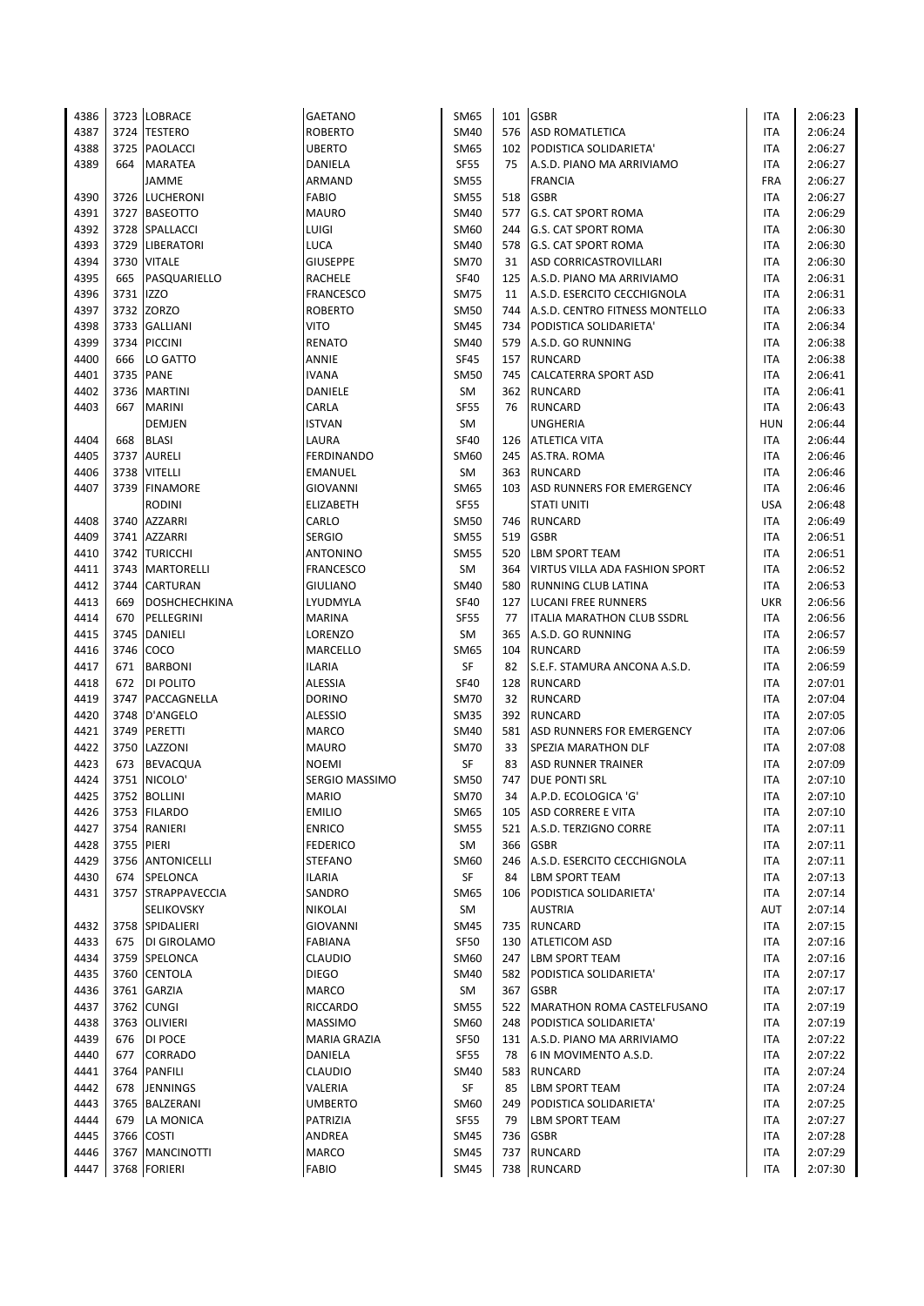| 4386 |           | 3723 LOBRACE         | GAETANO             | SM65        | 101 | <b>GSBR</b>                                   | ITA        | 2:06:23 |
|------|-----------|----------------------|---------------------|-------------|-----|-----------------------------------------------|------------|---------|
| 4387 |           | 3724 TESTERO         | <b>ROBERTO</b>      | SM40        | 576 | <b>ASD ROMATLETICA</b>                        | ITA        | 2:06:24 |
| 4388 | 3725      | PAOLACCI             | <b>UBERTO</b>       | SM65        | 102 | PODISTICA SOLIDARIETA'                        | ITA        | 2:06:27 |
| 4389 | 664       | <b>MARATEA</b>       | DANIELA             | <b>SF55</b> | 75  | A.S.D. PIANO MA ARRIVIAMO                     | <b>ITA</b> | 2:06:27 |
|      |           | JAMME                | ARMAND              | <b>SM55</b> |     | <b>FRANCIA</b>                                | <b>FRA</b> | 2:06:27 |
| 4390 |           | 3726 LUCHERONI       | <b>FABIO</b>        | <b>SM55</b> | 518 | <b>GSBR</b>                                   | ITA        | 2:06:27 |
| 4391 |           | 3727 BASEOTTO        | <b>MAURO</b>        | SM40        | 577 | <b>G.S. CAT SPORT ROMA</b>                    | <b>ITA</b> | 2:06:29 |
| 4392 |           | 3728 SPALLACCI       | LUIGI               | SM60        | 244 | <b>G.S. CAT SPORT ROMA</b>                    | <b>ITA</b> | 2:06:30 |
| 4393 |           | 3729 LIBERATORI      | <b>LUCA</b>         | SM40        | 578 | <b>G.S. CAT SPORT ROMA</b>                    | <b>ITA</b> | 2:06:30 |
| 4394 | 3730      | <b>VITALE</b>        | <b>GIUSEPPE</b>     | <b>SM70</b> | 31  | <b>ASD CORRICASTROVILLARI</b>                 | <b>ITA</b> | 2:06:30 |
| 4395 | 665       | PASQUARIELLO         | <b>RACHELE</b>      | <b>SF40</b> | 125 | A.S.D. PIANO MA ARRIVIAMO                     | ITA        | 2:06:31 |
| 4396 | 3731 IZZO |                      | <b>FRANCESCO</b>    | <b>SM75</b> | 11  | A.S.D. ESERCITO CECCHIGNOLA                   | <b>ITA</b> | 2:06:31 |
| 4397 |           | 3732 ZORZO           | <b>ROBERTO</b>      | <b>SM50</b> | 744 | A.S.D. CENTRO FITNESS MONTELLO                | <b>ITA</b> | 2:06:33 |
| 4398 | 3733      | <b>GALLIANI</b>      | VITO                | <b>SM45</b> | 734 | PODISTICA SOLIDARIETA'                        | ITA        | 2:06:34 |
| 4399 | 3734      | <b>PICCINI</b>       | RENATO              | SM40        | 579 |                                               | ITA        | 2:06:38 |
|      |           | LO GATTO             |                     |             |     | A.S.D. GO RUNNING                             |            |         |
| 4400 | 666       |                      | ANNIE               | <b>SF45</b> | 157 | <b>RUNCARD</b><br><b>CALCATERRA SPORT ASD</b> | <b>ITA</b> | 2:06:38 |
| 4401 |           | 3735 PANE            | <b>IVANA</b>        | <b>SM50</b> | 745 |                                               | ITA        | 2:06:41 |
| 4402 | 3736      | <b>MARTINI</b>       | DANIELE             | SM          | 362 | <b>RUNCARD</b>                                | <b>ITA</b> | 2:06:41 |
| 4403 | 667       | <b>MARINI</b>        | CARLA               | <b>SF55</b> | 76  | <b>RUNCARD</b>                                | <b>ITA</b> | 2:06:43 |
|      |           | <b>DEMJEN</b>        | <b>ISTVAN</b>       | SM          |     | <b>UNGHERIA</b>                               | <b>HUN</b> | 2:06:44 |
| 4404 | 668       | <b>BLASI</b>         | LAURA               | <b>SF40</b> | 126 | ATLETICA VITA                                 | ITA        | 2:06:44 |
| 4405 | 3737      | <b>AURELI</b>        | <b>FERDINANDO</b>   | SM60        | 245 | AS.TRA. ROMA                                  | ITA        | 2:06:46 |
| 4406 | 3738      | <b>VITELLI</b>       | EMANUEL             | SM          | 363 | <b>RUNCARD</b>                                | <b>ITA</b> | 2:06:46 |
| 4407 |           | 3739 FINAMORE        | GIOVANNI            | SM65        | 103 | <b>ASD RUNNERS FOR EMERGENCY</b>              | <b>ITA</b> | 2:06:46 |
|      |           | <b>RODINI</b>        | ELIZABETH           | <b>SF55</b> |     | <b>STATI UNITI</b>                            | <b>USA</b> | 2:06:48 |
| 4408 | 3740      | <b>AZZARRI</b>       | CARLO               | SM50        | 746 | <b>RUNCARD</b>                                | ITA        | 2:06:49 |
| 4409 | 3741      | <b>AZZARRI</b>       | <b>SERGIO</b>       | <b>SM55</b> | 519 | <b>GSBR</b>                                   | <b>ITA</b> | 2:06:51 |
| 4410 |           | 3742 TURICCHI        | <b>ANTONINO</b>     | SM55        | 520 | <b>LBM SPORT TEAM</b>                         | ITA        | 2:06:51 |
| 4411 | 3743      | <b>MARTORELLI</b>    | <b>FRANCESCO</b>    | SM          | 364 | VIRTUS VILLA ADA FASHION SPORT                | <b>ITA</b> | 2:06:52 |
| 4412 | 3744      | <b>CARTURAN</b>      | <b>GIULIANO</b>     | SM40        | 580 | <b>RUNNING CLUB LATINA</b>                    | ITA        | 2:06:53 |
| 4413 | 669       | <b>DOSHCHECHKINA</b> | LYUDMYLA            | <b>SF40</b> | 127 | <b>LUCANI FREE RUNNERS</b>                    | <b>UKR</b> | 2:06:56 |
| 4414 | 670       | PELLEGRINI           | <b>MARINA</b>       | <b>SF55</b> | 77  | ITALIA MARATHON CLUB SSDRL                    | <b>ITA</b> | 2:06:56 |
| 4415 | 3745      | <b>DANIELI</b>       | LORENZO             | <b>SM</b>   | 365 | A.S.D. GO RUNNING                             | ITA        | 2:06:57 |
| 4416 | 3746      | COCO                 | MARCELLO            | SM65        | 104 | <b>RUNCARD</b>                                | <b>ITA</b> | 2:06:59 |
| 4417 | 671       | <b>BARBONI</b>       | <b>ILARIA</b>       | SF          | 82  | S.E.F. STAMURA ANCONA A.S.D.                  | <b>ITA</b> | 2:06:59 |
| 4418 | 672       | <b>DI POLITO</b>     | <b>ALESSIA</b>      | <b>SF40</b> | 128 | <b>RUNCARD</b>                                | ITA        | 2:07:01 |
| 4419 | 3747      | PACCAGNELLA          | <b>DORINO</b>       | <b>SM70</b> | 32  | <b>RUNCARD</b>                                | ITA        | 2:07:04 |
| 4420 | 3748      | D'ANGELO             | <b>ALESSIO</b>      | <b>SM35</b> | 392 | <b>RUNCARD</b>                                | <b>ITA</b> | 2:07:05 |
| 4421 | 3749      | PERETTI              | <b>MARCO</b>        | <b>SM40</b> | 581 | <b>ASD RUNNERS FOR EMERGENCY</b>              | <b>ITA</b> | 2:07:06 |
| 4422 |           | 3750 LAZZONI         | <b>MAURO</b>        | <b>SM70</b> | 33  | <b>SPEZIA MARATHON DLF</b>                    | <b>ITA</b> | 2:07:08 |
| 4423 | 673       | <b>BEVACQUA</b>      | <b>NOEMI</b>        | SF          | 83  | <b>ASD RUNNER TRAINER</b>                     | ITA        | 2:07:09 |
| 4424 |           | 3751 NICOLO'         | SERGIO MASSIMO      | SM50        | 747 | <b>DUE PONTI SRL</b>                          | ITA        | 2:07:10 |
| 4425 |           | 3752 BOLLINI         | <b>MARIO</b>        | <b>SM70</b> | 34  | A.P.D. ECOLOGICA 'G'                          | <b>ITA</b> | 2:07:10 |
| 4426 |           | 3753 FILARDO         | <b>EMILIO</b>       | SM65        | 105 | ASD CORRERE E VITA                            | ITA        | 2:07:10 |
| 4427 |           | 3754 RANIERI         | <b>ENRICO</b>       | <b>SM55</b> | 521 | A.S.D. TERZIGNO CORRE                         | ITA        | 2:07:11 |
| 4428 |           | 3755 PIERI           | <b>FEDERICO</b>     | SM          |     | 366 GSBR                                      | <b>ITA</b> | 2:07:11 |
| 4429 |           | 3756 ANTONICELLI     | <b>STEFANO</b>      | SM60        | 246 | A.S.D. ESERCITO CECCHIGNOLA                   | ITA        | 2:07:11 |
| 4430 |           | 674 SPELONCA         | <b>ILARIA</b>       | SF          | 84  | <b>LBM SPORT TEAM</b>                         | ITA        | 2:07:13 |
| 4431 |           | 3757 STRAPPAVECCIA   | SANDRO              | SM65        | 106 | PODISTICA SOLIDARIETA'                        | ITA        | 2:07:14 |
|      |           | SELIKOVSKY           | <b>NIKOLAI</b>      | SM          |     | <b>AUSTRIA</b>                                | AUT        | 2:07:14 |
|      |           |                      |                     |             |     |                                               |            |         |
| 4432 |           | 3758 SPIDALIERI      | GIOVANNI            | SM45        | 735 | <b>RUNCARD</b>                                | ITA        | 2:07:15 |
| 4433 |           | 675   DI GIROLAMO    | FABIANA             | <b>SF50</b> | 130 | <b>ATLETICOM ASD</b>                          | ITA        | 2:07:16 |
| 4434 |           | 3759 SPELONCA        | CLAUDIO             | SM60        | 247 | <b>LBM SPORT TEAM</b>                         | ITA        | 2:07:16 |
| 4435 |           | 3760 CENTOLA         | <b>DIEGO</b>        | SM40        | 582 | PODISTICA SOLIDARIETA'                        | ITA        | 2:07:17 |
| 4436 |           | 3761 GARZIA          | MARCO               | SM          |     | 367 GSBR                                      | ITA        | 2:07:17 |
| 4437 |           | 3762 CUNGI           | RICCARDO            | <b>SM55</b> |     | 522   MARATHON ROMA CASTELFUSANO              | ITA        | 2:07:19 |
| 4438 |           | 3763 OLIVIERI        | <b>MASSIMO</b>      | SM60        | 248 | PODISTICA SOLIDARIETA'                        | ITA        | 2:07:19 |
| 4439 |           | 676 DI POCE          | <b>MARIA GRAZIA</b> | <b>SF50</b> |     | 131 A.S.D. PIANO MA ARRIVIAMO                 | ITA        | 2:07:22 |
| 4440 | 677       | <b>CORRADO</b>       | DANIELA             | <b>SF55</b> | 78  | 6 IN MOVIMENTO A.S.D.                         | ITA        | 2:07:22 |
| 4441 |           | 3764 PANFILI         | <b>CLAUDIO</b>      | SM40        | 583 | <b>RUNCARD</b>                                | ITA        | 2:07:24 |
| 4442 | 678       | <b>JENNINGS</b>      | VALERIA             | SF          | 85  | LBM SPORT TEAM                                | ITA        | 2:07:24 |
| 4443 |           | 3765 BALZERANI       | <b>UMBERTO</b>      | SM60        | 249 | PODISTICA SOLIDARIETA'                        | <b>ITA</b> | 2:07:25 |
| 4444 | 679       | LA MONICA            | PATRIZIA            | <b>SF55</b> | 79  | LBM SPORT TEAM                                | ITA        | 2:07:27 |
| 4445 | 3766      | <b>COSTI</b>         | ANDREA              | SM45        | 736 | <b>GSBR</b>                                   | ITA        | 2:07:28 |
| 4446 |           | 3767   MANCINOTTI    | MARCO               | SM45        | 737 | <b>RUNCARD</b>                                | <b>ITA</b> | 2:07:29 |
| 4447 |           | 3768 FORIERI         | <b>FABIO</b>        | <b>SM45</b> |     | 738 RUNCARD                                   | <b>ITA</b> | 2:07:30 |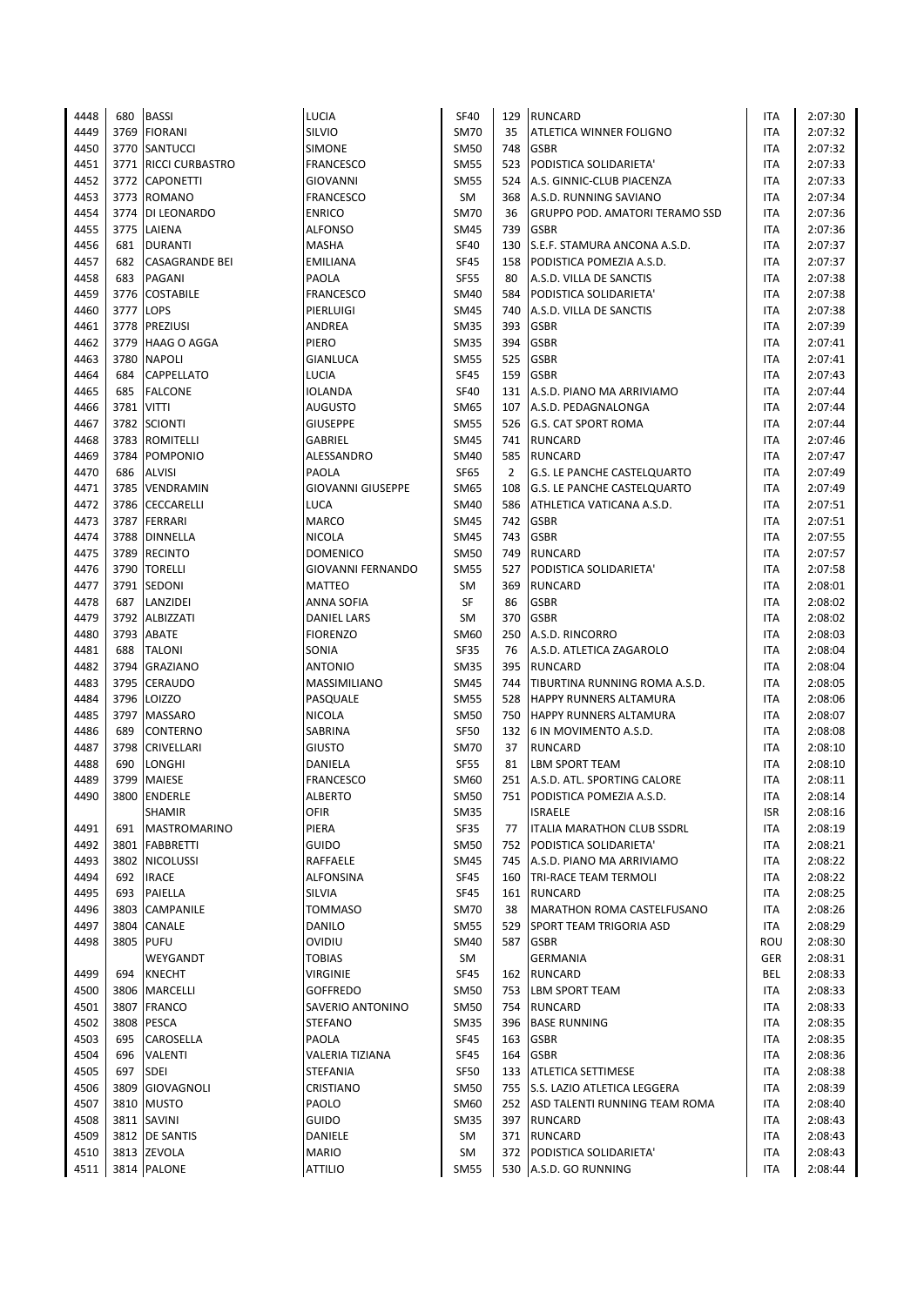| 4448 | 680  | <b>BASSI</b>          | LUCIA                    | <b>SF40</b> | 129 | <b>RUNCARD</b>                        | ITA        | 2:07:30 |
|------|------|-----------------------|--------------------------|-------------|-----|---------------------------------------|------------|---------|
| 4449 | 3769 | <b>FIORANI</b>        | SILVIO                   | <b>SM70</b> | 35  | ATLETICA WINNER FOLIGNO               | <b>ITA</b> | 2:07:32 |
| 4450 | 3770 | <b>SANTUCCI</b>       | <b>SIMONE</b>            | <b>SM50</b> | 748 | <b>GSBR</b>                           | <b>ITA</b> | 2:07:32 |
| 4451 |      | 3771 RICCI CURBASTRO  | FRANCESCO                | <b>SM55</b> | 523 | PODISTICA SOLIDARIETA'                | <b>ITA</b> | 2:07:33 |
| 4452 |      | 3772 CAPONETTI        | GIOVANNI                 | <b>SM55</b> | 524 | A.S. GINNIC-CLUB PIACENZA             | <b>ITA</b> | 2:07:33 |
| 4453 | 3773 | <b>ROMANO</b>         | <b>FRANCESCO</b>         | SM          | 368 | A.S.D. RUNNING SAVIANO                | <b>ITA</b> | 2:07:34 |
| 4454 | 3774 | DI LEONARDO           | <b>ENRICO</b>            | <b>SM70</b> | 36  | <b>GRUPPO POD. AMATORI TERAMO SSD</b> | ITA        | 2:07:36 |
| 4455 | 3775 | LAIENA                | <b>ALFONSO</b>           | <b>SM45</b> | 739 | <b>GSBR</b>                           | <b>ITA</b> | 2:07:36 |
| 4456 | 681  | <b>DURANTI</b>        | <b>MASHA</b>             | <b>SF40</b> | 130 | S.E.F. STAMURA ANCONA A.S.D.          | <b>ITA</b> | 2:07:37 |
| 4457 | 682  | <b>CASAGRANDE BEI</b> | <b>EMILIANA</b>          | <b>SF45</b> | 158 | PODISTICA POMEZIA A.S.D.              | <b>ITA</b> | 2:07:37 |
| 4458 | 683  | PAGANI                | PAOLA                    | <b>SF55</b> | 80  | A.S.D. VILLA DE SANCTIS               | ITA        | 2:07:38 |
| 4459 | 3776 | <b>COSTABILE</b>      | <b>FRANCESCO</b>         | <b>SM40</b> | 584 | PODISTICA SOLIDARIETA'                | <b>ITA</b> | 2:07:38 |
| 4460 | 3777 | <b>LOPS</b>           | PIERLUIGI                | <b>SM45</b> | 740 | A.S.D. VILLA DE SANCTIS               | ITA        | 2:07:38 |
| 4461 | 3778 | <b>PREZIUSI</b>       | ANDREA                   | <b>SM35</b> | 393 | <b>GSBR</b>                           | <b>ITA</b> | 2:07:39 |
| 4462 | 3779 | <b>HAAG O AGGA</b>    | PIERO                    | <b>SM35</b> | 394 | <b>GSBR</b>                           | ITA        | 2:07:41 |
| 4463 | 3780 | <b>NAPOLI</b>         | <b>GIANLUCA</b>          | <b>SM55</b> | 525 | <b>GSBR</b>                           | <b>ITA</b> | 2:07:41 |
| 4464 | 684  | <b>CAPPELLATO</b>     | <b>LUCIA</b>             | <b>SF45</b> | 159 | <b>GSBR</b>                           | <b>ITA</b> | 2:07:43 |
| 4465 | 685  | <b>FALCONE</b>        | <b>IOLANDA</b>           | <b>SF40</b> | 131 | A.S.D. PIANO MA ARRIVIAMO             | ITA        | 2:07:44 |
| 4466 | 3781 | <b>VITTI</b>          | AUGUSTO                  | SM65        | 107 | A.S.D. PEDAGNALONGA                   | <b>ITA</b> | 2:07:44 |
| 4467 | 3782 | <b>SCIONTI</b>        | <b>GIUSEPPE</b>          | <b>SM55</b> | 526 | <b>G.S. CAT SPORT ROMA</b>            | <b>ITA</b> | 2:07:44 |
| 4468 | 3783 | <b>ROMITELLI</b>      | GABRIEL                  | <b>SM45</b> | 741 | <b>RUNCARD</b>                        | <b>ITA</b> | 2:07:46 |
| 4469 | 3784 | <b>POMPONIO</b>       | ALESSANDRO               | <b>SM40</b> | 585 | <b>RUNCARD</b>                        | ITA        | 2:07:47 |
| 4470 | 686  | <b>ALVISI</b>         | PAOLA                    | <b>SF65</b> | 2   | G.S. LE PANCHE CASTELQUARTO           | ITA        | 2:07:49 |
| 4471 | 3785 | <b>VENDRAMIN</b>      | <b>GIOVANNI GIUSEPPE</b> | <b>SM65</b> | 108 | <b>G.S. LE PANCHE CASTELQUARTO</b>    | <b>ITA</b> | 2:07:49 |
| 4472 | 3786 | <b>CECCARELLI</b>     | LUCA                     | <b>SM40</b> | 586 | ATHLETICA VATICANA A.S.D.             | ITA        | 2:07:51 |
| 4473 | 3787 | <b>FERRARI</b>        | <b>MARCO</b>             | <b>SM45</b> | 742 | <b>GSBR</b>                           | ITA        | 2:07:51 |
| 4474 | 3788 | <b>DINNELLA</b>       | <b>NICOLA</b>            | <b>SM45</b> | 743 | <b>GSBR</b>                           | <b>ITA</b> | 2:07:55 |
| 4475 | 3789 | <b>RECINTO</b>        | <b>DOMENICO</b>          | <b>SM50</b> | 749 | <b>RUNCARD</b>                        | <b>ITA</b> | 2:07:57 |
| 4476 | 3790 | <b>TORELLI</b>        | GIOVANNI FERNANDO        | <b>SM55</b> | 527 | PODISTICA SOLIDARIETA'                | ITA        | 2:07:58 |
| 4477 | 3791 | SEDONI                | <b>MATTEO</b>            | SM          | 369 | <b>RUNCARD</b>                        | <b>ITA</b> | 2:08:01 |
| 4478 | 687  | LANZIDEI              | ANNA SOFIA               | SF          | 86  | <b>GSBR</b>                           | <b>ITA</b> | 2:08:02 |
| 4479 | 3792 | ALBIZZATI             | DANIEL LARS              | SM          | 370 | <b>GSBR</b>                           | <b>ITA</b> | 2:08:02 |
| 4480 | 3793 | ABATE                 | <b>FIORENZO</b>          | SM60        | 250 | A.S.D. RINCORRO                       | <b>ITA</b> | 2:08:03 |
| 4481 | 688  | <b>TALONI</b>         | SONIA                    | <b>SF35</b> | 76  | A.S.D. ATLETICA ZAGAROLO              | <b>ITA</b> | 2:08:04 |
| 4482 | 3794 | <b>GRAZIANO</b>       | <b>ANTONIO</b>           | <b>SM35</b> | 395 | <b>RUNCARD</b>                        | <b>ITA</b> | 2:08:04 |
| 4483 | 3795 | <b>CERAUDO</b>        | MASSIMILIANO             | <b>SM45</b> | 744 | TIBURTINA RUNNING ROMA A.S.D.         | <b>ITA</b> | 2:08:05 |
| 4484 | 3796 | LOIZZO                | PASQUALE                 | <b>SM55</b> | 528 | <b>HAPPY RUNNERS ALTAMURA</b>         | <b>ITA</b> | 2:08:06 |
| 4485 | 3797 | <b>MASSARO</b>        | <b>NICOLA</b>            | <b>SM50</b> | 750 | <b>HAPPY RUNNERS ALTAMURA</b>         | ITA        | 2:08:07 |
| 4486 | 689  | CONTERNO              | SABRINA                  | <b>SF50</b> | 132 | 6 IN MOVIMENTO A.S.D.                 | <b>ITA</b> | 2:08:08 |
| 4487 | 3798 | CRIVELLARI            | <b>GIUSTO</b>            | <b>SM70</b> | 37  | <b>RUNCARD</b>                        | ITA        | 2:08:10 |
| 4488 | 690  | LONGHI                | DANIELA                  | <b>SF55</b> | 81  | <b>LBM SPORT TEAM</b>                 | <b>ITA</b> | 2:08:10 |
| 4489 | 3799 | <b>MAIESE</b>         | <b>FRANCESCO</b>         | SM60        | 251 | A.S.D. ATL. SPORTING CALORE           | ITA        | 2:08:11 |
| 4490 |      | 3800 ENDERLE          | <b>ALBERTO</b>           | <b>SM50</b> |     | 751 PODISTICA POMEZIA A.S.D.          | <b>ITA</b> | 2:08:14 |
|      |      | <b>SHAMIR</b>         | OFIR                     | <b>SM35</b> |     | <b>ISRAELE</b>                        | ISR        | 2:08:16 |
| 4491 | 691  | <b>MASTROMARINO</b>   | PIERA                    | SF35        | 77  | ITALIA MARATHON CLUB SSDRL            | ITA        | 2:08:19 |
| 4492 | 3801 | <b>FABBRETTI</b>      | GUIDO                    | SM50        | 752 | PODISTICA SOLIDARIETA'                | ITA        | 2:08:21 |
| 4493 |      | 3802 NICOLUSSI        | RAFFAELE                 | <b>SM45</b> |     | 745 A.S.D. PIANO MA ARRIVIAMO         | ITA        | 2:08:22 |
| 4494 | 692  | <b>IRACE</b>          | ALFONSINA                | SF45        |     | 160   TRI-RACE TEAM TERMOLI           | ITA        | 2:08:22 |
| 4495 | 693  | PAIELLA               | SILVIA                   | SF45        |     | 161 RUNCARD                           | ITA        | 2:08:25 |
| 4496 | 3803 | CAMPANILE             | TOMMASO                  | <b>SM70</b> | 38  | MARATHON ROMA CASTELFUSANO            | ITA        | 2:08:26 |
| 4497 | 3804 | CANALE                | DANILO                   | <b>SM55</b> | 529 | SPORT TEAM TRIGORIA ASD               | ITA        | 2:08:29 |
| 4498 | 3805 | <b>PUFU</b>           | OVIDIU                   | SM40        | 587 | <b>GSBR</b>                           | ROU        | 2:08:30 |
|      |      | WEYGANDT              | <b>TOBIAS</b>            | SM          |     | <b>GERMANIA</b>                       | GER        | 2:08:31 |
| 4499 | 694  | <b>KNECHT</b>         | VIRGINIE                 | SF45        |     | 162 RUNCARD                           | BEL        | 2:08:33 |
| 4500 | 3806 | <b>MARCELLI</b>       | <b>GOFFREDO</b>          | <b>SM50</b> |     | 753 LBM SPORT TEAM                    | ITA        | 2:08:33 |
| 4501 | 3807 | <b>FRANCO</b>         | SAVERIO ANTONINO         | <b>SM50</b> |     | 754 RUNCARD                           | ITA        | 2:08:33 |
| 4502 | 3808 | <b>PESCA</b>          | <b>STEFANO</b>           | <b>SM35</b> | 396 | <b>BASE RUNNING</b>                   | ITA        | 2:08:35 |
| 4503 | 695  | CAROSELLA             | PAOLA                    | <b>SF45</b> | 163 | <b>GSBR</b>                           | ITA        | 2:08:35 |
| 4504 | 696  | VALENTI               | VALERIA TIZIANA          | <b>SF45</b> | 164 | <b>GSBR</b>                           | ITA        | 2:08:36 |
| 4505 | 697  | <b>SDEI</b>           | <b>STEFANIA</b>          | <b>SF50</b> |     | 133 ATLETICA SETTIMESE                | ITA        | 2:08:38 |
| 4506 | 3809 | <b>GIOVAGNOLI</b>     | CRISTIANO                | <b>SM50</b> |     | 755 S.S. LAZIO ATLETICA LEGGERA       | ITA        | 2:08:39 |
| 4507 |      | 3810 MUSTO            | PAOLO                    | SM60        |     | 252 ASD TALENTI RUNNING TEAM ROMA     | ITA        | 2:08:40 |
| 4508 |      | 3811 SAVINI           | <b>GUIDO</b>             | <b>SM35</b> |     | 397 RUNCARD                           | ITA        | 2:08:43 |
| 4509 |      | 3812 DE SANTIS        | DANIELE                  | SM          | 371 | <b>RUNCARD</b>                        | ITA        | 2:08:43 |
| 4510 |      | 3813 ZEVOLA           | <b>MARIO</b>             | SM          | 372 | PODISTICA SOLIDARIETA'                | ITA        | 2:08:43 |
| 4511 |      | 3814 PALONE           | <b>ATTILIO</b>           | <b>SM55</b> |     | 530 A.S.D. GO RUNNING                 | ITA        | 2:08:44 |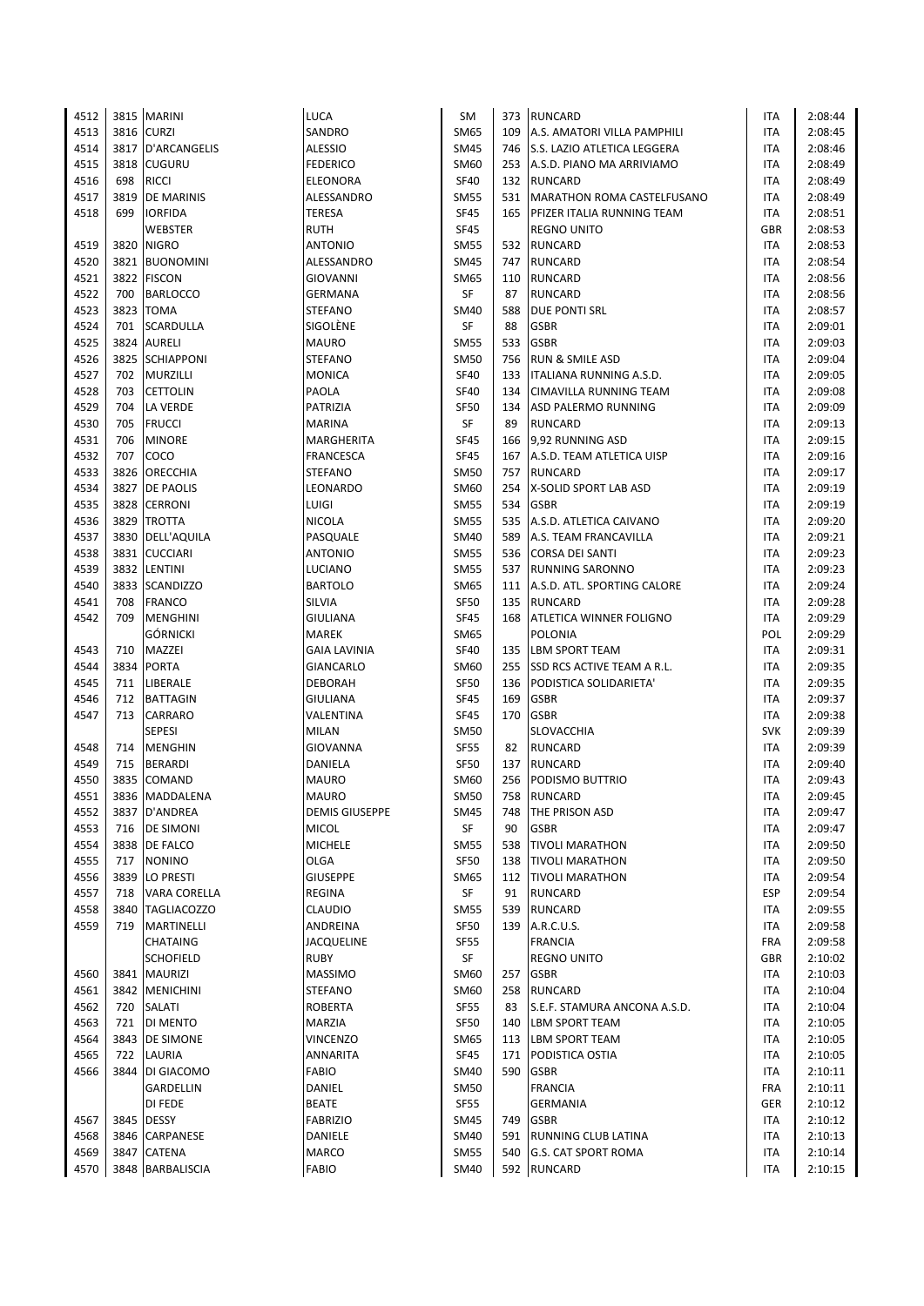| 4512 |      | 3815 MARINI         | LUCA                  | SM          |     | 373 RUNCARD                       | ITA        | 2:08:44 |
|------|------|---------------------|-----------------------|-------------|-----|-----------------------------------|------------|---------|
| 4513 |      | 3816 CURZI          | SANDRO                | <b>SM65</b> | 109 | A.S. AMATORI VILLA PAMPHILI       | <b>ITA</b> | 2:08:45 |
| 4514 |      | 3817   D'ARCANGELIS | <b>ALESSIO</b>        | <b>SM45</b> | 746 | S.S. LAZIO ATLETICA LEGGERA       | ITA        | 2:08:46 |
| 4515 |      | 3818 CUGURU         | <b>FEDERICO</b>       | SM60        |     | 253 A.S.D. PIANO MA ARRIVIAMO     | <b>ITA</b> | 2:08:49 |
| 4516 | 698  | <b>RICCI</b>        | ELEONORA              | <b>SF40</b> |     | 132 RUNCARD                       | <b>ITA</b> | 2:08:49 |
| 4517 |      | 3819   DE MARINIS   | ALESSANDRO            | <b>SM55</b> | 531 | MARATHON ROMA CASTELFUSANO        | <b>ITA</b> | 2:08:49 |
| 4518 | 699  | <b>IORFIDA</b>      | <b>TERESA</b>         | <b>SF45</b> | 165 | <b>PFIZER ITALIA RUNNING TEAM</b> | <b>ITA</b> | 2:08:51 |
|      |      | WEBSTER             | <b>RUTH</b>           | <b>SF45</b> |     | <b>REGNO UNITO</b>                | <b>GBR</b> | 2:08:53 |
|      |      |                     |                       |             |     |                                   |            |         |
| 4519 |      | 3820 NIGRO          | <b>ANTONIO</b>        | <b>SM55</b> | 532 | <b>RUNCARD</b>                    | <b>ITA</b> | 2:08:53 |
| 4520 |      | 3821 BUONOMINI      | ALESSANDRO            | <b>SM45</b> | 747 | <b>RUNCARD</b>                    | <b>ITA</b> | 2:08:54 |
| 4521 |      | 3822 FISCON         | <b>GIOVANNI</b>       | SM65        | 110 | <b>RUNCARD</b>                    | <b>ITA</b> | 2:08:56 |
| 4522 | 700  | <b>BARLOCCO</b>     | GERMANA               | SF          | 87  | <b>RUNCARD</b>                    | <b>ITA</b> | 2:08:56 |
| 4523 |      | 3823 TOMA           | <b>STEFANO</b>        | <b>SM40</b> | 588 | <b>DUE PONTI SRL</b>              | <b>ITA</b> | 2:08:57 |
| 4524 | 701  | <b>SCARDULLA</b>    | SIGOLÈNE              | SF          | 88  | <b>GSBR</b>                       | <b>ITA</b> | 2:09:01 |
| 4525 |      | 3824 AURELI         | <b>MAURO</b>          | <b>SM55</b> | 533 | <b>GSBR</b>                       | ITA        | 2:09:03 |
| 4526 |      | 3825 SCHIAPPONI     | <b>STEFANO</b>        | <b>SM50</b> | 756 | <b>RUN &amp; SMILE ASD</b>        | <b>ITA</b> | 2:09:04 |
| 4527 | 702  | MURZILLI            | <b>MONICA</b>         | <b>SF40</b> | 133 | ITALIANA RUNNING A.S.D.           | <b>ITA</b> | 2:09:05 |
| 4528 | 703  | <b>CETTOLIN</b>     | PAOLA                 | <b>SF40</b> | 134 | <b>CIMAVILLA RUNNING TEAM</b>     | <b>ITA</b> | 2:09:08 |
| 4529 | 704  | LA VERDE            | PATRIZIA              | <b>SF50</b> | 134 | ASD PALERMO RUNNING               | <b>ITA</b> | 2:09:09 |
| 4530 | 705  | <b>FRUCCI</b>       | <b>MARINA</b>         | SF          | 89  | <b>RUNCARD</b>                    | <b>ITA</b> | 2:09:13 |
| 4531 | 706  | <b>MINORE</b>       | <b>MARGHERITA</b>     | <b>SF45</b> | 166 | 9,92 RUNNING ASD                  | <b>ITA</b> | 2:09:15 |
| 4532 | 707  | COCO                | <b>FRANCESCA</b>      | <b>SF45</b> | 167 | A.S.D. TEAM ATLETICA UISP         | ITA        | 2:09:16 |
| 4533 |      | 3826 ORECCHIA       | <b>STEFANO</b>        | <b>SM50</b> | 757 | <b>RUNCARD</b>                    | <b>ITA</b> | 2:09:17 |
| 4534 |      | 3827 DE PAOLIS      | LEONARDO              | SM60        | 254 | X-SOLID SPORT LAB ASD             | <b>ITA</b> | 2:09:19 |
| 4535 |      | 3828 CERRONI        | LUIGI                 | <b>SM55</b> | 534 | <b>GSBR</b>                       | <b>ITA</b> | 2:09:19 |
|      |      |                     |                       |             |     |                                   |            |         |
| 4536 | 3829 | <b>TROTTA</b>       | <b>NICOLA</b>         | <b>SM55</b> | 535 | A.S.D. ATLETICA CAIVANO           | ITA        | 2:09:20 |
| 4537 |      | 3830 DELL'AQUILA    | PASQUALE              | SM40        | 589 | A.S. TEAM FRANCAVILLA             | <b>ITA</b> | 2:09:21 |
| 4538 |      | 3831 CUCCIARI       | <b>ANTONIO</b>        | <b>SM55</b> |     | 536 CORSA DEI SANTI               | <b>ITA</b> | 2:09:23 |
| 4539 |      | 3832 LENTINI        | LUCIANO               | <b>SM55</b> | 537 | <b>RUNNING SARONNO</b>            | <b>ITA</b> | 2:09:23 |
| 4540 |      | 3833 SCANDIZZO      | <b>BARTOLO</b>        | SM65        | 111 | A.S.D. ATL. SPORTING CALORE       | ITA        | 2:09:24 |
| 4541 | 708  | <b>FRANCO</b>       | SILVIA                | <b>SF50</b> | 135 | <b>RUNCARD</b>                    | <b>ITA</b> | 2:09:28 |
| 4542 | 709  | <b>MENGHINI</b>     | <b>GIULIANA</b>       | <b>SF45</b> | 168 | <b>ATLETICA WINNER FOLIGNO</b>    | <b>ITA</b> | 2:09:29 |
|      |      | <b>GÓRNICKI</b>     | <b>MAREK</b>          | SM65        |     | <b>POLONIA</b>                    | POL        | 2:09:29 |
| 4543 | 710  | MAZZEI              | <b>GAIA LAVINIA</b>   | <b>SF40</b> | 135 | <b>LBM SPORT TEAM</b>             | ITA        | 2:09:31 |
| 4544 |      | 3834 PORTA          | GIANCARLO             | SM60        | 255 | <b>SSD RCS ACTIVE TEAM A R.L.</b> | <b>ITA</b> | 2:09:35 |
| 4545 | 711  | LIBERALE            | <b>DEBORAH</b>        | <b>SF50</b> | 136 | PODISTICA SOLIDARIETA'            | <b>ITA</b> | 2:09:35 |
| 4546 | 712  | <b>BATTAGIN</b>     | GIULIANA              | <b>SF45</b> | 169 | <b>GSBR</b>                       | ITA        | 2:09:37 |
| 4547 | 713  | CARRARO             | VALENTINA             | <b>SF45</b> | 170 | <b>GSBR</b>                       | ITA        | 2:09:38 |
|      |      | <b>SEPESI</b>       | <b>MILAN</b>          | SM50        |     | <b>SLOVACCHIA</b>                 | <b>SVK</b> | 2:09:39 |
| 4548 | 714  | <b>MENGHIN</b>      | <b>GIOVANNA</b>       | <b>SF55</b> | 82  | <b>RUNCARD</b>                    | <b>ITA</b> | 2:09:39 |
| 4549 | 715  | <b>BERARDI</b>      | DANIELA               | <b>SF50</b> | 137 | <b>RUNCARD</b>                    | ITA        | 2:09:40 |
| 4550 |      | 3835 COMAND         | <b>MAURO</b>          | SM60        | 256 | PODISMO BUTTRIO                   | <b>ITA</b> | 2:09:43 |
| 4551 |      | 3836 MADDALENA      | <b>MAURO</b>          | <b>SM50</b> |     | 758 RUNCARD                       | <b>ITA</b> | 2:09:45 |
| 4552 |      | 3837 D'ANDREA       | <b>DEMIS GIUSEPPE</b> | SM45        | 748 | THE PRISON ASD                    | ITA        | 2:09:47 |
| 4553 | 716  | <b>DE SIMONI</b>    | <b>MICOL</b>          | SF          | 90  | <b>GSBR</b>                       | ITA        | 2:09:47 |
| 4554 |      |                     |                       |             |     | <b>TIVOLI MARATHON</b>            |            |         |
|      |      | 3838   DE FALCO     | <b>MICHELE</b>        | SM55        | 538 |                                   | ITA        | 2:09:50 |
| 4555 | 717  | <b>NONINO</b>       | OLGA                  | <b>SF50</b> | 138 | <b>TIVOLI MARATHON</b>            | <b>ITA</b> | 2:09:50 |
| 4556 |      | 3839   LO PRESTI    | <b>GIUSEPPE</b>       | SM65        | 112 | <b>TIVOLI MARATHON</b>            | <b>ITA</b> | 2:09:54 |
| 4557 | 718  | <b>VARA CORELLA</b> | REGINA                | SF          | 91  | <b>RUNCARD</b>                    | <b>ESP</b> | 2:09:54 |
| 4558 |      | 3840 TAGLIACOZZO    | <b>CLAUDIO</b>        | SM55        | 539 | RUNCARD                           | ITA        | 2:09:55 |
| 4559 | 719  | MARTINELLI          | ANDREINA              | <b>SF50</b> | 139 | A.R.C.U.S.                        | ITA        | 2:09:58 |
|      |      | CHATAING            | <b>JACQUELINE</b>     | <b>SF55</b> |     | <b>FRANCIA</b>                    | <b>FRA</b> | 2:09:58 |
|      |      | <b>SCHOFIELD</b>    | <b>RUBY</b>           | SF          |     | <b>REGNO UNITO</b>                | GBR        | 2:10:02 |
| 4560 |      | 3841 MAURIZI        | <b>MASSIMO</b>        | SM60        | 257 | <b>GSBR</b>                       | <b>ITA</b> | 2:10:03 |
| 4561 |      | 3842 MENICHINI      | <b>STEFANO</b>        | SM60        | 258 | <b>RUNCARD</b>                    | ITA        | 2:10:04 |
| 4562 | 720  | <b>SALATI</b>       | <b>ROBERTA</b>        | <b>SF55</b> | 83  | S.E.F. STAMURA ANCONA A.S.D.      | <b>ITA</b> | 2:10:04 |
| 4563 | 721  | DI MENTO            | MARZIA                | <b>SF50</b> | 140 | <b>LBM SPORT TEAM</b>             | ITA        | 2:10:05 |
| 4564 |      | 3843 DE SIMONE      | <b>VINCENZO</b>       | SM65        |     | 113 LBM SPORT TEAM                | <b>ITA</b> | 2:10:05 |
| 4565 | 722  | LAURIA              | ANNARITA              | <b>SF45</b> | 171 | PODISTICA OSTIA                   | <b>ITA</b> | 2:10:05 |
| 4566 |      | 3844 DI GIACOMO     | <b>FABIO</b>          | SM40        | 590 | <b>GSBR</b>                       | ITA        | 2:10:11 |
|      |      | GARDELLIN           | DANIEL                | <b>SM50</b> |     | <b>FRANCIA</b>                    | <b>FRA</b> | 2:10:11 |
|      |      | DI FEDE             | <b>BEATE</b>          | SF55        |     | <b>GERMANIA</b>                   | GER        | 2:10:12 |
| 4567 |      | 3845 DESSY          | <b>FABRIZIO</b>       | SM45        | 749 | <b>GSBR</b>                       | ITA        | 2:10:12 |
| 4568 |      | 3846 CARPANESE      | DANIELE               | SM40        | 591 | <b>RUNNING CLUB LATINA</b>        | ITA        | 2:10:13 |
| 4569 |      | 3847 CATENA         | MARCO                 | <b>SM55</b> | 540 | <b>G.S. CAT SPORT ROMA</b>        | ITA        | 2:10:14 |
| 4570 |      | 3848 BARBALISCIA    | FABIO                 | SM40        |     | 592 RUNCARD                       | <b>ITA</b> | 2:10:15 |
|      |      |                     |                       |             |     |                                   |            |         |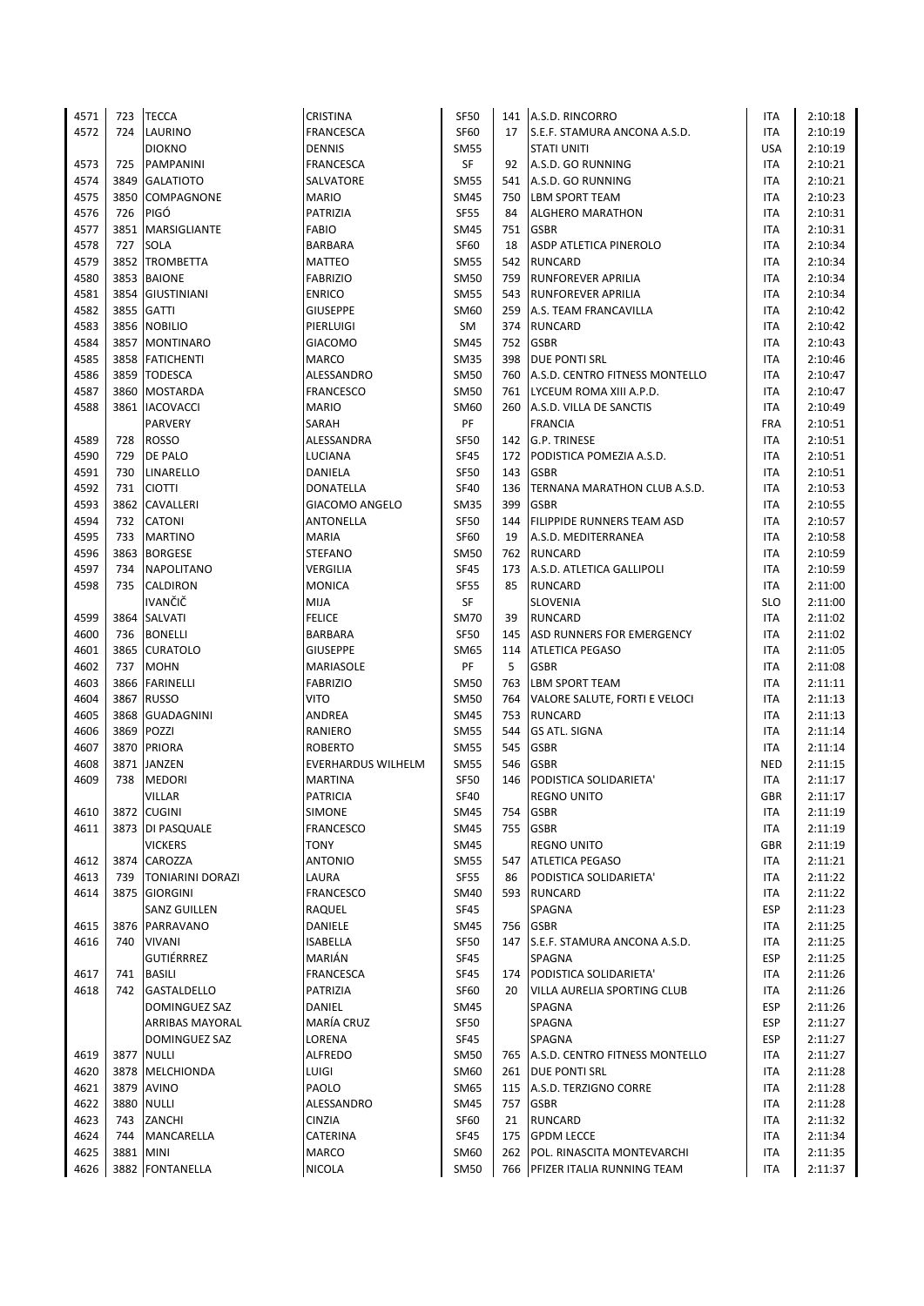| 4571 | 723  | <b>TECCA</b>            | <b>CRISTINA</b>       | <b>SF50</b> |     | 141 A.S.D. RINCORRO                | ITA        | 2:10:18 |
|------|------|-------------------------|-----------------------|-------------|-----|------------------------------------|------------|---------|
| 4572 | 724  | LAURINO                 | FRANCESCA             | <b>SF60</b> | 17  | S.E.F. STAMURA ANCONA A.S.D.       | <b>ITA</b> | 2:10:19 |
|      |      | <b>DIOKNO</b>           | <b>DENNIS</b>         | SM55        |     | <b>STATI UNITI</b>                 | <b>USA</b> | 2:10:19 |
| 4573 | 725  | <b>PAMPANINI</b>        | <b>FRANCESCA</b>      | SF          | 92  | A.S.D. GO RUNNING                  | <b>ITA</b> | 2:10:21 |
| 4574 | 3849 | <b>GALATIOTO</b>        | SALVATORE             | <b>SM55</b> |     | 541 A.S.D. GO RUNNING              | <b>ITA</b> | 2:10:21 |
| 4575 | 3850 | <b>COMPAGNONE</b>       | <b>MARIO</b>          | <b>SM45</b> |     | 750 LBM SPORT TEAM                 | <b>ITA</b> | 2:10:23 |
| 4576 | 726  | PIGÓ                    | PATRIZIA              | <b>SF55</b> | 84  | ALGHERO MARATHON                   | <b>ITA</b> | 2:10:31 |
| 4577 |      | 3851 MARSIGLIANTE       | <b>FABIO</b>          | SM45        | 751 | <b>GSBR</b>                        | <b>ITA</b> | 2:10:31 |
| 4578 | 727  | <b>SOLA</b>             | <b>BARBARA</b>        | <b>SF60</b> | 18  | ASDP ATLETICA PINEROLO             | <b>ITA</b> | 2:10:34 |
| 4579 | 3852 | <b>TROMBETTA</b>        | <b>MATTEO</b>         | <b>SM55</b> | 542 | <b>RUNCARD</b>                     | <b>ITA</b> | 2:10:34 |
| 4580 | 3853 | <b>BAIONE</b>           | <b>FABRIZIO</b>       | <b>SM50</b> | 759 | <b>RUNFOREVER APRILIA</b>          | <b>ITA</b> | 2:10:34 |
| 4581 |      | 3854 GIUSTINIANI        | <b>ENRICO</b>         | <b>SM55</b> |     | 543 RUNFOREVER APRILIA             | <b>ITA</b> | 2:10:34 |
| 4582 |      | 3855 GATTI              | <b>GIUSEPPE</b>       | SM60        | 259 | A.S. TEAM FRANCAVILLA              | <b>ITA</b> | 2:10:42 |
| 4583 | 3856 | <b>NOBILIO</b>          | PIERLUIGI             | SM          |     | 374 RUNCARD                        | <b>ITA</b> | 2:10:42 |
| 4584 |      | 3857 MONTINARO          | GIACOMO               | <b>SM45</b> | 752 | <b>GSBR</b>                        | ITA        | 2:10:43 |
| 4585 |      | 3858 FATICHENTI         | <b>MARCO</b>          | <b>SM35</b> |     | 398 DUE PONTI SRL                  | <b>ITA</b> | 2:10:46 |
| 4586 |      | 3859 TODESCA            | ALESSANDRO            | <b>SM50</b> |     | 760 A.S.D. CENTRO FITNESS MONTELLO | <b>ITA</b> | 2:10:47 |
| 4587 | 3860 | MOSTARDA                | <b>FRANCESCO</b>      | <b>SM50</b> | 761 | LYCEUM ROMA XIII A.P.D.            | ITA        | 2:10:47 |
| 4588 | 3861 | <b>IACOVACCI</b>        | <b>MARIO</b>          | SM60        | 260 | A.S.D. VILLA DE SANCTIS            | ITA        | 2:10:49 |
|      |      | PARVERY                 | SARAH                 | PF          |     | <b>FRANCIA</b>                     | <b>FRA</b> | 2:10:51 |
| 4589 | 728  | <b>ROSSO</b>            | ALESSANDRA            | <b>SF50</b> |     | 142 G.P. TRINESE                   | ITA        | 2:10:51 |
| 4590 | 729  | <b>DE PALO</b>          | <b>LUCIANA</b>        | <b>SF45</b> | 172 | PODISTICA POMEZIA A.S.D.           | ITA        | 2:10:51 |
| 4591 | 730  | LINARELLO               | DANIELA               | <b>SF50</b> | 143 | <b>GSBR</b>                        | <b>ITA</b> | 2:10:51 |
| 4592 | 731  | <b>CIOTTI</b>           | <b>DONATELLA</b>      | <b>SF40</b> | 136 | TERNANA MARATHON CLUB A.S.D.       | <b>ITA</b> | 2:10:53 |
| 4593 |      | 3862 CAVALLERI          | <b>GIACOMO ANGELO</b> | <b>SM35</b> | 399 | <b>GSBR</b>                        | <b>ITA</b> | 2:10:55 |
| 4594 | 732  | <b>CATONI</b>           | <b>ANTONELLA</b>      | <b>SF50</b> | 144 | <b>FILIPPIDE RUNNERS TEAM ASD</b>  | ITA        | 2:10:57 |
| 4595 | 733  | <b>MARTINO</b>          | <b>MARIA</b>          | <b>SF60</b> | 19  | A.S.D. MEDITERRANEA                | ITA        | 2:10:58 |
| 4596 |      | 3863 BORGESE            | <b>STEFANO</b>        | SM50        | 762 | <b>RUNCARD</b>                     | ITA        | 2:10:59 |
| 4597 | 734  | <b>NAPOLITANO</b>       | VERGILIA              | <b>SF45</b> | 173 | A.S.D. ATLETICA GALLIPOLI          | <b>ITA</b> | 2:10:59 |
| 4598 | 735  | CALDIRON                | <b>MONICA</b>         | <b>SF55</b> | 85  | <b>RUNCARD</b>                     | ITA        | 2:11:00 |
|      |      | <b>IVANČIČ</b>          | <b>MIJA</b>           | SF          |     | <b>SLOVENIA</b>                    | <b>SLO</b> | 2:11:00 |
| 4599 |      | 3864 SALVATI            | <b>FELICE</b>         | <b>SM70</b> | 39  | <b>RUNCARD</b>                     | <b>ITA</b> | 2:11:02 |
| 4600 | 736  | <b>BONELLI</b>          | <b>BARBARA</b>        | <b>SF50</b> | 145 | ASD RUNNERS FOR EMERGENCY          | <b>ITA</b> | 2:11:02 |
| 4601 | 3865 | <b>CURATOLO</b>         | <b>GIUSEPPE</b>       | SM65        | 114 | <b>ATLETICA PEGASO</b>             | <b>ITA</b> | 2:11:05 |
| 4602 | 737  | <b>MOHN</b>             | MARIASOLE             | PF          | 5   | <b>GSBR</b>                        | <b>ITA</b> | 2:11:08 |
| 4603 |      | 3866 FARINELLI          | <b>FABRIZIO</b>       | <b>SM50</b> | 763 | <b>LBM SPORT TEAM</b>              | ITA        | 2:11:11 |
| 4604 | 3867 | <b>RUSSO</b>            | <b>VITO</b>           | <b>SM50</b> | 764 | VALORE SALUTE, FORTI E VELOCI      | ITA        | 2:11:13 |
| 4605 | 3868 | <b>GUADAGNINI</b>       | ANDREA                | SM45        | 753 | <b>RUNCARD</b>                     | ITA        | 2:11:13 |
| 4606 | 3869 | POZZI                   | RANIERO               | <b>SM55</b> | 544 | <b>GS ATL. SIGNA</b>               | <b>ITA</b> | 2:11:14 |
| 4607 | 3870 | <b>PRIORA</b>           | <b>ROBERTO</b>        | <b>SM55</b> | 545 | <b>GSBR</b>                        | ITA        | 2:11:14 |
| 4608 | 3871 | <b>JANZEN</b>           | EVERHARDUS WILHELM    | <b>SM55</b> | 546 | <b>GSBR</b>                        | <b>NED</b> | 2:11:15 |
| 4609 | 738  | <b>MEDORI</b>           | <b>MARTINA</b>        | <b>SF50</b> | 146 | PODISTICA SOLIDARIETA'             | ITA        | 2:11:17 |
|      |      | VILLAR                  | <b>PATRICIA</b>       | <b>SF40</b> |     | <b>REGNO UNITO</b>                 | <b>GBR</b> | 2:11:17 |
| 4610 |      | 3872 CUGINI             | SIMONE                | SM45        | 754 | <b>GSBR</b>                        | ITA        | 2:11:19 |
| 4611 |      | 3873   DI PASQUALE      | <b>FRANCESCO</b>      | SM45        | 755 | <b>GSBR</b>                        | ITA        | 2:11:19 |
|      |      | <b>VICKERS</b>          | TONY                  | SM45        |     | <b>REGNO UNITO</b>                 | GBR        | 2:11:19 |
| 4612 |      | 3874 CAROZZA            | <b>ANTONIO</b>        | <b>SM55</b> | 547 | <b>ATLETICA PEGASO</b>             | ITA        | 2:11:21 |
| 4613 | 739  | <b>TONIARINI DORAZI</b> | LAURA                 | <b>SF55</b> | 86  | PODISTICA SOLIDARIETA'             | ITA        | 2:11:22 |
| 4614 | 3875 | <b>GIORGINI</b>         | <b>FRANCESCO</b>      | SM40        |     | 593 RUNCARD                        | ITA        | 2:11:22 |
|      |      | SANZ GUILLEN            | RAQUEL                | SF45        |     | SPAGNA                             | <b>ESP</b> | 2:11:23 |
| 4615 |      | 3876 PARRAVANO          | DANIELE               | SM45        | 756 | <b>GSBR</b>                        | ITA        | 2:11:25 |
| 4616 | 740  | <b>VIVANI</b>           | <b>ISABELLA</b>       | <b>SF50</b> |     | 147 S.E.F. STAMURA ANCONA A.S.D.   | ITA        | 2:11:25 |
|      |      | <b>GUTIÉRRREZ</b>       | MARIÁN                | <b>SF45</b> |     | SPAGNA                             | <b>ESP</b> | 2:11:25 |
| 4617 | 741  | <b>BASILI</b>           | FRANCESCA             | <b>SF45</b> | 174 | PODISTICA SOLIDARIETA'             | ITA        | 2:11:26 |
| 4618 | 742  | <b>GASTALDELLO</b>      | PATRIZIA              | SF60        | 20  | VILLA AURELIA SPORTING CLUB        | ITA        | 2:11:26 |
|      |      | DOMINGUEZ SAZ           | DANIEL                | SM45        |     | SPAGNA                             | <b>ESP</b> | 2:11:26 |
|      |      | ARRIBAS MAYORAL         | MARÍA CRUZ            | SF50        |     | SPAGNA                             | <b>ESP</b> | 2:11:27 |
|      |      | DOMINGUEZ SAZ           | LORENA                | <b>SF45</b> |     | SPAGNA                             | <b>ESP</b> | 2:11:27 |
| 4619 |      | 3877 NULLI              | <b>ALFREDO</b>        | SM50        |     | 765 A.S.D. CENTRO FITNESS MONTELLO | <b>ITA</b> | 2:11:27 |
| 4620 |      | 3878 MELCHIONDA         | LUIGI                 | SM60        |     | 261 DUE PONTI SRL                  | ITA        | 2:11:28 |
| 4621 |      | 3879 AVINO              | PAOLO                 | SM65        | 115 | A.S.D. TERZIGNO CORRE              | ITA        | 2:11:28 |
| 4622 |      | 3880 NULLI              | ALESSANDRO            | SM45        | 757 | <b>GSBR</b>                        | ITA        | 2:11:28 |
| 4623 | 743  | ZANCHI                  | CINZIA                | <b>SF60</b> | 21  | <b>RUNCARD</b>                     | ITA        | 2:11:32 |
| 4624 | 744  | MANCARELLA              | CATERINA              | <b>SF45</b> | 175 | <b>GPDM LECCE</b>                  | ITA        | 2:11:34 |
| 4625 | 3881 | <b>MINI</b>             | <b>MARCO</b>          | SM60        |     | 262 POL. RINASCITA MONTEVARCHI     | ITA        | 2:11:35 |
| 4626 |      | 3882 FONTANELLA         | NICOLA                | <b>SM50</b> |     | 766 PFIZER ITALIA RUNNING TEAM     | <b>ITA</b> | 2:11:37 |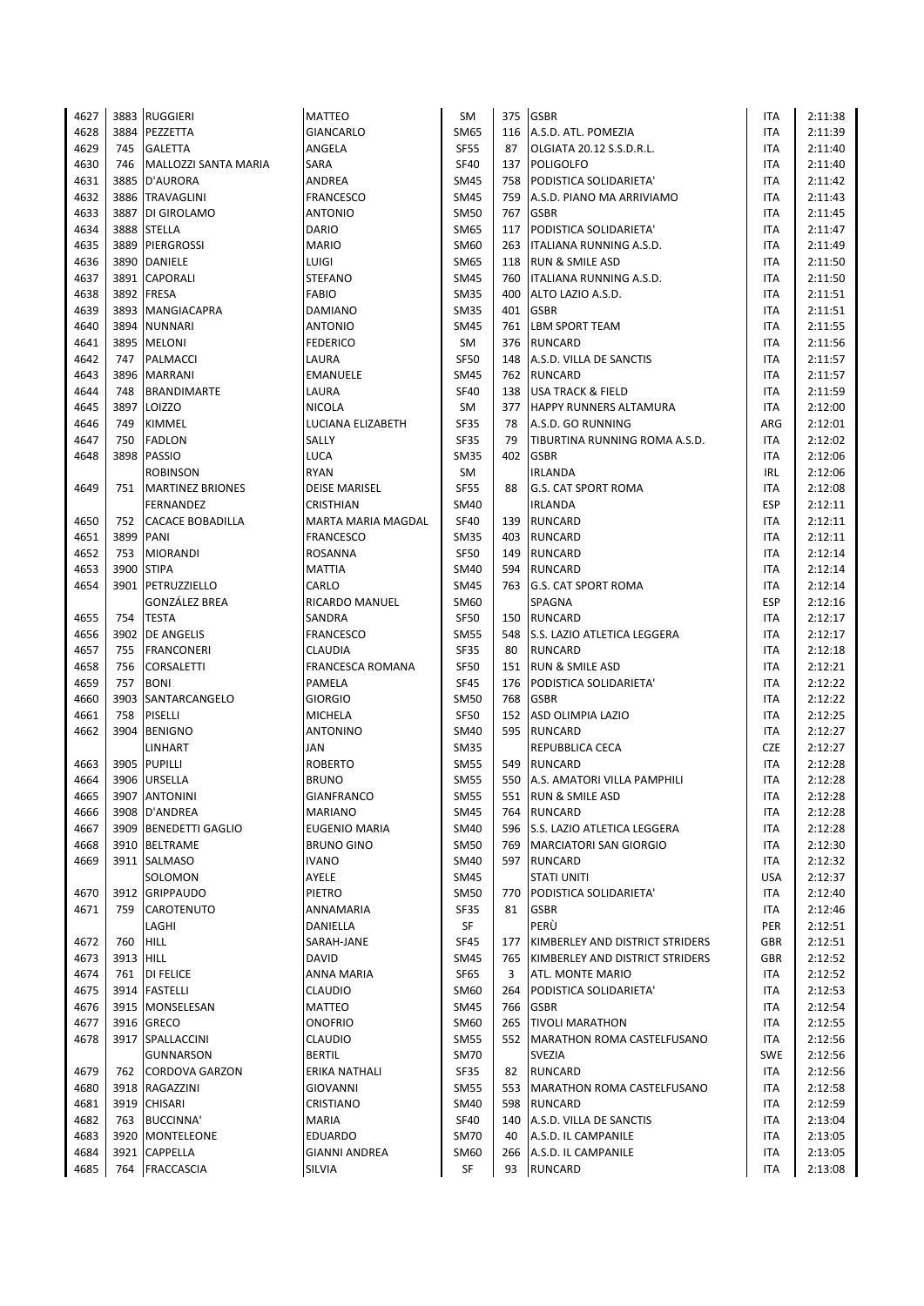| 4627 |           | 3883 RUGGIERI           | <b>MATTEO</b>           | SM          | 375 | <b>GSBR</b>                        | ITA        | 2:11:38 |
|------|-----------|-------------------------|-------------------------|-------------|-----|------------------------------------|------------|---------|
| 4628 | 3884      | PEZZETTA                | <b>GIANCARLO</b>        | SM65        | 116 | A.S.D. ATL. POMEZIA                | <b>ITA</b> | 2:11:39 |
| 4629 | 745       | <b>GALETTA</b>          | ANGELA                  | <b>SF55</b> | 87  | OLGIATA 20.12 S.S.D.R.L.           | ITA        | 2:11:40 |
| 4630 | 746       | MALLOZZI SANTA MARIA    | SARA                    | <b>SF40</b> | 137 | <b>POLIGOLFO</b>                   | <b>ITA</b> | 2:11:40 |
| 4631 |           | 3885 D'AURORA           | ANDREA                  | SM45        | 758 | PODISTICA SOLIDARIETA'             | <b>ITA</b> | 2:11:42 |
| 4632 |           | 3886 TRAVAGLINI         | <b>FRANCESCO</b>        | <b>SM45</b> | 759 | A.S.D. PIANO MA ARRIVIAMO          | <b>ITA</b> | 2:11:43 |
| 4633 | 3887      | DI GIROLAMO             | <b>ANTONIO</b>          | <b>SM50</b> | 767 | <b>GSBR</b>                        | <b>ITA</b> | 2:11:45 |
| 4634 |           | 3888 STELLA             | <b>DARIO</b>            | SM65        | 117 | PODISTICA SOLIDARIETA'             | <b>ITA</b> | 2:11:47 |
| 4635 |           | 3889 PIERGROSSI         | MARIO                   | SM60        |     | 263   ITALIANA RUNNING A.S.D.      | <b>ITA</b> | 2:11:49 |
| 4636 | 3890      | <b>DANIELE</b>          | LUIGI                   | <b>SM65</b> | 118 | <b>RUN &amp; SMILE ASD</b>         | ITA        | 2:11:50 |
| 4637 | 3891      | <b>CAPORALI</b>         | <b>STEFANO</b>          | SM45        | 760 | ITALIANA RUNNING A.S.D.            | ITA        | 2:11:50 |
| 4638 |           | 3892 FRESA              | <b>FABIO</b>            | <b>SM35</b> | 400 | ALTO LAZIO A.S.D.                  | <b>ITA</b> | 2:11:51 |
| 4639 |           | 3893 MANGIACAPRA        | <b>DAMIANO</b>          | <b>SM35</b> | 401 | <b>GSBR</b>                        | ITA        | 2:11:51 |
| 4640 | 3894      | <b>NUNNARI</b>          | <b>ANTONIO</b>          | <b>SM45</b> | 761 | <b>LBM SPORT TEAM</b>              | ITA        | 2:11:55 |
| 4641 | 3895      | <b>MELONI</b>           | <b>FEDERICO</b>         | SM          | 376 | <b>RUNCARD</b>                     | <b>ITA</b> | 2:11:56 |
| 4642 | 747       | PALMACCI                | LAURA                   | <b>SF50</b> | 148 | A.S.D. VILLA DE SANCTIS            | <b>ITA</b> | 2:11:57 |
| 4643 |           | 3896 MARRANI            | <b>EMANUELE</b>         | SM45        |     | 762 RUNCARD                        | <b>ITA</b> | 2:11:57 |
| 4644 | 748       | <b>BRANDIMARTE</b>      | LAURA                   | <b>SF40</b> | 138 | <b>USA TRACK &amp; FIELD</b>       | ITA        | 2:11:59 |
| 4645 |           | 3897 LOIZZO             | <b>NICOLA</b>           | SM          | 377 | <b>HAPPY RUNNERS ALTAMURA</b>      | ITA        | 2:12:00 |
| 4646 | 749       | <b>KIMMEL</b>           | LUCIANA ELIZABETH       | SF35        | 78  | A.S.D. GO RUNNING                  | ARG        | 2:12:01 |
| 4647 | 750       | <b>FADLON</b>           | SALLY                   | <b>SF35</b> | 79  | TIBURTINA RUNNING ROMA A.S.D.      | ITA        | 2:12:02 |
| 4648 | 3898      | <b>PASSIO</b>           | <b>LUCA</b>             | SM35        | 402 | <b>GSBR</b>                        | <b>ITA</b> | 2:12:06 |
|      |           | <b>ROBINSON</b>         | <b>RYAN</b>             | SM          |     | <b>IRLANDA</b>                     | <b>IRL</b> | 2:12:06 |
| 4649 | 751       | <b>MARTINEZ BRIONES</b> | <b>DEISE MARISEL</b>    | <b>SF55</b> | 88  | <b>G.S. CAT SPORT ROMA</b>         | <b>ITA</b> | 2:12:08 |
|      |           | FERNANDEZ               | <b>CRISTHIAN</b>        | <b>SM40</b> |     | <b>IRLANDA</b>                     | <b>ESP</b> | 2:12:11 |
| 4650 | 752       | <b>CACACE BOBADILLA</b> | MARTA MARIA MAGDAL      | <b>SF40</b> | 139 | <b>RUNCARD</b>                     | ITA        | 2:12:11 |
| 4651 | 3899      | PANI                    | <b>FRANCESCO</b>        | SM35        | 403 | <b>RUNCARD</b>                     | <b>ITA</b> | 2:12:11 |
| 4652 | 753       | <b>MIORANDI</b>         | ROSANNA                 | <b>SF50</b> | 149 | RUNCARD                            | ITA        | 2:12:14 |
| 4653 | 3900      | <b>STIPA</b>            | MATTIA                  | SM40        | 594 | <b>RUNCARD</b>                     | <b>ITA</b> | 2:12:14 |
| 4654 | 3901      | PETRUZZIELLO            | CARLO                   | SM45        | 763 | <b>G.S. CAT SPORT ROMA</b>         | <b>ITA</b> | 2:12:14 |
|      |           | <b>GONZÁLEZ BREA</b>    | RICARDO MANUEL          | SM60        |     | SPAGNA                             | <b>ESP</b> | 2:12:16 |
| 4655 | 754       | <b>TESTA</b>            | SANDRA                  | <b>SF50</b> |     | 150 RUNCARD                        | <b>ITA</b> | 2:12:17 |
| 4656 |           | 3902 DE ANGELIS         | <b>FRANCESCO</b>        | <b>SM55</b> |     | 548 S.S. LAZIO ATLETICA LEGGERA    | <b>ITA</b> | 2:12:17 |
| 4657 | 755       | <b>FRANCONERI</b>       | CLAUDIA                 | <b>SF35</b> | 80  | <b>RUNCARD</b>                     | <b>ITA</b> | 2:12:18 |
| 4658 | 756       | CORSALETTI              | <b>FRANCESCA ROMANA</b> | <b>SF50</b> | 151 | <b>RUN &amp; SMILE ASD</b>         | <b>ITA</b> | 2:12:21 |
| 4659 | 757       | <b>BONI</b>             | PAMELA                  | <b>SF45</b> | 176 | PODISTICA SOLIDARIETA'             | ITA        | 2:12:22 |
| 4660 | 3903      | SANTARCANGELO           | <b>GIORGIO</b>          | SM50        | 768 | <b>GSBR</b>                        | <b>ITA</b> | 2:12:22 |
| 4661 | 758       | PISELLI                 | <b>MICHELA</b>          | <b>SF50</b> | 152 | ASD OLIMPIA LAZIO                  | ITA        | 2:12:25 |
| 4662 |           | 3904 BENIGNO            | <b>ANTONINO</b>         | <b>SM40</b> | 595 | <b>RUNCARD</b>                     | <b>ITA</b> | 2:12:27 |
|      |           | <b>LINHART</b>          | JAN                     | <b>SM35</b> |     | REPUBBLICA CECA                    | <b>CZE</b> | 2:12:27 |
| 4663 | 3905      | <b>PUPILLI</b>          | <b>ROBERTO</b>          | <b>SM55</b> | 549 | <b>RUNCARD</b>                     | <b>ITA</b> | 2:12:28 |
| 4664 |           | 3906 URSELLA            | <b>BRUNO</b>            | <b>SM55</b> | 550 | A.S. AMATORI VILLA PAMPHILI        | <b>ITA</b> | 2:12:28 |
| 4665 |           | 3907 ANTONINI           | <b>GIANFRANCO</b>       | <b>SM55</b> |     | 551 RUN & SMILE ASD                | <b>ITA</b> | 2:12:28 |
| 4666 |           | 3908 D'ANDREA           | MARIANO                 | SM45        | 764 | RUNCARD                            | ITA        | 2:12:28 |
| 4667 |           | 3909 BENEDETTI GAGLIO   | EUGENIO MARIA           | <b>SM40</b> | 596 | <b>S.S. LAZIO ATLETICA LEGGERA</b> | <b>ITA</b> | 2:12:28 |
| 4668 |           | 3910 BELTRAME           | <b>BRUNO GINO</b>       | SM50        | 769 | MARCIATORI SAN GIORGIO             | <b>ITA</b> | 2:12:30 |
| 4669 |           | 3911 SALMASO            | <b>IVANO</b>            | <b>SM40</b> |     | 597 RUNCARD                        | ITA        | 2:12:32 |
|      |           | SOLOMON                 | AYELE                   | SM45        |     | <b>STATI UNITI</b>                 | <b>USA</b> | 2:12:37 |
| 4670 |           | 3912 GRIPPAUDO          | PIETRO                  | <b>SM50</b> | 770 | PODISTICA SOLIDARIETA'             | ITA        | 2:12:40 |
| 4671 | 759       | <b>CAROTENUTO</b>       | ANNAMARIA               | SF35        | 81  | <b>GSBR</b>                        | ITA        | 2:12:46 |
|      |           | LAGHI                   | DANIELLA                | SF          |     | PERÙ                               | PER        | 2:12:51 |
| 4672 | 760       | <b>HILL</b>             | SARAH-JANE              | SF45        | 177 | KIMBERLEY AND DISTRICT STRIDERS    | <b>GBR</b> | 2:12:51 |
| 4673 | 3913 HILL |                         | <b>DAVID</b>            | SM45        | 765 | KIMBERLEY AND DISTRICT STRIDERS    | GBR        | 2:12:52 |
| 4674 | 761       | <b>DI FELICE</b>        | ANNA MARIA              | <b>SF65</b> | 3   | ATL. MONTE MARIO                   | ITA        | 2:12:52 |
| 4675 |           | 3914 FASTELLI           | CLAUDIO                 | SM60        | 264 | PODISTICA SOLIDARIETA'             | ITA        | 2:12:53 |
| 4676 |           | 3915 MONSELESAN         | MATTEO                  | <b>SM45</b> | 766 | <b>GSBR</b>                        | ITA        | 2:12:54 |
| 4677 |           | 3916 GRECO              | ONOFRIO                 | SM60        | 265 | <b>TIVOLI MARATHON</b>             | ITA        | 2:12:55 |
| 4678 |           | 3917 SPALLACCINI        | CLAUDIO                 | <b>SM55</b> |     | 552 MARATHON ROMA CASTELFUSANO     | <b>ITA</b> | 2:12:56 |
|      |           | <b>GUNNARSON</b>        | <b>BERTIL</b>           | SM70        |     | <b>SVEZIA</b>                      | <b>SWE</b> | 2:12:56 |
| 4679 | 762       | <b>CORDOVA GARZON</b>   | ERIKA NATHALI           | SF35        | 82  | <b>RUNCARD</b>                     | ITA        | 2:12:56 |
| 4680 |           | 3918 RAGAZZINI          | GIOVANNI                | <b>SM55</b> | 553 | MARATHON ROMA CASTELFUSANO         | ITA        | 2:12:58 |
| 4681 |           | 3919 CHISARI            | CRISTIANO               | SM40        | 598 | <b>RUNCARD</b>                     | <b>ITA</b> | 2:12:59 |
| 4682 | 763       | <b>BUCCINNA'</b>        | <b>MARIA</b>            | <b>SF40</b> | 140 | A.S.D. VILLA DE SANCTIS            | ITA        | 2:13:04 |
| 4683 |           | 3920 MONTELEONE         | <b>EDUARDO</b>          | SM70        | 40  | A.S.D. IL CAMPANILE                | ITA        | 2:13:05 |
| 4684 |           | 3921 CAPPELLA           | GIANNI ANDREA           | SM60        | 266 | A.S.D. IL CAMPANILE                | ITA        | 2:13:05 |
| 4685 |           | 764 FRACCASCIA          | SILVIA                  | SF          | 93  | <b>RUNCARD</b>                     | ITA        | 2:13:08 |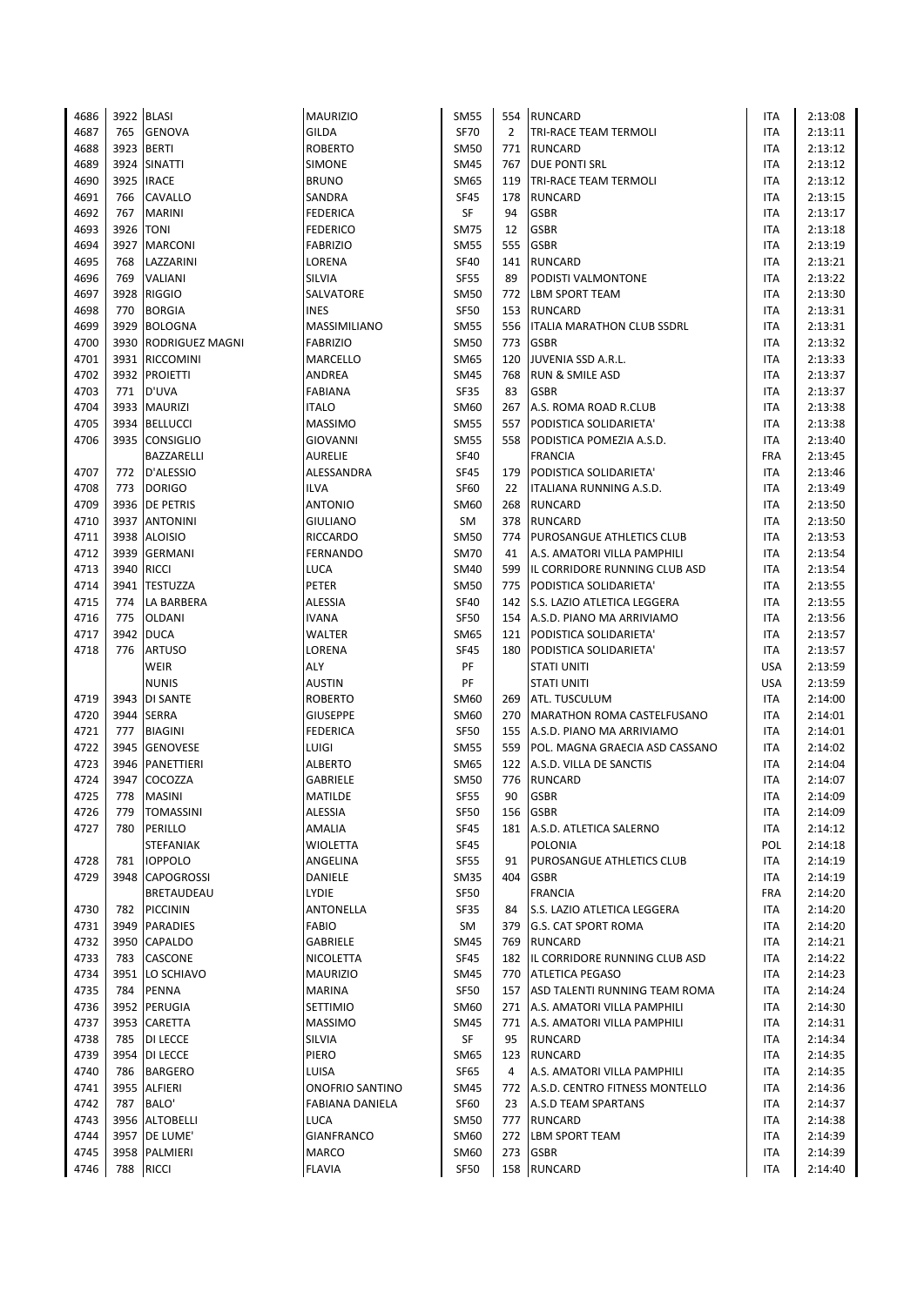| 4686         |      | 3922 BLASI                           | <b>MAURIZIO</b>           | <b>SM55</b> |                | 554 RUNCARD                               | ITA        | 2:13:08 |
|--------------|------|--------------------------------------|---------------------------|-------------|----------------|-------------------------------------------|------------|---------|
| 4687         | 765  | <b>GENOVA</b>                        | GILDA                     | <b>SF70</b> | $\overline{2}$ | <b>TRI-RACE TEAM TERMOLI</b>              | <b>ITA</b> | 2:13:11 |
| 4688         | 3923 | <b>BERTI</b>                         | <b>ROBERTO</b>            | <b>SM50</b> | 771            | <b>RUNCARD</b>                            | ITA        | 2:13:12 |
| 4689         | 3924 | <b>SINATTI</b>                       | SIMONE                    | <b>SM45</b> | 767            | <b>DUE PONTI SRL</b>                      | <b>ITA</b> | 2:13:12 |
| 4690         | 3925 | <b>IRACE</b>                         | <b>BRUNO</b>              | <b>SM65</b> | 119            | <b>TRI-RACE TEAM TERMOLI</b>              | ITA        | 2:13:12 |
| 4691         | 766  | CAVALLO                              | SANDRA                    | <b>SF45</b> | 178            | <b>RUNCARD</b>                            | ITA        | 2:13:15 |
| 4692         | 767  | <b>MARINI</b>                        | <b>FEDERICA</b>           | SF          | 94             | <b>GSBR</b>                               | ITA        | 2:13:17 |
| 4693         | 3926 | <b>TONI</b>                          | <b>FEDERICO</b>           | <b>SM75</b> | 12             | <b>GSBR</b>                               | ITA        | 2:13:18 |
| 4694         | 3927 | <b>MARCONI</b>                       | <b>FABRIZIO</b>           | <b>SM55</b> | 555            | <b>GSBR</b>                               | <b>ITA</b> | 2:13:19 |
| 4695         | 768  | LAZZARINI                            | LORENA                    | <b>SF40</b> | 141            | <b>RUNCARD</b>                            | <b>ITA</b> | 2:13:21 |
| 4696         | 769  | VALIANI                              | SILVIA                    | <b>SF55</b> | 89             | PODISTI VALMONTONE                        | ITA        | 2:13:22 |
| 4697         | 3928 | <b>RIGGIO</b>                        | SALVATORE                 | <b>SM50</b> | 772            | LBM SPORT TEAM                            | <b>ITA</b> | 2:13:30 |
| 4698         | 770  | <b>BORGIA</b>                        | <b>INES</b>               | <b>SF50</b> | 153            | <b>RUNCARD</b>                            | <b>ITA</b> | 2:13:31 |
| 4699         | 3929 | <b>BOLOGNA</b>                       | MASSIMILIANO              | <b>SM55</b> | 556            | <b>ITALIA MARATHON CLUB SSDRL</b>         | <b>ITA</b> | 2:13:31 |
| 4700         | 3930 | <b>RODRIGUEZ MAGNI</b>               | <b>FABRIZIO</b>           | <b>SM50</b> | 773            | <b>GSBR</b>                               | <b>ITA</b> | 2:13:32 |
| 4701         |      | 3931 RICCOMINI                       | MARCELLO                  | <b>SM65</b> | 120            | JUVENIA SSD A.R.L.                        | <b>ITA</b> | 2:13:33 |
| 4702         |      | 3932 PROIETTI                        | ANDREA                    | <b>SM45</b> | 768            | <b>RUN &amp; SMILE ASD</b>                | ITA        | 2:13:37 |
| 4703         | 771  | D'UVA                                | <b>FABIANA</b>            | <b>SF35</b> | 83             | <b>GSBR</b>                               | ITA        | 2:13:37 |
| 4704         | 3933 | <b>MAURIZI</b>                       | <b>ITALO</b>              | SM60        | 267            | A.S. ROMA ROAD R.CLUB                     | ITA        | 2:13:38 |
| 4705         | 3934 | <b>BELLUCCI</b>                      | <b>MASSIMO</b>            | <b>SM55</b> | 557            | PODISTICA SOLIDARIETA'                    | <b>ITA</b> | 2:13:38 |
| 4706         | 3935 | <b>CONSIGLIO</b>                     | <b>GIOVANNI</b>           | <b>SM55</b> | 558            | PODISTICA POMEZIA A.S.D.                  | <b>ITA</b> | 2:13:40 |
|              |      | BAZZARELLI                           | <b>AURELIE</b>            | <b>SF40</b> |                | <b>FRANCIA</b>                            | <b>FRA</b> | 2:13:45 |
| 4707         | 772  | D'ALESSIO                            | ALESSANDRA                | SF45        | 179            | PODISTICA SOLIDARIETA'                    | ITA        | 2:13:46 |
| 4708         | 773  | <b>DORIGO</b>                        | ILVA                      | SF60        | 22             | ITALIANA RUNNING A.S.D.                   | ITA        | 2:13:49 |
| 4709         |      | 3936 DE PETRIS                       | <b>ANTONIO</b>            | SM60        |                | 268 RUNCARD                               | <b>ITA</b> | 2:13:50 |
| 4710         | 3937 | <b>ANTONINI</b>                      | <b>GIULIANO</b>           | SM          | 378            | <b>RUNCARD</b>                            | ITA        | 2:13:50 |
| 4711         | 3938 | <b>ALOISIO</b>                       | RICCARDO                  | <b>SM50</b> | 774            | <b>PUROSANGUE ATHLETICS CLUB</b>          | ITA        | 2:13:53 |
| 4712         | 3939 | <b>GERMANI</b>                       | FERNANDO                  | <b>SM70</b> | 41             | A.S. AMATORI VILLA PAMPHILI               | <b>ITA</b> | 2:13:54 |
| 4713         | 3940 | <b>RICCI</b>                         | <b>LUCA</b>               | SM40        | 599            | IL CORRIDORE RUNNING CLUB ASD             | ITA        | 2:13:54 |
| 4714         | 3941 | <b>TESTUZZA</b>                      | PETER                     | <b>SM50</b> | 775            | PODISTICA SOLIDARIETA'                    | ITA        | 2:13:55 |
| 4715         | 774  | LA BARBERA                           | <b>ALESSIA</b>            | <b>SF40</b> |                | 142 S.S. LAZIO ATLETICA LEGGERA           | ITA        | 2:13:55 |
| 4716         | 775  | <b>OLDANI</b>                        | <b>IVANA</b>              | <b>SF50</b> |                | 154 A.S.D. PIANO MA ARRIVIAMO             | ITA        | 2:13:56 |
| 4717         | 3942 | <b>DUCA</b>                          | WALTER                    | SM65        | 121            | PODISTICA SOLIDARIETA'                    | ITA        | 2:13:57 |
| 4718         | 776  | <b>ARTUSO</b>                        | LORENA                    | <b>SF45</b> | 180            | PODISTICA SOLIDARIETA'                    | ITA        | 2:13:57 |
|              |      | WEIR                                 | ALY                       | PF          |                | <b>STATI UNITI</b>                        | <b>USA</b> | 2:13:59 |
|              |      | <b>NUNIS</b>                         | <b>AUSTIN</b>             | PF          |                | <b>STATI UNITI</b>                        | <b>USA</b> | 2:13:59 |
| 4719         |      | 3943 DI SANTE                        | <b>ROBERTO</b>            | SM60        | 269            | ATL. TUSCULUM                             | <b>ITA</b> | 2:14:00 |
| 4720         | 3944 | <b>SERRA</b>                         | <b>GIUSEPPE</b>           | SM60        | 270            | MARATHON ROMA CASTELFUSANO                | ITA        | 2:14:01 |
| 4721         | 777  | <b>BIAGINI</b>                       | <b>FEDERICA</b>           | <b>SF50</b> |                | 155 A.S.D. PIANO MA ARRIVIAMO             | <b>ITA</b> | 2:14:01 |
| 4722         | 3945 | <b>GENOVESE</b>                      | LUIGI                     | <b>SM55</b> |                | 559 POL. MAGNA GRAECIA ASD CASSANO        | <b>ITA</b> | 2:14:02 |
| 4723         | 3946 | PANETTIERI                           | <b>ALBERTO</b>            | <b>SM65</b> |                | 122 A.S.D. VILLA DE SANCTIS               | <b>ITA</b> | 2:14:04 |
|              | 3947 |                                      | GABRIELE                  | <b>SM50</b> | 776            | <b>RUNCARD</b>                            | <b>ITA</b> | 2:14:07 |
| 4724<br>4725 | 778  | COCOZZA<br><b>MASINI</b>             | <b>MATILDE</b>            | <b>SF55</b> | 90             | <b>GSBR</b>                               | <b>ITA</b> |         |
|              |      |                                      |                           |             |                |                                           |            | 2:14:09 |
| 4726         | 779  | <b>TOMASSINI</b>                     | <b>ALESSIA</b>            | <b>SF50</b> | 156            | <b>GSBR</b>                               | ITA        | 2:14:09 |
| 4727         | 780  | PERILLO                              | AMALIA                    | <b>SF45</b> | 181            | A.S.D. ATLETICA SALERNO<br><b>POLONIA</b> | ITA        | 2:14:12 |
|              |      | STEFANIAK                            | WIOLETTA                  | <b>SF45</b> |                |                                           | POL        | 2:14:18 |
| 4728         | 781  | <b>IOPPOLO</b>                       | ANGELINA                  | SF55        | 91             | PUROSANGUE ATHLETICS CLUB                 | <b>ITA</b> | 2:14:19 |
| 4729         |      | 3948 CAPOGROSSI                      | DANIELE                   | <b>SM35</b> | 404            | <b>GSBR</b>                               | ITA        | 2:14:19 |
|              |      | <b>BRETAUDEAU</b><br><b>PICCININ</b> | <b>LYDIE</b><br>ANTONELLA | SF50        |                | <b>FRANCIA</b>                            | <b>FRA</b> | 2:14:20 |
| 4730         | 782  |                                      |                           | SF35        | 84             | S.S. LAZIO ATLETICA LEGGERA               | ITA        | 2:14:20 |
| 4731         |      | 3949 PARADIES                        | FABIO                     | SM          | 379            | <b>G.S. CAT SPORT ROMA</b>                | ITA        | 2:14:20 |
| 4732         | 3950 | <b>CAPALDO</b>                       | GABRIELE                  | SM45        |                | 769 RUNCARD                               | ITA        | 2:14:21 |
| 4733         | 783  | CASCONE                              | NICOLETTA                 | SF45        |                | 182 IL CORRIDORE RUNNING CLUB ASD         | ITA        | 2:14:22 |
| 4734         | 3951 | LO SCHIAVO                           | <b>MAURIZIO</b>           | SM45        | 770            | <b>ATLETICA PEGASO</b>                    | ITA        | 2:14:23 |
| 4735         | 784  | <b>PENNA</b>                         | MARINA                    | SF50        | 157            | ASD TALENTI RUNNING TEAM ROMA             | ITA        | 2:14:24 |
| 4736         | 3952 | PERUGIA                              | SETTIMIO                  | SM60        |                | 271 A.S. AMATORI VILLA PAMPHILI           | ITA        | 2:14:30 |
| 4737         | 3953 | <b>CARETTA</b>                       | <b>MASSIMO</b>            | <b>SM45</b> | 771            | A.S. AMATORI VILLA PAMPHILI               | ITA        | 2:14:31 |
| 4738         | 785  | DI LECCE                             | SILVIA                    | SF          | 95             | <b>RUNCARD</b>                            | ITA        | 2:14:34 |
| 4739         |      | 3954   DI LECCE                      | PIERO                     | SM65        | 123            | <b>RUNCARD</b>                            | ITA        | 2:14:35 |
| 4740         | 786  | <b>BARGERO</b>                       | LUISA                     | SF65        | 4              | A.S. AMATORI VILLA PAMPHILI               | ITA        | 2:14:35 |
| 4741         | 3955 | <b>ALFIERI</b>                       | <b>ONOFRIO SANTINO</b>    | <b>SM45</b> | 772            | A.S.D. CENTRO FITNESS MONTELLO            | ITA        | 2:14:36 |
| 4742         | 787  | BALO'                                | FABIANA DANIELA           | SF60        | 23             | A.S.D TEAM SPARTANS                       | ITA        | 2:14:37 |
| 4743         |      | 3956 ALTOBELLI                       | LUCA                      | <b>SM50</b> | 777            | <b>RUNCARD</b>                            | ITA        | 2:14:38 |
| 4744         |      | 3957 DE LUME'                        | <b>GIANFRANCO</b>         | SM60        | 272            | <b>LBM SPORT TEAM</b>                     | ITA        | 2:14:39 |
| 4745         |      | 3958 PALMIERI                        | <b>MARCO</b>              | SM60        | 273            | <b>GSBR</b>                               | ITA        | 2:14:39 |
| 4746         | 788  | <b>RICCI</b>                         | <b>FLAVIA</b>             | <b>SF50</b> |                | 158 RUNCARD                               | <b>ITA</b> | 2:14:40 |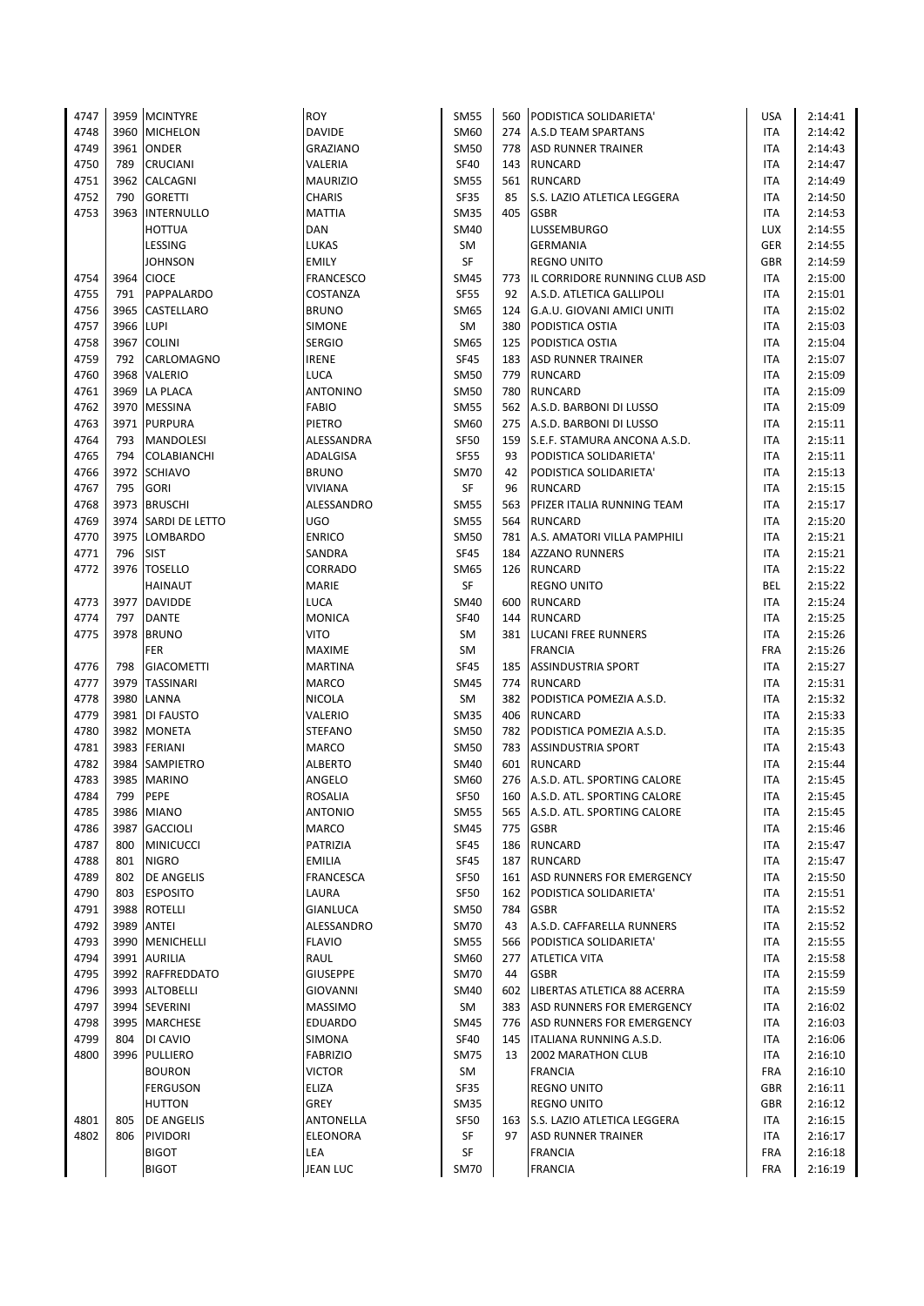| 4747         |                   | 3959 MCINTYRE                    | <b>ROY</b>                    | <b>SM55</b>                | 560        | PODISTICA SOLIDARIETA'                    | <b>USA</b>        | 2:14:41            |
|--------------|-------------------|----------------------------------|-------------------------------|----------------------------|------------|-------------------------------------------|-------------------|--------------------|
| 4748         |                   | 3960 MICHELON                    | <b>DAVIDE</b>                 | SM60                       |            | 274 A.S.D TEAM SPARTANS                   | <b>ITA</b>        | 2:14:42            |
| 4749         | 3961              | <b>ONDER</b>                     | <b>GRAZIANO</b>               | <b>SM50</b>                | 778        | ASD RUNNER TRAINER                        | ITA               | 2:14:43            |
| 4750         | 789               | <b>CRUCIANI</b>                  | VALERIA                       | <b>SF40</b>                | 143        | <b>RUNCARD</b>                            | ITA               | 2:14:47            |
| 4751         |                   | 3962 CALCAGNI                    | <b>MAURIZIO</b>               | <b>SM55</b>                | 561        | <b>RUNCARD</b>                            | ITA               | 2:14:49            |
| 4752         | 790               | <b>GORETTI</b>                   | CHARIS                        | <b>SF35</b>                | 85         | S.S. LAZIO ATLETICA LEGGERA               | ITA               | 2:14:50            |
| 4753         | 3963              | <b>INTERNULLO</b>                | <b>MATTIA</b>                 | <b>SM35</b>                | 405        | <b>GSBR</b>                               | ITA               | 2:14:53            |
|              |                   | <b>HOTTUA</b>                    | DAN                           | <b>SM40</b>                |            | <b>LUSSEMBURGO</b>                        | <b>LUX</b>        | 2:14:55            |
|              |                   | LESSING                          | LUKAS                         | SM                         |            | <b>GERMANIA</b>                           | GER               | 2:14:55            |
|              |                   | JOHNSON                          | <b>EMILY</b>                  | SF                         |            | <b>REGNO UNITO</b>                        | <b>GBR</b>        | 2:14:59            |
| 4754         | 3964              | <b>CIOCE</b>                     | <b>FRANCESCO</b>              | SM45                       | 773        | IL CORRIDORE RUNNING CLUB ASD             | ITA               | 2:15:00            |
| 4755         | 791               | PAPPALARDO                       | COSTANZA                      | <b>SF55</b>                | 92         | A.S.D. ATLETICA GALLIPOLI                 | <b>ITA</b>        | 2:15:01            |
| 4756         |                   | 3965 CASTELLARO                  | <b>BRUNO</b>                  | SM65                       |            | 124 G.A.U. GIOVANI AMICI UNITI            | <b>ITA</b>        | 2:15:02            |
| 4757         | 3966 LUPI<br>3967 |                                  | <b>SIMONE</b>                 | <b>SM</b><br>SM65          | 380<br>125 | <b>PODISTICA OSTIA</b><br>PODISTICA OSTIA | ITA               | 2:15:03            |
| 4758<br>4759 | 792               | <b>COLINI</b><br>CARLOMAGNO      | <b>SERGIO</b><br><b>IRENE</b> | <b>SF45</b>                | 183        | <b>ASD RUNNER TRAINER</b>                 | ITA<br><b>ITA</b> | 2:15:04<br>2:15:07 |
| 4760         |                   | 3968 VALERIO                     | <b>LUCA</b>                   | <b>SM50</b>                | 779        | <b>RUNCARD</b>                            | ITA               | 2:15:09            |
| 4761         | 3969              | <b>LA PLACA</b>                  | <b>ANTONINO</b>               | <b>SM50</b>                | 780        | <b>RUNCARD</b>                            | ITA               | 2:15:09            |
| 4762         |                   | 3970 MESSINA                     | <b>FABIO</b>                  | <b>SM55</b>                | 562        | A.S.D. BARBONI DI LUSSO                   | ITA               | 2:15:09            |
| 4763         |                   | 3971 PURPURA                     | PIETRO                        | SM60                       | 275        | A.S.D. BARBONI DI LUSSO                   | ITA               | 2:15:11            |
| 4764         | 793               | <b>MANDOLESI</b>                 | ALESSANDRA                    | <b>SF50</b>                | 159        | S.E.F. STAMURA ANCONA A.S.D.              | ITA               | 2:15:11            |
| 4765         | 794               | <b>COLABIANCHI</b>               | ADALGISA                      | <b>SF55</b>                | 93         | PODISTICA SOLIDARIETA'                    | ITA               | 2:15:11            |
| 4766         | 3972              | <b>SCHIAVO</b>                   | <b>BRUNO</b>                  | <b>SM70</b>                | 42         | PODISTICA SOLIDARIETA'                    | ITA               | 2:15:13            |
| 4767         | 795               | <b>GORI</b>                      | <b>VIVIANA</b>                | SF                         | 96         | <b>RUNCARD</b>                            | ITA               | 2:15:15            |
| 4768         | 3973              | <b>BRUSCHI</b>                   | ALESSANDRO                    | <b>SM55</b>                | 563        | PFIZER ITALIA RUNNING TEAM                | <b>ITA</b>        | 2:15:17            |
| 4769         | 3974              | SARDI DE LETTO                   | UGO                           | <b>SM55</b>                | 564        | <b>RUNCARD</b>                            | ITA               | 2:15:20            |
| 4770         | 3975              | <b>LOMBARDO</b>                  | <b>ENRICO</b>                 | SM50                       | 781        | A.S. AMATORI VILLA PAMPHILI               | ITA               | 2:15:21            |
| 4771         | 796               | <b>SIST</b>                      | SANDRA                        | <b>SF45</b>                |            | 184 AZZANO RUNNERS                        | <b>ITA</b>        | 2:15:21            |
| 4772         |                   | 3976 TOSELLO                     | CORRADO                       | SM65                       |            | 126 RUNCARD                               | ITA               | 2:15:22            |
|              |                   | HAINAUT                          | <b>MARIE</b>                  | SF                         |            | <b>REGNO UNITO</b>                        | BEL               | 2:15:22            |
| 4773         |                   | 3977 DAVIDDE                     | LUCA                          | SM40                       | 600        | <b>RUNCARD</b>                            | ITA               | 2:15:24            |
| 4774         | 797               | <b>DANTE</b>                     | <b>MONICA</b>                 | <b>SF40</b>                | 144        | RUNCARD                                   | ITA               | 2:15:25            |
| 4775         | 3978              | <b>BRUNO</b>                     | <b>VITO</b>                   | <b>SM</b>                  |            | 381 LUCANI FREE RUNNERS                   | ITA               | 2:15:26            |
|              |                   | <b>FER</b>                       | <b>MAXIME</b>                 | <b>SM</b>                  |            | <b>FRANCIA</b>                            | <b>FRA</b>        | 2:15:26            |
| 4776         | 798               | <b>GIACOMETTI</b>                | <b>MARTINA</b>                | <b>SF45</b>                | 185        | <b>ASSINDUSTRIA SPORT</b>                 | ITA               | 2:15:27            |
| 4777         |                   | 3979 TASSINARI                   | <b>MARCO</b>                  | <b>SM45</b>                |            | 774 RUNCARD                               | <b>ITA</b>        | 2:15:31            |
| 4778         | 3980              | LANNA                            | <b>NICOLA</b>                 | SM                         | 382        | PODISTICA POMEZIA A.S.D.                  | ITA               | 2:15:32            |
| 4779         | 3981              | DI FAUSTO                        | VALERIO                       | <b>SM35</b>                | 406        | RUNCARD                                   | ITA               | 2:15:33            |
| 4780         |                   | 3982 MONETA                      | <b>STEFANO</b>                | <b>SM50</b>                | 782        | PODISTICA POMEZIA A.S.D.                  | ITA               | 2:15:35            |
| 4781         |                   | 3983 FERIANI                     | <b>MARCO</b>                  | <b>SM50</b>                | 783        | <b>ASSINDUSTRIA SPORT</b>                 | <b>ITA</b>        | 2:15:43            |
| 4782         | 3984              | <b>SAMPIETRO</b>                 | <b>ALBERTO</b>                | <b>SM40</b>                | 601        | <b>RUNCARD</b>                            | ITA               | 2:15:44            |
| 4783         | 3985              | <b>MARINO</b>                    | ANGELO                        | SM60                       | 276        | A.S.D. ATL. SPORTING CALORE               | <b>ITA</b>        | 2:15:45            |
| 4784         | 799               | PEPE                             | <b>ROSALIA</b>                | <b>SF50</b>                |            | 160 A.S.D. ATL. SPORTING CALORE           | <b>ITA</b>        | 2:15:45            |
| 4785         |                   | 3986 MIANO                       | <b>ANTONIO</b>                | <b>SM55</b>                |            | 565 A.S.D. ATL. SPORTING CALORE           | ITA               | 2:15:45            |
| 4786<br>4787 | 3987<br>800       | <b>GACCIOLI</b>                  | <b>MARCO</b><br>PATRIZIA      | <b>SM45</b><br><b>SF45</b> | 775<br>186 | <b>GSBR</b><br><b>RUNCARD</b>             | ITA               | 2:15:46            |
| 4788         | 801               | <b>MINICUCCI</b><br><b>NIGRO</b> | <b>EMILIA</b>                 | <b>SF45</b>                | 187        | RUNCARD                                   | ITA<br>ITA        | 2:15:47<br>2:15:47 |
| 4789         | 802               | <b>DE ANGELIS</b>                | FRANCESCA                     | <b>SF50</b>                |            | 161 ASD RUNNERS FOR EMERGENCY             | ITA               | 2:15:50            |
| 4790         | 803               | <b>ESPOSITO</b>                  | LAURA                         | <b>SF50</b>                | 162        | PODISTICA SOLIDARIETA'                    | ITA               | 2:15:51            |
| 4791         |                   | 3988 ROTELLI                     | GIANLUCA                      | <b>SM50</b>                | 784        | <b>GSBR</b>                               | ITA               | 2:15:52            |
| 4792         |                   | 3989 ANTEI                       | ALESSANDRO                    | <b>SM70</b>                | 43         | A.S.D. CAFFARELLA RUNNERS                 | ITA               | 2:15:52            |
| 4793         |                   | 3990   MENICHELLI                | <b>FLAVIO</b>                 | SM55                       | 566        | PODISTICA SOLIDARIETA'                    | ITA               | 2:15:55            |
| 4794         |                   | 3991 AURILIA                     | RAUL                          | SM60                       | 277        | <b>ATLETICA VITA</b>                      | ITA               | 2:15:58            |
| 4795         |                   | 3992 RAFFREDDATO                 | <b>GIUSEPPE</b>               | <b>SM70</b>                | 44         | <b>GSBR</b>                               | ITA               | 2:15:59            |
| 4796         |                   | 3993 ALTOBELLI                   | <b>GIOVANNI</b>               | <b>SM40</b>                |            | 602   LIBERTAS ATLETICA 88 ACERRA         | ITA               | 2:15:59            |
| 4797         |                   | 3994 SEVERINI                    | <b>MASSIMO</b>                | SM                         |            | 383 ASD RUNNERS FOR EMERGENCY             | ITA               | 2:16:02            |
| 4798         |                   | 3995   MARCHESE                  | EDUARDO                       | SM45                       | 776        | <b>ASD RUNNERS FOR EMERGENCY</b>          | ITA               | 2:16:03            |
| 4799         | 804               | DI CAVIO                         | SIMONA                        | <b>SF40</b>                | 145        | <b>ITALIANA RUNNING A.S.D.</b>            | ITA               | 2:16:06            |
| 4800         |                   | 3996 PULLIERO                    | <b>FABRIZIO</b>               | <b>SM75</b>                | 13         | 2002 MARATHON CLUB                        | ITA               | 2:16:10            |
|              |                   | <b>BOURON</b>                    | <b>VICTOR</b>                 | SM                         |            | <b>FRANCIA</b>                            | <b>FRA</b>        | 2:16:10            |
|              |                   | <b>FERGUSON</b>                  | ELIZA                         | SF35                       |            | <b>REGNO UNITO</b>                        | GBR               | 2:16:11            |
|              |                   | <b>HUTTON</b>                    | GREY                          | SM35                       |            | <b>REGNO UNITO</b>                        | GBR               | 2:16:12            |
| 4801         | 805               | <b>DE ANGELIS</b>                | ANTONELLA                     | SF50                       | 163        | S.S. LAZIO ATLETICA LEGGERA               | ITA               | 2:16:15            |
| 4802         | 806               | PIVIDORI                         | ELEONORA                      | SF                         | 97         | <b>ASD RUNNER TRAINER</b>                 | ITA               | 2:16:17            |
|              |                   | <b>BIGOT</b>                     | LEA                           | SF                         |            | <b>FRANCIA</b>                            | FRA               | 2:16:18            |
|              |                   | <b>BIGOT</b>                     | <b>JEAN LUC</b>               | <b>SM70</b>                |            | <b>FRANCIA</b>                            | <b>FRA</b>        | 2:16:19            |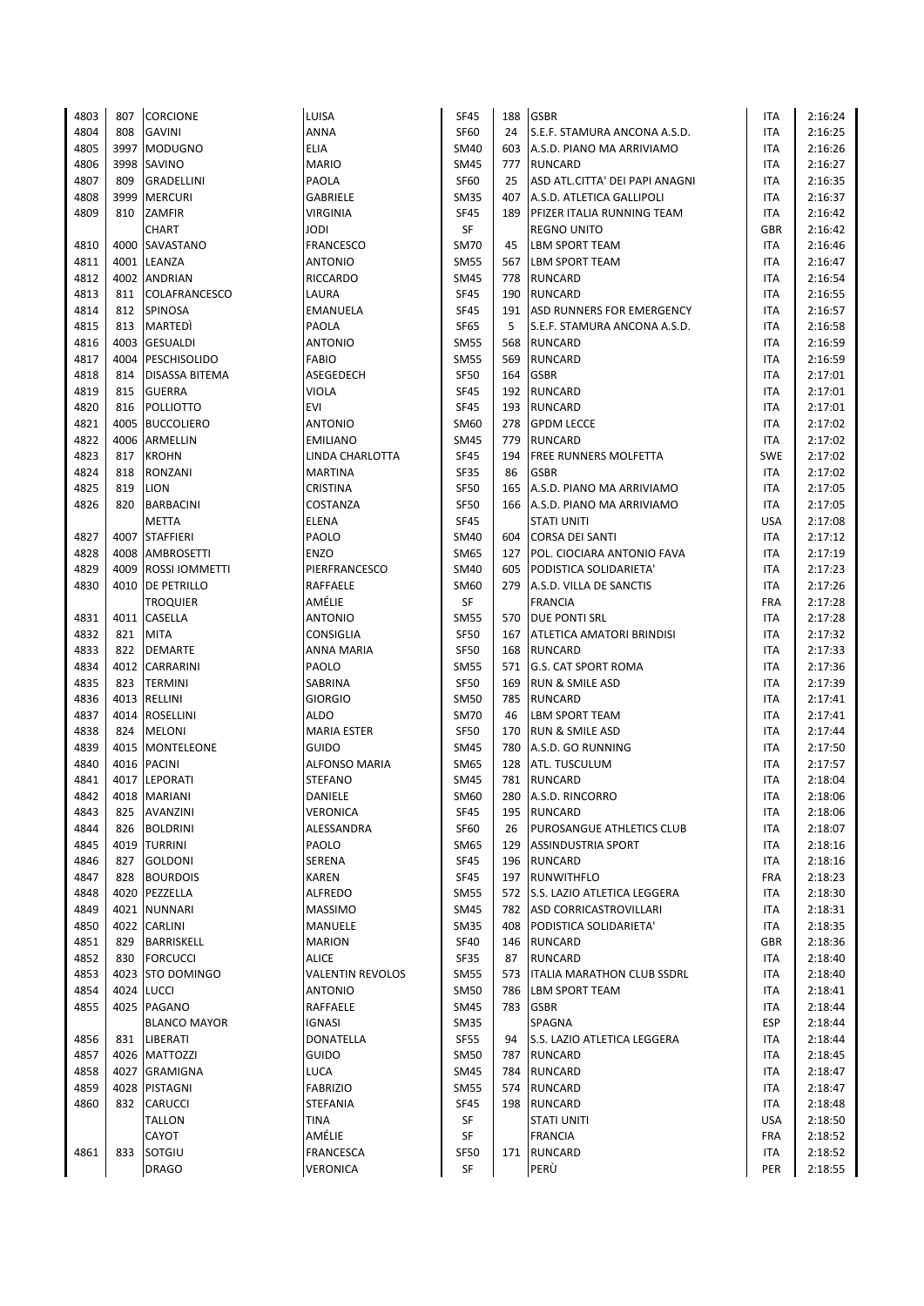| 4803 | 807  | <b>CORCIONE</b>       | LUISA                   | <b>SF45</b> | 188 | <b>GSBR</b>                       | ITA        | 2:16:24 |
|------|------|-----------------------|-------------------------|-------------|-----|-----------------------------------|------------|---------|
| 4804 | 808  | <b>GAVINI</b>         | ANNA                    | <b>SF60</b> | 24  | S.E.F. STAMURA ANCONA A.S.D.      | ITA        | 2:16:25 |
| 4805 | 3997 | <b>MODUGNO</b>        | <b>ELIA</b>             | SM40        | 603 | A.S.D. PIANO MA ARRIVIAMO         | ITA        | 2:16:26 |
| 4806 |      | 3998 SAVINO           | <b>MARIO</b>            | <b>SM45</b> | 777 | <b>RUNCARD</b>                    | <b>ITA</b> | 2:16:27 |
| 4807 | 809  | <b>GRADELLINI</b>     | PAOLA                   | <b>SF60</b> | 25  | ASD ATL.CITTA' DEI PAPI ANAGNI    | <b>ITA</b> | 2:16:35 |
| 4808 | 3999 | <b>MERCURI</b>        | <b>GABRIELE</b>         | <b>SM35</b> | 407 | A.S.D. ATLETICA GALLIPOLI         | <b>ITA</b> | 2:16:37 |
| 4809 | 810  | ZAMFIR                | <b>VIRGINIA</b>         | <b>SF45</b> | 189 | <b>PFIZER ITALIA RUNNING TEAM</b> | ITA        | 2:16:42 |
|      |      | CHART                 | <b>JODI</b>             | SF          |     | <b>REGNO UNITO</b>                | GBR        | 2:16:42 |
| 4810 |      | 4000 SAVASTANO        | <b>FRANCESCO</b>        | <b>SM70</b> | 45  | <b>LBM SPORT TEAM</b>             | <b>ITA</b> | 2:16:46 |
| 4811 |      | 4001 LEANZA           | <b>ANTONIO</b>          | <b>SM55</b> | 567 | <b>LBM SPORT TEAM</b>             | ITA        | 2:16:47 |
| 4812 | 4002 | <b>ANDRIAN</b>        | <b>RICCARDO</b>         | <b>SM45</b> | 778 | <b>RUNCARD</b>                    | ITA        | 2:16:54 |
| 4813 | 811  | COLAFRANCESCO         | LAURA                   | <b>SF45</b> | 190 | <b>RUNCARD</b>                    | ITA        | 2:16:55 |
| 4814 | 812  | <b>SPINOSA</b>        | EMANUELA                | <b>SF45</b> | 191 | ASD RUNNERS FOR EMERGENCY         | ITA        | 2:16:57 |
| 4815 | 813  | MARTEDI               | PAOLA                   | <b>SF65</b> | 5   | S.E.F. STAMURA ANCONA A.S.D.      | ITA        | 2:16:58 |
| 4816 | 4003 | <b>GESUALDI</b>       | <b>ANTONIO</b>          | <b>SM55</b> | 568 | <b>RUNCARD</b>                    | ITA        | 2:16:59 |
|      | 4004 | PESCHISOLIDO          | <b>FABIO</b>            | <b>SM55</b> | 569 | <b>RUNCARD</b>                    | <b>ITA</b> |         |
| 4817 |      |                       |                         |             |     | <b>GSBR</b>                       |            | 2:16:59 |
| 4818 | 814  | DISASSA BITEMA        | ASEGEDECH               | <b>SF50</b> | 164 |                                   | <b>ITA</b> | 2:17:01 |
| 4819 | 815  | <b>GUERRA</b>         | VIOLA                   | <b>SF45</b> | 192 | <b>RUNCARD</b>                    | ITA        | 2:17:01 |
| 4820 | 816  | <b>POLLIOTTO</b>      | EVI                     | <b>SF45</b> | 193 | RUNCARD                           | <b>ITA</b> | 2:17:01 |
| 4821 | 4005 | <b>BUCCOLIERO</b>     | <b>ANTONIO</b>          | SM60        | 278 | <b>GPDM LECCE</b>                 | ITA        | 2:17:02 |
| 4822 | 4006 | ARMELLIN              | <b>EMILIANO</b>         | SM45        | 779 | <b>RUNCARD</b>                    | ITA        | 2:17:02 |
| 4823 | 817  | <b>KROHN</b>          | LINDA CHARLOTTA         | <b>SF45</b> | 194 | <b>FREE RUNNERS MOLFETTA</b>      | <b>SWE</b> | 2:17:02 |
| 4824 | 818  | RONZANI               | <b>MARTINA</b>          | <b>SF35</b> | 86  | <b>GSBR</b>                       | <b>ITA</b> | 2:17:02 |
| 4825 | 819  | <b>LION</b>           | CRISTINA                | <b>SF50</b> | 165 | A.S.D. PIANO MA ARRIVIAMO         | ITA        | 2:17:05 |
| 4826 | 820  | <b>BARBACINI</b>      | COSTANZA                | <b>SF50</b> | 166 | A.S.D. PIANO MA ARRIVIAMO         | ITA        | 2:17:05 |
|      |      | <b>METTA</b>          | <b>ELENA</b>            | <b>SF45</b> |     | <b>STATI UNITI</b>                | <b>USA</b> | 2:17:08 |
| 4827 | 4007 | <b>STAFFIERI</b>      | PAOLO                   | SM40        | 604 | CORSA DEI SANTI                   | ITA        | 2:17:12 |
| 4828 |      | 4008 AMBROSETTI       | <b>ENZO</b>             | <b>SM65</b> | 127 | <b>POL. CIOCIARA ANTONIO FAVA</b> | <b>ITA</b> | 2:17:19 |
| 4829 | 4009 | <b>ROSSI IOMMETTI</b> | PIERFRANCESCO           | <b>SM40</b> | 605 | PODISTICA SOLIDARIETA'            | ITA        | 2:17:23 |
| 4830 |      | 4010 DE PETRILLO      | RAFFAELE                | SM60        | 279 | A.S.D. VILLA DE SANCTIS           | ITA        | 2:17:26 |
|      |      | <b>TROQUIER</b>       | AMÉLIE                  | SF          |     | <b>FRANCIA</b>                    | <b>FRA</b> | 2:17:28 |
| 4831 |      | 4011 CASELLA          | <b>ANTONIO</b>          | <b>SM55</b> | 570 | <b>DUE PONTI SRL</b>              | <b>ITA</b> | 2:17:28 |
| 4832 | 821  | <b>MITA</b>           | <b>CONSIGLIA</b>        | <b>SF50</b> | 167 | <b>ATLETICA AMATORI BRINDISI</b>  | ITA        | 2:17:32 |
| 4833 | 822  | <b>DEMARTE</b>        | ANNA MARIA              | <b>SF50</b> | 168 | <b>RUNCARD</b>                    | ITA        | 2:17:33 |
| 4834 |      | 4012 CARRARINI        | PAOLO                   | <b>SM55</b> | 571 | <b>G.S. CAT SPORT ROMA</b>        | <b>ITA</b> | 2:17:36 |
| 4835 | 823  | <b>TERMINI</b>        | SABRINA                 | <b>SF50</b> | 169 | <b>RUN &amp; SMILE ASD</b>        | ITA        | 2:17:39 |
| 4836 | 4013 | RELLINI               | <b>GIORGIO</b>          | <b>SM50</b> | 785 | RUNCARD                           | ITA        | 2:17:41 |
| 4837 | 4014 | ROSELLINI             | <b>ALDO</b>             | <b>SM70</b> | 46  | LBM SPORT TEAM                    | ITA        | 2:17:41 |
| 4838 | 824  | <b>MELONI</b>         | <b>MARIA ESTER</b>      | <b>SF50</b> | 170 | <b>RUN &amp; SMILE ASD</b>        | ITA        | 2:17:44 |
| 4839 |      | 4015   MONTELEONE     | <b>GUIDO</b>            | <b>SM45</b> | 780 | A.S.D. GO RUNNING                 | ITA        | 2:17:50 |
| 4840 | 4016 | <b>PACINI</b>         | <b>ALFONSO MARIA</b>    | SM65        | 128 | <b>ATL. TUSCULUM</b>              | ITA        | 2:17:57 |
| 4841 |      | 4017 LEPORATI         | <b>STEFANO</b>          | <b>SM45</b> | 781 | <b>RUNCARD</b>                    | ITA        | 2:18:04 |
| 4842 |      | 4018 MARIANI          | DANIELE                 | SM60        | 280 | A.S.D. RINCORRO                   | <b>ITA</b> | 2:18:06 |
| 4843 | 825  | AVANZINI              | VERONICA                | <b>SF45</b> | 195 | RUNCARD                           | ITA        | 2:18:06 |
| 4844 | 826  | <b>BOLDRINI</b>       | ALESSANDRA              | <b>SF60</b> | 26  | <b>PUROSANGUE ATHLETICS CLUB</b>  | ITA        | 2:18:07 |
| 4845 |      | 4019  TURRINI         | PAOLO                   | SM65        | 129 | <b>ASSINDUSTRIA SPORT</b>         | <b>ITA</b> | 2:18:16 |
| 4846 | 827  | <b>GOLDONI</b>        | SERENA                  | SF45        | 196 | <b>RUNCARD</b>                    | ITA        | 2:18:16 |
| 4847 | 828  | <b>BOURDOIS</b>       | <b>KAREN</b>            | SF45        | 197 | <b>RUNWITHFLO</b>                 | <b>FRA</b> | 2:18:23 |
| 4848 |      | 4020 PEZZELLA         | ALFREDO                 |             |     |                                   | ITA        | 2:18:30 |
| 4849 |      | 4021 NUNNARI          |                         | <b>SM55</b> | 782 | 572 S.S. LAZIO ATLETICA LEGGERA   |            |         |
|      |      | 4022 CARLINI          | <b>MASSIMO</b>          | SM45        |     | ASD CORRICASTROVILLARI            | ITA        | 2:18:31 |
| 4850 |      |                       | <b>MANUELE</b>          | <b>SM35</b> | 408 | PODISTICA SOLIDARIETA'            | ITA        | 2:18:35 |
| 4851 | 829  | BARRISKELL            | <b>MARION</b>           | <b>SF40</b> |     | 146 RUNCARD                       | GBR        | 2:18:36 |
| 4852 | 830  | <b>FORCUCCI</b>       | <b>ALICE</b>            | SF35        | 87  | <b>RUNCARD</b>                    | ITA        | 2:18:40 |
| 4853 |      | 4023 STO DOMINGO      | <b>VALENTIN REVOLOS</b> | <b>SM55</b> | 573 | <b>ITALIA MARATHON CLUB SSDRL</b> | ITA        | 2:18:40 |
| 4854 |      | 4024 LUCCI            | <b>ANTONIO</b>          | <b>SM50</b> | 786 | <b>LBM SPORT TEAM</b>             | ITA        | 2:18:41 |
| 4855 |      | 4025 PAGANO           | RAFFAELE                | <b>SM45</b> |     | 783 GSBR                          | ITA        | 2:18:44 |
|      |      | <b>BLANCO MAYOR</b>   | <b>IGNASI</b>           | SM35        |     | SPAGNA                            | ESP        | 2:18:44 |
| 4856 | 831  | LIBERATI              | DONATELLA               | SF55        | 94  | S.S. LAZIO ATLETICA LEGGERA       | ITA        | 2:18:44 |
| 4857 |      | 4026 MATTOZZI         | <b>GUIDO</b>            | <b>SM50</b> | 787 | <b>RUNCARD</b>                    | ITA        | 2:18:45 |
| 4858 |      | 4027 GRAMIGNA         | LUCA                    | <b>SM45</b> | 784 | <b>RUNCARD</b>                    | ITA        | 2:18:47 |
| 4859 | 4028 | PISTAGNI              | <b>FABRIZIO</b>         | <b>SM55</b> | 574 | <b>RUNCARD</b>                    | ITA        | 2:18:47 |
| 4860 | 832  | <b>CARUCCI</b>        | <b>STEFANIA</b>         | <b>SF45</b> |     | 198 RUNCARD                       | ITA        | 2:18:48 |
|      |      | TALLON                | <b>TINA</b>             | SF          |     | <b>STATI UNITI</b>                | <b>USA</b> | 2:18:50 |
|      |      | CAYOT                 | AMÉLIE                  | SF          |     | <b>FRANCIA</b>                    | <b>FRA</b> | 2:18:52 |
| 4861 | 833  | SOTGIU                | FRANCESCA               | SF50        | 171 | <b>RUNCARD</b>                    | ITA        | 2:18:52 |
|      |      | <b>DRAGO</b>          | <b>VERONICA</b>         | SF          |     | PERÙ                              | PER        | 2:18:55 |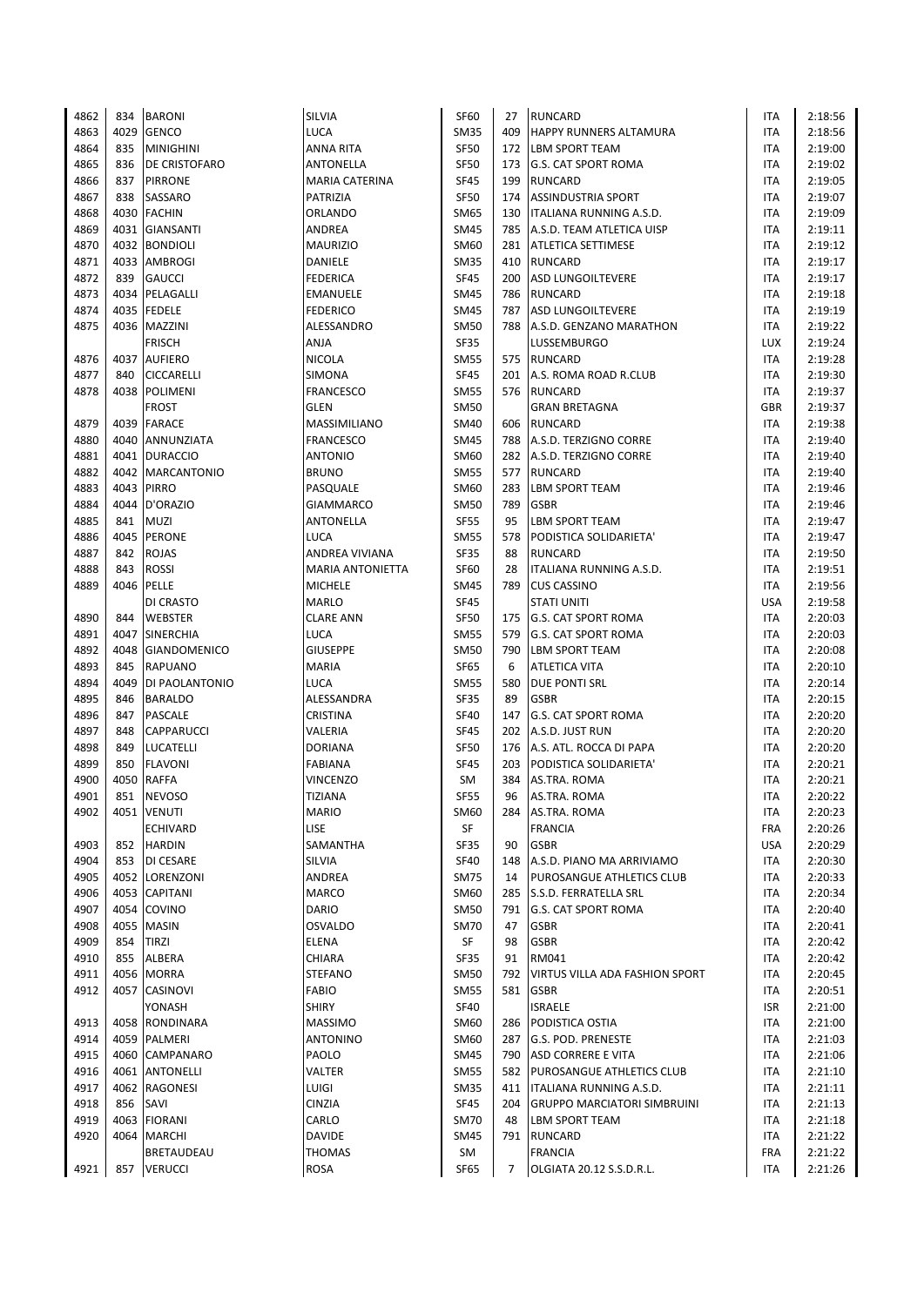| 4862 | 834  | <b>BARONI</b>       | SILVIA                  | <b>SF60</b> | 27             | <b>RUNCARD</b>                     | <b>ITA</b> | 2:18:56 |
|------|------|---------------------|-------------------------|-------------|----------------|------------------------------------|------------|---------|
| 4863 | 4029 | <b>GENCO</b>        | LUCA                    | SM35        | 409            | <b>HAPPY RUNNERS ALTAMURA</b>      | <b>ITA</b> | 2:18:56 |
| 4864 | 835  | <b>MINIGHINI</b>    | ANNA RITA               | <b>SF50</b> | 172            | <b>LBM SPORT TEAM</b>              | ITA        | 2:19:00 |
| 4865 | 836  | DE CRISTOFARO       | ANTONELLA               | <b>SF50</b> | 173            | <b>G.S. CAT SPORT ROMA</b>         | <b>ITA</b> | 2:19:02 |
| 4866 | 837  | <b>PIRRONE</b>      | MARIA CATERINA          | <b>SF45</b> | 199            | <b>RUNCARD</b>                     | ITA        | 2:19:05 |
| 4867 | 838  | SASSARO             | PATRIZIA                | <b>SF50</b> | 174            | <b>ASSINDUSTRIA SPORT</b>          | <b>ITA</b> | 2:19:07 |
|      |      |                     |                         |             |                |                                    |            |         |
| 4868 |      | 4030 FACHIN         | ORLANDO                 | SM65        | 130            | ITALIANA RUNNING A.S.D.            | ITA        | 2:19:09 |
| 4869 |      | 4031 GIANSANTI      | ANDREA                  | SM45        | 785            | A.S.D. TEAM ATLETICA UISP          | <b>ITA</b> | 2:19:11 |
| 4870 |      | 4032 BONDIOLI       | <b>MAURIZIO</b>         | SM60        |                | 281   ATLETICA SETTIMESE           | ITA        | 2:19:12 |
| 4871 |      | 4033 AMBROGI        | <b>DANIELE</b>          | <b>SM35</b> |                | 410 RUNCARD                        | ITA        | 2:19:17 |
| 4872 | 839  | <b>GAUCCI</b>       | <b>FEDERICA</b>         | <b>SF45</b> | 200            | <b>ASD LUNGOILTEVERE</b>           | ITA        | 2:19:17 |
| 4873 |      | 4034 PELAGALLI      | EMANUELE                | <b>SM45</b> | 786            | <b>RUNCARD</b>                     | <b>ITA</b> | 2:19:18 |
| 4874 |      | 4035 FEDELE         | <b>FEDERICO</b>         | SM45        | 787            | <b>ASD LUNGOILTEVERE</b>           | <b>ITA</b> | 2:19:19 |
|      |      | 4036 MAZZINI        | ALESSANDRO              | <b>SM50</b> | 788            |                                    | <b>ITA</b> |         |
| 4875 |      |                     |                         |             |                | A.S.D. GENZANO MARATHON            |            | 2:19:22 |
|      |      | <b>FRISCH</b>       | ANJA                    | <b>SF35</b> |                | <b>LUSSEMBURGO</b>                 | <b>LUX</b> | 2:19:24 |
| 4876 |      | 4037 AUFIERO        | <b>NICOLA</b>           | <b>SM55</b> | 575            | <b>RUNCARD</b>                     | <b>ITA</b> | 2:19:28 |
| 4877 | 840  | <b>CICCARELLI</b>   | SIMONA                  | <b>SF45</b> | 201            | A.S. ROMA ROAD R.CLUB              | ITA        | 2:19:30 |
| 4878 | 4038 | <b>POLIMENI</b>     | <b>FRANCESCO</b>        | <b>SM55</b> | 576            | <b>RUNCARD</b>                     | ITA        | 2:19:37 |
|      |      | <b>FROST</b>        | GLEN                    | <b>SM50</b> |                | <b>GRAN BRETAGNA</b>               | <b>GBR</b> | 2:19:37 |
| 4879 | 4039 | <b>FARACE</b>       | <b>MASSIMILIANO</b>     | SM40        | 606            | <b>RUNCARD</b>                     | <b>ITA</b> | 2:19:38 |
| 4880 | 4040 | ANNUNZIATA          | <b>FRANCESCO</b>        | <b>SM45</b> |                | 788 A.S.D. TERZIGNO CORRE          | <b>ITA</b> | 2:19:40 |
|      |      |                     |                         |             |                |                                    |            |         |
| 4881 |      | 4041 DURACCIO       | <b>ANTONIO</b>          | SM60        |                | 282 A.S.D. TERZIGNO CORRE          | <b>ITA</b> | 2:19:40 |
| 4882 | 4042 | <b>MARCANTONIO</b>  | <b>BRUNO</b>            | <b>SM55</b> | 577            | RUNCARD                            | <b>ITA</b> | 2:19:40 |
| 4883 |      | 4043 PIRRO          | PASQUALE                | SM60        | 283            | <b>LBM SPORT TEAM</b>              | <b>ITA</b> | 2:19:46 |
| 4884 | 4044 | D'ORAZIO            | <b>GIAMMARCO</b>        | <b>SM50</b> | 789            | <b>GSBR</b>                        | <b>ITA</b> | 2:19:46 |
| 4885 | 841  | MUZI                | ANTONELLA               | <b>SF55</b> | 95             | <b>LBM SPORT TEAM</b>              | ITA        | 2:19:47 |
| 4886 | 4045 | <b>PERONE</b>       | LUCA                    | SM55        | 578            | PODISTICA SOLIDARIETA'             | ITA        | 2:19:47 |
| 4887 | 842  | ROJAS               | ANDREA VIVIANA          | <b>SF35</b> | 88             | <b>RUNCARD</b>                     | <b>ITA</b> | 2:19:50 |
| 4888 | 843  | <b>ROSSI</b>        | <b>MARIA ANTONIETTA</b> | <b>SF60</b> | 28             | ITALIANA RUNNING A.S.D.            | ITA        | 2:19:51 |
|      |      |                     |                         |             |                |                                    |            |         |
| 4889 | 4046 | PELLE               | <b>MICHELE</b>          | SM45        | 789            | <b>CUS CASSINO</b>                 | ITA        | 2:19:56 |
|      |      | DI CRASTO           | MARLO                   | <b>SF45</b> |                | <b>STATI UNITI</b>                 | <b>USA</b> | 2:19:58 |
| 4890 | 844  | <b>WEBSTER</b>      | <b>CLARE ANN</b>        | <b>SF50</b> | 175            | <b>G.S. CAT SPORT ROMA</b>         | <b>ITA</b> | 2:20:03 |
| 4891 | 4047 | <b>SINERCHIA</b>    | <b>LUCA</b>             | SM55        | 579            | <b>G.S. CAT SPORT ROMA</b>         | <b>ITA</b> | 2:20:03 |
| 4892 | 4048 | <b>GIANDOMENICO</b> | <b>GIUSEPPE</b>         | SM50        | 790            | <b>LBM SPORT TEAM</b>              | ITA        | 2:20:08 |
| 4893 | 845  | <b>RAPUANO</b>      | <b>MARIA</b>            | <b>SF65</b> | 6              | <b>ATLETICA VITA</b>               | ITA        | 2:20:10 |
| 4894 | 4049 | DI PAOLANTONIO      | <b>LUCA</b>             | SM55        | 580            | <b>DUE PONTI SRL</b>               | <b>ITA</b> | 2:20:14 |
| 4895 | 846  | <b>BARALDO</b>      | ALESSANDRA              | <b>SF35</b> | 89             | <b>GSBR</b>                        | <b>ITA</b> | 2:20:15 |
| 4896 | 847  | <b>PASCALE</b>      | CRISTINA                | <b>SF40</b> | 147            | <b>G.S. CAT SPORT ROMA</b>         | ITA        | 2:20:20 |
|      |      |                     |                         |             |                |                                    |            |         |
| 4897 | 848  | CAPPARUCCI          | VALERIA                 | <b>SF45</b> |                | 202 A.S.D. JUST RUN                | <b>ITA</b> | 2:20:20 |
| 4898 | 849  | <b>LUCATELLI</b>    | <b>DORIANA</b>          | <b>SF50</b> |                | 176 A.S. ATL. ROCCA DI PAPA        | <b>ITA</b> | 2:20:20 |
| 4899 | 850  | <b>FLAVONI</b>      | <b>FABIANA</b>          | <b>SF45</b> | 203            | PODISTICA SOLIDARIETA'             | ITA        | 2:20:21 |
| 4900 | 4050 | <b>RAFFA</b>        | <b>VINCENZO</b>         | SM          | 384            | AS.TRA. ROMA                       | <b>ITA</b> | 2:20:21 |
| 4901 | 851  | <b>NEVOSO</b>       | <b>TIZIANA</b>          | <b>SF55</b> | 96             | AS.TRA. ROMA                       | <b>ITA</b> | 2:20:22 |
| 4902 |      | 4051 VENUTI         | <b>MARIO</b>            | SM60        |                | 284 AS.TRA. ROMA                   | ITA        | 2:20:23 |
|      |      | <b>ECHIVARD</b>     | LISE                    | SF          |                | <b>FRANCIA</b>                     | <b>FRA</b> | 2:20:26 |
| 4903 | 852  | <b>HARDIN</b>       | SAMANTHA                | SF35        | 90             | <b>GSBR</b>                        | <b>USA</b> | 2:20:29 |
| 4904 | 853  |                     |                         |             |                | A.S.D. PIANO MA ARRIVIAMO          |            |         |
|      |      | <b>DI CESARE</b>    | SILVIA                  | <b>SF40</b> | 148            |                                    | ITA        | 2:20:30 |
| 4905 |      | 4052 LORENZONI      | ANDREA                  | <b>SM75</b> | 14             | <b>PUROSANGUE ATHLETICS CLUB</b>   | ITA        | 2:20:33 |
| 4906 |      | 4053 CAPITANI       | <b>MARCO</b>            | SM60        | 285            | S.S.D. FERRATELLA SRL              | ITA        | 2:20:34 |
| 4907 |      | 4054 COVINO         | <b>DARIO</b>            | <b>SM50</b> | 791            | <b>G.S. CAT SPORT ROMA</b>         | <b>ITA</b> | 2:20:40 |
| 4908 |      | 4055 MASIN          | OSVALDO                 | <b>SM70</b> | 47             | <b>GSBR</b>                        | ITA        | 2:20:41 |
| 4909 | 854  | <b>TIRZI</b>        | ELENA                   | SF          | 98             | <b>GSBR</b>                        | <b>ITA</b> | 2:20:42 |
| 4910 | 855  | <b>ALBERA</b>       | CHIARA                  | SF35        | 91             | RM041                              | ITA        | 2:20:42 |
| 4911 |      | 4056 MORRA          | <b>STEFANO</b>          | SM50        | 792            | VIRTUS VILLA ADA FASHION SPORT     | <b>ITA</b> | 2:20:45 |
| 4912 |      | 4057 CASINOVI       | <b>FABIO</b>            | <b>SM55</b> |                | 581 GSBR                           | ITA        | 2:20:51 |
|      |      |                     |                         |             |                |                                    |            |         |
|      |      | YONASH              | <b>SHIRY</b>            | SF40        |                | <b>ISRAELE</b>                     | ISR        | 2:21:00 |
| 4913 |      | 4058 RONDINARA      | <b>MASSIMO</b>          | SM60        | 286            | PODISTICA OSTIA                    | ITA        | 2:21:00 |
| 4914 |      | 4059 PALMERI        | <b>ANTONINO</b>         | SM60        | 287            | G.S. POD. PRENESTE                 | ITA        | 2:21:03 |
| 4915 |      | 4060 CAMPANARO      | PAOLO                   | <b>SM45</b> |                | 790 ASD CORRERE E VITA             | ITA        | 2:21:06 |
| 4916 |      | 4061 ANTONELLI      | VALTER                  | <b>SM55</b> |                | 582 PUROSANGUE ATHLETICS CLUB      | ITA        | 2:21:10 |
| 4917 |      | 4062 RAGONESI       | LUIGI                   | <b>SM35</b> |                | 411   ITALIANA RUNNING A.S.D.      | ITA        | 2:21:11 |
| 4918 | 856  | SAVI                | <b>CINZIA</b>           | SF45        | 204            | <b>GRUPPO MARCIATORI SIMBRUINI</b> | ITA        | 2:21:13 |
| 4919 |      | 4063 FIORANI        | CARLO                   | SM70        | 48             | <b>LBM SPORT TEAM</b>              | ITA        | 2:21:18 |
| 4920 |      | 4064 MARCHI         | DAVIDE                  | SM45        | 791            | RUNCARD                            | ITA        | 2:21:22 |
|      |      |                     |                         |             |                |                                    |            |         |
|      |      | <b>BRETAUDEAU</b>   | <b>THOMAS</b>           | SM          |                | <b>FRANCIA</b>                     | FRA        | 2:21:22 |
| 4921 | 857  | <b>VERUCCI</b>      | ROSA                    | <b>SF65</b> | $\overline{7}$ | OLGIATA 20.12 S.S.D.R.L.           | <b>ITA</b> | 2:21:26 |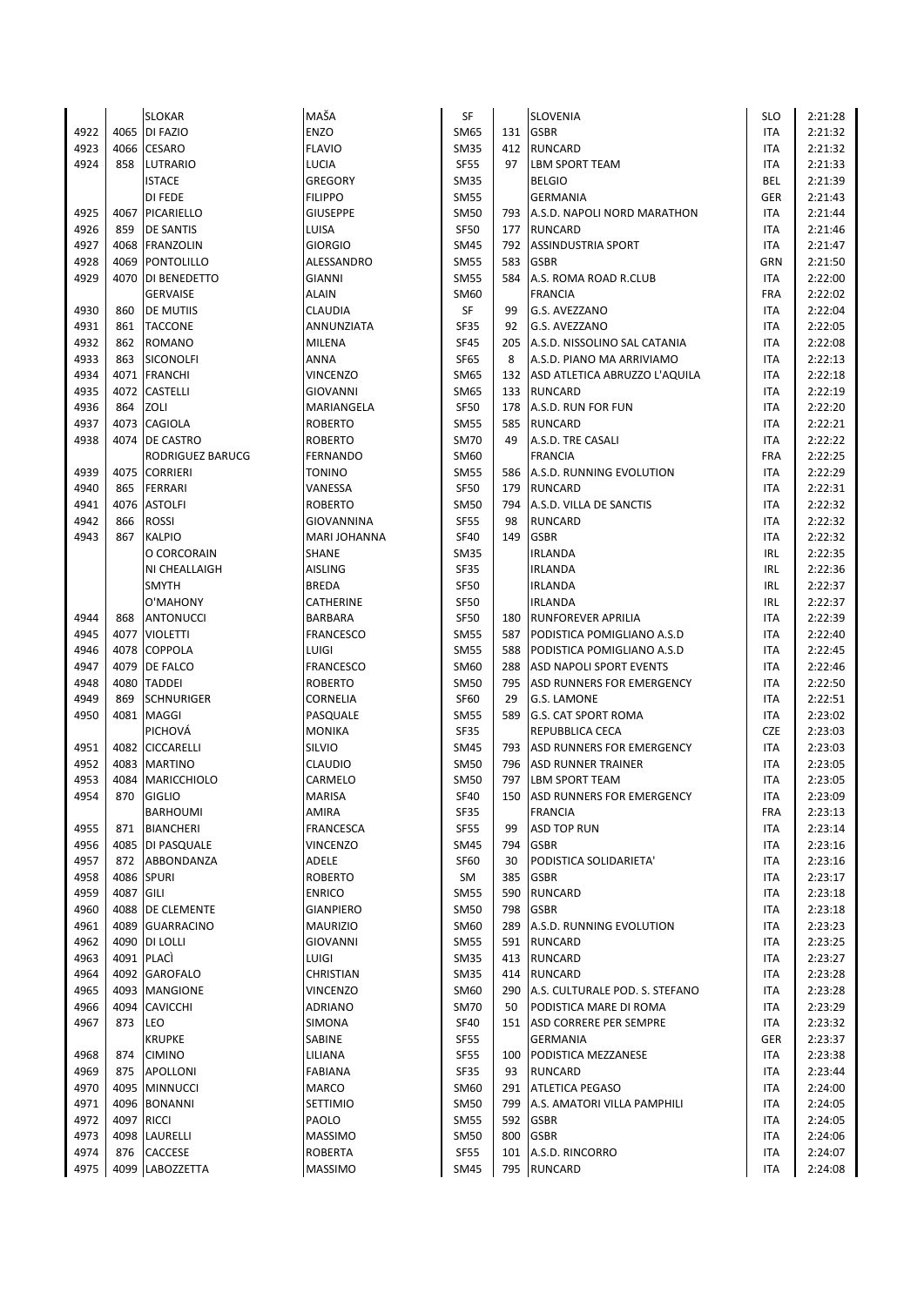|      |            | <b>SLOKAR</b>      | MAŠA                | SF          |     | <b>SLOVENIA</b>                   | <b>SLO</b> | 2:21:28 |
|------|------------|--------------------|---------------------|-------------|-----|-----------------------------------|------------|---------|
| 4922 | 4065       | DI FAZIO           | ENZO                | SM65        | 131 | <b>GSBR</b>                       | ITA        | 2:21:32 |
| 4923 | 4066       | <b>CESARO</b>      | <b>FLAVIO</b>       | SM35        | 412 | <b>RUNCARD</b>                    | ITA        | 2:21:32 |
| 4924 | 858        | <b>LUTRARIO</b>    | LUCIA               | <b>SF55</b> | 97  | <b>LBM SPORT TEAM</b>             | <b>ITA</b> | 2:21:33 |
|      |            | <b>ISTACE</b>      | <b>GREGORY</b>      | <b>SM35</b> |     | <b>BELGIO</b>                     | <b>BEL</b> | 2:21:39 |
|      |            | DI FEDE            | <b>FILIPPO</b>      | <b>SM55</b> |     | <b>GERMANIA</b>                   | GER        | 2:21:43 |
| 4925 | 4067       | PICARIELLO         | <b>GIUSEPPE</b>     | SM50        | 793 | A.S.D. NAPOLI NORD MARATHON       | ITA        | 2:21:44 |
| 4926 | 859        | <b>DE SANTIS</b>   | LUISA               | <b>SF50</b> | 177 | <b>RUNCARD</b>                    | <b>ITA</b> | 2:21:46 |
| 4927 |            | 4068 FRANZOLIN     | <b>GIORGIO</b>      | <b>SM45</b> | 792 | <b>ASSINDUSTRIA SPORT</b>         | <b>ITA</b> | 2:21:47 |
| 4928 | 4069       | <b>PONTOLILLO</b>  | ALESSANDRO          | <b>SM55</b> | 583 | <b>GSBR</b>                       | GRN        | 2:21:50 |
| 4929 | 4070       | DI BENEDETTO       | GIANNI              | <b>SM55</b> | 584 | A.S. ROMA ROAD R.CLUB             | ITA        | 2:22:00 |
|      |            | <b>GERVAISE</b>    | <b>ALAIN</b>        | SM60        |     | <b>FRANCIA</b>                    | <b>FRA</b> | 2:22:02 |
| 4930 | 860        | <b>DE MUTIIS</b>   | <b>CLAUDIA</b>      | SF          | 99  | <b>G.S. AVEZZANO</b>              | ITA        | 2:22:04 |
| 4931 | 861        | <b>TACCONE</b>     | ANNUNZIATA          | <b>SF35</b> | 92  | G.S. AVEZZANO                     | ITA        | 2:22:05 |
| 4932 | 862        | <b>ROMANO</b>      | MILENA              | <b>SF45</b> | 205 |                                   | ITA        | 2:22:08 |
|      | 863        |                    |                     |             |     | A.S.D. NISSOLINO SAL CATANIA      |            |         |
| 4933 |            | SICONOLFI          | ANNA                | <b>SF65</b> | 8   | A.S.D. PIANO MA ARRIVIAMO         | <b>ITA</b> | 2:22:13 |
| 4934 |            | 4071 FRANCHI       | VINCENZO            | SM65        |     | 132 ASD ATLETICA ABRUZZO L'AQUILA | ITA        | 2:22:18 |
| 4935 | 4072       | <b>CASTELLI</b>    | GIOVANNI            | SM65        | 133 | RUNCARD                           | ITA        | 2:22:19 |
| 4936 | 864        | ZOLI               | MARIANGELA          | SF50        | 178 | A.S.D. RUN FOR FUN                | <b>ITA</b> | 2:22:20 |
| 4937 |            | 4073 CAGIOLA       | <b>ROBERTO</b>      | SM55        | 585 | <b>RUNCARD</b>                    | <b>ITA</b> | 2:22:21 |
| 4938 |            | 4074 IDE CASTRO    | <b>ROBERTO</b>      | <b>SM70</b> | 49  | A.S.D. TRE CASALI                 | ITA        | 2:22:22 |
|      |            | RODRIGUEZ BARUCG   | <b>FERNANDO</b>     | SM60        |     | <b>FRANCIA</b>                    | <b>FRA</b> | 2:22:25 |
| 4939 |            | 4075 CORRIERI      | <b>TONINO</b>       | SM55        | 586 | A.S.D. RUNNING EVOLUTION          | ITA        | 2:22:29 |
| 4940 | 865        | <b>FERRARI</b>     | VANESSA             | <b>SF50</b> | 179 | <b>RUNCARD</b>                    | <b>ITA</b> | 2:22:31 |
| 4941 | 4076       | <b>ASTOLFI</b>     | <b>ROBERTO</b>      | SM50        | 794 | A.S.D. VILLA DE SANCTIS           | ITA        | 2:22:32 |
| 4942 | 866        | ROSSI              | GIOVANNINA          | <b>SF55</b> | 98  | <b>RUNCARD</b>                    | <b>ITA</b> | 2:22:32 |
| 4943 | 867        | KALPIO             | <b>MARI JOHANNA</b> | <b>SF40</b> | 149 | <b>GSBR</b>                       | <b>ITA</b> | 2:22:32 |
|      |            | O CORCORAIN        | SHANE               | SM35        |     | <b>IRLANDA</b>                    | IRL        | 2:22:35 |
|      |            | NI CHEALLAIGH      | <b>AISLING</b>      | <b>SF35</b> |     | <b>IRLANDA</b>                    | IRL        | 2:22:36 |
|      |            | <b>SMYTH</b>       | <b>BREDA</b>        | <b>SF50</b> |     | <b>IRLANDA</b>                    | <b>IRL</b> | 2:22:37 |
|      |            | O'MAHONY           | CATHERINE           | <b>SF50</b> |     | <b>IRLANDA</b>                    | <b>IRL</b> | 2:22:37 |
| 4944 | 868        | <b>ANTONUCCI</b>   | <b>BARBARA</b>      | <b>SF50</b> | 180 | <b>RUNFOREVER APRILIA</b>         | <b>ITA</b> | 2:22:39 |
| 4945 | 4077       | <b>VIOLETTI</b>    | <b>FRANCESCO</b>    | <b>SM55</b> | 587 | PODISTICA POMIGLIANO A.S.D        | <b>ITA</b> | 2:22:40 |
| 4946 | 4078       | <b>COPPOLA</b>     | LUIGI               | <b>SM55</b> | 588 | PODISTICA POMIGLIANO A.S.D        | <b>ITA</b> | 2:22:45 |
| 4947 | 4079       | <b>DE FALCO</b>    | <b>FRANCESCO</b>    | SM60        | 288 | <b>ASD NAPOLI SPORT EVENTS</b>    | <b>ITA</b> | 2:22:46 |
| 4948 | 4080       | <b>TADDEI</b>      | <b>ROBERTO</b>      | SM50        | 795 | <b>ASD RUNNERS FOR EMERGENCY</b>  | <b>ITA</b> | 2:22:50 |
| 4949 | 869        | <b>SCHNURIGER</b>  | CORNELIA            | <b>SF60</b> | 29  | <b>G.S. LAMONE</b>                | <b>ITA</b> | 2:22:51 |
| 4950 | 4081       | MAGGI              | PASQUALE            | SM55        | 589 | <b>G.S. CAT SPORT ROMA</b>        | ITA        | 2:23:02 |
|      |            | PICHOVÁ            | <b>MONIKA</b>       | <b>SF35</b> |     | REPUBBLICA CECA                   | <b>CZE</b> | 2:23:03 |
| 4951 | 4082       | <b>CICCARELLI</b>  | SILVIO              | SM45        | 793 | <b>ASD RUNNERS FOR EMERGENCY</b>  | ITA        | 2:23:03 |
| 4952 | 4083       | <b>MARTINO</b>     | <b>CLAUDIO</b>      | <b>SM50</b> | 796 | <b>ASD RUNNER TRAINER</b>         | <b>ITA</b> | 2:23:05 |
| 4953 | 4084       | <b>MARICCHIOLO</b> | CARMELO             | SM50        | 797 | <b>LBM SPORT TEAM</b>             | <b>ITA</b> | 2:23:05 |
| 4954 | 870        | <b>GIGLIO</b>      | <b>MARISA</b>       | <b>SF40</b> | 150 | ASD RUNNERS FOR EMERGENCY         | <b>ITA</b> | 2:23:09 |
|      |            | <b>BARHOUMI</b>    | AMIRA               | SF35        |     | <b>FRANCIA</b>                    | FRA        | 2:23:13 |
| 4955 | 871        | <b>BIANCHERI</b>   | <b>FRANCESCA</b>    | <b>SF55</b> | 99  | <b>ASD TOP RUN</b>                | ITA        | 2:23:14 |
| 4956 |            | 4085 DI PASQUALE   | <b>VINCENZO</b>     | SM45        | 794 | <b>GSBR</b>                       | ITA        | 2:23:16 |
| 4957 |            | 872 ABBONDANZA     | ADELE               | <b>SF60</b> | 30  | PODISTICA SOLIDARIETA'            | ITA        | 2:23:16 |
| 4958 |            | 4086 SPURI         | <b>ROBERTO</b>      | SM          | 385 | <b>GSBR</b>                       | ITA        | 2:23:17 |
| 4959 | 4087       | <b>GILI</b>        | <b>ENRICO</b>       | SM55        | 590 | <b>RUNCARD</b>                    | ITA        | 2:23:18 |
| 4960 |            | 4088   DE CLEMENTE | <b>GIANPIERO</b>    | <b>SM50</b> | 798 | <b>GSBR</b>                       | ITA        | 2:23:18 |
| 4961 |            | 4089 GUARRACINO    | <b>MAURIZIO</b>     | SM60        | 289 | A.S.D. RUNNING EVOLUTION          | ITA        | 2:23:23 |
| 4962 |            | 4090 DI LOLLI      | <b>GIOVANNI</b>     | <b>SM55</b> |     | 591 RUNCARD                       | ITA        | 2:23:25 |
| 4963 |            | 4091 PLACI         |                     |             |     | 413 RUNCARD                       |            | 2:23:27 |
|      |            |                    | LUIGI               | <b>SM35</b> |     |                                   | ITA        |         |
| 4964 |            | 4092 GAROFALO      | CHRISTIAN           | <b>SM35</b> | 414 | RUNCARD                           | ITA        | 2:23:28 |
| 4965 |            | 4093 MANGIONE      | <b>VINCENZO</b>     | SM60        | 290 | A.S. CULTURALE POD. S. STEFANO    | ITA        | 2:23:28 |
| 4966 |            | 4094 CAVICCHI      | <b>ADRIANO</b>      | <b>SM70</b> | 50  | PODISTICA MARE DI ROMA            | ITA        | 2:23:29 |
| 4967 | 873        | LEO                | SIMONA              | <b>SF40</b> |     | 151 ASD CORRERE PER SEMPRE        | ITA        | 2:23:32 |
|      |            | <b>KRUPKE</b>      | SABINE              | <b>SF55</b> |     | <b>GERMANIA</b>                   | GER        | 2:23:37 |
| 4968 | 874        | <b>CIMINO</b>      | LILIANA             | <b>SF55</b> | 100 | PODISTICA MEZZANESE               | <b>ITA</b> | 2:23:38 |
| 4969 |            | 875 APOLLONI       | <b>FABIANA</b>      | <b>SF35</b> | 93  | <b>RUNCARD</b>                    | ITA        | 2:23:44 |
| 4970 |            | 4095 MINNUCCI      | MARCO               | SM60        | 291 | <b>ATLETICA PEGASO</b>            | ITA        | 2:24:00 |
| 4971 |            | 4096 BONANNI       | SETTIMIO            | <b>SM50</b> | 799 | A.S. AMATORI VILLA PAMPHILI       | ITA        | 2:24:05 |
| 4972 | 4097 RICCI |                    | PAOLO               | <b>SM55</b> |     | 592 GSBR                          | ITA        | 2:24:05 |
| 4973 | 4098       | LAURELLI           | <b>MASSIMO</b>      | <b>SM50</b> | 800 | <b>GSBR</b>                       | ITA        | 2:24:06 |
| 4974 | 876        | CACCESE            | <b>ROBERTA</b>      | <b>SF55</b> | 101 | A.S.D. RINCORRO                   | ITA        | 2:24:07 |
| 4975 | 4099       | LABOZZETTA         | MASSIMO             | SM45        |     | 795 RUNCARD                       | <b>ITA</b> | 2:24:08 |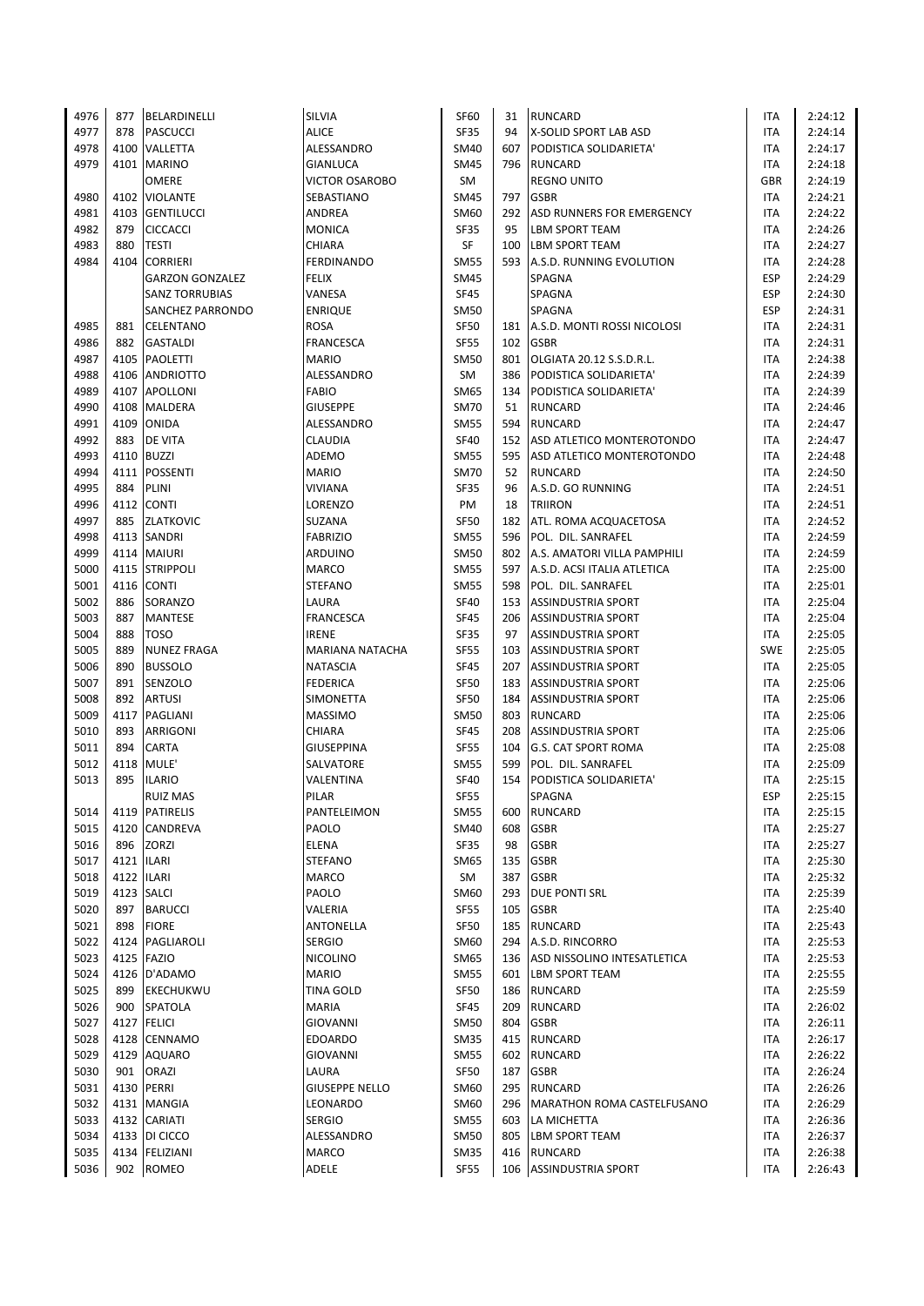| 4976 | 877        | BELARDINELLI           | SILVIA                | <b>SF60</b> | 31  | <b>RUNCARD</b>              | ITA        | 2:24:12            |
|------|------------|------------------------|-----------------------|-------------|-----|-----------------------------|------------|--------------------|
| 4977 | 878        | <b>PASCUCCI</b>        | <b>ALICE</b>          | SF35        | 94  | X-SOLID SPORT LAB ASD       | ITA        | 2:24:14            |
| 4978 | 4100       | VALLETTA               | ALESSANDRO            | SM40        | 607 | PODISTICA SOLIDARIETA'      | ITA        | 2:24:17            |
| 4979 |            | 4101 MARINO            | GIANLUCA              | <b>SM45</b> | 796 | <b>RUNCARD</b>              | ITA        | 2:24:18            |
|      |            | <b>OMERE</b>           | <b>VICTOR OSAROBO</b> | SM          |     | <b>REGNO UNITO</b>          | <b>GBR</b> | 2:24:19            |
| 4980 | 4102       | <b>VIOLANTE</b>        | SEBASTIANO            | SM45        | 797 | <b>GSBR</b>                 | ITA        | 2:24:21            |
| 4981 | 4103       | <b>GENTILUCCI</b>      | ANDREA                | SM60        | 292 | ASD RUNNERS FOR EMERGENCY   | ITA        | 2:24:22            |
| 4982 | 879        | <b>CICCACCI</b>        | <b>MONICA</b>         | <b>SF35</b> | 95  | <b>LBM SPORT TEAM</b>       | ITA        | 2:24:26            |
| 4983 | 880        | <b>TESTI</b>           | <b>CHIARA</b>         | SF          | 100 | <b>LBM SPORT TEAM</b>       | ITA        | 2:24:27            |
| 4984 | 4104       | <b>CORRIERI</b>        | <b>FERDINANDO</b>     | <b>SM55</b> | 593 | A.S.D. RUNNING EVOLUTION    | ITA        | 2:24:28            |
|      |            | <b>GARZON GONZALEZ</b> | <b>FELIX</b>          | <b>SM45</b> |     | SPAGNA                      | <b>ESP</b> | 2:24:29            |
|      |            | <b>SANZ TORRUBIAS</b>  | VANESA                | SF45        |     | SPAGNA                      | <b>ESP</b> | 2:24:30            |
|      |            | SANCHEZ PARRONDO       | <b>ENRIQUE</b>        | SM50        |     | SPAGNA                      | <b>ESP</b> | 2:24:31            |
| 4985 | 881        | <b>CELENTANO</b>       | <b>ROSA</b>           | <b>SF50</b> | 181 | A.S.D. MONTI ROSSI NICOLOSI | ITA        | 2:24:31            |
| 4986 | 882        | <b>GASTALDI</b>        | <b>FRANCESCA</b>      | <b>SF55</b> | 102 | <b>GSBR</b>                 | ITA        | 2:24:31            |
| 4987 |            | 4105 PAOLETTI          | <b>MARIO</b>          | SM50        | 801 | OLGIATA 20.12 S.S.D.R.L.    | <b>ITA</b> | 2:24:38            |
| 4988 |            | 4106 ANDRIOTTO         | ALESSANDRO            | SM          | 386 | PODISTICA SOLIDARIETA'      | ITA        | 2:24:39            |
| 4989 |            | 4107 APOLLONI          | <b>FABIO</b>          | SM65        | 134 | PODISTICA SOLIDARIETA'      | ITA        | 2:24:39            |
| 4990 | 4108       | <b>MALDERA</b>         | <b>GIUSEPPE</b>       | <b>SM70</b> | 51  | <b>RUNCARD</b>              | ITA        | 2:24:46            |
| 4991 |            | 4109 ONIDA             | ALESSANDRO            | SM55        | 594 | <b>RUNCARD</b>              | <b>ITA</b> | 2:24:47            |
| 4992 | 883        | <b>DE VITA</b>         | <b>CLAUDIA</b>        | <b>SF40</b> | 152 | ASD ATLETICO MONTEROTONDO   | ITA        | 2:24:47            |
| 4993 |            | 4110 BUZZI             | ADEMO                 | <b>SM55</b> | 595 | ASD ATLETICO MONTEROTONDO   | ITA        | 2:24:48            |
| 4994 |            |                        |                       | <b>SM70</b> |     | <b>RUNCARD</b>              | <b>ITA</b> |                    |
|      |            | 4111 POSSENTI          | <b>MARIO</b>          |             | 52  |                             |            | 2:24:50<br>2:24:51 |
| 4995 | 884        | PLINI                  | <b>VIVIANA</b>        | <b>SF35</b> | 96  | A.S.D. GO RUNNING           | <b>ITA</b> |                    |
| 4996 |            | 4112 CONTI             | LORENZO               | PM          | 18  | <b>TRIIRON</b>              | ITA        | 2:24:51            |
| 4997 | 885        | <b>ZLATKOVIC</b>       | SUZANA                | <b>SF50</b> | 182 | ATL. ROMA ACQUACETOSA       | ITA        | 2:24:52            |
| 4998 |            | 4113 SANDRI            | <b>FABRIZIO</b>       | <b>SM55</b> | 596 | POL. DIL. SANRAFEL          | <b>ITA</b> | 2:24:59            |
| 4999 |            | 4114 MAIURI            | <b>ARDUINO</b>        | <b>SM50</b> | 802 | A.S. AMATORI VILLA PAMPHILI | <b>ITA</b> | 2:24:59            |
| 5000 | 4115       | <b>STRIPPOLI</b>       | <b>MARCO</b>          | <b>SM55</b> | 597 | A.S.D. ACSI ITALIA ATLETICA | <b>ITA</b> | 2:25:00            |
| 5001 |            | 4116 CONTI             | <b>STEFANO</b>        | SM55        | 598 | POL. DIL. SANRAFEL          | ITA        | 2:25:01            |
| 5002 | 886        | SORANZO                | LAURA                 | <b>SF40</b> | 153 | <b>ASSINDUSTRIA SPORT</b>   | ITA        | 2:25:04            |
| 5003 | 887        | <b>MANTESE</b>         | <b>FRANCESCA</b>      | <b>SF45</b> | 206 | <b>ASSINDUSTRIA SPORT</b>   | ITA        | 2:25:04            |
| 5004 | 888        | <b>TOSO</b>            | <b>IRENE</b>          | <b>SF35</b> | 97  | <b>ASSINDUSTRIA SPORT</b>   | ITA        | 2:25:05            |
| 5005 | 889        | <b>NUNEZ FRAGA</b>     | MARIANA NATACHA       | <b>SF55</b> | 103 | <b>ASSINDUSTRIA SPORT</b>   | <b>SWE</b> | 2:25:05            |
| 5006 | 890        | <b>BUSSOLO</b>         | <b>NATASCIA</b>       | <b>SF45</b> | 207 | <b>ASSINDUSTRIA SPORT</b>   | ITA        | 2:25:05            |
| 5007 | 891        | <b>SENZOLO</b>         | <b>FEDERICA</b>       | <b>SF50</b> | 183 | <b>ASSINDUSTRIA SPORT</b>   | ITA        | 2:25:06            |
| 5008 | 892        | <b>ARTUSI</b>          | SIMONETTA             | <b>SF50</b> | 184 | <b>ASSINDUSTRIA SPORT</b>   | ITA        | 2:25:06            |
| 5009 |            | 4117 PAGLIANI          | <b>MASSIMO</b>        | SM50        | 803 | <b>RUNCARD</b>              | ITA        | 2:25:06            |
| 5010 | 893        | ARRIGONI               | CHIARA                | <b>SF45</b> | 208 | <b>ASSINDUSTRIA SPORT</b>   | ITA        | 2:25:06            |
| 5011 | 894        | CARTA                  | <b>GIUSEPPINA</b>     | <b>SF55</b> | 104 | <b>G.S. CAT SPORT ROMA</b>  | <b>ITA</b> | 2:25:08            |
| 5012 | 4118       | MULE'                  | SALVATORE             | SM55        | 599 | POL. DIL. SANRAFEL          | ITA        | 2:25:09            |
| 5013 | 895        | <b>ILARIO</b>          | VALENTINA             | <b>SF40</b> | 154 | PODISTICA SOLIDARIETA'      | <b>ITA</b> | 2:25:15            |
|      |            | <b>RUIZ MAS</b>        | PILAR                 | <b>SF55</b> |     | SPAGNA                      | <b>ESP</b> | 2:25:15            |
| 5014 |            | 4119 PATIRELIS         | PANTELEIMON           | <b>SM55</b> | 600 | <b>RUNCARD</b>              | ITA        | 2:25:15            |
| 5015 |            | 4120 CANDREVA          | PAOLO                 | SM40        | 608 | <b>GSBR</b>                 | ITA        | 2:25:27            |
| 5016 | 896        | ZORZI                  | ELENA                 | SF35        | 98  | <b>GSBR</b>                 | ITA        | 2:25:27            |
| 5017 | 4121 ILARI |                        | <b>STEFANO</b>        | SM65        | 135 | <b>GSBR</b>                 | ITA        | 2:25:30            |
| 5018 | 4122 ILARI |                        | <b>MARCO</b>          | SM          | 387 | <b>GSBR</b>                 | ITA        | 2:25:32            |
| 5019 |            | 4123 SALCI             | PAOLO                 | SM60        | 293 | <b>DUE PONTI SRL</b>        | ITA        | 2:25:39            |
| 5020 |            | 897 BARUCCI            | VALERIA               | <b>SF55</b> | 105 | <b>GSBR</b>                 | ITA        | 2:25:40            |
| 5021 |            | 898 FIORE              | ANTONELLA             | <b>SF50</b> | 185 | <b>RUNCARD</b>              | ITA        | 2:25:43            |
| 5022 |            | 4124   PAGLIAROLI      | <b>SERGIO</b>         | SM60        | 294 | A.S.D. RINCORRO             | ITA        | 2:25:53            |
| 5023 |            | 4125 FAZIO             | <b>NICOLINO</b>       | SM65        | 136 | ASD NISSOLINO INTESATLETICA | ITA        | 2:25:53            |
| 5024 |            | 4126 D'ADAMO           | <b>MARIO</b>          | <b>SM55</b> | 601 | <b>LBM SPORT TEAM</b>       | ITA        | 2:25:55            |
| 5025 |            | 899 EKECHUKWU          | <b>TINA GOLD</b>      | <b>SF50</b> |     | 186 RUNCARD                 | ITA        | 2:25:59            |
| 5026 |            | 900 SPATOLA            | <b>MARIA</b>          | <b>SF45</b> | 209 | <b>RUNCARD</b>              | ITA        | 2:26:02            |
| 5027 |            | 4127 FELICI            | GIOVANNI              | SM50        | 804 | <b>GSBR</b>                 | ITA        | 2:26:11            |
| 5028 |            | 4128 CENNAMO           | <b>EDOARDO</b>        | <b>SM35</b> | 415 | <b>RUNCARD</b>              | ITA        | 2:26:17            |
| 5029 |            | 4129 AQUARO            | GIOVANNI              | SM55        | 602 | <b>RUNCARD</b>              | ITA        | 2:26:22            |
| 5030 | 901        | <b>ORAZI</b>           | LAURA                 | <b>SF50</b> | 187 | <b>GSBR</b>                 | ITA        | 2:26:24            |
| 5031 |            | 4130 PERRI             | <b>GIUSEPPE NELLO</b> | SM60        | 295 | <b>RUNCARD</b>              | ITA        | 2:26:26            |
| 5032 |            | 4131 MANGIA            | LEONARDO              | SM60        | 296 | MARATHON ROMA CASTELFUSANO  | ITA        | 2:26:29            |
| 5033 |            | 4132 CARIATI           | <b>SERGIO</b>         | <b>SM55</b> | 603 | LA MICHETTA                 | ITA        | 2:26:36            |
| 5034 |            | 4133   DI CICCO        | ALESSANDRO            | SM50        | 805 | <b>LBM SPORT TEAM</b>       | ITA        | 2:26:37            |
| 5035 |            | 4134 FELIZIANI         | <b>MARCO</b>          | <b>SM35</b> | 416 | RUNCARD                     | ITA        | 2:26:38            |
| 5036 |            | 902 ROMEO              | ADELE                 | <b>SF55</b> |     | 106 ASSINDUSTRIA SPORT      | <b>ITA</b> | 2:26:43            |
|      |            |                        |                       |             |     |                             |            |                    |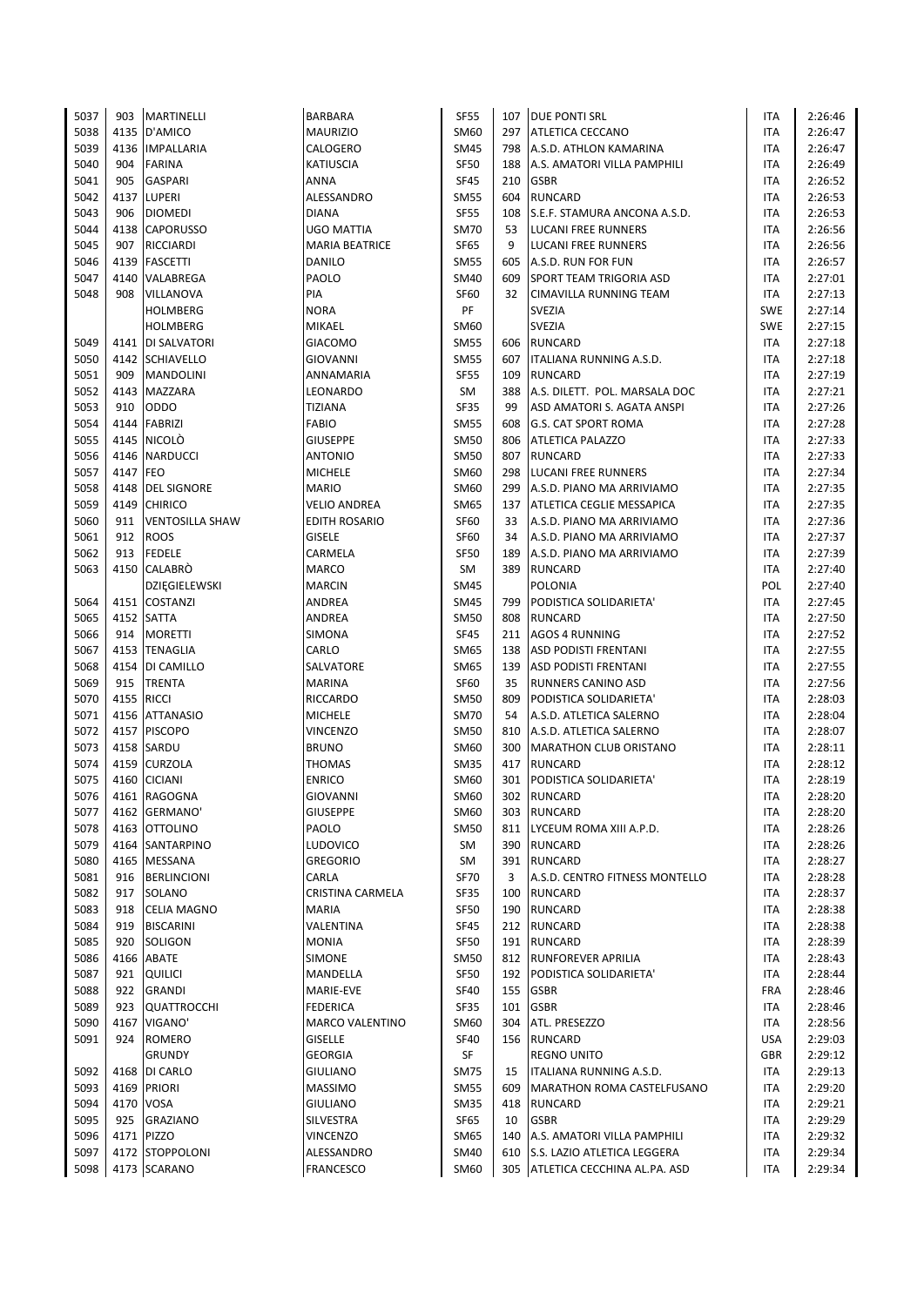| 5037 | 903      | MARTINELLI             | <b>BARBARA</b>         | <b>SF55</b> |     | 107 DUE PONTI SRL                | <b>ITA</b> | 2:26:46 |
|------|----------|------------------------|------------------------|-------------|-----|----------------------------------|------------|---------|
| 5038 |          | 4135 D'AMICO           | <b>MAURIZIO</b>        | SM60        |     | 297 ATLETICA CECCANO             | <b>ITA</b> | 2:26:47 |
| 5039 | 4136     | <b>IMPALLARIA</b>      | CALOGERO               | SM45        | 798 | A.S.D. ATHLON KAMARINA           | ITA        | 2:26:47 |
| 5040 | 904      | <b>FARINA</b>          | <b>KATIUSCIA</b>       | SF50        | 188 | A.S. AMATORI VILLA PAMPHILI      | <b>ITA</b> | 2:26:49 |
| 5041 | 905      | <b>GASPARI</b>         | ANNA                   | SF45        | 210 | <b>GSBR</b>                      | <b>ITA</b> | 2:26:52 |
| 5042 |          | 4137 LUPERI            | ALESSANDRO             | SM55        | 604 | <b>RUNCARD</b>                   | <b>ITA</b> | 2:26:53 |
| 5043 | 906      | <b>DIOMEDI</b>         | <b>DIANA</b>           | <b>SF55</b> | 108 | S.E.F. STAMURA ANCONA A.S.D.     | ITA        | 2:26:53 |
| 5044 | 4138     | <b>CAPORUSSO</b>       | <b>UGO MATTIA</b>      | <b>SM70</b> | 53  | LUCANI FREE RUNNERS              | ITA        | 2:26:56 |
| 5045 | 907      | <b>RICCIARDI</b>       | <b>MARIA BEATRICE</b>  | SF65        | 9   | LUCANI FREE RUNNERS              | <b>ITA</b> | 2:26:56 |
| 5046 | 4139     | <b>FASCETTI</b>        | DANILO                 | SM55        | 605 | A.S.D. RUN FOR FUN               | ITA        | 2:26:57 |
| 5047 | 4140     | VALABREGA              | PAOLO                  | SM40        | 609 | <b>SPORT TEAM TRIGORIA ASD</b>   | ITA        | 2:27:01 |
| 5048 | 908      | VILLANOVA              | PIA                    | <b>SF60</b> | 32  | <b>CIMAVILLA RUNNING TEAM</b>    | ITA        | 2:27:13 |
|      |          | HOLMBERG               | <b>NORA</b>            | PF          |     | <b>SVEZIA</b>                    | <b>SWE</b> | 2:27:14 |
|      |          | HOLMBERG               | MIKAEL                 | SM60        |     | SVEZIA                           | <b>SWE</b> | 2:27:15 |
| 5049 |          | 4141   DI SALVATORI    | <b>GIACOMO</b>         | <b>SM55</b> | 606 | <b>RUNCARD</b>                   | ITA        | 2:27:18 |
| 5050 |          | 4142 SCHIAVELLO        | GIOVANNI               | <b>SM55</b> | 607 | ITALIANA RUNNING A.S.D.          | ITA        | 2:27:18 |
| 5051 | 909      | <b>MANDOLINI</b>       | ANNAMARIA              | <b>SF55</b> | 109 | <b>RUNCARD</b>                   | <b>ITA</b> | 2:27:19 |
| 5052 |          | 4143 MAZZARA           | LEONARDO               | SM          | 388 | A.S. DILETT. POL. MARSALA DOC    | <b>ITA</b> | 2:27:21 |
| 5053 | 910      | ODDO                   | TIZIANA                | <b>SF35</b> | 99  | ASD AMATORI S. AGATA ANSPI       | ITA        | 2:27:26 |
| 5054 |          | 4144 FABRIZI           | <b>FABIO</b>           | <b>SM55</b> | 608 | <b>G.S. CAT SPORT ROMA</b>       | <b>ITA</b> | 2:27:28 |
| 5055 |          | 4145 NICOLO            | <b>GIUSEPPE</b>        | <b>SM50</b> | 806 | <b>ATLETICA PALAZZO</b>          | <b>ITA</b> | 2:27:33 |
| 5056 |          | 4146 NARDUCCI          | <b>ANTONIO</b>         | <b>SM50</b> | 807 | <b>RUNCARD</b>                   | <b>ITA</b> | 2:27:33 |
| 5057 | 4147 FEO |                        | <b>MICHELE</b>         | SM60        | 298 | <b>LUCANI FREE RUNNERS</b>       | ITA        | 2:27:34 |
| 5058 |          | 4148 DEL SIGNORE       | <b>MARIO</b>           | SM60        | 299 | A.S.D. PIANO MA ARRIVIAMO        | <b>ITA</b> | 2:27:35 |
| 5059 | 4149     | <b>CHIRICO</b>         | <b>VELIO ANDREA</b>    | SM65        | 137 | <b>ATLETICA CEGLIE MESSAPICA</b> | <b>ITA</b> | 2:27:35 |
| 5060 | 911      | <b>VENTOSILLA SHAW</b> | EDITH ROSARIO          | <b>SF60</b> | 33  | A.S.D. PIANO MA ARRIVIAMO        | ITA        | 2:27:36 |
| 5061 | 912      | <b>ROOS</b>            | <b>GISELE</b>          | <b>SF60</b> | 34  | A.S.D. PIANO MA ARRIVIAMO        | ITA        | 2:27:37 |
| 5062 | 913      | <b>FEDELE</b>          | CARMELA                | <b>SF50</b> | 189 | A.S.D. PIANO MA ARRIVIAMO        | <b>ITA</b> | 2:27:39 |
| 5063 |          | 4150 CALABRÒ           | <b>MARCO</b>           | SM          | 389 | <b>RUNCARD</b>                   | ITA        | 2:27:40 |
|      |          | DZIĘGIELEWSKI          | <b>MARCIN</b>          | SM45        |     | <b>POLONIA</b>                   | POL        | 2:27:40 |
| 5064 |          | 4151 COSTANZI          | ANDREA                 | SM45        | 799 | PODISTICA SOLIDARIETA'           | ITA        | 2:27:45 |
| 5065 |          | 4152 SATTA             | ANDREA                 | <b>SM50</b> | 808 | <b>RUNCARD</b>                   | ITA        | 2:27:50 |
| 5066 | 914      | <b>MORETTI</b>         | SIMONA                 | <b>SF45</b> | 211 | AGOS 4 RUNNING                   | ITA        | 2:27:52 |
| 5067 | 4153     | <b>TENAGLIA</b>        | CARLO                  | SM65        | 138 | <b>ASD PODISTI FRENTANI</b>      | ITA        | 2:27:55 |
| 5068 |          | 4154   DI CAMILLO      | SALVATORE              | SM65        | 139 | <b>ASD PODISTI FRENTANI</b>      | ITA        | 2:27:55 |
| 5069 | 915      | <b>TRENTA</b>          | <b>MARINA</b>          | <b>SF60</b> | 35  | RUNNERS CANINO ASD               | ITA        | 2:27:56 |
| 5070 |          | 4155 RICCI             | RICCARDO               | SM50        | 809 | PODISTICA SOLIDARIETA'           | ITA        | 2:28:03 |
| 5071 |          | 4156 ATTANASIO         | <b>MICHELE</b>         | <b>SM70</b> | 54  | A.S.D. ATLETICA SALERNO          | ITA        | 2:28:04 |
| 5072 |          | 4157 PISCOPO           | <b>VINCENZO</b>        | SM50        | 810 | A.S.D. ATLETICA SALERNO          | ITA        | 2:28:07 |
| 5073 |          | 4158 SARDU             | <b>BRUNO</b>           | SM60        | 300 | MARATHON CLUB ORISTANO           | ITA        | 2:28:11 |
| 5074 | 4159     | <b>CURZOLA</b>         | <b>THOMAS</b>          | <b>SM35</b> |     | 417 RUNCARD                      | ITA        | 2:28:12 |
| 5075 | 4160     | <b>CICIANI</b>         | <b>ENRICO</b>          | SM60        | 301 | PODISTICA SOLIDARIETA'           | ITA        | 2:28:19 |
| 5076 |          | 4161 RAGOGNA           | <b>GIOVANNI</b>        | SM60        |     | 302 RUNCARD                      | <b>ITA</b> | 2:28:20 |
| 5077 |          | 4162 GERMANO'          | <b>GIUSEPPE</b>        | SM60        |     | 303 RUNCARD                      | ITA        | 2:28:20 |
| 5078 |          | 4163 OTTOLINO          | PAOLO                  | <b>SM50</b> |     | 811 LYCEUM ROMA XIII A.P.D.      | ITA        | 2:28:26 |
| 5079 |          | 4164 SANTARPINO        | <b>LUDOVICO</b>        | SM          | 390 | <b>RUNCARD</b>                   | ITA        | 2:28:26 |
| 5080 |          | 4165 MESSANA           | <b>GREGORIO</b>        | SM          |     | 391 RUNCARD                      | <b>ITA</b> | 2:28:27 |
| 5081 | 916      | <b>BERLINCIONI</b>     | CARLA                  | <b>SF70</b> | 3   | A.S.D. CENTRO FITNESS MONTELLO   | <b>ITA</b> | 2:28:28 |
| 5082 | 917      | SOLANO                 | CRISTINA CARMELA       | <b>SF35</b> | 100 | <b>RUNCARD</b>                   | <b>ITA</b> | 2:28:37 |
| 5083 | 918      | <b>CELIA MAGNO</b>     | <b>MARIA</b>           | <b>SF50</b> | 190 | <b>RUNCARD</b>                   | ITA        | 2:28:38 |
| 5084 | 919      | <b>BISCARINI</b>       | VALENTINA              | <b>SF45</b> |     | 212 RUNCARD                      | ITA        | 2:28:38 |
| 5085 | 920      | SOLIGON                | <b>MONIA</b>           | <b>SF50</b> |     | 191 RUNCARD                      | ITA        | 2:28:39 |
| 5086 | 4166     | ABATE                  | <b>SIMONE</b>          | SM50        |     | 812 RUNFOREVER APRILIA           | ITA        | 2:28:43 |
| 5087 | 921      | QUILICI                | MANDELLA               | <b>SF50</b> | 192 | PODISTICA SOLIDARIETA'           | ITA        | 2:28:44 |
| 5088 | 922      | <b>GRANDI</b>          | MARIE-EVE              | <b>SF40</b> |     | 155 GSBR                         | <b>FRA</b> | 2:28:46 |
| 5089 | 923      | <b>QUATTROCCHI</b>     | <b>FEDERICA</b>        | <b>SF35</b> | 101 | <b>GSBR</b>                      | ITA        | 2:28:46 |
| 5090 | 4167     | VIGANO'                | <b>MARCO VALENTINO</b> | SM60        | 304 | <b>ATL. PRESEZZO</b>             | ITA        | 2:28:56 |
| 5091 | 924      | <b>ROMERO</b>          | <b>GISELLE</b>         | <b>SF40</b> |     | 156 RUNCARD                      | <b>USA</b> | 2:29:03 |
|      |          | GRUNDY                 | <b>GEORGIA</b>         | SF          |     | <b>REGNO UNITO</b>               | <b>GBR</b> | 2:29:12 |
| 5092 |          | 4168 DI CARLO          | <b>GIULIANO</b>        | <b>SM75</b> | 15  | ITALIANA RUNNING A.S.D.          | ITA        | 2:29:13 |
| 5093 |          | 4169 PRIORI            | <b>MASSIMO</b>         | <b>SM55</b> | 609 | MARATHON ROMA CASTELFUSANO       | ITA        | 2:29:20 |
| 5094 |          | 4170 VOSA              | <b>GIULIANO</b>        | SM35        | 418 | <b>RUNCARD</b>                   | ITA        | 2:29:21 |
| 5095 | 925      | <b>GRAZIANO</b>        | SILVESTRA              | SF65        | 10  | <b>GSBR</b>                      | ITA        | 2:29:29 |
| 5096 |          | 4171 PIZZO             | <b>VINCENZO</b>        | SM65        | 140 | A.S. AMATORI VILLA PAMPHILI      | ITA        | 2:29:32 |
| 5097 |          | 4172 STOPPOLONI        | ALESSANDRO             | SM40        | 610 | S.S. LAZIO ATLETICA LEGGERA      | ITA        | 2:29:34 |
| 5098 |          | 4173 SCARANO           | <b>FRANCESCO</b>       | SM60        |     | 305 ATLETICA CECCHINA AL.PA. ASD | ITA        | 2:29:34 |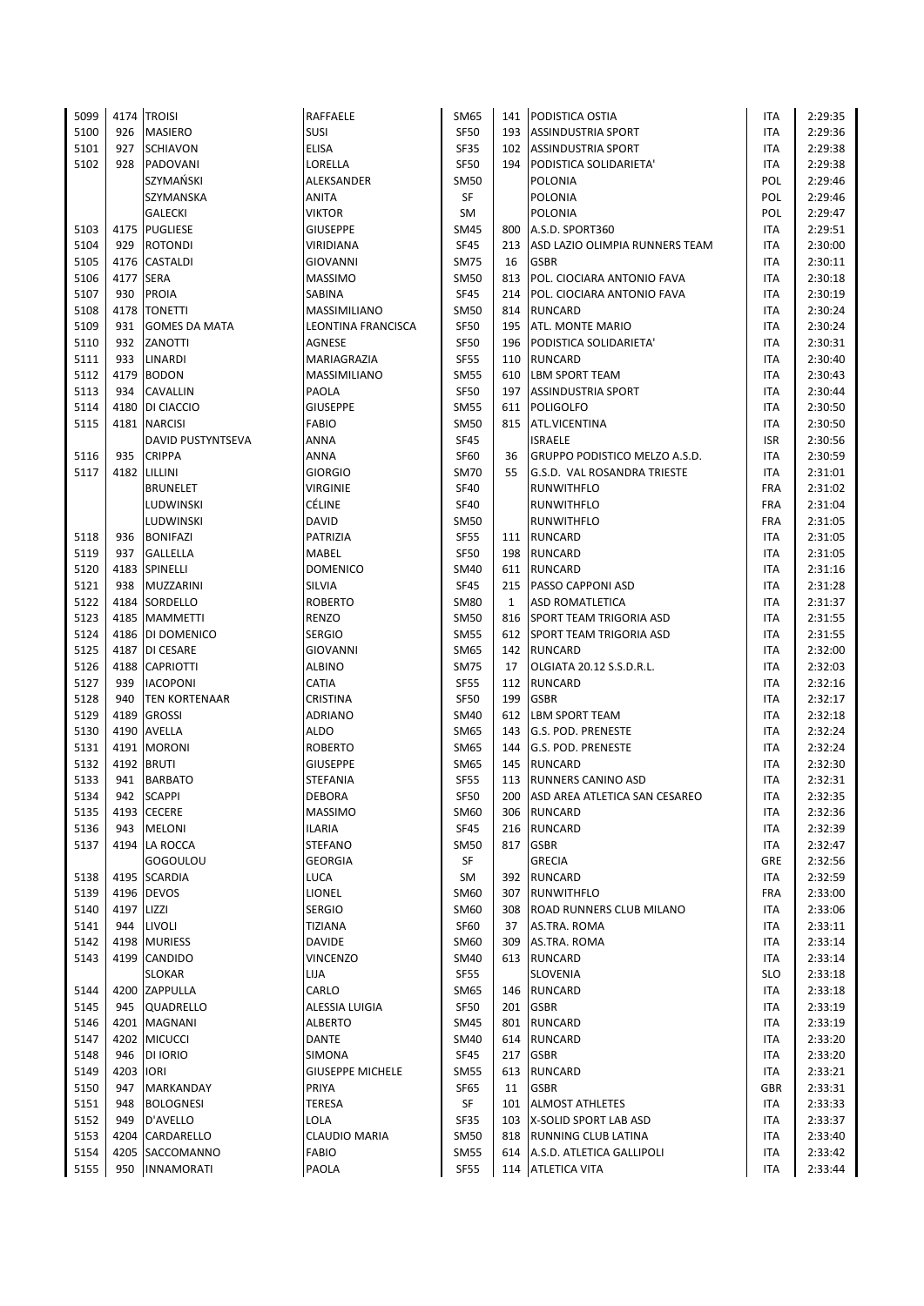| 5099 |            | 4174 TROISI          | RAFFAELE                | SM65        |     | 141 PODISTICA OSTIA                | ITA        | 2:29:35 |
|------|------------|----------------------|-------------------------|-------------|-----|------------------------------------|------------|---------|
| 5100 | 926        | <b>MASIERO</b>       | SUSI                    | <b>SF50</b> |     | 193 ASSINDUSTRIA SPORT             | ITA        | 2:29:36 |
| 5101 | 927        | <b>SCHIAVON</b>      | <b>ELISA</b>            | <b>SF35</b> |     | 102 ASSINDUSTRIA SPORT             | ITA        | 2:29:38 |
| 5102 | 928        | PADOVANI             | LORELLA                 | <b>SF50</b> |     | 194 PODISTICA SOLIDARIETA'         | <b>ITA</b> | 2:29:38 |
|      |            | SZYMAŃSKI            | ALEKSANDER              | <b>SM50</b> |     | <b>POLONIA</b>                     | POL        | 2:29:46 |
|      |            | SZYMANSKA            | ANITA                   | SF          |     | POLONIA                            | POL        | 2:29:46 |
|      |            | <b>GALECKI</b>       | <b>VIKTOR</b>           | SM          |     | <b>POLONIA</b>                     | POL        | 2:29:47 |
| 5103 |            | 4175 PUGLIESE        | <b>GIUSEPPE</b>         | SM45        | 800 | A.S.D. SPORT360                    | <b>ITA</b> | 2:29:51 |
| 5104 |            | 929 ROTONDI          | VIRIDIANA               | <b>SF45</b> |     | 213 ASD LAZIO OLIMPIA RUNNERS TEAM | <b>ITA</b> | 2:30:00 |
| 5105 |            | 4176 CASTALDI        | GIOVANNI                | <b>SM75</b> | 16  | <b>GSBR</b>                        | ITA        | 2:30:11 |
| 5106 | 4177       | <b>SERA</b>          | <b>MASSIMO</b>          | SM50        | 813 | POL. CIOCIARA ANTONIO FAVA         | ITA        | 2:30:18 |
| 5107 | 930        | <b>PROIA</b>         | <b>SABINA</b>           | <b>SF45</b> | 214 | POL. CIOCIARA ANTONIO FAVA         | <b>ITA</b> | 2:30:19 |
| 5108 | 4178       | <b>TONETTI</b>       | <b>MASSIMILIANO</b>     | SM50        | 814 | <b>RUNCARD</b>                     | <b>ITA</b> | 2:30:24 |
| 5109 | 931        | <b>GOMES DA MATA</b> | LEONTINA FRANCISCA      | <b>SF50</b> | 195 | <b>ATL. MONTE MARIO</b>            | ITA        | 2:30:24 |
|      | 932        | ZANOTTI              |                         | <b>SF50</b> |     |                                    |            |         |
| 5110 |            |                      | AGNESE                  |             | 196 | PODISTICA SOLIDARIETA'             | ITA        | 2:30:31 |
| 5111 | 933        | LINARDI              | MARIAGRAZIA             | <b>SF55</b> |     | 110 RUNCARD                        | <b>ITA</b> | 2:30:40 |
| 5112 | 4179       | <b>BODON</b>         | MASSIMILIANO            | SM55        | 610 | <b>LBM SPORT TEAM</b>              | ITA        | 2:30:43 |
| 5113 | 934        | CAVALLIN             | PAOLA                   | <b>SF50</b> | 197 | <b>ASSINDUSTRIA SPORT</b>          | <b>ITA</b> | 2:30:44 |
| 5114 | 4180       | DI CIACCIO           | <b>GIUSEPPE</b>         | SM55        | 611 | <b>POLIGOLFO</b>                   | ITA        | 2:30:50 |
| 5115 |            | 4181 NARCISI         | FABIO                   | SM50        |     | 815 ATL.VICENTINA                  | <b>ITA</b> | 2:30:50 |
|      |            | DAVID PUSTYNTSEVA    | <b>ANNA</b>             | <b>SF45</b> |     | <b>ISRAELE</b>                     | <b>ISR</b> | 2:30:56 |
| 5116 | 935        | <b>CRIPPA</b>        | ANNA                    | SF60        | 36  | GRUPPO PODISTICO MELZO A.S.D.      | ITA        | 2:30:59 |
| 5117 |            | 4182 LILLINI         | <b>GIORGIO</b>          | <b>SM70</b> | 55  | G.S.D. VAL ROSANDRA TRIESTE        | ITA        | 2:31:01 |
|      |            | <b>BRUNELET</b>      | <b>VIRGINIE</b>         | <b>SF40</b> |     | <b>RUNWITHFLO</b>                  | <b>FRA</b> | 2:31:02 |
|      |            | LUDWINSKI            | CÉLINE                  | <b>SF40</b> |     | RUNWITHFLO                         | <b>FRA</b> | 2:31:04 |
|      |            | LUDWINSKI            | DAVID                   | SM50        |     | RUNWITHFLO                         | <b>FRA</b> | 2:31:05 |
| 5118 | 936        | <b>BONIFAZI</b>      | PATRIZIA                | <b>SF55</b> |     | 111 RUNCARD                        | <b>ITA</b> | 2:31:05 |
| 5119 | 937        | <b>GALLELLA</b>      | MABEL                   | <b>SF50</b> | 198 | RUNCARD                            | ITA        | 2:31:05 |
| 5120 |            | 4183 SPINELLI        | <b>DOMENICO</b>         | SM40        |     | 611 RUNCARD                        | ITA        | 2:31:16 |
| 5121 | 938        | <b>MUZZARINI</b>     | SILVIA                  | <b>SF45</b> | 215 | <b>PASSO CAPPONI ASD</b>           | ITA        | 2:31:28 |
| 5122 |            | 4184 SORDELLO        | <b>ROBERTO</b>          | <b>SM80</b> | 1   | <b>ASD ROMATLETICA</b>             | ITA        | 2:31:37 |
| 5123 |            | 4185   MAMMETTI      | <b>RENZO</b>            | <b>SM50</b> | 816 | <b>SPORT TEAM TRIGORIA ASD</b>     | <b>ITA</b> | 2:31:55 |
|      |            | 4186 DI DOMENICO     | <b>SERGIO</b>           | <b>SM55</b> |     |                                    |            |         |
| 5124 |            |                      |                         |             |     | 612 SPORT TEAM TRIGORIA ASD        | ITA        | 2:31:55 |
| 5125 |            | 4187 DI CESARE       | <b>GIOVANNI</b>         | SM65        | 142 | <b>RUNCARD</b>                     | ITA        | 2:32:00 |
| 5126 |            | 4188 CAPRIOTTI       | <b>ALBINO</b>           | <b>SM75</b> | 17  | OLGIATA 20.12 S.S.D.R.L.           | <b>ITA</b> | 2:32:03 |
| 5127 | 939        | <b>IACOPONI</b>      | CATIA                   | <b>SF55</b> | 112 | <b>RUNCARD</b>                     | ITA        | 2:32:16 |
| 5128 | 940        | <b>TEN KORTENAAR</b> | CRISTINA                | <b>SF50</b> | 199 | <b>GSBR</b>                        | ITA        | 2:32:17 |
| 5129 | 4189       | <b>GROSSI</b>        | ADRIANO                 | <b>SM40</b> | 612 | <b>LBM SPORT TEAM</b>              | ITA        | 2:32:18 |
| 5130 |            | 4190 AVELLA          | <b>ALDO</b>             | SM65        | 143 | G.S. POD. PRENESTE                 | ITA        | 2:32:24 |
| 5131 |            | 4191 MORONI          | <b>ROBERTO</b>          | SM65        | 144 | G.S. POD. PRENESTE                 | ITA        | 2:32:24 |
| 5132 |            | 4192 BRUTI           | <b>GIUSEPPE</b>         | SM65        | 145 | <b>RUNCARD</b>                     | ITA        | 2:32:30 |
| 5133 | 941        | <b>BARBATO</b>       | STEFANIA                | <b>SF55</b> | 113 | RUNNERS CANINO ASD                 | ITA        | 2:32:31 |
| 5134 |            | 942 SCAPPI           | <b>DEBORA</b>           | <b>SF50</b> |     | 200 ASD AREA ATLETICA SAN CESAREO  | <b>ITA</b> | 2:32:35 |
| 5135 |            | 4193 CECERE          | <b>MASSIMO</b>          | SM60        | 306 | <b>RUNCARD</b>                     | ITA        | 2:32:36 |
| 5136 | 943        | <b>MELONI</b>        | <b>ILARIA</b>           | <b>SF45</b> | 216 | <b>RUNCARD</b>                     | ITA        | 2:32:39 |
| 5137 |            | 4194 LA ROCCA        | <b>STEFANO</b>          | SM50        |     | 817 GSBR                           | <b>ITA</b> | 2:32:47 |
|      |            | GOGOULOU             | <b>GEORGIA</b>          | SF          |     | <b>GRECIA</b>                      | GRE        | 2:32:56 |
| 5138 |            | 4195 SCARDIA         | <b>LUCA</b>             | SM          | 392 | <b>RUNCARD</b>                     | ITA        | 2:32:59 |
| 5139 |            | 4196 DEVOS           | LIONEL                  | SM60        | 307 | <b>RUNWITHFLO</b>                  | <b>FRA</b> | 2:33:00 |
| 5140 | 4197 LIZZI |                      | <b>SERGIO</b>           | SM60        | 308 | <b>ROAD RUNNERS CLUB MILANO</b>    | ITA        | 2:33:06 |
| 5141 | 944        | LIVOLI               | <b>TIZIANA</b>          | SF60        | 37  | AS.TRA. ROMA                       | ITA        | 2:33:11 |
| 5142 | 4198       | <b>MURIESS</b>       | <b>DAVIDE</b>           | SM60        | 309 | AS.TRA. ROMA                       | ITA        | 2:33:14 |
| 5143 | 4199       | CANDIDO              | <b>VINCENZO</b>         | SM40        | 613 | <b>RUNCARD</b>                     | ITA        | 2:33:14 |
|      |            | <b>SLOKAR</b>        | LIJA                    | <b>SF55</b> |     | SLOVENIA                           | <b>SLO</b> | 2:33:18 |
| 5144 |            | 4200 ZAPPULLA        | CARLO                   | SM65        | 146 | <b>RUNCARD</b>                     | ITA        | 2:33:18 |
| 5145 | 945        | <b>QUADRELLO</b>     | ALESSIA LUIGIA          | <b>SF50</b> | 201 | <b>GSBR</b>                        | ITA        | 2:33:19 |
| 5146 |            | 4201 MAGNANI         | <b>ALBERTO</b>          | SM45        | 801 | <b>RUNCARD</b>                     | ITA        | 2:33:19 |
| 5147 |            | 4202 MICUCCI         | DANTE                   | <b>SM40</b> | 614 | <b>RUNCARD</b>                     | ITA        | 2:33:20 |
| 5148 | 946        | DI IORIO             | SIMONA                  | <b>SF45</b> |     | 217 GSBR                           | ITA        | 2:33:20 |
| 5149 | 4203       | <b>IORI</b>          | <b>GIUSEPPE MICHELE</b> | SM55        | 613 | <b>RUNCARD</b>                     | ITA        | 2:33:21 |
|      |            |                      |                         |             |     |                                    |            |         |
| 5150 | 947        | MARKANDAY            | PRIYA                   | <b>SF65</b> | 11  | <b>GSBR</b>                        | <b>GBR</b> | 2:33:31 |
| 5151 | 948        | <b>BOLOGNESI</b>     | TERESA                  | SF          | 101 | <b>ALMOST ATHLETES</b>             | <b>ITA</b> | 2:33:33 |
| 5152 | 949        | D'AVELLO             | LOLA                    | <b>SF35</b> |     | 103   X-SOLID SPORT LAB ASD        | ITA        | 2:33:37 |
| 5153 | 4204       | CARDARELLO           | <b>CLAUDIO MARIA</b>    | <b>SM50</b> | 818 | <b>RUNNING CLUB LATINA</b>         | ITA        | 2:33:40 |
| 5154 |            | 4205 SACCOMANNO      | <b>FABIO</b>            | <b>SM55</b> | 614 | A.S.D. ATLETICA GALLIPOLI          | <b>ITA</b> | 2:33:42 |
| 5155 |            | 950   INNAMORATI     | PAOLA                   | <b>SF55</b> |     | 114 ATLETICA VITA                  | <b>ITA</b> | 2:33:44 |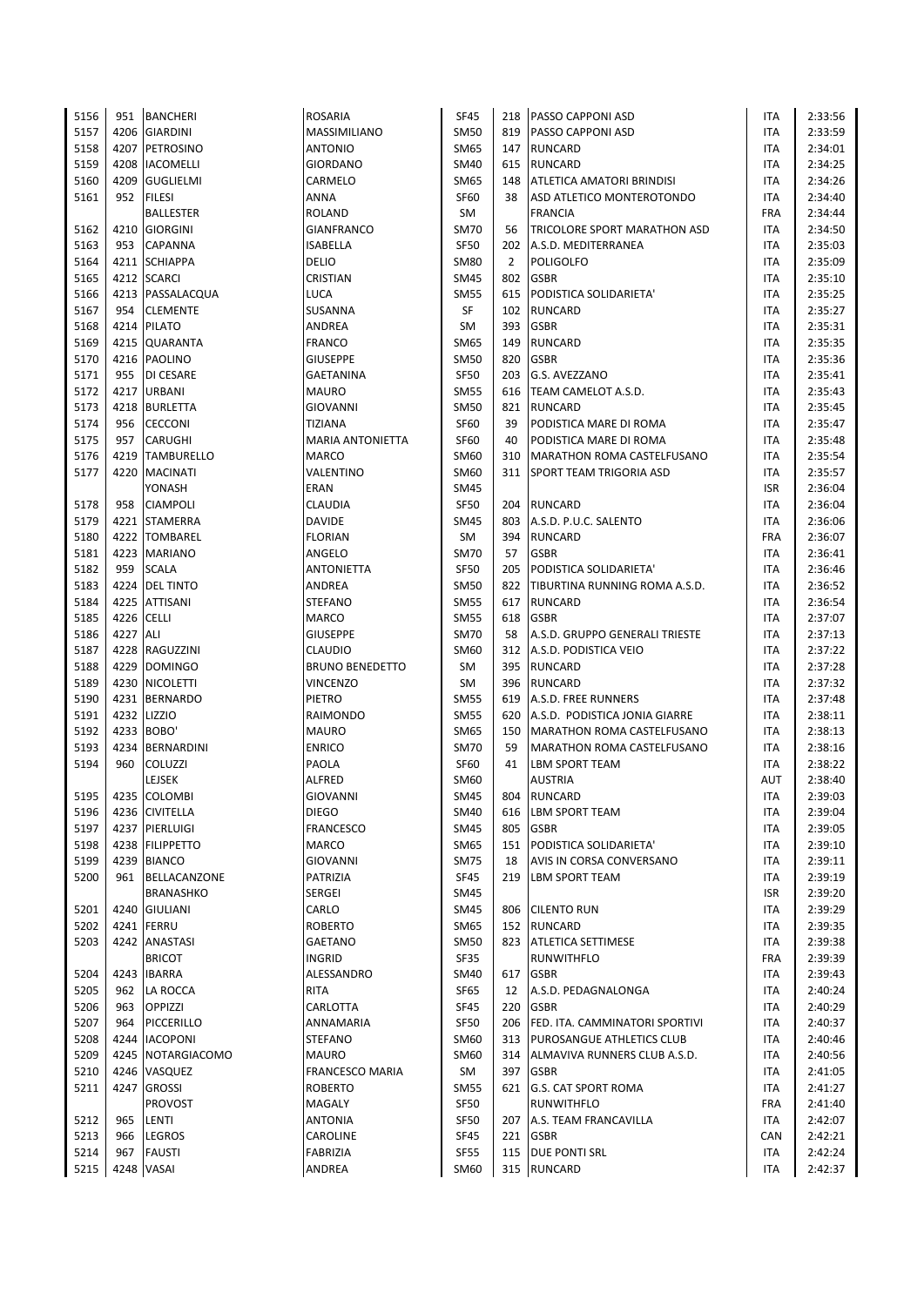| 5156 | 951        | <b>BANCHERI</b>                | <b>ROSARIA</b>          | <b>SF45</b>         |            | 218 PASSO CAPPONI ASD              | <b>ITA</b>               | 2:33:56 |
|------|------------|--------------------------------|-------------------------|---------------------|------------|------------------------------------|--------------------------|---------|
| 5157 |            | 4206 GIARDINI                  | MASSIMILIANO            | <b>SM50</b>         |            | 819   PASSO CAPPONI ASD            | <b>ITA</b>               | 2:33:59 |
| 5158 | 4207       | PETROSINO                      | <b>ANTONIO</b>          | SM65                |            | 147 RUNCARD                        | <b>ITA</b>               | 2:34:01 |
| 5159 | 4208       | <b>IACOMELLI</b>               | <b>GIORDANO</b>         | SM40                |            | 615 RUNCARD                        | ITA                      | 2:34:25 |
| 5160 | 4209       | <b>GUGLIELMI</b>               | CARMELO                 | SM65                | 148        | <b>ATLETICA AMATORI BRINDISI</b>   | <b>ITA</b>               | 2:34:26 |
| 5161 | 952        | <b>FILESI</b>                  | ANNA                    | <b>SF60</b>         | 38         | ASD ATLETICO MONTEROTONDO          | ITA                      | 2:34:40 |
|      |            | <b>BALLESTER</b>               | <b>ROLAND</b>           | SM                  |            | <b>FRANCIA</b>                     | <b>FRA</b>               | 2:34:44 |
| 5162 | 4210       | <b>GIORGINI</b>                | GIANFRANCO              | <b>SM70</b>         | 56         | TRICOLORE SPORT MARATHON ASD       | ITA                      | 2:34:50 |
| 5163 | 953        | CAPANNA                        | ISABELLA                | <b>SF50</b>         | 202        | A.S.D. MEDITERRANEA                | ITA                      | 2:35:03 |
| 5164 |            | 4211 SCHIAPPA                  | DELIO                   | <b>SM80</b>         | 2          | <b>POLIGOLFO</b>                   | <b>ITA</b>               | 2:35:09 |
| 5165 |            | 4212 SCARCI                    | CRISTIAN                | SM45                | 802        | <b>GSBR</b>                        | ITA                      | 2:35:10 |
| 5166 |            | 4213 PASSALACQUA               | LUCA                    | <b>SM55</b>         | 615        | PODISTICA SOLIDARIETA'             | <b>ITA</b>               | 2:35:25 |
| 5167 | 954        | <b>CLEMENTE</b>                | <b>SUSANNA</b>          | SF                  |            | 102 RUNCARD                        | <b>ITA</b>               | 2:35:27 |
| 5168 |            | 4214 PILATO                    | ANDREA                  | SM                  | 393        | <b>GSBR</b>                        | ITA                      | 2:35:31 |
| 5169 |            | 4215 QUARANTA                  | <b>FRANCO</b>           | SM65                | 149        | <b>RUNCARD</b>                     | ITA                      | 2:35:35 |
| 5170 |            | 4216 PAOLINO                   | <b>GIUSEPPE</b>         | <b>SM50</b>         | 820        | <b>GSBR</b>                        | ITA                      | 2:35:36 |
| 5171 | 955        | <b>DI CESARE</b>               | <b>GAETANINA</b>        | <b>SF50</b>         | 203        | G.S. AVEZZANO                      | <b>ITA</b>               | 2:35:41 |
| 5172 |            | 4217 URBANI                    | <b>MAURO</b>            | <b>SM55</b>         |            | 616 TEAM CAMELOT A.S.D.            | <b>ITA</b>               | 2:35:43 |
| 5173 |            | 4218 BURLETTA                  | <b>GIOVANNI</b>         | <b>SM50</b>         | 821        | <b>RUNCARD</b>                     | ITA                      | 2:35:45 |
| 5174 | 956        | <b>CECCONI</b>                 | TIZIANA                 | <b>SF60</b>         | 39         | PODISTICA MARE DI ROMA             | <b>ITA</b>               | 2:35:47 |
| 5175 | 957        | <b>CARUGHI</b>                 | <b>MARIA ANTONIETTA</b> | <b>SF60</b>         | 40         | PODISTICA MARE DI ROMA             | <b>ITA</b>               | 2:35:48 |
| 5176 |            | 4219 TAMBURELLO                | <b>MARCO</b>            | <b>SM60</b>         | 310        | <b>MARATHON ROMA CASTELFUSANO</b>  | <b>ITA</b>               | 2:35:54 |
| 5177 | 4220       | <b>MACINATI</b>                | VALENTINO               | SM60                |            | 311 SPORT TEAM TRIGORIA ASD        | ITA                      | 2:35:57 |
|      |            | YONASH                         | ERAN                    | <b>SM45</b>         |            |                                    | <b>ISR</b>               | 2:36:04 |
| 5178 | 958        | <b>CIAMPOLI</b>                | CLAUDIA                 | <b>SF50</b>         | 204        | <b>RUNCARD</b>                     | <b>ITA</b>               | 2:36:04 |
| 5179 |            | 4221 STAMERRA                  | <b>DAVIDE</b>           | <b>SM45</b>         | 803        | A.S.D. P.U.C. SALENTO              | <b>ITA</b>               | 2:36:06 |
| 5180 | 4222       | <b>TOMBAREL</b>                | <b>FLORIAN</b>          | SM                  | 394        | <b>RUNCARD</b>                     | <b>FRA</b>               | 2:36:07 |
| 5181 |            | 4223 MARIANO                   | ANGELO                  | <b>SM70</b>         | 57         | <b>GSBR</b>                        | <b>ITA</b>               | 2:36:41 |
| 5182 | 959        | <b>SCALA</b>                   | <b>ANTONIETTA</b>       | <b>SF50</b>         | 205        | PODISTICA SOLIDARIETA'             | ITA                      | 2:36:46 |
| 5183 |            | 4224 DEL TINTO                 | ANDREA                  | <b>SM50</b>         | 822        | TIBURTINA RUNNING ROMA A.S.D.      | ITA                      | 2:36:52 |
| 5184 |            | 4225 ATTISANI                  | <b>STEFANO</b>          | <b>SM55</b>         | 617        | <b>RUNCARD</b>                     | ITA                      | 2:36:54 |
| 5185 | 4226 CELLI |                                | MARCO                   | <b>SM55</b>         | 618        | <b>GSBR</b>                        | <b>ITA</b>               | 2:37:07 |
| 5186 | 4227 ALI   |                                | <b>GIUSEPPE</b>         | <b>SM70</b>         | 58         | A.S.D. GRUPPO GENERALI TRIESTE     | ITA                      | 2:37:13 |
| 5187 |            | 4228 RAGUZZINI                 | <b>CLAUDIO</b>          | SM60                | 312        | A.S.D. PODISTICA VEIO              | ITA                      | 2:37:22 |
| 5188 |            | 4229 DOMINGO                   | <b>BRUNO BENEDETTO</b>  | SM                  |            | 395 RUNCARD                        | ITA                      | 2:37:28 |
| 5189 |            | 4230 NICOLETTI                 | VINCENZO                | SM                  |            | 396 RUNCARD                        | ITA                      | 2:37:32 |
| 5190 |            | 4231 BERNARDO                  | PIETRO                  | <b>SM55</b>         |            | 619 A.S.D. FREE RUNNERS            | ITA                      | 2:37:48 |
| 5191 |            | 4232 LIZZIO                    | RAIMONDO                | <b>SM55</b>         | 620        | A.S.D. PODISTICA JONIA GIARRE      | ITA                      | 2:38:11 |
| 5192 |            | 4233 BOBO'                     | <b>MAURO</b>            | <b>SM65</b>         | 150        | MARATHON ROMA CASTELFUSANO         | ITA                      | 2:38:13 |
| 5193 |            | 4234 BERNARDINI                | <b>ENRICO</b>           | <b>SM70</b>         | 59         | <b>MARATHON ROMA CASTELFUSANO</b>  | ITA                      | 2:38:16 |
| 5194 | 960        | <b>COLUZZI</b>                 | PAOLA                   | SF60                | 41         | <b>LBM SPORT TEAM</b>              | ITA                      | 2:38:22 |
|      |            | LEJSEK                         | <b>ALFRED</b>           |                     |            | <b>AUSTRIA</b>                     | AUT                      | 2:38:40 |
| 5195 |            | 4235 COLOMBI                   | <b>GIOVANNI</b>         | SM60<br><b>SM45</b> |            | 804 RUNCARD                        | <b>ITA</b>               | 2:39:03 |
| 5196 |            | 4236 CIVITELLA                 | <b>DIEGO</b>            | <b>SM40</b>         |            | <b>LBM SPORT TEAM</b>              |                          | 2:39:04 |
|      |            | 4237 PIERLUIGI                 |                         | <b>SM45</b>         | 616<br>805 | <b>GSBR</b>                        | ITA<br><b>ITA</b>        |         |
| 5197 |            |                                | <b>FRANCESCO</b>        |                     |            |                                    |                          | 2:39:05 |
| 5198 |            | 4238 FILIPPETTO<br>4239 BIANCO | <b>MARCO</b>            | SM65                | 151        | PODISTICA SOLIDARIETA'             | <b>ITA</b><br><b>ITA</b> | 2:39:10 |
| 5199 |            |                                | <b>GIOVANNI</b>         | <b>SM75</b>         | 18         | AVIS IN CORSA CONVERSANO           |                          | 2:39:11 |
| 5200 |            | 961 BELLACANZONE               | PATRIZIA                | <b>SF45</b>         |            | 219 LBM SPORT TEAM                 | ITA                      | 2:39:19 |
|      |            | <b>BRANASHKO</b>               | SERGEI                  | <b>SM45</b>         |            |                                    | <b>ISR</b>               | 2:39:20 |
| 5201 |            | 4240 GIULIANI                  | CARLO                   | <b>SM45</b>         | 806        | <b>CILENTO RUN</b>                 | ITA                      | 2:39:29 |
| 5202 |            | 4241 FERRU                     | <b>ROBERTO</b>          | SM65                |            | 152 RUNCARD                        | <b>ITA</b>               | 2:39:35 |
| 5203 |            | 4242 ANASTASI                  | <b>GAETANO</b>          | <b>SM50</b>         |            | 823 ATLETICA SETTIMESE             | ITA                      | 2:39:38 |
|      |            | <b>BRICOT</b>                  | <b>INGRID</b>           | <b>SF35</b>         |            | <b>RUNWITHFLO</b>                  | <b>FRA</b>               | 2:39:39 |
| 5204 | 4243       | <b>IBARRA</b>                  | ALESSANDRO              | SM40                | 617        | <b>GSBR</b>                        | ITA                      | 2:39:43 |
| 5205 | 962        | LA ROCCA                       | RITA                    | SF65                | 12         | A.S.D. PEDAGNALONGA                | ITA                      | 2:40:24 |
| 5206 | 963        | <b>OPPIZZI</b>                 | CARLOTTA                | <b>SF45</b>         | 220        | <b>GSBR</b>                        | ITA                      | 2:40:29 |
| 5207 | 964        | PICCERILLO                     | ANNAMARIA               | SF50                |            | 206 FED. ITA. CAMMINATORI SPORTIVI | ITA                      | 2:40:37 |
| 5208 |            | 4244   IACOPONI                | <b>STEFANO</b>          | SM60                |            | 313 PUROSANGUE ATHLETICS CLUB      | ITA                      | 2:40:46 |
| 5209 |            | 4245 NOTARGIACOMO              | <b>MAURO</b>            | SM60                |            | 314 ALMAVIVA RUNNERS CLUB A.S.D.   | ITA                      | 2:40:56 |
| 5210 |            | 4246 VASQUEZ                   | FRANCESCO MARIA         | SM                  |            | 397 GSBR                           | ITA                      | 2:41:05 |
| 5211 |            | 4247 GROSSI                    | <b>ROBERTO</b>          | <b>SM55</b>         |            | 621 G.S. CAT SPORT ROMA            | ITA                      | 2:41:27 |
|      |            | PROVOST                        | MAGALY                  | <b>SF50</b>         |            | <b>RUNWITHFLO</b>                  | <b>FRA</b>               | 2:41:40 |
| 5212 | 965        | LENTI                          | ANTONIA                 | <b>SF50</b>         | 207        | A.S. TEAM FRANCAVILLA              | ITA                      | 2:42:07 |
| 5213 | 966        | <b>LEGROS</b>                  | CAROLINE                | SF45                |            | 221 GSBR                           | CAN                      | 2:42:21 |
| 5214 | 967        | <b>FAUSTI</b>                  | FABRIZIA                | <b>SF55</b>         |            | 115 DUE PONTI SRL                  | ITA                      | 2:42:24 |
| 5215 |            | 4248 VASAI                     | ANDREA                  | SM60                |            | 315 RUNCARD                        | ITA                      | 2:42:37 |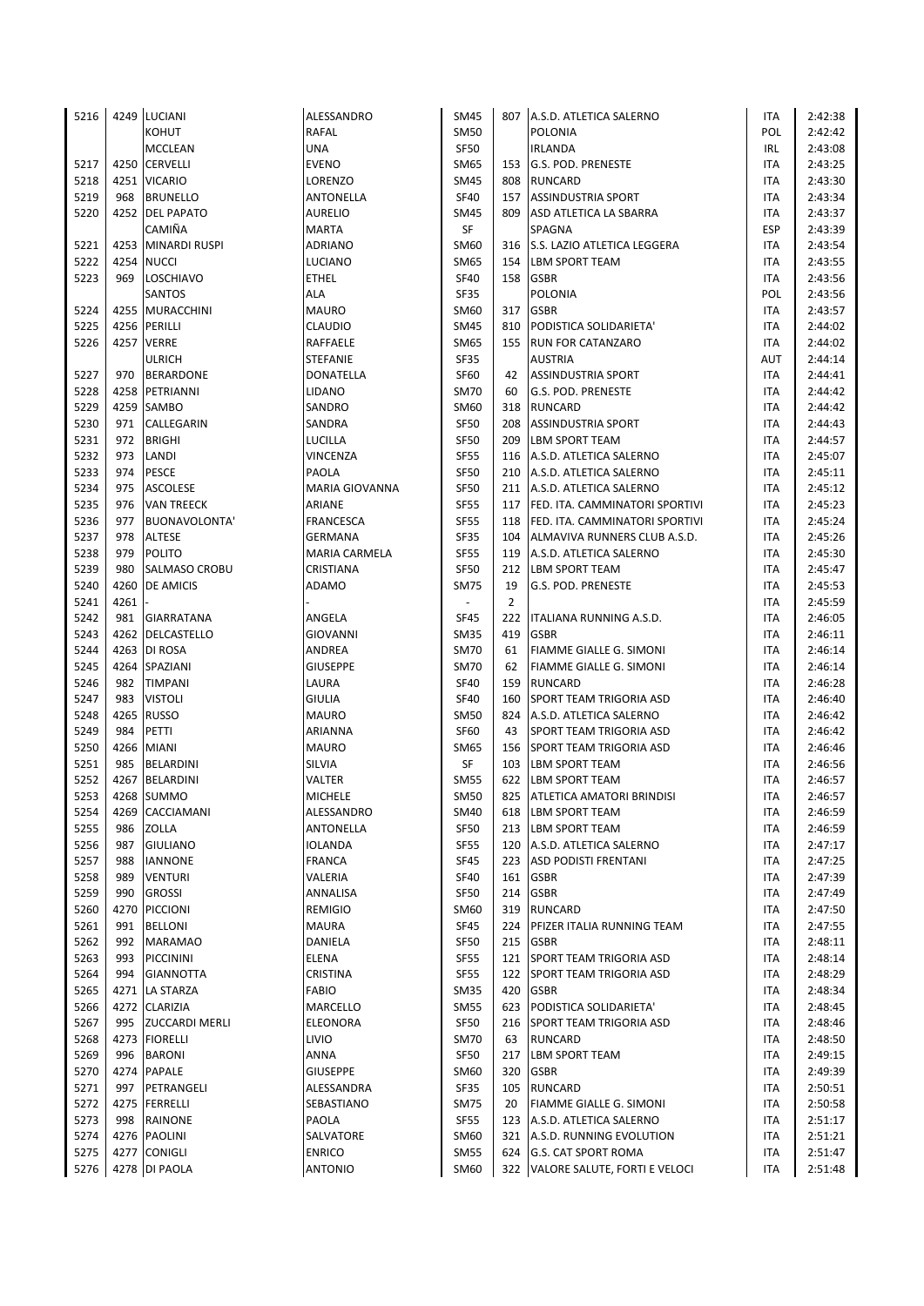| 5216         |             | 4249 LUCIANI                         | ALESSANDRO        | <b>SM45</b>         |                | 807 A.S.D. ATLETICA SALERNO                                   | <b>ITA</b> | 2:42:38            |
|--------------|-------------|--------------------------------------|-------------------|---------------------|----------------|---------------------------------------------------------------|------------|--------------------|
|              |             | KOHUT                                | RAFAL             | <b>SM50</b>         |                | <b>POLONIA</b>                                                | POL        | 2:42:42            |
|              |             | <b>MCCLEAN</b>                       | <b>UNA</b>        | SF50                |                | <b>IRLANDA</b>                                                | IRL        | 2:43:08            |
| 5217         |             | 4250 CERVELLI                        | <b>EVENO</b>      | SM65                |                | 153 G.S. POD. PRENESTE                                        | ITA        | 2:43:25            |
| 5218         |             | 4251 VICARIO                         | LORENZO           | <b>SM45</b>         |                | 808 RUNCARD                                                   | ITA        | 2:43:30            |
| 5219         | 968         | <b>BRUNELLO</b>                      | ANTONELLA         | <b>SF40</b>         |                | 157 ASSINDUSTRIA SPORT                                        | ITA        | 2:43:34            |
| 5220         | 4252        | <b>DEL PAPATO</b>                    | <b>AURELIO</b>    | <b>SM45</b>         | 809            | ASD ATLETICA LA SBARRA                                        | ITA        | 2:43:37            |
|              |             | CAMIÑA                               | <b>MARTA</b>      | SF                  |                | SPAGNA                                                        | <b>ESP</b> | 2:43:39            |
| 5221         | 4253        | <b>MINARDI RUSPI</b>                 | <b>ADRIANO</b>    | SM60                |                | 316 S.S. LAZIO ATLETICA LEGGERA                               | <b>ITA</b> | 2:43:54            |
| 5222         | 4254        | <b>NUCCI</b>                         | LUCIANO           | SM65                | 154            | <b>LBM SPORT TEAM</b>                                         | <b>ITA</b> | 2:43:55            |
| 5223         | 969         | LOSCHIAVO                            | <b>ETHEL</b>      | <b>SF40</b>         |                | 158 GSBR                                                      | ITA        | 2:43:56            |
|              |             | SANTOS                               | ALA               | SF35                |                | POLONIA                                                       | POL        | 2:43:56            |
| 5224         |             | 4255 MURACCHINI                      | MAURO             | SM60                | 317            | <b>GSBR</b>                                                   | ITA        | 2:43:57            |
| 5225         |             | 4256 PERILLI                         | <b>CLAUDIO</b>    | <b>SM45</b>         |                | 810 PODISTICA SOLIDARIETA'                                    | <b>ITA</b> | 2:44:02            |
| 5226         | 4257        | <b>VERRE</b>                         | RAFFAELE          | <b>SM65</b>         |                | 155 RUN FOR CATANZARO                                         | <b>ITA</b> | 2:44:02            |
|              |             | <b>ULRICH</b>                        | <b>STEFANIE</b>   | <b>SF35</b>         |                | <b>AUSTRIA</b>                                                | AUT        | 2:44:14            |
| 5227         | 970         | <b>BERARDONE</b>                     | DONATELLA         | <b>SF60</b>         | 42             | <b>ASSINDUSTRIA SPORT</b>                                     | ITA        | 2:44:41            |
| 5228         | 4258        | PETRIANNI                            | LIDANO            | <b>SM70</b>         | 60             | G.S. POD. PRENESTE                                            | ITA        | 2:44:42            |
| 5229         | 4259        | SAMBO                                | SANDRO            | SM60                | 318            | <b>RUNCARD</b>                                                | ITA        | 2:44:42            |
| 5230         | 971         | CALLEGARIN                           | SANDRA            | SF50                |                | 208 ASSINDUSTRIA SPORT                                        | ITA        | 2:44:43            |
| 5231         | 972         | <b>BRIGHI</b>                        | LUCILLA           | <b>SF50</b>         | 209            | <b>LBM SPORT TEAM</b>                                         | ITA        | 2:44:57            |
| 5232         | 973         | LANDI                                | <b>VINCENZA</b>   | <b>SF55</b>         |                | 116 A.S.D. ATLETICA SALERNO                                   | <b>ITA</b> | 2:45:07            |
| 5233         | 974         | <b>PESCE</b>                         | PAOLA             | <b>SF50</b>         |                | 210 A.S.D. ATLETICA SALERNO                                   | ITA        | 2:45:11            |
| 5234         | 975         | <b>ASCOLESE</b>                      | MARIA GIOVANNA    | <b>SF50</b>         |                | 211 A.S.D. ATLETICA SALERNO                                   | ITA        | 2:45:12            |
| 5235         | 976         | <b>VAN TREECK</b>                    | <b>ARIANE</b>     | <b>SF55</b>         |                | 117 FED. ITA. CAMMINATORI SPORTIVI                            | ITA        | 2:45:23            |
| 5236         | 977         | BUONAVOLONTA'                        | FRANCESCA         | <b>SF55</b>         |                | 118 FED. ITA. CAMMINATORI SPORTIVI                            | ITA        | 2:45:24            |
| 5237         | 978         | ALTESE                               | GERMANA           | <b>SF35</b>         | 104            | ALMAVIVA RUNNERS CLUB A.S.D.                                  | ITA        | 2:45:26            |
| 5238         | 979         | <b>POLITO</b>                        | MARIA CARMELA     | <b>SF55</b>         |                | 119 A.S.D. ATLETICA SALERNO                                   | ITA        | 2:45:30            |
| 5239         | 980         | <b>SALMASO CROBU</b>                 | CRISTIANA         | <b>SF50</b>         |                | 212 LBM SPORT TEAM                                            | ITA        | 2:45:47            |
| 5240         | 4260        | DE AMICIS                            | <b>ADAMO</b>      | <b>SM75</b>         | 19             | G.S. POD. PRENESTE                                            | ITA        | 2:45:53            |
| 5241         | 4261        |                                      |                   | $\omega$            | $\overline{2}$ |                                                               | ITA        | 2:45:59            |
| 5242         | 981         | <b>GIARRATANA</b>                    | ANGELA            | <b>SF45</b>         |                | 222 ITALIANA RUNNING A.S.D.                                   | <b>ITA</b> | 2:46:05            |
| 5243         | 4262        | DELCASTELLO                          | <b>GIOVANNI</b>   | <b>SM35</b>         | 419            | <b>GSBR</b>                                                   | ITA        | 2:46:11            |
| 5244         | 4263        | DI ROSA                              | ANDREA            | <b>SM70</b>         | 61             | <b>FIAMME GIALLE G. SIMONI</b>                                | ITA        | 2:46:14            |
| 5245         | 4264        | SPAZIANI                             | <b>GIUSEPPE</b>   | <b>SM70</b>         | 62             | <b>FIAMME GIALLE G. SIMONI</b>                                | ITA        | 2:46:14            |
| 5246         | 982         | <b>TIMPANI</b>                       | LAURA             | <b>SF40</b>         |                | 159 RUNCARD                                                   | <b>ITA</b> | 2:46:28            |
| 5247         | 983         | <b>VISTOLI</b>                       | GIULIA            | <b>SF40</b>         | 160            | SPORT TEAM TRIGORIA ASD                                       | <b>ITA</b> | 2:46:40            |
| 5248         | 4265        | <b>RUSSO</b>                         | <b>MAURO</b>      | <b>SM50</b>         | 824            | A.S.D. ATLETICA SALERNO                                       | ITA        | 2:46:42            |
| 5249         | 984         | PETTI                                | ARIANNA           | <b>SF60</b>         | 43             | SPORT TEAM TRIGORIA ASD                                       | <b>ITA</b> | 2:46:42            |
| 5250         | 4266        | <b>MIANI</b>                         | <b>MAURO</b>      | SM65                |                | 156 SPORT TEAM TRIGORIA ASD                                   | <b>ITA</b> | 2:46:46            |
| 5251         | 985         | BELARDINI                            | SILVIA            | SF                  |                | 103 LBM SPORT TEAM                                            | ITA        | 2:46:56            |
| 5252         | 4267        | <b>BELARDINI</b>                     | VALTER            | <b>SM55</b>         | 622            | <b>LBM SPORT TEAM</b>                                         | <b>ITA</b> | 2:46:57            |
| 5253         |             | 4268 SUMMO                           | <b>MICHELE</b>    | <b>SM50</b>         |                | 825 ATLETICA AMATORI BRINDISI                                 | <b>ITA</b> | 2:46:57            |
| 5254         | 4269        | CACCIAMANI                           | ALESSANDRO        | <b>SM40</b>         | 618            | LBM SPORT TEAM                                                | ITA        | 2:46:59            |
| 5255         | 986         | ZOLLA                                | ANTONELLA         | <b>SF50</b>         | 213            | <b>LBM SPORT TEAM</b>                                         | ITA        | 2:46:59            |
| 5256         | 987         | <b>GIULIANO</b>                      | <b>IOLANDA</b>    | <b>SF55</b>         | 120            | A.S.D. ATLETICA SALERNO                                       | ITA        | 2:47:17            |
| 5257         | 988         | <b>IANNONE</b>                       | <b>FRANCA</b>     | SF45                |                | 223 ASD PODISTI FRENTANI                                      | ITA        | 2:47:25            |
| 5258         | 989         | <b>VENTURI</b>                       | VALERIA           | <b>SF40</b>         | 161            | <b>GSBR</b>                                                   | ITA        | 2:47:39            |
| 5259         | 990         | <b>GROSSI</b>                        | ANNALISA          | <b>SF50</b>         | 214            | <b>GSBR</b><br><b>RUNCARD</b>                                 | ITA        | 2:47:49            |
| 5260<br>5261 | 4270<br>991 | <b>PICCIONI</b><br><b>BELLONI</b>    | <b>REMIGIO</b>    | SM60<br>SF45        | 319            |                                                               | ITA        | 2:47:50            |
|              |             |                                      | MAURA             |                     |                | 224 PFIZER ITALIA RUNNING TEAM                                | ITA        | 2:47:55            |
| 5262<br>5263 | 992<br>993  | <b>MARAMAO</b>                       | DANIELA           | <b>SF50</b>         |                | 215 GSBR                                                      | ITA        | 2:48:11<br>2:48:14 |
| 5264         | 994         | <b>PICCININI</b><br><b>GIANNOTTA</b> | ELENA<br>CRISTINA | SF55<br><b>SF55</b> | 122            | 121 SPORT TEAM TRIGORIA ASD<br><b>SPORT TEAM TRIGORIA ASD</b> | ITA<br>ITA | 2:48:29            |
| 5265         |             | 4271 LA STARZA                       | <b>FABIO</b>      | <b>SM35</b>         | 420            | <b>GSBR</b>                                                   | ITA        | 2:48:34            |
| 5266         |             | 4272 CLARIZIA                        | MARCELLO          | <b>SM55</b>         | 623            | PODISTICA SOLIDARIETA'                                        | ITA        | 2:48:45            |
| 5267         | 995         | <b>ZUCCARDI MERLI</b>                | ELEONORA          | <b>SF50</b>         |                | 216 SPORT TEAM TRIGORIA ASD                                   | ITA        | 2:48:46            |
| 5268         |             | 4273 FIORELLI                        | LIVIO             | <b>SM70</b>         | 63             | <b>RUNCARD</b>                                                | ITA        | 2:48:50            |
| 5269         | 996         | <b>BARONI</b>                        | ANNA              | SF50                | 217            | <b>LBM SPORT TEAM</b>                                         | ITA        | 2:49:15            |
| 5270         | 4274        | PAPALE                               | <b>GIUSEPPE</b>   | SM60                | 320            | <b>GSBR</b>                                                   | ITA        | 2:49:39            |
| 5271         | 997         | PETRANGELI                           | ALESSANDRA        | SF35                | 105            | <b>RUNCARD</b>                                                | ITA        | 2:50:51            |
| 5272         | 4275        | <b>FERRELLI</b>                      | SEBASTIANO        | <b>SM75</b>         | 20             | <b>FIAMME GIALLE G. SIMONI</b>                                | ITA        | 2:50:58            |
| 5273         | 998         | <b>RAINONE</b>                       | PAOLA             | SF55                | 123            | A.S.D. ATLETICA SALERNO                                       | ITA        | 2:51:17            |
| 5274         |             | 4276 PAOLINI                         | SALVATORE         | SM60                | 321            | A.S.D. RUNNING EVOLUTION                                      | ITA        | 2:51:21            |
| 5275         | 4277        | <b>CONIGLI</b>                       | <b>ENRICO</b>     | <b>SM55</b>         |                | 624 G.S. CAT SPORT ROMA                                       | ITA        | 2:51:47            |
| 5276         |             | 4278 DI PAOLA                        | <b>ANTONIO</b>    | SM60                |                | 322 VALORE SALUTE, FORTI E VELOCI                             | <b>ITA</b> | 2:51:48            |
|              |             |                                      |                   |                     |                |                                                               |            |                    |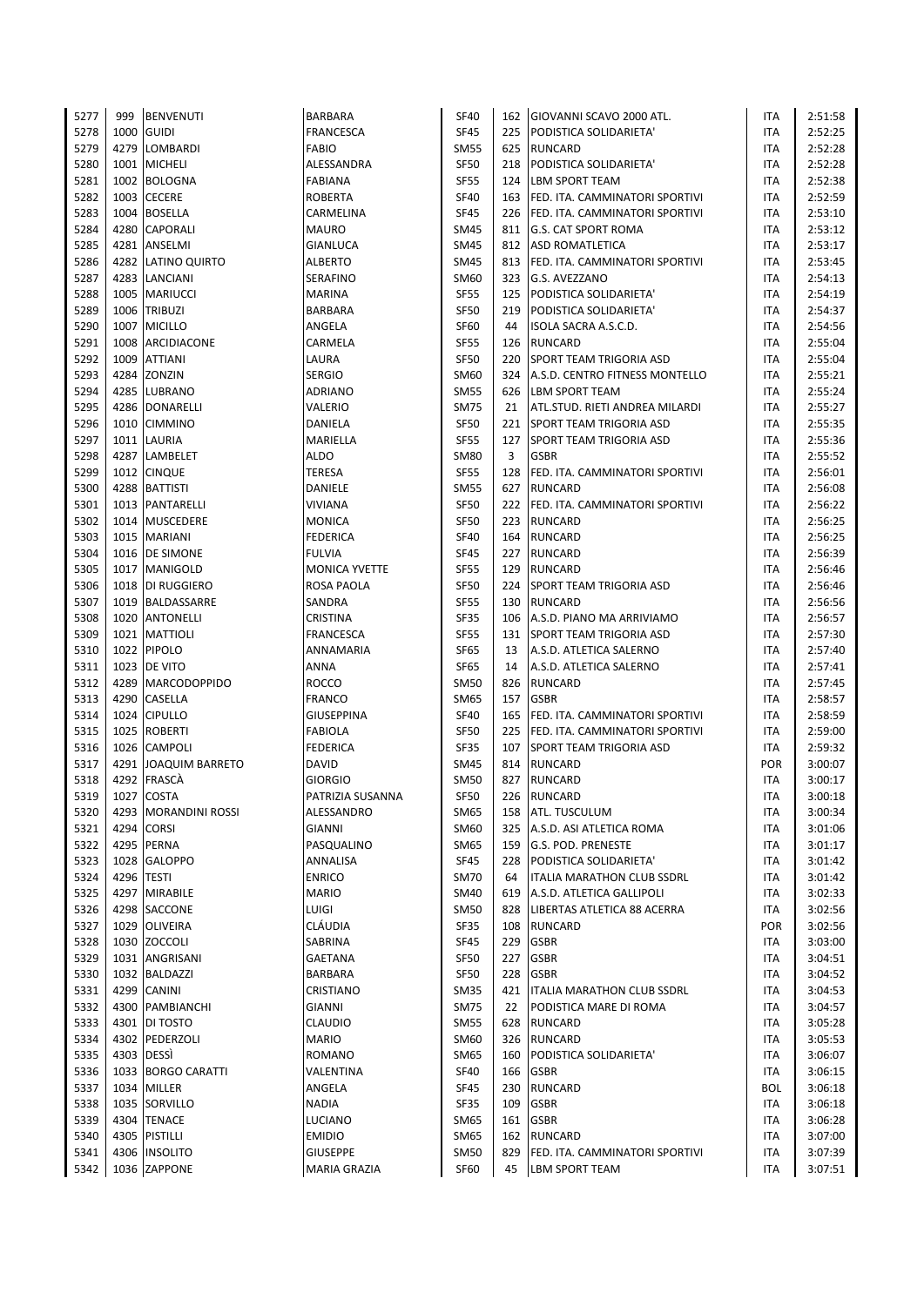| 5277 | 999  | <b>BENVENUTI</b>       | <b>BARBARA</b>       | <b>SF40</b> |     | 162 GIOVANNI SCAVO 2000 ATL.       | <b>ITA</b> | 2:51:58 |
|------|------|------------------------|----------------------|-------------|-----|------------------------------------|------------|---------|
| 5278 | 1000 | <b>GUIDI</b>           | <b>FRANCESCA</b>     | <b>SF45</b> |     | 225 PODISTICA SOLIDARIETA'         | <b>ITA</b> | 2:52:25 |
| 5279 | 4279 | <b>LOMBARDI</b>        | FABIO                | <b>SM55</b> | 625 | <b>RUNCARD</b>                     | ITA        | 2:52:28 |
| 5280 |      | 1001 MICHELI           | ALESSANDRA           | <b>SF50</b> |     | 218 PODISTICA SOLIDARIETA'         | <b>ITA</b> | 2:52:28 |
| 5281 |      | 1002 BOLOGNA           | <b>FABIANA</b>       | <b>SF55</b> | 124 | <b>LBM SPORT TEAM</b>              | <b>ITA</b> | 2:52:38 |
|      |      |                        |                      |             |     |                                    |            |         |
| 5282 | 1003 | <b>CECERE</b>          | <b>ROBERTA</b>       | <b>SF40</b> |     | 163 FED. ITA. CAMMINATORI SPORTIVI | <b>ITA</b> | 2:52:59 |
| 5283 | 1004 | <b>BOSELLA</b>         | CARMELINA            | <b>SF45</b> | 226 | FED. ITA. CAMMINATORI SPORTIVI     | ITA        | 2:53:10 |
| 5284 | 4280 | <b>CAPORALI</b>        | <b>MAURO</b>         | <b>SM45</b> |     | 811 G.S. CAT SPORT ROMA            | <b>ITA</b> | 2:53:12 |
| 5285 | 4281 | ANSELMI                | <b>GIANLUCA</b>      | <b>SM45</b> |     | 812 ASD ROMATLETICA                | <b>ITA</b> | 2:53:17 |
| 5286 | 4282 | <b>LATINO QUIRTO</b>   | <b>ALBERTO</b>       | <b>SM45</b> |     | 813 FED. ITA. CAMMINATORI SPORTIVI | <b>ITA</b> | 2:53:45 |
| 5287 | 4283 | LANCIANI               | SERAFINO             | SM60        | 323 | G.S. AVEZZANO                      | ITA        | 2:54:13 |
| 5288 | 1005 | <b>MARIUCCI</b>        | MARINA               | <b>SF55</b> | 125 | PODISTICA SOLIDARIETA'             | <b>ITA</b> | 2:54:19 |
| 5289 |      | 1006 TRIBUZI           | BARBARA              | <b>SF50</b> | 219 | PODISTICA SOLIDARIETA'             | ITA        | 2:54:37 |
| 5290 | 1007 | <b>MICILLO</b>         | ANGELA               | <b>SF60</b> | 44  | ISOLA SACRA A.S.C.D.               | ITA        | 2:54:56 |
| 5291 | 1008 | ARCIDIACONE            | CARMELA              | <b>SF55</b> | 126 | <b>RUNCARD</b>                     | ITA        | 2:55:04 |
| 5292 | 1009 |                        | LAURA                | <b>SF50</b> |     | <b>SPORT TEAM TRIGORIA ASD</b>     | <b>ITA</b> |         |
|      |      | <b>ATTIANI</b>         |                      |             | 220 |                                    |            | 2:55:04 |
| 5293 | 4284 | ZONZIN                 | <b>SERGIO</b>        | SM60        |     | 324 A.S.D. CENTRO FITNESS MONTELLO | ITA        | 2:55:21 |
| 5294 | 4285 | LUBRANO                | ADRIANO              | <b>SM55</b> |     | 626   LBM SPORT TEAM               | ITA        | 2:55:24 |
| 5295 | 4286 | <b>DONARELLI</b>       | VALERIO              | <b>SM75</b> | 21  | ATL.STUD. RIETI ANDREA MILARDI     | <b>ITA</b> | 2:55:27 |
| 5296 | 1010 | <b>CIMMINO</b>         | DANIELA              | SF50        | 221 | SPORT TEAM TRIGORIA ASD            | ITA        | 2:55:35 |
| 5297 | 1011 | LAURIA                 | MARIELLA             | <b>SF55</b> | 127 | <b>SPORT TEAM TRIGORIA ASD</b>     | ITA        | 2:55:36 |
| 5298 | 4287 | LAMBELET               | <b>ALDO</b>          | <b>SM80</b> | 3   | <b>GSBR</b>                        | ITA        | 2:55:52 |
| 5299 | 1012 | <b>CINQUE</b>          | TERESA               | <b>SF55</b> | 128 | FED. ITA. CAMMINATORI SPORTIVI     | ITA        | 2:56:01 |
| 5300 |      | 4288 BATTISTI          | DANIELE              | <b>SM55</b> | 627 | <b>RUNCARD</b>                     | <b>ITA</b> | 2:56:08 |
| 5301 | 1013 | PANTARELLI             | VIVIANA              | <b>SF50</b> |     | 222 FED. ITA. CAMMINATORI SPORTIVI | ITA        | 2:56:22 |
| 5302 | 1014 | <b>MUSCEDERE</b>       | <b>MONICA</b>        | <b>SF50</b> | 223 | <b>RUNCARD</b>                     | ITA        | 2:56:25 |
|      |      |                        |                      |             |     |                                    |            |         |
| 5303 |      | 1015 MARIANI           | <b>FEDERICA</b>      | <b>SF40</b> | 164 | RUNCARD                            | ITA        | 2:56:25 |
| 5304 |      | 1016 DE SIMONE         | <b>FULVIA</b>        | <b>SF45</b> |     | 227 RUNCARD                        | <b>ITA</b> | 2:56:39 |
| 5305 |      | 1017 MANIGOLD          | <b>MONICA YVETTE</b> | <b>SF55</b> |     | 129 RUNCARD                        | ITA        | 2:56:46 |
| 5306 | 1018 | DI RUGGIERO            | ROSA PAOLA           | <b>SF50</b> | 224 | <b>SPORT TEAM TRIGORIA ASD</b>     | ITA        | 2:56:46 |
| 5307 |      | 1019 BALDASSARRE       | SANDRA               | <b>SF55</b> | 130 | <b>RUNCARD</b>                     | <b>ITA</b> | 2:56:56 |
| 5308 |      | 1020 ANTONELLI         | <b>CRISTINA</b>      | <b>SF35</b> | 106 | A.S.D. PIANO MA ARRIVIAMO          | <b>ITA</b> | 2:56:57 |
| 5309 | 1021 | <b>MATTIOLI</b>        | <b>FRANCESCA</b>     | <b>SF55</b> | 131 | <b>SPORT TEAM TRIGORIA ASD</b>     | <b>ITA</b> | 2:57:30 |
| 5310 | 1022 | <b>PIPOLO</b>          | ANNAMARIA            | <b>SF65</b> | 13  | A.S.D. ATLETICA SALERNO            | ITA        | 2:57:40 |
| 5311 |      | 1023 DE VITO           | ANNA                 | <b>SF65</b> | 14  | A.S.D. ATLETICA SALERNO            | <b>ITA</b> | 2:57:41 |
| 5312 |      | 4289 MARCODOPPIDO      | ROCCO                | <b>SM50</b> | 826 | <b>RUNCARD</b>                     | ITA        | 2:57:45 |
| 5313 | 4290 | CASELLA                | <b>FRANCO</b>        | <b>SM65</b> | 157 | <b>GSBR</b>                        | <b>ITA</b> | 2:58:57 |
| 5314 | 1024 | <b>CIPULLO</b>         | GIUSEPPINA           | <b>SF40</b> | 165 | FED. ITA. CAMMINATORI SPORTIVI     | ITA        | 2:58:59 |
|      | 1025 |                        |                      | <b>SF50</b> |     |                                    | <b>ITA</b> |         |
| 5315 |      | <b>ROBERTI</b>         | <b>FABIOLA</b>       |             | 225 | FED. ITA. CAMMINATORI SPORTIVI     |            | 2:59:00 |
| 5316 | 1026 | <b>CAMPOLI</b>         | <b>FEDERICA</b>      | <b>SF35</b> | 107 | SPORT TEAM TRIGORIA ASD            | ITA        | 2:59:32 |
| 5317 | 4291 | <b>JOAQUIM BARRETO</b> | <b>DAVID</b>         | <b>SM45</b> | 814 | <b>RUNCARD</b>                     | POR        | 3:00:07 |
| 5318 | 4292 | FRASCA                 | <b>GIORGIO</b>       | <b>SM50</b> | 827 | <b>RUNCARD</b>                     | ITA        | 3:00:17 |
| 5319 |      | 1027 COSTA             | PATRIZIA SUSANNA     | <b>SF50</b> |     | 226 RUNCARD                        | <b>ITA</b> | 3:00:18 |
| 5320 |      | 4293 MORANDINI ROSSI   | ALESSANDRO           | SM65        | 158 | <b>ATL. TUSCULUM</b>               | ITA        | 3:00:34 |
| 5321 | 4294 | <b>CORSI</b>           | GIANNI               | SM60        | 325 | A.S.D. ASI ATLETICA ROMA           | ITA        | 3:01:06 |
| 5322 | 4295 | <b>PERNA</b>           | PASQUALINO           | SM65        |     | 159 G.S. POD. PRENESTE             | ITA        | 3:01:17 |
| 5323 |      | 1028 GALOPPO           | ANNALISA             | SF45        |     | 228 PODISTICA SOLIDARIETA'         | ITA        | 3:01:42 |
| 5324 |      | 4296 TESTI             | <b>ENRICO</b>        | <b>SM70</b> | 64  | <b>ITALIA MARATHON CLUB SSDRL</b>  | ITA        | 3:01:42 |
| 5325 | 4297 | <b>MIRABILE</b>        | MARIO                | SM40        | 619 | A.S.D. ATLETICA GALLIPOLI          | ITA        | 3:02:33 |
| 5326 |      | 4298 SACCONE           | <b>LUIGI</b>         | <b>SM50</b> |     | 828 LIBERTAS ATLETICA 88 ACERRA    | ITA        | 3:02:56 |
|      |      |                        |                      |             |     |                                    |            |         |
| 5327 |      | 1029 OLIVEIRA          | CLÁUDIA              | SF35        | 108 | <b>RUNCARD</b>                     | POR        | 3:02:56 |
| 5328 | 1030 | <b>ZOCCOLI</b>         | SABRINA              | <b>SF45</b> | 229 | <b>GSBR</b>                        | ITA        | 3:03:00 |
| 5329 | 1031 | ANGRISANI              | GAETANA              | SF50        | 227 | <b>GSBR</b>                        | ITA        | 3:04:51 |
| 5330 | 1032 | <b>BALDAZZI</b>        | BARBARA              | <b>SF50</b> | 228 | <b>GSBR</b>                        | ITA        | 3:04:52 |
| 5331 |      | 4299 CANINI            | CRISTIANO            | <b>SM35</b> | 421 | <b>ITALIA MARATHON CLUB SSDRL</b>  | ITA        | 3:04:53 |
| 5332 | 4300 | PAMBIANCHI             | <b>GIANNI</b>        | <b>SM75</b> | 22  | PODISTICA MARE DI ROMA             | ITA        | 3:04:57 |
| 5333 | 4301 | DI TOSTO               | CLAUDIO              | <b>SM55</b> | 628 | <b>RUNCARD</b>                     | ITA        | 3:05:28 |
| 5334 |      | 4302 PEDERZOLI         | <b>MARIO</b>         | SM60        |     | 326 RUNCARD                        | ITA        | 3:05:53 |
| 5335 |      | 4303 DESSI             | <b>ROMANO</b>        | SM65        | 160 | PODISTICA SOLIDARIETA'             | ITA        | 3:06:07 |
| 5336 | 1033 | <b>BORGO CARATTI</b>   | VALENTINA            | <b>SF40</b> |     | 166 GSBR                           | ITA        | 3:06:15 |
| 5337 | 1034 | <b>MILLER</b>          | ANGELA               | <b>SF45</b> | 230 | <b>RUNCARD</b>                     | BOL        | 3:06:18 |
|      |      |                        |                      |             |     |                                    |            |         |
| 5338 |      | 1035 SORVILLO          | <b>NADIA</b>         | SF35        | 109 | <b>GSBR</b>                        | ITA        | 3:06:18 |
| 5339 |      | 4304 TENACE            | LUCIANO              | <b>SM65</b> | 161 | <b>GSBR</b>                        | ITA        | 3:06:28 |
| 5340 | 4305 | PISTILLI               | <b>EMIDIO</b>        | SM65        | 162 | <b>RUNCARD</b>                     | ITA        | 3:07:00 |
| 5341 | 4306 | <b>INSOLITO</b>        | <b>GIUSEPPE</b>      | <b>SM50</b> | 829 | FED. ITA. CAMMINATORI SPORTIVI     | ITA        | 3:07:39 |
| 5342 |      | 1036 ZAPPONE           | MARIA GRAZIA         | SF60        | 45  | LBM SPORT TEAM                     | <b>ITA</b> | 3:07:51 |